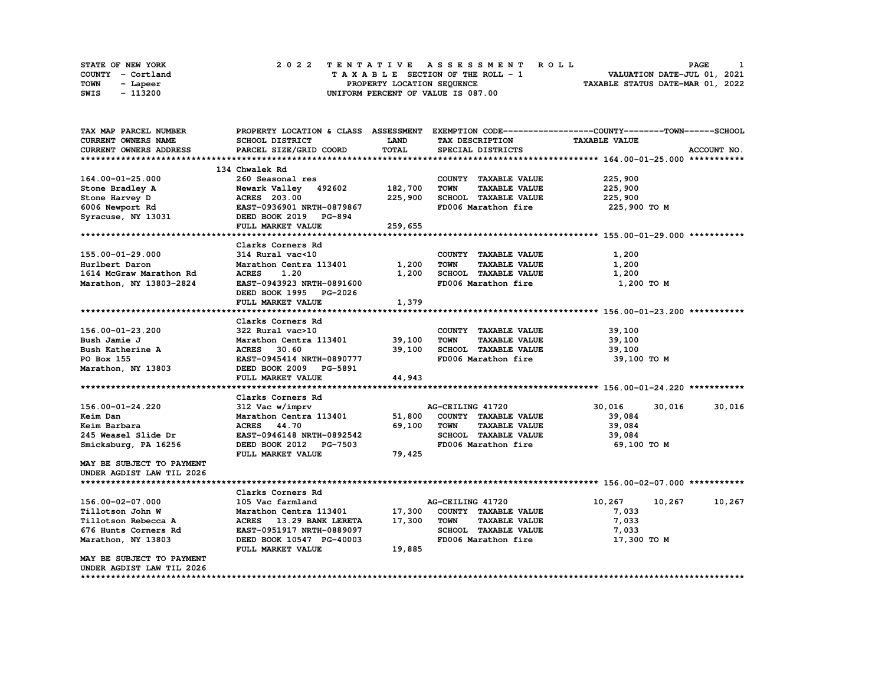| STATE OF NEW YORK | 2022 TENTATIVE ASSESSMENT ROLL     | PAGE                             |
|-------------------|------------------------------------|----------------------------------|
| COUNTY - Cortland | TAXABLE SECTION OF THE ROLL - 1    | VALUATION DATE-JUL 01, 2021      |
| TOWN<br>- Lapeer  | PROPERTY LOCATION SEOUENCE         | TAXABLE STATUS DATE-MAR 01, 2022 |
| - 113200<br>SWIS  | UNIFORM PERCENT OF VALUE IS 087.00 |                                  |

| TAX MAP PARCEL NUMBER     |                               |             |                                     | PROPERTY LOCATION & CLASS ASSESSMENT EXEMPTION CODE----------------COUNTY-------TOWN-----SCHOOL |
|---------------------------|-------------------------------|-------------|-------------------------------------|-------------------------------------------------------------------------------------------------|
| CURRENT OWNERS NAME       | SCHOOL DISTRICT               | <b>LAND</b> | TAX DESCRIPTION                     | <b>TAXABLE VALUE</b>                                                                            |
| CURRENT OWNERS ADDRESS    | PARCEL SIZE/GRID COORD        | TOTAL       | SPECIAL DISTRICTS                   | ACCOUNT NO.                                                                                     |
|                           |                               |             |                                     |                                                                                                 |
|                           | 134 Chwalek Rd                |             |                                     |                                                                                                 |
| 164.00-01-25.000          | 260 Seasonal res              |             | COUNTY TAXABLE VALUE                | 225,900                                                                                         |
| Stone Bradley A           | Newark Valley 492602          | 182,700     | <b>TOWN</b><br><b>TAXABLE VALUE</b> | 225,900                                                                                         |
| Stone Harvey D            | ACRES 203.00                  | 225,900     | SCHOOL TAXABLE VALUE                | 225,900                                                                                         |
| 6006 Newport Rd           | EAST-0936901 NRTH-0879867     |             | FD006 Marathon fire                 | 225,900 TO M                                                                                    |
| Syracuse, NY 13031        | DEED BOOK 2019 PG-894         |             |                                     |                                                                                                 |
|                           | FULL MARKET VALUE             | 259,655     |                                     |                                                                                                 |
|                           |                               |             |                                     |                                                                                                 |
|                           |                               |             |                                     |                                                                                                 |
|                           | Clarks Corners Rd             |             |                                     |                                                                                                 |
| 155.00-01-29.000          | 314 Rural vac<10              |             | COUNTY TAXABLE VALUE                | 1,200                                                                                           |
| Hurlbert Daron            | Marathon Centra 113401        | 1,200       | <b>TOWN</b><br><b>TAXABLE VALUE</b> | 1,200                                                                                           |
| 1614 McGraw Marathon Rd   | <b>ACRES</b><br>1.20          | 1,200       | SCHOOL TAXABLE VALUE                | 1,200                                                                                           |
| Marathon, NY 13803-2824   | EAST-0943923 NRTH-0891600     |             | FD006 Marathon fire                 | 1,200 TO M                                                                                      |
|                           | DEED BOOK 1995 PG-2026        |             |                                     |                                                                                                 |
|                           | FULL MARKET VALUE             | 1,379       |                                     |                                                                                                 |
|                           |                               |             |                                     |                                                                                                 |
|                           | Clarks Corners Rd             |             |                                     |                                                                                                 |
| 156.00-01-23.200          | 322 Rural vac>10              |             | COUNTY TAXABLE VALUE                | 39,100                                                                                          |
| Bush Jamie J              | Marathon Centra 113401 39,100 |             | <b>TOWN</b><br><b>TAXABLE VALUE</b> | 39,100                                                                                          |
| <b>Bush Katherine A</b>   | <b>ACRES</b><br>30.60         | 39,100      | SCHOOL TAXABLE VALUE                | 39,100                                                                                          |
| PO Box 155                | EAST-0945414 NRTH-0890777     |             | FD006 Marathon fire                 | 39,100 TO M                                                                                     |
| Marathon, NY 13803        | DEED BOOK 2009 PG-5891        |             |                                     |                                                                                                 |
|                           | FULL MARKET VALUE             | 44,943      |                                     |                                                                                                 |
|                           |                               |             |                                     |                                                                                                 |
|                           | Clarks Corners Rd             |             |                                     |                                                                                                 |
| 156.00-01-24.220          | 312 Vac w/imprv               |             | AG-CEILING 41720                    | 30,016<br>30,016<br>30,016                                                                      |
| Keim Dan                  | Marathon Centra 113401        | 51,800      | COUNTY TAXABLE VALUE                | 39,084                                                                                          |
| Keim Barbara              | ACRES 44.70                   | 69,100      | <b>TOWN</b><br><b>TAXABLE VALUE</b> | 39,084                                                                                          |
|                           | EAST-0946148 NRTH-0892542     |             | SCHOOL TAXABLE VALUE                |                                                                                                 |
| 245 Weasel Slide Dr       |                               |             |                                     | 39,084                                                                                          |
| Smicksburg, PA 16256      | DEED BOOK 2012 PG-7503        |             | FD006 Marathon fire                 | 69,100 то м                                                                                     |
|                           | FULL MARKET VALUE             | 79,425      |                                     |                                                                                                 |
| MAY BE SUBJECT TO PAYMENT |                               |             |                                     |                                                                                                 |
| UNDER AGDIST LAW TIL 2026 |                               |             |                                     |                                                                                                 |
|                           |                               |             |                                     |                                                                                                 |
|                           | Clarks Corners Rd             |             |                                     |                                                                                                 |
| 156.00-02-07.000          | 105 Vac farmland              |             | AG-CEILING 41720                    | 10,267<br>10,267<br>10,267                                                                      |
| Tillotson John W          | Marathon Centra 113401        | 17,300      | COUNTY TAXABLE VALUE                | 7,033                                                                                           |
| Tillotson Rebecca A       | ACRES 13.29 BANK LERETA       | 17,300      | <b>TOWN</b><br><b>TAXABLE VALUE</b> | 7,033                                                                                           |
| 676 Hunts Corners Rd      | EAST-0951917 NRTH-0889097     |             | SCHOOL TAXABLE VALUE                | 7,033                                                                                           |
| Marathon, NY 13803        | DEED BOOK 10547 PG-40003      |             | FD006 Marathon fire                 | 17,300 TO M                                                                                     |
|                           | FULL MARKET VALUE             | 19,885      |                                     |                                                                                                 |
| MAY BE SUBJECT TO PAYMENT |                               |             |                                     |                                                                                                 |
| UNDER AGDIST LAW TIL 2026 |                               |             |                                     |                                                                                                 |
|                           |                               |             |                                     |                                                                                                 |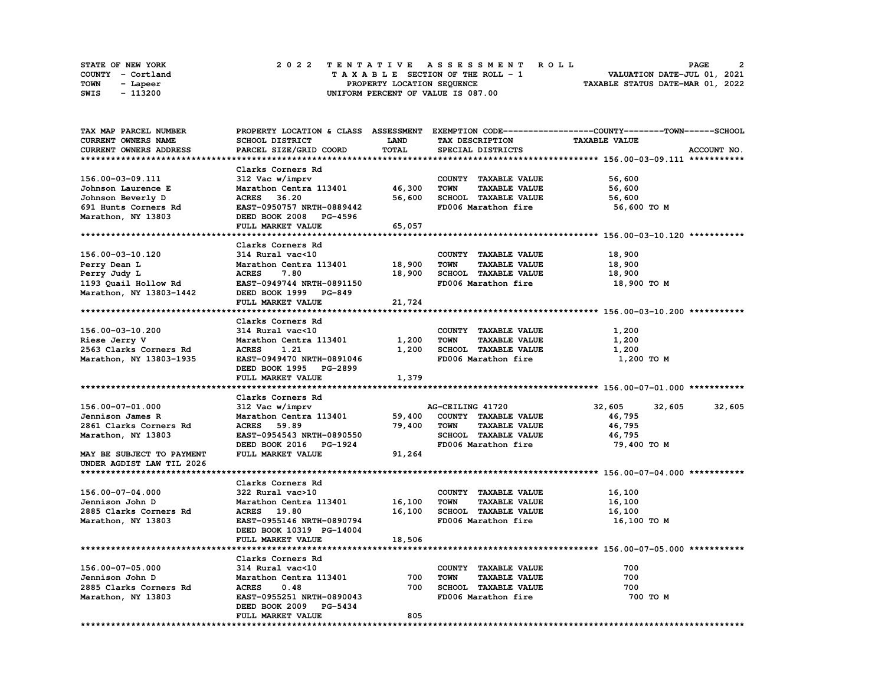|      | STATE OF NEW YORK |  | 2022 TENTATIVE ASSESSMENT ROLL                                 | PAGE |  |
|------|-------------------|--|----------------------------------------------------------------|------|--|
|      | COUNTY - Cortland |  | VALUATION DATE-JUL 01, 2021<br>TAXABLE SECTION OF THE ROLL - 1 |      |  |
| TOWN | - Lapeer          |  | TAXABLE STATUS DATE-MAR 01, 2022<br>PROPERTY LOCATION SEQUENCE |      |  |
| SWIS | - 113200          |  | UNIFORM PERCENT OF VALUE IS 087.00                             |      |  |

| TAX MAP PARCEL NUMBER     |                           |        |                                     | PROPERTY LOCATION & CLASS ASSESSMENT EXEMPTION CODE----------------COUNTY-------TOWN-----SCHOOL |  |
|---------------------------|---------------------------|--------|-------------------------------------|-------------------------------------------------------------------------------------------------|--|
| CURRENT OWNERS NAME       | <b>SCHOOL DISTRICT</b>    | LAND   | TAX DESCRIPTION                     | <b>TAXABLE VALUE</b>                                                                            |  |
| CURRENT OWNERS ADDRESS    | PARCEL SIZE/GRID COORD    | TOTAL  | SPECIAL DISTRICTS                   | ACCOUNT NO.                                                                                     |  |
|                           |                           |        |                                     |                                                                                                 |  |
|                           | Clarks Corners Rd         |        |                                     |                                                                                                 |  |
| 156.00-03-09.111          | 312 Vac w/imprv           |        | COUNTY TAXABLE VALUE                | 56,600                                                                                          |  |
| Johnson Laurence E        | Marathon Centra 113401    | 46,300 | <b>TOWN</b><br><b>TAXABLE VALUE</b> | 56,600                                                                                          |  |
| Johnson Beverly D         | <b>ACRES</b><br>36.20     | 56,600 | SCHOOL TAXABLE VALUE                | 56,600                                                                                          |  |
| 691 Hunts Corners Rd      | EAST-0950757 NRTH-0889442 |        | FD006 Marathon fire                 | 56,600 TO M                                                                                     |  |
| Marathon, NY 13803        | DEED BOOK 2008 PG-4596    |        |                                     |                                                                                                 |  |
|                           | FULL MARKET VALUE         | 65,057 |                                     |                                                                                                 |  |
|                           |                           |        |                                     |                                                                                                 |  |
|                           |                           |        |                                     |                                                                                                 |  |
|                           | Clarks Corners Rd         |        |                                     |                                                                                                 |  |
| 156.00-03-10.120          | 314 Rural vac<10          |        | COUNTY TAXABLE VALUE                | 18,900                                                                                          |  |
| Perry Dean L              | Marathon Centra 113401    | 18,900 | <b>TOWN</b><br><b>TAXABLE VALUE</b> | 18,900                                                                                          |  |
| Perry Judy L              | <b>ACRES</b><br>7.80      | 18,900 | SCHOOL TAXABLE VALUE                | 18,900                                                                                          |  |
| 1193 Quail Hollow Rd      | EAST-0949744 NRTH-0891150 |        | FD006 Marathon fire                 | 18,900 TO M                                                                                     |  |
| Marathon, NY 13803-1442   | DEED BOOK 1999 PG-849     |        |                                     |                                                                                                 |  |
|                           | FULL MARKET VALUE         | 21,724 |                                     |                                                                                                 |  |
|                           |                           |        |                                     |                                                                                                 |  |
|                           | Clarks Corners Rd         |        |                                     |                                                                                                 |  |
| 156.00-03-10.200          | 314 Rural vac<10          |        | COUNTY TAXABLE VALUE                | 1,200                                                                                           |  |
| Riese Jerry V             | Marathon Centra 113401    | 1,200  | <b>TOWN</b><br><b>TAXABLE VALUE</b> | 1,200                                                                                           |  |
| 2563 Clarks Corners Rd    | <b>ACRES</b><br>1.21      | 1,200  | SCHOOL TAXABLE VALUE                | 1,200                                                                                           |  |
| Marathon, NY 13803-1935   | EAST-0949470 NRTH-0891046 |        | FD006 Marathon fire                 | 1,200 TO M                                                                                      |  |
|                           | DEED BOOK 1995 PG-2899    |        |                                     |                                                                                                 |  |
|                           | FULL MARKET VALUE         | 1,379  |                                     |                                                                                                 |  |
|                           |                           |        |                                     |                                                                                                 |  |
|                           | Clarks Corners Rd         |        |                                     |                                                                                                 |  |
| 156.00-07-01.000          | 312 Vac w/imprv           |        | AG-CEILING 41720                    | 32,605<br>32,605<br>32,605                                                                      |  |
| Jennison James R          | Marathon Centra 113401    | 59,400 | COUNTY TAXABLE VALUE                | 46,795                                                                                          |  |
| 2861 Clarks Corners Rd    | <b>ACRES</b> 59.89        | 79,400 | <b>TOWN</b><br><b>TAXABLE VALUE</b> | 46,795                                                                                          |  |
| Marathon, NY 13803        | EAST-0954543 NRTH-0890550 |        | SCHOOL TAXABLE VALUE                | 46,795                                                                                          |  |
|                           | DEED BOOK 2016 PG-1924    |        | FD006 Marathon fire                 | 79,400 то м                                                                                     |  |
|                           |                           |        |                                     |                                                                                                 |  |
|                           |                           |        |                                     |                                                                                                 |  |
| MAY BE SUBJECT TO PAYMENT | FULL MARKET VALUE         | 91,264 |                                     |                                                                                                 |  |
| UNDER AGDIST LAW TIL 2026 |                           |        |                                     |                                                                                                 |  |
|                           |                           |        |                                     |                                                                                                 |  |
|                           | Clarks Corners Rd         |        |                                     |                                                                                                 |  |
| 156.00-07-04.000          | 322 Rural vac>10          |        | COUNTY TAXABLE VALUE                | 16,100                                                                                          |  |
| Jennison John D           | Marathon Centra 113401    | 16,100 | <b>TOWN</b><br><b>TAXABLE VALUE</b> | 16,100                                                                                          |  |
| 2885 Clarks Corners Rd    | ACRES 19.80               | 16,100 | SCHOOL TAXABLE VALUE                | 16,100                                                                                          |  |
| Marathon, NY 13803        | EAST-0955146 NRTH-0890794 |        | FD006 Marathon fire                 | 16,100 TO M                                                                                     |  |
|                           | DEED BOOK 10319 PG-14004  |        |                                     |                                                                                                 |  |
|                           | FULL MARKET VALUE         | 18,506 |                                     |                                                                                                 |  |
|                           |                           |        |                                     |                                                                                                 |  |
|                           | Clarks Corners Rd         |        |                                     |                                                                                                 |  |
| 156.00-07-05.000          | 314 Rural vac<10          |        | COUNTY TAXABLE VALUE                | 700                                                                                             |  |
| Jennison John D           | Marathon Centra 113401    | 700    | <b>TOWN</b><br><b>TAXABLE VALUE</b> | 700                                                                                             |  |
| 2885 Clarks Corners Rd    | <b>ACRES</b><br>0.48      | 700    | SCHOOL TAXABLE VALUE                | 700                                                                                             |  |
| Marathon, NY 13803        | EAST-0955251 NRTH-0890043 |        | FD006 Marathon fire                 | 700 TO M                                                                                        |  |
|                           | DEED BOOK 2009 PG-5434    |        |                                     |                                                                                                 |  |
|                           | FULL MARKET VALUE         | 805    |                                     |                                                                                                 |  |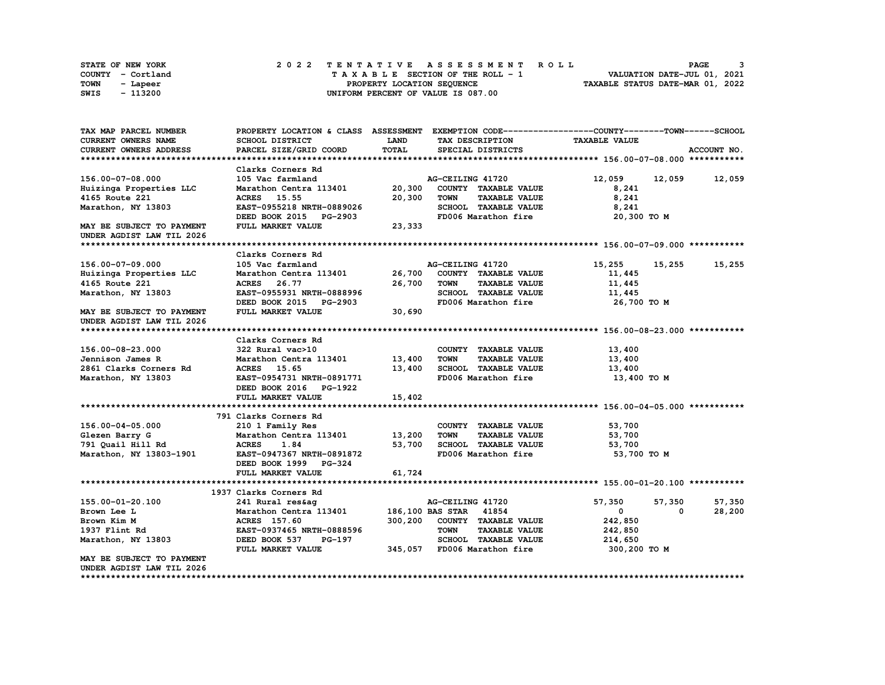|      | <b>STATE OF NEW YORK</b> | 2022 TENTATIVE ASSESSMENT ROLL          | PAGE                             |
|------|--------------------------|-----------------------------------------|----------------------------------|
|      | COUNTY - Cortland        | $T A X A B L E$ SECTION OF THE ROLL - 1 | VALUATION DATE-JUL 01, 2021      |
| TOWN | - Lapeer                 | PROPERTY LOCATION SEQUENCE              | TAXABLE STATUS DATE-MAR 01, 2022 |
| SWIS | - 113200                 | UNIFORM PERCENT OF VALUE IS 087.00      |                                  |

| TAX MAP PARCEL NUMBER                                  | PROPERTY LOCATION & CLASS ASSESSMENT EXEMPTION CODE----------------COUNTY-------TOWN-----SCHOOL |         |                  |                             |                      |        |             |
|--------------------------------------------------------|-------------------------------------------------------------------------------------------------|---------|------------------|-----------------------------|----------------------|--------|-------------|
| <b>CURRENT OWNERS NAME</b>                             | SCHOOL DISTRICT                                                                                 | LAND    |                  | TAX DESCRIPTION             | <b>TAXABLE VALUE</b> |        |             |
| CURRENT OWNERS ADDRESS                                 | PARCEL SIZE/GRID COORD                                                                          | TOTAL   |                  | SPECIAL DISTRICTS           |                      |        | ACCOUNT NO. |
|                                                        |                                                                                                 |         |                  |                             |                      |        |             |
|                                                        | Clarks Corners Rd                                                                               |         |                  |                             |                      |        |             |
| 156.00-07-08.000                                       | 105 Vac farmland                                                                                |         | AG-CEILING 41720 |                             | 12,059               | 12,059 | 12,059      |
| Huizinga Properties LLC                                | Marathon Centra 113401                                                                          | 20,300  |                  | COUNTY TAXABLE VALUE        | 8,241                |        |             |
| 4165 Route 221                                         | ACRES 15.55                                                                                     | 20,300  | <b>TOWN</b>      | <b>TAXABLE VALUE</b>        | 8,241                |        |             |
| Marathon, NY 13803                                     | EAST-0955218 NRTH-0889026                                                                       |         |                  | SCHOOL TAXABLE VALUE        | 8,241                |        |             |
|                                                        | DEED BOOK 2015 PG-2903                                                                          |         |                  | FD006 Marathon fire         | 20,300 TO M          |        |             |
| MAY BE SUBJECT TO PAYMENT<br>UNDER AGDIST LAW TIL 2026 | FULL MARKET VALUE                                                                               | 23,333  |                  |                             |                      |        |             |
|                                                        |                                                                                                 |         |                  |                             |                      |        |             |
|                                                        | Clarks Corners Rd                                                                               |         |                  |                             |                      |        |             |
| 156.00-07-09.000                                       | 105 Vac farmland                                                                                |         | AG-CEILING 41720 |                             | 15,255               | 15,255 | 15,255      |
| Huizinga Properties LLC                                | Marathon Centra 113401                                                                          | 26,700  |                  | COUNTY TAXABLE VALUE        | 11,445               |        |             |
| 4165 Route 221                                         | ACRES 26.77                                                                                     | 26,700  | <b>TOWN</b>      | <b>TAXABLE VALUE</b>        | 11,445               |        |             |
| Marathon, NY 13803                                     | EAST-0955931 NRTH-0888996                                                                       |         |                  | SCHOOL TAXABLE VALUE        | 11,445               |        |             |
|                                                        | DEED BOOK 2015 PG-2903                                                                          |         |                  | FD006 Marathon fire         | 26,700 то м          |        |             |
| MAY BE SUBJECT TO PAYMENT                              | FULL MARKET VALUE                                                                               | 30,690  |                  |                             |                      |        |             |
| UNDER AGDIST LAW TIL 2026                              |                                                                                                 |         |                  |                             |                      |        |             |
|                                                        |                                                                                                 |         |                  |                             |                      |        |             |
|                                                        | Clarks Corners Rd                                                                               |         |                  |                             |                      |        |             |
| 156.00-08-23.000                                       | 322 Rural vac>10                                                                                |         |                  | COUNTY TAXABLE VALUE        | 13,400               |        |             |
| Jennison James R                                       | Marathon Centra 113401 13,400                                                                   |         | <b>TOWN</b>      | <b>TAXABLE VALUE</b>        | 13,400               |        |             |
| 2861 Clarks Corners Rd                                 |                                                                                                 | 13,400  |                  | SCHOOL TAXABLE VALUE        |                      |        |             |
|                                                        | ACRES 15.65                                                                                     |         |                  |                             | 13,400               |        |             |
| Marathon, NY 13803                                     | EAST-0954731 NRTH-0891771                                                                       |         |                  | FD006 Marathon fire         | 13,400 TO M          |        |             |
|                                                        | DEED BOOK 2016 PG-1922                                                                          |         |                  |                             |                      |        |             |
|                                                        | FULL MARKET VALUE                                                                               | 15,402  |                  |                             |                      |        |             |
|                                                        |                                                                                                 |         |                  |                             |                      |        |             |
|                                                        | 791 Clarks Corners Rd                                                                           |         |                  |                             |                      |        |             |
| 156.00-04-05.000                                       | 210 1 Family Res                                                                                |         |                  | COUNTY TAXABLE VALUE        | 53,700               |        |             |
| Glezen Barry G                                         | Marathon Centra 113401 13,200                                                                   |         | TOWN             | <b>TAXABLE VALUE</b>        | 53,700               |        |             |
| 791 Quail Hill Rd                                      | <b>ACRES</b><br>1.84                                                                            | 53,700  |                  | SCHOOL TAXABLE VALUE        | 53,700               |        |             |
| Marathon, NY 13803-1901                                | EAST-0947367 NRTH-0891872<br>DEED BOOK 1999 PG-324                                              |         |                  | FD006 Marathon fire         | 53,700 TO M          |        |             |
|                                                        | FULL MARKET VALUE                                                                               | 61,724  |                  |                             |                      |        |             |
|                                                        |                                                                                                 |         |                  |                             |                      |        |             |
|                                                        | 1937 Clarks Corners Rd                                                                          |         |                  |                             |                      |        |             |
| 155.00-01-20.100                                       | 241 Rural res&ag                                                                                |         | AG-CEILING 41720 |                             | 57,350               | 57,350 | 57,350      |
| Brown Lee L                                            | Marathon Centra 113401 186,100 BAS STAR 41854                                                   |         |                  |                             | $\mathbf{0}$         | 0      | 28,200      |
| Brown Kim M                                            | ACRES 157.60                                                                                    | 300,200 |                  | COUNTY TAXABLE VALUE        | 242,850              |        |             |
| 1937 Flint Rd                                          | EAST-0937465 NRTH-0888596                                                                       |         | <b>TOWN</b>      | <b>TAXABLE VALUE</b>        | 242,850              |        |             |
| Marathon, NY 13803                                     | DEED BOOK 537 PG-197                                                                            |         |                  | SCHOOL TAXABLE VALUE        | 214,650              |        |             |
|                                                        | FULL MARKET VALUE                                                                               |         |                  | 345,057 FD006 Marathon fire | 300,200 TO M         |        |             |
| MAY BE SUBJECT TO PAYMENT<br>UNDER AGDIST LAW TIL 2026 |                                                                                                 |         |                  |                             |                      |        |             |
|                                                        |                                                                                                 |         |                  |                             |                      |        |             |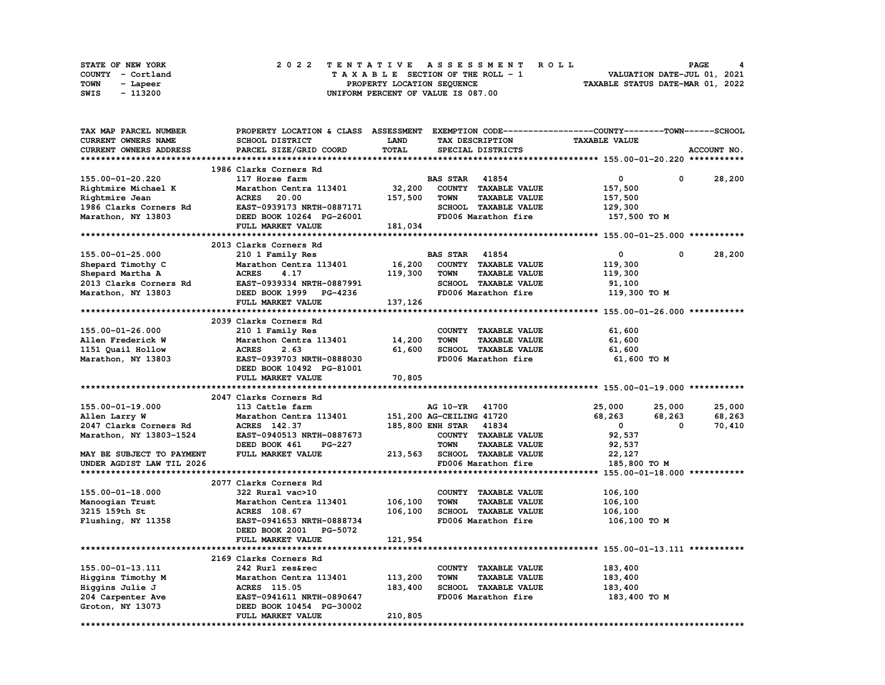| <b>STATE OF NEW YORK</b> |                   |  |  |  |  |  | 2022 TENTATIVE ASSESSMENT ROLL     |  |  |  |  |  |  |                                  | PAGE                        |  |
|--------------------------|-------------------|--|--|--|--|--|------------------------------------|--|--|--|--|--|--|----------------------------------|-----------------------------|--|
|                          | COUNTY - Cortland |  |  |  |  |  | TAXABLE SECTION OF THE ROLL - 1    |  |  |  |  |  |  |                                  | VALUATION DATE-JUL 01, 2021 |  |
| TOWN                     | - Lapeer          |  |  |  |  |  | PROPERTY LOCATION SEOUENCE         |  |  |  |  |  |  | TAXABLE STATUS DATE-MAR 01, 2022 |                             |  |
| SWIS                     | - 113200          |  |  |  |  |  | UNIFORM PERCENT OF VALUE IS 087.00 |  |  |  |  |  |  |                                  |                             |  |

| <b>TAX MAP PARCEL NUMBER</b> | PROPERTY LOCATION & CLASS ASSESSMENT          |         |                          |                             | EXEMPTION CODE-----------------COUNTY-------TOWN------SCHOOL |             |             |
|------------------------------|-----------------------------------------------|---------|--------------------------|-----------------------------|--------------------------------------------------------------|-------------|-------------|
| CURRENT OWNERS NAME          | SCHOOL DISTRICT                               | LAND    |                          | TAX DESCRIPTION             | <b>TAXABLE VALUE</b>                                         |             |             |
| CURRENT OWNERS ADDRESS       | PARCEL SIZE/GRID COORD                        | TOTAL   |                          | SPECIAL DISTRICTS           |                                                              |             | ACCOUNT NO. |
|                              |                                               |         |                          |                             |                                                              |             |             |
|                              | 1986 Clarks Corners Rd                        |         |                          |                             |                                                              |             |             |
| 155.00-01-20.220             | 117 Horse farm                                |         | <b>BAS STAR 41854</b>    |                             | 0                                                            | 0           | 28,200      |
| Rightmire Michael K          | Marathon Centra 113401                        | 32,200  |                          | COUNTY TAXABLE VALUE        | 157,500                                                      |             |             |
| Rightmire Jean               | <b>ACRES</b><br>20.00                         | 157,500 | <b>TOWN</b>              | <b>TAXABLE VALUE</b>        | 157,500                                                      |             |             |
| 1986 Clarks Corners Rd       | EAST-0939173 NRTH-0887171                     |         |                          | SCHOOL TAXABLE VALUE        | 129,300                                                      |             |             |
| Marathon, NY 13803           | DEED BOOK 10264 PG-26001                      |         |                          | FD006 Marathon fire         | 157,500 то м                                                 |             |             |
|                              | FULL MARKET VALUE                             | 181,034 |                          |                             |                                                              |             |             |
|                              |                                               |         |                          |                             |                                                              |             |             |
|                              | 2013 Clarks Corners Rd                        |         |                          |                             |                                                              |             |             |
| 155.00-01-25.000             | 210 1 Family Res                              |         | <b>BAS STAR 41854</b>    |                             | 0                                                            | $\mathbf 0$ | 28,200      |
| Shepard Timothy C            | Marathon Centra 113401                        | 16,200  |                          | COUNTY TAXABLE VALUE        | 119,300                                                      |             |             |
| Shepard Martha A             | <b>ACRES</b><br>4.17                          | 119,300 | <b>TOWN</b>              | <b>TAXABLE VALUE</b>        | 119,300                                                      |             |             |
| 2013 Clarks Corners Rd       | EAST-0939334 NRTH-0887991                     |         |                          | SCHOOL TAXABLE VALUE        | 91,100                                                       |             |             |
| Marathon, NY 13803           | DEED BOOK 1999 PG-4236                        |         |                          | FD006 Marathon fire         | 119,300 TO M                                                 |             |             |
|                              | FULL MARKET VALUE                             | 137,126 |                          |                             |                                                              |             |             |
|                              |                                               |         |                          |                             |                                                              |             |             |
|                              | 2039 Clarks Corners Rd                        |         |                          |                             |                                                              |             |             |
| 155.00-01-26.000             | 210 1 Family Res                              |         |                          | COUNTY TAXABLE VALUE        | 61,600                                                       |             |             |
| Allen Frederick W            | Marathon Centra 113401                        | 14,200  | <b>TOWN</b>              | <b>TAXABLE VALUE</b>        | 61,600                                                       |             |             |
| 1151 Quail Hollow            | <b>ACRES</b><br>2.63                          | 61,600  |                          | SCHOOL TAXABLE VALUE        | 61,600                                                       |             |             |
| Marathon, NY 13803           | EAST-0939703 NRTH-0888030                     |         |                          | FD006 Marathon fire         | 61,600 TO M                                                  |             |             |
|                              | DEED BOOK 10492 PG-81001                      |         |                          |                             |                                                              |             |             |
|                              |                                               |         |                          |                             |                                                              |             |             |
|                              |                                               |         |                          |                             |                                                              |             |             |
|                              | FULL MARKET VALUE                             | 70,805  |                          |                             |                                                              |             |             |
|                              |                                               |         |                          |                             |                                                              |             |             |
|                              | 2047 Clarks Corners Rd                        |         |                          |                             |                                                              |             |             |
| $155.00 - 01 - 19.000$       | 113 Cattle farm                               |         | AG 10-YR 41700           |                             | 25,000                                                       | 25,000      | 25,000      |
| Allen Larry W                | Marathon Centra 113401                        |         | 151,200 AG-CEILING 41720 |                             | 68,263                                                       | 68,263<br>0 | 68,263      |
| 2047 Clarks Corners Rd       | ACRES 142.37                                  |         | 185,800 ENH STAR 41834   |                             | $\mathbf 0$                                                  |             | 70,410      |
| Marathon, NY 13803-1524      | EAST-0940513 NRTH-0887673                     |         |                          | COUNTY TAXABLE VALUE        | 92,537                                                       |             |             |
|                              | DEED BOOK 461<br>PG-227                       |         | <b>TOWN</b>              | <b>TAXABLE VALUE</b>        | 92,537                                                       |             |             |
| MAY BE SUBJECT TO PAYMENT    | FULL MARKET VALUE                             | 213,563 |                          | <b>SCHOOL TAXABLE VALUE</b> | 22,127                                                       |             |             |
| UNDER AGDIST LAW TIL 2026    |                                               |         |                          | FD006 Marathon fire         | 185,800 TO M                                                 |             |             |
|                              |                                               |         |                          |                             |                                                              |             |             |
|                              | 2077 Clarks Corners Rd                        |         |                          |                             |                                                              |             |             |
| 155.00-01-18.000             | 322 Rural vac>10                              |         |                          | COUNTY TAXABLE VALUE        | 106,100                                                      |             |             |
| Manoogian Trust              | Marathon Centra 113401                        | 106,100 | <b>TOWN</b>              | <b>TAXABLE VALUE</b>        | 106,100                                                      |             |             |
| 3215 159th St                | ACRES 108.67                                  | 106,100 |                          | SCHOOL TAXABLE VALUE        | 106,100                                                      |             |             |
| Flushing, NY 11358           | EAST-0941653 NRTH-0888734                     |         |                          | FD006 Marathon fire         | 106,100 TO M                                                 |             |             |
|                              | DEED BOOK 2001 PG-5072                        |         |                          |                             |                                                              |             |             |
|                              | FULL MARKET VALUE                             | 121,954 |                          |                             |                                                              |             |             |
|                              |                                               |         |                          |                             |                                                              |             |             |
|                              | 2169 Clarks Corners Rd                        |         |                          |                             |                                                              |             |             |
| 155.00-01-13.111             | 242 Rurl res&rec                              |         |                          | COUNTY TAXABLE VALUE        | 183,400                                                      |             |             |
| Higgins Timothy M            | Marathon Centra 113401                        | 113,200 | <b>TOWN</b>              | <b>TAXABLE VALUE</b>        | 183,400                                                      |             |             |
| Higgins Julie J              | <b>ACRES</b> 115.05                           | 183,400 |                          | SCHOOL TAXABLE VALUE        | 183,400                                                      |             |             |
| 204 Carpenter Ave            | EAST-0941611 NRTH-0890647                     |         |                          | FD006 Marathon fire         | 183,400 TO M                                                 |             |             |
| Groton, NY 13073             | DEED BOOK 10454 PG-30002<br>FULL MARKET VALUE | 210,805 |                          |                             |                                                              |             |             |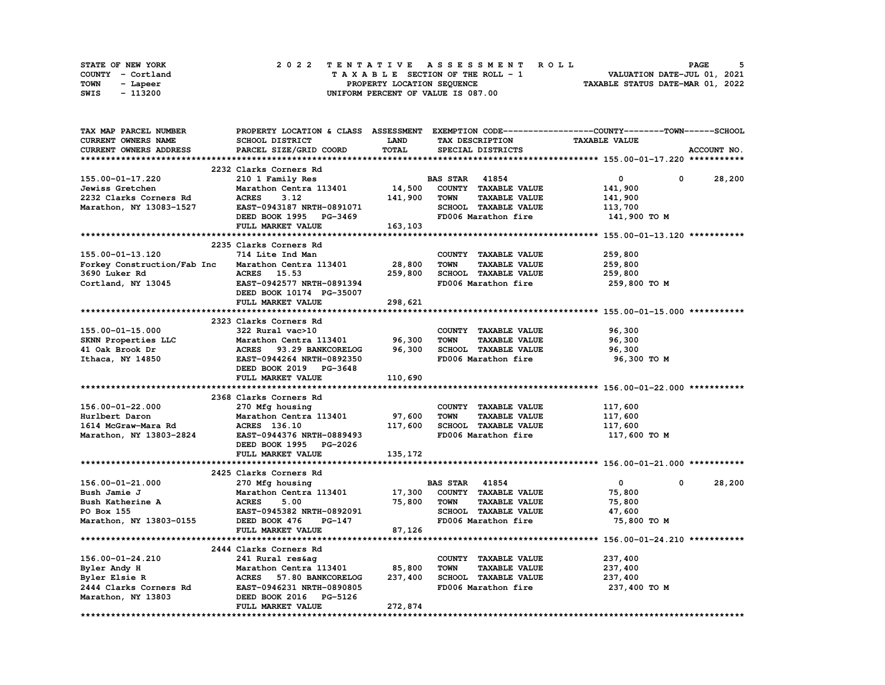| STATE OF NEW YORK | 2022 TENTATIVE ASSESSMENT ROLL     | <b>PAGE</b>                      |
|-------------------|------------------------------------|----------------------------------|
| COUNTY - Cortland | TAXABLE SECTION OF THE ROLL - 1    | VALUATION DATE-JUL 01, 2021      |
| TOWN<br>- Lapeer  | PROPERTY LOCATION SEQUENCE         | TAXABLE STATUS DATE-MAR 01, 2022 |
| - 113200<br>SWIS  | UNIFORM PERCENT OF VALUE IS 087.00 |                                  |

| TAX MAP PARCEL NUMBER       |                           |             |                                     | PROPERTY LOCATION & CLASS ASSESSMENT EXEMPTION CODE----------------COUNTY-------TOWN-----SCHOOL |             |
|-----------------------------|---------------------------|-------------|-------------------------------------|-------------------------------------------------------------------------------------------------|-------------|
| <b>CURRENT OWNERS NAME</b>  | SCHOOL DISTRICT           | <b>LAND</b> | TAX DESCRIPTION                     | <b>TAXABLE VALUE</b>                                                                            |             |
| CURRENT OWNERS ADDRESS      | PARCEL SIZE/GRID COORD    | TOTAL       | SPECIAL DISTRICTS                   |                                                                                                 | ACCOUNT NO. |
|                             |                           |             |                                     |                                                                                                 |             |
|                             | 2232 Clarks Corners Rd    |             |                                     |                                                                                                 |             |
| 155.00-01-17.220            | 210 1 Family Res          |             | <b>BAS STAR 41854</b>               | 0<br>0                                                                                          | 28,200      |
| Jewiss Gretchen             | Marathon Centra 113401    | 14,500      | COUNTY TAXABLE VALUE                | 141,900                                                                                         |             |
| 2232 Clarks Corners Rd      | <b>ACRES</b><br>3.12      | 141,900     | <b>TOWN</b><br><b>TAXABLE VALUE</b> | 141,900                                                                                         |             |
| Marathon, NY 13083-1527     | EAST-0943187 NRTH-0891071 |             | SCHOOL TAXABLE VALUE                | 113,700                                                                                         |             |
|                             |                           |             | FD006 Marathon fire                 |                                                                                                 |             |
|                             | DEED BOOK 1995 PG-3469    |             |                                     | 141,900 TO M                                                                                    |             |
|                             | FULL MARKET VALUE         | 163,103     |                                     |                                                                                                 |             |
|                             |                           |             |                                     |                                                                                                 |             |
|                             | 2235 Clarks Corners Rd    |             |                                     |                                                                                                 |             |
| 155.00-01-13.120            | 714 Lite Ind Man          |             | COUNTY TAXABLE VALUE                | 259,800                                                                                         |             |
| Forkey Construction/Fab Inc | Marathon Centra 113401    | 28,800      | <b>TOWN</b><br><b>TAXABLE VALUE</b> | 259,800                                                                                         |             |
| 3690 Luker Rd               | ACRES 15.53               | 259,800     | SCHOOL TAXABLE VALUE                | 259,800                                                                                         |             |
| Cortland, NY 13045          | EAST-0942577 NRTH-0891394 |             | FD006 Marathon fire                 | 259,800 то м                                                                                    |             |
|                             | DEED BOOK 10174 PG-35007  |             |                                     |                                                                                                 |             |
|                             | FULL MARKET VALUE         | 298,621     |                                     |                                                                                                 |             |
|                             |                           |             |                                     |                                                                                                 |             |
|                             | 2323 Clarks Corners Rd    |             |                                     |                                                                                                 |             |
| 155.00-01-15.000            | 322 Rural vac>10          |             | COUNTY TAXABLE VALUE                | 96,300                                                                                          |             |
| SKNN Properties LLC         | Marathon Centra 113401    | 96,300      | <b>TOWN</b><br><b>TAXABLE VALUE</b> | 96,300                                                                                          |             |
| 41 Oak Brook Dr             | ACRES 93.29 BANKCORELOG   | 96,300      | SCHOOL TAXABLE VALUE                | 96,300                                                                                          |             |
| Ithaca, NY 14850            | EAST-0944264 NRTH-0892350 |             | FD006 Marathon fire                 | 96,300 TO M                                                                                     |             |
|                             | DEED BOOK 2019 PG-3648    |             |                                     |                                                                                                 |             |
|                             | FULL MARKET VALUE         | 110,690     |                                     |                                                                                                 |             |
|                             |                           |             |                                     |                                                                                                 |             |
|                             | 2368 Clarks Corners Rd    |             |                                     |                                                                                                 |             |
| 156.00-01-22.000            | 270 Mfg housing           |             | COUNTY TAXABLE VALUE                | 117,600                                                                                         |             |
| Hurlbert Daron              | Marathon Centra 113401    | 97,600      | <b>TOWN</b><br><b>TAXABLE VALUE</b> | 117,600                                                                                         |             |
| 1614 McGraw-Mara Rd         | ACRES 136.10              | 117,600     | SCHOOL TAXABLE VALUE                | 117,600                                                                                         |             |
| Marathon, NY 13803-2824     | EAST-0944376 NRTH-0889493 |             | FD006 Marathon fire                 | 117,600 то м                                                                                    |             |
|                             | DEED BOOK 1995 PG-2026    |             |                                     |                                                                                                 |             |
|                             | FULL MARKET VALUE         | 135,172     |                                     |                                                                                                 |             |
|                             |                           |             |                                     |                                                                                                 |             |
|                             | 2425 Clarks Corners Rd    |             |                                     |                                                                                                 |             |
| 156.00-01-21.000            |                           |             | <b>BAS STAR</b><br>41854            | $\mathbf 0$<br>0                                                                                | 28,200      |
|                             | 270 Mfg housing           |             |                                     |                                                                                                 |             |
| Bush Jamie J                | Marathon Centra 113401    | 17,300      | COUNTY TAXABLE VALUE                | 75,800                                                                                          |             |
| Bush Katherine A            | <b>ACRES</b><br>5.00      | 75,800      | <b>TAXABLE VALUE</b><br><b>TOWN</b> | 75,800                                                                                          |             |
| PO Box 155                  | EAST-0945382 NRTH-0892091 |             | SCHOOL TAXABLE VALUE                | 47,600                                                                                          |             |
| Marathon, NY 13803-0155     | DEED BOOK 476<br>PG-147   |             | FD006 Marathon fire                 | 75,800 TO M                                                                                     |             |
|                             | FULL MARKET VALUE         | 87,126      |                                     |                                                                                                 |             |
|                             |                           |             |                                     |                                                                                                 |             |
|                             | 2444 Clarks Corners Rd    |             |                                     |                                                                                                 |             |
| 156.00-01-24.210            | 241 Rural res&ag          |             | COUNTY TAXABLE VALUE                | 237,400                                                                                         |             |
| Byler Andy H                | Marathon Centra 113401    | 85,800      | <b>TOWN</b><br><b>TAXABLE VALUE</b> | 237,400                                                                                         |             |
| Byler Elsie R               | ACRES 57.80 BANKCORELOG   | 237,400     | SCHOOL TAXABLE VALUE                | 237,400                                                                                         |             |
| 2444 Clarks Corners Rd      | EAST-0946231 NRTH-0890805 |             | FD006 Marathon fire                 | 237,400 TO M                                                                                    |             |
| Marathon, NY 13803          | DEED BOOK 2016 PG-5126    |             |                                     |                                                                                                 |             |
|                             | FULL MARKET VALUE         | 272,874     |                                     |                                                                                                 |             |
|                             |                           |             |                                     |                                                                                                 |             |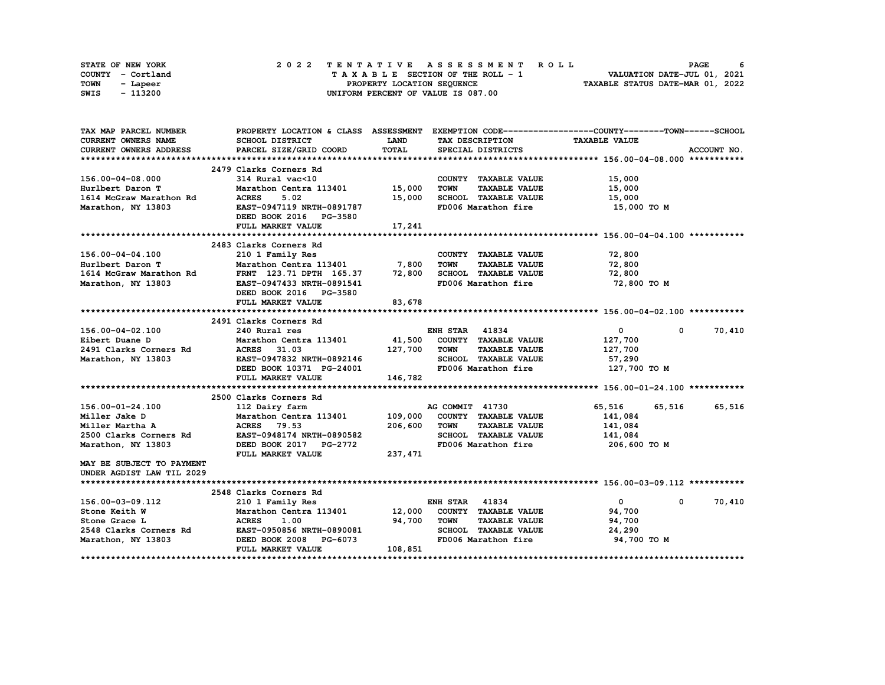|      | STATE OF NEW YORK |  | 2022 TENTATIVE ASSESSMENT ROLL                                         | PAGE |  |
|------|-------------------|--|------------------------------------------------------------------------|------|--|
|      | COUNTY - Cortland |  | VALUATION DATE-JUL 01, 2021<br>$T A X A B L E$ SECTION OF THE ROLL - 1 |      |  |
| TOWN | - Lapeer          |  | TAXABLE STATUS DATE-MAR 01, 2022<br>PROPERTY LOCATION SEQUENCE         |      |  |
| SWIS | - 113200          |  | UNIFORM PERCENT OF VALUE IS 087.00                                     |      |  |

| TAX MAP PARCEL NUMBER                                  | PROPERTY LOCATION & CLASS ASSESSMENT EXEMPTION CODE----------------COUNTY-------TOWN------SCHOOL |              |                       |                              |                      |            |             |
|--------------------------------------------------------|--------------------------------------------------------------------------------------------------|--------------|-----------------------|------------------------------|----------------------|------------|-------------|
| CURRENT OWNERS NAME                                    | <b>SCHOOL DISTRICT</b>                                                                           | <b>LAND</b>  |                       | TAX DESCRIPTION              | <b>TAXABLE VALUE</b> |            |             |
| <b>CURRENT OWNERS ADDRESS</b>                          | PARCEL SIZE/GRID COORD                                                                           | <b>TOTAL</b> |                       | SPECIAL DISTRICTS            |                      |            | ACCOUNT NO. |
|                                                        |                                                                                                  |              |                       |                              |                      |            |             |
|                                                        | 2479 Clarks Corners Rd                                                                           |              |                       |                              |                      |            |             |
| 156.00-04-08.000                                       | 314 Rural vac<10                                                                                 |              |                       | COUNTY TAXABLE VALUE         | 15,000               |            |             |
| Hurlbert Daron T                                       | Marathon Centra 113401 15,000                                                                    |              | <b>TOWN</b>           | <b>TAXABLE VALUE</b>         | 15,000               |            |             |
| 1614 McGraw Marathon Rd                                | <b>ACRES</b><br>5.02                                                                             | 15,000       |                       | SCHOOL TAXABLE VALUE         | 15,000               |            |             |
| Marathon, NY 13803                                     | EAST-0947119 NRTH-0891787                                                                        |              |                       | FD006 Marathon fire          | 15,000 TO M          |            |             |
|                                                        | DEED BOOK 2016 PG-3580                                                                           |              |                       |                              |                      |            |             |
|                                                        | FULL MARKET VALUE                                                                                | 17,241       |                       |                              |                      |            |             |
|                                                        |                                                                                                  |              |                       |                              |                      |            |             |
|                                                        | 2483 Clarks Corners Rd                                                                           |              |                       |                              |                      |            |             |
| 156.00-04-04.100                                       | 210 1 Family Res                                                                                 |              |                       | COUNTY TAXABLE VALUE         | 72,800               |            |             |
| Hurlbert Daron T                                       | 210 1 ramily Res<br>Marathon Centra 113401 7,800                                                 |              | TOWN                  | <b>TAXABLE VALUE</b>         | 72,800               |            |             |
| 1614 McGraw Marathon Rd FRNT 123.71 DPTH 165.37 72,800 |                                                                                                  |              |                       | SCHOOL TAXABLE VALUE         | 72,800               |            |             |
| Marathon, NY 13803                                     | EAST-0947433 NRTH-0891541                                                                        |              |                       | FD006 Marathon fire          | 72,800 TO M          |            |             |
|                                                        | DEED BOOK 2016 PG-3580                                                                           |              |                       |                              |                      |            |             |
|                                                        | FULL MARKET VALUE                                                                                | 83,678       |                       |                              |                      |            |             |
|                                                        |                                                                                                  |              |                       |                              |                      |            |             |
|                                                        | 2491 Clarks Corners Rd                                                                           |              |                       |                              |                      |            |             |
| 156.00-04-02.100                                       | 240 Rural res                                                                                    |              | <b>ENH STAR 41834</b> |                              | $\mathbf{0}$         | $^{\circ}$ | 70,410      |
| Eibert Duane D                                         |                                                                                                  |              |                       |                              | 127,700              |            |             |
| 2491 Clarks Corners Rd                                 |                                                                                                  | 127,700      |                       |                              |                      |            |             |
|                                                        |                                                                                                  |              |                       |                              | 127,700              |            |             |
| Marathon, NY 13803                                     | EAST-0947832 NRTH-0892146                                                                        |              |                       | SCHOOL TAXABLE VALUE         | 57,290               |            |             |
|                                                        | DEED BOOK 10371 PG-24001                                                                         |              |                       | FD006 Marathon fire          | 127,700 TO M         |            |             |
|                                                        | FULL MARKET VALUE                                                                                | 146,782      |                       |                              |                      |            |             |
|                                                        |                                                                                                  |              |                       |                              |                      |            |             |
|                                                        | 2500 Clarks Corners Rd                                                                           |              |                       |                              |                      |            |             |
| 156.00-01-24.100                                       | 112 Dairy farm                                                                                   |              | AG COMMIT 41730       |                              | 65,516               | 65,516     | 65,516      |
| Miller Jake D                                          | Marathon Centra 113401                                                                           |              |                       | 109,000 COUNTY TAXABLE VALUE | 141,084              |            |             |
| Miller Martha A                                        | <b>ACRES</b> 79.53                                                                               | 206,600      | TOWN                  | <b>TAXABLE VALUE</b>         | 141,084              |            |             |
| 2500 Clarks Corners Rd                                 | EAST-0948174 NRTH-0890582                                                                        |              |                       | SCHOOL TAXABLE VALUE         | 141,084              |            |             |
| Marathon, NY 13803                                     | DEED BOOK 2017 PG-2772                                                                           |              |                       | FD006 Marathon fire          | 206,600 то м         |            |             |
|                                                        | FULL MARKET VALUE                                                                                | 237, 471     |                       |                              |                      |            |             |
| MAY BE SUBJECT TO PAYMENT                              |                                                                                                  |              |                       |                              |                      |            |             |
| UNDER AGDIST LAW TIL 2029                              |                                                                                                  |              |                       |                              |                      |            |             |
|                                                        |                                                                                                  |              |                       |                              |                      |            |             |
|                                                        | 2548 Clarks Corners Rd                                                                           |              |                       |                              |                      |            |             |
| 156.00-03-09.112                                       | 210 1 Family Res                                                                                 |              | <b>ENH STAR 41834</b> |                              | $\overline{0}$       | $^{\circ}$ | 70,410      |
| Stone Keith W                                          | Marathon Centra 113401 12,000                                                                    |              |                       | COUNTY TAXABLE VALUE         | 94,700               |            |             |
| Stone Grace L                                          | <b>ACRES</b><br>1.00                                                                             | 94,700       | <b>TOWN</b>           | <b>TAXABLE VALUE</b>         | 94,700               |            |             |
| 2548 Clarks Corners Rd                                 | EAST-0950856 NRTH-0890081                                                                        |              |                       | SCHOOL TAXABLE VALUE         | 24,290               |            |             |
| Marathon, NY 13803                                     | DEED BOOK 2008 PG-6073                                                                           |              |                       | FD006 Marathon fire          | 94,700 TO M          |            |             |
|                                                        | FULL MARKET VALUE                                                                                | 108,851      |                       |                              |                      |            |             |
|                                                        |                                                                                                  |              |                       |                              |                      |            |             |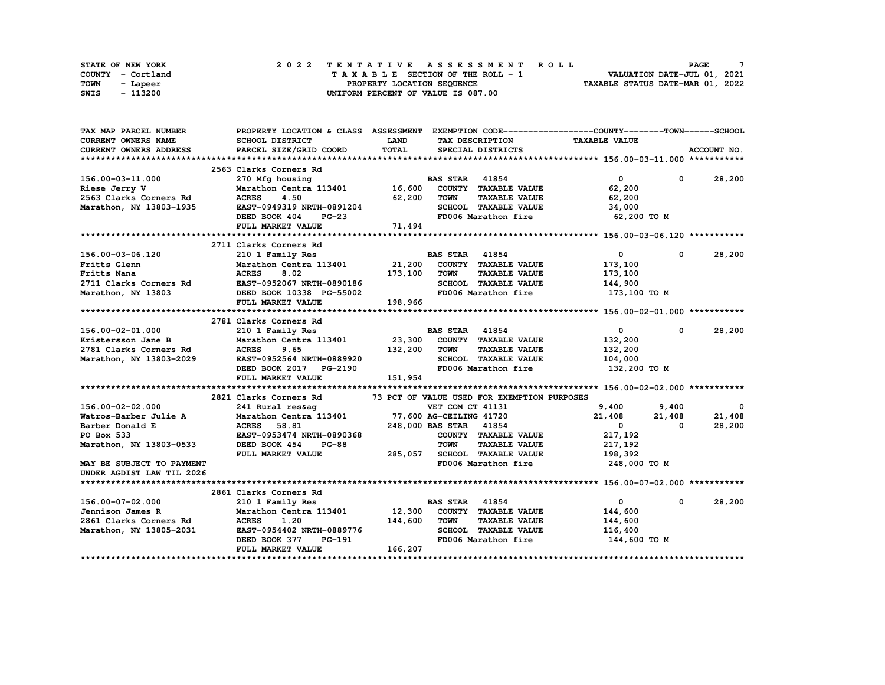|      | STATE OF NEW YORK |  |  |  |  | 2022 TENTATIVE ASSESSMENT ROLL     |  |  |  |  |  |  |                                  | <b>PAGE</b>                 |  |
|------|-------------------|--|--|--|--|------------------------------------|--|--|--|--|--|--|----------------------------------|-----------------------------|--|
|      | COUNTY - Cortland |  |  |  |  | TAXABLE SECTION OF THE ROLL - 1    |  |  |  |  |  |  |                                  | VALUATION DATE-JUL 01, 2021 |  |
| TOWN | - Lapeer          |  |  |  |  | PROPERTY LOCATION SEQUENCE         |  |  |  |  |  |  | TAXABLE STATUS DATE-MAR 01, 2022 |                             |  |
| SWIS | - 113200          |  |  |  |  | UNIFORM PERCENT OF VALUE IS 087.00 |  |  |  |  |  |  |                                  |                             |  |

| TAX MAP PARCEL NUMBER         |                                                    |             |                                             | PROPERTY LOCATION & CLASS ASSESSMENT EXEMPTION CODE----------------COUNTY-------TOWN------SCHOOL |               |
|-------------------------------|----------------------------------------------------|-------------|---------------------------------------------|--------------------------------------------------------------------------------------------------|---------------|
| <b>CURRENT OWNERS NAME</b>    | SCHOOL DISTRICT                                    | <b>LAND</b> | TAX DESCRIPTION                             | <b>TAXABLE VALUE</b>                                                                             |               |
| <b>CURRENT OWNERS ADDRESS</b> | PARCEL SIZE/GRID COORD                             | TOTAL       | SPECIAL DISTRICTS                           |                                                                                                  | ACCOUNT NO.   |
|                               |                                                    |             |                                             |                                                                                                  |               |
|                               | 2563 Clarks Corners Rd                             |             |                                             |                                                                                                  |               |
| 156.00-03-11.000              | 270 Mfg housing                                    |             | <b>BAS STAR 41854</b>                       | $\overline{0}$                                                                                   | $0 \t 28,200$ |
| Riese Jerry V                 | Marathon Centra 113401 16,600                      |             | COUNTY TAXABLE VALUE                        | 62,200                                                                                           |               |
| 2563 Clarks Corners Rd        | 4.50<br><b>ACRES</b>                               | 62,200      | <b>TOWN</b><br><b>TAXABLE VALUE</b>         | 62,200                                                                                           |               |
| Marathon, NY 13803-1935       | EAST-0949319 NRTH-0891204                          |             | SCHOOL TAXABLE VALUE                        | 34,000                                                                                           |               |
|                               | DEED BOOK 404<br>$PG-23$                           |             |                                             | FD006 Marathon fire 62,200 TO M                                                                  |               |
|                               | FULL MARKET VALUE                                  | 71,494      |                                             |                                                                                                  |               |
|                               |                                                    |             |                                             |                                                                                                  |               |
|                               | 2711 Clarks Corners Rd                             |             |                                             |                                                                                                  |               |
| 156.00-03-06.120              | 210 1 Family Res                                   |             | <b>BAS STAR</b> 41854                       | $\mathbf{0}$<br>$\mathbf{0}$                                                                     | 28,200        |
| Fritts Glenn                  | Marathon Centra 113401 21,200 COUNTY TAXABLE VALUE |             |                                             | 173,100                                                                                          |               |
| Fritts Nana                   | 8.02<br><b>ACRES</b>                               | 173,100     | <b>TOWN</b><br><b>TAXABLE VALUE</b>         | 173,100                                                                                          |               |
| 2711 Clarks Corners Rd        | EAST-0952067 NRTH-0890186                          |             | SCHOOL TAXABLE VALUE                        | 144,900                                                                                          |               |
| Marathon, NY 13803            | DEED BOOK 10338 PG-55002                           |             | FD006 Marathon fire                         | 173,100 то м                                                                                     |               |
|                               | FULL MARKET VALUE                                  | 198,966     |                                             |                                                                                                  |               |
|                               |                                                    |             |                                             |                                                                                                  |               |
|                               | 2781 Clarks Corners Rd                             |             |                                             |                                                                                                  |               |
| 156.00-02-01.000              | 210 1 Family Res                                   |             | <b>BAS STAR 41854</b>                       | $\mathbf{0}$<br>$\mathbf{0}$                                                                     | 28,200        |
| Kristersson Jane B            | Marathon Centra 113401 23,300 COUNTY TAXABLE VALUE |             |                                             | 132,200                                                                                          |               |
| 2781 Clarks Corners Rd        | <b>ACRES</b><br>9.65                               | 132,200     | <b>TAXABLE VALUE</b><br><b>TOWN</b>         | 132,200                                                                                          |               |
|                               | EAST-0952564 NRTH-0889920                          |             | <b>SCHOOL TAXABLE VALUE</b>                 |                                                                                                  |               |
| Marathon, NY 13803-2029       |                                                    |             | FD006 Marathon fire                         | 104,000<br>132,200 TO M                                                                          |               |
|                               | DEED BOOK 2017 PG-2190<br>FULL MARKET VALUE        | 151,954     |                                             |                                                                                                  |               |
|                               |                                                    |             |                                             |                                                                                                  |               |
|                               | 2821 Clarks Corners Rd                             |             |                                             |                                                                                                  |               |
| 156.00-02-02.000              |                                                    |             | 73 PCT OF VALUE USED FOR EXEMPTION PURPOSES | 9,400<br>9,400                                                                                   | $\mathbf{o}$  |
| Watros-Barber Julie A         |                                                    |             |                                             |                                                                                                  | 21,408        |
|                               |                                                    |             | 248,000 BAS STAR 41854                      | 21,408<br>21,408                                                                                 |               |
| Barber Donald E               | <b>ACRES</b><br>58.81                              |             |                                             | $\mathbf{0}$<br>0                                                                                | 28,200        |
| PO Box 533                    | EAST-0953474 NRTH-0890368                          |             | COUNTY TAXABLE VALUE                        | 217,192                                                                                          |               |
| Marathon, NY 13803-0533       | DEED BOOK 454<br>$PG-88$                           |             | <b>TAXABLE VALUE</b><br><b>TOWN</b>         | 217,192                                                                                          |               |
|                               | FULL MARKET VALUE                                  | 285,057     | SCHOOL TAXABLE VALUE                        | 198,392                                                                                          |               |
| MAY BE SUBJECT TO PAYMENT     |                                                    |             | FD006 Marathon fire                         | 248,000 TO M                                                                                     |               |
| UNDER AGDIST LAW TIL 2026     |                                                    |             |                                             |                                                                                                  |               |
|                               |                                                    |             |                                             |                                                                                                  |               |
|                               | 2861 Clarks Corners Rd                             |             |                                             |                                                                                                  |               |
| 156.00-07-02.000              | 210 1 Family Res                                   |             | <b>BAS STAR</b> 41854                       | $\mathbf{0}$<br>$^{\circ}$                                                                       | 28,200        |
| Jennison James R              | Marathon Centra 113401 12,300                      |             | COUNTY TAXABLE VALUE                        | 144,600                                                                                          |               |
| 2861 Clarks Corners Rd        | <b>ACRES</b><br>1.20                               | 144,600     | TOWN<br><b>TAXABLE VALUE</b>                | 144,600                                                                                          |               |
| Marathon, NY 13805-2031       | EAST-0954402 NRTH-0889776                          |             | SCHOOL TAXABLE VALUE                        | 116,400                                                                                          |               |
|                               | DEED BOOK 377<br>PG-191                            |             | FD006 Marathon fire                         | 144,600 TO M                                                                                     |               |
|                               | FULL MARKET VALUE                                  | 166,207     |                                             |                                                                                                  |               |
|                               |                                                    |             |                                             |                                                                                                  |               |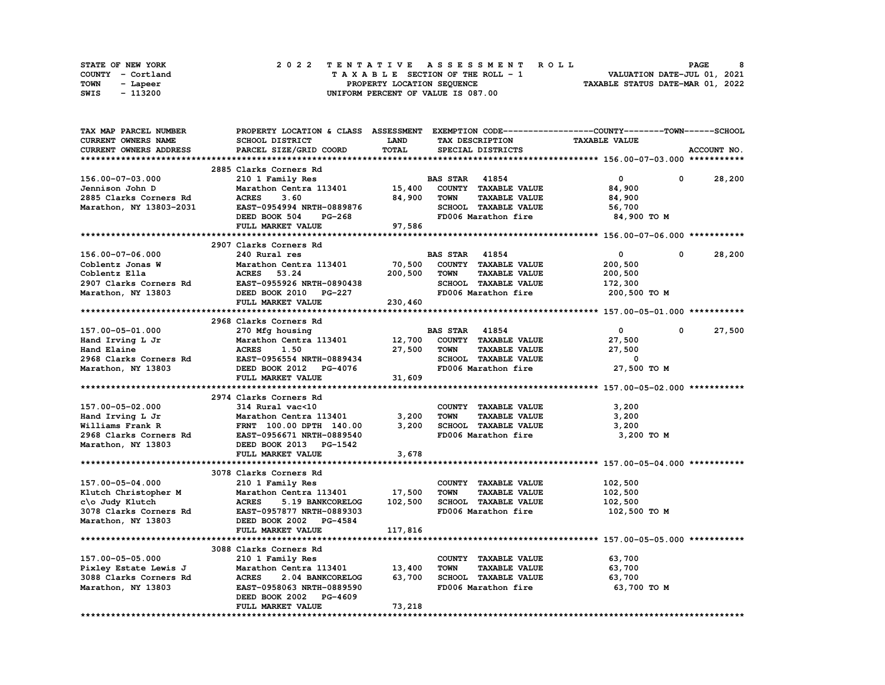|      | STATE OF NEW YORK |  | 2022 TENTATIVE ASSESSMENT ROLL |                                    |  |  |  |                                 |  |  |  |  |  |  |                                  | <b>PAGE</b>                 | 8 |
|------|-------------------|--|--------------------------------|------------------------------------|--|--|--|---------------------------------|--|--|--|--|--|--|----------------------------------|-----------------------------|---|
|      | COUNTY - Cortland |  |                                |                                    |  |  |  | TAXABLE SECTION OF THE ROLL - 1 |  |  |  |  |  |  |                                  | VALUATION DATE-JUL 01, 2021 |   |
| TOWN | - Lapeer          |  |                                |                                    |  |  |  | PROPERTY LOCATION SEQUENCE      |  |  |  |  |  |  | TAXABLE STATUS DATE-MAR 01, 2022 |                             |   |
| SWIS | - 113200          |  |                                | UNIFORM PERCENT OF VALUE IS 087.00 |  |  |  |                                 |  |  |  |  |  |  |                                  |                             |   |

| TAX MAP PARCEL NUMBER      |                                                  |             |                                     | PROPERTY LOCATION & CLASS ASSESSMENT EXEMPTION CODE-----------------COUNTY-------TOWN------SCHOOL |                      |
|----------------------------|--------------------------------------------------|-------------|-------------------------------------|---------------------------------------------------------------------------------------------------|----------------------|
| <b>CURRENT OWNERS NAME</b> | SCHOOL DISTRICT                                  | <b>LAND</b> | TAX DESCRIPTION                     | <b>TAXABLE VALUE</b>                                                                              |                      |
| CURRENT OWNERS ADDRESS     | PARCEL SIZE/GRID COORD                           | TOTAL       | SPECIAL DISTRICTS                   |                                                                                                   | ACCOUNT NO.          |
|                            |                                                  |             |                                     |                                                                                                   |                      |
|                            | 2885 Clarks Corners Rd                           |             |                                     |                                                                                                   |                      |
| 156.00-07-03.000           | 210 1 Family Res                                 |             | <b>BAS STAR</b> 41854               | $\mathbf{0}$                                                                                      | 0<br>28,200          |
| Jennison John D            | Marathon Centra 113401                           | 15,400      | COUNTY TAXABLE VALUE                | 84,900                                                                                            |                      |
| 2885 Clarks Corners Rd     | <b>ACRES</b><br>3.60                             | 84,900      | <b>TOWN</b><br><b>TAXABLE VALUE</b> | 84,900                                                                                            |                      |
| Marathon, NY 13803-2031    | EAST-0954994 NRTH-0889876                        |             | SCHOOL TAXABLE VALUE                |                                                                                                   |                      |
|                            |                                                  |             |                                     | 56,700                                                                                            |                      |
|                            | DEED BOOK 504<br>PG-268                          |             | FD006 Marathon fire                 | 84,900 TO M                                                                                       |                      |
|                            | FULL MARKET VALUE                                | 97,586      |                                     |                                                                                                   |                      |
|                            |                                                  |             |                                     |                                                                                                   |                      |
|                            | 2907 Clarks Corners Rd                           |             |                                     |                                                                                                   |                      |
| 156.00-07-06.000           | 240 Rural res                                    |             | <b>BAS STAR</b> 41854               | $^{\circ}$                                                                                        | 28,200<br>0          |
| Coblentz Jonas W           | Marathon Centra 113401                           | 70,500      | COUNTY TAXABLE VALUE                | 200,500                                                                                           |                      |
| Coblentz Ella              | ACRES 53.24                                      | 200,500     | <b>TOWN</b><br><b>TAXABLE VALUE</b> | 200,500                                                                                           |                      |
| 2907 Clarks Corners Rd     | EAST-0955926 NRTH-0890438                        |             | SCHOOL TAXABLE VALUE                | 172,300                                                                                           |                      |
| Marathon, NY 13803         | DEED BOOK 2010 PG-227                            |             | FD006 Marathon fire                 | 200,500 TO M                                                                                      |                      |
|                            | FULL MARKET VALUE                                | 230,460     |                                     |                                                                                                   |                      |
|                            |                                                  |             |                                     |                                                                                                   |                      |
|                            | 2968 Clarks Corners Rd                           |             |                                     |                                                                                                   |                      |
| 157.00-05-01.000           | 270 Mfg housing                                  |             | <b>BAS STAR 41854</b>               | $\mathbf{0}$                                                                                      | $^{\circ}$<br>27,500 |
| Hand Irving L Jr           | Marathon Centra 113401                           | 12,700      | COUNTY TAXABLE VALUE                | 27,500                                                                                            |                      |
| Hand Elaine                | <b>ACRES</b><br>1.50                             | 27,500      | TOWN<br><b>TAXABLE VALUE</b>        | 27,500                                                                                            |                      |
|                            | 2968 Clarks Corners Rd EAST-0956554 NRTH-0889434 |             | SCHOOL TAXABLE VALUE                | 0                                                                                                 |                      |
| Marathon, NY 13803         | DEED BOOK 2012 PG-4076                           |             | FD006 Marathon fire                 | 27,500 TO M                                                                                       |                      |
|                            | FULL MARKET VALUE                                | 31,609      |                                     |                                                                                                   |                      |
|                            |                                                  |             |                                     |                                                                                                   |                      |
|                            | 2974 Clarks Corners Rd                           |             |                                     |                                                                                                   |                      |
| 157.00-05-02.000           | 314 Rural vac<10                                 |             | COUNTY TAXABLE VALUE                | 3,200                                                                                             |                      |
| Hand Irving L Jr           | Marathon Centra 113401                           | 3,200       | <b>TAXABLE VALUE</b><br><b>TOWN</b> | 3,200                                                                                             |                      |
| Williams Frank R           |                                                  | 3,200       | SCHOOL TAXABLE VALUE                |                                                                                                   |                      |
|                            | FRNT 100.00 DPTH 140.00                          |             |                                     | 3,200                                                                                             |                      |
| 2968 Clarks Corners Rd     | EAST-0956671 NRTH-0889540                        |             | FD006 Marathon fire                 | 3,200 TO M                                                                                        |                      |
| Marathon, NY 13803         | DEED BOOK 2013 PG-1542                           |             |                                     |                                                                                                   |                      |
|                            | FULL MARKET VALUE                                | 3,678       |                                     |                                                                                                   |                      |
|                            |                                                  |             |                                     |                                                                                                   |                      |
|                            | 3078 Clarks Corners Rd                           |             |                                     |                                                                                                   |                      |
| 157.00-05-04.000           | 210 1 Family Res                                 |             | COUNTY TAXABLE VALUE                | 102,500                                                                                           |                      |
| Klutch Christopher M       | Marathon Centra 113401                           | 17,500      | <b>TOWN</b><br><b>TAXABLE VALUE</b> | 102,500                                                                                           |                      |
| c\o Judy Klutch            | <b>ACRES</b><br>5.19 BANKCORELOG                 | 102,500     | SCHOOL TAXABLE VALUE                | 102,500                                                                                           |                      |
| 3078 Clarks Corners Rd     | EAST-0957877 NRTH-0889303                        |             | FD006 Marathon fire                 | 102,500 TO M                                                                                      |                      |
| Marathon, NY 13803         | DEED BOOK 2002 PG-4584                           |             |                                     |                                                                                                   |                      |
|                            | FULL MARKET VALUE                                | 117,816     |                                     |                                                                                                   |                      |
|                            |                                                  |             |                                     |                                                                                                   |                      |
|                            | 3088 Clarks Corners Rd                           |             |                                     |                                                                                                   |                      |
| 157.00-05-05.000           | 210 1 Family Res                                 |             | COUNTY TAXABLE VALUE                | 63,700                                                                                            |                      |
| Pixley Estate Lewis J      | Marathon Centra 113401                           | 13,400      | <b>TOWN</b><br><b>TAXABLE VALUE</b> | 63,700                                                                                            |                      |
| 3088 Clarks Corners Rd     | <b>ACRES</b><br>2.04 BANKCORELOG                 | 63,700      | SCHOOL TAXABLE VALUE                | 63,700                                                                                            |                      |
| Marathon, NY 13803         | EAST-0958063 NRTH-0889590                        |             | FD006 Marathon fire                 | 63,700 TO M                                                                                       |                      |
|                            | DEED BOOK 2002 PG-4609                           |             |                                     |                                                                                                   |                      |
|                            | FULL MARKET VALUE                                | 73,218      |                                     |                                                                                                   |                      |
|                            |                                                  |             |                                     |                                                                                                   |                      |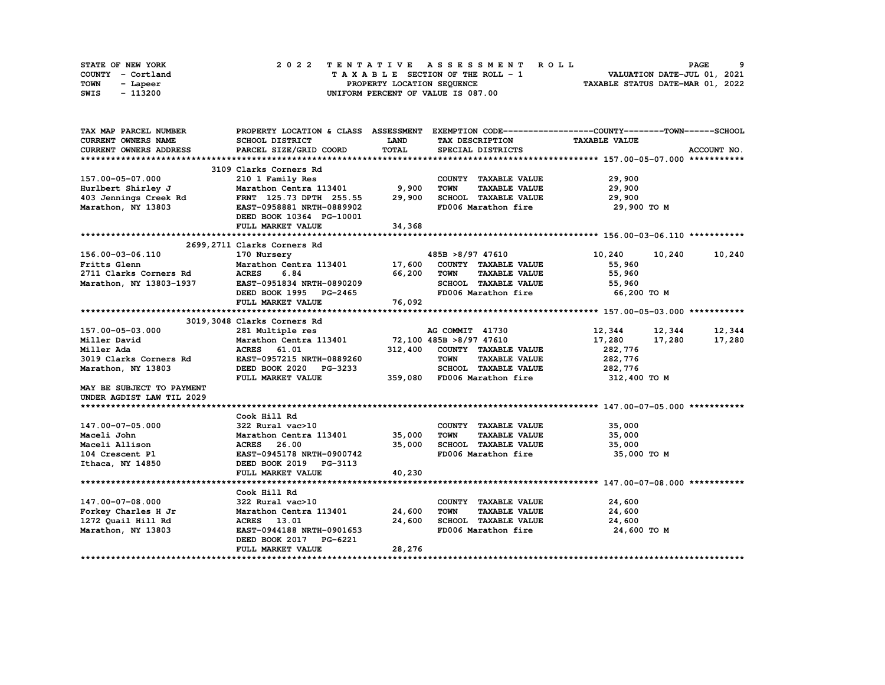| STATE OF NEW YORK | 2022 TENTATIVE ASSESSMENT ROLL     | -9<br><b>PAGE</b>                |
|-------------------|------------------------------------|----------------------------------|
| COUNTY - Cortland | TAXABLE SECTION OF THE ROLL - 1    | VALUATION DATE-JUL 01, 2021      |
| TOWN<br>- Lapeer  | PROPERTY LOCATION SEQUENCE         | TAXABLE STATUS DATE-MAR 01, 2022 |
| - 113200<br>SWIS  | UNIFORM PERCENT OF VALUE IS 087.00 |                                  |

| TAX MAP PARCEL NUMBER                             |                                                                    |             |                                          | PROPERTY LOCATION & CLASS ASSESSMENT EXEMPTION CODE----------------COUNTY-------TOWN------SCHOOL |             |
|---------------------------------------------------|--------------------------------------------------------------------|-------------|------------------------------------------|--------------------------------------------------------------------------------------------------|-------------|
| <b>CURRENT OWNERS NAME</b>                        | SCHOOL DISTRICT                                                    | <b>LAND</b> | TAX DESCRIPTION                          | <b>TAXABLE VALUE</b>                                                                             |             |
| CURRENT OWNERS ADDRESS                            | PARCEL SIZE/GRID COORD                                             | TOTAL       | SPECIAL DISTRICTS                        |                                                                                                  | ACCOUNT NO. |
|                                                   |                                                                    |             |                                          |                                                                                                  |             |
|                                                   | 3109 Clarks Corners Rd                                             |             |                                          |                                                                                                  |             |
| 157.00-05-07.000                                  | 210 1 Family Res                                                   |             | COUNTY TAXABLE VALUE                     | 29,900                                                                                           |             |
| Hurlbert Shirley J                                | Marathon Centra 113401 9,900                                       |             | <b>TOWN</b><br><b>TAXABLE VALUE</b>      | 29,900                                                                                           |             |
| 403 Jennings Creek Rd                             | FRNT 125.73 DPTH 255.55 29,900 SCHOOL TAXABLE VALUE                |             |                                          | 29,900                                                                                           |             |
| Marathon, NY 13803                                | EAST-0958881 NRTH-0889902                                          |             | FD006 Marathon fire                      | 29,900 TO M                                                                                      |             |
|                                                   | DEED BOOK 10364 PG-10001                                           |             |                                          |                                                                                                  |             |
|                                                   | FULL MARKET VALUE                                                  | 34,368      |                                          |                                                                                                  |             |
|                                                   |                                                                    |             |                                          |                                                                                                  |             |
|                                                   | 2699,2711 Clarks Corners Rd                                        |             |                                          |                                                                                                  |             |
| 156.00-03-06.110                                  | 170 Nursery                                                        |             | 485B >8/97 47610                         | 10,240<br>10,240                                                                                 | 10,240      |
| Fritts Glenn                                      | Marathon Centra 113401 17,600 COUNTY TAXABLE VALUE                 |             |                                          | 55,960                                                                                           |             |
|                                                   | 6.84<br><b>ACRES</b>                                               | 66,200      | <b>TAXABLE VALUE</b><br><b>TOWN</b>      | 55,960                                                                                           |             |
| 2711 Clarks Corners Rd<br>Marathon. NY 13803-1937 | EAST-0951834 NRTH-0890209                                          |             | SCHOOL TAXABLE VALUE                     | 55,960                                                                                           |             |
|                                                   | DEED BOOK 1995 PG-2465                                             |             | FD006 Marathon fire                      | 66,200 то м                                                                                      |             |
|                                                   | FULL MARKET VALUE                                                  | 76,092      |                                          |                                                                                                  |             |
|                                                   |                                                                    |             |                                          |                                                                                                  |             |
|                                                   | 3019,3048 Clarks Corners Rd                                        |             |                                          |                                                                                                  |             |
| 157.00-05-03.000                                  |                                                                    |             |                                          | 12,344 12,344 12,344                                                                             |             |
| Miller David                                      | 281 Multiple res<br>Marathon Centra 113401 72,100 485B >8/97 47610 |             |                                          | 17,280<br>17,280                                                                                 | 17,280      |
| Miller Ada                                        | <b>ACRES</b><br>61.01                                              |             | 312,400 COUNTY TAXABLE VALUE             | 282,776                                                                                          |             |
| 3019 Clarks Corners Rd                            | EAST-0957215 NRTH-0889260                                          |             | <b>TOWN</b><br><b>TAXABLE VALUE</b>      |                                                                                                  |             |
| Marathon, NY 13803                                | DEED BOOK 2020 PG-3233                                             |             | SCHOOL TAXABLE VALUE                     | 282,776<br>282,776                                                                               |             |
|                                                   | FULL MARKET VALUE                                                  |             | 359,080 FD006 Marathon fire 312,400 TO M |                                                                                                  |             |
| MAY BE SUBJECT TO PAYMENT                         |                                                                    |             |                                          |                                                                                                  |             |
| UNDER AGDIST LAW TIL 2029                         |                                                                    |             |                                          |                                                                                                  |             |
|                                                   |                                                                    |             |                                          |                                                                                                  |             |
|                                                   | Cook Hill Rd                                                       |             |                                          |                                                                                                  |             |
| 147.00-07-05.000                                  | 322 Rural vac>10                                                   |             | COUNTY TAXABLE VALUE                     | 35,000                                                                                           |             |
| Maceli John                                       | Marathon Centra 113401 35,000                                      |             | <b>TOWN</b><br><b>TAXABLE VALUE</b>      | 35,000                                                                                           |             |
| Maceli Allison                                    | <b>ACRES</b> 26.00                                                 | 35,000      | SCHOOL TAXABLE VALUE                     | 35,000                                                                                           |             |
| 104 Crescent Pl                                   | EAST-0945178 NRTH-0900742                                          |             | FD006 Marathon fire                      | 35,000 TO M                                                                                      |             |
| Ithaca, NY 14850                                  | DEED BOOK 2019 PG-3113                                             |             |                                          |                                                                                                  |             |
|                                                   | FULL MARKET VALUE                                                  | 40,230      |                                          |                                                                                                  |             |
|                                                   |                                                                    |             |                                          |                                                                                                  |             |
|                                                   | Cook Hill Rd                                                       |             |                                          |                                                                                                  |             |
| 147.00-07-08.000                                  | 322 Rural vac>10                                                   |             | COUNTY TAXABLE VALUE                     | 24,600                                                                                           |             |
| Forkey Charles H Jr                               | Marathon Centra 113401 24,600                                      |             | <b>TAXABLE VALUE</b><br><b>TOWN</b>      | 24,600                                                                                           |             |
| 1272 Quail Hill Rd                                | ACRES 13.01                                                        | 24,600      | <b>SCHOOL TAXABLE VALUE</b>              | 24,600                                                                                           |             |
| Marathon, NY 13803                                | EAST-0944188 NRTH-0901653                                          |             | FD006 Marathon fire                      | 24,600 TO M                                                                                      |             |
|                                                   | DEED BOOK 2017 PG-6221                                             |             |                                          |                                                                                                  |             |
|                                                   | FULL MARKET VALUE                                                  | 28,276      |                                          |                                                                                                  |             |
|                                                   |                                                                    |             |                                          |                                                                                                  |             |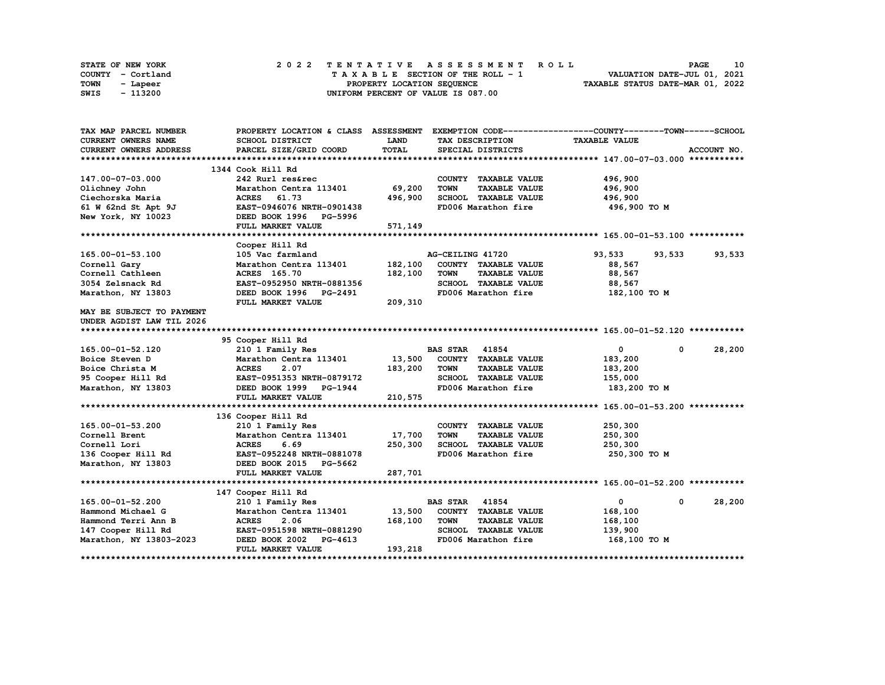|      | STATE OF NEW YORK |  |  |  |  |  | 2022 TENTATIVE ASSESSMENT ROLL     |  |  |  |  |  |  |                                  |                             |  | <b>PAGE</b> |  | 10 |
|------|-------------------|--|--|--|--|--|------------------------------------|--|--|--|--|--|--|----------------------------------|-----------------------------|--|-------------|--|----|
|      | COUNTY - Cortland |  |  |  |  |  | TAXABLE SECTION OF THE ROLL - 1    |  |  |  |  |  |  |                                  | VALUATION DATE-JUL 01, 2021 |  |             |  |    |
| TOWN | - Lapeer          |  |  |  |  |  | PROPERTY LOCATION SEQUENCE         |  |  |  |  |  |  | TAXABLE STATUS DATE-MAR 01, 2022 |                             |  |             |  |    |
| SWIS | - 113200          |  |  |  |  |  | UNIFORM PERCENT OF VALUE IS 087.00 |  |  |  |  |  |  |                                  |                             |  |             |  |    |

| TAX MAP PARCEL NUMBER         |                               |             |                                     | PROPERTY LOCATION & CLASS ASSESSMENT EXEMPTION CODE----------------COUNTY-------TOWN-----SCHOOL |             |
|-------------------------------|-------------------------------|-------------|-------------------------------------|-------------------------------------------------------------------------------------------------|-------------|
| <b>CURRENT OWNERS NAME</b>    | SCHOOL DISTRICT               | <b>LAND</b> | TAX DESCRIPTION                     | <b>TAXABLE VALUE</b>                                                                            |             |
| <b>CURRENT OWNERS ADDRESS</b> | PARCEL SIZE/GRID COORD        | TOTAL       | SPECIAL DISTRICTS                   |                                                                                                 | ACCOUNT NO. |
|                               |                               |             |                                     |                                                                                                 |             |
|                               | 1344 Cook Hill Rd             |             |                                     |                                                                                                 |             |
| 147.00-07-03.000              | 242 Rurl res&rec              |             | COUNTY TAXABLE VALUE                | 496,900                                                                                         |             |
| Olichney John                 | Marathon Centra 113401        | 69,200      | <b>TOWN</b><br><b>TAXABLE VALUE</b> | 496,900                                                                                         |             |
| Ciechorska Maria              | ACRES 61.73                   | 496,900     | SCHOOL TAXABLE VALUE                | 496,900                                                                                         |             |
| 61 W 62nd St Apt 9J           | EAST-0946076 NRTH-0901438     |             | FD006 Marathon fire                 | 496,900 то м                                                                                    |             |
| New York, NY 10023            | DEED BOOK 1996 PG-5996        |             |                                     |                                                                                                 |             |
|                               | FULL MARKET VALUE             | 571,149     |                                     |                                                                                                 |             |
|                               |                               |             |                                     |                                                                                                 |             |
|                               | Cooper Hill Rd                |             |                                     |                                                                                                 |             |
| 165.00-01-53.100              | 105 Vac farmland              |             | AG-CEILING 41720                    | 93,533<br>93,533                                                                                | 93,533      |
| Cornell Gary                  | Marathon Centra 113401        | 182,100     | COUNTY TAXABLE VALUE                | 88,567                                                                                          |             |
| Cornell Cathleen              | ACRES 165.70                  | 182,100     | <b>TOWN</b><br><b>TAXABLE VALUE</b> | 88,567                                                                                          |             |
| 3054 Zelsnack Rd              | EAST-0952950 NRTH-0881356     |             | SCHOOL TAXABLE VALUE                | 88,567                                                                                          |             |
| Marathon, NY 13803            | DEED BOOK 1996 PG-2491        |             | FD006 Marathon fire                 | 182,100 TO M                                                                                    |             |
|                               | FULL MARKET VALUE             | 209,310     |                                     |                                                                                                 |             |
| MAY BE SUBJECT TO PAYMENT     |                               |             |                                     |                                                                                                 |             |
| UNDER AGDIST LAW TIL 2026     |                               |             |                                     |                                                                                                 |             |
|                               |                               |             |                                     |                                                                                                 |             |
|                               | 95 Cooper Hill Rd             |             |                                     |                                                                                                 |             |
| 165.00-01-52.120              | 210 1 Family Res              |             | <b>BAS STAR 41854</b>               | $\mathbf{0}$<br>$\mathbf{0}$                                                                    | 28,200      |
| Boice Steven D                | Marathon Centra 113401        | 13,500      | COUNTY TAXABLE VALUE                | 183,200                                                                                         |             |
| Boice Christa M               | <b>ACRES</b><br>2.07          | 183,200     | TOWN<br><b>TAXABLE VALUE</b>        | 183,200                                                                                         |             |
| 95 Cooper Hill Rd             | EAST-0951353 NRTH-0879172     |             | SCHOOL TAXABLE VALUE                | 155,000                                                                                         |             |
| Marathon, NY 13803            | DEED BOOK 1999 PG-1944        |             | FD006 Marathon fire                 | 183,200 то м                                                                                    |             |
|                               | FULL MARKET VALUE             | 210,575     |                                     |                                                                                                 |             |
|                               |                               |             |                                     |                                                                                                 |             |
|                               | 136 Cooper Hill Rd            |             |                                     |                                                                                                 |             |
| 165.00-01-53.200              | 210 1 Family Res              |             | COUNTY TAXABLE VALUE                | 250,300                                                                                         |             |
| Cornell Brent                 | Marathon Centra 113401 17,700 |             | <b>TOWN</b><br><b>TAXABLE VALUE</b> | 250,300                                                                                         |             |
| Cornell Lori                  | <b>ACRES</b><br>6.69          | 250,300     | SCHOOL TAXABLE VALUE                | 250,300                                                                                         |             |
| 136 Cooper Hill Rd            | EAST-0952248 NRTH-0881078     |             | FD006 Marathon fire                 | 250,300 то м                                                                                    |             |
| Marathon, NY 13803            | DEED BOOK 2015 PG-5662        |             |                                     |                                                                                                 |             |
|                               | FULL MARKET VALUE             | 287,701     |                                     |                                                                                                 |             |
|                               |                               |             |                                     |                                                                                                 |             |
|                               | 147 Cooper Hill Rd            |             |                                     |                                                                                                 |             |
| 165.00-01-52.200              | 210 1 Family Res              |             | <b>BAS STAR 41854</b>               | $\mathbf{O}$<br>$\mathbf{0}$                                                                    | 28,200      |
| Hammond Michael G             | Marathon Centra 113401        | 13,500      | COUNTY TAXABLE VALUE                | 168,100                                                                                         |             |
| Hammond Terri Ann B           | <b>ACRES</b><br>2.06          | 168,100     | <b>TOWN</b><br><b>TAXABLE VALUE</b> | 168,100                                                                                         |             |
| 147 Cooper Hill Rd            | EAST-0951598 NRTH-0881290     |             | SCHOOL TAXABLE VALUE                | 139,900                                                                                         |             |
| Marathon, NY 13803-2023       | DEED BOOK 2002 PG-4613        |             | FD006 Marathon fire                 | 168,100 то м                                                                                    |             |
|                               | FULL MARKET VALUE             | 193,218     |                                     |                                                                                                 |             |
|                               |                               |             |                                     |                                                                                                 |             |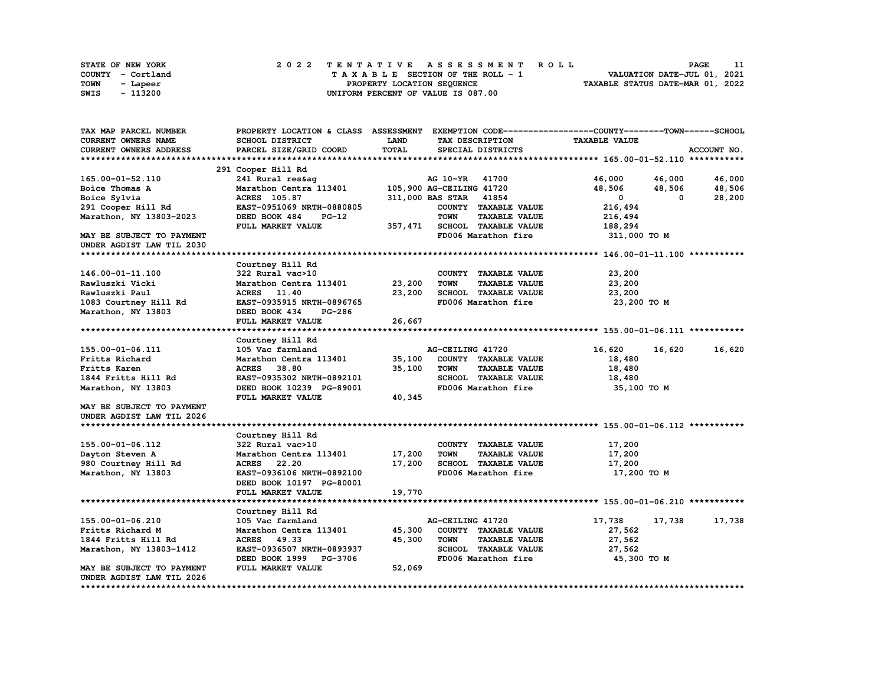| STATE OF NEW YORK | 2022 TENTATIVE ASSESSMENT ROLL     | <b>PAGE</b>                      |
|-------------------|------------------------------------|----------------------------------|
| COUNTY - Cortland | TAXABLE SECTION OF THE ROLL - 1    | VALUATION DATE-JUL 01, 2021      |
| TOWN<br>- Lapeer  | PROPERTY LOCATION SEOUENCE         | TAXABLE STATUS DATE-MAR 01, 2022 |
| - 113200<br>SWIS  | UNIFORM PERCENT OF VALUE IS 087.00 |                                  |

| TAX MAP PARCEL NUMBER      | PROPERTY LOCATION & CLASS ASSESSMENT EXEMPTION CODE-----------------COUNTY-------TOWN------SCHOOL |              |                                     |                      |             |
|----------------------------|---------------------------------------------------------------------------------------------------|--------------|-------------------------------------|----------------------|-------------|
| <b>CURRENT OWNERS NAME</b> | SCHOOL DISTRICT                                                                                   | <b>LAND</b>  | TAX DESCRIPTION                     | <b>TAXABLE VALUE</b> |             |
| CURRENT OWNERS ADDRESS     | PARCEL SIZE/GRID COORD                                                                            | <b>TOTAL</b> | SPECIAL DISTRICTS                   |                      | ACCOUNT NO. |
|                            |                                                                                                   |              |                                     |                      |             |
|                            | 291 Cooper Hill Rd                                                                                |              |                                     |                      |             |
| 165.00-01-52.110           | 241 Rural res&aq                                                                                  |              | AG 10-YR 41700                      | 46,000<br>46,000     | 46,000      |
| Boice Thomas A             | Marathon Centra 113401                                                                            |              | 105,900 AG-CEILING 41720            | 48,506<br>48,506     | 48,506      |
| Boice Sylvia               | <b>ACRES</b> 105.87                                                                               |              | 311,000 BAS STAR<br>41854           | $\Omega$<br>$\Omega$ | 28,200      |
| 291 Cooper Hill Rd         | EAST-0951069 NRTH-0880805                                                                         |              | COUNTY TAXABLE VALUE                | 216,494              |             |
| Marathon, NY 13803-2023    | DEED BOOK 484<br>$PG-12$                                                                          |              | <b>TOWN</b><br><b>TAXABLE VALUE</b> | 216,494              |             |
|                            | FULL MARKET VALUE                                                                                 | 357,471      | SCHOOL TAXABLE VALUE                | 188,294              |             |
| MAY BE SUBJECT TO PAYMENT  |                                                                                                   |              | FD006 Marathon fire                 | 311,000 TO M         |             |
| UNDER AGDIST LAW TIL 2030  |                                                                                                   |              |                                     |                      |             |
|                            |                                                                                                   |              |                                     |                      |             |
|                            | Courtney Hill Rd                                                                                  |              |                                     |                      |             |
| 146.00-01-11.100           | 322 Rural vac>10                                                                                  |              | COUNTY TAXABLE VALUE                | 23,200               |             |
| Rawluszki Vicki            | Marathon Centra 113401                                                                            | 23,200       | <b>TOWN</b><br><b>TAXABLE VALUE</b> | 23,200               |             |
| Rawluszki Paul             | ACRES 11.40                                                                                       | 23,200       | SCHOOL TAXABLE VALUE                | 23,200               |             |
| 1083 Courtney Hill Rd      | EAST-0935915 NRTH-0896765                                                                         |              | FD006 Marathon fire                 | 23,200 TO M          |             |
| Marathon, NY 13803         | DEED BOOK 434<br><b>PG-286</b>                                                                    |              |                                     |                      |             |
|                            | FULL MARKET VALUE                                                                                 | 26,667       |                                     |                      |             |
|                            |                                                                                                   |              |                                     |                      |             |
|                            | Courtney Hill Rd                                                                                  |              |                                     |                      |             |
| 155.00-01-06.111           | 105 Vac farmland                                                                                  |              | AG-CEILING 41720                    | 16,620<br>16,620     | 16,620      |
| Fritts Richard             | Marathon Centra 113401                                                                            | 35,100       | COUNTY TAXABLE VALUE                | 18,480               |             |
| Fritts Karen               | ACRES 38.80                                                                                       | 35,100       | <b>TOWN</b><br><b>TAXABLE VALUE</b> | 18,480               |             |
| 1844 Fritts Hill Rd        | EAST-0935302 NRTH-0892101                                                                         |              | SCHOOL TAXABLE VALUE                |                      |             |
|                            |                                                                                                   |              |                                     | 18,480               |             |
| Marathon, NY 13803         | DEED BOOK 10239 PG-89001                                                                          |              | FD006 Marathon fire                 | 35,100 TO M          |             |
|                            | FULL MARKET VALUE                                                                                 | 40,345       |                                     |                      |             |
| MAY BE SUBJECT TO PAYMENT  |                                                                                                   |              |                                     |                      |             |
| UNDER AGDIST LAW TIL 2026  |                                                                                                   |              |                                     |                      |             |
|                            |                                                                                                   |              |                                     |                      |             |
|                            | Courtney Hill Rd                                                                                  |              |                                     |                      |             |
| 155.00-01-06.112           | 322 Rural vac>10                                                                                  |              | COUNTY TAXABLE VALUE                | 17,200               |             |
| Dayton Steven A            | Marathon Centra 113401                                                                            | 17,200       | <b>TOWN</b><br><b>TAXABLE VALUE</b> | 17,200               |             |
| 980 Courtney Hill Rd       | <b>ACRES</b><br>22.20                                                                             | 17,200       | SCHOOL TAXABLE VALUE                | 17,200               |             |
| Marathon, NY 13803         | EAST-0936106 NRTH-0892100                                                                         |              | FD006 Marathon fire                 | 17,200 TO M          |             |
|                            | DEED BOOK 10197 PG-80001                                                                          |              |                                     |                      |             |
|                            | FULL MARKET VALUE                                                                                 | 19,770       |                                     |                      |             |
|                            |                                                                                                   |              |                                     |                      |             |
|                            | Courtney Hill Rd                                                                                  |              |                                     |                      |             |
| 155.00-01-06.210           | 105 Vac farmland                                                                                  |              | AG-CEILING 41720                    | 17,738<br>17,738     | 17,738      |
| Fritts Richard M           | Marathon Centra 113401                                                                            | 45,300       | COUNTY TAXABLE VALUE                | 27,562               |             |
| 1844 Fritts Hill Rd        | ACRES 49.33                                                                                       | 45,300       | <b>TOWN</b><br><b>TAXABLE VALUE</b> | 27,562               |             |
| Marathon, NY 13803-1412    | EAST-0936507 NRTH-0893937                                                                         |              | SCHOOL TAXABLE VALUE                | 27,562               |             |
|                            | DEED BOOK 1999 PG-3706                                                                            |              | FD006 Marathon fire                 | 45,300 TO M          |             |
| MAY BE SUBJECT TO PAYMENT  | FULL MARKET VALUE                                                                                 | 52,069       |                                     |                      |             |
| UNDER AGDIST LAW TIL 2026  |                                                                                                   |              |                                     |                      |             |
|                            |                                                                                                   |              |                                     |                      |             |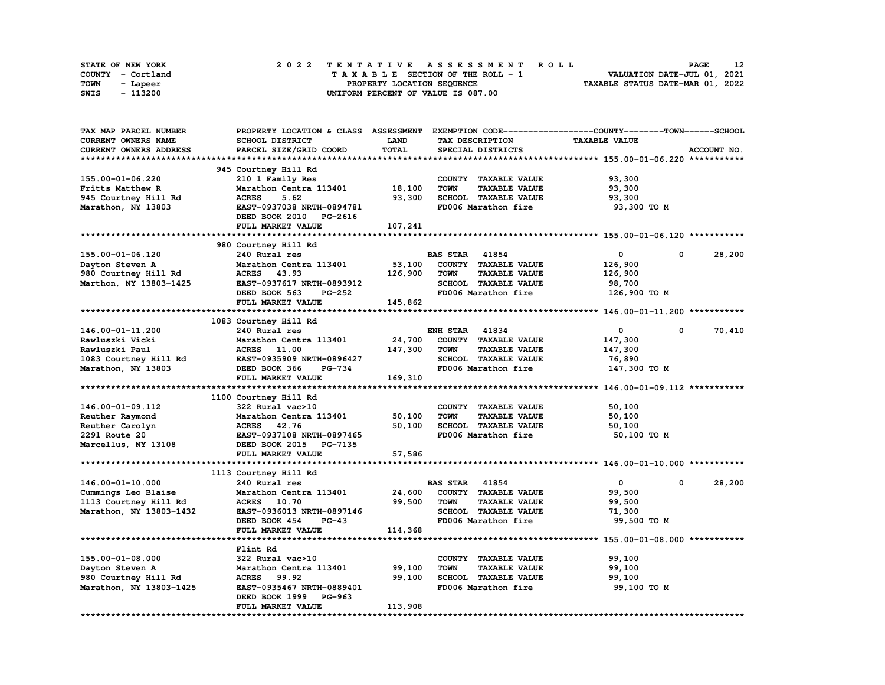|      | STATE OF NEW YORK |  |  |  |  | 2022 TENTATIVE ASSESSMENT ROLL     |  |  |  |  |  |  |                                  | <b>PAGE</b> | 12 |
|------|-------------------|--|--|--|--|------------------------------------|--|--|--|--|--|--|----------------------------------|-------------|----|
|      | COUNTY - Cortland |  |  |  |  | TAXABLE SECTION OF THE ROLL - 1    |  |  |  |  |  |  | VALUATION DATE-JUL 01, 2021      |             |    |
| TOWN | - Lapeer          |  |  |  |  | PROPERTY LOCATION SEQUENCE         |  |  |  |  |  |  | TAXABLE STATUS DATE-MAR 01, 2022 |             |    |
| SWIS | - 113200          |  |  |  |  | UNIFORM PERCENT OF VALUE IS 087.00 |  |  |  |  |  |  |                                  |             |    |

| TAX MAP PARCEL NUMBER   | PROPERTY LOCATION & CLASS ASSESSMENT |              |                                     | EXEMPTION CODE-----------------COUNTY-------TOWN-----SCHOOL |             |
|-------------------------|--------------------------------------|--------------|-------------------------------------|-------------------------------------------------------------|-------------|
| CURRENT OWNERS NAME     | <b>SCHOOL DISTRICT</b>               | <b>LAND</b>  | TAX DESCRIPTION                     | <b>TAXABLE VALUE</b>                                        |             |
| CURRENT OWNERS ADDRESS  | PARCEL SIZE/GRID COORD               | <b>TOTAL</b> | SPECIAL DISTRICTS                   |                                                             | ACCOUNT NO. |
|                         |                                      |              |                                     |                                                             |             |
|                         | 945 Courtney Hill Rd                 |              |                                     |                                                             |             |
| 155.00-01-06.220        | 210 1 Family Res                     |              | COUNTY TAXABLE VALUE                | 93,300                                                      |             |
| Fritts Matthew R        | Marathon Centra 113401               | 18,100       | <b>TOWN</b><br><b>TAXABLE VALUE</b> | 93,300                                                      |             |
| 945 Courtney Hill Rd    | <b>ACRES</b><br>5.62                 | 93,300       | SCHOOL TAXABLE VALUE                | 93,300                                                      |             |
|                         |                                      |              |                                     |                                                             |             |
| Marathon, NY 13803      | EAST-0937038 NRTH-0894781            |              | FD006 Marathon fire                 | 93,300 TO M                                                 |             |
|                         | DEED BOOK 2010 PG-2616               |              |                                     |                                                             |             |
|                         | FULL MARKET VALUE                    | 107,241      |                                     |                                                             |             |
|                         |                                      |              |                                     |                                                             |             |
|                         | 980 Courtney Hill Rd                 |              |                                     |                                                             |             |
| 155.00-01-06.120        | 240 Rural res                        |              | <b>BAS STAR 41854</b>               | 0<br>0                                                      | 28,200      |
| Dayton Steven A         | Marathon Centra 113401               | 53,100       | COUNTY TAXABLE VALUE                | 126,900                                                     |             |
| 980 Courtney Hill Rd    | 43.93<br><b>ACRES</b>                | 126,900      | <b>TAXABLE VALUE</b><br><b>TOWN</b> | 126,900                                                     |             |
| Marthon, NY 13803-1425  | EAST-0937617 NRTH-0893912            |              | SCHOOL TAXABLE VALUE                | 98,700                                                      |             |
|                         | DEED BOOK 563<br><b>PG-252</b>       |              | FD006 Marathon fire                 | 126,900 ТО М                                                |             |
|                         | FULL MARKET VALUE                    | 145,862      |                                     |                                                             |             |
|                         |                                      |              |                                     |                                                             |             |
|                         | 1083 Courtney Hill Rd                |              |                                     |                                                             |             |
|                         |                                      |              |                                     | $\mathbf{0}$<br>$^{\circ}$                                  |             |
| 146.00-01-11.200        | 240 Rural res                        |              | <b>ENH STAR 41834</b>               |                                                             | 70,410      |
| Rawluszki Vicki         | Marathon Centra 113401               | 24,700       | COUNTY TAXABLE VALUE                | 147,300                                                     |             |
| Rawluszki Paul          | ACRES 11.00                          | 147,300      | <b>TOWN</b><br><b>TAXABLE VALUE</b> | 147,300                                                     |             |
| 1083 Courtney Hill Rd   | EAST-0935909 NRTH-0896427            |              | SCHOOL TAXABLE VALUE                | 76,890                                                      |             |
| Marathon, NY 13803      | DEED BOOK 366<br><b>PG-734</b>       |              | FD006 Marathon fire                 | 147,300 TO M                                                |             |
|                         | FULL MARKET VALUE                    | 169,310      |                                     |                                                             |             |
|                         |                                      |              |                                     |                                                             |             |
|                         | 1100 Courtney Hill Rd                |              |                                     |                                                             |             |
| 146.00-01-09.112        | 322 Rural vac>10                     |              | COUNTY TAXABLE VALUE                | 50,100                                                      |             |
| Reuther Raymond         | Marathon Centra 113401               | 50,100       | <b>TOWN</b><br><b>TAXABLE VALUE</b> | 50,100                                                      |             |
| Reuther Carolyn         | ACRES 42.76                          | 50,100       | SCHOOL TAXABLE VALUE                | 50,100                                                      |             |
| 2291 Route 20           | EAST-0937108 NRTH-0897465            |              | FD006 Marathon fire                 | 50,100 TO M                                                 |             |
| Marcellus, NY 13108     | DEED BOOK 2015 PG-7135               |              |                                     |                                                             |             |
|                         | FULL MARKET VALUE                    | 57,586       |                                     |                                                             |             |
|                         |                                      |              |                                     |                                                             |             |
|                         |                                      |              |                                     |                                                             |             |
|                         | 1113 Courtney Hill Rd                |              |                                     | $\mathbf{0}$<br>$\mathbf 0$                                 |             |
| 146.00-01-10.000        | 240 Rural res                        |              | <b>BAS STAR</b><br>41854            |                                                             | 28,200      |
| Cummings Leo Blaise     | Marathon Centra 113401               | 24,600       | COUNTY TAXABLE VALUE                | 99,500                                                      |             |
| 1113 Courtney Hill Rd   | <b>ACRES</b> 10.70                   | 99,500       | <b>TOWN</b><br><b>TAXABLE VALUE</b> | 99,500                                                      |             |
| Marathon, NY 13803-1432 | EAST-0936013 NRTH-0897146            |              | SCHOOL TAXABLE VALUE                | 71,300                                                      |             |
|                         | DEED BOOK 454<br>$PG-43$             |              | FD006 Marathon fire                 | 99,500 TO M                                                 |             |
|                         | FULL MARKET VALUE                    | 114,368      |                                     |                                                             |             |
|                         |                                      |              |                                     |                                                             |             |
|                         | Flint Rd                             |              |                                     |                                                             |             |
| 155.00-01-08.000        | 322 Rural vac>10                     |              | COUNTY TAXABLE VALUE                | 99,100                                                      |             |
| Dayton Steven A         | Marathon Centra 113401               | 99,100       | <b>TOWN</b><br><b>TAXABLE VALUE</b> | 99,100                                                      |             |
| 980 Courtney Hill Rd    | <b>ACRES</b> 99.92                   | 99,100       | SCHOOL TAXABLE VALUE                | 99,100                                                      |             |
| Marathon, NY 13803-1425 | EAST-0935467 NRTH-0889401            |              | FD006 Marathon fire                 | 99,100 TO M                                                 |             |
|                         | DEED BOOK 1999 PG-963                |              |                                     |                                                             |             |
|                         | FULL MARKET VALUE                    | 113,908      |                                     |                                                             |             |
|                         |                                      |              |                                     |                                                             |             |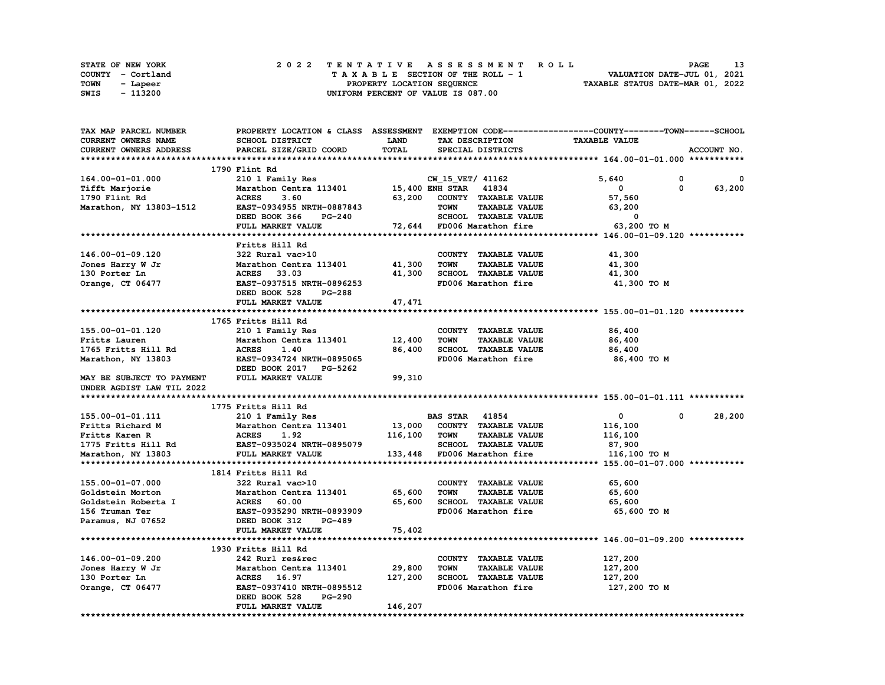| STATE OF NEW YORK | 2022 TENTATIVE ASSESSMENT ROLL     | 13<br><b>PAGE</b>                |
|-------------------|------------------------------------|----------------------------------|
| COUNTY - Cortland | TAXABLE SECTION OF THE ROLL - 1    | VALUATION DATE-JUL 01, 2021      |
| TOWN<br>- Lapeer  | PROPERTY LOCATION SEQUENCE         | TAXABLE STATUS DATE-MAR 01, 2022 |
| - 113200<br>SWIS  | UNIFORM PERCENT OF VALUE IS 087.00 |                                  |

| TAX MAP PARCEL NUMBER     | PROPERTY LOCATION & CLASS ASSESSMENT EXEMPTION CODE-----------------COUNTY-------TOWN-----SCHOOL |             |                       |                             |                      |          |             |
|---------------------------|--------------------------------------------------------------------------------------------------|-------------|-----------------------|-----------------------------|----------------------|----------|-------------|
| CURRENT OWNERS NAME       | SCHOOL DISTRICT                                                                                  | <b>LAND</b> |                       | TAX DESCRIPTION             | <b>TAXABLE VALUE</b> |          |             |
| CURRENT OWNERS ADDRESS    | PARCEL SIZE/GRID COORD                                                                           | TOTAL       |                       | SPECIAL DISTRICTS           |                      |          | ACCOUNT NO. |
|                           |                                                                                                  |             |                       |                             |                      |          |             |
|                           | 1790 Flint Rd                                                                                    |             |                       |                             |                      |          |             |
| 164.00-01-01.000          | 210 1 Family Res                                                                                 |             | CW_15_VET/ 41162      |                             | 5,640                | 0        | 0           |
| Tifft Marjorie            | Marathon Centra 113401                                                                           |             | 15,400 ENH STAR 41834 |                             | 0                    | $\Omega$ | 63,200      |
| 1790 Flint Rd             | <b>ACRES</b><br>3.60                                                                             | 63,200      |                       | COUNTY TAXABLE VALUE        | 57,560               |          |             |
| Marathon, NY 13803-1512   | EAST-0934955 NRTH-0887843                                                                        |             | <b>TOWN</b>           | <b>TAXABLE VALUE</b>        | 63,200               |          |             |
|                           |                                                                                                  |             |                       | SCHOOL TAXABLE VALUE        | $\mathbf 0$          |          |             |
|                           | DEED BOOK 366<br>PG-240                                                                          |             |                       |                             |                      |          |             |
|                           | FULL MARKET VALUE                                                                                |             |                       | 72,644 FD006 Marathon fire  | 63,200 TO M          |          |             |
|                           |                                                                                                  |             |                       |                             |                      |          |             |
|                           | Fritts Hill Rd                                                                                   |             |                       |                             |                      |          |             |
| 146.00-01-09.120          | 322 Rural vac>10                                                                                 |             |                       | COUNTY TAXABLE VALUE        | 41,300               |          |             |
| Jones Harry W Jr          | Marathon Centra 113401                                                                           | 41,300      | <b>TOWN</b>           | <b>TAXABLE VALUE</b>        | 41,300               |          |             |
| 130 Porter Ln             | ACRES 33.03                                                                                      | 41,300      |                       | SCHOOL TAXABLE VALUE        | 41,300               |          |             |
| Orange, CT 06477          | EAST-0937515 NRTH-0896253                                                                        |             |                       | FD006 Marathon fire         | 41,300 TO M          |          |             |
|                           | DEED BOOK 528<br><b>PG-288</b>                                                                   |             |                       |                             |                      |          |             |
|                           | FULL MARKET VALUE                                                                                | 47,471      |                       |                             |                      |          |             |
|                           |                                                                                                  |             |                       |                             |                      |          |             |
|                           | 1765 Fritts Hill Rd                                                                              |             |                       |                             |                      |          |             |
| 155.00-01-01.120          | 210 1 Family Res                                                                                 |             |                       | COUNTY TAXABLE VALUE        | 86,400               |          |             |
| Fritts Lauren             | Marathon Centra 113401                                                                           | 12,400      | <b>TOWN</b>           | <b>TAXABLE VALUE</b>        | 86,400               |          |             |
| 1765 Fritts Hill Rd       | <b>ACRES</b><br>1.40                                                                             | 86,400      |                       | SCHOOL TAXABLE VALUE        | 86,400               |          |             |
| Marathon, NY 13803        | EAST-0934724 NRTH-0895065                                                                        |             |                       | FD006 Marathon fire         | 86,400 то м          |          |             |
|                           | DEED BOOK 2017 PG-5262                                                                           |             |                       |                             |                      |          |             |
| MAY BE SUBJECT TO PAYMENT | FULL MARKET VALUE                                                                                | 99,310      |                       |                             |                      |          |             |
| UNDER AGDIST LAW TIL 2022 |                                                                                                  |             |                       |                             |                      |          |             |
|                           |                                                                                                  |             |                       |                             |                      |          |             |
|                           | 1775 Fritts Hill Rd                                                                              |             |                       |                             |                      |          |             |
| 155.00-01-01.111          | 210 1 Family Res                                                                                 |             | <b>BAS STAR 41854</b> |                             | $\mathbf 0$          | 0        | 28,200      |
|                           | Marathon Centra 113401                                                                           | 13,000      |                       | COUNTY TAXABLE VALUE        | 116,100              |          |             |
| Fritts Richard M          | <b>ACRES</b>                                                                                     |             |                       |                             |                      |          |             |
| Fritts Karen R            | 1.92                                                                                             | 116,100     | <b>TOWN</b>           | <b>TAXABLE VALUE</b>        | 116,100              |          |             |
| 1775 Fritts Hill Rd       | EAST-0935024 NRTH-0895079                                                                        |             |                       | SCHOOL TAXABLE VALUE        | 87,900               |          |             |
| Marathon, NY 13803        | FULL MARKET VALUE                                                                                |             |                       | 133,448 FD006 Marathon fire | 116,100 TO M         |          |             |
|                           |                                                                                                  |             |                       |                             |                      |          |             |
|                           | 1814 Fritts Hill Rd                                                                              |             |                       |                             |                      |          |             |
| 155.00-01-07.000          | 322 Rural vac>10                                                                                 |             |                       | COUNTY TAXABLE VALUE        | 65,600               |          |             |
| Goldstein Morton          | Marathon Centra 113401                                                                           | 65,600      | <b>TOWN</b>           | <b>TAXABLE VALUE</b>        | 65,600               |          |             |
| Goldstein Roberta I       | <b>ACRES</b><br>60.00                                                                            | 65,600      |                       | SCHOOL TAXABLE VALUE        | 65,600               |          |             |
| 156 Truman Ter            | EAST-0935290 NRTH-0893909                                                                        |             |                       | FD006 Marathon fire         | 65,600 TO M          |          |             |
| Paramus, NJ 07652         | DEED BOOK 312<br>PG-489                                                                          |             |                       |                             |                      |          |             |
|                           | FULL MARKET VALUE                                                                                | 75,402      |                       |                             |                      |          |             |
|                           |                                                                                                  |             |                       |                             |                      |          |             |
|                           | 1930 Fritts Hill Rd                                                                              |             |                       |                             |                      |          |             |
| 146.00-01-09.200          | 242 Rurl res&rec                                                                                 |             |                       | COUNTY TAXABLE VALUE        | 127,200              |          |             |
| Jones Harry W Jr          | Marathon Centra 113401                                                                           | 29,800      | <b>TOWN</b>           | <b>TAXABLE VALUE</b>        | 127,200              |          |             |
| 130 Porter Ln             | <b>ACRES</b> 16.97                                                                               | 127,200     |                       | SCHOOL TAXABLE VALUE        | 127,200              |          |             |
| Orange, CT 06477          |                                                                                                  |             |                       |                             | 127,200 то м         |          |             |
|                           |                                                                                                  |             |                       |                             |                      |          |             |
|                           | EAST-0937410 NRTH-0895512                                                                        |             |                       | FD006 Marathon fire         |                      |          |             |
|                           | DEED BOOK 528<br><b>PG-290</b><br>FULL MARKET VALUE                                              | 146,207     |                       |                             |                      |          |             |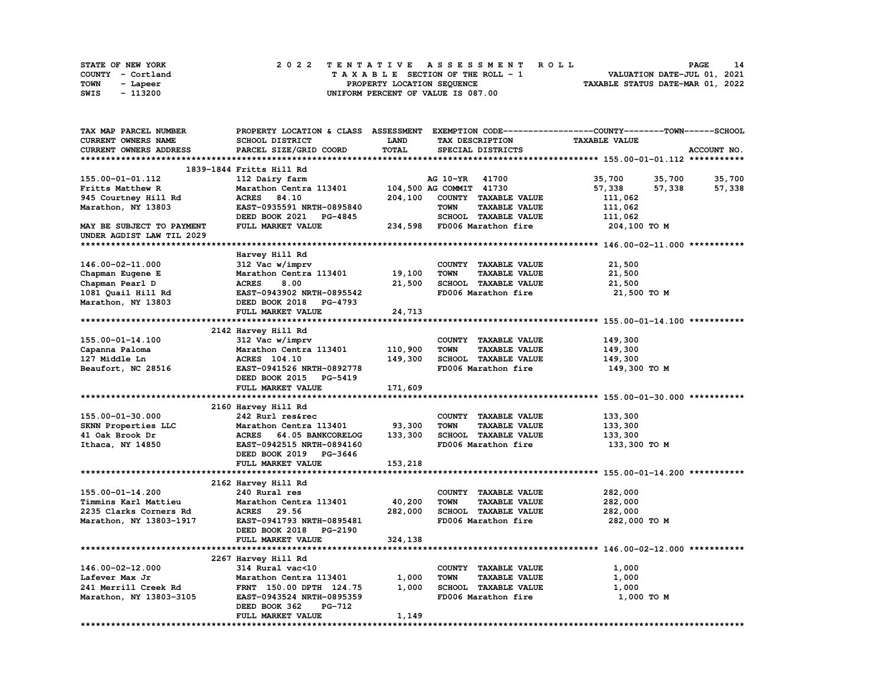| <b>STATE OF NEW YORK</b> |                   | 2022 TENTATIVE ASSESSMENT ROLL          | 14<br>PAGE                       |
|--------------------------|-------------------|-----------------------------------------|----------------------------------|
|                          | COUNTY - Cortland | $T A X A B L E$ SECTION OF THE ROLL - 1 | VALUATION DATE-JUL 01, 2021      |
| TOWN                     | - Lapeer          | PROPERTY LOCATION SEQUENCE              | TAXABLE STATUS DATE-MAR 01, 2022 |
| SWIS                     | - 113200          | UNIFORM PERCENT OF VALUE IS 087.00      |                                  |

| TAX MAP PARCEL NUMBER     |                           |             |                                     | PROPERTY LOCATION & CLASS ASSESSMENT EXEMPTION CODE-----------------COUNTY-------TOWN------SCHOOL |             |
|---------------------------|---------------------------|-------------|-------------------------------------|---------------------------------------------------------------------------------------------------|-------------|
| CURRENT OWNERS NAME       | SCHOOL DISTRICT           | <b>LAND</b> | TAX DESCRIPTION                     | <b>TAXABLE VALUE</b>                                                                              |             |
| CURRENT OWNERS ADDRESS    | PARCEL SIZE/GRID COORD    | TOTAL       | SPECIAL DISTRICTS                   |                                                                                                   | ACCOUNT NO. |
|                           |                           |             |                                     |                                                                                                   |             |
|                           | 1839-1844 Fritts Hill Rd  |             |                                     |                                                                                                   |             |
| 155.00-01-01.112          | 112 Dairy farm            |             | AG 10-YR 41700                      | 35,700<br>35,700                                                                                  | 35,700      |
| Fritts Matthew R          | Marathon Centra 113401    |             | 104,500 AG COMMIT 41730             | 57,338<br>57,338                                                                                  | 57,338      |
| 945 Courtney Hill Rd      | 84.10<br><b>ACRES</b>     | 204,100     | COUNTY TAXABLE VALUE                | 111,062                                                                                           |             |
| Marathon, NY 13803        | EAST-0935591 NRTH-0895840 |             | <b>TOWN</b><br><b>TAXABLE VALUE</b> | 111,062                                                                                           |             |
|                           | DEED BOOK 2021 PG-4845    |             | SCHOOL TAXABLE VALUE                | 111,062                                                                                           |             |
| MAY BE SUBJECT TO PAYMENT | FULL MARKET VALUE         |             | 234,598 FD006 Marathon fire         | 204,100 TO M                                                                                      |             |
| UNDER AGDIST LAW TIL 2029 |                           |             |                                     |                                                                                                   |             |
|                           |                           |             |                                     |                                                                                                   |             |
|                           | Harvey Hill Rd            |             |                                     |                                                                                                   |             |
| 146.00-02-11.000          | 312 Vac w/imprv           |             | COUNTY TAXABLE VALUE                | 21,500                                                                                            |             |
|                           | Marathon Centra 113401    | 19,100      | <b>TOWN</b><br><b>TAXABLE VALUE</b> | 21,500                                                                                            |             |
| Chapman Eugene E          |                           |             |                                     |                                                                                                   |             |
| Chapman Pearl D           | <b>ACRES</b><br>8.00      | 21,500      | SCHOOL TAXABLE VALUE                | 21,500                                                                                            |             |
| 1081 Quail Hill Rd        | EAST-0943902 NRTH-0895542 |             | FD006 Marathon fire                 | 21,500 TO M                                                                                       |             |
| Marathon, NY 13803        | DEED BOOK 2018 PG-4793    |             |                                     |                                                                                                   |             |
|                           | FULL MARKET VALUE         | 24,713      |                                     |                                                                                                   |             |
|                           |                           |             |                                     |                                                                                                   |             |
|                           | 2142 Harvey Hill Rd       |             |                                     |                                                                                                   |             |
| 155.00-01-14.100          | 312 Vac w/imprv           |             | COUNTY TAXABLE VALUE                | 149,300                                                                                           |             |
| Capanna Paloma            | Marathon Centra 113401    | 110,900     | <b>TOWN</b><br><b>TAXABLE VALUE</b> | 149,300                                                                                           |             |
| 127 Middle Ln             | <b>ACRES</b> 104.10       | 149,300     | SCHOOL TAXABLE VALUE                | 149,300                                                                                           |             |
| Beaufort, NC 28516        | EAST-0941526 NRTH-0892778 |             | FD006 Marathon fire                 | 149,300 то м                                                                                      |             |
|                           | DEED BOOK 2015 PG-5419    |             |                                     |                                                                                                   |             |
|                           | FULL MARKET VALUE         | 171,609     |                                     |                                                                                                   |             |
|                           |                           |             |                                     |                                                                                                   |             |
|                           | 2160 Harvey Hill Rd       |             |                                     |                                                                                                   |             |
| 155.00-01-30.000          | 242 Rurl res&rec          |             | COUNTY TAXABLE VALUE                | 133,300                                                                                           |             |
| SKNN Properties LLC       | Marathon Centra 113401    | 93,300      | <b>TOWN</b><br><b>TAXABLE VALUE</b> | 133,300                                                                                           |             |
| 41 Oak Brook Dr           | ACRES 64.05 BANKCORELOG   | 133,300     | SCHOOL TAXABLE VALUE                | 133,300                                                                                           |             |
| Ithaca, NY 14850          | EAST-0942515 NRTH-0894160 |             | FD006 Marathon fire                 | 133,300 то м                                                                                      |             |
|                           | DEED BOOK 2019 PG-3646    |             |                                     |                                                                                                   |             |
|                           | FULL MARKET VALUE         | 153,218     |                                     |                                                                                                   |             |
|                           |                           |             |                                     |                                                                                                   |             |
|                           | 2162 Harvey Hill Rd       |             |                                     |                                                                                                   |             |
| 155.00-01-14.200          | 240 Rural res             |             | COUNTY TAXABLE VALUE                | 282,000                                                                                           |             |
| Timmins Karl Mattieu      | Marathon Centra 113401    | 40,200      | <b>TOWN</b><br><b>TAXABLE VALUE</b> | 282,000                                                                                           |             |
| 2235 Clarks Corners Rd    | ACRES 29.56               | 282,000     | SCHOOL TAXABLE VALUE                | 282,000                                                                                           |             |
| Marathon, NY 13803-1917   | EAST-0941793 NRTH-0895481 |             | FD006 Marathon fire                 | 282,000 TO M                                                                                      |             |
|                           | DEED BOOK 2018 PG-2190    |             |                                     |                                                                                                   |             |
|                           | FULL MARKET VALUE         | 324,138     |                                     |                                                                                                   |             |
|                           |                           |             |                                     |                                                                                                   |             |
|                           | 2267 Harvey Hill Rd       |             |                                     |                                                                                                   |             |
| 146.00-02-12.000          | 314 Rural vac<10          |             | COUNTY TAXABLE VALUE                | 1,000                                                                                             |             |
| Lafever Max Jr            | Marathon Centra 113401    | 1,000       | <b>TOWN</b><br><b>TAXABLE VALUE</b> | 1,000                                                                                             |             |
| 241 Merrill Creek Rd      | FRNT 150.00 DPTH 124.75   | 1,000       | SCHOOL TAXABLE VALUE                | 1,000                                                                                             |             |
| Marathon, NY 13803-3105   | EAST-0943524 NRTH-0895359 |             | FD006 Marathon fire                 | 1,000 TO M                                                                                        |             |
|                           | DEED BOOK 362<br>PG-712   |             |                                     |                                                                                                   |             |
|                           | FULL MARKET VALUE         | 1,149       |                                     |                                                                                                   |             |
|                           |                           |             |                                     |                                                                                                   |             |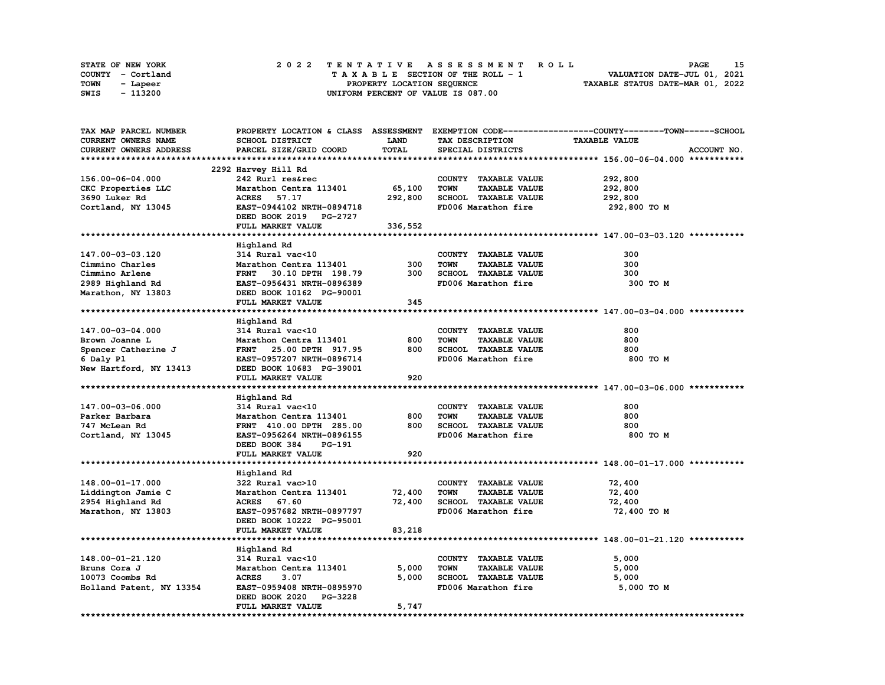|      | STATE OF NEW YORK |  | 2022 TENTATIVE ASSESSMENT ROLL     | 15<br><b>PAGE</b>                |
|------|-------------------|--|------------------------------------|----------------------------------|
|      | COUNTY - Cortland |  | TAXABLE SECTION OF THE ROLL - 1    | VALUATION DATE-JUL 01, 2021      |
| TOWN | - Lapeer          |  | PROPERTY LOCATION SEQUENCE         | TAXABLE STATUS DATE-MAR 01, 2022 |
| SWIS | - 113200          |  | UNIFORM PERCENT OF VALUE IS 087.00 |                                  |

| TAX MAP PARCEL NUMBER    |                                  |             |                                     | PROPERTY LOCATION & CLASS ASSESSMENT EXEMPTION CODE----------------COUNTY-------TOWN------SCHOOL |
|--------------------------|----------------------------------|-------------|-------------------------------------|--------------------------------------------------------------------------------------------------|
| CURRENT OWNERS NAME      | SCHOOL DISTRICT                  | <b>LAND</b> | TAX DESCRIPTION                     | <b>TAXABLE VALUE</b>                                                                             |
| CURRENT OWNERS ADDRESS   | PARCEL SIZE/GRID COORD           | TOTAL       | SPECIAL DISTRICTS                   | ACCOUNT NO.                                                                                      |
|                          |                                  |             |                                     |                                                                                                  |
|                          | 2292 Harvey Hill Rd              |             |                                     |                                                                                                  |
| 156.00-06-04.000         | 242 Rurl res&rec                 |             | COUNTY TAXABLE VALUE                | 292,800                                                                                          |
| CKC Properties LLC       | Marathon Centra 113401           | 65,100      | <b>TOWN</b><br><b>TAXABLE VALUE</b> | 292,800                                                                                          |
| 3690 Luker Rd            | ACRES 57.17                      | 292,800     | SCHOOL TAXABLE VALUE                | 292,800                                                                                          |
|                          | EAST-0944102 NRTH-0894718        |             | FD006 Marathon fire                 |                                                                                                  |
| Cortland, NY 13045       |                                  |             |                                     | 292,800 то м                                                                                     |
|                          | DEED BOOK 2019 PG-2727           |             |                                     |                                                                                                  |
|                          | FULL MARKET VALUE                | 336,552     |                                     |                                                                                                  |
|                          |                                  |             |                                     |                                                                                                  |
|                          | Highland Rd                      |             |                                     |                                                                                                  |
| 147.00-03-03.120         | 314 Rural vac<10                 |             | COUNTY TAXABLE VALUE                | 300                                                                                              |
| Cimmino Charles          | Marathon Centra 113401           | 300         | <b>TOWN</b><br><b>TAXABLE VALUE</b> | 300                                                                                              |
| Cimmino Arlene           | FRNT 30.10 DPTH 198.79           | 300         | SCHOOL TAXABLE VALUE                | 300                                                                                              |
| 2989 Highland Rd         | EAST-0956431 NRTH-0896389        |             | FD006 Marathon fire                 | 300 то м                                                                                         |
| Marathon, NY 13803       | DEED BOOK 10162 PG-90001         |             |                                     |                                                                                                  |
|                          | FULL MARKET VALUE                | 345         |                                     |                                                                                                  |
|                          |                                  |             |                                     |                                                                                                  |
|                          | Highland Rd                      |             |                                     |                                                                                                  |
| 147.00-03-04.000         | 314 Rural vac<10                 |             | COUNTY TAXABLE VALUE                | 800                                                                                              |
| Brown Joanne L           | Marathon Centra 113401           | 800         | <b>TOWN</b><br><b>TAXABLE VALUE</b> | 800                                                                                              |
| Spencer Catherine J      | FRNT 25.00 DPTH 917.95           | 800         | SCHOOL TAXABLE VALUE                | 800                                                                                              |
| 6 Daly Pl                | EAST-0957207 NRTH-0896714        |             | FD006 Marathon fire                 | 800 TO M                                                                                         |
| New Hartford, NY 13413   | DEED BOOK 10683 PG-39001         |             |                                     |                                                                                                  |
|                          | FULL MARKET VALUE                | 920         |                                     |                                                                                                  |
|                          |                                  |             |                                     |                                                                                                  |
|                          | Highland Rd                      |             |                                     |                                                                                                  |
| 147.00-03-06.000         | 314 Rural vac<10                 |             | COUNTY TAXABLE VALUE                | 800                                                                                              |
|                          |                                  |             |                                     | 800                                                                                              |
| Parker Barbara           | Marathon Centra 113401           | 800         | <b>TOWN</b><br><b>TAXABLE VALUE</b> |                                                                                                  |
| 747 McLean Rd            | FRNT 410.00 DPTH 285.00          | 800         | SCHOOL TAXABLE VALUE                | 800                                                                                              |
| Cortland, NY 13045       | EAST-0956264 NRTH-0896155        |             | FD006 Marathon fire                 | 800 TO M                                                                                         |
|                          | DEED BOOK 384<br>PG-191          |             |                                     |                                                                                                  |
|                          | FULL MARKET VALUE                | 920         |                                     |                                                                                                  |
|                          |                                  |             |                                     |                                                                                                  |
|                          | Highland Rd                      |             |                                     |                                                                                                  |
| 148.00-01-17.000         | 322 Rural vac>10                 |             | COUNTY TAXABLE VALUE                | 72,400                                                                                           |
| Liddington Jamie C       | Marathon Centra 113401           | 72,400      | TOWN<br><b>TAXABLE VALUE</b>        | 72,400                                                                                           |
| 2954 Highland Rd         | ACRES 67.60                      | 72,400      | SCHOOL TAXABLE VALUE                | 72,400                                                                                           |
| Marathon, NY 13803       | EAST-0957682 NRTH-0897797        |             | FD006 Marathon fire                 | 72,400 TO M                                                                                      |
|                          | DEED BOOK 10222 PG-95001         |             |                                     |                                                                                                  |
|                          | FULL MARKET VALUE                | 83,218      |                                     |                                                                                                  |
|                          |                                  |             |                                     |                                                                                                  |
|                          | Highland Rd                      |             |                                     |                                                                                                  |
| 148.00-01-21.120         | 314 Rural vac<10                 |             | COUNTY TAXABLE VALUE                | 5,000                                                                                            |
| Bruns Cora J             | Marathon Centra 113401           | 5,000       | <b>TOWN</b><br><b>TAXABLE VALUE</b> | 5,000                                                                                            |
| 10073 Coombs Rd          | <b>ACRES</b><br>3.07             | 5,000       | SCHOOL TAXABLE VALUE                | 5,000                                                                                            |
| Holland Patent, NY 13354 | EAST-0959408 NRTH-0895970        |             | FD006 Marathon fire                 | 5,000 TO M                                                                                       |
|                          | DEED BOOK 2020<br><b>PG-3228</b> |             |                                     |                                                                                                  |
|                          | FULL MARKET VALUE                | 5,747       |                                     |                                                                                                  |
|                          |                                  |             |                                     |                                                                                                  |
|                          |                                  |             |                                     |                                                                                                  |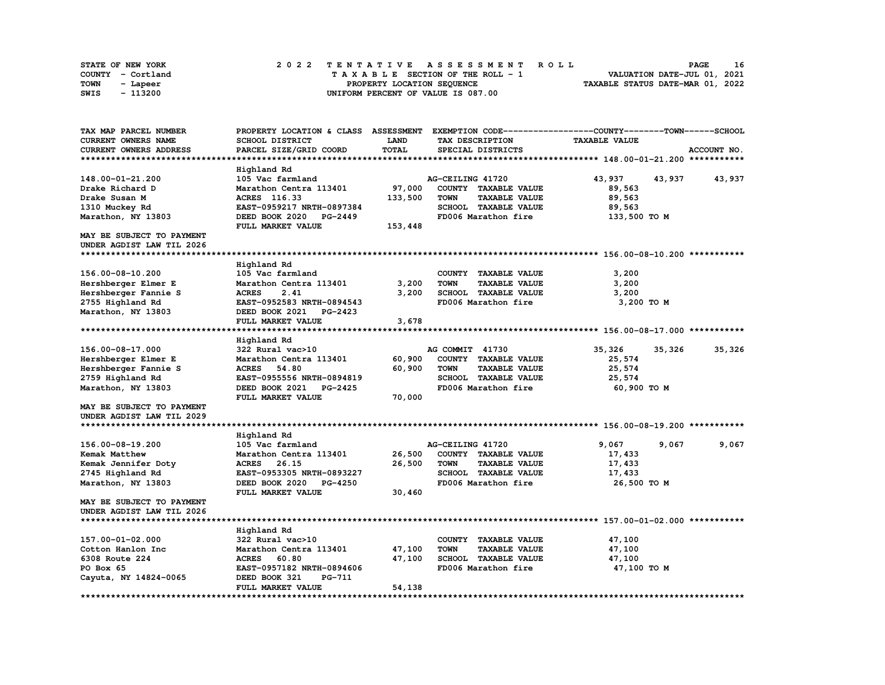| <b>STATE OF NEW YORK</b> |                   | 2022 TENTATIVE ASSESSMENT ROLL          | 16<br><b>PAGE</b>                |
|--------------------------|-------------------|-----------------------------------------|----------------------------------|
|                          | COUNTY - Cortland | $T A X A B L E$ SECTION OF THE ROLL - 1 | VALUATION DATE-JUL 01, 2021      |
| TOWN                     | - Lapeer          | PROPERTY LOCATION SEQUENCE              | TAXABLE STATUS DATE-MAR 01, 2022 |
| SWIS                     | - 113200          | UNIFORM PERCENT OF VALUE IS 087.00      |                                  |

| TAX MAP PARCEL NUMBER      | PROPERTY LOCATION & CLASS ASSESSMENT |              |                                     | EXEMPTION CODE-----------------COUNTY-------TOWN------SCHOOL |             |
|----------------------------|--------------------------------------|--------------|-------------------------------------|--------------------------------------------------------------|-------------|
| <b>CURRENT OWNERS NAME</b> | SCHOOL DISTRICT                      | <b>LAND</b>  | TAX DESCRIPTION                     | <b>TAXABLE VALUE</b>                                         |             |
| CURRENT OWNERS ADDRESS     | PARCEL SIZE/GRID COORD               | <b>TOTAL</b> | SPECIAL DISTRICTS                   |                                                              | ACCOUNT NO. |
|                            |                                      |              |                                     |                                                              |             |
|                            | Highland Rd                          |              |                                     |                                                              |             |
| 148.00-01-21.200           | 105 Vac farmland                     |              | AG-CEILING 41720                    | 43,937<br>43,937                                             | 43,937      |
| Drake Richard D            | Marathon Centra 113401               | 97,000       | COUNTY TAXABLE VALUE                | 89,563                                                       |             |
| Drake Susan M              | ACRES 116.33                         | 133,500      | <b>TOWN</b><br><b>TAXABLE VALUE</b> | 89,563                                                       |             |
| 1310 Muckey Rd             | EAST-0959217 NRTH-0897384            |              | SCHOOL TAXABLE VALUE                | 89,563                                                       |             |
| Marathon, NY 13803         | DEED BOOK 2020<br>PG-2449            |              | FD006 Marathon fire                 | 133,500 TO M                                                 |             |
|                            | FULL MARKET VALUE                    | 153,448      |                                     |                                                              |             |
| MAY BE SUBJECT TO PAYMENT  |                                      |              |                                     |                                                              |             |
| UNDER AGDIST LAW TIL 2026  |                                      |              |                                     |                                                              |             |
|                            |                                      |              |                                     |                                                              |             |
|                            | Highland Rd                          |              |                                     |                                                              |             |
| 156.00-08-10.200           | 105 Vac farmland                     |              | COUNTY TAXABLE VALUE                | 3,200                                                        |             |
| Hershberger Elmer E        | Marathon Centra 113401               | 3,200        | <b>TAXABLE VALUE</b><br><b>TOWN</b> | 3,200                                                        |             |
| Hershberger Fannie S       | <b>ACRES</b><br>2.41                 | 3,200        | SCHOOL TAXABLE VALUE                | 3,200                                                        |             |
| 2755 Highland Rd           | EAST-0952583 NRTH-0894543            |              | FD006 Marathon fire                 | 3,200 TO M                                                   |             |
| Marathon, NY 13803         | DEED BOOK 2021<br><b>PG-2423</b>     |              |                                     |                                                              |             |
|                            | FULL MARKET VALUE                    | 3,678        |                                     |                                                              |             |
|                            |                                      |              |                                     |                                                              |             |
|                            | Highland Rd                          |              |                                     |                                                              |             |
| 156.00-08-17.000           | 322 Rural vac>10                     |              | AG COMMIT 41730                     | 35,326<br>35,326                                             | 35,326      |
| Hershberger Elmer E        | Marathon Centra 113401               | 60,900       | COUNTY TAXABLE VALUE                | 25,574                                                       |             |
| Hershberger Fannie S       | <b>ACRES</b><br>54.80                | 60,900       | <b>TOWN</b><br><b>TAXABLE VALUE</b> | 25,574                                                       |             |
| 2759 Highland Rd           | EAST-0955556 NRTH-0894819            |              | SCHOOL TAXABLE VALUE                | 25,574                                                       |             |
| Marathon, NY 13803         | DEED BOOK 2021<br><b>PG-2425</b>     |              | FD006 Marathon fire                 | 60,900 TO M                                                  |             |
|                            | FULL MARKET VALUE                    | 70,000       |                                     |                                                              |             |
| MAY BE SUBJECT TO PAYMENT  |                                      |              |                                     |                                                              |             |
| UNDER AGDIST LAW TIL 2029  |                                      |              |                                     |                                                              |             |
|                            |                                      |              |                                     |                                                              |             |
|                            | Highland Rd                          |              |                                     |                                                              |             |
| 156.00-08-19.200           | 105 Vac farmland                     |              | AG-CEILING 41720                    | 9,067<br>9,067                                               | 9,067       |
| <b>Kemak Matthew</b>       | Marathon Centra 113401               | 26,500       | COUNTY TAXABLE VALUE                | 17,433                                                       |             |
| Kemak Jennifer Doty        | <b>ACRES</b><br>26.15                | 26,500       | <b>TOWN</b><br><b>TAXABLE VALUE</b> | 17,433                                                       |             |
| 2745 Highland Rd           | EAST-0953305 NRTH-0893227            |              | SCHOOL TAXABLE VALUE                | 17,433                                                       |             |
| Marathon, NY 13803         | DEED BOOK 2020<br><b>PG-4250</b>     |              | FD006 Marathon fire                 | 26,500 TO M                                                  |             |
|                            | FULL MARKET VALUE                    | 30,460       |                                     |                                                              |             |
| MAY BE SUBJECT TO PAYMENT  |                                      |              |                                     |                                                              |             |
| UNDER AGDIST LAW TIL 2026  |                                      |              |                                     |                                                              |             |
|                            |                                      |              |                                     |                                                              |             |
|                            | Highland Rd                          |              |                                     |                                                              |             |
| 157.00-01-02.000           | 322 Rural vac>10                     |              | COUNTY TAXABLE VALUE                | 47,100                                                       |             |
| Cotton Hanlon Inc          | Marathon Centra 113401               | 47,100       | <b>TOWN</b><br><b>TAXABLE VALUE</b> | 47,100                                                       |             |
| 6308 Route 224             | <b>ACRES</b><br>60.80                | 47,100       | <b>SCHOOL TAXABLE VALUE</b>         | 47,100                                                       |             |
| PO Box 65                  | EAST-0957182 NRTH-0894606            |              | FD006 Marathon fire                 | 47,100 TO M                                                  |             |
| Cayuta, NY 14824-0065      | DEED BOOK 321<br><b>PG-711</b>       |              |                                     |                                                              |             |
|                            | FULL MARKET VALUE                    | 54,138       |                                     |                                                              |             |
|                            |                                      |              |                                     |                                                              |             |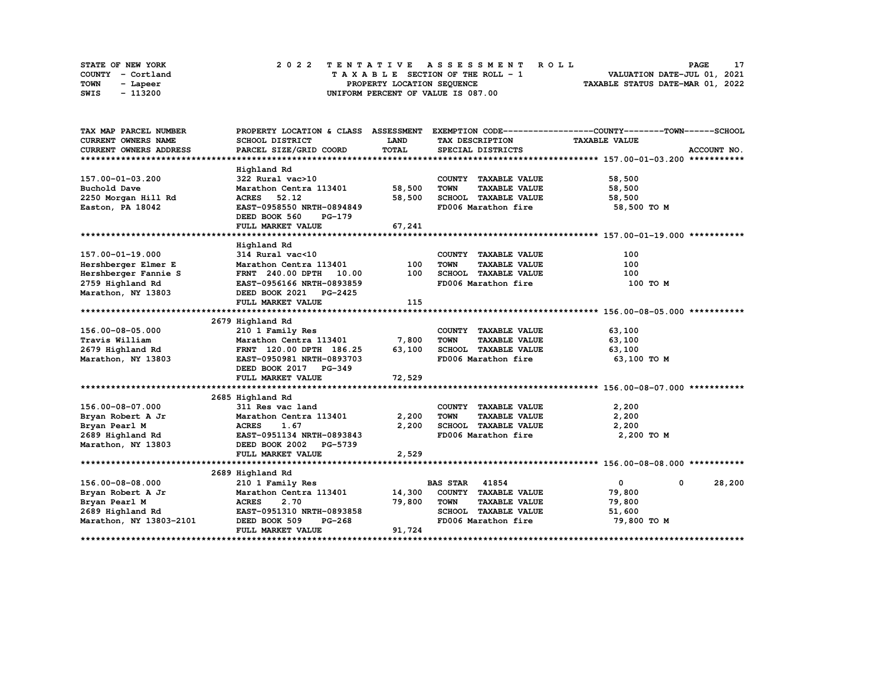|      | STATE OF NEW YORK |  | 2022 TENTATIVE ASSESSMENT ROLL     | PAGE                             |
|------|-------------------|--|------------------------------------|----------------------------------|
|      | COUNTY - Cortland |  | TAXABLE SECTION OF THE ROLL - 1    | VALUATION DATE-JUL 01, 2021      |
| TOWN | - Lapeer          |  | PROPERTY LOCATION SEQUENCE         | TAXABLE STATUS DATE-MAR 01, 2022 |
| SWIS | - 113200          |  | UNIFORM PERCENT OF VALUE IS 087.00 |                                  |

| TAX MAP PARCEL NUMBER                               |                                      |             |                                     | PROPERTY LOCATION & CLASS ASSESSMENT EXEMPTION CODE----------------COUNTY-------TOWN-----SCHOOL |
|-----------------------------------------------------|--------------------------------------|-------------|-------------------------------------|-------------------------------------------------------------------------------------------------|
| CURRENT OWNERS NAME                                 | SCHOOL DISTRICT                      | <b>LAND</b> | TAX DESCRIPTION                     | <b>TAXABLE VALUE</b>                                                                            |
| CURRENT OWNERS ADDRESS                              | PARCEL SIZE/GRID COORD               | TOTAL       | SPECIAL DISTRICTS                   | ACCOUNT NO.                                                                                     |
|                                                     |                                      |             |                                     |                                                                                                 |
|                                                     | Highland Rd                          |             |                                     |                                                                                                 |
| 157.00-01-03.200                                    | 322 Rural vac>10                     |             | COUNTY TAXABLE VALUE                | 58,500                                                                                          |
| Buchold Dave                                        | Marathon Centra 113401 58,500        |             | <b>TOWN</b><br><b>TAXABLE VALUE</b> | 58,500                                                                                          |
| 2250 Morgan Hill Rd                                 | ACRES 52.12                          | 58,500      | SCHOOL TAXABLE VALUE                | 58,500                                                                                          |
| Easton, PA 18042                                    | EAST-0958550 NRTH-0894849            |             | FD006 Marathon fire                 | 58,500 TO M                                                                                     |
|                                                     | DEED BOOK 560<br>PG-179              |             |                                     |                                                                                                 |
|                                                     | FULL MARKET VALUE                    | 67,241      |                                     |                                                                                                 |
|                                                     |                                      |             |                                     |                                                                                                 |
|                                                     | Highland Rd                          |             |                                     |                                                                                                 |
| 157.00-01-19.000                                    | $314$ Rural vac<10                   |             | COUNTY TAXABLE VALUE                | 100                                                                                             |
| Hershberger Elmer E                                 | Marathon Centra 113401               | 100         | TOWN<br><b>TAXABLE VALUE</b>        | 100                                                                                             |
| Hershberger Fannie S                                | FRNT 240.00 DPTH 10.00               | 100         | SCHOOL TAXABLE VALUE                | 100                                                                                             |
| 2759 Highland Rd                                    | EAST-0956166 NRTH-0893859            |             | FD006 Marathon fire                 | 100 то м                                                                                        |
| Marathon, NY 13803                                  | DEED BOOK 2021 PG-2425               |             |                                     |                                                                                                 |
|                                                     | FULL MARKET VALUE                    | 115         |                                     |                                                                                                 |
|                                                     |                                      |             |                                     |                                                                                                 |
|                                                     | 2679 Highland Rd                     |             |                                     |                                                                                                 |
| 156.00-08-05.000                                    | 210 1 Family Res                     |             | COUNTY TAXABLE VALUE                | 63,100                                                                                          |
| Travis William                                      | Marathon Centra 113401 7,800         |             | <b>TOWN</b><br><b>TAXABLE VALUE</b> | 63,100                                                                                          |
| 2679 Highland Rd                                    | FRNT 120.00 DPTH 186.25 63,100       |             | SCHOOL TAXABLE VALUE                | 63,100                                                                                          |
| Marathon, NY 13803                                  | EAST-0950981 NRTH-0893703            |             | FD006 Marathon fire                 | 63,100 то м                                                                                     |
|                                                     | DEED BOOK 2017 PG-349                |             |                                     |                                                                                                 |
|                                                     | FULL MARKET VALUE                    | 72,529      |                                     |                                                                                                 |
|                                                     |                                      |             |                                     |                                                                                                 |
|                                                     | 2685 Highland Rd                     |             |                                     |                                                                                                 |
| 156.00-08-07.000                                    | 311 Res vac land                     |             | COUNTY TAXABLE VALUE                | 2,200                                                                                           |
| Bryan Robert A Jr                                   |                                      | 2,200       | <b>TOWN</b><br><b>TAXABLE VALUE</b> | 2,200                                                                                           |
| Bryan Pearl M                                       | Marathon Centra 113401<br>ACRES 1.67 | 2,200       | SCHOOL TAXABLE VALUE                | 2,200                                                                                           |
| 2689 Highland Rd EAST-0951134 NRTH-0893843          |                                      |             | FD006 Marathon fire                 | 2,200 TO M                                                                                      |
| Marathon, NY 13803 DEED BOOK 2002 PG-5739           |                                      |             |                                     |                                                                                                 |
|                                                     | FULL MARKET VALUE                    | 2,529       |                                     |                                                                                                 |
|                                                     |                                      |             |                                     |                                                                                                 |
|                                                     | 2689 Highland Rd                     |             |                                     |                                                                                                 |
| 156.00-08-08.000                                    | 210 1 Family Res                     |             | <b>BAS STAR 41854</b>               | $\overline{0}$<br>28,200<br>$\mathbf 0$                                                         |
|                                                     | Marathon Centra 113401               |             | 14,300 COUNTY TAXABLE VALUE         | 79,800                                                                                          |
| Bryan Robert A Jr<br>Bryan Pearl M<br>Bryan Pearl M | <b>ACRES</b><br>2.70                 | 79,800      | <b>TOWN</b><br><b>TAXABLE VALUE</b> | 79,800                                                                                          |
| 2689 Highland Rd                                    | EAST-0951310 NRTH-0893858            |             | SCHOOL TAXABLE VALUE                | 51,600                                                                                          |
| Marathon, NY 13803-2101                             | DEED BOOK 509<br>PG-268              |             | FD006 Marathon fire                 | 79,800 TO M                                                                                     |
|                                                     | FULL MARKET VALUE                    | 91,724      |                                     |                                                                                                 |
|                                                     |                                      |             |                                     |                                                                                                 |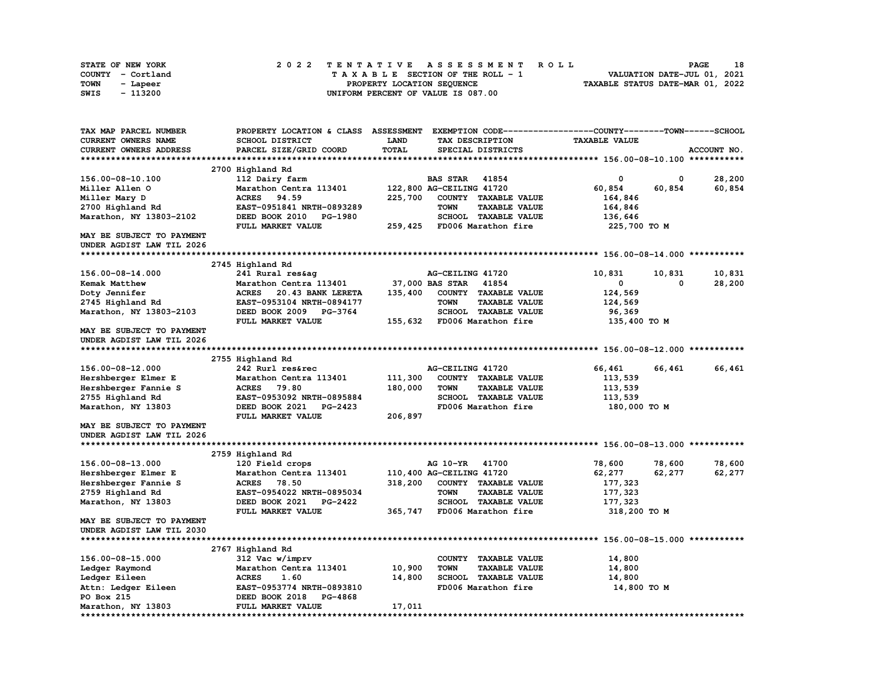| STATE OF NEW YORK | 2022 TENTATIVE ASSESSMENT ROLL     | 18<br><b>PAGE</b>                |
|-------------------|------------------------------------|----------------------------------|
| COUNTY - Cortland | TAXABLE SECTION OF THE ROLL - 1    | VALUATION DATE-JUL 01, 2021      |
| TOWN<br>- Lapeer  | PROPERTY LOCATION SEQUENCE         | TAXABLE STATUS DATE-MAR 01, 2022 |
| - 113200<br>SWIS  | UNIFORM PERCENT OF VALUE IS 087.00 |                                  |

| TAX MAP PARCEL NUMBER            |                                   |              | PROPERTY LOCATION & CLASS ASSESSMENT EXEMPTION CODE-----------------COUNTY-------TOWN-----SCHOOL |                      |             |
|----------------------------------|-----------------------------------|--------------|--------------------------------------------------------------------------------------------------|----------------------|-------------|
| CURRENT OWNERS NAME              | SCHOOL DISTRICT                   | LAND         | TAX DESCRIPTION                                                                                  | <b>TAXABLE VALUE</b> |             |
| CURRENT OWNERS ADDRESS           | PARCEL SIZE/GRID COORD            | <b>TOTAL</b> | SPECIAL DISTRICTS                                                                                |                      | ACCOUNT NO. |
|                                  |                                   |              |                                                                                                  |                      |             |
|                                  | 2700 Highland Rd                  |              |                                                                                                  |                      |             |
| 156.00-08-10.100                 | 112 Dairy farm                    |              | <b>BAS STAR</b> 41854                                                                            | 0<br>0               | 28,200      |
| Miller Allen O                   | Marathon Centra 113401            |              | 122,800 AG-CEILING 41720                                                                         | 60,854<br>60,854     | 60,854      |
| Miller Mary D                    | <b>ACRES</b><br>94.59             | 225,700      | COUNTY TAXABLE VALUE                                                                             | 164,846              |             |
| 2700 Highland Rd                 | EAST-0951841 NRTH-0893289         |              | <b>TOWN</b><br><b>TAXABLE VALUE</b>                                                              | 164,846              |             |
| Marathon, NY 13803-2102          | DEED BOOK 2010<br>PG-1980         |              | SCHOOL TAXABLE VALUE                                                                             | 136,646              |             |
|                                  | FULL MARKET VALUE                 | 259,425      | FD006 Marathon fire                                                                              | 225,700 TO M         |             |
| <b>MAY BE SUBJECT TO PAYMENT</b> |                                   |              |                                                                                                  |                      |             |
| UNDER AGDIST LAW TIL 2026        |                                   |              |                                                                                                  |                      |             |
|                                  |                                   |              |                                                                                                  |                      |             |
|                                  | 2745 Highland Rd                  |              |                                                                                                  |                      |             |
|                                  |                                   |              |                                                                                                  |                      |             |
| 156.00-08-14.000                 | 241 Rural res&aq                  |              | AG-CEILING 41720                                                                                 | 10,831<br>10,831     | 10,831      |
| Kemak Matthew                    | Marathon Centra 113401            |              | 37,000 BAS STAR<br>41854                                                                         | 0<br>0               | 28,200      |
| Doty Jennifer                    | <b>ACRES</b><br>20.43 BANK LERETA | 135,400      | COUNTY TAXABLE VALUE                                                                             | 124,569              |             |
| 2745 Highland Rd                 | EAST-0953104 NRTH-0894177         |              | <b>TOWN</b><br><b>TAXABLE VALUE</b>                                                              | 124,569              |             |
| Marathon, NY 13803-2103          | DEED BOOK 2009 PG-3764            |              | <b>SCHOOL TAXABLE VALUE</b>                                                                      | 96,369               |             |
|                                  | FULL MARKET VALUE                 | 155,632      | FD006 Marathon fire                                                                              | 135,400 TO M         |             |
| <b>MAY BE SUBJECT TO PAYMENT</b> |                                   |              |                                                                                                  |                      |             |
| UNDER AGDIST LAW TIL 2026        |                                   |              |                                                                                                  |                      |             |
|                                  |                                   |              |                                                                                                  |                      |             |
|                                  | 2755 Highland Rd                  |              |                                                                                                  |                      |             |
| 156.00-08-12.000                 | 242 Rurl res&rec                  |              | AG-CEILING 41720                                                                                 | 66,461<br>66,461     | 66,461      |
| Hershberger Elmer E              | Marathon Centra 113401            | 111,300      | COUNTY TAXABLE VALUE                                                                             | 113,539              |             |
| Hershberger Fannie S             | <b>ACRES</b><br>79.80             | 180,000      | <b>TOWN</b><br><b>TAXABLE VALUE</b>                                                              | 113,539              |             |
| 2755 Highland Rd                 | EAST-0953092 NRTH-0895884         |              | SCHOOL TAXABLE VALUE                                                                             | 113,539              |             |
| Marathon, NY 13803               | DEED BOOK 2021<br><b>PG-2423</b>  |              | FD006 Marathon fire                                                                              | 180,000 TO M         |             |
|                                  | FULL MARKET VALUE                 | 206,897      |                                                                                                  |                      |             |
| MAY BE SUBJECT TO PAYMENT        |                                   |              |                                                                                                  |                      |             |
| UNDER AGDIST LAW TIL 2026        |                                   |              |                                                                                                  |                      |             |
|                                  |                                   |              |                                                                                                  |                      |             |
|                                  | 2759 Highland Rd                  |              |                                                                                                  |                      |             |
| 156.00-08-13.000                 | 120 Field crops                   |              | AG 10-YR<br>41700                                                                                | 78,600<br>78,600     | 78,600      |
| Hershberger Elmer E              | Marathon Centra 113401            |              | 110,400 AG-CEILING 41720                                                                         | 62,277<br>62,277     | 62,277      |
| Hershberger Fannie S             | <b>ACRES</b><br>78.50             | 318,200      | COUNTY TAXABLE VALUE                                                                             | 177,323              |             |
| 2759 Highland Rd                 | EAST-0954022 NRTH-0895034         |              | <b>TOWN</b><br><b>TAXABLE VALUE</b>                                                              | 177,323              |             |
| Marathon, NY 13803               | DEED BOOK 2021<br>PG-2422         |              | <b>SCHOOL TAXABLE VALUE</b>                                                                      | 177,323              |             |
|                                  | FULL MARKET VALUE                 | 365,747      | FD006 Marathon fire                                                                              | 318,200 TO M         |             |
| MAY BE SUBJECT TO PAYMENT        |                                   |              |                                                                                                  |                      |             |
|                                  |                                   |              |                                                                                                  |                      |             |
| UNDER AGDIST LAW TIL 2030        |                                   |              |                                                                                                  |                      |             |
|                                  |                                   |              |                                                                                                  |                      |             |
|                                  | 2767 Highland Rd                  |              |                                                                                                  |                      |             |
| 156.00-08-15.000                 | 312 Vac w/imprv                   |              | COUNTY TAXABLE VALUE                                                                             | 14,800               |             |
| Ledger Raymond                   | Marathon Centra 113401            | 10,900       | <b>TOWN</b><br><b>TAXABLE VALUE</b>                                                              | 14,800               |             |
| Ledger Eileen                    | <b>ACRES</b><br>1.60              | 14,800       | <b>SCHOOL TAXABLE VALUE</b>                                                                      | 14,800               |             |
| Attn: Ledger Eileen              | EAST-0953774 NRTH-0893810         |              | FD006 Marathon fire                                                                              | 14,800 TO M          |             |
| PO Box 215                       | PG-4868<br>DEED BOOK 2018         |              |                                                                                                  |                      |             |
| Marathon, NY 13803               | FULL MARKET VALUE                 | 17,011       |                                                                                                  |                      |             |
| ********************             |                                   |              |                                                                                                  |                      |             |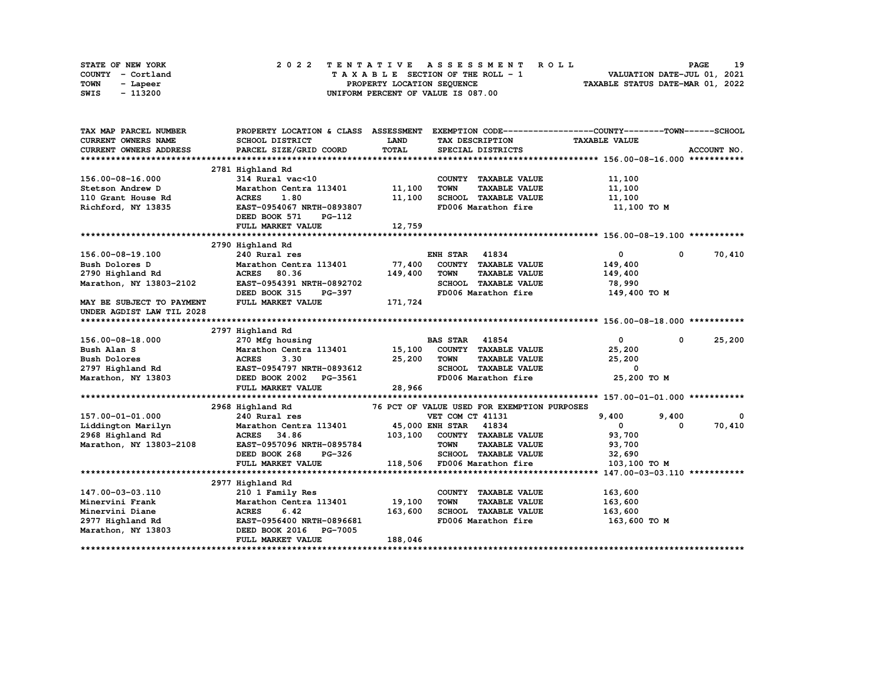|      | STATE OF NEW YORK |  |  |  |  |  | 2022 TENTATIVE ASSESSMENT ROLL     |  |  |  |  |  |  |                                  |  | <b>PAGE</b>                 | 19 |
|------|-------------------|--|--|--|--|--|------------------------------------|--|--|--|--|--|--|----------------------------------|--|-----------------------------|----|
|      | COUNTY - Cortland |  |  |  |  |  | TAXABLE SECTION OF THE ROLL - 1    |  |  |  |  |  |  |                                  |  | VALUATION DATE-JUL 01, 2021 |    |
| TOWN | - Lapeer          |  |  |  |  |  | PROPERTY LOCATION SEQUENCE         |  |  |  |  |  |  | TAXABLE STATUS DATE-MAR 01, 2022 |  |                             |    |
| SWIS | - 113200          |  |  |  |  |  | UNIFORM PERCENT OF VALUE IS 087.00 |  |  |  |  |  |  |                                  |  |                             |    |

| TAX MAP PARCEL NUMBER                       |                                                               |             |                                             | PROPERTY LOCATION & CLASS ASSESSMENT EXEMPTION CODE-----------------COUNTY-------TOWN-----SCHOOL |                       |
|---------------------------------------------|---------------------------------------------------------------|-------------|---------------------------------------------|--------------------------------------------------------------------------------------------------|-----------------------|
| <b>CURRENT OWNERS NAME</b>                  | SCHOOL DISTRICT                                               | <b>LAND</b> | TAX DESCRIPTION                             | <b>TAXABLE VALUE</b>                                                                             |                       |
| CURRENT OWNERS ADDRESS                      | PARCEL SIZE/GRID COORD                                        | TOTAL       | SPECIAL DISTRICTS                           |                                                                                                  | ACCOUNT NO.           |
|                                             |                                                               |             |                                             |                                                                                                  |                       |
|                                             | 2781 Highland Rd                                              |             |                                             |                                                                                                  |                       |
| 156.00-08-16.000                            | $314$ Rural vac<10                                            |             | COUNTY TAXABLE VALUE                        | 11,100                                                                                           |                       |
| Stetson Andrew D                            | Marathon Centra 113401 11,100                                 |             | TOWN<br><b>TAXABLE VALUE</b>                | 11,100                                                                                           |                       |
| 110 Grant House Rd                          | <b>ACRES</b><br>1.80                                          | 11,100      | SCHOOL TAXABLE VALUE                        | 11,100                                                                                           |                       |
| Richford, NY 13835                          | EAST-0954067 NRTH-0893807                                     |             | FD006 Marathon fire                         | 11,100 TO M                                                                                      |                       |
|                                             | DEED BOOK 571<br>PG-112                                       |             |                                             |                                                                                                  |                       |
|                                             | FULL MARKET VALUE                                             | 12,759      |                                             |                                                                                                  |                       |
|                                             |                                                               |             |                                             |                                                                                                  |                       |
|                                             | 2790 Highland Rd                                              |             |                                             |                                                                                                  |                       |
| 156.00-08-19.100                            | 240 Rural res                                                 |             | <b>ENH STAR 41834</b>                       | $\mathbf{0}$<br>$^{\circ}$                                                                       | 70,410                |
| Bush Dolores D                              | Marathon Centra 113401                                        | 77,400      | COUNTY TAXABLE VALUE                        | 149,400                                                                                          |                       |
| 2790 Highland Rd                            | <b>ACRES</b> 80.36                                            | 149,400     | <b>TOWN</b><br><b>TAXABLE VALUE</b>         | 149,400                                                                                          |                       |
| Marathon, NY 13803-2102                     | EAST-0954391 NRTH-0892702                                     |             | SCHOOL TAXABLE VALUE                        | 78,990                                                                                           |                       |
|                                             | DEED BOOK 315<br>PG-397                                       |             |                                             | FD006 Marathon fire 149,400 TO M                                                                 |                       |
| MAY BE SUBJECT TO PAYMENT                   | FULL MARKET VALUE                                             | 171,724     |                                             |                                                                                                  |                       |
| UNDER AGDIST LAW TIL 2028                   |                                                               |             |                                             |                                                                                                  |                       |
|                                             |                                                               |             |                                             |                                                                                                  |                       |
|                                             | 2797 Highland Rd                                              |             |                                             |                                                                                                  |                       |
| 156.00-08-18.000                            | 270 Mfg housing                                               |             | <b>BAS STAR</b> 41854                       | $\mathbf{0}$<br>$^{\circ}$                                                                       | 25,200                |
|                                             | Marathon Centra 113401 15,100                                 |             | COUNTY TAXABLE VALUE                        | 25,200                                                                                           |                       |
|                                             |                                                               |             | <b>TOWN</b><br><b>TAXABLE VALUE</b>         | 25,200                                                                                           |                       |
|                                             |                                                               |             | SCHOOL TAXABLE VALUE                        | 0                                                                                                |                       |
| Marathon, NY 13803                          |                                                               |             | FD006 Marathon fire                         | 25,200 TO M                                                                                      |                       |
|                                             | FULL MARKET VALUE                                             | 28,966      |                                             |                                                                                                  |                       |
|                                             |                                                               |             |                                             |                                                                                                  |                       |
|                                             | 2968 Highland Rd                                              |             | 76 PCT OF VALUE USED FOR EXEMPTION PURPOSES |                                                                                                  |                       |
| 157.00-01-01.000<br>Liddington Marilyn      | 240 Rural res<br>Marathon Centra 113401 45,000 ENH STAR 41834 |             | VET COM CT 41131                            | 9,400<br>9,400<br>$\mathbf{0}$<br>0                                                              | $\mathbf 0$<br>70,410 |
|                                             |                                                               |             | 103,100 COUNTY TAXABLE VALUE                |                                                                                                  |                       |
| 2968 Highland Rd<br>Marathon, NY 13803-2108 | ACRES 34.86<br>EAST-0957096 NRTH-0895784                      |             | TOWN<br><b>TAXABLE VALUE</b>                | 93,700<br>93,700                                                                                 |                       |
|                                             | DEED BOOK 268<br>PG-326                                       |             | SCHOOL TAXABLE VALUE                        | 32,690                                                                                           |                       |
|                                             | FULL MARKET VALUE                                             |             | 118,506 FD006 Marathon fire                 | 103,100 TO M                                                                                     |                       |
|                                             |                                                               |             |                                             |                                                                                                  |                       |
|                                             | 2977 Highland Rd                                              |             |                                             |                                                                                                  |                       |
| 147.00-03-03.110                            | 210 1 Family Res                                              |             | COUNTY TAXABLE VALUE                        | 163,600                                                                                          |                       |
| Minervini Frank                             | Marathon Centra 113401                                        | 19,100      | <b>TOWN</b><br><b>TAXABLE VALUE</b>         | 163,600                                                                                          |                       |
| Minervini Diane                             | <b>ACRES</b><br>6.42                                          | 163,600     | SCHOOL TAXABLE VALUE                        | 163,600                                                                                          |                       |
|                                             | 2977 Highland Rd EAST-0956400 NRTH-0896681                    |             |                                             | FD006 Marathon fire 163,600 TO M                                                                 |                       |
| Marathon, NY 13803                          | DEED BOOK 2016 PG-7005                                        |             |                                             |                                                                                                  |                       |
|                                             | FULL MARKET VALUE                                             | 188,046     |                                             |                                                                                                  |                       |
|                                             |                                                               |             |                                             |                                                                                                  |                       |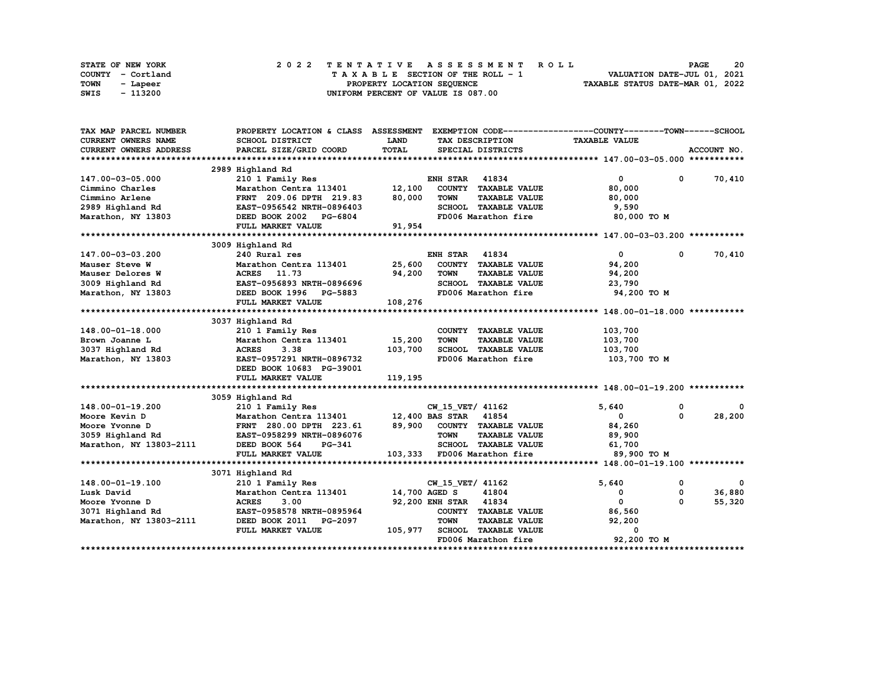|      | STATE OF NEW YORK |  |  |  |  |  | 2022 TENTATIVE ASSESSMENT ROLL     |  |  |  |  |  |  |                                  | <b>PAGE</b> | 20 |
|------|-------------------|--|--|--|--|--|------------------------------------|--|--|--|--|--|--|----------------------------------|-------------|----|
|      | COUNTY - Cortland |  |  |  |  |  | TAXABLE SECTION OF THE ROLL - 1    |  |  |  |  |  |  | VALUATION DATE-JUL 01, 2021      |             |    |
| TOWN | - Lapeer          |  |  |  |  |  | PROPERTY LOCATION SEQUENCE         |  |  |  |  |  |  | TAXABLE STATUS DATE-MAR 01, 2022 |             |    |
| SWIS | - 113200          |  |  |  |  |  | UNIFORM PERCENT OF VALUE IS 087.00 |  |  |  |  |  |  |                                  |             |    |

| TAX MAP PARCEL NUMBER         | PROPERTY LOCATION & CLASS ASSESSMENT EXEMPTION CODE----------------COUNTY-------TOWN------SCHOOL |                   |                                     |                              |                         |
|-------------------------------|--------------------------------------------------------------------------------------------------|-------------------|-------------------------------------|------------------------------|-------------------------|
| <b>CURRENT OWNERS NAME</b>    | <b>SCHOOL DISTRICT</b>                                                                           | <b>LAND</b>       | TAX DESCRIPTION                     | <b>TAXABLE VALUE</b>         |                         |
| <b>CURRENT OWNERS ADDRESS</b> | PARCEL SIZE/GRID COORD                                                                           | TOTAL             | SPECIAL DISTRICTS                   |                              | ACCOUNT NO.             |
|                               |                                                                                                  |                   |                                     |                              |                         |
|                               | 2989 Highland Rd                                                                                 |                   |                                     |                              |                         |
| 147.00-03-05.000              | 210 1 Family Res                                                                                 |                   | <b>ENH STAR 41834</b>               | $\overline{0}$               | $0 \t 70,410$           |
| Cimmino Charles               | Marathon Centra 113401 12,100                                                                    |                   | COUNTY TAXABLE VALUE                | 80,000                       |                         |
| Cimmino Arlene                | FRNT 209.06 DPTH 219.83 80,000                                                                   |                   | <b>TAXABLE VALUE</b><br><b>TOWN</b> | 80,000                       |                         |
|                               | <b>FRNT 209.06 DPTH 219.83<br/>EAST-0956542 NRTH-0896403</b>                                     |                   | SCHOOL TAXABLE VALUE                | 9,590                        |                         |
|                               |                                                                                                  |                   | FD006 Marathon fire                 | 80,000 TO M                  |                         |
|                               | FULL MARKET VALUE                                                                                | 91,954            |                                     |                              |                         |
|                               |                                                                                                  |                   |                                     |                              |                         |
|                               | 3009 Highland Rd                                                                                 |                   |                                     |                              |                         |
| 147.00-03-03.200              | 240 Rural res                                                                                    |                   | <b>ENH STAR 41834</b>               | $\overline{0}$<br>$^{\circ}$ | 70,410                  |
| Mauser Steve W                | Marathon Centra 113401 25,600 COUNTY TAXABLE VALUE                                               |                   |                                     | 94,200                       |                         |
| Mauser Delores W              | ACRES 11.73                                                                                      | 94,200            | TOWN<br><b>TAXABLE VALUE</b>        | 94,200                       |                         |
| 3009 Highland Rd              | EAST-0956893 NRTH-0896696                                                                        |                   | SCHOOL TAXABLE VALUE 23,790         |                              |                         |
|                               | Marathon, NY 13803 DEED BOOK 1996 PG-5883                                                        |                   | FD006 Marathon fire 94,200 TO M     |                              |                         |
|                               | FULL MARKET VALUE                                                                                | G-5883<br>108,276 |                                     |                              |                         |
|                               |                                                                                                  |                   |                                     |                              |                         |
|                               | 3037 Highland Rd                                                                                 |                   |                                     |                              |                         |
| 148.00-01-18.000              | 210 1 Family Res                                                                                 |                   | COUNTY TAXABLE VALUE                | 103,700                      |                         |
| Brown Joanne L                | Marathon Centra 113401 15,200                                                                    |                   | <b>TOWN</b><br><b>TAXABLE VALUE</b> | 103,700                      |                         |
| 3037 Highland Rd              | <b>ACRES</b><br>3.38                                                                             | 103,700           | SCHOOL TAXABLE VALUE                | 103,700                      |                         |
| Marathon, NY 13803            | EAST-0957291 NRTH-0896732                                                                        |                   | FD006 Marathon fire                 | 103,700 то м                 |                         |
|                               | DEED BOOK 10683 PG-39001                                                                         |                   |                                     |                              |                         |
|                               | FULL MARKET VALUE                                                                                | 119,195           |                                     |                              |                         |
|                               |                                                                                                  |                   |                                     |                              |                         |
|                               | 3059 Highland Rd                                                                                 |                   |                                     |                              |                         |
| 148.00-01-19.200              |                                                                                                  |                   | CW 15 VET/ 41162                    | 5,640<br>0                   |                         |
| Moore Kevin D                 |                                                                                                  |                   |                                     | $^{\circ}$<br>$\mathbf 0$    | 28,200                  |
| Moore Yvonne D                |                                                                                                  |                   |                                     | 84,260                       |                         |
|                               |                                                                                                  |                   | <b>TOWN</b><br><b>TAXABLE VALUE</b> | 89,900                       |                         |
|                               |                                                                                                  |                   | SCHOOL TAXABLE VALUE                | 61,700                       |                         |
|                               | FULL MARKET VALUE                                                                                |                   | 103,333 FD006 Marathon fire         | 89,900 TO M                  |                         |
|                               |                                                                                                  |                   |                                     |                              |                         |
|                               | 3071 Highland Rd                                                                                 |                   |                                     |                              |                         |
| 148.00-01-19.100              | 210 1 Family Res                                                                                 |                   | CW_15_VET/ 41162                    | 5,640<br>$\mathbf 0$         | $\overline{\mathbf{0}}$ |
| Lusk David                    | Marathon Centra 113401 14,700 AGED S                                                             |                   | 41804                               | $\mathbf 0$<br>0             | 36,880                  |
| Moore Yvonne D                | <b>ACRES</b><br>3.00                                                                             |                   | 92,200 ENH STAR 41834               | $\Omega$<br>$\mathbf{0}$     | 55,320                  |
| 3071 Highland Rd              | معداد بالمستقلة<br>EAST-0958578 NRTH-0895964<br>----- 2011 ---- 2012                             |                   | COUNTY TAXABLE VALUE                | 86,560                       |                         |
| Marathon, NY 13803-2111       | DEED BOOK 2011 PG-2097                                                                           |                   | <b>TOWN</b><br>TAXABLE VALUE        | 92,200                       |                         |
|                               | FULL MARKET VALUE                                                                                |                   | 105,977 SCHOOL TAXABLE VALUE        | $\Omega$                     |                         |
|                               |                                                                                                  |                   | FD006 Marathon fire                 | 92,200 TO M                  |                         |
|                               |                                                                                                  |                   |                                     |                              |                         |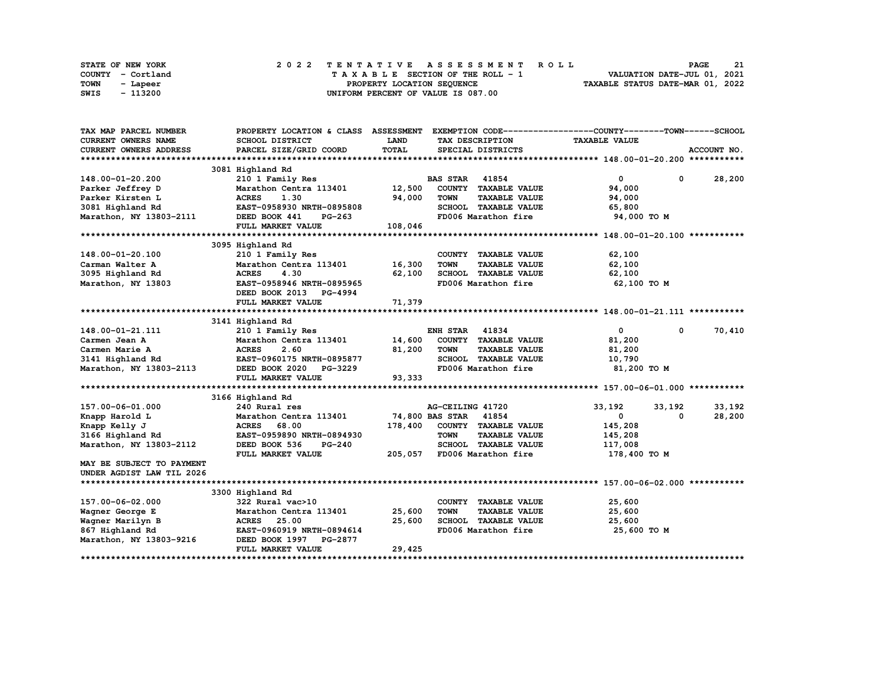|      | STATE OF NEW YORK |  |  |  |  |  | 2022 TENTATIVE ASSESSMENT ROLL     |  |  |  |  |  |  |                                  | <b>PAGE</b> |  | -21 |
|------|-------------------|--|--|--|--|--|------------------------------------|--|--|--|--|--|--|----------------------------------|-------------|--|-----|
|      | COUNTY - Cortland |  |  |  |  |  | TAXABLE SECTION OF THE ROLL - 1    |  |  |  |  |  |  | VALUATION DATE-JUL 01, 2021      |             |  |     |
| TOWN | - Lapeer          |  |  |  |  |  | PROPERTY LOCATION SEQUENCE         |  |  |  |  |  |  | TAXABLE STATUS DATE-MAR 01, 2022 |             |  |     |
| SWIS | - 113200          |  |  |  |  |  | UNIFORM PERCENT OF VALUE IS 087.00 |  |  |  |  |  |  |                                  |             |  |     |

| TAX MAP PARCEL NUMBER     | PROPERTY LOCATION & CLASS ASSESSMENT EXEMPTION CODE----------------COUNTY-------TOWN-----SCHOOL            |         |                                     |                      |                      |
|---------------------------|------------------------------------------------------------------------------------------------------------|---------|-------------------------------------|----------------------|----------------------|
| CURRENT OWNERS NAME       | SCHOOL DISTRICT                                                                                            | LAND    | TAX DESCRIPTION                     | <b>TAXABLE VALUE</b> |                      |
| CURRENT OWNERS ADDRESS    | PARCEL SIZE/GRID COORD                                                                                     | TOTAL   | SPECIAL DISTRICTS                   |                      | ACCOUNT NO.          |
|                           |                                                                                                            |         |                                     |                      |                      |
|                           | 3081 Highland Rd                                                                                           |         |                                     |                      |                      |
| 148.00-01-20.200          | 210 1 Family Res                                                                                           |         | <b>BAS STAR 41854</b>               | $\overline{0}$       | $0 \t 28,200$        |
| Parker Jeffrey D          | Marathon Centra 113401 12,500                                                                              |         | COUNTY TAXABLE VALUE                | 94,000               |                      |
| Parker Kirsten L          | <b>ACRES</b><br>1.30                                                                                       | 94,000  | <b>TOWN</b><br><b>TAXABLE VALUE</b> | 94,000               |                      |
| 3081 Highland Rd          | EAST-0958930 NRTH-0895808                                                                                  |         | SCHOOL TAXABLE VALUE                | 65,800               |                      |
| Marathon, NY 13803-2111   | DEED BOOK 441<br>PG-263                                                                                    |         | FD006 Marathon fire                 | 94,000 TO M          |                      |
|                           | FULL MARKET VALUE                                                                                          | 108,046 |                                     |                      |                      |
|                           |                                                                                                            |         |                                     |                      |                      |
|                           | 3095 Highland Rd                                                                                           |         |                                     |                      |                      |
| 148.00-01-20.100          | 210 1 Family Res                                                                                           |         | COUNTY TAXABLE VALUE                | 62,100               |                      |
| Carman Walter A           | Marathon Centra 113401 16,300                                                                              |         | <b>TOWN</b><br><b>TAXABLE VALUE</b> | 62,100               |                      |
| 3095 Highland Rd          | <b>ACRES</b><br>4.30                                                                                       | 62,100  | SCHOOL TAXABLE VALUE                | 62,100               |                      |
| Marathon, NY 13803        | EAST-0958946 NRTH-0895965                                                                                  |         | FD006 Marathon fire                 | 62,100 TO M          |                      |
|                           | DEED BOOK 2013 PG-4994                                                                                     |         |                                     |                      |                      |
|                           | FULL MARKET VALUE                                                                                          | 71,379  |                                     |                      |                      |
|                           |                                                                                                            |         |                                     |                      |                      |
|                           | 3141 Highland Rd                                                                                           |         |                                     |                      |                      |
| 148.00-01-21.111          | 210 1 Family Res                                                                                           |         | <b>ENH STAR 41834</b>               | $\mathbf{0}$         | 70,410<br>$^{\circ}$ |
| Carmen Jean A             | Marathon Centra 113401 14,600                                                                              |         | COUNTY TAXABLE VALUE                | 81,200               |                      |
|                           |                                                                                                            | 81,200  | <b>TOWN</b><br><b>TAXABLE VALUE</b> | 81,200               |                      |
|                           |                                                                                                            |         | SCHOOL TAXABLE VALUE                | 10,790               |                      |
|                           | Carmen Marie A<br>2.60<br>3141 Highland Rd<br>2.60<br>Marathon, NY 13803-2113<br>DEED BOOK 2020<br>PG-3229 |         | FD006 Marathon fire                 | 81,200 то м          |                      |
|                           | FULL MARKET VALUE                                                                                          | 93,333  |                                     |                      |                      |
|                           |                                                                                                            |         |                                     |                      |                      |
|                           | 3166 Highland Rd                                                                                           |         |                                     |                      |                      |
| 157.00-06-01.000          | 240 Rural res                                                                                              |         | AG-CEILING 41720                    | 33,192<br>33,192     | 33,192               |
| Knapp Harold L            | Marathon Centra 113401                                                                                     |         | 74,800 BAS STAR 41854               | $\mathbf 0$          | 28,200<br>0          |
| Knapp Kelly J             | <b>ACRES</b><br>68.00                                                                                      | 178,400 | COUNTY TAXABLE VALUE                | 145,208              |                      |
| 3166 Highland Rd          | EAST-0959890 NRTH-0894930                                                                                  |         | <b>TAXABLE VALUE</b><br><b>TOWN</b> | 145,208              |                      |
| Marathon, NY 13803-2112   | DEED BOOK 536<br>$PG-240$                                                                                  |         | SCHOOL TAXABLE VALUE                | 117,008              |                      |
|                           | FULL MARKET VALUE                                                                                          |         | 205,057 FD006 Marathon fire         | 178,400 то м         |                      |
| MAY BE SUBJECT TO PAYMENT |                                                                                                            |         |                                     |                      |                      |
| UNDER AGDIST LAW TIL 2026 |                                                                                                            |         |                                     |                      |                      |
|                           |                                                                                                            |         |                                     |                      |                      |
|                           | 3300 Highland Rd                                                                                           |         |                                     |                      |                      |
| 157.00-06-02.000          | 322 Rural vac>10                                                                                           |         | COUNTY TAXABLE VALUE                | 25,600               |                      |
| Wagner George E           | Marathon Centra 113401                                                                                     | 25,600  | <b>TOWN</b><br><b>TAXABLE VALUE</b> | 25,600               |                      |
| Wagner Marilyn B          | <b>ACRES</b> 25.00                                                                                         | 25,600  | SCHOOL TAXABLE VALUE                |                      |                      |
|                           |                                                                                                            |         |                                     | 25,600               |                      |
| 867 Highland Rd           | EAST-0960919 NRTH-0894614                                                                                  |         | FD006 Marathon fire                 | 25,600 TO M          |                      |
| Marathon, NY 13803-9216   | DEED BOOK 1997 PG-2877                                                                                     |         |                                     |                      |                      |
|                           | FULL MARKET VALUE                                                                                          | 29,425  |                                     |                      |                      |
|                           |                                                                                                            |         |                                     |                      |                      |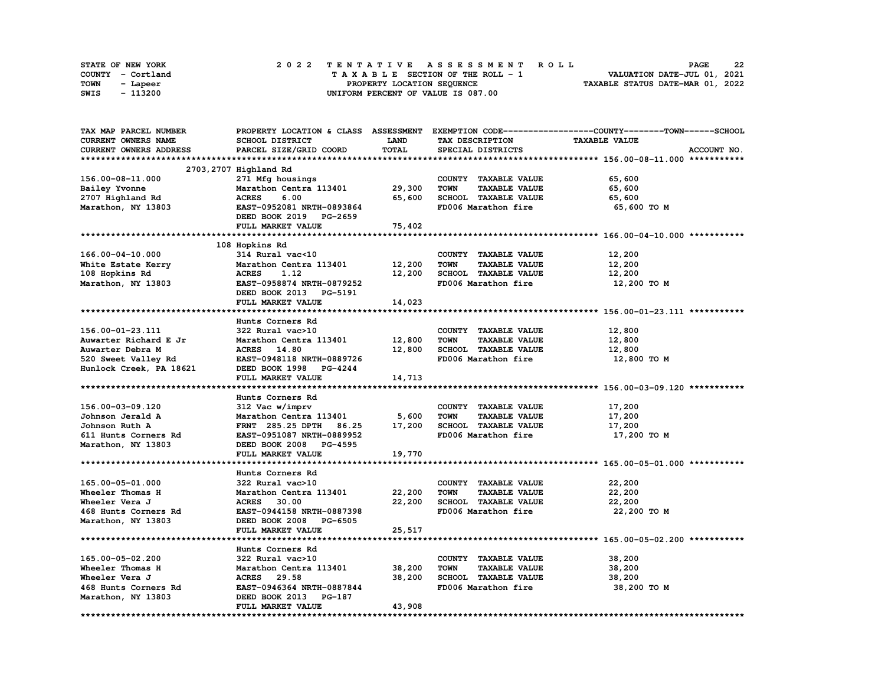| <b>STATE OF NEW YORK</b> |                   |  |  |  |  |  | 2022 TENTATIVE ASSESSMENT ROLL     |  |  |  |  |  |  |                                  | <b>PAGE</b> | -22 |
|--------------------------|-------------------|--|--|--|--|--|------------------------------------|--|--|--|--|--|--|----------------------------------|-------------|-----|
|                          | COUNTY - Cortland |  |  |  |  |  | TAXABLE SECTION OF THE ROLL - 1    |  |  |  |  |  |  | VALUATION DATE-JUL 01, 2021      |             |     |
| TOWN                     | - Lapeer          |  |  |  |  |  | PROPERTY LOCATION SEQUENCE         |  |  |  |  |  |  | TAXABLE STATUS DATE-MAR 01, 2022 |             |     |
| SWIS                     | - 113200          |  |  |  |  |  | UNIFORM PERCENT OF VALUE IS 087.00 |  |  |  |  |  |  |                                  |             |     |

| TAX MAP PARCEL NUMBER   |                           |        |                                     | PROPERTY LOCATION & CLASS ASSESSMENT EXEMPTION CODE-----------------COUNTY-------TOWN-----SCHOOL |
|-------------------------|---------------------------|--------|-------------------------------------|--------------------------------------------------------------------------------------------------|
| CURRENT OWNERS NAME     | SCHOOL DISTRICT           | LAND   | TAX DESCRIPTION                     | <b>TAXABLE VALUE</b>                                                                             |
| CURRENT OWNERS ADDRESS  | PARCEL SIZE/GRID COORD    | TOTAL  | SPECIAL DISTRICTS                   | ACCOUNT NO.                                                                                      |
|                         |                           |        |                                     |                                                                                                  |
|                         | 2703, 2707 Highland Rd    |        |                                     |                                                                                                  |
| 156.00-08-11.000        | 271 Mfg housings          |        | COUNTY TAXABLE VALUE                | 65,600                                                                                           |
| Bailey Yvonne           | Marathon Centra 113401    | 29,300 | <b>TOWN</b><br><b>TAXABLE VALUE</b> | 65,600                                                                                           |
| 2707 Highland Rd        | <b>ACRES</b><br>6.00      | 65,600 | SCHOOL TAXABLE VALUE                | 65,600                                                                                           |
|                         | EAST-0952081 NRTH-0893864 |        | FD006 Marathon fire                 |                                                                                                  |
| Marathon, NY 13803      |                           |        |                                     | 65,600 TO M                                                                                      |
|                         | DEED BOOK 2019 PG-2659    |        |                                     |                                                                                                  |
|                         | FULL MARKET VALUE         | 75,402 |                                     |                                                                                                  |
|                         |                           |        |                                     |                                                                                                  |
|                         | 108 Hopkins Rd            |        |                                     |                                                                                                  |
| $166.00 - 04 - 10.000$  | 314 Rural vac<10          |        | COUNTY TAXABLE VALUE                | 12,200                                                                                           |
| White Estate Kerry      | Marathon Centra 113401    | 12,200 | <b>TOWN</b><br><b>TAXABLE VALUE</b> | 12,200                                                                                           |
| 108 Hopkins Rd          | <b>ACRES</b><br>1.12      | 12,200 | SCHOOL TAXABLE VALUE                | 12,200                                                                                           |
| Marathon, NY 13803      | EAST-0958874 NRTH-0879252 |        | FD006 Marathon fire                 | 12,200 TO M                                                                                      |
|                         | DEED BOOK 2013 PG-5191    |        |                                     |                                                                                                  |
|                         | FULL MARKET VALUE         | 14,023 |                                     |                                                                                                  |
|                         |                           |        |                                     |                                                                                                  |
|                         | Hunts Corners Rd          |        |                                     |                                                                                                  |
| 156.00-01-23.111        | 322 Rural vac>10          |        | COUNTY TAXABLE VALUE                | 12,800                                                                                           |
| Auwarter Richard E Jr   | Marathon Centra 113401    | 12,800 | <b>TOWN</b><br><b>TAXABLE VALUE</b> | 12,800                                                                                           |
| Auwarter Debra M        | ACRES 14.80               | 12,800 | SCHOOL TAXABLE VALUE                | 12,800                                                                                           |
| 520 Sweet Valley Rd     | EAST-0948118 NRTH-0889726 |        | FD006 Marathon fire                 | 12,800 TO M                                                                                      |
|                         | DEED BOOK 1998 PG-4244    |        |                                     |                                                                                                  |
| Hunlock Creek, PA 18621 |                           |        |                                     |                                                                                                  |
|                         | FULL MARKET VALUE         | 14,713 |                                     |                                                                                                  |
|                         |                           |        |                                     |                                                                                                  |
|                         | Hunts Corners Rd          |        |                                     |                                                                                                  |
| 156.00-03-09.120        | 312 Vac w/imprv           |        | COUNTY TAXABLE VALUE                | 17,200                                                                                           |
| Johnson Jerald A        | Marathon Centra 113401    | 5,600  | <b>TAXABLE VALUE</b><br><b>TOWN</b> | 17,200                                                                                           |
| Johnson Ruth A          | FRNT 285.25 DPTH 86.25    | 17,200 | SCHOOL TAXABLE VALUE                | 17,200                                                                                           |
| 611 Hunts Corners Rd    | EAST-0951087 NRTH-0889952 |        | FD006 Marathon fire                 | 17,200 то м                                                                                      |
| Marathon, NY 13803      | DEED BOOK 2008 PG-4595    |        |                                     |                                                                                                  |
|                         | FULL MARKET VALUE         | 19,770 |                                     |                                                                                                  |
|                         |                           |        |                                     |                                                                                                  |
|                         | Hunts Corners Rd          |        |                                     |                                                                                                  |
| 165.00-05-01.000        | 322 Rural vac>10          |        | COUNTY TAXABLE VALUE                | 22,200                                                                                           |
| Wheeler Thomas H        | Marathon Centra 113401    | 22,200 | <b>TOWN</b><br><b>TAXABLE VALUE</b> | 22,200                                                                                           |
| Wheeler Vera J          | <b>ACRES</b> 30.00        | 22,200 | SCHOOL TAXABLE VALUE                | 22,200                                                                                           |
| 468 Hunts Corners Rd    | EAST-0944158 NRTH-0887398 |        | FD006 Marathon fire                 | 22,200 то м                                                                                      |
| Marathon, NY 13803      | DEED BOOK 2008 PG-6505    |        |                                     |                                                                                                  |
|                         | FULL MARKET VALUE         | 25,517 |                                     |                                                                                                  |
|                         |                           |        |                                     |                                                                                                  |
|                         |                           |        |                                     |                                                                                                  |
|                         | Hunts Corners Rd          |        |                                     |                                                                                                  |
| 165.00-05-02.200        | 322 Rural vac>10          |        | COUNTY TAXABLE VALUE                | 38,200                                                                                           |
| Wheeler Thomas H        | Marathon Centra 113401    | 38,200 | <b>TOWN</b><br><b>TAXABLE VALUE</b> | 38,200                                                                                           |
| Wheeler Vera J          | ACRES 29.58               | 38,200 | SCHOOL TAXABLE VALUE                | 38,200                                                                                           |
| 468 Hunts Corners Rd    | EAST-0946364 NRTH-0887844 |        | FD006 Marathon fire                 | 38,200 TO M                                                                                      |
| Marathon, NY 13803      | DEED BOOK 2013 PG-187     |        |                                     |                                                                                                  |
|                         | FULL MARKET VALUE         | 43,908 |                                     |                                                                                                  |
|                         |                           |        |                                     |                                                                                                  |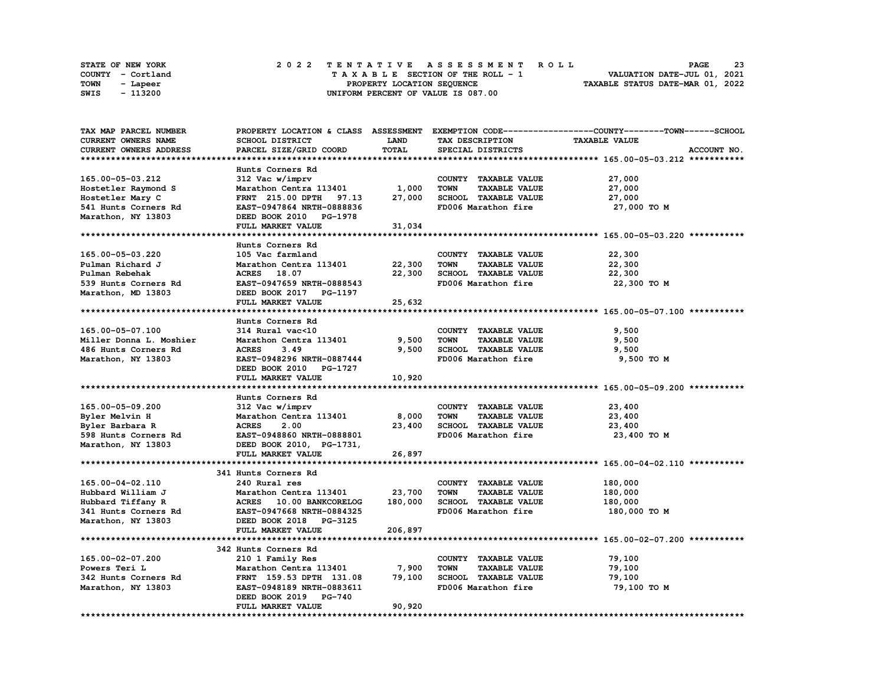|      | STATE OF NEW YORK | 2022 TENTATIVE ASSESSMENT ROLL     | 23<br><b>PAGE</b>                |
|------|-------------------|------------------------------------|----------------------------------|
|      | COUNTY - Cortland | TAXABLE SECTION OF THE ROLL - 1    | VALUATION DATE-JUL 01, 2021      |
| TOWN | - Lapeer          | PROPERTY LOCATION SEQUENCE         | TAXABLE STATUS DATE-MAR 01, 2022 |
| SWIS | - 113200          | UNIFORM PERCENT OF VALUE IS 087.00 |                                  |

| TAX MAP PARCEL NUMBER      |                                  |             |                                     | PROPERTY LOCATION & CLASS ASSESSMENT EXEMPTION CODE----------------COUNTY-------TOWN-----SCHOOL |
|----------------------------|----------------------------------|-------------|-------------------------------------|-------------------------------------------------------------------------------------------------|
| <b>CURRENT OWNERS NAME</b> | SCHOOL DISTRICT                  | <b>LAND</b> | TAX DESCRIPTION                     | <b>TAXABLE VALUE</b>                                                                            |
| CURRENT OWNERS ADDRESS     | PARCEL SIZE/GRID COORD           | TOTAL       | SPECIAL DISTRICTS                   | ACCOUNT NO.                                                                                     |
|                            |                                  |             |                                     |                                                                                                 |
|                            | Hunts Corners Rd                 |             |                                     |                                                                                                 |
| 165.00-05-03.212           | 312 Vac w/imprv                  |             | COUNTY TAXABLE VALUE                | 27,000                                                                                          |
| Hostetler Raymond S        | Marathon Centra 113401           | 1,000       | <b>TAXABLE VALUE</b><br><b>TOWN</b> | 27,000                                                                                          |
| Hostetler Mary C           | <b>FRNT</b> 215.00 DPTH<br>97.13 | 27,000      | SCHOOL TAXABLE VALUE                | 27,000                                                                                          |
| 541 Hunts Corners Rd       | EAST-0947864 NRTH-0888836        |             | FD006 Marathon fire                 | 27,000 TO M                                                                                     |
| Marathon, NY 13803         | DEED BOOK 2010 PG-1978           |             |                                     |                                                                                                 |
|                            | FULL MARKET VALUE                | 31,034      |                                     |                                                                                                 |
|                            |                                  |             |                                     |                                                                                                 |
|                            | Hunts Corners Rd                 |             |                                     |                                                                                                 |
| 165.00-05-03.220           | 105 Vac farmland                 |             | COUNTY TAXABLE VALUE                | 22,300                                                                                          |
| Pulman Richard J           | Marathon Centra 113401           | 22,300      | TOWN<br><b>TAXABLE VALUE</b>        | 22,300                                                                                          |
| Pulman Rebehak             | ACRES 18.07                      | 22,300      | SCHOOL TAXABLE VALUE                | 22,300                                                                                          |
| 539 Hunts Corners Rd       | EAST-0947659 NRTH-0888543        |             | FD006 Marathon fire                 | 22,300 TO M                                                                                     |
| Marathon, MD 13803         | DEED BOOK 2017 PG-1197           |             |                                     |                                                                                                 |
|                            | FULL MARKET VALUE                | 25,632      |                                     |                                                                                                 |
|                            |                                  |             |                                     |                                                                                                 |
|                            | Hunts Corners Rd                 |             |                                     |                                                                                                 |
| 165.00-05-07.100           | 314 Rural vac<10                 |             | COUNTY TAXABLE VALUE                | 9,500                                                                                           |
| Miller Donna L. Moshier    | Marathon Centra 113401           | 9,500       | <b>TOWN</b><br><b>TAXABLE VALUE</b> | 9,500                                                                                           |
| 486 Hunts Corners Rd       | <b>ACRES</b><br>3.49             | 9,500       | SCHOOL TAXABLE VALUE                | 9,500                                                                                           |
| Marathon, NY 13803         | EAST-0948296 NRTH-0887444        |             | FD006 Marathon fire                 | 9,500 TO M                                                                                      |
|                            | DEED BOOK 2010 PG-1727           |             |                                     |                                                                                                 |
|                            |                                  |             |                                     |                                                                                                 |
|                            | FULL MARKET VALUE                | 10,920      |                                     |                                                                                                 |
|                            |                                  |             |                                     |                                                                                                 |
|                            | Hunts Corners Rd                 |             |                                     |                                                                                                 |
| 165.00-05-09.200           | 312 Vac w/imprv                  |             | COUNTY TAXABLE VALUE                | 23,400                                                                                          |
| Byler Melvin H             | Marathon Centra 113401           | 8,000       | <b>TOWN</b><br><b>TAXABLE VALUE</b> | 23,400                                                                                          |
| Byler Barbara R            | <b>ACRES</b><br>2.00             | 23,400      | SCHOOL TAXABLE VALUE                | 23,400                                                                                          |
| 598 Hunts Corners Rd       | EAST-0948860 NRTH-0888801        |             | FD006 Marathon fire                 | 23,400 TO M                                                                                     |
| Marathon, NY 13803         | DEED BOOK 2010, PG-1731,         |             |                                     |                                                                                                 |
|                            | FULL MARKET VALUE                | 26,897      |                                     |                                                                                                 |
|                            |                                  |             |                                     |                                                                                                 |
|                            | 341 Hunts Corners Rd             |             |                                     |                                                                                                 |
| 165.00-04-02.110           | 240 Rural res                    |             | COUNTY TAXABLE VALUE                | 180,000                                                                                         |
| Hubbard William J          | Marathon Centra 113401           | 23,700      | <b>TOWN</b><br><b>TAXABLE VALUE</b> | 180,000                                                                                         |
| Hubbard Tiffany R          | ACRES 10.00 BANKCORELOG          | 180,000     | SCHOOL TAXABLE VALUE                | 180,000                                                                                         |
| 341 Hunts Corners Rd       | EAST-0947668 NRTH-0884325        |             | FD006 Marathon fire                 | 180,000 TO M                                                                                    |
| Marathon, NY 13803         | DEED BOOK 2018 PG-3125           |             |                                     |                                                                                                 |
|                            | FULL MARKET VALUE                | 206,897     |                                     |                                                                                                 |
|                            |                                  |             |                                     |                                                                                                 |
|                            | 342 Hunts Corners Rd             |             |                                     |                                                                                                 |
| 165.00-02-07.200           | 210 1 Family Res                 |             | COUNTY TAXABLE VALUE                | 79,100                                                                                          |
| Powers Teri L              | Marathon Centra 113401           | 7,900       | <b>TAXABLE VALUE</b><br><b>TOWN</b> | 79,100                                                                                          |
| 342 Hunts Corners Rd       | FRNT 159.53 DPTH 131.08          | 79,100      | SCHOOL TAXABLE VALUE                | 79,100                                                                                          |
| Marathon, NY 13803         | EAST-0948189 NRTH-0883611        |             | FD006 Marathon fire                 | 79,100 TO M                                                                                     |
|                            | DEED BOOK 2019 PG-740            |             |                                     |                                                                                                 |
|                            | FULL MARKET VALUE                | 90,920      |                                     |                                                                                                 |
|                            |                                  |             |                                     |                                                                                                 |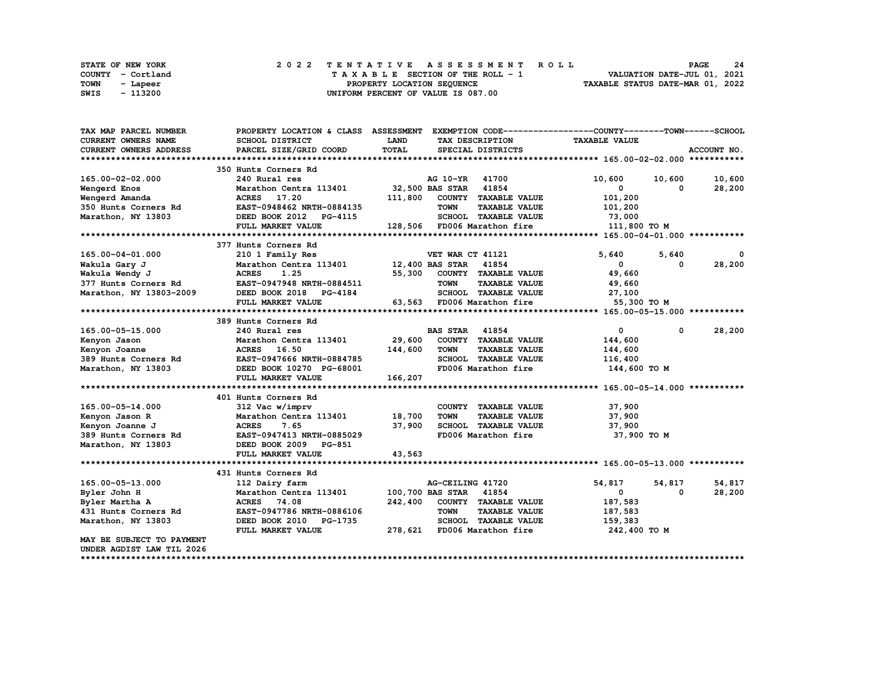|      | STATE OF NEW YORK |  | 2022 TENTATIVE ASSESSMENT ROLL                                 | <b>PAGE</b> | 24 |
|------|-------------------|--|----------------------------------------------------------------|-------------|----|
|      | COUNTY - Cortland |  | VALUATION DATE-JUL 01, 2021<br>TAXABLE SECTION OF THE ROLL - 1 |             |    |
| TOWN | - Lapeer          |  | TAXABLE STATUS DATE-MAR 01, 2022<br>PROPERTY LOCATION SEQUENCE |             |    |
| SWIS | - 113200          |  | UNIFORM PERCENT OF VALUE IS 087.00                             |             |    |

| TAX MAP PARCEL NUMBER      | PROPERTY LOCATION & CLASS ASSESSMENT         |             |                                     | EXEMPTION CODE-----------------COUNTY-------TOWN------SCHOOL |                        |
|----------------------------|----------------------------------------------|-------------|-------------------------------------|--------------------------------------------------------------|------------------------|
| <b>CURRENT OWNERS NAME</b> | SCHOOL DISTRICT                              | <b>LAND</b> | TAX DESCRIPTION                     | <b>TAXABLE VALUE</b>                                         |                        |
| CURRENT OWNERS ADDRESS     | PARCEL SIZE/GRID COORD                       | TOTAL       | SPECIAL DISTRICTS                   |                                                              | ACCOUNT NO.            |
|                            |                                              |             |                                     |                                                              |                        |
|                            | 350 Hunts Corners Rd                         |             |                                     |                                                              |                        |
| 165.00-02-02.000           | 240 Rural res                                |             | AG 10-YR 41700                      | 10,600<br>10,600                                             | 10,600                 |
| Wengerd Enos               | Marathon Centra 113401                       |             | 32,500 BAS STAR 41854               | 0                                                            | 28,200<br>0            |
| Wengerd Amanda             | ACRES 17.20                                  |             | 111,800 COUNTY TAXABLE VALUE        | 101,200                                                      |                        |
| 350 Hunts Corners Rd       | EAST-0948462 NRTH-0884135                    |             | <b>TOWN</b><br><b>TAXABLE VALUE</b> | 101,200                                                      |                        |
| Marathon, NY 13803         | DEED BOOK 2012 PG-4115                       |             | SCHOOL TAXABLE VALUE                | 73,000                                                       |                        |
|                            | FULL MARKET VALUE                            |             | 128,506 FD006 Marathon fire         | 111,800 TO M                                                 |                        |
|                            |                                              |             |                                     |                                                              |                        |
|                            |                                              |             |                                     |                                                              |                        |
|                            | 377 Hunts Corners Rd                         |             |                                     |                                                              |                        |
| 165.00-04-01.000           | 210 1 Family Res                             |             | VET WAR CT 41121                    | 5,640<br>5,640                                               |                        |
| Wakula Gary J              | Marathon Centra 113401 12,400 BAS STAR 41854 |             |                                     | $\mathbf{0}$                                                 | 28,200<br>$\Omega$     |
| Wakula Wendy J             | <b>ACRES</b><br>1.25                         | 55,300      | COUNTY TAXABLE VALUE                | 49,660                                                       |                        |
| 377 Hunts Corners Rd       | EAST-0947948 NRTH-0884511                    |             | <b>TOWN</b><br><b>TAXABLE VALUE</b> | 49,660                                                       |                        |
| Marathon, NY 13803-2009    | DEED BOOK 2018 PG-4184                       |             | SCHOOL TAXABLE VALUE                | 27,100                                                       |                        |
|                            | FULL MARKET VALUE                            |             | 63,563 FD006 Marathon fire          | 55,300 TO M                                                  |                        |
|                            |                                              |             |                                     |                                                              |                        |
|                            | 389 Hunts Corners Rd                         |             |                                     |                                                              |                        |
| 165.00-05-15.000           | 240 Rural res                                |             | <b>BAS STAR 41854</b>               | $\mathbf{0}$                                                 | 28,200<br>$\mathbf{0}$ |
| Kenyon Jason               | Marathon Centra 113401                       | 29,600      | COUNTY TAXABLE VALUE                | 144,600                                                      |                        |
| Kenyon Joanne              | <b>ACRES</b><br>16.50                        | 144,600     | <b>TOWN</b><br><b>TAXABLE VALUE</b> | 144,600                                                      |                        |
| 389 Hunts Corners Rd       | EAST-0947666 NRTH-0884785                    |             | SCHOOL TAXABLE VALUE                | 116,400                                                      |                        |
| Marathon, NY 13803         | DEED BOOK 10270 PG-68001                     |             | FD006 Marathon fire                 | 144,600 TO M                                                 |                        |
|                            | FULL MARKET VALUE                            | 166,207     |                                     |                                                              |                        |
|                            |                                              |             |                                     |                                                              |                        |
|                            | 401 Hunts Corners Rd                         |             |                                     |                                                              |                        |
| 165.00-05-14.000           | 312 Vac w/imprv                              |             | COUNTY TAXABLE VALUE                | 37,900                                                       |                        |
| Kenyon Jason R             | Marathon Centra 113401                       | 18,700      | <b>TOWN</b><br><b>TAXABLE VALUE</b> | 37,900                                                       |                        |
| Kenyon Joanne J            | <b>ACRES</b><br>7.65                         | 37,900      | SCHOOL TAXABLE VALUE                | 37,900                                                       |                        |
| 389 Hunts Corners Rd       | EAST-0947413 NRTH-0885029                    |             | FD006 Marathon fire                 | 37,900 TO M                                                  |                        |
| Marathon, NY 13803         | DEED BOOK 2009 PG-851                        |             |                                     |                                                              |                        |
|                            | FULL MARKET VALUE                            | 43,563      |                                     |                                                              |                        |
|                            |                                              |             |                                     |                                                              |                        |
|                            | 431 Hunts Corners Rd                         |             |                                     |                                                              |                        |
| 165.00-05-13.000           | 112 Dairy farm                               |             | AG-CEILING 41720                    | 54,817<br>54,817                                             | 54,817                 |
|                            |                                              |             |                                     |                                                              | $\Omega$               |
| Byler John H               | Marathon Centra 113401                       |             | 100,700 BAS STAR 41854              | $\mathbf 0$                                                  | 28,200                 |
| Byler Martha A             | <b>ACRES</b><br>74.08                        | 242,400     | COUNTY TAXABLE VALUE                | 187,583                                                      |                        |
| 431 Hunts Corners Rd       | EAST-0947786 NRTH-0886106                    |             | <b>TOWN</b><br><b>TAXABLE VALUE</b> | 187,583                                                      |                        |
| Marathon, NY 13803         | DEED BOOK 2010 PG-1735                       |             | SCHOOL TAXABLE VALUE                | 159,383                                                      |                        |
|                            | FULL MARKET VALUE                            |             | 278,621 FD006 Marathon fire         | 242,400 TO M                                                 |                        |
| MAY BE SUBJECT TO PAYMENT  |                                              |             |                                     |                                                              |                        |
| UNDER AGDIST LAW TIL 2026  |                                              |             |                                     |                                                              |                        |
|                            |                                              |             |                                     |                                                              |                        |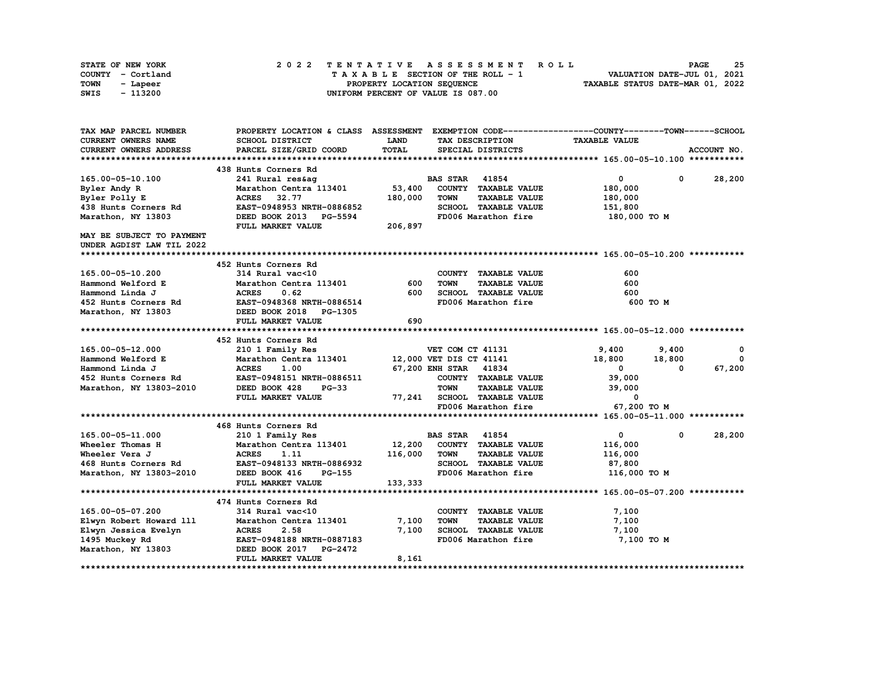| STATE OF NEW YORK | 2022 TENTATIVE ASSESSMENT ROLL     | 25<br><b>PAGE</b>                |
|-------------------|------------------------------------|----------------------------------|
| COUNTY - Cortland | TAXABLE SECTION OF THE ROLL - 1    | VALUATION DATE-JUL 01, 2021      |
| TOWN<br>- Lapeer  | PROPERTY LOCATION SEQUENCE         | TAXABLE STATUS DATE-MAR 01, 2022 |
| - 113200<br>SWIS  | UNIFORM PERCENT OF VALUE IS 087.00 |                                  |

| TAX MAP PARCEL NUMBER      |                                                |             |                                     | PROPERTY LOCATION & CLASS ASSESSMENT EXEMPTION CODE----------------COUNTY-------TOWN-----SCHOOL |              |
|----------------------------|------------------------------------------------|-------------|-------------------------------------|-------------------------------------------------------------------------------------------------|--------------|
| <b>CURRENT OWNERS NAME</b> | <b>SCHOOL DISTRICT</b>                         | <b>LAND</b> | TAX DESCRIPTION                     | <b>TAXABLE VALUE</b>                                                                            |              |
| CURRENT OWNERS ADDRESS     | PARCEL SIZE/GRID COORD                         | TOTAL       | SPECIAL DISTRICTS                   |                                                                                                 | ACCOUNT NO.  |
|                            |                                                |             |                                     |                                                                                                 |              |
|                            | 438 Hunts Corners Rd                           |             |                                     |                                                                                                 |              |
| 165.00-05-10.100           | 241 Rural res&ag                               |             | <b>BAS STAR 41854</b>               | $\overline{0}$<br>$\mathbf 0$                                                                   | 28,200       |
| Byler Andy R               | Marathon Centra 113401                         | 53,400      | COUNTY TAXABLE VALUE                | 180,000                                                                                         |              |
| Byler Polly E              | ACRES 32.77                                    | 180,000     | <b>TOWN</b><br><b>TAXABLE VALUE</b> | 180,000                                                                                         |              |
| 438 Hunts Corners Rd       | EAST-0948953 NRTH-0886852                      |             | SCHOOL TAXABLE VALUE                | 151,800                                                                                         |              |
| Marathon, NY 13803         | DEED BOOK 2013 PG-5594                         |             | FD006 Marathon fire                 | 180,000 то м                                                                                    |              |
|                            | FULL MARKET VALUE                              | 206,897     |                                     |                                                                                                 |              |
| MAY BE SUBJECT TO PAYMENT  |                                                |             |                                     |                                                                                                 |              |
| UNDER AGDIST LAW TIL 2022  |                                                |             |                                     |                                                                                                 |              |
|                            |                                                |             |                                     |                                                                                                 |              |
|                            | 452 Hunts Corners Rd                           |             |                                     |                                                                                                 |              |
| 165.00-05-10.200           | 314 Rural vac<10                               |             | COUNTY TAXABLE VALUE                | 600                                                                                             |              |
| Hammond Welford E          | Marathon Centra 113401                         | 600         | <b>TOWN</b><br><b>TAXABLE VALUE</b> | 600                                                                                             |              |
| Hammond Linda J            | <b>ACRES</b><br>0.62                           | 600         | SCHOOL TAXABLE VALUE                | 600                                                                                             |              |
| 452 Hunts Corners Rd       | <b>EAST-0948368 NRTH-0886514</b>               |             | FD006 Marathon fire                 | 600 то м                                                                                        |              |
| Marathon, NY 13803         | DEED BOOK 2018 PG-1305                         |             |                                     |                                                                                                 |              |
|                            | FULL MARKET VALUE                              | 690         |                                     |                                                                                                 |              |
|                            |                                                |             |                                     |                                                                                                 |              |
|                            | 452 Hunts Corners Rd                           |             |                                     |                                                                                                 |              |
| 165.00-05-12.000           | 210 1 Family Res                               |             | VET COM CT 41131                    | 9,400<br>9,400                                                                                  | 0            |
| Hammond Welford E          | Marathon Centra 113401 12,000 VET DIS CT 41141 |             |                                     | 18,800<br>18,800                                                                                | $\mathbf{0}$ |
| Hammond Linda J            | <b>ACRES</b><br>1.00                           |             | 67,200 ENH STAR 41834               | $\mathbf 0$<br>0                                                                                | 67,200       |
| 452 Hunts Corners Rd       | EAST-0948151 NRTH-0886511                      |             | COUNTY TAXABLE VALUE                | 39,000                                                                                          |              |
| Marathon, NY 13803-2010    | DEED BOOK 428<br>$PG-33$                       |             | <b>TOWN</b><br><b>TAXABLE VALUE</b> | 39,000                                                                                          |              |
|                            | FULL MARKET VALUE                              | 77,241      | SCHOOL TAXABLE VALUE                | 0                                                                                               |              |
|                            |                                                |             | FD006 Marathon fire                 | 67,200 TO M                                                                                     |              |
|                            |                                                |             |                                     |                                                                                                 |              |
|                            | 468 Hunts Corners Rd                           |             |                                     |                                                                                                 |              |
| 165.00-05-11.000           | 210 1 Family Res                               |             | <b>BAS STAR</b><br>41854            | $\mathbf 0$<br>0                                                                                | 28,200       |
| Wheeler Thomas H           | Marathon Centra 113401                         | 12,200      | COUNTY TAXABLE VALUE                | 116,000                                                                                         |              |
| Wheeler Vera J             | 1.11<br><b>ACRES</b>                           | 116,000     | <b>TOWN</b><br><b>TAXABLE VALUE</b> | 116,000                                                                                         |              |
| 468 Hunts Corners Rd       | EAST-0948133 NRTH-0886932                      |             | SCHOOL TAXABLE VALUE                | 87,800                                                                                          |              |
| Marathon, NY 13803-2010    | DEED BOOK 416<br>PG-155                        |             | FD006 Marathon fire                 | 116,000 TO M                                                                                    |              |
|                            | FULL MARKET VALUE                              | 133,333     |                                     |                                                                                                 |              |
|                            |                                                |             |                                     |                                                                                                 |              |
|                            | 474 Hunts Corners Rd                           |             |                                     |                                                                                                 |              |
| 165.00-05-07.200           | 314 Rural vac<10                               |             | COUNTY TAXABLE VALUE                | 7,100                                                                                           |              |
| Elwyn Robert Howard 111    | Marathon Centra 113401                         | 7,100       | <b>TAXABLE VALUE</b><br><b>TOWN</b> | 7,100                                                                                           |              |
| Elwyn Jessica Evelyn       | <b>ACRES</b><br>2.58                           | 7,100       | SCHOOL TAXABLE VALUE                | 7,100                                                                                           |              |
| 1495 Muckey Rd             | EAST-0948188 NRTH-0887183                      |             | FD006 Marathon fire                 | 7,100 TO M                                                                                      |              |
| Marathon, NY 13803         | DEED BOOK 2017 PG-2472                         |             |                                     |                                                                                                 |              |
|                            | FULL MARKET VALUE                              | 8,161       |                                     |                                                                                                 |              |
|                            |                                                |             |                                     |                                                                                                 |              |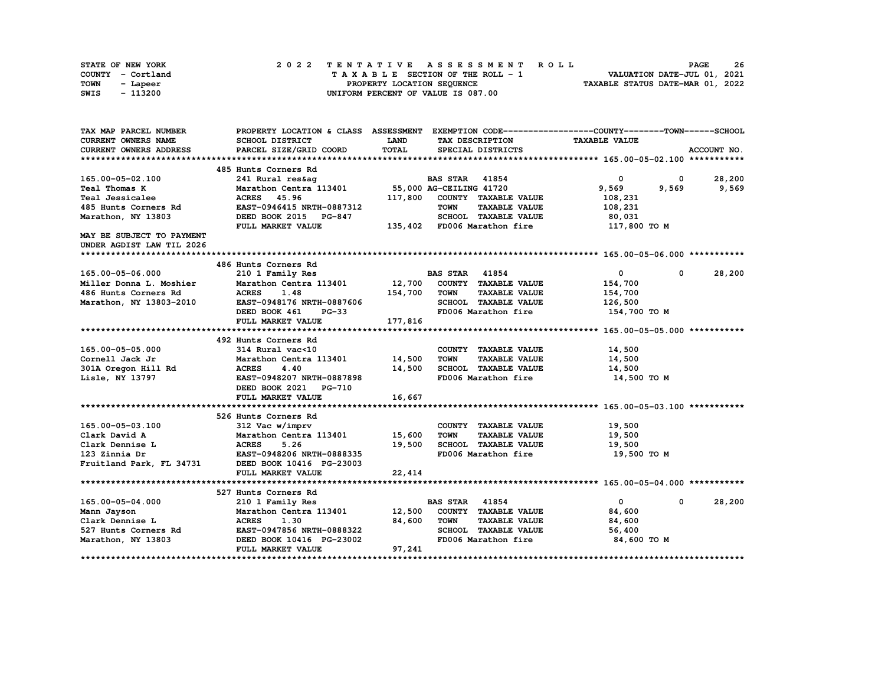| STATE OF NEW YORK | 2022 TENTATIVE ASSESSMENT ROLL     | 26<br><b>PAGE</b>                |
|-------------------|------------------------------------|----------------------------------|
| COUNTY - Cortland | TAXABLE SECTION OF THE ROLL - 1    | VALUATION DATE-JUL 01, 2021      |
| TOWN<br>- Lapeer  | PROPERTY LOCATION SEQUENCE         | TAXABLE STATUS DATE-MAR 01, 2022 |
| - 113200<br>SWIS  | UNIFORM PERCENT OF VALUE IS 087.00 |                                  |

| TAX MAP PARCEL NUMBER         |                                                    |             |                                          | PROPERTY LOCATION & CLASS ASSESSMENT EXEMPTION CODE----------------COUNTY-------TOWN-----SCHOOL |                  |
|-------------------------------|----------------------------------------------------|-------------|------------------------------------------|-------------------------------------------------------------------------------------------------|------------------|
| CURRENT OWNERS NAME           | <b>SCHOOL DISTRICT</b>                             | <b>LAND</b> | TAX DESCRIPTION                          | <b>TAXABLE VALUE</b>                                                                            |                  |
| <b>CURRENT OWNERS ADDRESS</b> | PARCEL SIZE/GRID COORD                             | TOTAL       | SPECIAL DISTRICTS                        |                                                                                                 | ACCOUNT NO.      |
|                               |                                                    |             |                                          |                                                                                                 |                  |
|                               | 485 Hunts Corners Rd                               |             |                                          |                                                                                                 |                  |
| 165.00-05-02.100              | 241 Rural res&aq                                   |             | <b>BAS STAR</b> 41854                    | $\mathbf 0$                                                                                     | $0\qquad 28,200$ |
| <b>Teal Thomas K</b>          | Marathon Centra 113401 55,000 AG-CEILING 41720     |             |                                          | 9,569<br>9,569                                                                                  | 9,569            |
| Teal Jessicalee               | ACRES 45.96                                        |             | 117,800 COUNTY TAXABLE VALUE             | 108,231                                                                                         |                  |
| 485 Hunts Corners Rd          | EAST-0946415 NRTH-0887312                          |             | <b>TOWN</b><br><b>TAXABLE VALUE</b>      | 108,231                                                                                         |                  |
| Marathon, NY 13803            | DEED BOOK 2015 PG-847                              |             | SCHOOL TAXABLE VALUE                     | 80,031                                                                                          |                  |
|                               | FULL MARKET VALUE                                  |             | 135,402 FD006 Marathon fire 117,800 TO M |                                                                                                 |                  |
| MAY BE SUBJECT TO PAYMENT     |                                                    |             |                                          |                                                                                                 |                  |
| UNDER AGDIST LAW TIL 2026     |                                                    |             |                                          |                                                                                                 |                  |
|                               |                                                    |             |                                          |                                                                                                 |                  |
|                               | 486 Hunts Corners Rd                               |             |                                          |                                                                                                 |                  |
| 165.00-05-06.000              | 210 1 Family Res                                   |             | <b>BAS STAR</b> 41854                    | $\mathbf{0}$<br>$^{\circ}$                                                                      | 28,200           |
| Miller Donna L. Moshier       | Marathon Centra 113401 12,700 COUNTY TAXABLE VALUE |             |                                          | 154,700                                                                                         |                  |
| 486 Hunts Corners Rd          | <b>ACRES</b><br>1.48                               | 154,700     | <b>TOWN</b><br><b>TAXABLE VALUE</b>      | 154,700                                                                                         |                  |
| Marathon, NY 13803-2010       | <b>EAST-0948176 NRTH-0887606</b>                   |             | SCHOOL TAXABLE VALUE                     | 126,500                                                                                         |                  |
|                               | DEED BOOK 461<br><b>PG-33</b>                      |             | FD006 Marathon fire                      | 154,700 TO M                                                                                    |                  |
|                               | FULL MARKET VALUE                                  | 177,816     |                                          |                                                                                                 |                  |
|                               |                                                    |             |                                          |                                                                                                 |                  |
|                               | 492 Hunts Corners Rd                               |             |                                          |                                                                                                 |                  |
| 165.00-05-05.000              | 314 Rural vac<10                                   |             | COUNTY TAXABLE VALUE                     | 14,500                                                                                          |                  |
| Cornell Jack Jr               | Marathon Centra 113401 14,500                      |             | <b>TOWN</b><br><b>TAXABLE VALUE</b>      | 14,500                                                                                          |                  |
| 301A Oregon Hill Rd           | <b>ACRES</b><br>4.40                               | 14,500      | SCHOOL TAXABLE VALUE                     | 14,500                                                                                          |                  |
| Lisle, NY 13797               | EAST-0948207 NRTH-0887898                          |             | FD006 Marathon fire                      | 14,500 TO M                                                                                     |                  |
|                               | DEED BOOK 2021 PG-710                              |             |                                          |                                                                                                 |                  |
|                               | FULL MARKET VALUE                                  | 16,667      |                                          |                                                                                                 |                  |
|                               |                                                    |             |                                          |                                                                                                 |                  |
|                               | 526 Hunts Corners Rd                               |             |                                          |                                                                                                 |                  |
| 165.00-05-03.100              | 312 Vac w/imprv                                    |             | COUNTY TAXABLE VALUE                     | 19,500                                                                                          |                  |
| Clark David A                 | Marathon Centra 113401 15,600                      |             | <b>TOWN</b><br><b>TAXABLE VALUE</b>      | 19,500                                                                                          |                  |
| Clark Dennise L               | <b>ACRES</b> 5.26<br>EAST-0948206 NRTH-0888335     | 19,500      | SCHOOL TAXABLE VALUE                     | 19,500                                                                                          |                  |
| 123 Zinnia Dr                 |                                                    |             | FD006 Marathon fire                      | 19,500 TO M                                                                                     |                  |
| Fruitland Park, FL 34731      | DEED BOOK 10416 PG-23003                           |             |                                          |                                                                                                 |                  |
|                               | FULL MARKET VALUE                                  | 22,414      |                                          |                                                                                                 |                  |
|                               |                                                    |             |                                          |                                                                                                 |                  |
|                               | 527 Hunts Corners Rd                               |             |                                          |                                                                                                 |                  |
| 165.00-05-04.000              | 210 1 Family Res                                   |             | <b>BAS STAR</b> 41854                    | $\mathbf{0}$<br>$\mathbf 0$                                                                     | 28,200           |
| Mann Jayson                   | Marathon Centra 113401 12,500                      |             | COUNTY TAXABLE VALUE                     | 84,600                                                                                          |                  |
| Clark Dennise L               | <b>ACRES</b><br>1.30                               | 84,600      | TOWN<br><b>TAXABLE VALUE</b>             | 84,600                                                                                          |                  |
| 527 Hunts Corners Rd          | EAST-0947856 NRTH-0888322                          |             | SCHOOL TAXABLE VALUE                     | 56,400                                                                                          |                  |
| Marathon, NY 13803            | -<br>DEED BOOK 10416 PG-23002                      |             | FD006 Marathon fire                      | 84,600 TO M                                                                                     |                  |
|                               | FULL MARKET VALUE                                  | 97,241      |                                          |                                                                                                 |                  |
|                               |                                                    |             |                                          |                                                                                                 |                  |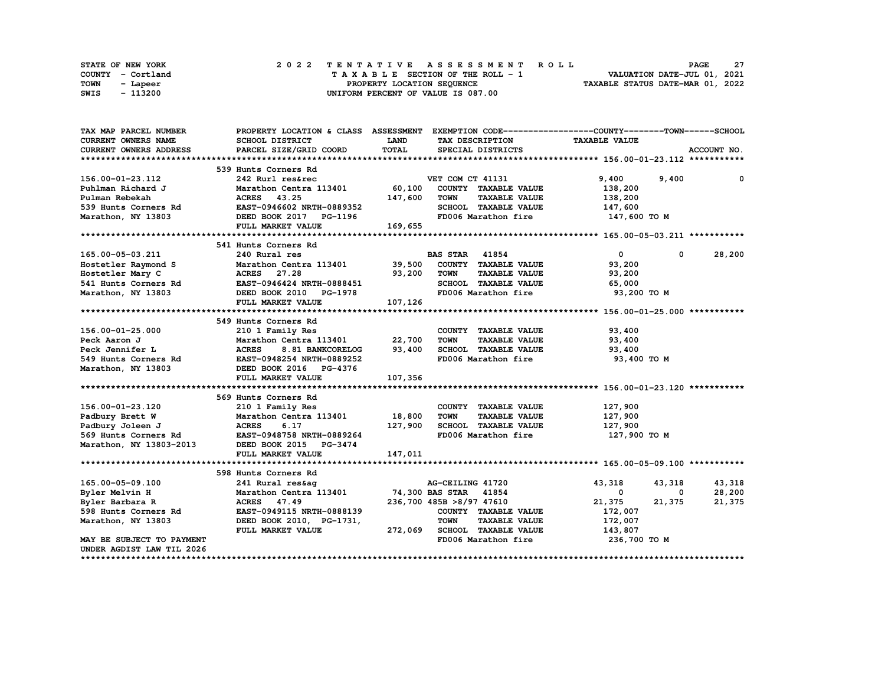| STATE OF NEW YORK | 2022 TENTATIVE ASSESSMENT ROLL     | 27<br><b>PAGE</b>                |
|-------------------|------------------------------------|----------------------------------|
| COUNTY - Cortland | TAXABLE SECTION OF THE ROLL - 1    | VALUATION DATE-JUL 01, 2021      |
| TOWN<br>- Lapeer  | PROPERTY LOCATION SEQUENCE         | TAXABLE STATUS DATE-MAR 01, 2022 |
| - 113200<br>SWIS  | UNIFORM PERCENT OF VALUE IS 087.00 |                                  |

| TAX MAP PARCEL NUMBER                                                                | PROPERTY LOCATION & CLASS ASSESSMENT EXEMPTION CODE----------------COUNTY-------TOWN-----SCHOOL |             |                          |                              |                                  |            |             |
|--------------------------------------------------------------------------------------|-------------------------------------------------------------------------------------------------|-------------|--------------------------|------------------------------|----------------------------------|------------|-------------|
| CURRENT OWNERS NAME                                                                  | SCHOOL DISTRICT                                                                                 | <b>LAND</b> |                          | TAX DESCRIPTION              | <b>TAXABLE VALUE</b>             |            |             |
| <b>CURRENT OWNERS ADDRESS</b>                                                        | PARCEL SIZE/GRID COORD                                                                          | TOTAL       |                          | SPECIAL DISTRICTS            |                                  |            | ACCOUNT NO. |
|                                                                                      |                                                                                                 |             |                          |                              |                                  |            |             |
|                                                                                      | 539 Hunts Corners Rd                                                                            |             |                          |                              |                                  |            |             |
| 156.00-01-23.112                                                                     | 242 Rurl res&rec                                                                                |             | VET COM CT 41131         |                              | 9,400                            | 9,400      | 0           |
| Puhlman Richard J                                                                    | Marathon Centra 113401 60,100                                                                   |             |                          | COUNTY TAXABLE VALUE         | 138,200                          |            |             |
| Pulman Rebekah                                                                       | ACRES 43.25                                                                                     | 147,600     | <b>TOWN</b>              | <b>TAXABLE VALUE</b>         | 138,200                          |            |             |
| 539 Hunts Corners Rd                                                                 | EAST-0946602 NRTH-0889352                                                                       |             |                          | SCHOOL TAXABLE VALUE         | 147,600                          |            |             |
| Marathon, NY 13803                                                                   | DEED BOOK 2017 PG-1196                                                                          |             |                          |                              | FD006 Marathon fire 147,600 TO M |            |             |
|                                                                                      | FULL MARKET VALUE                                                                               | 169,655     |                          |                              |                                  |            |             |
|                                                                                      |                                                                                                 |             |                          |                              |                                  |            |             |
|                                                                                      | 541 Hunts Corners Rd                                                                            |             |                          |                              |                                  |            |             |
| 165.00-05-03.211                                                                     | 240 Rural res                                                                                   |             | <b>BAS STAR 41854</b>    |                              | $\mathbf{0}$                     | $^{\circ}$ | 28,200      |
| Hostetler Raymond S                                                                  | Marathon Centra 113401 39,500                                                                   |             |                          | COUNTY TAXABLE VALUE         | 93,200                           |            |             |
| Hostetler Mary C                                                                     | ACRES 27.28                                                                                     | 93,200      | <b>TOWN</b>              | <b>TAXABLE VALUE</b>         | 93,200                           |            |             |
|                                                                                      | EAST-0946424 NRTH-0888451                                                                       |             |                          | SCHOOL TAXABLE VALUE         | 65,000                           |            |             |
| Hostetler Mary C<br>541 Hunts Corners Rd<br>Marathon, NY 13803<br>Marathon, NY 13803 | DEED BOOK 2010 PG-1978                                                                          |             |                          | FD006 Marathon fire          | 93,200 TO M                      |            |             |
|                                                                                      | FULL MARKET VALUE                                                                               | 107,126     |                          |                              |                                  |            |             |
|                                                                                      |                                                                                                 |             |                          |                              |                                  |            |             |
|                                                                                      | 549 Hunts Corners Rd                                                                            |             |                          |                              |                                  |            |             |
| 156.00-01-25.000                                                                     | 210 1 Family Res                                                                                |             |                          | COUNTY TAXABLE VALUE         | 93,400                           |            |             |
| Peck Aaron J                                                                         | Marathon Centra 113401 22,700                                                                   |             | <b>TOWN</b>              | <b>TAXABLE VALUE</b>         | 93,400                           |            |             |
| Peck Jennifer L                                                                      | 8.81 BANKCORELOG 93,400<br><b>ACRES</b>                                                         |             |                          | SCHOOL TAXABLE VALUE         | 93,400                           |            |             |
|                                                                                      |                                                                                                 |             |                          | FD006 Marathon fire          | 93,400 TO M                      |            |             |
| 549 Hunts Corners Rd EAST-0948254 NRTH-0889252<br>Marathon, NY 13803                 | DEED BOOK 2016 PG-4376                                                                          |             |                          |                              |                                  |            |             |
|                                                                                      | FULL MARKET VALUE                                                                               | 107,356     |                          |                              |                                  |            |             |
|                                                                                      |                                                                                                 |             |                          |                              |                                  |            |             |
|                                                                                      | 569 Hunts Corners Rd                                                                            |             |                          |                              |                                  |            |             |
| 156.00-01-23.120                                                                     | 210 1 Family Res                                                                                |             |                          | COUNTY TAXABLE VALUE         | 127,900                          |            |             |
| Padbury Brett W                                                                      | Marathon Centra 113401                                                                          | 18,800      | <b>TOWN</b>              | <b>TAXABLE VALUE</b>         | 127,900                          |            |             |
| Padbury Joleen J                                                                     | <b>ACRES</b><br>6.17                                                                            | 127,900     |                          | SCHOOL TAXABLE VALUE         | 127,900                          |            |             |
| 569 Hunts Corners Rd                                                                 | <b>EAST-0948758 NRTH-0889264</b>                                                                |             |                          | FD006 Marathon fire          | 127,900 TO M                     |            |             |
| Marathon, NY 13803-2013                                                              | DEED BOOK 2015 PG-3474                                                                          |             |                          |                              |                                  |            |             |
|                                                                                      | FULL MARKET VALUE                                                                               | 147,011     |                          |                              |                                  |            |             |
|                                                                                      |                                                                                                 |             |                          |                              |                                  |            |             |
|                                                                                      | 598 Hunts Corners Rd                                                                            |             |                          |                              |                                  |            |             |
| 165.00-05-09.100                                                                     | 241 Rural res&ag                                                                                |             | AG-CEILING 41720         |                              | 43,318                           | 43,318     | 43,318      |
| Byler Melvin H                                                                       | Marathon Centra 113401 74,300 BAS STAR 41854                                                    |             |                          |                              | $\mathbf 0$                      | 0          | 28,200      |
| Byler Barbara R                                                                      | ACRES 47.49                                                                                     |             | 236,700 485B >8/97 47610 |                              | 21,375                           | 21,375     | 21,375      |
| 598 Hunts Corners Rd                                                                 | EAST-0949115 NRTH-0888139                                                                       |             |                          | COUNTY TAXABLE VALUE         | 172,007                          |            |             |
| Marathon, NY 13803                                                                   | DEED BOOK 2010, PG-1731,                                                                        |             | <b>TOWN</b>              | <b>TAXABLE VALUE</b>         | 172,007                          |            |             |
|                                                                                      | FULL MARKET VALUE                                                                               |             |                          | 272,069 SCHOOL TAXABLE VALUE | 143,807                          |            |             |
| MAY BE SUBJECT TO PAYMENT                                                            |                                                                                                 |             |                          | FD006 Marathon fire          | 236,700 то м                     |            |             |
| UNDER AGDIST LAW TIL 2026                                                            |                                                                                                 |             |                          |                              |                                  |            |             |
|                                                                                      |                                                                                                 |             |                          |                              |                                  |            |             |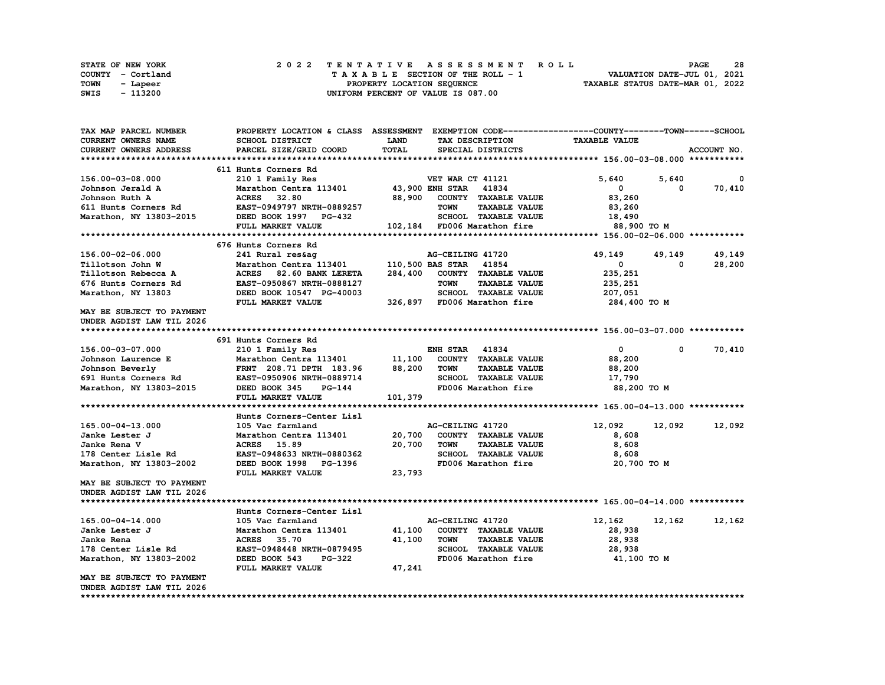|      | STATE OF NEW YORK |  | 2022 TENTATIVE ASSESSMENT ROLL     | 28<br><b>PAGE</b>                |
|------|-------------------|--|------------------------------------|----------------------------------|
|      | COUNTY - Cortland |  | TAXABLE SECTION OF THE ROLL - 1    | VALUATION DATE-JUL 01, 2021      |
| TOWN | - Lapeer          |  | PROPERTY LOCATION SEQUENCE         | TAXABLE STATUS DATE-MAR 01, 2022 |
| SWIS | - 113200          |  | UNIFORM PERCENT OF VALUE IS 087.00 |                                  |

| TAX MAP PARCEL NUMBER     |                                              |             |                                     | PROPERTY LOCATION & CLASS ASSESSMENT EXEMPTION CODE-----------------COUNTY-------TOWN-----SCHOOL |                      |
|---------------------------|----------------------------------------------|-------------|-------------------------------------|--------------------------------------------------------------------------------------------------|----------------------|
| CURRENT OWNERS NAME       | SCHOOL DISTRICT                              | <b>LAND</b> | TAX DESCRIPTION                     | <b>TAXABLE VALUE</b>                                                                             |                      |
| CURRENT OWNERS ADDRESS    | PARCEL SIZE/GRID COORD                       | TOTAL       | SPECIAL DISTRICTS                   |                                                                                                  | ACCOUNT NO.          |
|                           |                                              |             |                                     |                                                                                                  |                      |
|                           | 611 Hunts Corners Rd                         |             |                                     |                                                                                                  |                      |
| 156.00-03-08.000          | 210 1 Family Res                             |             | VET WAR CT 41121                    | 5,640<br>5,640                                                                                   | 0                    |
| Johnson Jerald A          | Marathon Centra 113401 43,900 ENH STAR 41834 |             |                                     | $\mathbf{0}$                                                                                     | 70,410<br>$^{\circ}$ |
| Johnson Ruth A            | ACRES 32.80                                  | 88,900      | COUNTY TAXABLE VALUE                | 83,260                                                                                           |                      |
| 611 Hunts Corners Rd      | EAST-0949797 NRTH-0889257                    |             | <b>TOWN</b><br><b>TAXABLE VALUE</b> | 83,260                                                                                           |                      |
| Marathon, NY 13803-2015   | DEED BOOK 1997 PG-432                        |             | SCHOOL TAXABLE VALUE                | 18,490                                                                                           |                      |
|                           | FULL MARKET VALUE                            |             | .<br>102,184 FD006 Marathon fire    | 88,900 TO M                                                                                      |                      |
|                           |                                              |             |                                     |                                                                                                  |                      |
|                           | 676 Hunts Corners Rd                         |             |                                     |                                                                                                  |                      |
|                           |                                              |             |                                     |                                                                                                  |                      |
| 156.00-02-06.000          | 241 Rural res&aq                             |             | AG-CEILING 41720                    | 49,149<br>49,149                                                                                 | 49,149               |
| Tillotson John W          | Marathon Centra 113401                       |             | 110,500 BAS STAR 41854              | $\mathbf{0}$                                                                                     | 28,200<br>0          |
| Tillotson Rebecca A       | ACRES 82.60 BANK LERETA                      | 284,400     | COUNTY TAXABLE VALUE                | 235,251                                                                                          |                      |
| 676 Hunts Corners Rd      | EAST-0950867 NRTH-0888127                    |             | <b>TOWN</b><br><b>TAXABLE VALUE</b> | 235,251                                                                                          |                      |
| Marathon, NY 13803        | DEED BOOK 10547 PG-40003                     |             | SCHOOL TAXABLE VALUE                | 207,051                                                                                          |                      |
|                           | FULL MARKET VALUE                            |             | 326,897 FD006 Marathon fire         | 284,400 TO M                                                                                     |                      |
| MAY BE SUBJECT TO PAYMENT |                                              |             |                                     |                                                                                                  |                      |
| UNDER AGDIST LAW TIL 2026 |                                              |             |                                     |                                                                                                  |                      |
|                           |                                              |             |                                     |                                                                                                  |                      |
|                           | 691 Hunts Corners Rd                         |             |                                     |                                                                                                  |                      |
| 156.00-03-07.000          | 210 1 Family Res                             |             | <b>ENH STAR 41834</b>               | $\mathbf{0}$                                                                                     | 70,410<br>$^{\circ}$ |
| Johnson Laurence E        | Marathon Centra 113401 11,100                |             | COUNTY TAXABLE VALUE                | 88,200                                                                                           |                      |
| Johnson Beverly           | FRNT 208.71 DPTH 183.96 88,200               |             | TOWN<br><b>TAXABLE VALUE</b>        | 88,200                                                                                           |                      |
| 691 Hunts Corners Rd      | EAST-0950906 NRTH-0889714                    |             | SCHOOL TAXABLE VALUE                | 17,790                                                                                           |                      |
| Marathon, NY 13803-2015   | DEED BOOK 345<br>PG-144                      |             | FD006 Marathon fire                 | 88,200 TO M                                                                                      |                      |
|                           | FULL MARKET VALUE                            | 101,379     |                                     |                                                                                                  |                      |
|                           |                                              |             |                                     |                                                                                                  |                      |
|                           | Hunts Corners-Center Lisl                    |             |                                     |                                                                                                  |                      |
| 165.00-04-13.000          | 105 Vac farmland                             |             | AG-CEILING 41720                    | 12,092<br>12,092                                                                                 | 12,092               |
| Janke Lester J            | Marathon Centra 113401                       | 20,700      | COUNTY TAXABLE VALUE                | 8,608                                                                                            |                      |
| Janke Rena V              | ACRES 15.89                                  | 20,700      | <b>TOWN</b><br><b>TAXABLE VALUE</b> | 8,608                                                                                            |                      |
| 178 Center Lisle Rd       | EAST-0948633 NRTH-0880362                    |             | SCHOOL TAXABLE VALUE                | 8,608                                                                                            |                      |
| Marathon, NY 13803-2002   | DEED BOOK 1998 PG-1396                       |             | FD006 Marathon fire                 | 20,700 TO M                                                                                      |                      |
|                           | FULL MARKET VALUE                            | 23,793      |                                     |                                                                                                  |                      |
| MAY BE SUBJECT TO PAYMENT |                                              |             |                                     |                                                                                                  |                      |
| UNDER AGDIST LAW TIL 2026 |                                              |             |                                     |                                                                                                  |                      |
|                           |                                              |             |                                     |                                                                                                  |                      |
|                           | Hunts Corners-Center Lisl                    |             |                                     |                                                                                                  |                      |
| 165.00-04-14.000          | 105 Vac farmland                             |             | AG-CEILING 41720                    | 12,162<br>12,162                                                                                 | 12,162               |
| Janke Lester J            | Marathon Centra 113401                       | 41,100      | COUNTY TAXABLE VALUE                | 28,938                                                                                           |                      |
| Janke Rena                | ACRES 35.70                                  | 41,100      | <b>TOWN</b><br><b>TAXABLE VALUE</b> | 28,938                                                                                           |                      |
| 178 Center Lisle Rd       | EAST-0948448 NRTH-0879495                    |             | SCHOOL TAXABLE VALUE                | 28,938                                                                                           |                      |
|                           | DEED BOOK 543<br><b>PG-322</b>               |             | FD006 Marathon fire                 | 41,100 TO M                                                                                      |                      |
| Marathon, NY 13803-2002   | FULL MARKET VALUE                            | 47,241      |                                     |                                                                                                  |                      |
| MAY BE SUBJECT TO PAYMENT |                                              |             |                                     |                                                                                                  |                      |
| UNDER AGDIST LAW TIL 2026 |                                              |             |                                     |                                                                                                  |                      |
|                           |                                              |             |                                     |                                                                                                  |                      |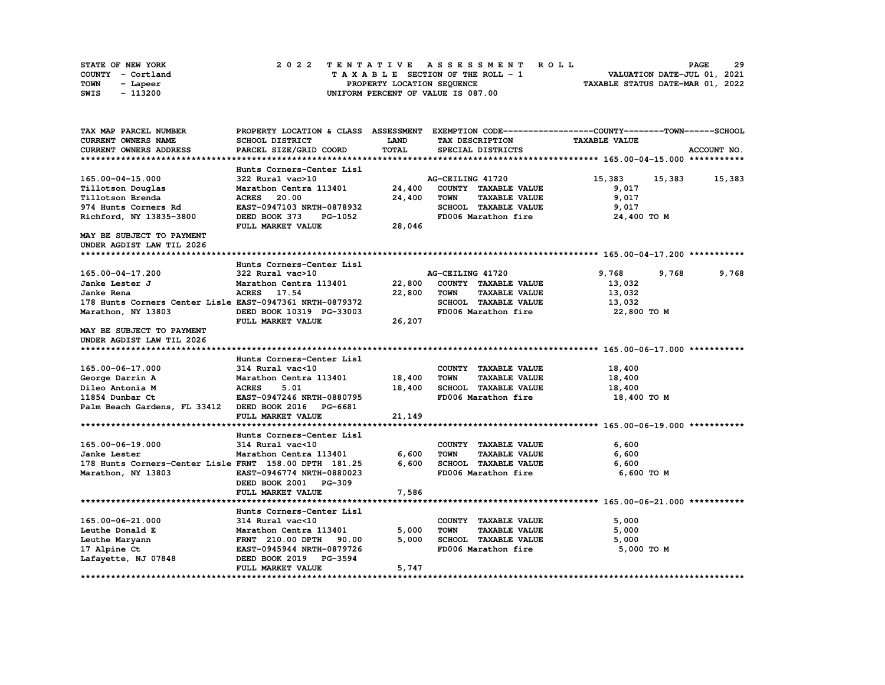| STATE OF NEW YORK |  | 2022 TENTATIVE ASSESSMENT ROLL     |  | <b>PAGE</b>                      | 29 |
|-------------------|--|------------------------------------|--|----------------------------------|----|
| COUNTY - Cortland |  | TAXABLE SECTION OF THE ROLL - 1    |  | VALUATION DATE-JUL 01, 2021      |    |
| TOWN<br>- Lapeer  |  | PROPERTY LOCATION SEQUENCE         |  | TAXABLE STATUS DATE-MAR 01, 2022 |    |
| - 113200<br>SWIS  |  | UNIFORM PERCENT OF VALUE IS 087.00 |  |                                  |    |

| <b>TAXABLE VALUE</b><br><b>CURRENT OWNERS NAME</b><br>SCHOOL DISTRICT<br><b>LAND</b><br>TAX DESCRIPTION<br><b>TOTAL</b><br>ACCOUNT NO.<br>CURRENT OWNERS ADDRESS<br>PARCEL SIZE/GRID COORD<br>SPECIAL DISTRICTS<br>Hunts Corners-Center Lisl<br>322 Rural vac>10<br>AG-CEILING 41720<br>15,383<br>15,383<br>15,383<br>165.00-04-15.000<br>Marathon Centra 113401<br>24,400<br>COUNTY TAXABLE VALUE<br>Tillotson Douglas<br>9,017<br>9,017<br>Tillotson Brenda<br><b>ACRES</b><br>20.00<br>24,400<br><b>TOWN</b><br><b>TAXABLE VALUE</b><br>SCHOOL TAXABLE VALUE<br>974 Hunts Corners Rd<br>EAST-0947103 NRTH-0878932<br>9,017<br>Richford, NY 13835-3800<br>DEED BOOK 373<br>FD006 Marathon fire<br>24,400 TO M<br>PG-1052<br>FULL MARKET VALUE<br>28,046<br>MAY BE SUBJECT TO PAYMENT<br>UNDER AGDIST LAW TIL 2026<br>Hunts Corners-Center Lisl<br>165.00-04-17.200<br>322 Rural vac>10<br>AG-CEILING 41720<br>9,768<br>9,768<br>9,768<br>22,800<br>COUNTY TAXABLE VALUE<br>Janke Lester J<br>Marathon Centra 113401<br>13,032<br><b>ACRES</b><br>17.54<br>22,800<br><b>TOWN</b><br><b>TAXABLE VALUE</b><br>13,032<br>Janke Rena<br>SCHOOL TAXABLE VALUE<br>178 Hunts Corners Center Lisle EAST-0947361 NRTH-0879372<br>13,032<br>Marathon, NY 13803<br>DEED BOOK 10319 PG-33003<br>FD006 Marathon fire<br>22,800 TO M<br>26,207<br>FULL MARKET VALUE<br>MAY BE SUBJECT TO PAYMENT<br>UNDER AGDIST LAW TIL 2026<br>Hunts Corners-Center Lisl<br>165.00-06-17.000<br>COUNTY TAXABLE VALUE<br>314 Rural vac<10<br>18,400<br>18,400<br>George Darrin A<br>Marathon Centra 113401<br>TOWN<br><b>TAXABLE VALUE</b><br>18,400<br>Dileo Antonia M<br><b>ACRES</b><br>5.01<br>18,400<br>SCHOOL TAXABLE VALUE<br>18,400<br>11854 Dunbar Ct<br>EAST-0947246 NRTH-0880795<br>FD006 Marathon fire<br>18,400 TO M<br>Palm Beach Gardens, FL 33412 DEED BOOK 2016 PG-6681<br>FULL MARKET VALUE<br>21,149<br>Hunts Corners-Center Lisl<br>165.00-06-19.000<br>314 Rural vac<10<br>COUNTY TAXABLE VALUE<br>6,600<br>6,600<br>6,600<br>Janke Lester<br>Marathon Centra 113401<br><b>TOWN</b><br><b>TAXABLE VALUE</b><br>6,600<br>178 Hunts Corners-Center Lisle FRNT 158.00 DPTH 181.25<br>SCHOOL TAXABLE VALUE<br>6,600<br>Marathon, NY 13803<br>EAST-0946774 NRTH-0880023<br>FD006 Marathon fire<br>6,600 TO M<br>DEED BOOK 2001 PG-309<br>FULL MARKET VALUE<br>7,586<br>Hunts Corners-Center Lisl<br>314 Rural vac<10<br>165.00-06-21.000<br>COUNTY TAXABLE VALUE<br>5,000<br>5,000<br><b>TOWN</b><br><b>TAXABLE VALUE</b><br>Leuthe Donald E<br>Marathon Centra 113401<br>5,000<br>SCHOOL TAXABLE VALUE<br>Leuthe Maryann<br>90.00<br>5,000<br>5,000<br><b>FRNT</b> 210.00 DPTH<br>EAST-0945944 NRTH-0879726<br>FD006 Marathon fire<br>5,000 TO M<br>17 Alpine Ct<br>Lafayette, NJ 07848<br>DEED BOOK 2019 PG-3594<br>5,747<br>FULL MARKET VALUE | TAX MAP PARCEL NUMBER | PROPERTY LOCATION & CLASS ASSESSMENT EXEMPTION CODE----------------COUNTY-------TOWN-----SCHOOL |  |  |
|--------------------------------------------------------------------------------------------------------------------------------------------------------------------------------------------------------------------------------------------------------------------------------------------------------------------------------------------------------------------------------------------------------------------------------------------------------------------------------------------------------------------------------------------------------------------------------------------------------------------------------------------------------------------------------------------------------------------------------------------------------------------------------------------------------------------------------------------------------------------------------------------------------------------------------------------------------------------------------------------------------------------------------------------------------------------------------------------------------------------------------------------------------------------------------------------------------------------------------------------------------------------------------------------------------------------------------------------------------------------------------------------------------------------------------------------------------------------------------------------------------------------------------------------------------------------------------------------------------------------------------------------------------------------------------------------------------------------------------------------------------------------------------------------------------------------------------------------------------------------------------------------------------------------------------------------------------------------------------------------------------------------------------------------------------------------------------------------------------------------------------------------------------------------------------------------------------------------------------------------------------------------------------------------------------------------------------------------------------------------------------------------------------------------------------------------------------------------------------------------------------------------------------------------------------------------------------------------------------------------------------------------------------------------------------------------------------------------------------------------------------------------------------------------------------------------------------------|-----------------------|-------------------------------------------------------------------------------------------------|--|--|
|                                                                                                                                                                                                                                                                                                                                                                                                                                                                                                                                                                                                                                                                                                                                                                                                                                                                                                                                                                                                                                                                                                                                                                                                                                                                                                                                                                                                                                                                                                                                                                                                                                                                                                                                                                                                                                                                                                                                                                                                                                                                                                                                                                                                                                                                                                                                                                                                                                                                                                                                                                                                                                                                                                                                                                                                                                      |                       |                                                                                                 |  |  |
|                                                                                                                                                                                                                                                                                                                                                                                                                                                                                                                                                                                                                                                                                                                                                                                                                                                                                                                                                                                                                                                                                                                                                                                                                                                                                                                                                                                                                                                                                                                                                                                                                                                                                                                                                                                                                                                                                                                                                                                                                                                                                                                                                                                                                                                                                                                                                                                                                                                                                                                                                                                                                                                                                                                                                                                                                                      |                       |                                                                                                 |  |  |
|                                                                                                                                                                                                                                                                                                                                                                                                                                                                                                                                                                                                                                                                                                                                                                                                                                                                                                                                                                                                                                                                                                                                                                                                                                                                                                                                                                                                                                                                                                                                                                                                                                                                                                                                                                                                                                                                                                                                                                                                                                                                                                                                                                                                                                                                                                                                                                                                                                                                                                                                                                                                                                                                                                                                                                                                                                      |                       |                                                                                                 |  |  |
|                                                                                                                                                                                                                                                                                                                                                                                                                                                                                                                                                                                                                                                                                                                                                                                                                                                                                                                                                                                                                                                                                                                                                                                                                                                                                                                                                                                                                                                                                                                                                                                                                                                                                                                                                                                                                                                                                                                                                                                                                                                                                                                                                                                                                                                                                                                                                                                                                                                                                                                                                                                                                                                                                                                                                                                                                                      |                       |                                                                                                 |  |  |
|                                                                                                                                                                                                                                                                                                                                                                                                                                                                                                                                                                                                                                                                                                                                                                                                                                                                                                                                                                                                                                                                                                                                                                                                                                                                                                                                                                                                                                                                                                                                                                                                                                                                                                                                                                                                                                                                                                                                                                                                                                                                                                                                                                                                                                                                                                                                                                                                                                                                                                                                                                                                                                                                                                                                                                                                                                      |                       |                                                                                                 |  |  |
|                                                                                                                                                                                                                                                                                                                                                                                                                                                                                                                                                                                                                                                                                                                                                                                                                                                                                                                                                                                                                                                                                                                                                                                                                                                                                                                                                                                                                                                                                                                                                                                                                                                                                                                                                                                                                                                                                                                                                                                                                                                                                                                                                                                                                                                                                                                                                                                                                                                                                                                                                                                                                                                                                                                                                                                                                                      |                       |                                                                                                 |  |  |
|                                                                                                                                                                                                                                                                                                                                                                                                                                                                                                                                                                                                                                                                                                                                                                                                                                                                                                                                                                                                                                                                                                                                                                                                                                                                                                                                                                                                                                                                                                                                                                                                                                                                                                                                                                                                                                                                                                                                                                                                                                                                                                                                                                                                                                                                                                                                                                                                                                                                                                                                                                                                                                                                                                                                                                                                                                      |                       |                                                                                                 |  |  |
|                                                                                                                                                                                                                                                                                                                                                                                                                                                                                                                                                                                                                                                                                                                                                                                                                                                                                                                                                                                                                                                                                                                                                                                                                                                                                                                                                                                                                                                                                                                                                                                                                                                                                                                                                                                                                                                                                                                                                                                                                                                                                                                                                                                                                                                                                                                                                                                                                                                                                                                                                                                                                                                                                                                                                                                                                                      |                       |                                                                                                 |  |  |
|                                                                                                                                                                                                                                                                                                                                                                                                                                                                                                                                                                                                                                                                                                                                                                                                                                                                                                                                                                                                                                                                                                                                                                                                                                                                                                                                                                                                                                                                                                                                                                                                                                                                                                                                                                                                                                                                                                                                                                                                                                                                                                                                                                                                                                                                                                                                                                                                                                                                                                                                                                                                                                                                                                                                                                                                                                      |                       |                                                                                                 |  |  |
|                                                                                                                                                                                                                                                                                                                                                                                                                                                                                                                                                                                                                                                                                                                                                                                                                                                                                                                                                                                                                                                                                                                                                                                                                                                                                                                                                                                                                                                                                                                                                                                                                                                                                                                                                                                                                                                                                                                                                                                                                                                                                                                                                                                                                                                                                                                                                                                                                                                                                                                                                                                                                                                                                                                                                                                                                                      |                       |                                                                                                 |  |  |
|                                                                                                                                                                                                                                                                                                                                                                                                                                                                                                                                                                                                                                                                                                                                                                                                                                                                                                                                                                                                                                                                                                                                                                                                                                                                                                                                                                                                                                                                                                                                                                                                                                                                                                                                                                                                                                                                                                                                                                                                                                                                                                                                                                                                                                                                                                                                                                                                                                                                                                                                                                                                                                                                                                                                                                                                                                      |                       |                                                                                                 |  |  |
|                                                                                                                                                                                                                                                                                                                                                                                                                                                                                                                                                                                                                                                                                                                                                                                                                                                                                                                                                                                                                                                                                                                                                                                                                                                                                                                                                                                                                                                                                                                                                                                                                                                                                                                                                                                                                                                                                                                                                                                                                                                                                                                                                                                                                                                                                                                                                                                                                                                                                                                                                                                                                                                                                                                                                                                                                                      |                       |                                                                                                 |  |  |
|                                                                                                                                                                                                                                                                                                                                                                                                                                                                                                                                                                                                                                                                                                                                                                                                                                                                                                                                                                                                                                                                                                                                                                                                                                                                                                                                                                                                                                                                                                                                                                                                                                                                                                                                                                                                                                                                                                                                                                                                                                                                                                                                                                                                                                                                                                                                                                                                                                                                                                                                                                                                                                                                                                                                                                                                                                      |                       |                                                                                                 |  |  |
|                                                                                                                                                                                                                                                                                                                                                                                                                                                                                                                                                                                                                                                                                                                                                                                                                                                                                                                                                                                                                                                                                                                                                                                                                                                                                                                                                                                                                                                                                                                                                                                                                                                                                                                                                                                                                                                                                                                                                                                                                                                                                                                                                                                                                                                                                                                                                                                                                                                                                                                                                                                                                                                                                                                                                                                                                                      |                       |                                                                                                 |  |  |
|                                                                                                                                                                                                                                                                                                                                                                                                                                                                                                                                                                                                                                                                                                                                                                                                                                                                                                                                                                                                                                                                                                                                                                                                                                                                                                                                                                                                                                                                                                                                                                                                                                                                                                                                                                                                                                                                                                                                                                                                                                                                                                                                                                                                                                                                                                                                                                                                                                                                                                                                                                                                                                                                                                                                                                                                                                      |                       |                                                                                                 |  |  |
|                                                                                                                                                                                                                                                                                                                                                                                                                                                                                                                                                                                                                                                                                                                                                                                                                                                                                                                                                                                                                                                                                                                                                                                                                                                                                                                                                                                                                                                                                                                                                                                                                                                                                                                                                                                                                                                                                                                                                                                                                                                                                                                                                                                                                                                                                                                                                                                                                                                                                                                                                                                                                                                                                                                                                                                                                                      |                       |                                                                                                 |  |  |
|                                                                                                                                                                                                                                                                                                                                                                                                                                                                                                                                                                                                                                                                                                                                                                                                                                                                                                                                                                                                                                                                                                                                                                                                                                                                                                                                                                                                                                                                                                                                                                                                                                                                                                                                                                                                                                                                                                                                                                                                                                                                                                                                                                                                                                                                                                                                                                                                                                                                                                                                                                                                                                                                                                                                                                                                                                      |                       |                                                                                                 |  |  |
|                                                                                                                                                                                                                                                                                                                                                                                                                                                                                                                                                                                                                                                                                                                                                                                                                                                                                                                                                                                                                                                                                                                                                                                                                                                                                                                                                                                                                                                                                                                                                                                                                                                                                                                                                                                                                                                                                                                                                                                                                                                                                                                                                                                                                                                                                                                                                                                                                                                                                                                                                                                                                                                                                                                                                                                                                                      |                       |                                                                                                 |  |  |
|                                                                                                                                                                                                                                                                                                                                                                                                                                                                                                                                                                                                                                                                                                                                                                                                                                                                                                                                                                                                                                                                                                                                                                                                                                                                                                                                                                                                                                                                                                                                                                                                                                                                                                                                                                                                                                                                                                                                                                                                                                                                                                                                                                                                                                                                                                                                                                                                                                                                                                                                                                                                                                                                                                                                                                                                                                      |                       |                                                                                                 |  |  |
|                                                                                                                                                                                                                                                                                                                                                                                                                                                                                                                                                                                                                                                                                                                                                                                                                                                                                                                                                                                                                                                                                                                                                                                                                                                                                                                                                                                                                                                                                                                                                                                                                                                                                                                                                                                                                                                                                                                                                                                                                                                                                                                                                                                                                                                                                                                                                                                                                                                                                                                                                                                                                                                                                                                                                                                                                                      |                       |                                                                                                 |  |  |
|                                                                                                                                                                                                                                                                                                                                                                                                                                                                                                                                                                                                                                                                                                                                                                                                                                                                                                                                                                                                                                                                                                                                                                                                                                                                                                                                                                                                                                                                                                                                                                                                                                                                                                                                                                                                                                                                                                                                                                                                                                                                                                                                                                                                                                                                                                                                                                                                                                                                                                                                                                                                                                                                                                                                                                                                                                      |                       |                                                                                                 |  |  |
|                                                                                                                                                                                                                                                                                                                                                                                                                                                                                                                                                                                                                                                                                                                                                                                                                                                                                                                                                                                                                                                                                                                                                                                                                                                                                                                                                                                                                                                                                                                                                                                                                                                                                                                                                                                                                                                                                                                                                                                                                                                                                                                                                                                                                                                                                                                                                                                                                                                                                                                                                                                                                                                                                                                                                                                                                                      |                       |                                                                                                 |  |  |
|                                                                                                                                                                                                                                                                                                                                                                                                                                                                                                                                                                                                                                                                                                                                                                                                                                                                                                                                                                                                                                                                                                                                                                                                                                                                                                                                                                                                                                                                                                                                                                                                                                                                                                                                                                                                                                                                                                                                                                                                                                                                                                                                                                                                                                                                                                                                                                                                                                                                                                                                                                                                                                                                                                                                                                                                                                      |                       |                                                                                                 |  |  |
|                                                                                                                                                                                                                                                                                                                                                                                                                                                                                                                                                                                                                                                                                                                                                                                                                                                                                                                                                                                                                                                                                                                                                                                                                                                                                                                                                                                                                                                                                                                                                                                                                                                                                                                                                                                                                                                                                                                                                                                                                                                                                                                                                                                                                                                                                                                                                                                                                                                                                                                                                                                                                                                                                                                                                                                                                                      |                       |                                                                                                 |  |  |
|                                                                                                                                                                                                                                                                                                                                                                                                                                                                                                                                                                                                                                                                                                                                                                                                                                                                                                                                                                                                                                                                                                                                                                                                                                                                                                                                                                                                                                                                                                                                                                                                                                                                                                                                                                                                                                                                                                                                                                                                                                                                                                                                                                                                                                                                                                                                                                                                                                                                                                                                                                                                                                                                                                                                                                                                                                      |                       |                                                                                                 |  |  |
|                                                                                                                                                                                                                                                                                                                                                                                                                                                                                                                                                                                                                                                                                                                                                                                                                                                                                                                                                                                                                                                                                                                                                                                                                                                                                                                                                                                                                                                                                                                                                                                                                                                                                                                                                                                                                                                                                                                                                                                                                                                                                                                                                                                                                                                                                                                                                                                                                                                                                                                                                                                                                                                                                                                                                                                                                                      |                       |                                                                                                 |  |  |
|                                                                                                                                                                                                                                                                                                                                                                                                                                                                                                                                                                                                                                                                                                                                                                                                                                                                                                                                                                                                                                                                                                                                                                                                                                                                                                                                                                                                                                                                                                                                                                                                                                                                                                                                                                                                                                                                                                                                                                                                                                                                                                                                                                                                                                                                                                                                                                                                                                                                                                                                                                                                                                                                                                                                                                                                                                      |                       |                                                                                                 |  |  |
|                                                                                                                                                                                                                                                                                                                                                                                                                                                                                                                                                                                                                                                                                                                                                                                                                                                                                                                                                                                                                                                                                                                                                                                                                                                                                                                                                                                                                                                                                                                                                                                                                                                                                                                                                                                                                                                                                                                                                                                                                                                                                                                                                                                                                                                                                                                                                                                                                                                                                                                                                                                                                                                                                                                                                                                                                                      |                       |                                                                                                 |  |  |
|                                                                                                                                                                                                                                                                                                                                                                                                                                                                                                                                                                                                                                                                                                                                                                                                                                                                                                                                                                                                                                                                                                                                                                                                                                                                                                                                                                                                                                                                                                                                                                                                                                                                                                                                                                                                                                                                                                                                                                                                                                                                                                                                                                                                                                                                                                                                                                                                                                                                                                                                                                                                                                                                                                                                                                                                                                      |                       |                                                                                                 |  |  |
|                                                                                                                                                                                                                                                                                                                                                                                                                                                                                                                                                                                                                                                                                                                                                                                                                                                                                                                                                                                                                                                                                                                                                                                                                                                                                                                                                                                                                                                                                                                                                                                                                                                                                                                                                                                                                                                                                                                                                                                                                                                                                                                                                                                                                                                                                                                                                                                                                                                                                                                                                                                                                                                                                                                                                                                                                                      |                       |                                                                                                 |  |  |
|                                                                                                                                                                                                                                                                                                                                                                                                                                                                                                                                                                                                                                                                                                                                                                                                                                                                                                                                                                                                                                                                                                                                                                                                                                                                                                                                                                                                                                                                                                                                                                                                                                                                                                                                                                                                                                                                                                                                                                                                                                                                                                                                                                                                                                                                                                                                                                                                                                                                                                                                                                                                                                                                                                                                                                                                                                      |                       |                                                                                                 |  |  |
|                                                                                                                                                                                                                                                                                                                                                                                                                                                                                                                                                                                                                                                                                                                                                                                                                                                                                                                                                                                                                                                                                                                                                                                                                                                                                                                                                                                                                                                                                                                                                                                                                                                                                                                                                                                                                                                                                                                                                                                                                                                                                                                                                                                                                                                                                                                                                                                                                                                                                                                                                                                                                                                                                                                                                                                                                                      |                       |                                                                                                 |  |  |
|                                                                                                                                                                                                                                                                                                                                                                                                                                                                                                                                                                                                                                                                                                                                                                                                                                                                                                                                                                                                                                                                                                                                                                                                                                                                                                                                                                                                                                                                                                                                                                                                                                                                                                                                                                                                                                                                                                                                                                                                                                                                                                                                                                                                                                                                                                                                                                                                                                                                                                                                                                                                                                                                                                                                                                                                                                      |                       |                                                                                                 |  |  |
|                                                                                                                                                                                                                                                                                                                                                                                                                                                                                                                                                                                                                                                                                                                                                                                                                                                                                                                                                                                                                                                                                                                                                                                                                                                                                                                                                                                                                                                                                                                                                                                                                                                                                                                                                                                                                                                                                                                                                                                                                                                                                                                                                                                                                                                                                                                                                                                                                                                                                                                                                                                                                                                                                                                                                                                                                                      |                       |                                                                                                 |  |  |
|                                                                                                                                                                                                                                                                                                                                                                                                                                                                                                                                                                                                                                                                                                                                                                                                                                                                                                                                                                                                                                                                                                                                                                                                                                                                                                                                                                                                                                                                                                                                                                                                                                                                                                                                                                                                                                                                                                                                                                                                                                                                                                                                                                                                                                                                                                                                                                                                                                                                                                                                                                                                                                                                                                                                                                                                                                      |                       |                                                                                                 |  |  |
|                                                                                                                                                                                                                                                                                                                                                                                                                                                                                                                                                                                                                                                                                                                                                                                                                                                                                                                                                                                                                                                                                                                                                                                                                                                                                                                                                                                                                                                                                                                                                                                                                                                                                                                                                                                                                                                                                                                                                                                                                                                                                                                                                                                                                                                                                                                                                                                                                                                                                                                                                                                                                                                                                                                                                                                                                                      |                       |                                                                                                 |  |  |
|                                                                                                                                                                                                                                                                                                                                                                                                                                                                                                                                                                                                                                                                                                                                                                                                                                                                                                                                                                                                                                                                                                                                                                                                                                                                                                                                                                                                                                                                                                                                                                                                                                                                                                                                                                                                                                                                                                                                                                                                                                                                                                                                                                                                                                                                                                                                                                                                                                                                                                                                                                                                                                                                                                                                                                                                                                      |                       |                                                                                                 |  |  |
|                                                                                                                                                                                                                                                                                                                                                                                                                                                                                                                                                                                                                                                                                                                                                                                                                                                                                                                                                                                                                                                                                                                                                                                                                                                                                                                                                                                                                                                                                                                                                                                                                                                                                                                                                                                                                                                                                                                                                                                                                                                                                                                                                                                                                                                                                                                                                                                                                                                                                                                                                                                                                                                                                                                                                                                                                                      |                       |                                                                                                 |  |  |
|                                                                                                                                                                                                                                                                                                                                                                                                                                                                                                                                                                                                                                                                                                                                                                                                                                                                                                                                                                                                                                                                                                                                                                                                                                                                                                                                                                                                                                                                                                                                                                                                                                                                                                                                                                                                                                                                                                                                                                                                                                                                                                                                                                                                                                                                                                                                                                                                                                                                                                                                                                                                                                                                                                                                                                                                                                      |                       |                                                                                                 |  |  |
|                                                                                                                                                                                                                                                                                                                                                                                                                                                                                                                                                                                                                                                                                                                                                                                                                                                                                                                                                                                                                                                                                                                                                                                                                                                                                                                                                                                                                                                                                                                                                                                                                                                                                                                                                                                                                                                                                                                                                                                                                                                                                                                                                                                                                                                                                                                                                                                                                                                                                                                                                                                                                                                                                                                                                                                                                                      |                       |                                                                                                 |  |  |
|                                                                                                                                                                                                                                                                                                                                                                                                                                                                                                                                                                                                                                                                                                                                                                                                                                                                                                                                                                                                                                                                                                                                                                                                                                                                                                                                                                                                                                                                                                                                                                                                                                                                                                                                                                                                                                                                                                                                                                                                                                                                                                                                                                                                                                                                                                                                                                                                                                                                                                                                                                                                                                                                                                                                                                                                                                      |                       |                                                                                                 |  |  |
|                                                                                                                                                                                                                                                                                                                                                                                                                                                                                                                                                                                                                                                                                                                                                                                                                                                                                                                                                                                                                                                                                                                                                                                                                                                                                                                                                                                                                                                                                                                                                                                                                                                                                                                                                                                                                                                                                                                                                                                                                                                                                                                                                                                                                                                                                                                                                                                                                                                                                                                                                                                                                                                                                                                                                                                                                                      |                       |                                                                                                 |  |  |
|                                                                                                                                                                                                                                                                                                                                                                                                                                                                                                                                                                                                                                                                                                                                                                                                                                                                                                                                                                                                                                                                                                                                                                                                                                                                                                                                                                                                                                                                                                                                                                                                                                                                                                                                                                                                                                                                                                                                                                                                                                                                                                                                                                                                                                                                                                                                                                                                                                                                                                                                                                                                                                                                                                                                                                                                                                      |                       |                                                                                                 |  |  |
|                                                                                                                                                                                                                                                                                                                                                                                                                                                                                                                                                                                                                                                                                                                                                                                                                                                                                                                                                                                                                                                                                                                                                                                                                                                                                                                                                                                                                                                                                                                                                                                                                                                                                                                                                                                                                                                                                                                                                                                                                                                                                                                                                                                                                                                                                                                                                                                                                                                                                                                                                                                                                                                                                                                                                                                                                                      |                       |                                                                                                 |  |  |
|                                                                                                                                                                                                                                                                                                                                                                                                                                                                                                                                                                                                                                                                                                                                                                                                                                                                                                                                                                                                                                                                                                                                                                                                                                                                                                                                                                                                                                                                                                                                                                                                                                                                                                                                                                                                                                                                                                                                                                                                                                                                                                                                                                                                                                                                                                                                                                                                                                                                                                                                                                                                                                                                                                                                                                                                                                      |                       |                                                                                                 |  |  |
|                                                                                                                                                                                                                                                                                                                                                                                                                                                                                                                                                                                                                                                                                                                                                                                                                                                                                                                                                                                                                                                                                                                                                                                                                                                                                                                                                                                                                                                                                                                                                                                                                                                                                                                                                                                                                                                                                                                                                                                                                                                                                                                                                                                                                                                                                                                                                                                                                                                                                                                                                                                                                                                                                                                                                                                                                                      |                       |                                                                                                 |  |  |
|                                                                                                                                                                                                                                                                                                                                                                                                                                                                                                                                                                                                                                                                                                                                                                                                                                                                                                                                                                                                                                                                                                                                                                                                                                                                                                                                                                                                                                                                                                                                                                                                                                                                                                                                                                                                                                                                                                                                                                                                                                                                                                                                                                                                                                                                                                                                                                                                                                                                                                                                                                                                                                                                                                                                                                                                                                      |                       |                                                                                                 |  |  |
|                                                                                                                                                                                                                                                                                                                                                                                                                                                                                                                                                                                                                                                                                                                                                                                                                                                                                                                                                                                                                                                                                                                                                                                                                                                                                                                                                                                                                                                                                                                                                                                                                                                                                                                                                                                                                                                                                                                                                                                                                                                                                                                                                                                                                                                                                                                                                                                                                                                                                                                                                                                                                                                                                                                                                                                                                                      |                       |                                                                                                 |  |  |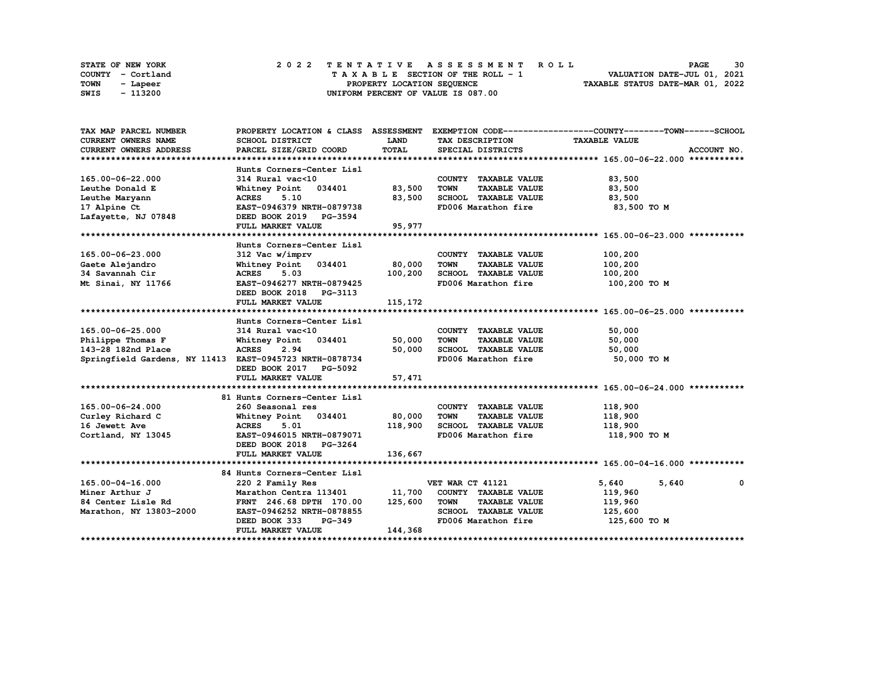| STATE OF NEW YORK | 2022 TENTATIVE ASSESSMENT ROLL     | 30<br><b>PAGE</b>                |
|-------------------|------------------------------------|----------------------------------|
| COUNTY - Cortland | TAXABLE SECTION OF THE ROLL - 1    | VALUATION DATE-JUL 01, 2021      |
| TOWN<br>- Lapeer  | PROPERTY LOCATION SEQUENCE         | TAXABLE STATUS DATE-MAR 01, 2022 |
| - 113200<br>SWIS  | UNIFORM PERCENT OF VALUE IS 087.00 |                                  |

| TAX MAP PARCEL NUMBER                                   |                                |             |                                     | PROPERTY LOCATION & CLASS ASSESSMENT EXEMPTION CODE----------------COUNTY-------TOWN------SCHOOL |
|---------------------------------------------------------|--------------------------------|-------------|-------------------------------------|--------------------------------------------------------------------------------------------------|
| <b>CURRENT OWNERS NAME</b>                              | SCHOOL DISTRICT                | <b>LAND</b> | TAX DESCRIPTION                     | <b>TAXABLE VALUE</b>                                                                             |
| <b>CURRENT OWNERS ADDRESS</b>                           | PARCEL SIZE/GRID COORD         | TOTAL       | SPECIAL DISTRICTS                   | ACCOUNT NO.                                                                                      |
|                                                         |                                |             |                                     |                                                                                                  |
|                                                         | Hunts Corners-Center Lisl      |             |                                     |                                                                                                  |
| 165.00-06-22.000                                        | 314 Rural vac<10               |             | COUNTY TAXABLE VALUE                | 83,500                                                                                           |
| Leuthe Donald E                                         | Whitney Point 034401           | 83,500      | <b>TOWN</b><br><b>TAXABLE VALUE</b> | 83,500                                                                                           |
| Leuthe Maryann                                          | ACRES 5.10                     | 83,500      | SCHOOL TAXABLE VALUE                | 83,500                                                                                           |
| 17 Alpine Ct                                            | EAST-0946379 NRTH-0879738      |             | FD006 Marathon fire                 | 83,500 то м                                                                                      |
| Lafayette, NJ 07848                                     | DEED BOOK 2019 PG-3594         |             |                                     |                                                                                                  |
|                                                         | FULL MARKET VALUE              | 95,977      |                                     |                                                                                                  |
|                                                         |                                |             |                                     |                                                                                                  |
|                                                         | Hunts Corners-Center Lisl      |             |                                     |                                                                                                  |
| 165.00-06-23.000                                        | 312 Vac w/imprv                |             | COUNTY TAXABLE VALUE                | 100,200                                                                                          |
| Gaete Alejandro                                         | Whitney Point 034401           | 80,000      | <b>TAXABLE VALUE</b><br>TOWN        | 100,200                                                                                          |
| 34 Savannah Cir                                         | <b>ACRES</b><br>5.03           | 100,200     | SCHOOL TAXABLE VALUE                | 100,200                                                                                          |
| Mt Sinai, NY 11766                                      | EAST-0946277 NRTH-0879425      |             | FD006 Marathon fire                 | 100,200 TO M                                                                                     |
|                                                         | DEED BOOK 2018 PG-3113         |             |                                     |                                                                                                  |
|                                                         | FULL MARKET VALUE              | 115, 172    |                                     |                                                                                                  |
|                                                         |                                |             |                                     |                                                                                                  |
|                                                         | Hunts Corners-Center Lisl      |             |                                     |                                                                                                  |
| 165.00-06-25.000                                        | 314 Rural vac<10               |             | COUNTY TAXABLE VALUE                | 50,000                                                                                           |
| Philippe Thomas F                                       | Whitney Point 034401           | 50,000      | <b>TOWN</b><br><b>TAXABLE VALUE</b> | 50,000                                                                                           |
| 143-28 182nd Place                                      | 2.94<br><b>ACRES</b>           | 50,000      | SCHOOL TAXABLE VALUE                | 50,000                                                                                           |
| Springfield Gardens, NY 11413 EAST-0945723 NRTH-0878734 |                                |             | FD006 Marathon fire                 | 50,000 TO M                                                                                      |
|                                                         | DEED BOOK 2017 PG-5092         |             |                                     |                                                                                                  |
|                                                         | FULL MARKET VALUE              | 57,471      |                                     |                                                                                                  |
|                                                         |                                |             |                                     |                                                                                                  |
|                                                         | 81 Hunts Corners-Center Lisl   |             |                                     |                                                                                                  |
| 165.00-06-24.000                                        | 260 Seasonal res               |             | COUNTY TAXABLE VALUE                | 118,900                                                                                          |
| Curley Richard C                                        | Whitney Point 034401           | 80,000      | <b>TOWN</b><br><b>TAXABLE VALUE</b> | 118,900                                                                                          |
| 16 Jewett Ave                                           | <b>ACRES</b><br>5.01           | 118,900     | SCHOOL TAXABLE VALUE                | 118,900                                                                                          |
| Cortland, NY 13045                                      | EAST-0946015 NRTH-0879071      |             | FD006 Marathon fire                 | 118,900 TO M                                                                                     |
|                                                         | DEED BOOK 2018 PG-3264         |             |                                     |                                                                                                  |
|                                                         | FULL MARKET VALUE              | 136,667     |                                     |                                                                                                  |
|                                                         |                                |             |                                     |                                                                                                  |
|                                                         | 84 Hunts Corners-Center Lisl   |             |                                     |                                                                                                  |
| 165.00-04-16.000                                        | 220 2 Family Res               |             | VET WAR CT 41121                    | 5,640<br>5,640<br>0                                                                              |
| Miner Arthur J                                          | Marathon Centra 113401         | 11,700      | COUNTY TAXABLE VALUE                | 119,960                                                                                          |
| 84 Center Lisle Rd                                      | FRNT 246.68 DPTH 170.00        | 125,600     | <b>TOWN</b><br><b>TAXABLE VALUE</b> | 119,960                                                                                          |
| Marathon, NY 13803-2000                                 | EAST-0946252 NRTH-0878855      |             | SCHOOL TAXABLE VALUE                | 125,600                                                                                          |
|                                                         | DEED BOOK 333<br><b>PG-349</b> |             | FD006 Marathon fire                 | 125,600 TO M                                                                                     |
|                                                         | FULL MARKET VALUE              | 144,368     |                                     |                                                                                                  |
|                                                         |                                |             |                                     |                                                                                                  |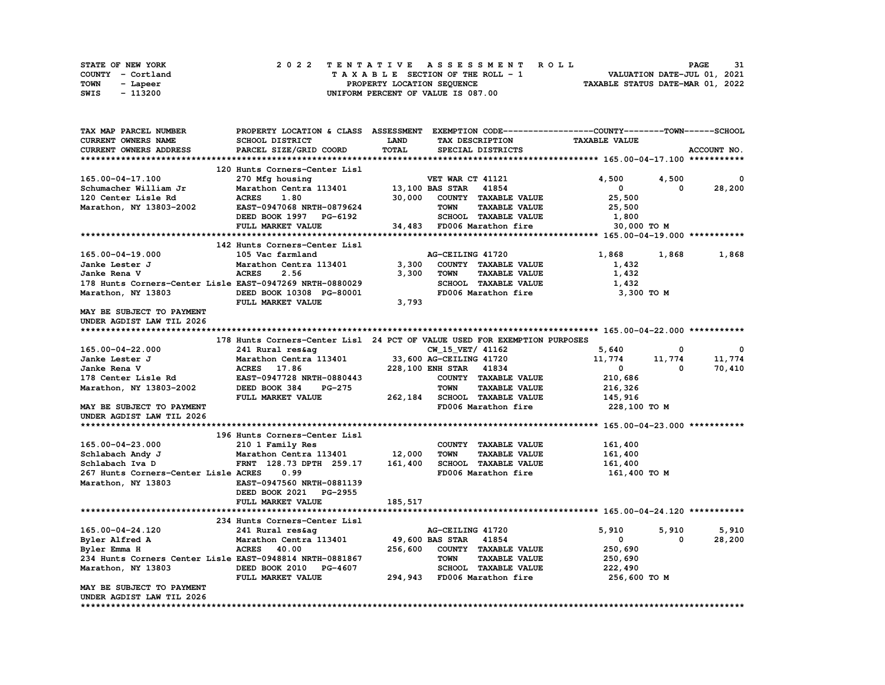| STATE OF NEW YORK | 2022 TENTATIVE ASSESSMENT ROLL     | 31<br><b>PAGE</b>                |
|-------------------|------------------------------------|----------------------------------|
| COUNTY - Cortland | TAXABLE SECTION OF THE ROLL - 1    | VALUATION DATE-JUL 01, 2021      |
| TOWN<br>- Lapeer  | PROPERTY LOCATION SEQUENCE         | TAXABLE STATUS DATE-MAR 01, 2022 |
| - 113200<br>SWIS  | UNIFORM PERCENT OF VALUE IS 087.00 |                                  |

| TAX MAP PARCEL NUMBER                                      | PROPERTY LOCATION & CLASS ASSESSMENT EXEMPTION CODE----------------COUNTY-------TOWN-----SCHOOL                           |         |                                                             |                                     |             |
|------------------------------------------------------------|---------------------------------------------------------------------------------------------------------------------------|---------|-------------------------------------------------------------|-------------------------------------|-------------|
| CURRENT OWNERS NAME                                        | SCHOOL DISTRICT                                                                                                           | LAND    | TAX DESCRIPTION                                             | <b>TAXABLE VALUE</b>                |             |
| CURRENT OWNERS ADDRESS                                     | PARCEL SIZE/GRID COORD                                                                                                    | TOTAL   | SPECIAL DISTRICTS                                           |                                     | ACCOUNT NO. |
|                                                            |                                                                                                                           |         |                                                             |                                     |             |
|                                                            | 120 Hunts Corners-Center Lisl                                                                                             |         |                                                             |                                     |             |
| 165.00-04-17.100                                           | 270 Mfg housing                                                                                                           |         | VET WAR CT 41121                                            | 4,500<br>4,500                      | $\Omega$    |
| Schumacher William Jr                                      | Marathon Centra 113401                                                                                                    |         | 13,100 BAS STAR 41854                                       | $^{\circ}$<br>$\Omega$              | 28,200      |
| 120 Center Lisle Rd                                        | <b>ACRES</b><br>1.80                                                                                                      | 30,000  | COUNTY TAXABLE VALUE                                        | 25,500                              |             |
| Marathon, NY 13803-2002                                    | <b>EAST-0947068 NRTH-0879624</b>                                                                                          |         | <b>TOWN</b><br><b>TAXABLE VALUE</b>                         | 25,500                              |             |
|                                                            | DEED BOOK 1997 PG-6192                                                                                                    |         | SCHOOL TAXABLE VALUE                                        | 1,800                               |             |
|                                                            | FULL MARKET VALUE                                                                                                         |         | 34,483 FD006 Marathon fire                                  | 30,000 TO M                         |             |
|                                                            |                                                                                                                           |         |                                                             |                                     |             |
|                                                            | 142 Hunts Corners-Center Lisl                                                                                             |         |                                                             |                                     |             |
| 165.00-04-19.000                                           | 105 Vac farmland                                                                                                          |         | AG-CEILING 41720                                            | 1,868<br>1,868                      | 1,868       |
| Janke Lester J                                             |                                                                                                                           | 3,300   | COUNTY TAXABLE VALUE                                        | 1,432                               |             |
| Janke Rena V                                               | Marathon Centra 113401<br>ACRES 2.56<br>2.56                                                                              | 3,300   | TOWN<br><b>TAXABLE VALUE</b>                                | 1,432                               |             |
| 178 Hunts Corners-Center Lisle EAST-0947269 NRTH-0880029   |                                                                                                                           |         |                                                             | 1,432                               |             |
| Marathon, NY 13803                                         | DEED BOOK 10308 PG-80001                                                                                                  |         | SCHOOL TAXABLE VALUE<br>FD006 Marathon fire                 | 3,300 то м                          |             |
|                                                            | FULL MARKET VALUE                                                                                                         | 3,793   |                                                             |                                     |             |
|                                                            |                                                                                                                           |         |                                                             |                                     |             |
| MAY BE SUBJECT TO PAYMENT                                  |                                                                                                                           |         |                                                             |                                     |             |
| UNDER AGDIST LAW TIL 2026                                  |                                                                                                                           |         |                                                             |                                     |             |
|                                                            |                                                                                                                           |         |                                                             |                                     |             |
|                                                            | 178 Hunts Corners-Center Lisl 24 PCT OF VALUE USED FOR EXEMPTION PURPOSES                                                 |         |                                                             |                                     |             |
| 165.00-04-22.000                                           |                                                                                                                           |         |                                                             | 5,640<br>0                          | - 0         |
| Janke Lester J                                             | 241 Rural res&ag CW_15_VET/ 41162<br>Marathon Centra 113401 33,600 AG-CEILING 41720<br>ACRES 17.86 228,100 ENH STAR 41834 |         |                                                             | 11,774<br>11,774                    | 11,774      |
| Janke Rena V                                               |                                                                                                                           |         |                                                             | $\overline{\mathbf{0}}$<br>$\Omega$ | 70,410      |
| 178 Center Lisle Rd                                        | <b>EAST-0947728 NRTH-0880443</b>                                                                                          |         | COUNTY TAXABLE VALUE                                        | 210,686                             |             |
| Marathon, NY 13803-2002                                    | DEED BOOK 384                                                                                                             |         | PG-275 TOWN TAXABLE VALUE<br>E 262,184 SCHOOL TAXABLE VALUE | 216,326                             |             |
|                                                            | FULL MARKET VALUE                                                                                                         |         |                                                             | 145,916                             |             |
| MAY BE SUBJECT TO PAYMENT                                  |                                                                                                                           |         | FD006 Marathon fire 228,100 TO M                            |                                     |             |
| UNDER AGDIST LAW TIL 2026                                  |                                                                                                                           |         |                                                             |                                     |             |
|                                                            |                                                                                                                           |         |                                                             |                                     |             |
|                                                            | 196 Hunts Corners-Center Lisl                                                                                             |         |                                                             |                                     |             |
|                                                            | 210 1 Family Res                                                                                                          |         | COUNTY TAXABLE VALUE                                        | 161,400                             |             |
| 165.00-04-23.000<br>Schlabach Andy J<br>$5-1$ chlach Iva D | Marathon Centra 113401 12,000                                                                                             |         | <b>TAXABLE VALUE</b><br>TOWN                                | 161,400                             |             |
|                                                            | FRNT 128.73 DPTH 259.17 161,400                                                                                           |         | SCHOOL TAXABLE VALUE                                        | 161,400                             |             |
| 267 Hunts Corners-Center Lisle ACRES                       | 0.99                                                                                                                      |         | FD006 Marathon fire                                         | 161,400 TO M                        |             |
| Marathon, NY 13803                                         | EAST-0947560 NRTH-0881139                                                                                                 |         |                                                             |                                     |             |
|                                                            | DEED BOOK 2021 PG-2955                                                                                                    |         |                                                             |                                     |             |
|                                                            | FULL MARKET VALUE                                                                                                         | 185,517 |                                                             |                                     |             |
|                                                            |                                                                                                                           |         |                                                             |                                     |             |
|                                                            | 234 Hunts Corners-Center Lisl                                                                                             |         |                                                             |                                     |             |
| 165.00-04-24.120                                           | 241 Rural res&ag                                                                                                          |         | AG-CEILING 41720                                            | 5,910<br>5,910                      | 5,910       |
| Byler Alfred A                                             | Marathon Centra 113401                                                                                                    |         | 49,600 BAS STAR 41854                                       | $\mathbf{0}$<br>0                   | 28,200      |
| Byler Emma H                                               | <b>ACRES</b> 40.00                                                                                                        | 256,600 | COUNTY TAXABLE VALUE                                        | 250,690                             |             |
| 234 Hunts Corners Center Lisle EAST-0948814 NRTH-0881867   |                                                                                                                           |         | <b>TAXABLE VALUE</b><br>TOWN                                | 250,690                             |             |
| Marathon, NY 13803                                         |                                                                                                                           |         |                                                             | 222,490                             |             |
|                                                            |                                                                                                                           |         |                                                             | 256,600 то м                        |             |
| MAY BE SUBJECT TO PAYMENT                                  | EAST-0948814 NK11-VOOL<br>DEED BOOK 2010 PG-4607 SCHOOD SCHOOD INNERED BOOK 2010 PG-4607 294,943 FD006 Marathon fire      |         |                                                             |                                     |             |
| UNDER AGDIST LAW TIL 2026                                  |                                                                                                                           |         |                                                             |                                     |             |
|                                                            |                                                                                                                           |         |                                                             |                                     |             |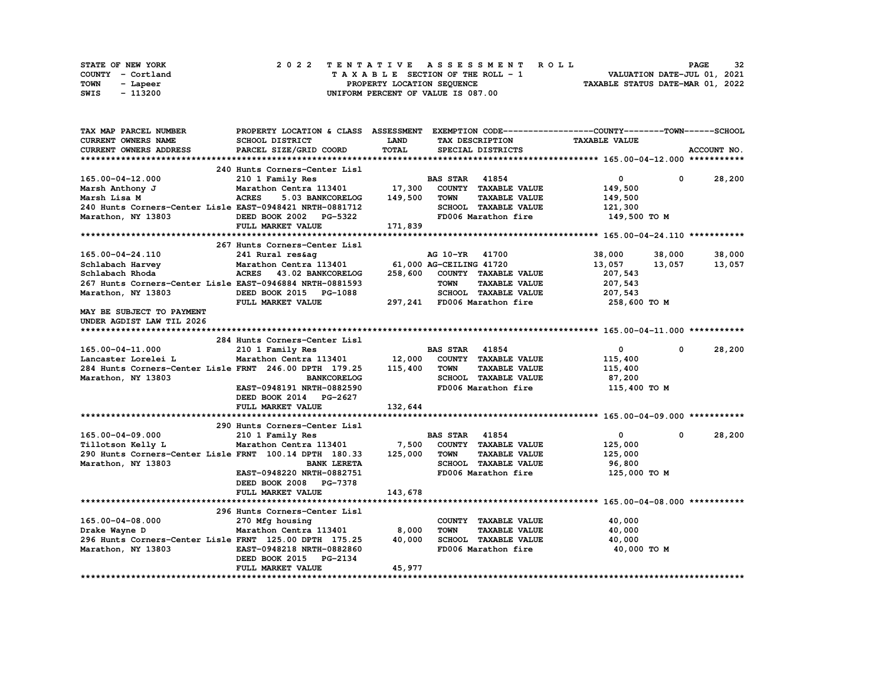|      | STATE OF NEW YORK |  |  |  |  |  | 2022 TENTATIVE ASSESSMENT ROLL     |  |  |  |  |  |  |                                  |                             |  | <b>PAGE</b> | 32 |
|------|-------------------|--|--|--|--|--|------------------------------------|--|--|--|--|--|--|----------------------------------|-----------------------------|--|-------------|----|
|      | COUNTY - Cortland |  |  |  |  |  | TAXABLE SECTION OF THE ROLL - 1    |  |  |  |  |  |  |                                  | VALUATION DATE-JUL 01, 2021 |  |             |    |
| TOWN | - Lapeer          |  |  |  |  |  | PROPERTY LOCATION SEQUENCE         |  |  |  |  |  |  | TAXABLE STATUS DATE-MAR 01, 2022 |                             |  |             |    |
| SWIS | - 113200          |  |  |  |  |  | UNIFORM PERCENT OF VALUE IS 087.00 |  |  |  |  |  |  |                                  |                             |  |             |    |

| TAX MAP PARCEL NUMBER                                      | PROPERTY LOCATION & CLASS ASSESSMENT EXEMPTION CODE----------------COUNTY-------TOWN-----SCHOOL |                         |                       |                              |                      |             |             |
|------------------------------------------------------------|-------------------------------------------------------------------------------------------------|-------------------------|-----------------------|------------------------------|----------------------|-------------|-------------|
| <b>CURRENT OWNERS NAME</b>                                 | <b>SCHOOL DISTRICT</b>                                                                          | <b>LAND</b>             |                       | TAX DESCRIPTION              | <b>TAXABLE VALUE</b> |             |             |
| <b>CURRENT OWNERS ADDRESS</b>                              | PARCEL SIZE/GRID COORD                                                                          | TOTAL                   |                       | SPECIAL DISTRICTS            |                      |             | ACCOUNT NO. |
|                                                            |                                                                                                 |                         |                       |                              |                      |             |             |
|                                                            | 240 Hunts Corners-Center Lisl                                                                   |                         |                       |                              |                      |             |             |
| 165.00-04-12.000                                           | 210 1 Family Res                                                                                |                         | <b>BAS STAR 41854</b> |                              | 0                    | $\mathbf 0$ | 28,200      |
|                                                            |                                                                                                 |                         |                       |                              |                      |             |             |
| Marsh Anthony J                                            | Marathon Centra 113401                                                                          | 17,300                  |                       | COUNTY TAXABLE VALUE         | 149,500              |             |             |
| Marsh Lisa M                                               | <b>ACRES</b><br>5.03 BANKCORELOG                                                                | 149,500                 | <b>TOWN</b>           | <b>TAXABLE VALUE</b>         | 149,500              |             |             |
| 240 Hunts Corners-Center Lisle EAST-0948421 NRTH-0881712   |                                                                                                 |                         |                       | SCHOOL TAXABLE VALUE         | 121,300              |             |             |
| Marathon, NY 13803                                         | DEED BOOK 2002 PG-5322                                                                          |                         |                       | FD006 Marathon fire          | 149,500 TO M         |             |             |
|                                                            | FULL MARKET VALUE                                                                               | 171,839                 |                       |                              |                      |             |             |
|                                                            |                                                                                                 |                         |                       |                              |                      |             |             |
|                                                            | 267 Hunts Corners-Center Lisl                                                                   |                         |                       |                              |                      |             |             |
| 165.00-04-24.110                                           | 241 Rural res&ag                                                                                |                         | AG 10-YR 41700        |                              | 38,000               | 38,000      | 38,000      |
| Schlabach Harvey                                           | Marathon Centra 113401                                                                          | 61,000 AG-CEILING 41720 |                       |                              | 13,057               | 13,057      | 13,057      |
| Schlabach Rhoda                                            | ACRES 43.02 BANKCORELOG                                                                         |                         |                       | 258,600 COUNTY TAXABLE VALUE | 207,543              |             |             |
| 267 Hunts Corners-Center Lisle EAST-0946884 NRTH-0881593   |                                                                                                 |                         | <b>TOWN</b>           | <b>TAXABLE VALUE</b>         | 207,543              |             |             |
| Marathon, NY 13803                                         | DEED BOOK 2015 PG-1088                                                                          |                         |                       | SCHOOL TAXABLE VALUE         | 207,543              |             |             |
|                                                            |                                                                                                 |                         |                       |                              |                      |             |             |
|                                                            | FULL MARKET VALUE                                                                               |                         |                       | 297,241 FD006 Marathon fire  | 258,600 то м         |             |             |
| MAY BE SUBJECT TO PAYMENT                                  |                                                                                                 |                         |                       |                              |                      |             |             |
| UNDER AGDIST LAW TIL 2026                                  |                                                                                                 |                         |                       |                              |                      |             |             |
|                                                            |                                                                                                 |                         |                       |                              |                      |             |             |
|                                                            | 284 Hunts Corners-Center Lisl                                                                   |                         |                       |                              |                      |             |             |
| 165.00-04-11.000                                           | 210 1 Family Res                                                                                |                         | <b>BAS STAR 41854</b> |                              | $\mathbf{0}$         | $^{\circ}$  | 28,200      |
| Lancaster Lorelei L                                        | Marathon Centra 113401                                                                          | 12,000                  |                       | COUNTY TAXABLE VALUE         | 115,400              |             |             |
| 284 Hunts Corners-Center Lisle FRNT 246.00 DPTH 179.25     |                                                                                                 | 115,400                 | <b>TOWN</b>           | <b>TAXABLE VALUE</b>         | 115,400              |             |             |
| Marathon, NY 13803                                         | <b>BANKCORELOG</b>                                                                              |                         |                       | SCHOOL TAXABLE VALUE         | 87,200               |             |             |
|                                                            | EAST-0948191 NRTH-0882590                                                                       |                         |                       | FD006 Marathon fire          | 115,400 TO M         |             |             |
|                                                            | DEED BOOK 2014 PG-2627                                                                          |                         |                       |                              |                      |             |             |
|                                                            | FULL MARKET VALUE                                                                               | 132,644                 |                       |                              |                      |             |             |
|                                                            |                                                                                                 |                         |                       |                              |                      |             |             |
|                                                            | 290 Hunts Corners-Center Lisl                                                                   |                         |                       |                              |                      |             |             |
| 165.00-04-09.000                                           | 210 1 Family Res                                                                                |                         | <b>BAS STAR 41854</b> |                              | $\mathbf{0}$         | $^{\circ}$  | 28,200      |
|                                                            |                                                                                                 |                         |                       |                              |                      |             |             |
| Tillotson Kelly L                                          | Marathon Centra 113401 7,500                                                                    |                         |                       | COUNTY TAXABLE VALUE         | 125,000              |             |             |
| 290 Hunts Corners-Center Lisle FRNT 100.14 DPTH 180.33     |                                                                                                 | 125,000                 | <b>TOWN</b>           | <b>TAXABLE VALUE</b>         | 125,000              |             |             |
| Marathon, NY 13803                                         | <b>BANK LERETA</b>                                                                              |                         |                       | SCHOOL TAXABLE VALUE         | 96,800               |             |             |
|                                                            | EAST-0948220 NRTH-0882751                                                                       |                         |                       | FD006 Marathon fire          | 125,000 TO M         |             |             |
|                                                            | DEED BOOK 2008 PG-7378                                                                          |                         |                       |                              |                      |             |             |
|                                                            | FULL MARKET VALUE                                                                               | 143,678                 |                       |                              |                      |             |             |
|                                                            |                                                                                                 |                         |                       |                              |                      |             |             |
|                                                            | 296 Hunts Corners-Center Lisl                                                                   |                         |                       |                              |                      |             |             |
| 165.00-04-08.000                                           | 270 Mfg housing                                                                                 |                         |                       | COUNTY TAXABLE VALUE         | 40,000               |             |             |
| $\mathcal{L}$ . The same of $\mathcal{L}$<br>Drake Wayne D | Marathon Centra 113401 8,000                                                                    |                         | <b>TOWN</b>           | <b>TAXABLE VALUE</b>         | 40,000               |             |             |
| 296 Hunts Corners-Center Lisle FRNT 125.00 DPTH 175.25     |                                                                                                 | 40,000                  |                       | SCHOOL TAXABLE VALUE         | 40,000               |             |             |
| Marathon, NY 13803                                         | EAST-0948218 NRTH-0882860                                                                       |                         |                       | FD006 Marathon fire          | 40,000 TO M          |             |             |
|                                                            | DEED BOOK 2015 PG-2134                                                                          |                         |                       |                              |                      |             |             |
|                                                            | FULL MARKET VALUE                                                                               | 45,977                  |                       |                              |                      |             |             |
|                                                            |                                                                                                 |                         |                       |                              |                      |             |             |
|                                                            |                                                                                                 |                         |                       |                              |                      |             |             |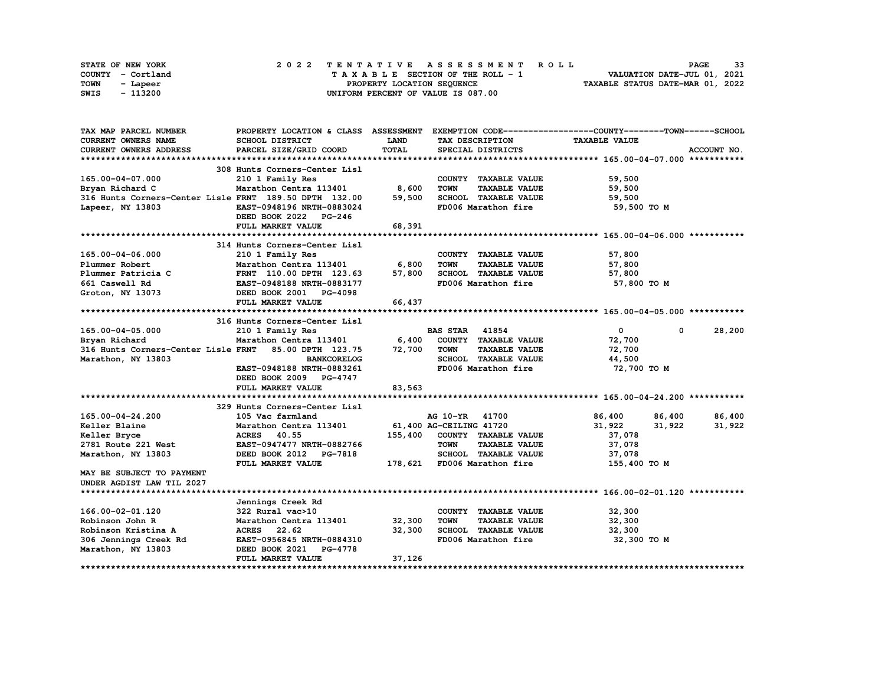|      | STATE OF NEW YORK |  |  |  |  | 2022 TENTATIVE ASSESSMENT ROLL     |  |  |  |  |  |  |                                  | <b>PAGE</b> | 33 |
|------|-------------------|--|--|--|--|------------------------------------|--|--|--|--|--|--|----------------------------------|-------------|----|
|      | COUNTY - Cortland |  |  |  |  | TAXABLE SECTION OF THE ROLL - 1    |  |  |  |  |  |  | VALUATION DATE-JUL 01, 2021      |             |    |
| TOWN | - Lapeer          |  |  |  |  | PROPERTY LOCATION SEQUENCE         |  |  |  |  |  |  | TAXABLE STATUS DATE-MAR 01, 2022 |             |    |
| SWIS | - 113200          |  |  |  |  | UNIFORM PERCENT OF VALUE IS 087.00 |  |  |  |  |  |  |                                  |             |    |

| TAX MAP PARCEL NUMBER                                  |                                  |              |                                     | PROPERTY LOCATION & CLASS ASSESSMENT EXEMPTION CODE----------------COUNTY-------TOWN------SCHOOL |             |
|--------------------------------------------------------|----------------------------------|--------------|-------------------------------------|--------------------------------------------------------------------------------------------------|-------------|
| <b>CURRENT OWNERS NAME</b>                             | SCHOOL DISTRICT                  | <b>LAND</b>  | TAX DESCRIPTION                     | <b>TAXABLE VALUE</b>                                                                             |             |
| CURRENT OWNERS ADDRESS                                 | PARCEL SIZE/GRID COORD           | <b>TOTAL</b> | SPECIAL DISTRICTS                   |                                                                                                  | ACCOUNT NO. |
|                                                        |                                  |              |                                     |                                                                                                  |             |
|                                                        | 308 Hunts Corners-Center Lisl    |              |                                     |                                                                                                  |             |
| 165.00-04-07.000                                       | 210 1 Family Res                 |              | COUNTY TAXABLE VALUE                | 59,500                                                                                           |             |
| Bryan Richard C                                        | Marathon Centra 113401 8,600     |              | <b>TOWN</b><br><b>TAXABLE VALUE</b> | 59,500                                                                                           |             |
| 316 Hunts Corners-Center Lisle FRNT 189.50 DPTH 132.00 |                                  | 59,500       | SCHOOL TAXABLE VALUE                | 59,500                                                                                           |             |
| Lapeer, NY 13803                                       | EAST-0948196 NRTH-0883024        |              | FD006 Marathon fire                 | 59,500 TO M                                                                                      |             |
|                                                        | DEED BOOK 2022 PG-246            |              |                                     |                                                                                                  |             |
|                                                        | FULL MARKET VALUE                | 68,391       |                                     |                                                                                                  |             |
|                                                        |                                  |              |                                     |                                                                                                  |             |
|                                                        | 314 Hunts Corners-Center Lisl    |              |                                     |                                                                                                  |             |
| 165.00-04-06.000                                       | 210 1 Family Res                 |              | COUNTY TAXABLE VALUE                | 57,800                                                                                           |             |
| Plummer Robert                                         | Marathon Centra 113401           | 6,800        | <b>TOWN</b><br><b>TAXABLE VALUE</b> | 57,800                                                                                           |             |
| Plummer Patricia C                                     | FRNT 110.00 DPTH 123.63          | 57,800       | SCHOOL TAXABLE VALUE                | 57,800                                                                                           |             |
| 661 Caswell Rd                                         | EAST-0948188 NRTH-0883177        |              | FD006 Marathon fire                 | 57,800 TO M                                                                                      |             |
| Groton, NY 13073                                       | DEED BOOK 2001 PG-4098           |              |                                     |                                                                                                  |             |
|                                                        | FULL MARKET VALUE                | 66,437       |                                     |                                                                                                  |             |
|                                                        |                                  |              |                                     |                                                                                                  |             |
|                                                        | 316 Hunts Corners-Center Lisl    |              |                                     |                                                                                                  |             |
| 165.00-04-05.000                                       | 210 1 Family Res                 |              | <b>BAS STAR</b><br>41854            | 0<br>$\mathbf{0}$                                                                                | 28,200      |
| Bryan Richard                                          | Marathon Centra 113401           | 6,400        | COUNTY TAXABLE VALUE                | 72,700                                                                                           |             |
| 316 Hunts Corners-Center Lisle FRNT 85.00 DPTH 123.75  |                                  | 72,700       | <b>TOWN</b><br><b>TAXABLE VALUE</b> | 72,700                                                                                           |             |
| Marathon, NY 13803                                     | <b>BANKCORELOG</b>               |              | SCHOOL TAXABLE VALUE                | 44,500                                                                                           |             |
|                                                        | EAST-0948188 NRTH-0883261        |              | FD006 Marathon fire                 | 72,700 TO M                                                                                      |             |
|                                                        | DEED BOOK 2009 PG-4747           |              |                                     |                                                                                                  |             |
|                                                        | FULL MARKET VALUE                | 83,563       |                                     |                                                                                                  |             |
|                                                        |                                  |              |                                     |                                                                                                  |             |
|                                                        | 329 Hunts Corners-Center Lisl    |              |                                     |                                                                                                  |             |
| 165.00-04-24.200                                       | 105 Vac farmland                 |              | AG 10-YR 41700                      | 86,400<br>86,400                                                                                 | 86,400      |
| Keller Blaine                                          | Marathon Centra 113401           |              | 61,400 AG-CEILING 41720             | 31,922<br>31,922                                                                                 | 31,922      |
| Keller Bryce                                           | ACRES 40.55                      |              | 155,400 COUNTY TAXABLE VALUE        | 37,078                                                                                           |             |
| 2781 Route 221 West                                    | EAST-0947477 NRTH-0882766        |              | <b>TOWN</b><br><b>TAXABLE VALUE</b> | 37,078                                                                                           |             |
| Marathon, NY 13803                                     | DEED BOOK 2012 PG-7818           |              | SCHOOL TAXABLE VALUE                | 37,078                                                                                           |             |
|                                                        | FULL MARKET VALUE                |              | 178,621 FD006 Marathon fire         | 155,400 TO M                                                                                     |             |
| MAY BE SUBJECT TO PAYMENT                              |                                  |              |                                     |                                                                                                  |             |
| UNDER AGDIST LAW TIL 2027                              |                                  |              |                                     |                                                                                                  |             |
|                                                        |                                  |              |                                     |                                                                                                  |             |
|                                                        | Jennings Creek Rd                |              |                                     |                                                                                                  |             |
| 166.00-02-01.120                                       | 322 Rural vac>10                 |              | COUNTY TAXABLE VALUE                | 32,300                                                                                           |             |
| Robinson John R                                        | Marathon Centra 113401           | 32,300       | <b>TOWN</b><br><b>TAXABLE VALUE</b> | 32,300                                                                                           |             |
| Robinson Kristina A                                    | ACRES 22.62                      | 32,300       | SCHOOL TAXABLE VALUE                | 32,300                                                                                           |             |
| 306 Jennings Creek Rd                                  | EAST-0956845 NRTH-0884310        |              | FD006 Marathon fire                 | 32,300 TO M                                                                                      |             |
| Marathon, NY 13803                                     | DEED BOOK 2021<br><b>PG-4778</b> |              |                                     |                                                                                                  |             |
|                                                        | FULL MARKET VALUE                | 37,126       |                                     |                                                                                                  |             |
|                                                        |                                  |              |                                     |                                                                                                  |             |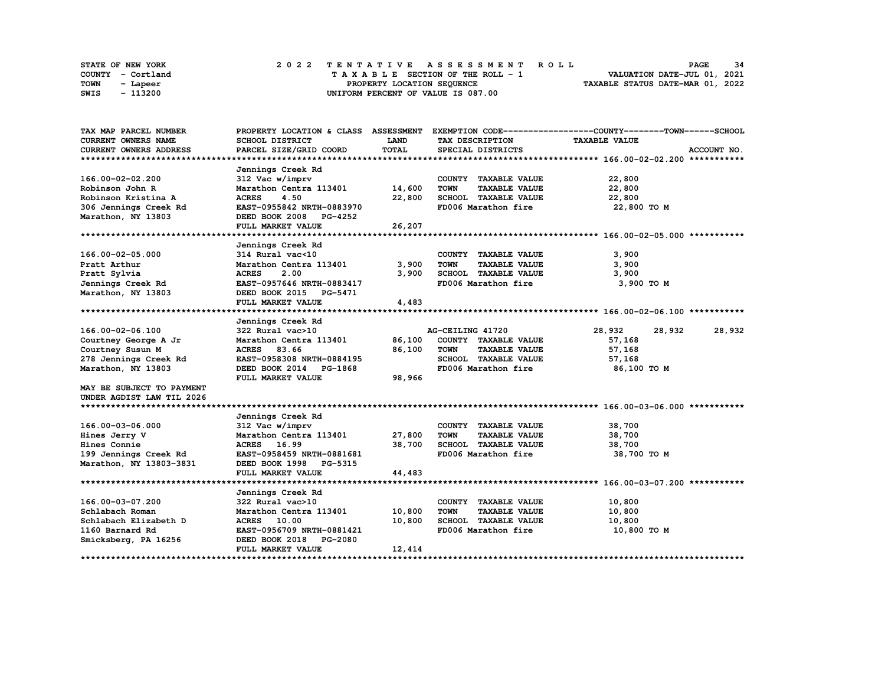|      | STATE OF NEW YORK |  | 2022 TENTATIVE ASSESSMENT ROLL |  |  |  |                                    |  |  |  |  |  |  |                                  | <b>PAGE</b> | 34 |  |
|------|-------------------|--|--------------------------------|--|--|--|------------------------------------|--|--|--|--|--|--|----------------------------------|-------------|----|--|
|      | COUNTY - Cortland |  |                                |  |  |  | TAXABLE SECTION OF THE ROLL - 1    |  |  |  |  |  |  | VALUATION DATE-JUL 01, 2021      |             |    |  |
| TOWN | - Lapeer          |  |                                |  |  |  | PROPERTY LOCATION SEQUENCE         |  |  |  |  |  |  | TAXABLE STATUS DATE-MAR 01, 2022 |             |    |  |
| SWIS | - 113200          |  |                                |  |  |  | UNIFORM PERCENT OF VALUE IS 087.00 |  |  |  |  |  |  |                                  |             |    |  |

| TAX MAP PARCEL NUMBER         | PROPERTY LOCATION & CLASS ASSESSMENT |              |                                     | EXEMPTION CODE-----------------COUNTY-------TOWN------SCHOOL |             |
|-------------------------------|--------------------------------------|--------------|-------------------------------------|--------------------------------------------------------------|-------------|
| <b>CURRENT OWNERS NAME</b>    | SCHOOL DISTRICT                      | <b>LAND</b>  | TAX DESCRIPTION                     | <b>TAXABLE VALUE</b>                                         |             |
| <b>CURRENT OWNERS ADDRESS</b> | PARCEL SIZE/GRID COORD               | <b>TOTAL</b> | SPECIAL DISTRICTS                   |                                                              | ACCOUNT NO. |
|                               |                                      |              |                                     |                                                              |             |
|                               | Jennings Creek Rd                    |              |                                     |                                                              |             |
| 166.00-02-02.200              | 312 Vac w/imprv                      |              | COUNTY TAXABLE VALUE                | 22,800                                                       |             |
| Robinson John R               | Marathon Centra 113401               | 14,600       | <b>TOWN</b><br><b>TAXABLE VALUE</b> | 22,800                                                       |             |
| Robinson Kristina A           | <b>ACRES</b><br>4.50                 | 22,800       | SCHOOL TAXABLE VALUE                | 22,800                                                       |             |
| 306 Jennings Creek Rd         | EAST-0955842 NRTH-0883970            |              | FD006 Marathon fire                 | 22,800 TO M                                                  |             |
| Marathon, NY 13803            | DEED BOOK 2008 PG-4252               |              |                                     |                                                              |             |
|                               | FULL MARKET VALUE                    | 26,207       |                                     |                                                              |             |
|                               |                                      |              |                                     |                                                              |             |
|                               | Jennings Creek Rd                    |              |                                     |                                                              |             |
| 166.00-02-05.000              | 314 Rural vac<10                     |              | COUNTY TAXABLE VALUE                | 3,900                                                        |             |
| Pratt Arthur                  | Marathon Centra 113401               | 3,900        | <b>TOWN</b><br><b>TAXABLE VALUE</b> | 3,900                                                        |             |
| Pratt Sylvia                  | 2.00<br><b>ACRES</b>                 | 3,900        | SCHOOL TAXABLE VALUE                | 3,900                                                        |             |
| Jennings Creek Rd             | EAST-0957646 NRTH-0883417            |              | FD006 Marathon fire                 | 3,900 TO M                                                   |             |
| Marathon, NY 13803            | DEED BOOK 2015 PG-5471               |              |                                     |                                                              |             |
|                               | FULL MARKET VALUE                    | 4,483        |                                     |                                                              |             |
|                               |                                      |              |                                     |                                                              |             |
|                               | Jennings Creek Rd                    |              |                                     |                                                              |             |
| 166.00-02-06.100              | 322 Rural vac>10                     |              | AG-CEILING 41720                    | 28,932<br>28,932                                             | 28,932      |
| Courtney George A Jr          | Marathon Centra 113401               | 86,100       | COUNTY TAXABLE VALUE                | 57,168                                                       |             |
| Courtney Susun M              | <b>ACRES</b><br>83.66                | 86,100       | <b>TOWN</b><br><b>TAXABLE VALUE</b> | 57,168                                                       |             |
| 278 Jennings Creek Rd         | EAST-0958308 NRTH-0884195            |              | SCHOOL TAXABLE VALUE                | 57,168                                                       |             |
| Marathon, NY 13803            | DEED BOOK 2014 PG-1868               |              | FD006 Marathon fire                 | 86,100 TO M                                                  |             |
|                               | FULL MARKET VALUE                    | 98,966       |                                     |                                                              |             |
| MAY BE SUBJECT TO PAYMENT     |                                      |              |                                     |                                                              |             |
| UNDER AGDIST LAW TIL 2026     |                                      |              |                                     |                                                              |             |
|                               |                                      |              |                                     |                                                              |             |
|                               | Jennings Creek Rd                    |              |                                     |                                                              |             |
| 166.00-03-06.000              | 312 Vac w/imprv                      |              | COUNTY TAXABLE VALUE                | 38,700                                                       |             |
| Hines Jerry V                 | Marathon Centra 113401               | 27,800       | <b>TOWN</b><br><b>TAXABLE VALUE</b> | 38,700                                                       |             |
| Hines Connie                  | ACRES 16.99                          | 38,700       | SCHOOL TAXABLE VALUE                | 38,700                                                       |             |
| 199 Jennings Creek Rd         | EAST-0958459 NRTH-0881681            |              | FD006 Marathon fire                 | 38,700 TO M                                                  |             |
| Marathon, NY 13803-3831       | DEED BOOK 1998 PG-5315               |              |                                     |                                                              |             |
|                               | FULL MARKET VALUE                    | 44,483       |                                     |                                                              |             |
|                               |                                      |              |                                     |                                                              |             |
|                               | Jennings Creek Rd                    |              |                                     |                                                              |             |
| 166.00-03-07.200              | 322 Rural vac>10                     |              | COUNTY TAXABLE VALUE                | 10,800                                                       |             |
| Schlabach Roman               | Marathon Centra 113401               | 10,800       | <b>TOWN</b><br><b>TAXABLE VALUE</b> | 10,800                                                       |             |
| Schlabach Elizabeth D         | ACRES 10.00                          | 10,800       | SCHOOL TAXABLE VALUE                | 10,800                                                       |             |
| 1160 Barnard Rd               | EAST-0956709 NRTH-0881421            |              | FD006 Marathon fire                 | 10,800 TO M                                                  |             |
| Smicksberg, PA 16256          | DEED BOOK 2018 PG-2080               |              |                                     |                                                              |             |
|                               | <b>FULL MARKET VALUE</b>             | 12,414       |                                     |                                                              |             |
|                               |                                      |              |                                     |                                                              |             |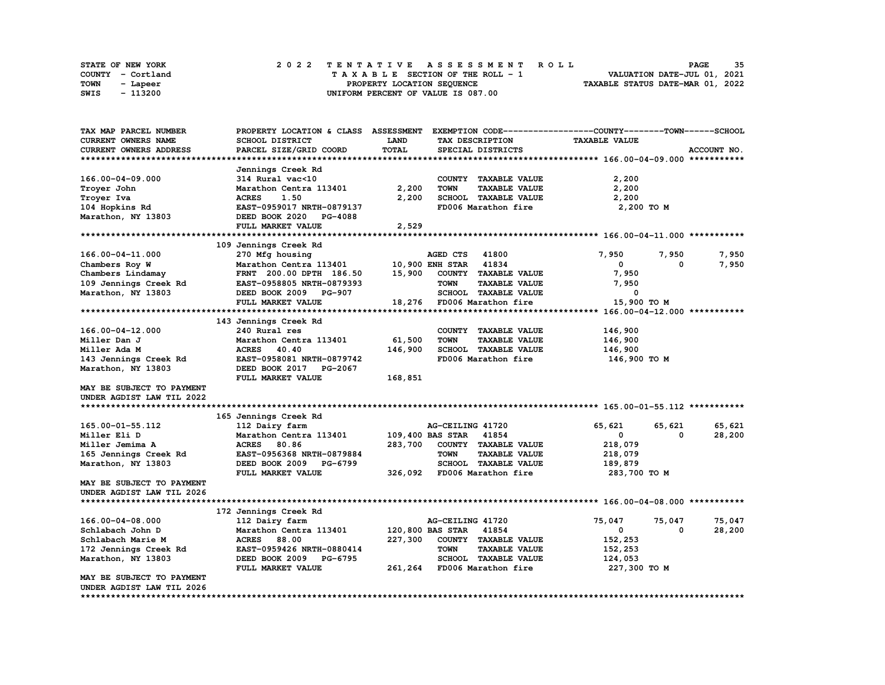| <b>STATE OF NEW YORK</b> | 2022 TENTATIVE ASSESSMENT ROLL     | -35<br>PAGE                      |
|--------------------------|------------------------------------|----------------------------------|
| COUNTY - Cortland        | TAXABLE SECTION OF THE ROLL - 1    | VALUATION DATE-JUL 01, 2021      |
| TOWN<br>- Lapeer         | PROPERTY LOCATION SEOUENCE         | TAXABLE STATUS DATE-MAR 01, 2022 |
| SWIS<br>- 113200         | UNIFORM PERCENT OF VALUE IS 087.00 |                                  |

| TAX MAP PARCEL NUMBER      | PROPERTY LOCATION & CLASS ASSESSMENT      |         |                                     | EXEMPTION CODE-----------------COUNTY-------TOWN------SCHOOL |             |
|----------------------------|-------------------------------------------|---------|-------------------------------------|--------------------------------------------------------------|-------------|
| <b>CURRENT OWNERS NAME</b> | SCHOOL DISTRICT                           | LAND    | TAX DESCRIPTION                     | <b>TAXABLE VALUE</b>                                         |             |
| CURRENT OWNERS ADDRESS     | PARCEL SIZE/GRID COORD                    | TOTAL   | SPECIAL DISTRICTS                   |                                                              | ACCOUNT NO. |
|                            |                                           |         |                                     |                                                              |             |
|                            | Jennings Creek Rd                         |         |                                     |                                                              |             |
| 166.00-04-09.000           | 314 Rural vac<10                          |         | COUNTY TAXABLE VALUE                | 2,200                                                        |             |
| Troyer John                | Marathon Centra 113401                    | 2,200   | <b>TOWN</b><br><b>TAXABLE VALUE</b> | 2,200                                                        |             |
| Troyer Iva                 | <b>ACRES</b><br>1.50                      | 2,200   | SCHOOL TAXABLE VALUE                | 2,200                                                        |             |
| 104 Hopkins Rd             | EAST-0959017 NRTH-0879137                 |         | FD006 Marathon fire                 | 2,200 TO M                                                   |             |
| Marathon, NY 13803         | DEED BOOK 2020 PG-4088                    |         |                                     |                                                              |             |
|                            | FULL MARKET VALUE                         | 2,529   |                                     |                                                              |             |
|                            |                                           |         |                                     |                                                              |             |
|                            | 109 Jennings Creek Rd                     |         |                                     |                                                              |             |
| 166.00-04-11.000           |                                           |         | <b>AGED CTS</b><br>41800            | 7,950<br>7,950                                               | 7,950       |
| Chambers Roy W             | 270 Mfg housing<br>Marathon Centra 113401 |         | 10,900 ENH STAR 41834               | $\mathbf{0}$<br>0                                            | 7,950       |
|                            | FRNT 200.00 DPTH 186.50                   | 15,900  | COUNTY TAXABLE VALUE                | 7,950                                                        |             |
| Chambers Lindamay          |                                           |         |                                     |                                                              |             |
| 109 Jennings Creek Rd      | EAST-0958805 NRTH-0879393                 |         | <b>TOWN</b><br><b>TAXABLE VALUE</b> | 7,950                                                        |             |
| Marathon, NY 13803         | DEED BOOK 2009 PG-907                     |         | SCHOOL TAXABLE VALUE                | 0                                                            |             |
|                            | FULL MARKET VALUE                         |         | 18,276 FD006 Marathon fire          | 15,900 TO M                                                  |             |
|                            |                                           |         |                                     |                                                              |             |
|                            | 143 Jennings Creek Rd                     |         |                                     |                                                              |             |
| 166.00-04-12.000           | 240 Rural res                             |         | COUNTY TAXABLE VALUE                | 146,900                                                      |             |
| Miller Dan J               | Marathon Centra 113401                    | 61,500  | <b>TOWN</b><br><b>TAXABLE VALUE</b> | 146,900                                                      |             |
| Miller Ada M               | ACRES 40.40                               | 146,900 | SCHOOL TAXABLE VALUE                | 146,900                                                      |             |
| 143 Jennings Creek Rd      | EAST-0958081 NRTH-0879742                 |         | FD006 Marathon fire                 | 146,900 то м                                                 |             |
| Marathon, NY 13803         | DEED BOOK 2017 PG-2067                    |         |                                     |                                                              |             |
|                            | FULL MARKET VALUE                         | 168,851 |                                     |                                                              |             |
| MAY BE SUBJECT TO PAYMENT  |                                           |         |                                     |                                                              |             |
| UNDER AGDIST LAW TIL 2022  |                                           |         |                                     |                                                              |             |
|                            |                                           |         |                                     |                                                              |             |
|                            | 165 Jennings Creek Rd                     |         |                                     |                                                              |             |
| 165.00-01-55.112           | 112 Dairy farm                            |         | AG-CEILING 41720                    | 65,621<br>65,621                                             | 65,621      |
| Miller Eli D               | Marathon Centra 113401                    |         | 109,400 BAS STAR<br>41854           | $\mathbf{0}$<br>0                                            | 28,200      |
| Miller Jemima A            | ACRES 80.86                               | 283,700 | COUNTY TAXABLE VALUE                | 218,079                                                      |             |
| 165 Jennings Creek Rd      | EAST-0956368 NRTH-0879884                 |         | <b>TOWN</b><br><b>TAXABLE VALUE</b> | 218,079                                                      |             |
| Marathon, NY 13803         | DEED BOOK 2009 PG-6799                    |         | SCHOOL TAXABLE VALUE                | 189,879                                                      |             |
|                            | FULL MARKET VALUE                         |         | 326,092 FD006 Marathon fire         | 283,700 то м                                                 |             |
| MAY BE SUBJECT TO PAYMENT  |                                           |         |                                     |                                                              |             |
| UNDER AGDIST LAW TIL 2026  |                                           |         |                                     |                                                              |             |
|                            |                                           |         |                                     |                                                              |             |
|                            | 172 Jennings Creek Rd                     |         |                                     |                                                              |             |
| 166.00-04-08.000           | 112 Dairy farm                            |         | AG-CEILING 41720                    | 75,047<br>75,047                                             | 75,047      |
| Schlabach John D           | Marathon Centra 113401                    |         | 120,800 BAS STAR<br>41854           | $\mathbf{0}$<br>0                                            | 28,200      |
| Schlabach Marie M          | <b>ACRES</b> 88.00                        | 227,300 | COUNTY TAXABLE VALUE                | 152,253                                                      |             |
| 172 Jennings Creek Rd      | EAST-0959426 NRTH-0880414                 |         | <b>TOWN</b><br><b>TAXABLE VALUE</b> | 152,253                                                      |             |
| Marathon, NY 13803         | DEED BOOK 2009 PG-6795                    |         | SCHOOL TAXABLE VALUE                | 124,053                                                      |             |
|                            | FULL MARKET VALUE                         |         | 261,264 FD006 Marathon fire         | 227,300 то м                                                 |             |
| MAY BE SUBJECT TO PAYMENT  |                                           |         |                                     |                                                              |             |
| UNDER AGDIST LAW TIL 2026  |                                           |         |                                     |                                                              |             |
|                            |                                           |         |                                     |                                                              |             |
|                            |                                           |         |                                     |                                                              |             |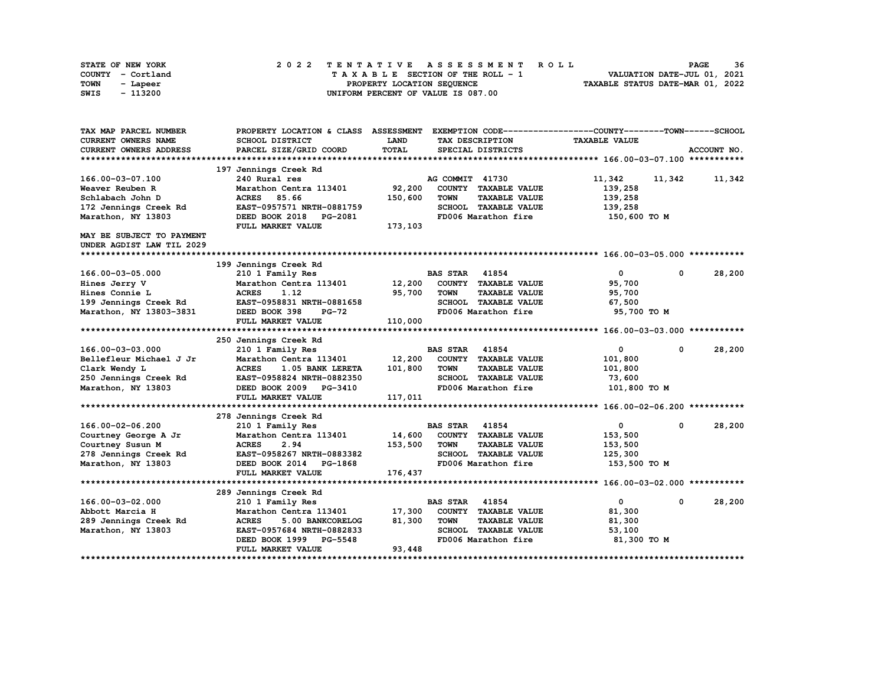| STATE OF NEW YORK | 2022 TENTATIVE ASSESSMENT ROLL     | 36<br><b>PAGE</b>                |
|-------------------|------------------------------------|----------------------------------|
| COUNTY - Cortland | TAXABLE SECTION OF THE ROLL - 1    | VALUATION DATE-JUL 01, 2021      |
| TOWN<br>- Lapeer  | PROPERTY LOCATION SEQUENCE         | TAXABLE STATUS DATE-MAR 01, 2022 |
| - 113200<br>SWIS  | UNIFORM PERCENT OF VALUE IS 087.00 |                                  |

| TAX MAP PARCEL NUMBER         | PROPERTY LOCATION & CLASS ASSESSMENT        |         |                       |                      | EXEMPTION CODE-----------------COUNTY-------TOWN------SCHOOL |              |             |
|-------------------------------|---------------------------------------------|---------|-----------------------|----------------------|--------------------------------------------------------------|--------------|-------------|
| <b>CURRENT OWNERS NAME</b>    | SCHOOL DISTRICT                             | LAND    |                       | TAX DESCRIPTION      | <b>TAXABLE VALUE</b>                                         |              |             |
| <b>CURRENT OWNERS ADDRESS</b> | PARCEL SIZE/GRID COORD                      | TOTAL   |                       | SPECIAL DISTRICTS    |                                                              |              | ACCOUNT NO. |
|                               |                                             |         |                       |                      |                                                              |              |             |
|                               | 197 Jennings Creek Rd                       |         |                       |                      |                                                              |              |             |
| 166.00-03-07.100              | 240 Rural res                               |         | AG COMMIT 41730       |                      | 11,342                                                       | 11,342       | 11,342      |
| Weaver Reuben R               | Marathon Centra 113401                      | 92,200  |                       | COUNTY TAXABLE VALUE | 139,258                                                      |              |             |
| Schlabach John D              | <b>ACRES</b><br>85.66                       | 150,600 | <b>TOWN</b>           | <b>TAXABLE VALUE</b> | 139,258                                                      |              |             |
| 172 Jennings Creek Rd         | EAST-0957571 NRTH-0881759                   |         |                       | SCHOOL TAXABLE VALUE | 139,258                                                      |              |             |
| Marathon, NY 13803            | DEED BOOK 2018 PG-2081                      |         |                       | FD006 Marathon fire  | 150,600 TO M                                                 |              |             |
|                               | FULL MARKET VALUE                           | 173,103 |                       |                      |                                                              |              |             |
| MAY BE SUBJECT TO PAYMENT     |                                             |         |                       |                      |                                                              |              |             |
| UNDER AGDIST LAW TIL 2029     |                                             |         |                       |                      |                                                              |              |             |
|                               |                                             |         |                       |                      |                                                              |              |             |
|                               | 199 Jennings Creek Rd                       |         |                       |                      |                                                              |              |             |
| 166.00-03-05.000              | 210 1 Family Res                            |         | <b>BAS STAR</b>       | 41854                | $\mathbf 0$                                                  | 0            | 28,200      |
| Hines Jerry V                 | Marathon Centra 113401                      | 12,200  |                       | COUNTY TAXABLE VALUE | 95,700                                                       |              |             |
| Hines Connie L                | <b>ACRES</b><br>1.12                        | 95,700  | <b>TOWN</b>           | <b>TAXABLE VALUE</b> | 95,700                                                       |              |             |
| 199 Jennings Creek Rd         | EAST-0958831 NRTH-0881658                   |         |                       | SCHOOL TAXABLE VALUE | 67,500                                                       |              |             |
| Marathon, NY 13803-3831       | DEED BOOK 398<br><b>PG-72</b>               |         |                       | FD006 Marathon fire  | 95,700 TO M                                                  |              |             |
|                               | FULL MARKET VALUE                           | 110,000 |                       |                      |                                                              |              |             |
|                               |                                             |         |                       |                      |                                                              |              |             |
|                               | 250 Jennings Creek Rd                       |         |                       |                      |                                                              |              |             |
| 166.00-03-03.000              | 210 1 Family Res                            |         | <b>BAS STAR</b>       | 41854                | 0                                                            | $^{\circ}$   | 28,200      |
| Bellefleur Michael J Jr       | Marathon Centra 113401                      | 12,200  |                       | COUNTY TAXABLE VALUE | 101,800                                                      |              |             |
| Clark Wendy L                 | <b>ACRES</b><br>1.05 BANK LERETA            | 101,800 | <b>TOWN</b>           | <b>TAXABLE VALUE</b> | 101,800                                                      |              |             |
| 250 Jennings Creek Rd         | EAST-0958824 NRTH-0882350                   |         |                       | SCHOOL TAXABLE VALUE | 73,600                                                       |              |             |
| Marathon, NY 13803            | DEED BOOK 2009 PG-3410                      |         |                       | FD006 Marathon fire  | 101,800 TO M                                                 |              |             |
|                               | FULL MARKET VALUE                           | 117,011 |                       |                      |                                                              |              |             |
|                               |                                             |         |                       |                      |                                                              |              |             |
|                               | 278 Jennings Creek Rd                       |         |                       |                      |                                                              |              |             |
| 166.00-02-06.200              | 210 1 Family Res                            |         | <b>BAS STAR</b>       | 41854                | 0                                                            | $\mathbf{0}$ | 28,200      |
| Courtney George A Jr          | Marathon Centra 113401                      | 14,600  |                       | COUNTY TAXABLE VALUE | 153,500                                                      |              |             |
| Courtney Susun M              | <b>ACRES</b><br>2.94                        | 153,500 | <b>TOWN</b>           | <b>TAXABLE VALUE</b> | 153,500                                                      |              |             |
| 278 Jennings Creek Rd         | EAST-0958267 NRTH-0883382                   |         |                       | SCHOOL TAXABLE VALUE | 125,300                                                      |              |             |
| Marathon, NY 13803            | DEED BOOK 2014<br>PG-1868                   |         |                       | FD006 Marathon fire  | 153,500 TO M                                                 |              |             |
|                               | FULL MARKET VALUE                           | 176,437 |                       |                      |                                                              |              |             |
|                               |                                             |         |                       |                      |                                                              |              |             |
|                               | 289 Jennings Creek Rd                       |         |                       |                      |                                                              |              |             |
| 166.00-03-02.000              | 210 1 Family Res                            |         | <b>BAS STAR 41854</b> |                      | $\mathbf{0}$                                                 | $\mathbf 0$  | 28,200      |
| Abbott Marcia H               | Marathon Centra 113401                      | 17,300  | <b>COUNTY</b>         | <b>TAXABLE VALUE</b> | 81,300                                                       |              |             |
| 289 Jennings Creek Rd         | <b>ACRES</b><br>5.00 BANKCORELOG            | 81,300  | <b>TOWN</b>           | <b>TAXABLE VALUE</b> | 81,300                                                       |              |             |
|                               |                                             |         |                       |                      |                                                              |              |             |
|                               |                                             |         |                       |                      |                                                              |              |             |
| Marathon, NY 13803            | EAST-0957684 NRTH-0882833                   |         |                       | SCHOOL TAXABLE VALUE | 53,100                                                       |              |             |
|                               | DEED BOOK 1999 PG-5548<br>FULL MARKET VALUE | 93,448  |                       | FD006 Marathon fire  | 81,300 TO M                                                  |              |             |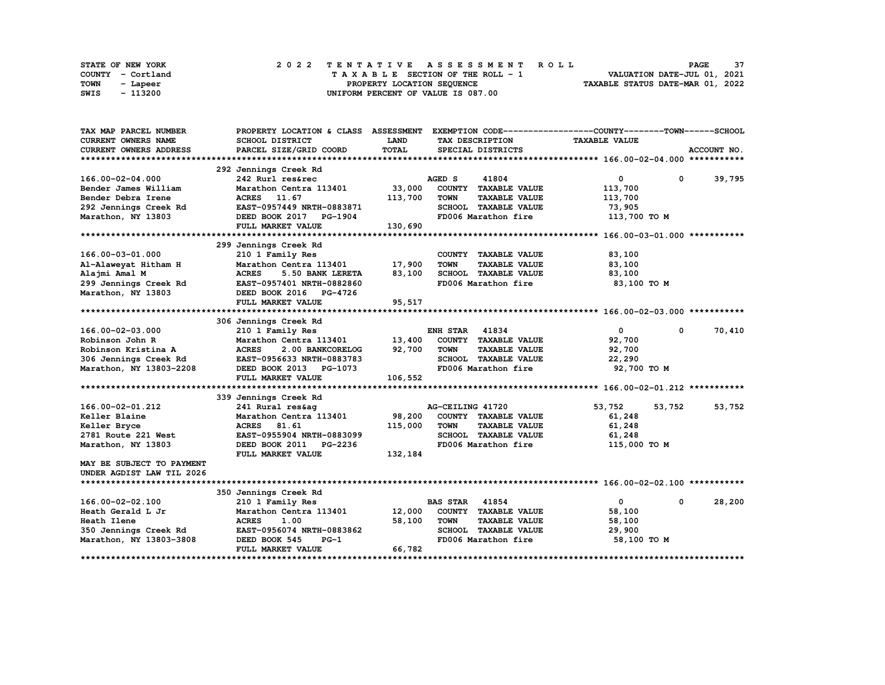| STATE OF NEW YORK | 2022 TENTATIVE ASSESSMENT ROLL                                 | 37<br><b>PAGE</b>           |  |  |  |  |  |  |  |
|-------------------|----------------------------------------------------------------|-----------------------------|--|--|--|--|--|--|--|
| COUNTY - Cortland | TAXABLE SECTION OF THE ROLL - 1                                | VALUATION DATE-JUL 01, 2021 |  |  |  |  |  |  |  |
| TOWN<br>- Lapeer  | TAXABLE STATUS DATE-MAR 01, 2022<br>PROPERTY LOCATION SEQUENCE |                             |  |  |  |  |  |  |  |
| - 113200<br>SWIS  | UNIFORM PERCENT OF VALUE IS 087.00                             |                             |  |  |  |  |  |  |  |

| TAX MAP PARCEL NUMBER         | PROPERTY LOCATION & CLASS ASSESSMENT              |         |                       |                      | EXEMPTION CODE-----------------COUNTY-------TOWN-----SCHOOL |             |              |  |  |
|-------------------------------|---------------------------------------------------|---------|-----------------------|----------------------|-------------------------------------------------------------|-------------|--------------|--|--|
| CURRENT OWNERS NAME           | <b>SCHOOL DISTRICT</b>                            | LAND    |                       | TAX DESCRIPTION      | <b>TAXABLE VALUE</b>                                        |             |              |  |  |
| <b>CURRENT OWNERS ADDRESS</b> | PARCEL SIZE/GRID COORD                            | TOTAL   |                       | SPECIAL DISTRICTS    |                                                             |             | ACCOUNT NO.  |  |  |
|                               |                                                   |         |                       |                      |                                                             |             |              |  |  |
|                               | 292 Jennings Creek Rd                             |         |                       |                      |                                                             |             |              |  |  |
| 166.00-02-04.000              | 242 Rurl res&rec                                  |         | AGED S                | 41804                | $\overline{0}$                                              |             | $0 \t39,795$ |  |  |
| Bender James William          | Marathon Centra 113401                            | 33,000  |                       | COUNTY TAXABLE VALUE | 113,700                                                     |             |              |  |  |
| Bender Debra Irene            | ACRES 11.67                                       | 113,700 | <b>TOWN</b>           | <b>TAXABLE VALUE</b> | 113,700                                                     |             |              |  |  |
| 292 Jennings Creek Rd         | EAST-0957449 NRTH-0883871                         |         |                       | SCHOOL TAXABLE VALUE | 73,905                                                      |             |              |  |  |
| Marathon, NY 13803            | DEED BOOK 2017 PG-1904                            |         |                       | FD006 Marathon fire  | 113,700 TO M                                                |             |              |  |  |
|                               | FULL MARKET VALUE                                 | 130,690 |                       |                      |                                                             |             |              |  |  |
|                               |                                                   |         |                       |                      |                                                             |             |              |  |  |
|                               | 299 Jennings Creek Rd                             |         |                       |                      |                                                             |             |              |  |  |
| 166.00-03-01.000              | 210 1 Family Res                                  |         |                       | COUNTY TAXABLE VALUE | 83,100                                                      |             |              |  |  |
| Al-Alaweyat Hitham H          | Marathon Centra 113401                            | 17,900  | <b>TOWN</b>           | <b>TAXABLE VALUE</b> | 83,100                                                      |             |              |  |  |
| Alajmi Amal M                 | <b>ACRES</b><br>5.50 BANK LERETA                  | 83,100  |                       | SCHOOL TAXABLE VALUE | 83,100                                                      |             |              |  |  |
| 299 Jennings Creek Rd         | EAST-0957401 NRTH-0882860                         |         |                       | FD006 Marathon fire  | 83,100 TO M                                                 |             |              |  |  |
| Marathon, NY 13803            | DEED BOOK 2016 PG-4726                            |         |                       |                      |                                                             |             |              |  |  |
|                               | FULL MARKET VALUE                                 | 95,517  |                       |                      |                                                             |             |              |  |  |
|                               |                                                   |         |                       |                      |                                                             |             |              |  |  |
|                               | 306 Jennings Creek Rd                             |         |                       |                      |                                                             |             |              |  |  |
| 166.00-02-03.000              | 210 1 Family Res                                  |         | <b>ENH STAR 41834</b> |                      | $\mathbf{0}$                                                | 0           | 70,410       |  |  |
| Robinson John R               | Marathon Centra 113401                            | 13,400  |                       | COUNTY TAXABLE VALUE | 92,700                                                      |             |              |  |  |
| Robinson Kristina A           | <b>ACRES</b><br>2.00 BANKCORELOG                  | 92,700  | <b>TOWN</b>           | <b>TAXABLE VALUE</b> | 92,700                                                      |             |              |  |  |
| 306 Jennings Creek Rd         | EAST-0956633 NRTH-0883783                         |         |                       | SCHOOL TAXABLE VALUE | 22,290                                                      |             |              |  |  |
| Marathon, NY 13803-2208       | DEED BOOK 2013 PG-1073                            |         |                       | FD006 Marathon fire  |                                                             | 92,700 TO M |              |  |  |
|                               | FULL MARKET VALUE                                 | 106,552 |                       |                      |                                                             |             |              |  |  |
|                               |                                                   |         |                       |                      |                                                             |             |              |  |  |
|                               | 339 Jennings Creek Rd                             |         |                       |                      |                                                             |             |              |  |  |
| 166.00-02-01.212              | 241 Rural res&ag                                  |         | AG-CEILING 41720      |                      | 53,752                                                      | 53,752      | 53,752       |  |  |
| Keller Blaine                 | Marathon Centra 113401                            | 98,200  |                       | COUNTY TAXABLE VALUE | 61,248                                                      |             |              |  |  |
| Keller Bryce                  | <b>ACRES</b><br>81.61                             | 115,000 | <b>TOWN</b>           | <b>TAXABLE VALUE</b> | 61,248                                                      |             |              |  |  |
| 2781 Route 221 West           | EAST-0955904 NRTH-0883099                         |         |                       | SCHOOL TAXABLE VALUE | 61,248                                                      |             |              |  |  |
| Marathon, NY 13803            | DEED BOOK 2011 PG-2236                            |         |                       | FD006 Marathon fire  | 115,000 TO M                                                |             |              |  |  |
|                               | FULL MARKET VALUE                                 | 132,184 |                       |                      |                                                             |             |              |  |  |
| MAY BE SUBJECT TO PAYMENT     |                                                   |         |                       |                      |                                                             |             |              |  |  |
| UNDER AGDIST LAW TIL 2026     |                                                   |         |                       |                      |                                                             |             |              |  |  |
|                               |                                                   |         |                       |                      |                                                             |             |              |  |  |
|                               | 350 Jennings Creek Rd                             |         |                       |                      |                                                             |             |              |  |  |
| 166.00-02-02.100              | 210 1 Family Res                                  |         | <b>BAS STAR 41854</b> |                      | $\mathbf{0}$                                                | $^{\circ}$  | 28,200       |  |  |
| Heath Gerald L Jr             | Marathon Centra 113401                            | 12,000  |                       | COUNTY TAXABLE VALUE | 58,100                                                      |             |              |  |  |
|                               |                                                   | 58,100  | <b>TOWN</b>           | <b>TAXABLE VALUE</b> |                                                             |             |              |  |  |
| Heath Ilene                   | <b>ACRES</b><br>1.00<br>EAST-0956074 NRTH-0883862 |         |                       | SCHOOL TAXABLE VALUE | 58,100<br>29,900                                            |             |              |  |  |
| 350 Jennings Creek Rd         | $PG-1$                                            |         |                       | FD006 Marathon fire  |                                                             | 58,100 TO M |              |  |  |
| Marathon, NY 13803-3808       | DEED BOOK 545                                     |         |                       |                      |                                                             |             |              |  |  |
|                               | FULL MARKET VALUE                                 | 66,782  |                       |                      |                                                             |             |              |  |  |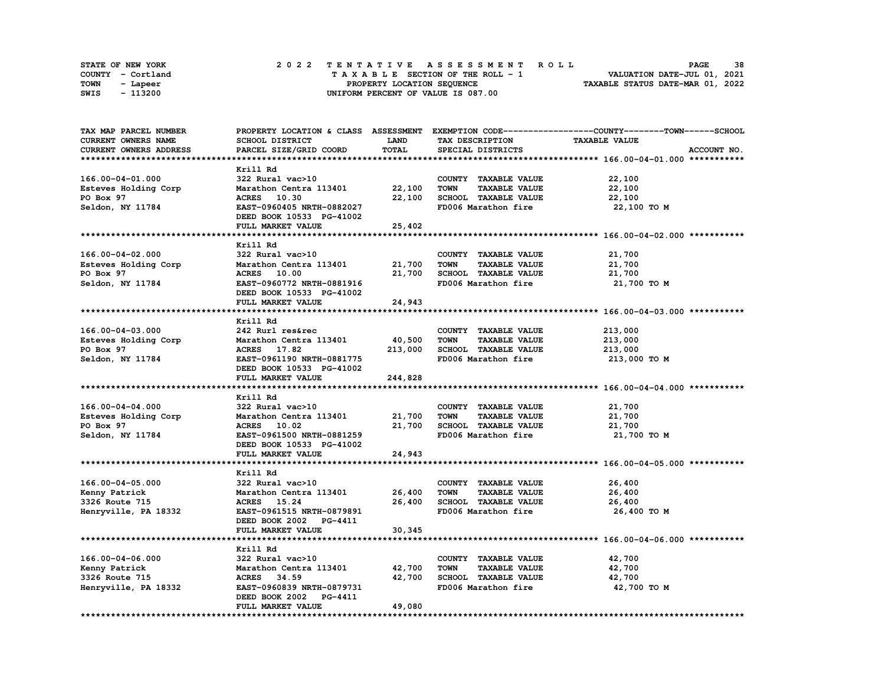|      | STATE OF NEW YORK |  | 2022 TENTATIVE ASSESSMENT ROLL     | 38<br><b>PAGE</b>                |
|------|-------------------|--|------------------------------------|----------------------------------|
|      | COUNTY - Cortland |  | TAXABLE SECTION OF THE ROLL - 1    | VALUATION DATE-JUL 01, 2021      |
| TOWN | - Lapeer          |  | PROPERTY LOCATION SEQUENCE         | TAXABLE STATUS DATE-MAR 01, 2022 |
| SWIS | - 113200          |  | UNIFORM PERCENT OF VALUE IS 087.00 |                                  |

| TAX MAP PARCEL NUMBER     |                               |             |                                     | PROPERTY LOCATION & CLASS ASSESSMENT EXEMPTION CODE----------------COUNTY-------TOWN-----SCHOOL |
|---------------------------|-------------------------------|-------------|-------------------------------------|-------------------------------------------------------------------------------------------------|
| CURRENT OWNERS NAME       | SCHOOL DISTRICT               | <b>LAND</b> | TAX DESCRIPTION                     | <b>TAXABLE VALUE</b>                                                                            |
| CURRENT OWNERS ADDRESS    | PARCEL SIZE/GRID COORD        | TOTAL       | SPECIAL DISTRICTS                   | ACCOUNT NO.                                                                                     |
|                           |                               |             |                                     |                                                                                                 |
|                           | Krill Rd                      |             |                                     |                                                                                                 |
| 166.00-04-01.000          | 322 Rural vac>10              |             | COUNTY TAXABLE VALUE                | 22,100                                                                                          |
| Esteves Holding Corp      | Marathon Centra 113401 22,100 |             | <b>TOWN</b><br><b>TAXABLE VALUE</b> | 22,100                                                                                          |
|                           |                               |             |                                     |                                                                                                 |
| PO Box 97                 | <b>ACRES</b> 10.30            | 22,100      | SCHOOL TAXABLE VALUE                | 22,100                                                                                          |
| Seldon, NY 11784          | EAST-0960405 NRTH-0882027     |             | FD006 Marathon fire                 | 22,100 TO M                                                                                     |
|                           | DEED BOOK 10533 PG-41002      |             |                                     |                                                                                                 |
|                           | FULL MARKET VALUE             | 25,402      |                                     |                                                                                                 |
|                           |                               |             |                                     |                                                                                                 |
|                           | Krill Rd                      |             |                                     |                                                                                                 |
| 166.00-04-02.000          | 322 Rural vac>10              |             | COUNTY TAXABLE VALUE                | 21,700                                                                                          |
| Esteves Holding Corp      | Marathon Centra 113401        | 21,700      | <b>TOWN</b><br><b>TAXABLE VALUE</b> | 21,700                                                                                          |
| PO Box 97                 | <b>ACRES</b> 10.00            | 21,700      | SCHOOL TAXABLE VALUE                | 21,700                                                                                          |
| Seldon, NY 11784          | EAST-0960772 NRTH-0881916     |             | FD006 Marathon fire                 | 21,700 TO M                                                                                     |
|                           | DEED BOOK 10533 PG-41002      |             |                                     |                                                                                                 |
|                           | FULL MARKET VALUE             | 24,943      |                                     |                                                                                                 |
|                           |                               |             |                                     |                                                                                                 |
|                           |                               |             |                                     |                                                                                                 |
|                           | Krill Rd                      |             |                                     |                                                                                                 |
| 166.00-04-03.000          | 242 Rurl res&rec              |             | COUNTY TAXABLE VALUE                | 213,000                                                                                         |
| Esteves Holding Corp      | Marathon Centra 113401        | 40,500      | <b>TAXABLE VALUE</b><br>TOWN        | 213,000                                                                                         |
| PO Box 97                 | ACRES 17.82                   | 213,000     | SCHOOL TAXABLE VALUE                | 213,000                                                                                         |
| Seldon, NY 11784          | EAST-0961190 NRTH-0881775     |             | FD006 Marathon fire                 | 213,000 то м                                                                                    |
|                           | DEED BOOK 10533 PG-41002      |             |                                     |                                                                                                 |
|                           | FULL MARKET VALUE             | 244,828     |                                     |                                                                                                 |
|                           |                               |             |                                     |                                                                                                 |
|                           | Krill Rd                      |             |                                     |                                                                                                 |
| 166.00-04-04.000          | 322 Rural vac>10              |             | COUNTY TAXABLE VALUE                | 21,700                                                                                          |
| Esteves Holding Corp      | Marathon Centra 113401        | 21,700      | <b>TOWN</b><br><b>TAXABLE VALUE</b> | 21,700                                                                                          |
| PO Box 97                 | ACRES 10.02                   | 21,700      | SCHOOL TAXABLE VALUE                | 21,700                                                                                          |
|                           | EAST-0961500 NRTH-0881259     |             | FD006 Marathon fire                 | 21,700 TO M                                                                                     |
| Seldon, NY 11784          |                               |             |                                     |                                                                                                 |
|                           | DEED BOOK 10533 PG-41002      |             |                                     |                                                                                                 |
|                           | FULL MARKET VALUE             | 24,943      |                                     |                                                                                                 |
|                           |                               |             |                                     |                                                                                                 |
|                           | Krill Rd                      |             |                                     |                                                                                                 |
| 166.00-04-05.000          | 322 Rural vac>10              |             | COUNTY TAXABLE VALUE                | 26,400                                                                                          |
| Kenny Patrick             | Marathon Centra 113401        | 26,400      | <b>TOWN</b><br><b>TAXABLE VALUE</b> | 26,400                                                                                          |
| 3326 Route 715            | ACRES 15.24                   | 26,400      | SCHOOL TAXABLE VALUE                | 26,400                                                                                          |
| Henryville, PA 18332      | EAST-0961515 NRTH-0879891     |             | FD006 Marathon fire                 | 26,400 то м                                                                                     |
|                           | DEED BOOK 2002 PG-4411        |             |                                     |                                                                                                 |
|                           | FULL MARKET VALUE             | 30,345      |                                     |                                                                                                 |
| ************************* | ****************************  |             |                                     |                                                                                                 |
|                           | Krill Rd                      |             |                                     |                                                                                                 |
|                           |                               |             |                                     |                                                                                                 |
| 166.00-04-06.000          | 322 Rural vac>10              |             | COUNTY TAXABLE VALUE                | 42,700                                                                                          |
| Kenny Patrick             | Marathon Centra 113401        | 42,700      | <b>TOWN</b><br><b>TAXABLE VALUE</b> | 42,700                                                                                          |
| 3326 Route 715            | ACRES 34.59                   | 42,700      | SCHOOL TAXABLE VALUE                | 42,700                                                                                          |
| Henryville, PA 18332      | EAST-0960839 NRTH-0879731     |             | FD006 Marathon fire                 | 42,700 TO M                                                                                     |
|                           | DEED BOOK 2002 PG-4411        |             |                                     |                                                                                                 |
|                           | FULL MARKET VALUE             | 49,080      |                                     |                                                                                                 |
|                           |                               |             |                                     |                                                                                                 |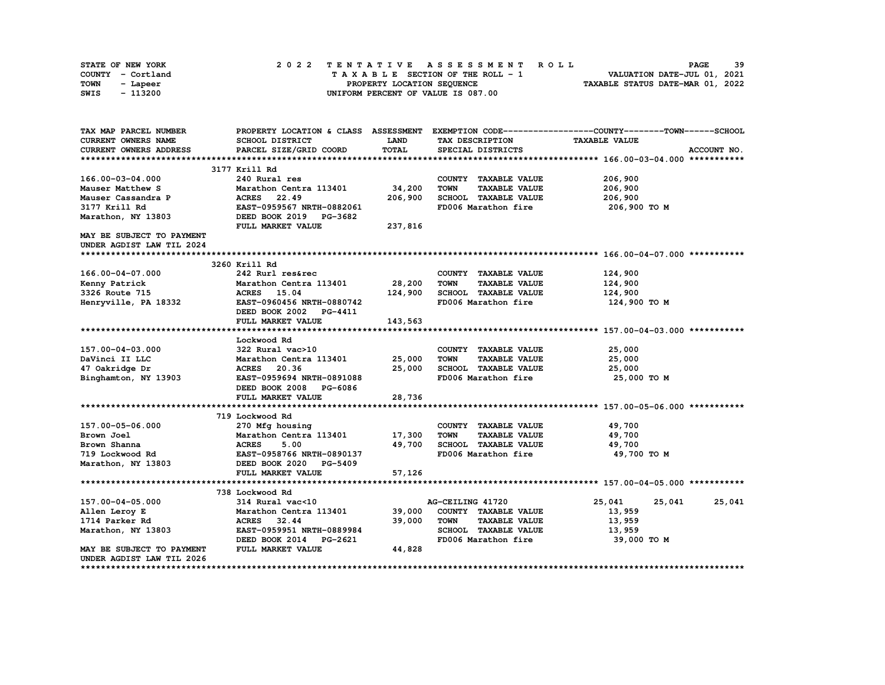|      | <b>STATE OF NEW YORK</b> |  | 2022 TENTATIVE ASSESSMENT ROLL          | 39<br><b>PAGE</b>           |
|------|--------------------------|--|-----------------------------------------|-----------------------------|
|      | COUNTY - Cortland        |  | $T A X A B L E$ SECTION OF THE ROLL - 1 | VALUATION DATE-JUL 01, 2021 |
| TOWN | - Lapeer                 |  | TAXABLE STATUS DATE-MAR 01, 2022        |                             |
| SWIS | - 113200                 |  | UNIFORM PERCENT OF VALUE IS 087.00      |                             |

| <b>CURRENT OWNERS NAME</b><br><b>SCHOOL DISTRICT</b><br>LAND<br><b>TAXABLE VALUE</b><br>TAX DESCRIPTION<br><b>TOTAL</b><br>CURRENT OWNERS ADDRESS<br>PARCEL SIZE/GRID COORD<br>SPECIAL DISTRICTS<br>ACCOUNT NO.<br>3177 Krill Rd<br>240 Rural res<br>206,900<br>166.00-03-04.000<br>COUNTY TAXABLE VALUE<br>34,200<br><b>TOWN</b><br><b>TAXABLE VALUE</b><br>206,900<br>Mauser Matthew S<br>Marathon Centra 113401<br>206,900<br>SCHOOL TAXABLE VALUE<br>206,900<br>Mauser Cassandra P<br>ACRES 22.49<br>3177 Krill Rd<br>EAST-0959567 NRTH-0882061<br>FD006 Marathon fire<br>206,900 то м<br>Marathon, NY 13803<br>DEED BOOK 2019 PG-3682<br>FULL MARKET VALUE<br>237,816<br>MAY BE SUBJECT TO PAYMENT<br>UNDER AGDIST LAW TIL 2024<br>3260 Krill Rd<br>166.00-04-07.000<br>242 Rurl res&rec<br>124,900<br>COUNTY TAXABLE VALUE<br>28,200<br><b>TOWN</b><br>124,900<br>Kenny Patrick<br>Marathon Centra 113401<br><b>TAXABLE VALUE</b><br>124,900<br>SCHOOL TAXABLE VALUE<br>3326 Route 715<br>ACRES 15.04<br>124,900<br>Henryville, PA 18332<br>EAST-0960456 NRTH-0880742<br>FD006 Marathon fire<br>124,900 TO M<br>DEED BOOK 2002 PG-4411<br>FULL MARKET VALUE<br>143,563<br>Lockwood Rd<br>322 Rural vac>10<br>157.00-04-03.000<br>COUNTY TAXABLE VALUE<br>25,000<br>DaVinci II LLC<br>Marathon Centra 113401<br>25,000<br><b>TOWN</b><br><b>TAXABLE VALUE</b><br>25,000<br>25,000<br>SCHOOL TAXABLE VALUE<br>47 Oakridge Dr<br>ACRES 20.36<br>25,000<br>FD006 Marathon fire<br>Binghamton, NY 13903<br>EAST-0959694 NRTH-0891088<br>25,000 TO M<br>DEED BOOK 2008<br><b>PG-6086</b><br>28,736<br>FULL MARKET VALUE<br>719 Lockwood Rd<br>157.00-05-06.000<br>COUNTY TAXABLE VALUE<br>49,700<br>270 Mfg housing<br>Marathon Centra 113401<br>17,300<br><b>TOWN</b><br>49,700<br>Brown Joel<br><b>TAXABLE VALUE</b><br><b>ACRES</b><br>49,700<br>SCHOOL TAXABLE VALUE<br>49,700<br>Brown Shanna<br>5.00<br>FD006 Marathon fire<br>49,700 TO M<br>719 Lockwood Rd<br>EAST-0958766 NRTH-0890137<br>DEED BOOK 2020 PG-5409<br>Marathon, NY 13803<br>57,126<br>FULL MARKET VALUE<br>738 Lockwood Rd<br>157.00-04-05.000<br>314 Rural vac<10<br>AG-CEILING 41720<br>25,041<br>25,041<br>25,041<br>Marathon Centra 113401<br>39,000<br>COUNTY TAXABLE VALUE<br>Allen Leroy E<br>13,959<br>39,000<br>1714 Parker Rd<br>ACRES 32.44<br><b>TOWN</b><br><b>TAXABLE VALUE</b><br>13,959<br>Marathon, NY 13803<br>EAST-0959951 NRTH-0889984<br>SCHOOL TAXABLE VALUE<br>13,959<br>FD006 Marathon fire<br>DEED BOOK 2014 PG-2621<br>39,000 TO M<br>FULL MARKET VALUE | TAX MAP PARCEL NUMBER     | PROPERTY LOCATION & CLASS ASSESSMENT |        | EXEMPTION CODE-----------------COUNTY-------TOWN-----SCHOOL |
|-----------------------------------------------------------------------------------------------------------------------------------------------------------------------------------------------------------------------------------------------------------------------------------------------------------------------------------------------------------------------------------------------------------------------------------------------------------------------------------------------------------------------------------------------------------------------------------------------------------------------------------------------------------------------------------------------------------------------------------------------------------------------------------------------------------------------------------------------------------------------------------------------------------------------------------------------------------------------------------------------------------------------------------------------------------------------------------------------------------------------------------------------------------------------------------------------------------------------------------------------------------------------------------------------------------------------------------------------------------------------------------------------------------------------------------------------------------------------------------------------------------------------------------------------------------------------------------------------------------------------------------------------------------------------------------------------------------------------------------------------------------------------------------------------------------------------------------------------------------------------------------------------------------------------------------------------------------------------------------------------------------------------------------------------------------------------------------------------------------------------------------------------------------------------------------------------------------------------------------------------------------------------------------------------------------------------------------------------------------------------------------------------------------------------------------------------------------------------------------------------------------------------------------------------------------|---------------------------|--------------------------------------|--------|-------------------------------------------------------------|
|                                                                                                                                                                                                                                                                                                                                                                                                                                                                                                                                                                                                                                                                                                                                                                                                                                                                                                                                                                                                                                                                                                                                                                                                                                                                                                                                                                                                                                                                                                                                                                                                                                                                                                                                                                                                                                                                                                                                                                                                                                                                                                                                                                                                                                                                                                                                                                                                                                                                                                                                                           |                           |                                      |        |                                                             |
|                                                                                                                                                                                                                                                                                                                                                                                                                                                                                                                                                                                                                                                                                                                                                                                                                                                                                                                                                                                                                                                                                                                                                                                                                                                                                                                                                                                                                                                                                                                                                                                                                                                                                                                                                                                                                                                                                                                                                                                                                                                                                                                                                                                                                                                                                                                                                                                                                                                                                                                                                           |                           |                                      |        |                                                             |
|                                                                                                                                                                                                                                                                                                                                                                                                                                                                                                                                                                                                                                                                                                                                                                                                                                                                                                                                                                                                                                                                                                                                                                                                                                                                                                                                                                                                                                                                                                                                                                                                                                                                                                                                                                                                                                                                                                                                                                                                                                                                                                                                                                                                                                                                                                                                                                                                                                                                                                                                                           |                           |                                      |        |                                                             |
|                                                                                                                                                                                                                                                                                                                                                                                                                                                                                                                                                                                                                                                                                                                                                                                                                                                                                                                                                                                                                                                                                                                                                                                                                                                                                                                                                                                                                                                                                                                                                                                                                                                                                                                                                                                                                                                                                                                                                                                                                                                                                                                                                                                                                                                                                                                                                                                                                                                                                                                                                           |                           |                                      |        |                                                             |
|                                                                                                                                                                                                                                                                                                                                                                                                                                                                                                                                                                                                                                                                                                                                                                                                                                                                                                                                                                                                                                                                                                                                                                                                                                                                                                                                                                                                                                                                                                                                                                                                                                                                                                                                                                                                                                                                                                                                                                                                                                                                                                                                                                                                                                                                                                                                                                                                                                                                                                                                                           |                           |                                      |        |                                                             |
|                                                                                                                                                                                                                                                                                                                                                                                                                                                                                                                                                                                                                                                                                                                                                                                                                                                                                                                                                                                                                                                                                                                                                                                                                                                                                                                                                                                                                                                                                                                                                                                                                                                                                                                                                                                                                                                                                                                                                                                                                                                                                                                                                                                                                                                                                                                                                                                                                                                                                                                                                           |                           |                                      |        |                                                             |
|                                                                                                                                                                                                                                                                                                                                                                                                                                                                                                                                                                                                                                                                                                                                                                                                                                                                                                                                                                                                                                                                                                                                                                                                                                                                                                                                                                                                                                                                                                                                                                                                                                                                                                                                                                                                                                                                                                                                                                                                                                                                                                                                                                                                                                                                                                                                                                                                                                                                                                                                                           |                           |                                      |        |                                                             |
|                                                                                                                                                                                                                                                                                                                                                                                                                                                                                                                                                                                                                                                                                                                                                                                                                                                                                                                                                                                                                                                                                                                                                                                                                                                                                                                                                                                                                                                                                                                                                                                                                                                                                                                                                                                                                                                                                                                                                                                                                                                                                                                                                                                                                                                                                                                                                                                                                                                                                                                                                           |                           |                                      |        |                                                             |
|                                                                                                                                                                                                                                                                                                                                                                                                                                                                                                                                                                                                                                                                                                                                                                                                                                                                                                                                                                                                                                                                                                                                                                                                                                                                                                                                                                                                                                                                                                                                                                                                                                                                                                                                                                                                                                                                                                                                                                                                                                                                                                                                                                                                                                                                                                                                                                                                                                                                                                                                                           |                           |                                      |        |                                                             |
|                                                                                                                                                                                                                                                                                                                                                                                                                                                                                                                                                                                                                                                                                                                                                                                                                                                                                                                                                                                                                                                                                                                                                                                                                                                                                                                                                                                                                                                                                                                                                                                                                                                                                                                                                                                                                                                                                                                                                                                                                                                                                                                                                                                                                                                                                                                                                                                                                                                                                                                                                           |                           |                                      |        |                                                             |
|                                                                                                                                                                                                                                                                                                                                                                                                                                                                                                                                                                                                                                                                                                                                                                                                                                                                                                                                                                                                                                                                                                                                                                                                                                                                                                                                                                                                                                                                                                                                                                                                                                                                                                                                                                                                                                                                                                                                                                                                                                                                                                                                                                                                                                                                                                                                                                                                                                                                                                                                                           |                           |                                      |        |                                                             |
|                                                                                                                                                                                                                                                                                                                                                                                                                                                                                                                                                                                                                                                                                                                                                                                                                                                                                                                                                                                                                                                                                                                                                                                                                                                                                                                                                                                                                                                                                                                                                                                                                                                                                                                                                                                                                                                                                                                                                                                                                                                                                                                                                                                                                                                                                                                                                                                                                                                                                                                                                           |                           |                                      |        |                                                             |
|                                                                                                                                                                                                                                                                                                                                                                                                                                                                                                                                                                                                                                                                                                                                                                                                                                                                                                                                                                                                                                                                                                                                                                                                                                                                                                                                                                                                                                                                                                                                                                                                                                                                                                                                                                                                                                                                                                                                                                                                                                                                                                                                                                                                                                                                                                                                                                                                                                                                                                                                                           |                           |                                      |        |                                                             |
|                                                                                                                                                                                                                                                                                                                                                                                                                                                                                                                                                                                                                                                                                                                                                                                                                                                                                                                                                                                                                                                                                                                                                                                                                                                                                                                                                                                                                                                                                                                                                                                                                                                                                                                                                                                                                                                                                                                                                                                                                                                                                                                                                                                                                                                                                                                                                                                                                                                                                                                                                           |                           |                                      |        |                                                             |
|                                                                                                                                                                                                                                                                                                                                                                                                                                                                                                                                                                                                                                                                                                                                                                                                                                                                                                                                                                                                                                                                                                                                                                                                                                                                                                                                                                                                                                                                                                                                                                                                                                                                                                                                                                                                                                                                                                                                                                                                                                                                                                                                                                                                                                                                                                                                                                                                                                                                                                                                                           |                           |                                      |        |                                                             |
|                                                                                                                                                                                                                                                                                                                                                                                                                                                                                                                                                                                                                                                                                                                                                                                                                                                                                                                                                                                                                                                                                                                                                                                                                                                                                                                                                                                                                                                                                                                                                                                                                                                                                                                                                                                                                                                                                                                                                                                                                                                                                                                                                                                                                                                                                                                                                                                                                                                                                                                                                           |                           |                                      |        |                                                             |
|                                                                                                                                                                                                                                                                                                                                                                                                                                                                                                                                                                                                                                                                                                                                                                                                                                                                                                                                                                                                                                                                                                                                                                                                                                                                                                                                                                                                                                                                                                                                                                                                                                                                                                                                                                                                                                                                                                                                                                                                                                                                                                                                                                                                                                                                                                                                                                                                                                                                                                                                                           |                           |                                      |        |                                                             |
|                                                                                                                                                                                                                                                                                                                                                                                                                                                                                                                                                                                                                                                                                                                                                                                                                                                                                                                                                                                                                                                                                                                                                                                                                                                                                                                                                                                                                                                                                                                                                                                                                                                                                                                                                                                                                                                                                                                                                                                                                                                                                                                                                                                                                                                                                                                                                                                                                                                                                                                                                           |                           |                                      |        |                                                             |
|                                                                                                                                                                                                                                                                                                                                                                                                                                                                                                                                                                                                                                                                                                                                                                                                                                                                                                                                                                                                                                                                                                                                                                                                                                                                                                                                                                                                                                                                                                                                                                                                                                                                                                                                                                                                                                                                                                                                                                                                                                                                                                                                                                                                                                                                                                                                                                                                                                                                                                                                                           |                           |                                      |        |                                                             |
|                                                                                                                                                                                                                                                                                                                                                                                                                                                                                                                                                                                                                                                                                                                                                                                                                                                                                                                                                                                                                                                                                                                                                                                                                                                                                                                                                                                                                                                                                                                                                                                                                                                                                                                                                                                                                                                                                                                                                                                                                                                                                                                                                                                                                                                                                                                                                                                                                                                                                                                                                           |                           |                                      |        |                                                             |
|                                                                                                                                                                                                                                                                                                                                                                                                                                                                                                                                                                                                                                                                                                                                                                                                                                                                                                                                                                                                                                                                                                                                                                                                                                                                                                                                                                                                                                                                                                                                                                                                                                                                                                                                                                                                                                                                                                                                                                                                                                                                                                                                                                                                                                                                                                                                                                                                                                                                                                                                                           |                           |                                      |        |                                                             |
|                                                                                                                                                                                                                                                                                                                                                                                                                                                                                                                                                                                                                                                                                                                                                                                                                                                                                                                                                                                                                                                                                                                                                                                                                                                                                                                                                                                                                                                                                                                                                                                                                                                                                                                                                                                                                                                                                                                                                                                                                                                                                                                                                                                                                                                                                                                                                                                                                                                                                                                                                           |                           |                                      |        |                                                             |
|                                                                                                                                                                                                                                                                                                                                                                                                                                                                                                                                                                                                                                                                                                                                                                                                                                                                                                                                                                                                                                                                                                                                                                                                                                                                                                                                                                                                                                                                                                                                                                                                                                                                                                                                                                                                                                                                                                                                                                                                                                                                                                                                                                                                                                                                                                                                                                                                                                                                                                                                                           |                           |                                      |        |                                                             |
|                                                                                                                                                                                                                                                                                                                                                                                                                                                                                                                                                                                                                                                                                                                                                                                                                                                                                                                                                                                                                                                                                                                                                                                                                                                                                                                                                                                                                                                                                                                                                                                                                                                                                                                                                                                                                                                                                                                                                                                                                                                                                                                                                                                                                                                                                                                                                                                                                                                                                                                                                           |                           |                                      |        |                                                             |
|                                                                                                                                                                                                                                                                                                                                                                                                                                                                                                                                                                                                                                                                                                                                                                                                                                                                                                                                                                                                                                                                                                                                                                                                                                                                                                                                                                                                                                                                                                                                                                                                                                                                                                                                                                                                                                                                                                                                                                                                                                                                                                                                                                                                                                                                                                                                                                                                                                                                                                                                                           |                           |                                      |        |                                                             |
|                                                                                                                                                                                                                                                                                                                                                                                                                                                                                                                                                                                                                                                                                                                                                                                                                                                                                                                                                                                                                                                                                                                                                                                                                                                                                                                                                                                                                                                                                                                                                                                                                                                                                                                                                                                                                                                                                                                                                                                                                                                                                                                                                                                                                                                                                                                                                                                                                                                                                                                                                           |                           |                                      |        |                                                             |
|                                                                                                                                                                                                                                                                                                                                                                                                                                                                                                                                                                                                                                                                                                                                                                                                                                                                                                                                                                                                                                                                                                                                                                                                                                                                                                                                                                                                                                                                                                                                                                                                                                                                                                                                                                                                                                                                                                                                                                                                                                                                                                                                                                                                                                                                                                                                                                                                                                                                                                                                                           |                           |                                      |        |                                                             |
|                                                                                                                                                                                                                                                                                                                                                                                                                                                                                                                                                                                                                                                                                                                                                                                                                                                                                                                                                                                                                                                                                                                                                                                                                                                                                                                                                                                                                                                                                                                                                                                                                                                                                                                                                                                                                                                                                                                                                                                                                                                                                                                                                                                                                                                                                                                                                                                                                                                                                                                                                           |                           |                                      |        |                                                             |
|                                                                                                                                                                                                                                                                                                                                                                                                                                                                                                                                                                                                                                                                                                                                                                                                                                                                                                                                                                                                                                                                                                                                                                                                                                                                                                                                                                                                                                                                                                                                                                                                                                                                                                                                                                                                                                                                                                                                                                                                                                                                                                                                                                                                                                                                                                                                                                                                                                                                                                                                                           |                           |                                      |        |                                                             |
|                                                                                                                                                                                                                                                                                                                                                                                                                                                                                                                                                                                                                                                                                                                                                                                                                                                                                                                                                                                                                                                                                                                                                                                                                                                                                                                                                                                                                                                                                                                                                                                                                                                                                                                                                                                                                                                                                                                                                                                                                                                                                                                                                                                                                                                                                                                                                                                                                                                                                                                                                           |                           |                                      |        |                                                             |
|                                                                                                                                                                                                                                                                                                                                                                                                                                                                                                                                                                                                                                                                                                                                                                                                                                                                                                                                                                                                                                                                                                                                                                                                                                                                                                                                                                                                                                                                                                                                                                                                                                                                                                                                                                                                                                                                                                                                                                                                                                                                                                                                                                                                                                                                                                                                                                                                                                                                                                                                                           |                           |                                      |        |                                                             |
|                                                                                                                                                                                                                                                                                                                                                                                                                                                                                                                                                                                                                                                                                                                                                                                                                                                                                                                                                                                                                                                                                                                                                                                                                                                                                                                                                                                                                                                                                                                                                                                                                                                                                                                                                                                                                                                                                                                                                                                                                                                                                                                                                                                                                                                                                                                                                                                                                                                                                                                                                           |                           |                                      |        |                                                             |
|                                                                                                                                                                                                                                                                                                                                                                                                                                                                                                                                                                                                                                                                                                                                                                                                                                                                                                                                                                                                                                                                                                                                                                                                                                                                                                                                                                                                                                                                                                                                                                                                                                                                                                                                                                                                                                                                                                                                                                                                                                                                                                                                                                                                                                                                                                                                                                                                                                                                                                                                                           |                           |                                      |        |                                                             |
|                                                                                                                                                                                                                                                                                                                                                                                                                                                                                                                                                                                                                                                                                                                                                                                                                                                                                                                                                                                                                                                                                                                                                                                                                                                                                                                                                                                                                                                                                                                                                                                                                                                                                                                                                                                                                                                                                                                                                                                                                                                                                                                                                                                                                                                                                                                                                                                                                                                                                                                                                           |                           |                                      |        |                                                             |
|                                                                                                                                                                                                                                                                                                                                                                                                                                                                                                                                                                                                                                                                                                                                                                                                                                                                                                                                                                                                                                                                                                                                                                                                                                                                                                                                                                                                                                                                                                                                                                                                                                                                                                                                                                                                                                                                                                                                                                                                                                                                                                                                                                                                                                                                                                                                                                                                                                                                                                                                                           |                           |                                      |        |                                                             |
|                                                                                                                                                                                                                                                                                                                                                                                                                                                                                                                                                                                                                                                                                                                                                                                                                                                                                                                                                                                                                                                                                                                                                                                                                                                                                                                                                                                                                                                                                                                                                                                                                                                                                                                                                                                                                                                                                                                                                                                                                                                                                                                                                                                                                                                                                                                                                                                                                                                                                                                                                           |                           |                                      |        |                                                             |
|                                                                                                                                                                                                                                                                                                                                                                                                                                                                                                                                                                                                                                                                                                                                                                                                                                                                                                                                                                                                                                                                                                                                                                                                                                                                                                                                                                                                                                                                                                                                                                                                                                                                                                                                                                                                                                                                                                                                                                                                                                                                                                                                                                                                                                                                                                                                                                                                                                                                                                                                                           |                           |                                      |        |                                                             |
|                                                                                                                                                                                                                                                                                                                                                                                                                                                                                                                                                                                                                                                                                                                                                                                                                                                                                                                                                                                                                                                                                                                                                                                                                                                                                                                                                                                                                                                                                                                                                                                                                                                                                                                                                                                                                                                                                                                                                                                                                                                                                                                                                                                                                                                                                                                                                                                                                                                                                                                                                           |                           |                                      |        |                                                             |
|                                                                                                                                                                                                                                                                                                                                                                                                                                                                                                                                                                                                                                                                                                                                                                                                                                                                                                                                                                                                                                                                                                                                                                                                                                                                                                                                                                                                                                                                                                                                                                                                                                                                                                                                                                                                                                                                                                                                                                                                                                                                                                                                                                                                                                                                                                                                                                                                                                                                                                                                                           |                           |                                      |        |                                                             |
|                                                                                                                                                                                                                                                                                                                                                                                                                                                                                                                                                                                                                                                                                                                                                                                                                                                                                                                                                                                                                                                                                                                                                                                                                                                                                                                                                                                                                                                                                                                                                                                                                                                                                                                                                                                                                                                                                                                                                                                                                                                                                                                                                                                                                                                                                                                                                                                                                                                                                                                                                           |                           |                                      |        |                                                             |
|                                                                                                                                                                                                                                                                                                                                                                                                                                                                                                                                                                                                                                                                                                                                                                                                                                                                                                                                                                                                                                                                                                                                                                                                                                                                                                                                                                                                                                                                                                                                                                                                                                                                                                                                                                                                                                                                                                                                                                                                                                                                                                                                                                                                                                                                                                                                                                                                                                                                                                                                                           |                           |                                      |        |                                                             |
|                                                                                                                                                                                                                                                                                                                                                                                                                                                                                                                                                                                                                                                                                                                                                                                                                                                                                                                                                                                                                                                                                                                                                                                                                                                                                                                                                                                                                                                                                                                                                                                                                                                                                                                                                                                                                                                                                                                                                                                                                                                                                                                                                                                                                                                                                                                                                                                                                                                                                                                                                           |                           |                                      |        |                                                             |
|                                                                                                                                                                                                                                                                                                                                                                                                                                                                                                                                                                                                                                                                                                                                                                                                                                                                                                                                                                                                                                                                                                                                                                                                                                                                                                                                                                                                                                                                                                                                                                                                                                                                                                                                                                                                                                                                                                                                                                                                                                                                                                                                                                                                                                                                                                                                                                                                                                                                                                                                                           |                           |                                      |        |                                                             |
|                                                                                                                                                                                                                                                                                                                                                                                                                                                                                                                                                                                                                                                                                                                                                                                                                                                                                                                                                                                                                                                                                                                                                                                                                                                                                                                                                                                                                                                                                                                                                                                                                                                                                                                                                                                                                                                                                                                                                                                                                                                                                                                                                                                                                                                                                                                                                                                                                                                                                                                                                           | MAY BE SUBJECT TO PAYMENT |                                      | 44,828 |                                                             |
| UNDER AGDIST LAW TIL 2026                                                                                                                                                                                                                                                                                                                                                                                                                                                                                                                                                                                                                                                                                                                                                                                                                                                                                                                                                                                                                                                                                                                                                                                                                                                                                                                                                                                                                                                                                                                                                                                                                                                                                                                                                                                                                                                                                                                                                                                                                                                                                                                                                                                                                                                                                                                                                                                                                                                                                                                                 |                           |                                      |        |                                                             |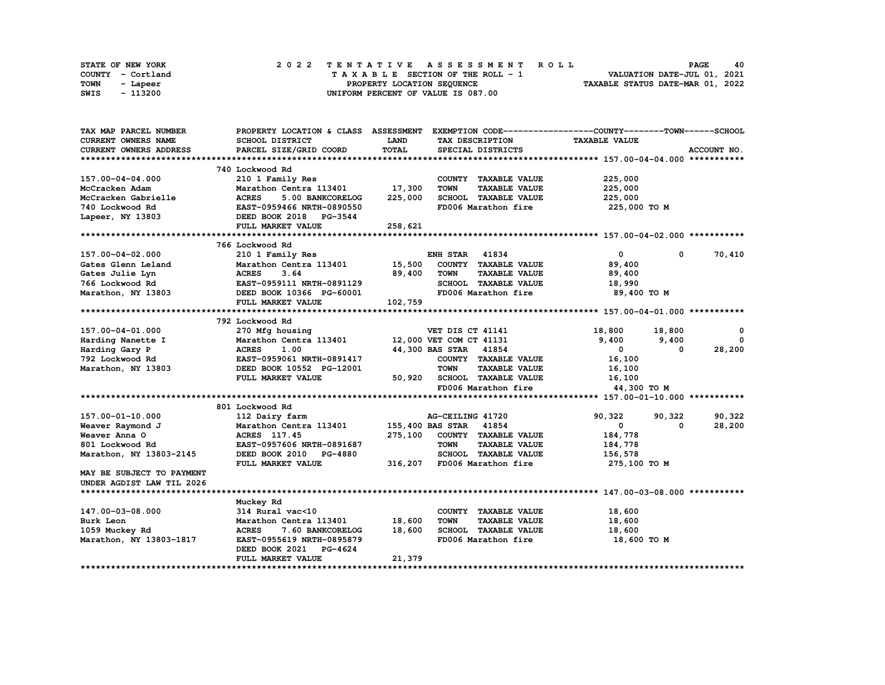|      | <b>STATE OF NEW YORK</b> |                            |  |  |  |  |  |  |  |  | 2022 TENTATIVE ASSESSMENT ROLL     |  |  |  |  |  |  |  |                             | <b>PAGE</b> | 40 |
|------|--------------------------|----------------------------|--|--|--|--|--|--|--|--|------------------------------------|--|--|--|--|--|--|--|-----------------------------|-------------|----|
|      | COUNTY - Cortland        |                            |  |  |  |  |  |  |  |  | TAXABLE SECTION OF THE ROLL - 1    |  |  |  |  |  |  |  | VALUATION DATE-JUL 01, 2021 |             |    |
| TOWN | - Lapeer                 | PROPERTY LOCATION SEQUENCE |  |  |  |  |  |  |  |  | TAXABLE STATUS DATE-MAR 01, 2022   |  |  |  |  |  |  |  |                             |             |    |
| SWIS | - 113200                 |                            |  |  |  |  |  |  |  |  | UNIFORM PERCENT OF VALUE IS 087.00 |  |  |  |  |  |  |  |                             |             |    |

| TAX MAP PARCEL NUMBER         | PROPERTY LOCATION & CLASS ASSESSMENT |              |                                     | EXEMPTION CODE-----------------COUNTY-------TOWN------SCHOOL |             |
|-------------------------------|--------------------------------------|--------------|-------------------------------------|--------------------------------------------------------------|-------------|
| <b>CURRENT OWNERS NAME</b>    | <b>SCHOOL DISTRICT</b>               | LAND         | TAX DESCRIPTION                     | <b>TAXABLE VALUE</b>                                         |             |
| <b>CURRENT OWNERS ADDRESS</b> | PARCEL SIZE/GRID COORD               | <b>TOTAL</b> | SPECIAL DISTRICTS                   |                                                              | ACCOUNT NO. |
|                               |                                      |              |                                     |                                                              |             |
|                               | 740 Lockwood Rd                      |              |                                     |                                                              |             |
| 157.00-04-04.000              | 210 1 Family Res                     |              | COUNTY TAXABLE VALUE                | 225,000                                                      |             |
| McCracken Adam                | Marathon Centra 113401               | 17,300       | <b>TOWN</b><br><b>TAXABLE VALUE</b> | 225,000                                                      |             |
| McCracken Gabrielle           | <b>ACRES</b><br>5.00 BANKCORELOG     | 225,000      | SCHOOL TAXABLE VALUE                | 225,000                                                      |             |
| 740 Lockwood Rd               | EAST-0959466 NRTH-0890550            |              | FD006 Marathon fire                 | 225,000 TO M                                                 |             |
| Lapeer, NY 13803              | DEED BOOK 2018 PG-3544               |              |                                     |                                                              |             |
|                               | FULL MARKET VALUE                    | 258,621      |                                     |                                                              |             |
|                               |                                      |              |                                     |                                                              |             |
|                               | 766 Lockwood Rd                      |              |                                     |                                                              |             |
| 157.00-04-02.000              | 210 1 Family Res                     |              | ENH STAR<br>41834                   | $\mathbf{0}$<br>0                                            | 70,410      |
| Gates Glenn Leland            | Marathon Centra 113401               | 15,500       | COUNTY TAXABLE VALUE                | 89,400                                                       |             |
| Gates Julie Lyn               | <b>ACRES</b><br>3.64                 | 89,400       | <b>TOWN</b><br><b>TAXABLE VALUE</b> | 89,400                                                       |             |
| 766 Lockwood Rd               | EAST-0959111 NRTH-0891129            |              | SCHOOL TAXABLE VALUE                | 18,990                                                       |             |
| Marathon, NY 13803            | DEED BOOK 10366 PG-60001             |              | FD006 Marathon fire                 | 89,400 TO M                                                  |             |
|                               | FULL MARKET VALUE                    | 102,759      |                                     |                                                              |             |
|                               |                                      |              |                                     |                                                              |             |
|                               | 792 Lockwood Rd                      |              |                                     |                                                              |             |
| 157.00-04-01.000              | 270 Mfg housing                      |              | VET DIS CT 41141                    | 18,800<br>18,800                                             | $\Omega$    |
| Harding Nanette I             | Marathon Centra 113401               |              | 12,000 VET COM CT 41131             | 9,400<br>9,400                                               | $^{\circ}$  |
| Harding Gary P                | <b>ACRES</b><br>1.00                 |              | 44,300 BAS STAR 41854               | $\mathbf 0$<br>0                                             | 28,200      |
| 792 Lockwood Rd               | EAST-0959061 NRTH-0891417            |              | COUNTY TAXABLE VALUE                | 16,100                                                       |             |
| Marathon, NY 13803            | DEED BOOK 10552 PG-12001             |              | <b>TOWN</b><br><b>TAXABLE VALUE</b> | 16,100                                                       |             |
|                               | FULL MARKET VALUE                    | 50,920       | SCHOOL TAXABLE VALUE                | 16,100                                                       |             |
|                               |                                      |              | FD006 Marathon fire                 | 44,300 TO M                                                  |             |
|                               |                                      |              |                                     |                                                              |             |
|                               | 801 Lockwood Rd                      |              |                                     |                                                              |             |
| 157.00-01-10.000              | 112 Dairy farm                       |              | AG-CEILING 41720                    | 90,322<br>90,322                                             | 90,322      |
| Weaver Raymond J              | Marathon Centra 113401               |              | 155,400 BAS STAR<br>41854           | 0<br>0                                                       | 28,200      |
| Weaver Anna O                 | ACRES 117.45                         |              | 275,100 COUNTY TAXABLE VALUE        | 184,778                                                      |             |
| 801 Lockwood Rd               | EAST-0957606 NRTH-0891687            |              | <b>TOWN</b><br><b>TAXABLE VALUE</b> | 184,778                                                      |             |
| Marathon, NY 13803-2145       | DEED BOOK 2010<br><b>PG-4880</b>     |              | SCHOOL TAXABLE VALUE                | 156,578                                                      |             |
|                               | FULL MARKET VALUE                    | 316,207      | FD006 Marathon fire                 | 275,100 TO M                                                 |             |
| MAY BE SUBJECT TO PAYMENT     |                                      |              |                                     |                                                              |             |
| UNDER AGDIST LAW TIL 2026     |                                      |              |                                     |                                                              |             |
|                               |                                      |              |                                     |                                                              |             |
|                               | Muckey Rd                            |              |                                     |                                                              |             |
| 147.00-03-08.000              | 314 Rural vac<10                     |              | COUNTY TAXABLE VALUE                | 18,600                                                       |             |
| Burk Leon                     | Marathon Centra 113401               | 18,600       | <b>TOWN</b><br><b>TAXABLE VALUE</b> | 18,600                                                       |             |
| 1059 Muckey Rd                | <b>ACRES</b><br>7.60 BANKCORELOG     | 18,600       | SCHOOL TAXABLE VALUE                | 18,600                                                       |             |
| Marathon, NY 13803-1817       | EAST-0955619 NRTH-0895879            |              | FD006 Marathon fire                 | 18,600 TO M                                                  |             |
|                               | DEED BOOK 2021<br><b>PG-4624</b>     |              |                                     |                                                              |             |
|                               | FULL MARKET VALUE                    | 21,379       |                                     |                                                              |             |
|                               |                                      |              |                                     |                                                              |             |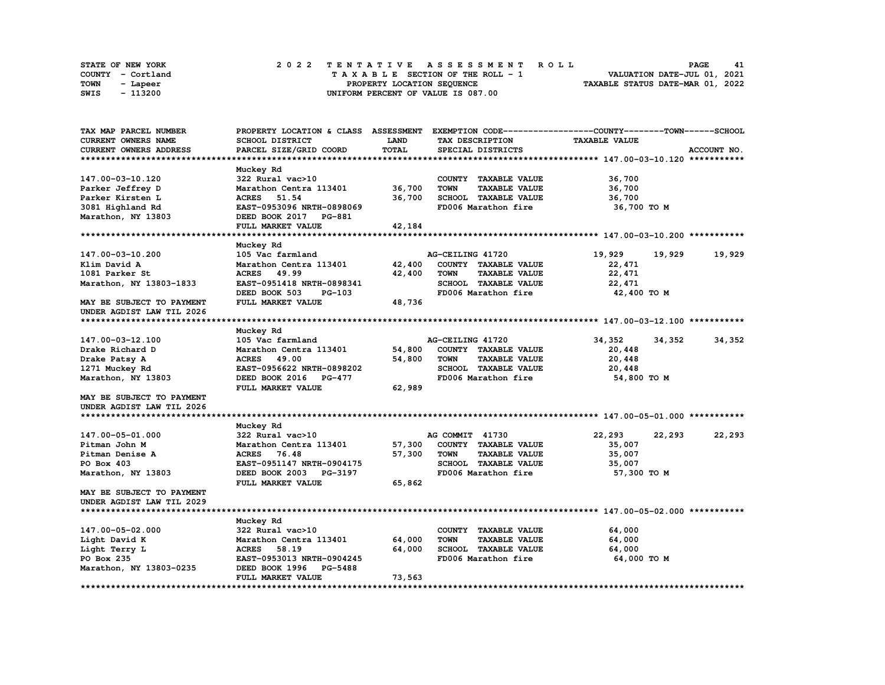| <b>STATE OF NEW YORK</b> | 2022 TENTATIVE ASSESSMENT ROLL                                 | <b>PAGE</b><br>41           |  |  |  |  |  |  |  |
|--------------------------|----------------------------------------------------------------|-----------------------------|--|--|--|--|--|--|--|
| COUNTY - Cortland        | TAXABLE SECTION OF THE ROLL - 1                                | VALUATION DATE-JUL 01, 2021 |  |  |  |  |  |  |  |
| TOWN<br>- Lapeer         | TAXABLE STATUS DATE-MAR 01, 2022<br>PROPERTY LOCATION SEQUENCE |                             |  |  |  |  |  |  |  |
| - 113200<br>SWIS         | UNIFORM PERCENT OF VALUE IS 087.00                             |                             |  |  |  |  |  |  |  |

| TAX MAP PARCEL NUMBER         | PROPERTY LOCATION & CLASS ASSESSMENT |        |                  |                      | EXEMPTION CODE-----------------COUNTY-------TOWN-----SCHOOL |        |             |
|-------------------------------|--------------------------------------|--------|------------------|----------------------|-------------------------------------------------------------|--------|-------------|
| <b>CURRENT OWNERS NAME</b>    | SCHOOL DISTRICT                      | LAND   |                  | TAX DESCRIPTION      | <b>TAXABLE VALUE</b>                                        |        |             |
| <b>CURRENT OWNERS ADDRESS</b> | PARCEL SIZE/GRID COORD               | TOTAL  |                  | SPECIAL DISTRICTS    |                                                             |        | ACCOUNT NO. |
|                               |                                      |        |                  |                      |                                                             |        |             |
|                               | Muckey Rd                            |        |                  |                      |                                                             |        |             |
| 147.00-03-10.120              | 322 Rural vac>10                     |        |                  | COUNTY TAXABLE VALUE | 36,700                                                      |        |             |
| Parker Jeffrey D              | Marathon Centra 113401               | 36,700 | <b>TOWN</b>      | <b>TAXABLE VALUE</b> | 36,700                                                      |        |             |
| Parker Kirsten L              | 51.54<br><b>ACRES</b>                | 36,700 |                  | SCHOOL TAXABLE VALUE | 36,700                                                      |        |             |
| 3081 Highland Rd              | EAST-0953096 NRTH-0898069            |        |                  | FD006 Marathon fire  | 36,700 TO M                                                 |        |             |
| Marathon, NY 13803            | DEED BOOK 2017 PG-881                |        |                  |                      |                                                             |        |             |
|                               | FULL MARKET VALUE                    | 42,184 |                  |                      |                                                             |        |             |
|                               |                                      |        |                  |                      |                                                             |        |             |
|                               | Muckey Rd                            |        |                  |                      |                                                             |        |             |
| 147.00-03-10.200              | 105 Vac farmland                     |        | AG-CEILING 41720 |                      | 19,929                                                      | 19,929 | 19,929      |
| Klim David A                  | Marathon Centra 113401               | 42,400 |                  | COUNTY TAXABLE VALUE | 22,471                                                      |        |             |
| 1081 Parker St                | <b>ACRES</b> 49.99                   | 42,400 | <b>TOWN</b>      | <b>TAXABLE VALUE</b> | 22,471                                                      |        |             |
| Marathon, NY 13803-1833       | EAST-0951418 NRTH-0898341            |        |                  | SCHOOL TAXABLE VALUE |                                                             |        |             |
|                               |                                      |        |                  | FD006 Marathon fire  | 22,471                                                      |        |             |
|                               | DEED BOOK 503<br><b>PG-103</b>       |        |                  |                      | 42,400 TO M                                                 |        |             |
| MAY BE SUBJECT TO PAYMENT     | FULL MARKET VALUE                    | 48,736 |                  |                      |                                                             |        |             |
| UNDER AGDIST LAW TIL 2026     |                                      |        |                  |                      |                                                             |        |             |
|                               |                                      |        |                  |                      |                                                             |        |             |
|                               | Muckey Rd                            |        |                  |                      |                                                             |        |             |
| 147.00-03-12.100              | 105 Vac farmland                     |        | AG-CEILING 41720 |                      | 34,352                                                      | 34,352 | 34,352      |
| Drake Richard D               | Marathon Centra 113401               | 54,800 |                  | COUNTY TAXABLE VALUE | 20,448                                                      |        |             |
| Drake Patsy A                 | <b>ACRES</b><br>49.00                | 54,800 | <b>TOWN</b>      | <b>TAXABLE VALUE</b> | 20,448                                                      |        |             |
| 1271 Muckey Rd                | EAST-0956622 NRTH-0898202            |        |                  | SCHOOL TAXABLE VALUE | 20,448                                                      |        |             |
| Marathon, NY 13803            | DEED BOOK 2016 PG-477                |        |                  | FD006 Marathon fire  | 54,800 TO M                                                 |        |             |
|                               | FULL MARKET VALUE                    | 62,989 |                  |                      |                                                             |        |             |
| MAY BE SUBJECT TO PAYMENT     |                                      |        |                  |                      |                                                             |        |             |
| UNDER AGDIST LAW TIL 2026     |                                      |        |                  |                      |                                                             |        |             |
|                               |                                      |        |                  |                      |                                                             |        |             |
|                               | Muckey Rd                            |        |                  |                      |                                                             |        |             |
| 147.00-05-01.000              | 322 Rural vac>10                     |        | AG COMMIT 41730  |                      | 22,293                                                      | 22,293 | 22,293      |
| Pitman John M                 | Marathon Centra 113401               | 57,300 |                  | COUNTY TAXABLE VALUE | 35,007                                                      |        |             |
| Pitman Denise A               | <b>ACRES</b><br>76.48                | 57,300 | <b>TOWN</b>      | <b>TAXABLE VALUE</b> | 35,007                                                      |        |             |
| PO Box 403                    | EAST-0951147 NRTH-0904175            |        |                  | SCHOOL TAXABLE VALUE | 35,007                                                      |        |             |
| Marathon, NY 13803            | DEED BOOK 2003 PG-3197               |        |                  | FD006 Marathon fire  | 57,300 TO M                                                 |        |             |
|                               | FULL MARKET VALUE                    | 65,862 |                  |                      |                                                             |        |             |
| MAY BE SUBJECT TO PAYMENT     |                                      |        |                  |                      |                                                             |        |             |
| UNDER AGDIST LAW TIL 2029     |                                      |        |                  |                      |                                                             |        |             |
|                               |                                      |        |                  |                      |                                                             |        |             |
|                               | Muckey Rd                            |        |                  |                      |                                                             |        |             |
| 147.00-05-02.000              | 322 Rural vac>10                     |        |                  | COUNTY TAXABLE VALUE | 64,000                                                      |        |             |
| Light David K                 | Marathon Centra 113401               | 64,000 | <b>TOWN</b>      | <b>TAXABLE VALUE</b> | 64,000                                                      |        |             |
| Light Terry L                 | <b>ACRES</b><br>58.19                | 64,000 |                  | SCHOOL TAXABLE VALUE | 64,000                                                      |        |             |
| PO Box 235                    | EAST-0953013 NRTH-0904245            |        |                  | FD006 Marathon fire  | 64,000 TO M                                                 |        |             |
| Marathon, NY 13803-0235       | DEED BOOK 1996 PG-5488               |        |                  |                      |                                                             |        |             |
|                               | FULL MARKET VALUE                    | 73,563 |                  |                      |                                                             |        |             |
|                               |                                      |        |                  |                      |                                                             |        |             |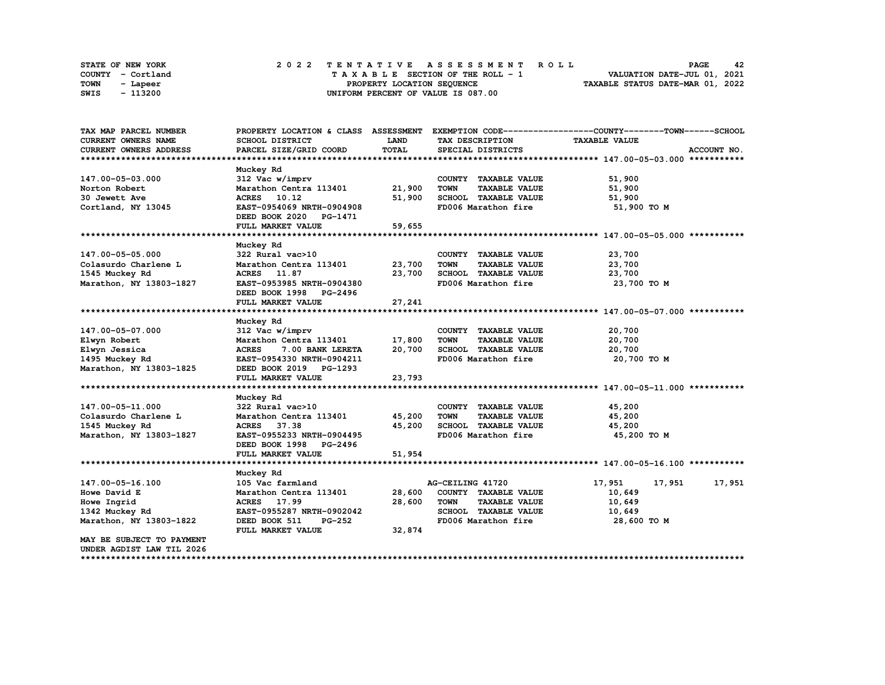|      | STATE OF NEW YORK |  | 2022 TENTATIVE ASSESSMENT ROLL     | 42<br><b>PAGE</b>                |
|------|-------------------|--|------------------------------------|----------------------------------|
|      | COUNTY - Cortland |  | TAXABLE SECTION OF THE ROLL - 1    | VALUATION DATE-JUL 01, 2021      |
| TOWN | - Lapeer          |  | PROPERTY LOCATION SEQUENCE         | TAXABLE STATUS DATE-MAR 01, 2022 |
| SWIS | - 113200          |  | UNIFORM PERCENT OF VALUE IS 087.00 |                                  |

| TAX MAP PARCEL NUMBER         | PROPERTY LOCATION & CLASS ASSESSMENT |        |                                     | EXEMPTION CODE-----------------COUNTY-------TOWN------SCHOOL |        |
|-------------------------------|--------------------------------------|--------|-------------------------------------|--------------------------------------------------------------|--------|
| <b>CURRENT OWNERS NAME</b>    | SCHOOL DISTRICT                      | LAND   | TAX DESCRIPTION                     | <b>TAXABLE VALUE</b>                                         |        |
| <b>CURRENT OWNERS ADDRESS</b> | PARCEL SIZE/GRID COORD               | TOTAL  | SPECIAL DISTRICTS                   | ACCOUNT NO.                                                  |        |
|                               |                                      |        |                                     |                                                              |        |
|                               | Muckey Rd                            |        |                                     |                                                              |        |
| 147.00-05-03.000              | 312 Vac w/imprv                      |        | COUNTY TAXABLE VALUE                | 51,900                                                       |        |
| Norton Robert                 | Marathon Centra 113401               | 21,900 | <b>TOWN</b><br><b>TAXABLE VALUE</b> | 51,900                                                       |        |
| 30 Jewett Ave                 | ACRES 10.12                          | 51,900 | SCHOOL TAXABLE VALUE                | 51,900                                                       |        |
| Cortland, NY 13045            | EAST-0954069 NRTH-0904908            |        | FD006 Marathon fire                 | 51,900 TO M                                                  |        |
|                               | DEED BOOK 2020 PG-1471               |        |                                     |                                                              |        |
|                               | FULL MARKET VALUE                    | 59,655 |                                     |                                                              |        |
|                               |                                      |        |                                     |                                                              |        |
|                               | Muckey Rd                            |        |                                     |                                                              |        |
| 147.00-05-05.000              | 322 Rural vac>10                     |        | COUNTY TAXABLE VALUE                | 23,700                                                       |        |
| Colasurdo Charlene L          | Marathon Centra 113401               | 23,700 | <b>TOWN</b><br><b>TAXABLE VALUE</b> | 23,700                                                       |        |
| 1545 Muckey Rd                | ACRES 11.87                          | 23,700 | SCHOOL TAXABLE VALUE                | 23,700                                                       |        |
| Marathon, NY 13803-1827       | EAST-0953985 NRTH-0904380            |        | FD006 Marathon fire                 | 23,700 TO M                                                  |        |
|                               | DEED BOOK 1998 PG-2496               |        |                                     |                                                              |        |
|                               | FULL MARKET VALUE                    | 27,241 |                                     |                                                              |        |
|                               |                                      |        |                                     |                                                              |        |
|                               | Muckey Rd                            |        |                                     |                                                              |        |
| 147.00-05-07.000              | 312 Vac w/imprv                      |        | COUNTY TAXABLE VALUE                | 20,700                                                       |        |
| Elwyn Robert                  | Marathon Centra 113401               | 17,800 | <b>TAXABLE VALUE</b><br><b>TOWN</b> | 20,700                                                       |        |
| Elwyn Jessica                 | <b>ACRES</b><br>7.00 BANK LERETA     | 20,700 | SCHOOL TAXABLE VALUE                | 20,700                                                       |        |
| 1495 Muckey Rd                | EAST-0954330 NRTH-0904211            |        | FD006 Marathon fire                 | 20,700 TO M                                                  |        |
| Marathon, NY 13803-1825       | DEED BOOK 2019 PG-1293               |        |                                     |                                                              |        |
|                               | FULL MARKET VALUE                    | 23,793 |                                     |                                                              |        |
|                               |                                      |        |                                     |                                                              |        |
|                               | Muckey Rd                            |        |                                     |                                                              |        |
| 147.00-05-11.000              | 322 Rural vac>10                     |        | COUNTY TAXABLE VALUE                | 45,200                                                       |        |
| Colasurdo Charlene L          | Marathon Centra 113401               | 45,200 | <b>TOWN</b><br><b>TAXABLE VALUE</b> | 45,200                                                       |        |
| 1545 Muckey Rd                | ACRES 37.38                          | 45,200 | SCHOOL TAXABLE VALUE                | 45,200                                                       |        |
| Marathon, NY 13803-1827       | EAST-0955233 NRTH-0904495            |        | FD006 Marathon fire                 | 45,200 TO M                                                  |        |
|                               | DEED BOOK 1998 PG-2496               |        |                                     |                                                              |        |
|                               | FULL MARKET VALUE                    | 51,954 |                                     |                                                              |        |
|                               |                                      |        |                                     |                                                              |        |
|                               | Muckey Rd                            |        |                                     |                                                              |        |
| 147.00-05-16.100              | 105 Vac farmland                     |        | AG-CEILING 41720                    | 17,951<br>17,951                                             | 17,951 |
| Howe David E                  | Marathon Centra 113401               | 28,600 | COUNTY TAXABLE VALUE                | 10,649                                                       |        |
| Howe Ingrid                   | ACRES 17.99                          | 28,600 | <b>TOWN</b><br><b>TAXABLE VALUE</b> | 10,649                                                       |        |
| 1342 Muckey Rd                | EAST-0955287 NRTH-0902042            |        | SCHOOL TAXABLE VALUE                | 10,649                                                       |        |
| Marathon, NY 13803-1822       | <b>PG-252</b><br>DEED BOOK 511       |        | FD006 Marathon fire                 | 28,600 то м                                                  |        |
|                               | FULL MARKET VALUE                    | 32,874 |                                     |                                                              |        |
| MAY BE SUBJECT TO PAYMENT     |                                      |        |                                     |                                                              |        |
| UNDER AGDIST LAW TIL 2026     |                                      |        |                                     |                                                              |        |
|                               |                                      |        |                                     |                                                              |        |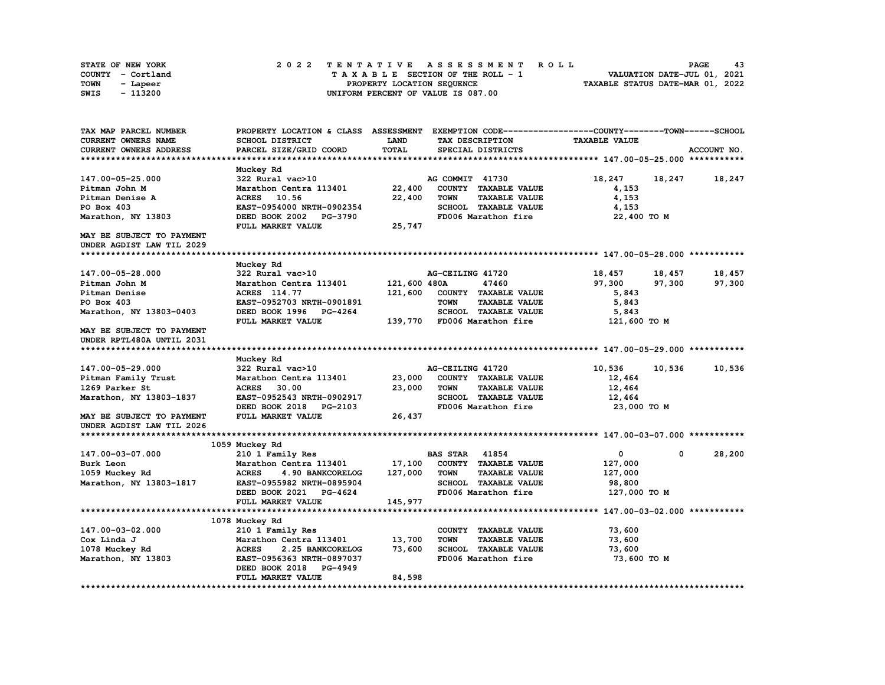| <b>STATE OF NEW YORK</b> |  | 2022 TENTATIVE ASSESSMENT ROLL     |  | PAGE                             | 43 |
|--------------------------|--|------------------------------------|--|----------------------------------|----|
| COUNTY - Cortland        |  | TAXABLE SECTION OF THE ROLL - 1    |  | VALUATION DATE-JUL 01, 2021      |    |
| TOWN<br>- Lapeer         |  | PROPERTY LOCATION SEQUENCE         |  | TAXABLE STATUS DATE-MAR 01, 2022 |    |
| - 113200<br>SWIS         |  | UNIFORM PERCENT OF VALUE IS 087.00 |  |                                  |    |

| TAX MAP PARCEL NUMBER      | PROPERTY LOCATION & CLASS ASSESSMENT |              | EXEMPTION CODE-----------------COUNTY-------TOWN------SCHOOL |                      |             |
|----------------------------|--------------------------------------|--------------|--------------------------------------------------------------|----------------------|-------------|
| <b>CURRENT OWNERS NAME</b> | SCHOOL DISTRICT                      | <b>LAND</b>  | TAX DESCRIPTION                                              | <b>TAXABLE VALUE</b> |             |
| CURRENT OWNERS ADDRESS     | PARCEL SIZE/GRID COORD               | TOTAL        | SPECIAL DISTRICTS                                            |                      | ACCOUNT NO. |
|                            |                                      |              |                                                              |                      |             |
|                            | Muckey Rd                            |              |                                                              |                      |             |
| 147.00-05-25.000           | 322 Rural vac>10                     |              | AG COMMIT 41730                                              | 18,247<br>18,247     | 18,247      |
| Pitman John M              | Marathon Centra 113401               | 22,400       | COUNTY TAXABLE VALUE                                         | 4,153                |             |
| Pitman Denise A            | 10.56<br><b>ACRES</b>                | 22,400       | TOWN<br><b>TAXABLE VALUE</b>                                 | 4,153                |             |
| PO Box 403                 | EAST-0954000 NRTH-0902354            |              | SCHOOL TAXABLE VALUE                                         | 4,153                |             |
| Marathon, NY 13803         | DEED BOOK 2002 PG-3790               |              | FD006 Marathon fire                                          | 22,400 TO M          |             |
|                            | FULL MARKET VALUE                    | 25,747       |                                                              |                      |             |
| MAY BE SUBJECT TO PAYMENT  |                                      |              |                                                              |                      |             |
| UNDER AGDIST LAW TIL 2029  |                                      |              |                                                              |                      |             |
|                            |                                      |              |                                                              |                      |             |
|                            | Muckey Rd                            |              |                                                              |                      |             |
| 147.00-05-28.000           | 322 Rural vac>10                     |              | AG-CEILING 41720                                             | 18,457<br>18,457     | 18,457      |
| Pitman John M              | Marathon Centra 113401               | 121,600 480A | 47460                                                        | 97,300               |             |
| Pitman Denise              | ACRES 114.77                         |              |                                                              | 97,300               | 97,300      |
|                            |                                      | 121,600      | COUNTY TAXABLE VALUE                                         | 5,843                |             |
| PO Box 403                 | EAST-0952703 NRTH-0901891            |              | <b>TOWN</b><br><b>TAXABLE VALUE</b>                          | 5,843                |             |
| Marathon, NY 13803-0403    | DEED BOOK 1996 PG-4264               |              | SCHOOL TAXABLE VALUE                                         | 5,843                |             |
|                            | FULL MARKET VALUE                    | 139,770      | FD006 Marathon fire                                          | 121,600 TO M         |             |
| MAY BE SUBJECT TO PAYMENT  |                                      |              |                                                              |                      |             |
| UNDER RPTL480A UNTIL 2031  |                                      |              |                                                              |                      |             |
|                            |                                      |              |                                                              |                      |             |
|                            | Muckey Rd                            |              |                                                              |                      |             |
| 147.00-05-29.000           | 322 Rural vac>10                     |              | AG-CEILING 41720                                             | 10,536<br>10,536     | 10,536      |
| Pitman Family Trust        | Marathon Centra 113401               | 23,000       | COUNTY TAXABLE VALUE                                         | 12,464               |             |
| 1269 Parker St             | <b>ACRES</b><br>30.00                | 23,000       | <b>TOWN</b><br><b>TAXABLE VALUE</b>                          | 12,464               |             |
| Marathon, NY 13803-1837    | EAST-0952543 NRTH-0902917            |              | SCHOOL TAXABLE VALUE                                         | 12,464               |             |
|                            | DEED BOOK 2018<br><b>PG-2103</b>     |              | FD006 Marathon fire                                          | 23,000 TO M          |             |
| MAY BE SUBJECT TO PAYMENT  | FULL MARKET VALUE                    | 26,437       |                                                              |                      |             |
| UNDER AGDIST LAW TIL 2026  |                                      |              |                                                              |                      |             |
|                            |                                      |              |                                                              |                      |             |
|                            | 1059 Muckey Rd                       |              |                                                              |                      |             |
| 147.00-03-07.000           | 210 1 Family Res                     |              | <b>BAS STAR 41854</b>                                        | $\mathbf 0$<br>0     | 28,200      |
| Burk Leon                  | Marathon Centra 113401               | 17,100       | COUNTY TAXABLE VALUE                                         | 127,000              |             |
| 1059 Muckey Rd             | <b>ACRES</b><br>4.90 BANKCORELOG     | 127,000      | <b>TOWN</b><br><b>TAXABLE VALUE</b>                          | 127,000              |             |
| Marathon, NY 13803-1817    | EAST-0955982 NRTH-0895904            |              | <b>SCHOOL TAXABLE VALUE</b>                                  | 98,800               |             |
|                            | DEED BOOK 2021 PG-4624               |              | FD006 Marathon fire                                          | 127,000 TO M         |             |
|                            | FULL MARKET VALUE                    | 145,977      |                                                              |                      |             |
|                            |                                      |              |                                                              |                      |             |
|                            | 1078 Muckey Rd                       |              |                                                              |                      |             |
| 147.00-03-02.000           | 210 1 Family Res                     |              | COUNTY TAXABLE VALUE                                         | 73,600               |             |
| Cox Linda J                | Marathon Centra 113401               | 13,700       | <b>TOWN</b><br><b>TAXABLE VALUE</b>                          | 73,600               |             |
| 1078 Muckey Rd             | <b>ACRES</b><br>2.25 BANKCORELOG     | 73,600       | <b>SCHOOL TAXABLE VALUE</b>                                  | 73,600               |             |
| Marathon, NY 13803         | EAST-0956363 NRTH-0897037            |              | FD006 Marathon fire                                          | 73,600 TO M          |             |
|                            | DEED BOOK 2018<br>PG-4949            |              |                                                              |                      |             |
|                            | FULL MARKET VALUE                    | 84,598       |                                                              |                      |             |
|                            |                                      |              |                                                              |                      |             |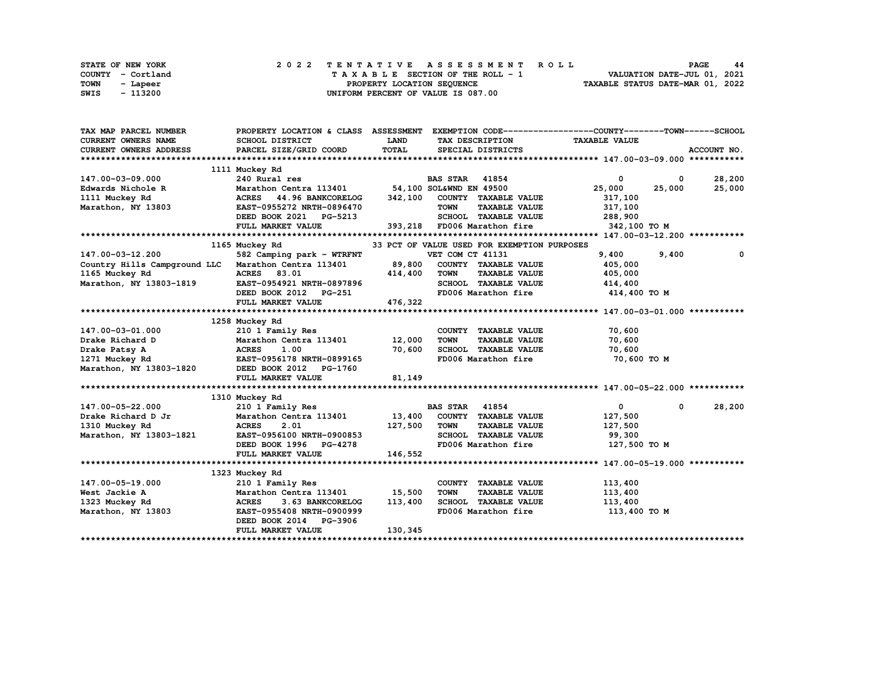| STATE OF NEW YORK | 2022 TENTATIVE ASSESSMENT ROLL     | 44<br><b>PAGE</b>                |
|-------------------|------------------------------------|----------------------------------|
| COUNTY - Cortland | TAXABLE SECTION OF THE ROLL - 1    | VALUATION DATE-JUL 01, 2021      |
| TOWN<br>- Lapeer  | PROPERTY LOCATION SEOUENCE         | TAXABLE STATUS DATE-MAR 01, 2022 |
| - 113200<br>SWIS  | UNIFORM PERCENT OF VALUE IS 087.00 |                                  |

| TAX MAP PARCEL NUMBER                                                             |                                                |              |                                             | PROPERTY LOCATION & CLASS ASSESSMENT EXEMPTION CODE----------------COUNTY-------TOWN------SCHOOL |             |
|-----------------------------------------------------------------------------------|------------------------------------------------|--------------|---------------------------------------------|--------------------------------------------------------------------------------------------------|-------------|
| <b>CURRENT OWNERS NAME</b>                                                        | <b>SCHOOL DISTRICT</b>                         | <b>LAND</b>  | TAX DESCRIPTION                             | <b>TAXABLE VALUE</b>                                                                             |             |
| CURRENT OWNERS ADDRESS                                                            | PARCEL SIZE/GRID COORD                         | TOTAL        | SPECIAL DISTRICTS                           |                                                                                                  | ACCOUNT NO. |
|                                                                                   |                                                |              |                                             |                                                                                                  |             |
|                                                                                   | 1111 Muckey Rd                                 |              |                                             |                                                                                                  |             |
| 147.00-03-09.000                                                                  | 240 Rural res                                  |              | <b>BAS STAR</b> 41854                       | $\mathbf 0$<br>$\mathbf{0}$                                                                      | 28,200      |
| Edwards Nichole R                                                                 | Marathon Centra 113401 54,100 SOL&WND EN 49500 |              |                                             | 25,000<br>25,000                                                                                 | 25,000      |
| 1111 Muckey Rd                                                                    | ACRES 44.96 BANKCORELOG                        |              | 342,100 COUNTY TAXABLE VALUE                | 317,100                                                                                          |             |
| Marathon, NY 13803                                                                | EAST-0955272 NRTH-0896470                      |              | <b>TAXABLE VALUE</b><br><b>TOWN</b>         | 317,100                                                                                          |             |
|                                                                                   | DEED BOOK 2021 PG-5213                         |              | SCHOOL TAXABLE VALUE                        | 288,900                                                                                          |             |
|                                                                                   | FULL MARKET VALUE                              |              | 393,218 FD006 Marathon fire                 | 342,100 TO M                                                                                     |             |
|                                                                                   |                                                |              |                                             |                                                                                                  |             |
|                                                                                   | 1165 Muckey Rd                                 |              | 33 PCT OF VALUE USED FOR EXEMPTION PURPOSES |                                                                                                  |             |
| 147.00-03-12.200                                                                  | 582 Camping park - WTRFNT                      |              | VET COM CT 41131                            | 9,400<br>9,400                                                                                   | $^{\circ}$  |
| Country Hills Campground LLC Marathon Centra 113401                               |                                                |              | 89,800 COUNTY TAXABLE VALUE                 | 405,000                                                                                          |             |
| 1165 Muckey Rd                                                                    | <b>ACRES</b><br>83.01                          | 414,400      | <b>TOWN</b><br><b>TAXABLE VALUE</b>         | 405,000                                                                                          |             |
| Marathon, NY 13803-1819 EAST-0954921 NRTH-0897896                                 |                                                |              | SCHOOL TAXABLE VALUE                        | 414,400                                                                                          |             |
|                                                                                   | DEED BOOK 2012 PG-251                          |              | FD006 Marathon fire                         | 414,400 TO M                                                                                     |             |
|                                                                                   | FULL MARKET VALUE                              | 476,322      |                                             |                                                                                                  |             |
|                                                                                   |                                                |              |                                             |                                                                                                  |             |
|                                                                                   | 1258 Muckey Rd                                 |              |                                             |                                                                                                  |             |
| 147.00-03-01.000                                                                  | 210 1 Family Res                               |              | COUNTY TAXABLE VALUE                        | 70,600                                                                                           |             |
| Drake Richard D                                                                   | Marathon Centra 113401 12,000                  |              | <b>TOWN</b><br><b>TAXABLE VALUE</b>         | 70,600                                                                                           |             |
| Drake Patsy A<br>1271 Muckey Rd<br>Marathon, NY 13803-1820 DEED BOOK 2012 PG-1760 |                                                | 70,600       | SCHOOL TAXABLE VALUE                        | 70,600                                                                                           |             |
|                                                                                   |                                                |              | FD006 Marathon fire                         | 70,600 TO M                                                                                      |             |
|                                                                                   |                                                |              |                                             |                                                                                                  |             |
|                                                                                   | FULL MARKET VALUE                              | 81,149       |                                             |                                                                                                  |             |
|                                                                                   |                                                |              |                                             |                                                                                                  |             |
|                                                                                   | 1310 Muckey Rd                                 |              |                                             |                                                                                                  |             |
| 147.00-05-22.000                                                                  | 210 1 Family Res                               |              | <b>BAS STAR 41854</b>                       | $\mathbf{0}$<br>$\mathbf 0$                                                                      | 28,200      |
| Drake Richard D Jr                                                                | Marathon Centra 113401 13,400                  |              | COUNTY TAXABLE VALUE                        | 127,500                                                                                          |             |
| 1310 Muckey Rd                                                                    | <b>ACRES</b><br>2.01                           | 127,500 TOWN | <b>TAXABLE VALUE</b>                        | 127,500                                                                                          |             |
| Marathon, NY 13803-1821                                                           | EAST-0956100 NRTH-0900853                      |              | SCHOOL TAXABLE VALUE                        | 99,300                                                                                           |             |
|                                                                                   | DEED BOOK 1996 PG-4278                         |              |                                             | FD006 Marathon fire 127,500 TO M                                                                 |             |
|                                                                                   | FULL MARKET VALUE                              | 146,552      |                                             |                                                                                                  |             |
|                                                                                   |                                                |              |                                             |                                                                                                  |             |
|                                                                                   | 1323 Muckey Rd                                 |              |                                             |                                                                                                  |             |
| 147.00-05-19.000                                                                  | 210 1 Family Res                               |              | COUNTY TAXABLE VALUE                        | 113,400                                                                                          |             |
| West Jackie A                                                                     | Marathon Centra 113401                         | 15,500       | <b>TOWN</b><br><b>TAXABLE VALUE</b>         | 113,400                                                                                          |             |
|                                                                                   | <b>ACRES</b><br>3.63 BANKCORELOG               | 113,400      | SCHOOL TAXABLE VALUE                        | 113,400                                                                                          |             |
| 1323 Muckey Rd<br>Marathon, NY 13803                                              | EAST-0955408 NRTH-0900999                      |              | FD006 Marathon fire                         | 113,400 TO M                                                                                     |             |
|                                                                                   | DEED BOOK 2014 PG-3906                         |              |                                             |                                                                                                  |             |
|                                                                                   | FULL MARKET VALUE                              | 130,345      |                                             |                                                                                                  |             |
|                                                                                   |                                                |              |                                             |                                                                                                  |             |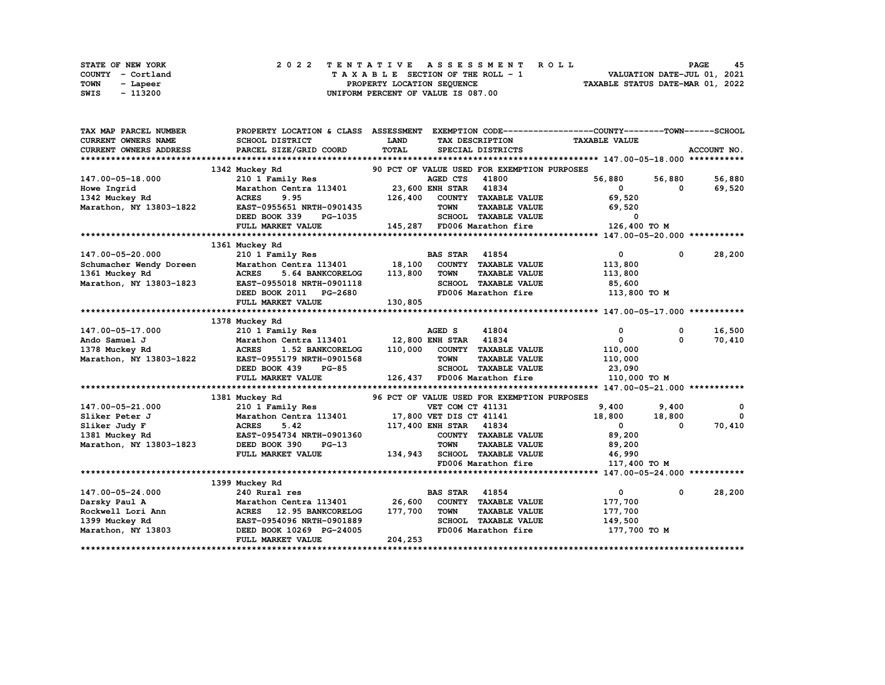| STATE OF NEW YORK | 2022 TENTATIVE ASSESSMENT ROLL     | 45<br><b>PAGE</b>                |
|-------------------|------------------------------------|----------------------------------|
| COUNTY - Cortland | TAXABLE SECTION OF THE ROLL - 1    | VALUATION DATE-JUL 01, 2021      |
| TOWN<br>- Lapeer  | PROPERTY LOCATION SEQUENCE         | TAXABLE STATUS DATE-MAR 01, 2022 |
| - 113200<br>SWIS  | UNIFORM PERCENT OF VALUE IS 087.00 |                                  |

| TAX MAP PARCEL NUMBER      | PROPERTY LOCATION & CLASS ASSESSMENT |                         |                        |                                             | EXEMPTION CODE-----------------COUNTY-------TOWN-----SCHOOL |             |             |
|----------------------------|--------------------------------------|-------------------------|------------------------|---------------------------------------------|-------------------------------------------------------------|-------------|-------------|
| <b>CURRENT OWNERS NAME</b> | SCHOOL DISTRICT                      | <b>LAND</b>             |                        | TAX DESCRIPTION                             | <b>TAXABLE VALUE</b>                                        |             |             |
| CURRENT OWNERS ADDRESS     | PARCEL SIZE/GRID COORD               | TOTAL                   |                        | SPECIAL DISTRICTS                           |                                                             |             | ACCOUNT NO. |
|                            |                                      |                         |                        |                                             |                                                             |             |             |
|                            | 1342 Muckey Rd                       |                         |                        | 90 PCT OF VALUE USED FOR EXEMPTION PURPOSES |                                                             |             |             |
| 147.00-05-18.000           | 210 1 Family Res                     |                         | AGED CTS               | 41800                                       | 56,880                                                      | 56,880      | 56,880      |
| Howe Ingrid                | Marathon Centra 113401               | 23,600 ENH STAR 41834   |                        |                                             | $\mathbf{0}$                                                | 0           | 69,520      |
| 1342 Muckey Rd             | 9.95<br><b>ACRES</b>                 | 126,400                 |                        | COUNTY TAXABLE VALUE                        | 69,520                                                      |             |             |
| Marathon, NY 13803-1822    | EAST-0955651 NRTH-0901435            |                         | <b>TOWN</b>            | <b>TAXABLE VALUE</b>                        | 69,520                                                      |             |             |
|                            | DEED BOOK 339<br>PG-1035             |                         |                        | SCHOOL TAXABLE VALUE                        | 0                                                           |             |             |
|                            | FULL MARKET VALUE                    |                         |                        | 145,287 FD006 Marathon fire                 | 126,400 TO M                                                |             |             |
|                            |                                      |                         |                        |                                             |                                                             |             |             |
|                            | 1361 Muckey Rd                       |                         |                        |                                             |                                                             |             |             |
| 147.00-05-20.000           | 210 1 Family Res                     |                         | <b>BAS STAR</b>        | 41854                                       | $\overline{0}$                                              | $\mathbf 0$ | 28,200      |
| Schumacher Wendy Doreen    | Marathon Centra 113401               | 18,100                  |                        | COUNTY TAXABLE VALUE                        | 113,800                                                     |             |             |
| 1361 Muckey Rd             | <b>ACRES</b><br>5.64 BANKCORELOG     | 113,800                 | <b>TOWN</b>            | <b>TAXABLE VALUE</b>                        | 113,800                                                     |             |             |
| Marathon, NY 13803-1823    | EAST-0955018 NRTH-0901118            |                         |                        | SCHOOL TAXABLE VALUE                        | 85,600                                                      |             |             |
|                            | DEED BOOK 2011 PG-2680               |                         |                        | FD006 Marathon fire                         | 113,800 TO M                                                |             |             |
|                            | FULL MARKET VALUE                    | 130,805                 |                        |                                             |                                                             |             |             |
|                            |                                      |                         |                        |                                             |                                                             |             |             |
|                            | 1378 Muckey Rd                       |                         |                        |                                             |                                                             |             |             |
| 147.00-05-17.000           | 210 1 Family Res                     |                         | AGED S                 | 41804                                       | 0                                                           | 0           | 16,500      |
| Ando Samuel J              | Marathon Centra 113401               |                         | 12,800 ENH STAR 41834  |                                             | $\mathbf{0}$                                                | $\Omega$    | 70,410      |
| 1378 Muckey Rd             | <b>ACRES</b><br>1.52 BANKCORELOG     | 110,000                 |                        | COUNTY TAXABLE VALUE                        | 110,000                                                     |             |             |
| Marathon, NY 13803-1822    | EAST-0955179 NRTH-0901568            |                         | <b>TOWN</b>            | <b>TAXABLE VALUE</b>                        | 110,000                                                     |             |             |
|                            | DEED BOOK 439<br><b>PG-85</b>        |                         | <b>SCHOOL</b>          | <b>TAXABLE VALUE</b>                        | 23,090                                                      |             |             |
|                            | FULL MARKET VALUE                    |                         |                        | 126,437 FD006 Marathon fire                 | 110,000 TO M                                                |             |             |
|                            |                                      |                         |                        |                                             |                                                             |             |             |
|                            | 1381 Muckey Rd                       |                         |                        | 96 PCT OF VALUE USED FOR EXEMPTION PURPOSES |                                                             |             |             |
| 147.00-05-21.000           | 210 1 Family Res                     |                         | VET COM CT 41131       |                                             | 9,400                                                       | 9,400       | 0           |
| Sliker Peter J             | Marathon Centra 113401               | 17,800 VET DIS CT 41141 |                        |                                             | 18,800                                                      | 18,800      | $\Omega$    |
| Sliker Judy F              | <b>ACRES</b><br>5.42                 |                         | 117,400 ENH STAR 41834 |                                             | $\mathbf{0}$                                                | $\Omega$    | 70,410      |
| 1381 Muckey Rd             | EAST-0954734 NRTH-0901360            |                         |                        | COUNTY TAXABLE VALUE                        | 89,200                                                      |             |             |
| Marathon, NY 13803-1823    | DEED BOOK 390<br>$PG-13$             |                         | <b>TOWN</b>            | <b>TAXABLE VALUE</b>                        | 89,200                                                      |             |             |
|                            | FULL MARKET VALUE                    | 134,943                 |                        | SCHOOL TAXABLE VALUE                        | 46,990                                                      |             |             |
|                            |                                      |                         |                        | FD006 Marathon fire                         | 117,400 TO M                                                |             |             |
|                            |                                      |                         |                        |                                             |                                                             |             |             |
|                            | 1399 Muckey Rd                       |                         |                        |                                             |                                                             |             |             |
| 147.00-05-24.000           | 240 Rural res                        |                         | <b>BAS STAR</b>        | 41854                                       | $\mathbf{0}$                                                | $^{\circ}$  | 28,200      |
| Darsky Paul A              | Marathon Centra 113401               | 26,600                  |                        | COUNTY TAXABLE VALUE                        | 177,700                                                     |             |             |
| Rockwell Lori Ann          | ACRES 12.95 BANKCORELOG              | 177,700                 | <b>TOWN</b>            | <b>TAXABLE VALUE</b>                        | 177,700                                                     |             |             |
| 1399 Muckey Rd             | EAST-0954096 NRTH-0901889            |                         |                        | SCHOOL TAXABLE VALUE                        | 149,500                                                     |             |             |
| Marathon, NY 13803         | DEED BOOK 10269 PG-24005             |                         |                        | FD006 Marathon fire                         | 177,700 TO M                                                |             |             |
|                            | FULL MARKET VALUE                    | 204,253                 |                        |                                             |                                                             |             |             |
|                            |                                      |                         |                        |                                             |                                                             |             |             |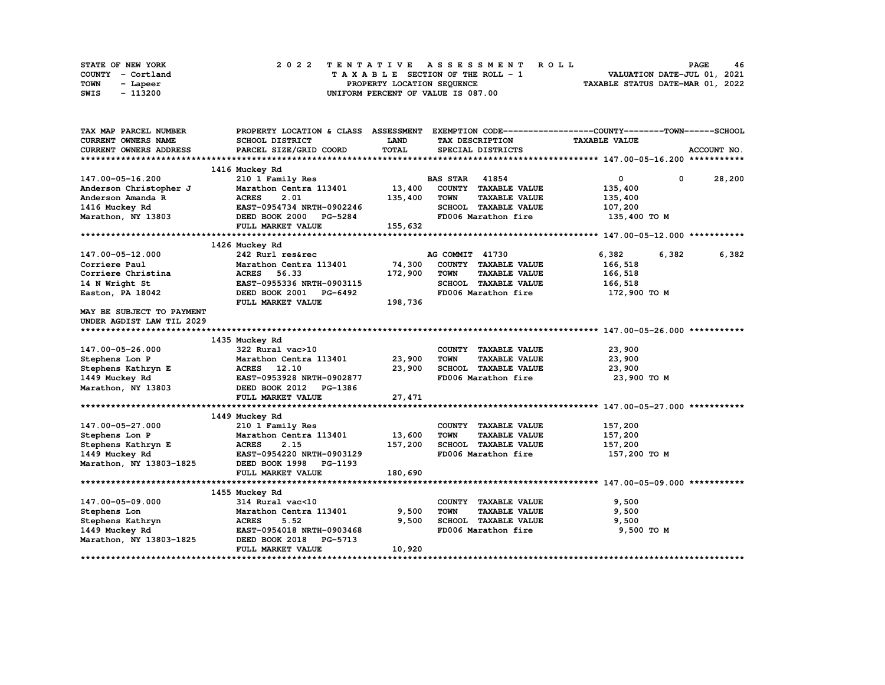| STATE OF NEW YORK | 2022 TENTATIVE ASSESSMENT ROLL     | 46<br><b>PAGE</b>                |
|-------------------|------------------------------------|----------------------------------|
| COUNTY - Cortland | TAXABLE SECTION OF THE ROLL - 1    | VALUATION DATE-JUL 01, 2021      |
| TOWN<br>- Lapeer  | PROPERTY LOCATION SEQUENCE         | TAXABLE STATUS DATE-MAR 01, 2022 |
| - 113200<br>SWIS  | UNIFORM PERCENT OF VALUE IS 087.00 |                                  |

| TAX MAP PARCEL NUMBER                | PROPERTY LOCATION & CLASS ASSESSMENT EXEMPTION CODE----------------COUNTY-------TOWN-----SCHOOL |              |                       |                      |                              |             |
|--------------------------------------|-------------------------------------------------------------------------------------------------|--------------|-----------------------|----------------------|------------------------------|-------------|
| CURRENT OWNERS NAME                  | <b>SCHOOL DISTRICT</b>                                                                          | <b>LAND</b>  |                       | TAX DESCRIPTION      | <b>TAXABLE VALUE</b>         |             |
| CURRENT OWNERS ADDRESS               | PARCEL SIZE/GRID COORD                                                                          | <b>TOTAL</b> |                       | SPECIAL DISTRICTS    |                              | ACCOUNT NO. |
|                                      |                                                                                                 |              |                       |                      |                              |             |
|                                      | 1416 Muckey Rd                                                                                  |              |                       |                      |                              |             |
| 147.00-05-16.200                     | 210 1 Family Res                                                                                |              | <b>BAS STAR 41854</b> |                      | $\overline{0}$<br>$^{\circ}$ | 28,200      |
| Anderson Christopher J               | Marathon Centra 113401                                                                          | 13,400       |                       | COUNTY TAXABLE VALUE | 135,400                      |             |
| Anderson Amanda R                    | <b>ACRES</b><br>2.01                                                                            | 135,400      | <b>TOWN</b>           | <b>TAXABLE VALUE</b> | 135,400                      |             |
| 1416 Muckey Rd                       | EAST-0954734 NRTH-0902246                                                                       |              |                       | SCHOOL TAXABLE VALUE | 107,200                      |             |
| Marathon, NY 13803                   | DEED BOOK 2000 PG-5284                                                                          |              |                       | FD006 Marathon fire  | 135,400 TO M                 |             |
|                                      | FULL MARKET VALUE                                                                               | 155,632      |                       |                      |                              |             |
|                                      |                                                                                                 |              |                       |                      |                              |             |
|                                      | 1426 Muckey Rd                                                                                  |              |                       |                      |                              |             |
| 147.00-05-12.000                     | 242 Rurl res&rec                                                                                |              | AG COMMIT 41730       |                      | 6,382<br>6,382               | 6,382       |
| Corriere Paul                        | Marathon Centra 113401                                                                          | 74,300       |                       | COUNTY TAXABLE VALUE | 166,518                      |             |
| Corriere Christina                   | <b>ACRES</b><br>56.33                                                                           | 172,900      | <b>TOWN</b>           | <b>TAXABLE VALUE</b> | 166,518                      |             |
| 14 N Wright St                       | EAST-0955336 NRTH-0903115                                                                       |              |                       | SCHOOL TAXABLE VALUE | 166,518                      |             |
| Easton, PA 18042                     | DEED BOOK 2001<br>PG-6492                                                                       |              |                       | FD006 Marathon fire  | 172,900 то м                 |             |
|                                      | FULL MARKET VALUE                                                                               | 198,736      |                       |                      |                              |             |
| MAY BE SUBJECT TO PAYMENT            |                                                                                                 |              |                       |                      |                              |             |
| UNDER AGDIST LAW TIL 2029            |                                                                                                 |              |                       |                      |                              |             |
|                                      |                                                                                                 |              |                       |                      |                              |             |
|                                      | 1435 Muckey Rd                                                                                  |              |                       |                      |                              |             |
| 147.00-05-26.000                     | 322 Rural vac>10                                                                                |              |                       | COUNTY TAXABLE VALUE | 23,900                       |             |
| Stephens Lon P                       | Marathon Centra 113401                                                                          | 23,900       | <b>TOWN</b>           | <b>TAXABLE VALUE</b> | 23,900                       |             |
| Stephens Kathryn E                   | ACRES 12.10                                                                                     | 23,900       |                       | SCHOOL TAXABLE VALUE | 23,900                       |             |
| 1449 Muckey Rd                       | EAST-0953928 NRTH-0902877                                                                       |              |                       | FD006 Marathon fire  | 23,900 TO M                  |             |
| Marathon, NY 13803                   | DEED BOOK 2012 PG-1386                                                                          |              |                       |                      |                              |             |
|                                      | FULL MARKET VALUE                                                                               | 27,471       |                       |                      |                              |             |
|                                      |                                                                                                 |              |                       |                      |                              |             |
|                                      | 1449 Muckey Rd                                                                                  |              |                       |                      |                              |             |
| 147.00-05-27.000                     | 210 1 Family Res                                                                                |              |                       | COUNTY TAXABLE VALUE | 157,200                      |             |
| Stephens Lon P                       | Marathon Centra 113401                                                                          | 13,600       | <b>TOWN</b>           | <b>TAXABLE VALUE</b> | 157,200                      |             |
| Stephens Kathryn E<br>1449 Muckey Rd | <b>ACRES</b><br>2.15                                                                            | 157,200      |                       | SCHOOL TAXABLE VALUE | 157,200                      |             |
| 1449 Muckey Rd                       | EAST-0954220 NRTH-0903129                                                                       |              |                       | FD006 Marathon fire  | 157,200 то м                 |             |
| Marathon, NY 13803-1825              | DEED BOOK 1998 PG-1193                                                                          |              |                       |                      |                              |             |
|                                      | FULL MARKET VALUE                                                                               | 180,690      |                       |                      |                              |             |
|                                      |                                                                                                 |              |                       |                      |                              |             |
|                                      | 1455 Muckey Rd                                                                                  |              |                       |                      |                              |             |
| 147.00-05-09.000                     | 314 Rural vac<10                                                                                |              |                       | COUNTY TAXABLE VALUE | 9,500                        |             |
| Stephens Lon                         | Marathon Centra 113401                                                                          | 9,500        | <b>TOWN</b>           | <b>TAXABLE VALUE</b> | 9,500                        |             |
| Stephens Kathryn                     | <b>ACRES</b><br>5.52                                                                            | 9,500        |                       | SCHOOL TAXABLE VALUE | 9,500                        |             |
| 1449 Muckey Rd                       | EAST-0954018 NRTH-0903468                                                                       |              |                       | FD006 Marathon fire  | 9,500 TO M                   |             |
| Marathon, NY 13803-1825              | DEED BOOK 2018 PG-5713                                                                          |              |                       |                      |                              |             |
|                                      | FULL MARKET VALUE                                                                               | 10,920       |                       |                      |                              |             |
|                                      |                                                                                                 |              |                       |                      |                              |             |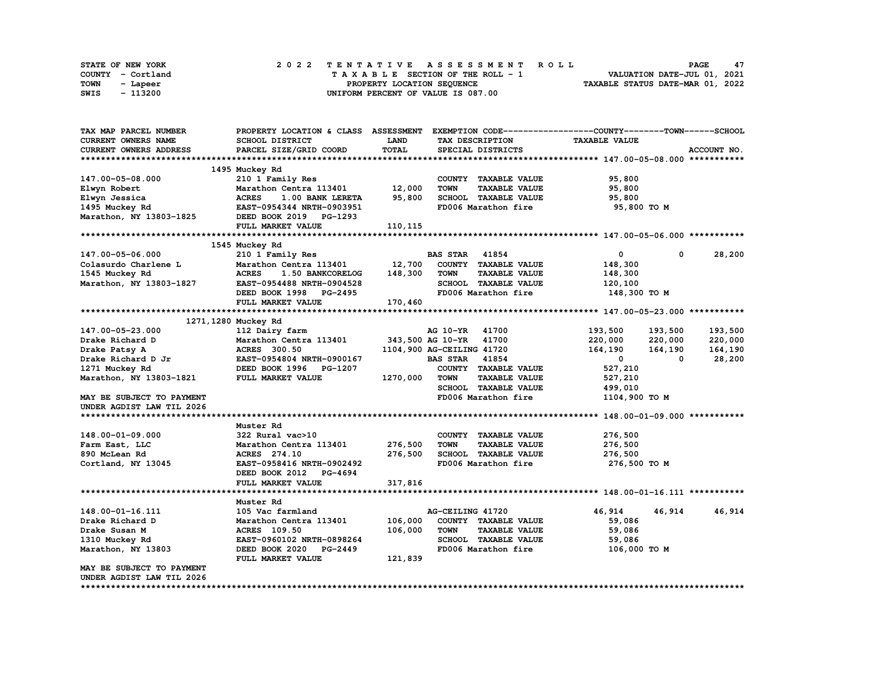| <b>STATE OF NEW YORK</b> |                   |  |  |  |  |  | 2022 TENTATIVE ASSESSMENT ROLL     |  |  |  |  |  |  |                                  | PAGE | 47 |
|--------------------------|-------------------|--|--|--|--|--|------------------------------------|--|--|--|--|--|--|----------------------------------|------|----|
|                          | COUNTY - Cortland |  |  |  |  |  | TAXABLE SECTION OF THE ROLL - 1    |  |  |  |  |  |  | VALUATION DATE-JUL 01, 2021      |      |    |
| TOWN                     | - Lapeer          |  |  |  |  |  | PROPERTY LOCATION SEQUENCE         |  |  |  |  |  |  | TAXABLE STATUS DATE-MAR 01, 2022 |      |    |
| SWIS                     | - 113200          |  |  |  |  |  | UNIFORM PERCENT OF VALUE IS 087.00 |  |  |  |  |  |  |                                  |      |    |

| TAX MAP PARCEL NUMBER      | PROPERTY LOCATION & CLASS ASSESSMENT |             |                           |                      | EXEMPTION CODE-----------------COUNTY-------TOWN------SCHOOL |         |             |
|----------------------------|--------------------------------------|-------------|---------------------------|----------------------|--------------------------------------------------------------|---------|-------------|
| <b>CURRENT OWNERS NAME</b> | SCHOOL DISTRICT                      | <b>LAND</b> |                           | TAX DESCRIPTION      | <b>TAXABLE VALUE</b>                                         |         |             |
| CURRENT OWNERS ADDRESS     | PARCEL SIZE/GRID COORD               | TOTAL       |                           | SPECIAL DISTRICTS    |                                                              |         | ACCOUNT NO. |
|                            |                                      |             |                           |                      |                                                              |         |             |
|                            | 1495 Muckey Rd                       |             |                           |                      |                                                              |         |             |
| 147.00-05-08.000           | 210 1 Family Res                     |             |                           | COUNTY TAXABLE VALUE | 95,800                                                       |         |             |
| Elwyn Robert               | Marathon Centra 113401               | 12,000      | <b>TOWN</b>               | <b>TAXABLE VALUE</b> | 95,800                                                       |         |             |
| Elwyn Jessica              | <b>ACRES</b><br>1.00 BANK LERETA     | 95,800      |                           | SCHOOL TAXABLE VALUE | 95,800                                                       |         |             |
| 1495 Muckey Rd             | EAST-0954344 NRTH-0903951            |             |                           | FD006 Marathon fire  | 95,800 TO M                                                  |         |             |
| Marathon, NY 13803-1825    | DEED BOOK 2019 PG-1293               |             |                           |                      |                                                              |         |             |
|                            | FULL MARKET VALUE                    | 110,115     |                           |                      |                                                              |         |             |
|                            |                                      |             |                           |                      |                                                              |         |             |
|                            | 1545 Muckey Rd                       |             |                           |                      |                                                              |         |             |
| 147.00-05-06.000           | 210 1 Family Res                     |             | <b>BAS STAR</b>           | 41854                | 0                                                            | 0       | 28,200      |
| Colasurdo Charlene L       | Marathon Centra 113401               | 12,700      |                           | COUNTY TAXABLE VALUE | 148,300                                                      |         |             |
| 1545 Muckey Rd             | <b>ACRES</b><br>1.50 BANKCORELOG     | 148,300     | <b>TOWN</b>               | <b>TAXABLE VALUE</b> | 148,300                                                      |         |             |
| Marathon, NY 13803-1827    | EAST-0954488 NRTH-0904528            |             |                           | SCHOOL TAXABLE VALUE | 120,100                                                      |         |             |
|                            | DEED BOOK 1998 PG-2495               |             |                           | FD006 Marathon fire  | 148,300 TO M                                                 |         |             |
|                            | FULL MARKET VALUE                    | 170,460     |                           |                      |                                                              |         |             |
|                            |                                      |             |                           |                      |                                                              |         |             |
|                            | 1271, 1280 Muckey Rd                 |             |                           |                      |                                                              |         |             |
| 147.00-05-23.000           | 112 Dairy farm                       |             | AG 10-YR 41700            |                      | 193,500                                                      | 193,500 | 193,500     |
| Drake Richard D            | Marathon Centra 113401               |             | 343,500 AG 10-YR 41700    |                      | 220,000                                                      | 220,000 | 220,000     |
| Drake Patsy A              | <b>ACRES</b> 300.50                  |             | 1104,900 AG-CEILING 41720 |                      | 164,190                                                      | 164,190 | 164,190     |
| Drake Richard D Jr         | EAST-0954804 NRTH-0900167            |             | <b>BAS STAR</b>           | 41854                | $\mathbf{0}$                                                 | 0       | 28,200      |
| 1271 Muckey Rd             | DEED BOOK 1996 PG-1207               |             |                           | COUNTY TAXABLE VALUE | 527,210                                                      |         |             |
| Marathon, NY 13803-1821    | FULL MARKET VALUE                    | 1270,000    | <b>TOWN</b>               | <b>TAXABLE VALUE</b> | 527,210                                                      |         |             |
|                            |                                      |             |                           | SCHOOL TAXABLE VALUE | 499,010                                                      |         |             |
| MAY BE SUBJECT TO PAYMENT  |                                      |             |                           | FD006 Marathon fire  | 1104,900 TO M                                                |         |             |
| UNDER AGDIST LAW TIL 2026  |                                      |             |                           |                      |                                                              |         |             |
|                            |                                      |             |                           |                      |                                                              |         |             |
|                            | Muster Rd                            |             |                           |                      |                                                              |         |             |
| 148.00-01-09.000           | 322 Rural vac>10                     |             |                           | COUNTY TAXABLE VALUE | 276,500                                                      |         |             |
| Farm East, LLC             | Marathon Centra 113401               | 276,500     | <b>TOWN</b>               | <b>TAXABLE VALUE</b> | 276,500                                                      |         |             |
| 890 McLean Rd              | ACRES 274.10                         | 276,500     |                           | SCHOOL TAXABLE VALUE | 276,500                                                      |         |             |
| Cortland, NY 13045         | EAST-0958416 NRTH-0902492            |             |                           | FD006 Marathon fire  | 276,500 TO M                                                 |         |             |
|                            | DEED BOOK 2012 PG-4694               |             |                           |                      |                                                              |         |             |
|                            | FULL MARKET VALUE                    | 317,816     |                           |                      |                                                              |         |             |
|                            |                                      |             |                           |                      |                                                              |         |             |
|                            | Muster Rd                            |             |                           |                      |                                                              |         |             |
| 148.00-01-16.111           | 105 Vac farmland                     |             | AG-CEILING 41720          |                      | 46,914                                                       | 46,914  | 46,914      |
| Drake Richard D            | Marathon Centra 113401               | 106,000     |                           | COUNTY TAXABLE VALUE | 59,086                                                       |         |             |
| Drake Susan M              | ACRES 109.50                         | 106,000     | <b>TOWN</b>               | <b>TAXABLE VALUE</b> | 59,086                                                       |         |             |
| 1310 Muckey Rd             | EAST-0960102 NRTH-0898264            |             |                           | SCHOOL TAXABLE VALUE | 59,086                                                       |         |             |
| Marathon, NY 13803         | DEED BOOK 2020 PG-2449               |             |                           | FD006 Marathon fire  | 106,000 TO M                                                 |         |             |
|                            | FULL MARKET VALUE                    | 121,839     |                           |                      |                                                              |         |             |
| MAY BE SUBJECT TO PAYMENT  |                                      |             |                           |                      |                                                              |         |             |
| UNDER AGDIST LAW TIL 2026  |                                      |             |                           |                      |                                                              |         |             |
|                            |                                      |             |                           |                      |                                                              |         |             |
|                            |                                      |             |                           |                      |                                                              |         |             |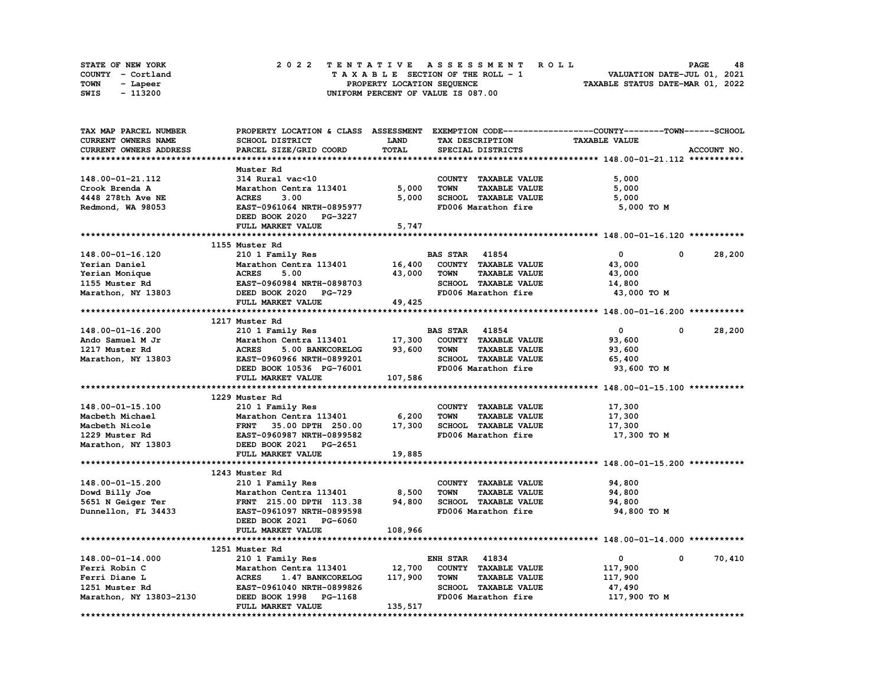| <b>STATE OF NEW YORK</b> | 2022 TENTATIVE ASSESSMENT ROLL     | 48<br><b>PAGE</b>                |
|--------------------------|------------------------------------|----------------------------------|
| COUNTY - Cortland        | TAXABLE SECTION OF THE ROLL - 1    | VALUATION DATE-JUL 01, 2021      |
| TOWN<br>- Lapeer         | PROPERTY LOCATION SEQUENCE         | TAXABLE STATUS DATE-MAR 01, 2022 |
| - 113200<br>SWIS         | UNIFORM PERCENT OF VALUE IS 087.00 |                                  |

| TAX MAP PARCEL NUMBER                                                                                                   |                                                                   |             |                                     | PROPERTY LOCATION & CLASS ASSESSMENT EXEMPTION CODE-----------------COUNTY-------TOWN-----SCHOOL |
|-------------------------------------------------------------------------------------------------------------------------|-------------------------------------------------------------------|-------------|-------------------------------------|--------------------------------------------------------------------------------------------------|
| <b>CURRENT OWNERS NAME</b>                                                                                              | SCHOOL DISTRICT                                                   | <b>LAND</b> | TAX DESCRIPTION                     | <b>TAXABLE VALUE</b>                                                                             |
| CURRENT OWNERS ADDRESS                                                                                                  | PARCEL SIZE/GRID COORD                                            | TOTAL       | SPECIAL DISTRICTS                   | ACCOUNT NO.                                                                                      |
|                                                                                                                         |                                                                   |             |                                     |                                                                                                  |
|                                                                                                                         | Muster Rd                                                         |             |                                     |                                                                                                  |
| 148.00-01-21.112                                                                                                        | 314 Rural vac<10                                                  |             | COUNTY TAXABLE VALUE                | 5,000                                                                                            |
| Crook Brenda A                                                                                                          | Marathon Centra 113401                                            | 5,000       | <b>TAXABLE VALUE</b><br><b>TOWN</b> | 5,000                                                                                            |
| 4448 278th Ave NE                                                                                                       | <b>ACRES</b><br>3.00                                              | 5,000       | SCHOOL TAXABLE VALUE                | 5,000                                                                                            |
| Redmond, WA 98053                                                                                                       | EAST-0961064 NRTH-0895977                                         |             | FD006 Marathon fire                 | 5,000 TO M                                                                                       |
|                                                                                                                         | DEED BOOK 2020 PG-3227                                            |             |                                     |                                                                                                  |
|                                                                                                                         | FULL MARKET VALUE                                                 | 5,747       |                                     |                                                                                                  |
|                                                                                                                         |                                                                   |             |                                     |                                                                                                  |
|                                                                                                                         | 1155 Muster Rd                                                    |             |                                     |                                                                                                  |
| 148.00-01-16.120                                                                                                        | 210 1 Family Res                                                  |             | <b>BAS STAR 41854</b>               | $\mathbf 0$<br>0<br>28,200                                                                       |
| Yerian Daniel                                                                                                           | Marathon Centra 113401                                            | 16,400      | COUNTY TAXABLE VALUE                | 43,000                                                                                           |
| Yerian Monique                                                                                                          | Marathon Centra 113401<br>ACRES 5.00<br>EAST-0960984 NRTH-0898703 | 43,000      | <b>TOWN</b><br><b>TAXABLE VALUE</b> | 43,000                                                                                           |
|                                                                                                                         |                                                                   |             | SCHOOL TAXABLE VALUE                | 14,800                                                                                           |
| 1155 Muster Rd                       EAST-0960984 NRTH-089870<br>Marathon, NY 13803             DEED BOOK 2020   PG-729 |                                                                   |             | FD006 Marathon fire                 | 43,000 TO M                                                                                      |
|                                                                                                                         | FULL MARKET VALUE                                                 | 49,425      |                                     |                                                                                                  |
|                                                                                                                         |                                                                   |             |                                     |                                                                                                  |
|                                                                                                                         | 1217 Muster Rd                                                    |             |                                     |                                                                                                  |
| 148.00-01-16.200                                                                                                        | 210 1 Family Res                                                  |             | <b>BAS STAR 41854</b>               | 28,200<br>$\mathbf{0}$<br>$\mathbf{0}$                                                           |
| Ando Samuel M Jr                                                                                                        | Marathon Centra 113401                                            | 17,300      | COUNTY TAXABLE VALUE                | 93,600                                                                                           |
| 1217 Muster Rd                                                                                                          | <b>ACRES</b><br>5.00 BANKCORELOG                                  | 93,600      | <b>TOWN</b><br><b>TAXABLE VALUE</b> | 93,600                                                                                           |
| Marathon, NY 13803                                                                                                      | EAST-0960966 NRTH-0899201                                         |             | SCHOOL TAXABLE VALUE                | 65,400                                                                                           |
|                                                                                                                         | DEED BOOK 10536 PG-76001                                          |             | FD006 Marathon fire                 | 93,600 TO M                                                                                      |
|                                                                                                                         | FULL MARKET VALUE                                                 | 107,586     |                                     |                                                                                                  |
|                                                                                                                         |                                                                   |             |                                     |                                                                                                  |
|                                                                                                                         | 1229 Muster Rd                                                    |             |                                     |                                                                                                  |
| 148.00-01-15.100                                                                                                        | 210 1 Family Res                                                  |             | COUNTY TAXABLE VALUE                | 17,300                                                                                           |
|                                                                                                                         |                                                                   | 6,200       | <b>TAXABLE VALUE</b><br><b>TOWN</b> |                                                                                                  |
| Macbeth Michael                                                                                                         | Marathon Centra 113401                                            | 17,300      | SCHOOL TAXABLE VALUE                | 17,300                                                                                           |
| Macbeth Nicole                                                                                                          | FRNT 35.00 DPTH 250.00                                            |             | FD006 Marathon fire                 | 17,300                                                                                           |
| 1229 Muster Rd                                                                                                          | EAST-0960987 NRTH-0899582                                         |             |                                     | 17,300 TO M                                                                                      |
| Marathon, NY 13803                                                                                                      | DEED BOOK 2021 PG-2651                                            |             |                                     |                                                                                                  |
|                                                                                                                         | FULL MARKET VALUE                                                 | 19,885      |                                     |                                                                                                  |
|                                                                                                                         |                                                                   |             |                                     |                                                                                                  |
|                                                                                                                         | 1243 Muster Rd                                                    |             |                                     |                                                                                                  |
| 148.00-01-15.200                                                                                                        | 210 1 Family Res                                                  |             | COUNTY TAXABLE VALUE                | 94,800                                                                                           |
| Dowd Billy Joe                                                                                                          | Marathon Centra 113401                                            | 8,500       | <b>TOWN</b><br><b>TAXABLE VALUE</b> | 94,800                                                                                           |
| 5651 N Geiger Ter                                                                                                       | FRNT 215.00 DPTH 113.38                                           | 94,800      | SCHOOL TAXABLE VALUE                | 94,800                                                                                           |
| Dunnellon, FL 34433                                                                                                     | EAST-0961097 NRTH-0899598                                         |             | FD006 Marathon fire                 | 94,800 TO M                                                                                      |
|                                                                                                                         | DEED BOOK 2021 PG-6060                                            |             |                                     |                                                                                                  |
|                                                                                                                         | FULL MARKET VALUE                                                 | 108,966     |                                     |                                                                                                  |
|                                                                                                                         |                                                                   |             |                                     |                                                                                                  |
|                                                                                                                         | 1251 Muster Rd                                                    |             |                                     |                                                                                                  |
| 148.00-01-14.000                                                                                                        | 210 1 Family Res                                                  |             | <b>ENH STAR 41834</b>               | $\mathbf{0}$<br>70,410<br>$\mathbf{0}$                                                           |
| Ferri Robin C                                                                                                           | Marathon Centra 113401                                            | 12,700      | COUNTY TAXABLE VALUE                | 117,900                                                                                          |
| Ferri Diane L                                                                                                           | <b>ACRES</b><br>1.47 BANKCORELOG                                  | 117,900     | <b>TAXABLE VALUE</b><br><b>TOWN</b> | 117,900                                                                                          |
| 1251 Muster Rd                                                                                                          | EAST-0961040 NRTH-0899826                                         |             | SCHOOL TAXABLE VALUE                | 47,490                                                                                           |
| Marathon, NY 13803-2130                                                                                                 | DEED BOOK 1998 PG-1168                                            |             | FD006 Marathon fire                 | 117,900 TO M                                                                                     |
|                                                                                                                         | FULL MARKET VALUE                                                 | 135,517     |                                     |                                                                                                  |
|                                                                                                                         |                                                                   |             |                                     |                                                                                                  |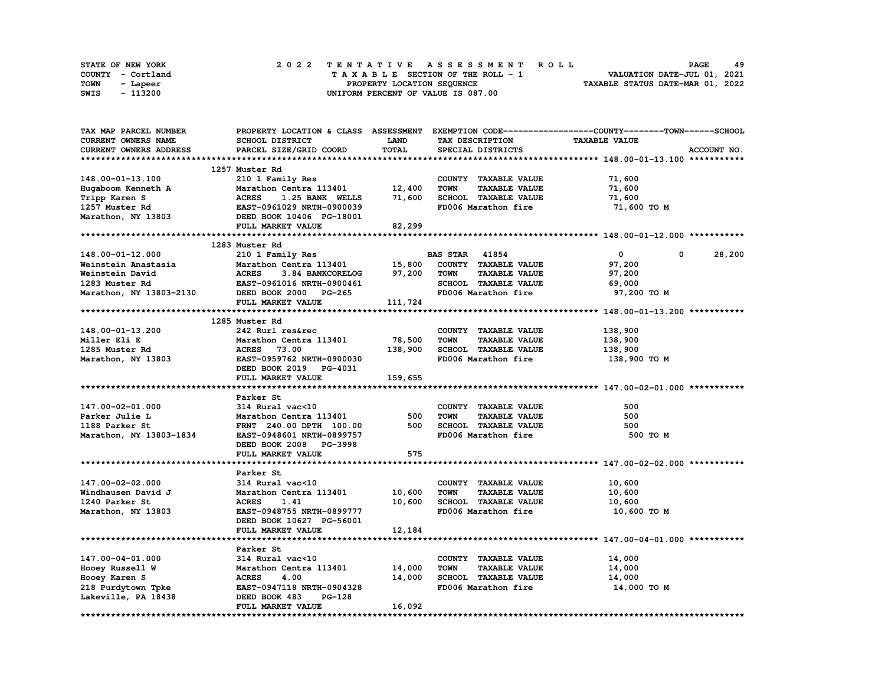|      | <b>STATE OF NEW YORK</b> |  |  |  |  |  | 2022 TENTATIVE ASSESSMENT ROLL     |  |  |  |  |  |  |                                  | <b>PAGE</b> | 49 |
|------|--------------------------|--|--|--|--|--|------------------------------------|--|--|--|--|--|--|----------------------------------|-------------|----|
|      | COUNTY - Cortland        |  |  |  |  |  | TAXABLE SECTION OF THE ROLL - 1    |  |  |  |  |  |  | VALUATION DATE-JUL 01, 2021      |             |    |
| TOWN | - Lapeer                 |  |  |  |  |  | PROPERTY LOCATION SEQUENCE         |  |  |  |  |  |  | TAXABLE STATUS DATE-MAR 01, 2022 |             |    |
| SWIS | - 113200                 |  |  |  |  |  | UNIFORM PERCENT OF VALUE IS 087.00 |  |  |  |  |  |  |                                  |             |    |

| TAX MAP PARCEL NUMBER                       |                                         |             |                                     | PROPERTY LOCATION & CLASS ASSESSMENT EXEMPTION CODE-----------------COUNTY-------TOWN------SCHOOL |
|---------------------------------------------|-----------------------------------------|-------------|-------------------------------------|---------------------------------------------------------------------------------------------------|
| <b>CURRENT OWNERS NAME</b>                  | SCHOOL DISTRICT                         | <b>LAND</b> | TAX DESCRIPTION                     | <b>TAXABLE VALUE</b>                                                                              |
| CURRENT OWNERS ADDRESS                      | PARCEL SIZE/GRID COORD                  | TOTAL       | SPECIAL DISTRICTS                   | ACCOUNT NO.                                                                                       |
|                                             |                                         |             |                                     |                                                                                                   |
|                                             | 1257 Muster Rd                          |             |                                     |                                                                                                   |
| 148.00-01-13.100                            | 210 1 Family Res                        |             | COUNTY TAXABLE VALUE                | 71,600                                                                                            |
| Hugaboom Kenneth A                          | Marathon Centra 113401                  | 12,400      | <b>TAXABLE VALUE</b><br><b>TOWN</b> | 71,600                                                                                            |
| Tripp Karen S                               | <b>ACRES</b><br>1.25 BANK WELLS         | 71,600      | SCHOOL TAXABLE VALUE                | 71,600                                                                                            |
| 1257 Muster Rd                              | EAST-0961029 NRTH-0900039               |             | FD006 Marathon fire                 | 71,600 TO M                                                                                       |
| Marathon, NY 13803 DEED BOOK 10406 PG-18001 |                                         |             |                                     |                                                                                                   |
|                                             |                                         |             |                                     |                                                                                                   |
|                                             | FULL MARKET VALUE                       | 82,299      |                                     |                                                                                                   |
|                                             |                                         |             |                                     |                                                                                                   |
|                                             | 1283 Muster Rd                          |             |                                     |                                                                                                   |
| 148.00-01-12.000                            | 210 1 Family Res                        |             | <b>BAS STAR 41854</b>               | 28,200<br>$\mathbf{0}$<br>$\mathbf{0}$                                                            |
| Weinstein Anastasia                         | Marathon Centra 113401                  | 15,800      | COUNTY TAXABLE VALUE                | 97,200                                                                                            |
| Weinstein David                             | <b>ACRES</b><br>3.84 BANKCORELOG 97,200 |             | <b>TOWN</b><br><b>TAXABLE VALUE</b> | 97,200                                                                                            |
| 1283 Muster Rd                              | EAST-0961016 NRTH-0900461               |             | SCHOOL TAXABLE VALUE                | 69,000                                                                                            |
| Marathon, NY 13803-2130                     | DEED BOOK 2000 PG-265                   |             | FD006 Marathon fire                 | 97,200 TO M                                                                                       |
|                                             | FULL MARKET VALUE                       | 111,724     |                                     |                                                                                                   |
|                                             |                                         |             |                                     |                                                                                                   |
|                                             | 1285 Muster Rd                          |             |                                     |                                                                                                   |
| 148.00-01-13.200                            | 242 Rurl res&rec                        |             | COUNTY TAXABLE VALUE                | 138,900                                                                                           |
| Miller Eli E                                | Marathon Centra 113401                  | 78,500      | <b>TOWN</b><br><b>TAXABLE VALUE</b> | 138,900                                                                                           |
| 1285 Muster Rd                              | <b>ACRES</b> 73.00                      | 138,900     | SCHOOL TAXABLE VALUE                | 138,900                                                                                           |
| Marathon, NY 13803                          | EAST-0959762 NRTH-0900030               |             | FD006 Marathon fire                 | 138,900 то м                                                                                      |
|                                             | DEED BOOK 2019 PG-4031                  |             |                                     |                                                                                                   |
|                                             | FULL MARKET VALUE                       | 159,655     |                                     |                                                                                                   |
|                                             |                                         |             |                                     |                                                                                                   |
|                                             | Parker St                               |             |                                     |                                                                                                   |
| 147.00-02-01.000                            | 314 Rural vac<10                        |             | COUNTY TAXABLE VALUE                | 500                                                                                               |
| Parker Julie L                              | Marathon Centra 113401                  | 500         | <b>TOWN</b><br><b>TAXABLE VALUE</b> | 500                                                                                               |
| 1188 Parker St                              | FRNT 240.00 DPTH 100.00                 | 500         | SCHOOL TAXABLE VALUE                | 500                                                                                               |
|                                             |                                         |             | FD006 Marathon fire                 |                                                                                                   |
| Marathon, NY 13803-1834                     | EAST-0948601 NRTH-0899757               |             |                                     | 500 TO M                                                                                          |
|                                             | DEED BOOK 2008 PG-3998                  |             |                                     |                                                                                                   |
|                                             |                                         |             |                                     |                                                                                                   |
|                                             | FULL MARKET VALUE                       | 575         |                                     |                                                                                                   |
|                                             |                                         |             |                                     |                                                                                                   |
|                                             | Parker St                               |             |                                     |                                                                                                   |
| 147.00-02-02.000                            | 314 Rural vac<10                        |             | COUNTY TAXABLE VALUE                | 10,600                                                                                            |
| Windhausen David J                          | Marathon Centra 113401                  | 10,600      | <b>TOWN</b><br><b>TAXABLE VALUE</b> | 10,600                                                                                            |
| 1240 Parker St                              | <b>ACRES</b><br>1.41                    | 10,600      | SCHOOL TAXABLE VALUE                | 10,600                                                                                            |
| Marathon, NY 13803                          | EAST-0948755 NRTH-0899777               |             | FD006 Marathon fire                 | 10,600 TO M                                                                                       |
|                                             | DEED BOOK 10627 PG-56001                |             |                                     |                                                                                                   |
|                                             | FULL MARKET VALUE                       | 12,184      |                                     |                                                                                                   |
|                                             |                                         |             |                                     |                                                                                                   |
|                                             | Parker St                               |             |                                     |                                                                                                   |
| 147.00-04-01.000                            | 314 Rural vac<10                        |             | COUNTY TAXABLE VALUE                | 14,000                                                                                            |
| Hooey Russell W                             | Marathon Centra 113401 14,000           |             | <b>TOWN</b><br><b>TAXABLE VALUE</b> | 14,000                                                                                            |
|                                             | <b>ACRES</b><br>4.00                    | 14,000      | SCHOOL TAXABLE VALUE                | 14,000                                                                                            |
| Hooey Karen S                               | EAST-0947118 NRTH-0904328               |             | FD006 Marathon fire                 | 14,000 TO M                                                                                       |
| 218 Purdytown Tpke                          | DEED BOOK 483<br>PG-128                 |             |                                     |                                                                                                   |
| Lakeville, PA 18438                         | FULL MARKET VALUE                       | 16,092      |                                     |                                                                                                   |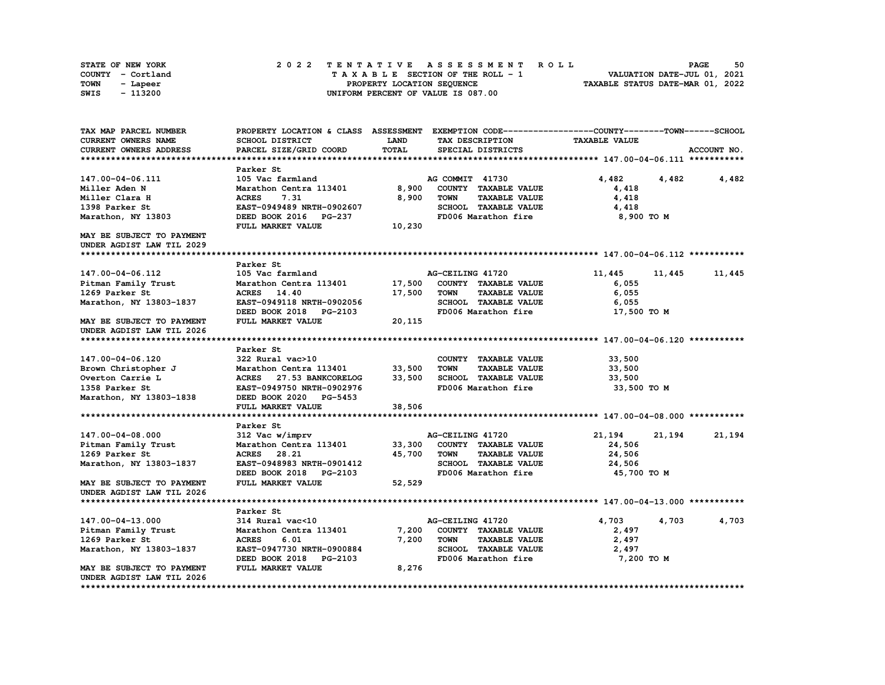| STATE OF NEW YORK | 2022 TENTATIVE ASSESSMENT ROLL     | 50<br><b>PAGE</b>                |
|-------------------|------------------------------------|----------------------------------|
| COUNTY - Cortland | TAXABLE SECTION OF THE ROLL - 1    | VALUATION DATE-JUL 01, 2021      |
| TOWN<br>- Lapeer  | PROPERTY LOCATION SEQUENCE         | TAXABLE STATUS DATE-MAR 01, 2022 |
| - 113200<br>SWIS  | UNIFORM PERCENT OF VALUE IS 087.00 |                                  |

| TAX MAP PARCEL NUMBER         |                           |        | PROPERTY LOCATION & CLASS ASSESSMENT EXEMPTION CODE----------------COUNTY-------TOWN-----SCHOOL |                      |             |
|-------------------------------|---------------------------|--------|-------------------------------------------------------------------------------------------------|----------------------|-------------|
| <b>CURRENT OWNERS NAME</b>    | SCHOOL DISTRICT           | LAND   | TAX DESCRIPTION                                                                                 | <b>TAXABLE VALUE</b> |             |
| <b>CURRENT OWNERS ADDRESS</b> | PARCEL SIZE/GRID COORD    | TOTAL  | SPECIAL DISTRICTS                                                                               |                      | ACCOUNT NO. |
|                               |                           |        |                                                                                                 |                      |             |
|                               | Parker St                 |        |                                                                                                 |                      |             |
| 147.00-04-06.111              | 105 Vac farmland          |        | AG COMMIT 41730                                                                                 | 4,482<br>4,482       | 4,482       |
| Miller Aden N                 | Marathon Centra 113401    | 8,900  | COUNTY TAXABLE VALUE                                                                            | 4,418                |             |
| Miller Clara H                | 7.31<br><b>ACRES</b>      | 8,900  | <b>TAXABLE VALUE</b><br><b>TOWN</b>                                                             | 4,418                |             |
| 1398 Parker St                | EAST-0949489 NRTH-0902607 |        | SCHOOL TAXABLE VALUE                                                                            | 4,418                |             |
| Marathon, NY 13803            | DEED BOOK 2016 PG-237     |        | FD006 Marathon fire                                                                             | 8,900 TO M           |             |
|                               | FULL MARKET VALUE         | 10,230 |                                                                                                 |                      |             |
| MAY BE SUBJECT TO PAYMENT     |                           |        |                                                                                                 |                      |             |
| UNDER AGDIST LAW TIL 2029     |                           |        |                                                                                                 |                      |             |
|                               |                           |        |                                                                                                 |                      |             |
|                               | Parker St                 |        |                                                                                                 |                      |             |
| 147.00-04-06.112              | 105 Vac farmland          |        | AG-CEILING 41720                                                                                | 11,445<br>11,445     | 11,445      |
| Pitman Family Trust           | Marathon Centra 113401    | 17,500 | COUNTY TAXABLE VALUE                                                                            | 6,055                |             |
| 1269 Parker St                | ACRES 14.40               | 17,500 | <b>TAXABLE VALUE</b><br><b>TOWN</b>                                                             | 6,055                |             |
| Marathon, NY 13803-1837       | EAST-0949118 NRTH-0902056 |        | SCHOOL TAXABLE VALUE                                                                            | 6,055                |             |
|                               | DEED BOOK 2018 PG-2103    |        | FD006 Marathon fire                                                                             | 17,500 TO M          |             |
| MAY BE SUBJECT TO PAYMENT     | FULL MARKET VALUE         | 20,115 |                                                                                                 |                      |             |
| UNDER AGDIST LAW TIL 2026     |                           |        |                                                                                                 |                      |             |
|                               |                           |        |                                                                                                 |                      |             |
|                               | Parker St                 |        |                                                                                                 |                      |             |
| 147.00-04-06.120              | 322 Rural vac>10          |        | COUNTY TAXABLE VALUE                                                                            | 33,500               |             |
| Brown Christopher J           | Marathon Centra 113401    | 33,500 | <b>TAXABLE VALUE</b><br><b>TOWN</b>                                                             | 33,500               |             |
| Overton Carrie L              | ACRES 27.53 BANKCORELOG   | 33,500 | SCHOOL TAXABLE VALUE                                                                            | 33,500               |             |
| 1358 Parker St                | EAST-0949750 NRTH-0902976 |        | FD006 Marathon fire                                                                             | 33,500 TO M          |             |
| Marathon, NY 13803-1838       | DEED BOOK 2020 PG-5453    |        |                                                                                                 |                      |             |
|                               | FULL MARKET VALUE         | 38,506 |                                                                                                 |                      |             |
|                               |                           |        |                                                                                                 |                      |             |
|                               | Parker St                 |        |                                                                                                 |                      |             |
| 147.00-04-08.000              | 312 Vac w/imprv           |        | AG-CEILING 41720                                                                                | 21,194<br>21,194     | 21,194      |
| Pitman Family Trust           | Marathon Centra 113401    | 33,300 | COUNTY TAXABLE VALUE                                                                            | 24,506               |             |
| 1269 Parker St                | ACRES 28.21               | 45,700 | <b>TOWN</b><br><b>TAXABLE VALUE</b>                                                             | 24,506               |             |
| Marathon, NY 13803-1837       | EAST-0948983 NRTH-0901412 |        | SCHOOL TAXABLE VALUE                                                                            | 24,506               |             |
|                               | DEED BOOK 2018 PG-2103    |        | FD006 Marathon fire                                                                             | 45,700 TO M          |             |
| MAY BE SUBJECT TO PAYMENT     | FULL MARKET VALUE         | 52,529 |                                                                                                 |                      |             |
| UNDER AGDIST LAW TIL 2026     |                           |        |                                                                                                 |                      |             |
|                               |                           |        |                                                                                                 |                      |             |
|                               | Parker St                 |        |                                                                                                 |                      |             |
| 147.00-04-13.000              | 314 Rural vac<10          |        | AG-CEILING 41720                                                                                | 4,703<br>4,703       | 4,703       |
| Pitman Family Trust           | Marathon Centra 113401    | 7,200  | COUNTY TAXABLE VALUE                                                                            | 2,497                |             |
| 1269 Parker St                | <b>ACRES</b><br>6.01      | 7,200  | <b>TOWN</b><br><b>TAXABLE VALUE</b>                                                             | 2,497                |             |
| Marathon, NY 13803-1837       | EAST-0947730 NRTH-0900884 |        | SCHOOL TAXABLE VALUE                                                                            | 2,497                |             |
|                               | DEED BOOK 2018 PG-2103    |        | FD006 Marathon fire                                                                             | 7,200 TO M           |             |
| MAY BE SUBJECT TO PAYMENT     | FULL MARKET VALUE         | 8,276  |                                                                                                 |                      |             |
| UNDER AGDIST LAW TIL 2026     |                           |        |                                                                                                 |                      |             |
|                               |                           |        |                                                                                                 |                      |             |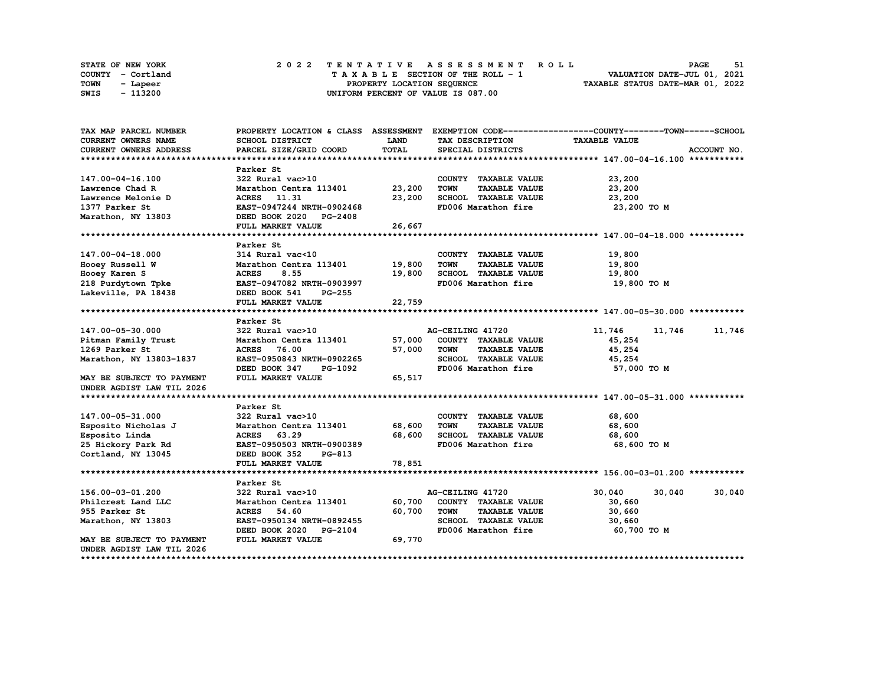|      | <b>STATE OF NEW YORK</b> | 2022 TENTATIVE ASSESSMENT ROLL          | 51<br><b>PAGE</b>                |
|------|--------------------------|-----------------------------------------|----------------------------------|
|      | COUNTY - Cortland        | $T A X A B L E$ SECTION OF THE ROLL - 1 | VALUATION DATE-JUL 01, 2021      |
| TOWN | - Lapeer                 | PROPERTY LOCATION SEQUENCE              | TAXABLE STATUS DATE-MAR 01, 2022 |
| SWIS | - 113200                 | UNIFORM PERCENT OF VALUE IS 087.00      |                                  |

| TAX MAP PARCEL NUMBER                                            |                                                                  |             |                                     | PROPERTY LOCATION & CLASS ASSESSMENT EXEMPTION CODE----------------COUNTY-------TOWN------SCHOOL |             |
|------------------------------------------------------------------|------------------------------------------------------------------|-------------|-------------------------------------|--------------------------------------------------------------------------------------------------|-------------|
| CURRENT OWNERS NAME                                              | SCHOOL DISTRICT                                                  | <b>LAND</b> | TAX DESCRIPTION                     | <b>TAXABLE VALUE</b>                                                                             |             |
| <b>CURRENT OWNERS ADDRESS</b>                                    | PARCEL SIZE/GRID COORD                                           | TOTAL       | SPECIAL DISTRICTS                   |                                                                                                  | ACCOUNT NO. |
|                                                                  |                                                                  |             |                                     |                                                                                                  |             |
|                                                                  | Parker St                                                        |             |                                     |                                                                                                  |             |
| 147.00-04-16.100                                                 | 322 Rural vac>10                                                 |             | COUNTY TAXABLE VALUE                | 23,200                                                                                           |             |
| Lawrence Chad R                                                  | Marathon Centra 113401 23,200                                    |             | <b>TOWN</b><br><b>TAXABLE VALUE</b> | 23,200                                                                                           |             |
| Lawrence Melonie D                                               | ACRES 11.31                                                      | 23,200      | SCHOOL TAXABLE VALUE                | 23,200                                                                                           |             |
| 1377 Parker St                                                   | EAST-0947244 NRTH-0902468                                        |             | FD006 Marathon fire                 | 23,200 TO M                                                                                      |             |
| Marathon, NY 13803                                               | DEED BOOK 2020 PG-2408                                           |             |                                     |                                                                                                  |             |
|                                                                  | FULL MARKET VALUE                                                | 26,667      |                                     |                                                                                                  |             |
|                                                                  |                                                                  |             |                                     |                                                                                                  |             |
|                                                                  | Parker St                                                        |             |                                     |                                                                                                  |             |
| 147.00-04-18.000                                                 | 314 Rural vac<10                                                 |             | COUNTY TAXABLE VALUE                | 19,800                                                                                           |             |
| Hooey Russell W                                                  | Marathon Centra 113401 19,800                                    |             | <b>TOWN</b><br><b>TAXABLE VALUE</b> | 19,800                                                                                           |             |
| Hooey Karen S                                                    | <b>ACRES</b><br>8.55                                             | 19,800      | SCHOOL TAXABLE VALUE                | 19,800                                                                                           |             |
|                                                                  | EAST-0947082 NRTH-0903997                                        |             | FD006 Marathon fire                 | 19,800 TO M                                                                                      |             |
| 218 Purdytown Tpke<br>Lakeville, PA 18438<br>Lakeville, PA 18438 | DEED BOOK 541<br><b>PG-255</b>                                   |             |                                     |                                                                                                  |             |
|                                                                  | FULL MARKET VALUE                                                | 22,759      |                                     |                                                                                                  |             |
|                                                                  |                                                                  |             |                                     |                                                                                                  |             |
|                                                                  | Parker St                                                        |             |                                     |                                                                                                  |             |
| 147.00-05-30.000                                                 | 322 Rural vac>10                                                 |             | AG-CEILING 41720                    | 11,746<br>11,746                                                                                 | 11,746      |
| Pitman Family Trust                                              | Marathon Centra 113401                                           | 57,000      | COUNTY TAXABLE VALUE                | 45,254                                                                                           |             |
| 1269 Parker St                                                   | <b>ACRES</b><br>76.00                                            | 57,000      | TOWN<br><b>TAXABLE VALUE</b>        | 45,254                                                                                           |             |
| Marathon, NY 13803-1837                                          | EAST-0950843 NRTH-0902265                                        |             | SCHOOL TAXABLE VALUE                | 45,254                                                                                           |             |
|                                                                  | DEED BOOK 347 PG-1092                                            |             | FD006 Marathon fire                 | 57,000 TO M                                                                                      |             |
| MAY BE SUBJECT TO PAYMENT                                        | FULL MARKET VALUE                                                | 65,517      |                                     |                                                                                                  |             |
| UNDER AGDIST LAW TIL 2026                                        |                                                                  |             |                                     |                                                                                                  |             |
|                                                                  |                                                                  |             |                                     |                                                                                                  |             |
|                                                                  | Parker St                                                        |             |                                     |                                                                                                  |             |
| 147.00-05-31.000                                                 | JZZ KUTAL VAC>10<br>Marathon Centra 113401 68,600<br>ACRES 60.00 |             | COUNTY TAXABLE VALUE                | 68,600                                                                                           |             |
| Esposito Nicholas J                                              |                                                                  |             | TOWN<br><b>TAXABLE VALUE</b>        | 68,600                                                                                           |             |
| Esposito Linda                                                   | <b>ACRES</b><br>63.29                                            | 68,600      | SCHOOL TAXABLE VALUE                | 68,600                                                                                           |             |
| 25 Hickory Park Rd                                               | EAST-0950503 NRTH-0900389                                        |             | FD006 Marathon fire                 | 68,600 TO M                                                                                      |             |
| Cortland, NY 13045                                               | DEED BOOK 352<br>PG-813                                          |             |                                     |                                                                                                  |             |
|                                                                  | FULL MARKET VALUE                                                | 78,851      |                                     |                                                                                                  |             |
|                                                                  |                                                                  |             |                                     |                                                                                                  |             |
|                                                                  | Parker St                                                        |             |                                     |                                                                                                  |             |
| 156.00-03-01.200                                                 | 322 Rural vac>10                                                 |             | AG-CEILING 41720                    | 30,040<br>30,040                                                                                 | 30,040      |
| Philcrest Land LLC                                               | Marathon Centra 113401                                           | 60,700      | COUNTY TAXABLE VALUE                | 30,660                                                                                           |             |
| 955 Parker St                                                    | 54.60<br><b>ACRES</b>                                            | 60,700      | <b>TOWN</b><br><b>TAXABLE VALUE</b> | 30,660                                                                                           |             |
| Marathon, NY 13803                                               | EAST-0950134 NRTH-0892455                                        |             | SCHOOL TAXABLE VALUE                | 30,660                                                                                           |             |
|                                                                  | DEED BOOK 2020 PG-2104                                           |             | FD006 Marathon fire                 | 60,700 TO M                                                                                      |             |
| MAY BE SUBJECT TO PAYMENT                                        | FULL MARKET VALUE                                                | 69,770      |                                     |                                                                                                  |             |
| UNDER AGDIST LAW TIL 2026                                        |                                                                  |             |                                     |                                                                                                  |             |
|                                                                  |                                                                  |             |                                     |                                                                                                  |             |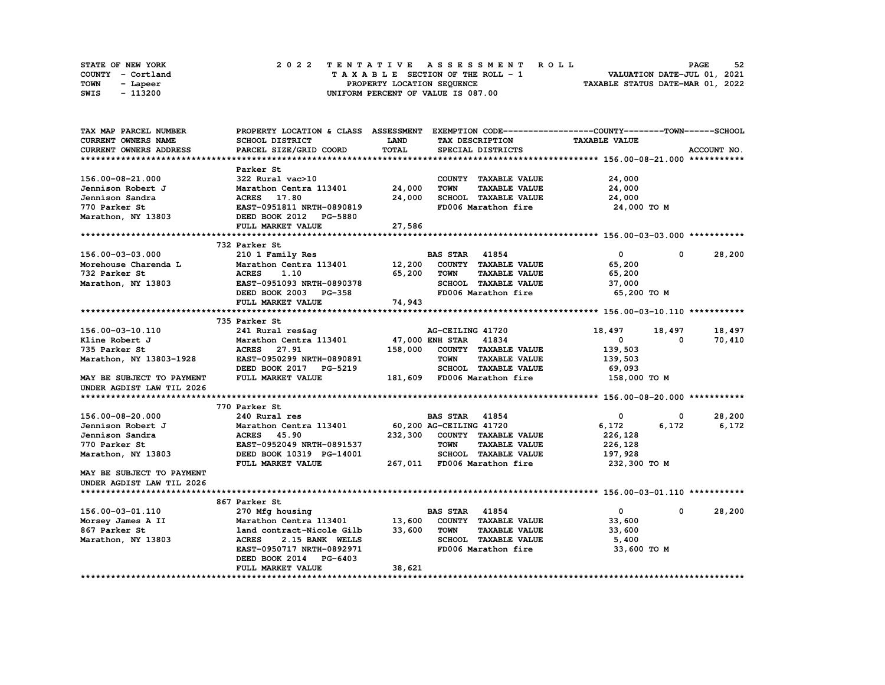|      | <b>STATE OF NEW YORK</b> | 2022 TENTATIVE ASSESSMENT ROLL          | 52<br><b>PAGE</b>                |
|------|--------------------------|-----------------------------------------|----------------------------------|
|      | COUNTY - Cortland        | $T A X A B L E$ SECTION OF THE ROLL - 1 | VALUATION DATE-JUL 01, 2021      |
| TOWN | - Lapeer                 | PROPERTY LOCATION SEQUENCE              | TAXABLE STATUS DATE-MAR 01, 2022 |
| SWIS | - 113200                 | UNIFORM PERCENT OF VALUE IS 087.00      |                                  |

| SCHOOL DISTRICT<br><b>CURRENT OWNERS NAME</b><br><b>LAND</b><br>TAX DESCRIPTION<br><b>TAXABLE VALUE</b><br>TOTAL<br>ACCOUNT NO.<br>CURRENT OWNERS ADDRESS<br>PARCEL SIZE/GRID COORD<br>SPECIAL DISTRICTS<br>Parker St<br>24,000<br>156.00-08-21.000<br>322 Rural vac>10<br>COUNTY TAXABLE VALUE<br>Jennison Robert J<br>Marathon Centra 113401<br>24,000<br><b>TOWN</b><br><b>TAXABLE VALUE</b><br>24,000<br>SCHOOL TAXABLE VALUE<br>ACRES 17.80<br>24,000<br>24,000<br>Jennison Sandra<br>FD006 Marathon fire<br>770 Parker St<br>EAST-0951811 NRTH-0890819<br>24,000 TO M<br>DEED BOOK 2012 PG-5880<br>Marathon, NY 13803<br>FULL MARKET VALUE<br>27,586<br>732 Parker St<br>$\mathbf{0}$<br>28,200<br>156.00-03-03.000<br>210 1 Family Res<br><b>BAS STAR</b> 41854<br>$^{\circ}$<br>Marathon Centra 113401<br>Morehouse Charenda L<br>12,200<br>COUNTY TAXABLE VALUE<br>65,200<br>65,200<br><b>TOWN</b><br><b>TAXABLE VALUE</b><br>732 Parker St<br><b>ACRES</b><br>1.10<br>65,200<br>Marathon, NY 13803<br>EAST-0951093 NRTH-0890378<br>SCHOOL TAXABLE VALUE<br>37,000<br>FD006 Marathon fire<br>DEED BOOK 2003 PG-358<br>65,200 то м<br>74,943<br>FULL MARKET VALUE<br>735 Parker St<br>156.00-03-10.110<br>241 Rural res&ag<br>18,497<br>AG-CEILING 41720<br>18,497<br>18,497<br>Marathon Centra 113401<br>47,000 ENH STAR 41834<br>70,410<br>Kline Robert J<br>0<br>$\Omega$<br><b>ACRES</b><br>735 Parker St<br>27.91<br>158,000<br>COUNTY TAXABLE VALUE<br>139,503<br>Marathon, NY 13803-1928<br>EAST-0950299 NRTH-0890891<br><b>TOWN</b><br><b>TAXABLE VALUE</b><br>139,503<br>DEED BOOK 2017 PG-5219<br>SCHOOL TAXABLE VALUE<br>69,093<br>FULL MARKET VALUE<br>181,609 FD006 Marathon fire<br>MAY BE SUBJECT TO PAYMENT<br>158,000 TO M<br>UNDER AGDIST LAW TIL 2026<br>770 Parker St<br>156.00-08-20.000<br>240 Rural res<br><b>BAS STAR</b> 41854<br>0<br>28,200<br>0<br>60,200 AG-CEILING 41720<br>6,172<br>6,172<br>Jennison Robert J<br>Marathon Centra 113401<br>6,172<br>Jennison Sandra<br><b>ACRES</b> 45.90<br>232,300 COUNTY TAXABLE VALUE<br>226,128<br>770 Parker St<br>EAST-0952049 NRTH-0891537<br><b>TOWN</b><br><b>TAXABLE VALUE</b><br>226,128<br>SCHOOL TAXABLE VALUE<br>Marathon, NY 13803<br>DEED BOOK 10319 PG-14001<br>197,928<br>FULL MARKET VALUE<br>267,011 FD006 Marathon fire<br>232,300 то м<br>MAY BE SUBJECT TO PAYMENT<br>UNDER AGDIST LAW TIL 2026<br>867 Parker St<br>28,200<br>156.00-03-01.110<br><b>BAS STAR 41854</b><br>$\mathbf{0}$<br>270 Mfg housing<br>0<br>13,600<br>COUNTY TAXABLE VALUE<br>Marathon Centra 113401<br>33,600<br>Morsey James A II<br>867 Parker St<br>33,600<br><b>TOWN</b><br><b>TAXABLE VALUE</b><br>land contract-Nicole Gilb<br>33,600<br>SCHOOL TAXABLE VALUE<br>Marathon, NY 13803<br><b>ACRES</b><br>2.15 BANK WELLS<br>5,400<br>EAST-0950717 NRTH-0892971<br>FD006 Marathon fire<br>33,600 TO M<br>DEED BOOK 2014<br><b>PG-6403</b><br>38,621<br><b>FULL MARKET VALUE</b> | TAX MAP PARCEL NUMBER | PROPERTY LOCATION & CLASS ASSESSMENT |  | EXEMPTION CODE------------------COUNTY-------TOWN------SCHOOL |  |
|------------------------------------------------------------------------------------------------------------------------------------------------------------------------------------------------------------------------------------------------------------------------------------------------------------------------------------------------------------------------------------------------------------------------------------------------------------------------------------------------------------------------------------------------------------------------------------------------------------------------------------------------------------------------------------------------------------------------------------------------------------------------------------------------------------------------------------------------------------------------------------------------------------------------------------------------------------------------------------------------------------------------------------------------------------------------------------------------------------------------------------------------------------------------------------------------------------------------------------------------------------------------------------------------------------------------------------------------------------------------------------------------------------------------------------------------------------------------------------------------------------------------------------------------------------------------------------------------------------------------------------------------------------------------------------------------------------------------------------------------------------------------------------------------------------------------------------------------------------------------------------------------------------------------------------------------------------------------------------------------------------------------------------------------------------------------------------------------------------------------------------------------------------------------------------------------------------------------------------------------------------------------------------------------------------------------------------------------------------------------------------------------------------------------------------------------------------------------------------------------------------------------------------------------------------------------------------------------------------------------------------------------------------------------------------------------------------------------------------------------------------------------------------------------------------------------------------------------------------------------------------------------------------------------------------------------------------|-----------------------|--------------------------------------|--|---------------------------------------------------------------|--|
|                                                                                                                                                                                                                                                                                                                                                                                                                                                                                                                                                                                                                                                                                                                                                                                                                                                                                                                                                                                                                                                                                                                                                                                                                                                                                                                                                                                                                                                                                                                                                                                                                                                                                                                                                                                                                                                                                                                                                                                                                                                                                                                                                                                                                                                                                                                                                                                                                                                                                                                                                                                                                                                                                                                                                                                                                                                                                                                                                            |                       |                                      |  |                                                               |  |
|                                                                                                                                                                                                                                                                                                                                                                                                                                                                                                                                                                                                                                                                                                                                                                                                                                                                                                                                                                                                                                                                                                                                                                                                                                                                                                                                                                                                                                                                                                                                                                                                                                                                                                                                                                                                                                                                                                                                                                                                                                                                                                                                                                                                                                                                                                                                                                                                                                                                                                                                                                                                                                                                                                                                                                                                                                                                                                                                                            |                       |                                      |  |                                                               |  |
|                                                                                                                                                                                                                                                                                                                                                                                                                                                                                                                                                                                                                                                                                                                                                                                                                                                                                                                                                                                                                                                                                                                                                                                                                                                                                                                                                                                                                                                                                                                                                                                                                                                                                                                                                                                                                                                                                                                                                                                                                                                                                                                                                                                                                                                                                                                                                                                                                                                                                                                                                                                                                                                                                                                                                                                                                                                                                                                                                            |                       |                                      |  |                                                               |  |
|                                                                                                                                                                                                                                                                                                                                                                                                                                                                                                                                                                                                                                                                                                                                                                                                                                                                                                                                                                                                                                                                                                                                                                                                                                                                                                                                                                                                                                                                                                                                                                                                                                                                                                                                                                                                                                                                                                                                                                                                                                                                                                                                                                                                                                                                                                                                                                                                                                                                                                                                                                                                                                                                                                                                                                                                                                                                                                                                                            |                       |                                      |  |                                                               |  |
|                                                                                                                                                                                                                                                                                                                                                                                                                                                                                                                                                                                                                                                                                                                                                                                                                                                                                                                                                                                                                                                                                                                                                                                                                                                                                                                                                                                                                                                                                                                                                                                                                                                                                                                                                                                                                                                                                                                                                                                                                                                                                                                                                                                                                                                                                                                                                                                                                                                                                                                                                                                                                                                                                                                                                                                                                                                                                                                                                            |                       |                                      |  |                                                               |  |
|                                                                                                                                                                                                                                                                                                                                                                                                                                                                                                                                                                                                                                                                                                                                                                                                                                                                                                                                                                                                                                                                                                                                                                                                                                                                                                                                                                                                                                                                                                                                                                                                                                                                                                                                                                                                                                                                                                                                                                                                                                                                                                                                                                                                                                                                                                                                                                                                                                                                                                                                                                                                                                                                                                                                                                                                                                                                                                                                                            |                       |                                      |  |                                                               |  |
|                                                                                                                                                                                                                                                                                                                                                                                                                                                                                                                                                                                                                                                                                                                                                                                                                                                                                                                                                                                                                                                                                                                                                                                                                                                                                                                                                                                                                                                                                                                                                                                                                                                                                                                                                                                                                                                                                                                                                                                                                                                                                                                                                                                                                                                                                                                                                                                                                                                                                                                                                                                                                                                                                                                                                                                                                                                                                                                                                            |                       |                                      |  |                                                               |  |
|                                                                                                                                                                                                                                                                                                                                                                                                                                                                                                                                                                                                                                                                                                                                                                                                                                                                                                                                                                                                                                                                                                                                                                                                                                                                                                                                                                                                                                                                                                                                                                                                                                                                                                                                                                                                                                                                                                                                                                                                                                                                                                                                                                                                                                                                                                                                                                                                                                                                                                                                                                                                                                                                                                                                                                                                                                                                                                                                                            |                       |                                      |  |                                                               |  |
|                                                                                                                                                                                                                                                                                                                                                                                                                                                                                                                                                                                                                                                                                                                                                                                                                                                                                                                                                                                                                                                                                                                                                                                                                                                                                                                                                                                                                                                                                                                                                                                                                                                                                                                                                                                                                                                                                                                                                                                                                                                                                                                                                                                                                                                                                                                                                                                                                                                                                                                                                                                                                                                                                                                                                                                                                                                                                                                                                            |                       |                                      |  |                                                               |  |
|                                                                                                                                                                                                                                                                                                                                                                                                                                                                                                                                                                                                                                                                                                                                                                                                                                                                                                                                                                                                                                                                                                                                                                                                                                                                                                                                                                                                                                                                                                                                                                                                                                                                                                                                                                                                                                                                                                                                                                                                                                                                                                                                                                                                                                                                                                                                                                                                                                                                                                                                                                                                                                                                                                                                                                                                                                                                                                                                                            |                       |                                      |  |                                                               |  |
|                                                                                                                                                                                                                                                                                                                                                                                                                                                                                                                                                                                                                                                                                                                                                                                                                                                                                                                                                                                                                                                                                                                                                                                                                                                                                                                                                                                                                                                                                                                                                                                                                                                                                                                                                                                                                                                                                                                                                                                                                                                                                                                                                                                                                                                                                                                                                                                                                                                                                                                                                                                                                                                                                                                                                                                                                                                                                                                                                            |                       |                                      |  |                                                               |  |
|                                                                                                                                                                                                                                                                                                                                                                                                                                                                                                                                                                                                                                                                                                                                                                                                                                                                                                                                                                                                                                                                                                                                                                                                                                                                                                                                                                                                                                                                                                                                                                                                                                                                                                                                                                                                                                                                                                                                                                                                                                                                                                                                                                                                                                                                                                                                                                                                                                                                                                                                                                                                                                                                                                                                                                                                                                                                                                                                                            |                       |                                      |  |                                                               |  |
|                                                                                                                                                                                                                                                                                                                                                                                                                                                                                                                                                                                                                                                                                                                                                                                                                                                                                                                                                                                                                                                                                                                                                                                                                                                                                                                                                                                                                                                                                                                                                                                                                                                                                                                                                                                                                                                                                                                                                                                                                                                                                                                                                                                                                                                                                                                                                                                                                                                                                                                                                                                                                                                                                                                                                                                                                                                                                                                                                            |                       |                                      |  |                                                               |  |
|                                                                                                                                                                                                                                                                                                                                                                                                                                                                                                                                                                                                                                                                                                                                                                                                                                                                                                                                                                                                                                                                                                                                                                                                                                                                                                                                                                                                                                                                                                                                                                                                                                                                                                                                                                                                                                                                                                                                                                                                                                                                                                                                                                                                                                                                                                                                                                                                                                                                                                                                                                                                                                                                                                                                                                                                                                                                                                                                                            |                       |                                      |  |                                                               |  |
|                                                                                                                                                                                                                                                                                                                                                                                                                                                                                                                                                                                                                                                                                                                                                                                                                                                                                                                                                                                                                                                                                                                                                                                                                                                                                                                                                                                                                                                                                                                                                                                                                                                                                                                                                                                                                                                                                                                                                                                                                                                                                                                                                                                                                                                                                                                                                                                                                                                                                                                                                                                                                                                                                                                                                                                                                                                                                                                                                            |                       |                                      |  |                                                               |  |
|                                                                                                                                                                                                                                                                                                                                                                                                                                                                                                                                                                                                                                                                                                                                                                                                                                                                                                                                                                                                                                                                                                                                                                                                                                                                                                                                                                                                                                                                                                                                                                                                                                                                                                                                                                                                                                                                                                                                                                                                                                                                                                                                                                                                                                                                                                                                                                                                                                                                                                                                                                                                                                                                                                                                                                                                                                                                                                                                                            |                       |                                      |  |                                                               |  |
|                                                                                                                                                                                                                                                                                                                                                                                                                                                                                                                                                                                                                                                                                                                                                                                                                                                                                                                                                                                                                                                                                                                                                                                                                                                                                                                                                                                                                                                                                                                                                                                                                                                                                                                                                                                                                                                                                                                                                                                                                                                                                                                                                                                                                                                                                                                                                                                                                                                                                                                                                                                                                                                                                                                                                                                                                                                                                                                                                            |                       |                                      |  |                                                               |  |
|                                                                                                                                                                                                                                                                                                                                                                                                                                                                                                                                                                                                                                                                                                                                                                                                                                                                                                                                                                                                                                                                                                                                                                                                                                                                                                                                                                                                                                                                                                                                                                                                                                                                                                                                                                                                                                                                                                                                                                                                                                                                                                                                                                                                                                                                                                                                                                                                                                                                                                                                                                                                                                                                                                                                                                                                                                                                                                                                                            |                       |                                      |  |                                                               |  |
|                                                                                                                                                                                                                                                                                                                                                                                                                                                                                                                                                                                                                                                                                                                                                                                                                                                                                                                                                                                                                                                                                                                                                                                                                                                                                                                                                                                                                                                                                                                                                                                                                                                                                                                                                                                                                                                                                                                                                                                                                                                                                                                                                                                                                                                                                                                                                                                                                                                                                                                                                                                                                                                                                                                                                                                                                                                                                                                                                            |                       |                                      |  |                                                               |  |
|                                                                                                                                                                                                                                                                                                                                                                                                                                                                                                                                                                                                                                                                                                                                                                                                                                                                                                                                                                                                                                                                                                                                                                                                                                                                                                                                                                                                                                                                                                                                                                                                                                                                                                                                                                                                                                                                                                                                                                                                                                                                                                                                                                                                                                                                                                                                                                                                                                                                                                                                                                                                                                                                                                                                                                                                                                                                                                                                                            |                       |                                      |  |                                                               |  |
|                                                                                                                                                                                                                                                                                                                                                                                                                                                                                                                                                                                                                                                                                                                                                                                                                                                                                                                                                                                                                                                                                                                                                                                                                                                                                                                                                                                                                                                                                                                                                                                                                                                                                                                                                                                                                                                                                                                                                                                                                                                                                                                                                                                                                                                                                                                                                                                                                                                                                                                                                                                                                                                                                                                                                                                                                                                                                                                                                            |                       |                                      |  |                                                               |  |
|                                                                                                                                                                                                                                                                                                                                                                                                                                                                                                                                                                                                                                                                                                                                                                                                                                                                                                                                                                                                                                                                                                                                                                                                                                                                                                                                                                                                                                                                                                                                                                                                                                                                                                                                                                                                                                                                                                                                                                                                                                                                                                                                                                                                                                                                                                                                                                                                                                                                                                                                                                                                                                                                                                                                                                                                                                                                                                                                                            |                       |                                      |  |                                                               |  |
|                                                                                                                                                                                                                                                                                                                                                                                                                                                                                                                                                                                                                                                                                                                                                                                                                                                                                                                                                                                                                                                                                                                                                                                                                                                                                                                                                                                                                                                                                                                                                                                                                                                                                                                                                                                                                                                                                                                                                                                                                                                                                                                                                                                                                                                                                                                                                                                                                                                                                                                                                                                                                                                                                                                                                                                                                                                                                                                                                            |                       |                                      |  |                                                               |  |
|                                                                                                                                                                                                                                                                                                                                                                                                                                                                                                                                                                                                                                                                                                                                                                                                                                                                                                                                                                                                                                                                                                                                                                                                                                                                                                                                                                                                                                                                                                                                                                                                                                                                                                                                                                                                                                                                                                                                                                                                                                                                                                                                                                                                                                                                                                                                                                                                                                                                                                                                                                                                                                                                                                                                                                                                                                                                                                                                                            |                       |                                      |  |                                                               |  |
|                                                                                                                                                                                                                                                                                                                                                                                                                                                                                                                                                                                                                                                                                                                                                                                                                                                                                                                                                                                                                                                                                                                                                                                                                                                                                                                                                                                                                                                                                                                                                                                                                                                                                                                                                                                                                                                                                                                                                                                                                                                                                                                                                                                                                                                                                                                                                                                                                                                                                                                                                                                                                                                                                                                                                                                                                                                                                                                                                            |                       |                                      |  |                                                               |  |
|                                                                                                                                                                                                                                                                                                                                                                                                                                                                                                                                                                                                                                                                                                                                                                                                                                                                                                                                                                                                                                                                                                                                                                                                                                                                                                                                                                                                                                                                                                                                                                                                                                                                                                                                                                                                                                                                                                                                                                                                                                                                                                                                                                                                                                                                                                                                                                                                                                                                                                                                                                                                                                                                                                                                                                                                                                                                                                                                                            |                       |                                      |  |                                                               |  |
|                                                                                                                                                                                                                                                                                                                                                                                                                                                                                                                                                                                                                                                                                                                                                                                                                                                                                                                                                                                                                                                                                                                                                                                                                                                                                                                                                                                                                                                                                                                                                                                                                                                                                                                                                                                                                                                                                                                                                                                                                                                                                                                                                                                                                                                                                                                                                                                                                                                                                                                                                                                                                                                                                                                                                                                                                                                                                                                                                            |                       |                                      |  |                                                               |  |
|                                                                                                                                                                                                                                                                                                                                                                                                                                                                                                                                                                                                                                                                                                                                                                                                                                                                                                                                                                                                                                                                                                                                                                                                                                                                                                                                                                                                                                                                                                                                                                                                                                                                                                                                                                                                                                                                                                                                                                                                                                                                                                                                                                                                                                                                                                                                                                                                                                                                                                                                                                                                                                                                                                                                                                                                                                                                                                                                                            |                       |                                      |  |                                                               |  |
|                                                                                                                                                                                                                                                                                                                                                                                                                                                                                                                                                                                                                                                                                                                                                                                                                                                                                                                                                                                                                                                                                                                                                                                                                                                                                                                                                                                                                                                                                                                                                                                                                                                                                                                                                                                                                                                                                                                                                                                                                                                                                                                                                                                                                                                                                                                                                                                                                                                                                                                                                                                                                                                                                                                                                                                                                                                                                                                                                            |                       |                                      |  |                                                               |  |
|                                                                                                                                                                                                                                                                                                                                                                                                                                                                                                                                                                                                                                                                                                                                                                                                                                                                                                                                                                                                                                                                                                                                                                                                                                                                                                                                                                                                                                                                                                                                                                                                                                                                                                                                                                                                                                                                                                                                                                                                                                                                                                                                                                                                                                                                                                                                                                                                                                                                                                                                                                                                                                                                                                                                                                                                                                                                                                                                                            |                       |                                      |  |                                                               |  |
|                                                                                                                                                                                                                                                                                                                                                                                                                                                                                                                                                                                                                                                                                                                                                                                                                                                                                                                                                                                                                                                                                                                                                                                                                                                                                                                                                                                                                                                                                                                                                                                                                                                                                                                                                                                                                                                                                                                                                                                                                                                                                                                                                                                                                                                                                                                                                                                                                                                                                                                                                                                                                                                                                                                                                                                                                                                                                                                                                            |                       |                                      |  |                                                               |  |
|                                                                                                                                                                                                                                                                                                                                                                                                                                                                                                                                                                                                                                                                                                                                                                                                                                                                                                                                                                                                                                                                                                                                                                                                                                                                                                                                                                                                                                                                                                                                                                                                                                                                                                                                                                                                                                                                                                                                                                                                                                                                                                                                                                                                                                                                                                                                                                                                                                                                                                                                                                                                                                                                                                                                                                                                                                                                                                                                                            |                       |                                      |  |                                                               |  |
|                                                                                                                                                                                                                                                                                                                                                                                                                                                                                                                                                                                                                                                                                                                                                                                                                                                                                                                                                                                                                                                                                                                                                                                                                                                                                                                                                                                                                                                                                                                                                                                                                                                                                                                                                                                                                                                                                                                                                                                                                                                                                                                                                                                                                                                                                                                                                                                                                                                                                                                                                                                                                                                                                                                                                                                                                                                                                                                                                            |                       |                                      |  |                                                               |  |
|                                                                                                                                                                                                                                                                                                                                                                                                                                                                                                                                                                                                                                                                                                                                                                                                                                                                                                                                                                                                                                                                                                                                                                                                                                                                                                                                                                                                                                                                                                                                                                                                                                                                                                                                                                                                                                                                                                                                                                                                                                                                                                                                                                                                                                                                                                                                                                                                                                                                                                                                                                                                                                                                                                                                                                                                                                                                                                                                                            |                       |                                      |  |                                                               |  |
|                                                                                                                                                                                                                                                                                                                                                                                                                                                                                                                                                                                                                                                                                                                                                                                                                                                                                                                                                                                                                                                                                                                                                                                                                                                                                                                                                                                                                                                                                                                                                                                                                                                                                                                                                                                                                                                                                                                                                                                                                                                                                                                                                                                                                                                                                                                                                                                                                                                                                                                                                                                                                                                                                                                                                                                                                                                                                                                                                            |                       |                                      |  |                                                               |  |
|                                                                                                                                                                                                                                                                                                                                                                                                                                                                                                                                                                                                                                                                                                                                                                                                                                                                                                                                                                                                                                                                                                                                                                                                                                                                                                                                                                                                                                                                                                                                                                                                                                                                                                                                                                                                                                                                                                                                                                                                                                                                                                                                                                                                                                                                                                                                                                                                                                                                                                                                                                                                                                                                                                                                                                                                                                                                                                                                                            |                       |                                      |  |                                                               |  |
|                                                                                                                                                                                                                                                                                                                                                                                                                                                                                                                                                                                                                                                                                                                                                                                                                                                                                                                                                                                                                                                                                                                                                                                                                                                                                                                                                                                                                                                                                                                                                                                                                                                                                                                                                                                                                                                                                                                                                                                                                                                                                                                                                                                                                                                                                                                                                                                                                                                                                                                                                                                                                                                                                                                                                                                                                                                                                                                                                            |                       |                                      |  |                                                               |  |
|                                                                                                                                                                                                                                                                                                                                                                                                                                                                                                                                                                                                                                                                                                                                                                                                                                                                                                                                                                                                                                                                                                                                                                                                                                                                                                                                                                                                                                                                                                                                                                                                                                                                                                                                                                                                                                                                                                                                                                                                                                                                                                                                                                                                                                                                                                                                                                                                                                                                                                                                                                                                                                                                                                                                                                                                                                                                                                                                                            |                       |                                      |  |                                                               |  |
|                                                                                                                                                                                                                                                                                                                                                                                                                                                                                                                                                                                                                                                                                                                                                                                                                                                                                                                                                                                                                                                                                                                                                                                                                                                                                                                                                                                                                                                                                                                                                                                                                                                                                                                                                                                                                                                                                                                                                                                                                                                                                                                                                                                                                                                                                                                                                                                                                                                                                                                                                                                                                                                                                                                                                                                                                                                                                                                                                            |                       |                                      |  |                                                               |  |
|                                                                                                                                                                                                                                                                                                                                                                                                                                                                                                                                                                                                                                                                                                                                                                                                                                                                                                                                                                                                                                                                                                                                                                                                                                                                                                                                                                                                                                                                                                                                                                                                                                                                                                                                                                                                                                                                                                                                                                                                                                                                                                                                                                                                                                                                                                                                                                                                                                                                                                                                                                                                                                                                                                                                                                                                                                                                                                                                                            |                       |                                      |  |                                                               |  |
|                                                                                                                                                                                                                                                                                                                                                                                                                                                                                                                                                                                                                                                                                                                                                                                                                                                                                                                                                                                                                                                                                                                                                                                                                                                                                                                                                                                                                                                                                                                                                                                                                                                                                                                                                                                                                                                                                                                                                                                                                                                                                                                                                                                                                                                                                                                                                                                                                                                                                                                                                                                                                                                                                                                                                                                                                                                                                                                                                            |                       |                                      |  |                                                               |  |
|                                                                                                                                                                                                                                                                                                                                                                                                                                                                                                                                                                                                                                                                                                                                                                                                                                                                                                                                                                                                                                                                                                                                                                                                                                                                                                                                                                                                                                                                                                                                                                                                                                                                                                                                                                                                                                                                                                                                                                                                                                                                                                                                                                                                                                                                                                                                                                                                                                                                                                                                                                                                                                                                                                                                                                                                                                                                                                                                                            |                       |                                      |  |                                                               |  |
|                                                                                                                                                                                                                                                                                                                                                                                                                                                                                                                                                                                                                                                                                                                                                                                                                                                                                                                                                                                                                                                                                                                                                                                                                                                                                                                                                                                                                                                                                                                                                                                                                                                                                                                                                                                                                                                                                                                                                                                                                                                                                                                                                                                                                                                                                                                                                                                                                                                                                                                                                                                                                                                                                                                                                                                                                                                                                                                                                            |                       |                                      |  |                                                               |  |
|                                                                                                                                                                                                                                                                                                                                                                                                                                                                                                                                                                                                                                                                                                                                                                                                                                                                                                                                                                                                                                                                                                                                                                                                                                                                                                                                                                                                                                                                                                                                                                                                                                                                                                                                                                                                                                                                                                                                                                                                                                                                                                                                                                                                                                                                                                                                                                                                                                                                                                                                                                                                                                                                                                                                                                                                                                                                                                                                                            |                       |                                      |  |                                                               |  |
|                                                                                                                                                                                                                                                                                                                                                                                                                                                                                                                                                                                                                                                                                                                                                                                                                                                                                                                                                                                                                                                                                                                                                                                                                                                                                                                                                                                                                                                                                                                                                                                                                                                                                                                                                                                                                                                                                                                                                                                                                                                                                                                                                                                                                                                                                                                                                                                                                                                                                                                                                                                                                                                                                                                                                                                                                                                                                                                                                            |                       |                                      |  |                                                               |  |
|                                                                                                                                                                                                                                                                                                                                                                                                                                                                                                                                                                                                                                                                                                                                                                                                                                                                                                                                                                                                                                                                                                                                                                                                                                                                                                                                                                                                                                                                                                                                                                                                                                                                                                                                                                                                                                                                                                                                                                                                                                                                                                                                                                                                                                                                                                                                                                                                                                                                                                                                                                                                                                                                                                                                                                                                                                                                                                                                                            |                       |                                      |  |                                                               |  |
|                                                                                                                                                                                                                                                                                                                                                                                                                                                                                                                                                                                                                                                                                                                                                                                                                                                                                                                                                                                                                                                                                                                                                                                                                                                                                                                                                                                                                                                                                                                                                                                                                                                                                                                                                                                                                                                                                                                                                                                                                                                                                                                                                                                                                                                                                                                                                                                                                                                                                                                                                                                                                                                                                                                                                                                                                                                                                                                                                            |                       |                                      |  |                                                               |  |
|                                                                                                                                                                                                                                                                                                                                                                                                                                                                                                                                                                                                                                                                                                                                                                                                                                                                                                                                                                                                                                                                                                                                                                                                                                                                                                                                                                                                                                                                                                                                                                                                                                                                                                                                                                                                                                                                                                                                                                                                                                                                                                                                                                                                                                                                                                                                                                                                                                                                                                                                                                                                                                                                                                                                                                                                                                                                                                                                                            |                       |                                      |  |                                                               |  |
|                                                                                                                                                                                                                                                                                                                                                                                                                                                                                                                                                                                                                                                                                                                                                                                                                                                                                                                                                                                                                                                                                                                                                                                                                                                                                                                                                                                                                                                                                                                                                                                                                                                                                                                                                                                                                                                                                                                                                                                                                                                                                                                                                                                                                                                                                                                                                                                                                                                                                                                                                                                                                                                                                                                                                                                                                                                                                                                                                            |                       |                                      |  |                                                               |  |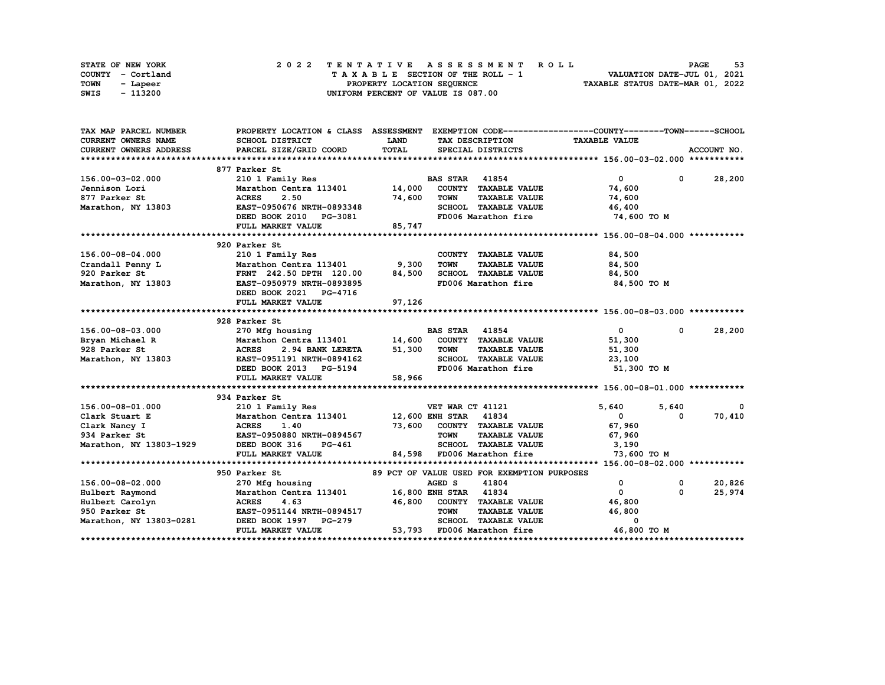|      | STATE OF NEW YORK | 2022 TENTATIVE ASSESSMENT ROLL     | 53<br><b>PAGE</b>                |
|------|-------------------|------------------------------------|----------------------------------|
|      | COUNTY - Cortland | TAXABLE SECTION OF THE ROLL - 1    | VALUATION DATE-JUL 01, 2021      |
| TOWN | - Lapeer          | PROPERTY LOCATION SEQUENCE         | TAXABLE STATUS DATE-MAR 01, 2022 |
| SWIS | - 113200          | UNIFORM PERCENT OF VALUE IS 087.00 |                                  |

| TAX MAP PARCEL NUMBER                 |                                                                 |             |                                             | PROPERTY LOCATION & CLASS ASSESSMENT EXEMPTION CODE----------------COUNTY-------TOWN------SCHOOL |                      |  |  |
|---------------------------------------|-----------------------------------------------------------------|-------------|---------------------------------------------|--------------------------------------------------------------------------------------------------|----------------------|--|--|
| <b>CURRENT OWNERS NAME</b>            | SCHOOL DISTRICT                                                 | <b>LAND</b> | TAX DESCRIPTION                             | <b>TAXABLE VALUE</b>                                                                             |                      |  |  |
| <b>CURRENT OWNERS ADDRESS</b>         | PARCEL SIZE/GRID COORD                                          | TOTAL       | SPECIAL DISTRICTS                           |                                                                                                  | ACCOUNT NO.          |  |  |
|                                       |                                                                 |             |                                             |                                                                                                  |                      |  |  |
|                                       | 877 Parker St                                                   |             |                                             |                                                                                                  |                      |  |  |
| 156.00-03-02.000                      | 210 1 Family Res                                                |             | <b>BAS STAR 41854</b>                       | $\mathbf{0}$                                                                                     | $0 \t 28,200$        |  |  |
| Jennison Lori                         | Marathon Centra 113401 14,000                                   |             | COUNTY TAXABLE VALUE                        | 74,600                                                                                           |                      |  |  |
| 877 Parker St                         | <b>ACRES</b><br>2.50                                            | 74,600      | <b>TOWN</b><br><b>TAXABLE VALUE</b>         | 74,600                                                                                           |                      |  |  |
| Marathon, NY 13803                    | EAST-0950676 NRTH-0893348                                       |             | SCHOOL TAXABLE VALUE                        | 46,400                                                                                           |                      |  |  |
|                                       | DEED BOOK 2010 PG-3081                                          |             | FD006 Marathon fire                         | 74,600 TO M                                                                                      |                      |  |  |
|                                       | FULL MARKET VALUE                                               | 85,747      |                                             |                                                                                                  |                      |  |  |
|                                       |                                                                 |             |                                             |                                                                                                  |                      |  |  |
|                                       | 920 Parker St                                                   |             |                                             |                                                                                                  |                      |  |  |
| 156.00-08-04.000                      | 210 1 Family Res                                                |             | COUNTY TAXABLE VALUE                        | 84,500                                                                                           |                      |  |  |
| Crandall Penny L                      | Marathon Centra 113401                                          | 9,300       | <b>TOWN</b><br><b>TAXABLE VALUE</b>         | 84,500                                                                                           |                      |  |  |
| 920 Parker St                         | FRNT 242.50 DPTH 120.00                                         | 84,500      | SCHOOL TAXABLE VALUE                        | 84,500                                                                                           |                      |  |  |
| Marathon, NY 13803                    | EAST-0950979 NRTH-0893895                                       |             | FD006 Marathon fire                         | 84,500 TO M                                                                                      |                      |  |  |
|                                       | DEED BOOK 2021 PG-4716                                          |             |                                             |                                                                                                  |                      |  |  |
|                                       | FULL MARKET VALUE                                               | 97,126      |                                             |                                                                                                  |                      |  |  |
|                                       |                                                                 |             |                                             |                                                                                                  |                      |  |  |
|                                       | 928 Parker St                                                   |             |                                             |                                                                                                  |                      |  |  |
| 156.00-08-03.000                      | 270 Mfg housing                                                 |             | <b>BAS STAR 41854</b>                       | $\overline{0}$                                                                                   | 28,200<br>$^{\circ}$ |  |  |
| Bryan Michael R                       | Marathon Centra 113401 14,600                                   |             | COUNTY TAXABLE VALUE                        | 51,300                                                                                           |                      |  |  |
| 928 Parker St                         | 2.94 BANK LERETA 51,300<br><b>ACRES</b>                         |             | TOWN<br><b>TAXABLE VALUE</b>                | 51,300                                                                                           |                      |  |  |
| Marathon, NY 13803                    | EAST-0951191 NRTH-0894162                                       |             | SCHOOL TAXABLE VALUE                        | 23,100                                                                                           |                      |  |  |
|                                       | DEED BOOK 2013 PG-5194                                          |             | FD006 Marathon fire                         | 51,300 TO M                                                                                      |                      |  |  |
|                                       | FULL MARKET VALUE                                               | 58,966      |                                             |                                                                                                  |                      |  |  |
|                                       |                                                                 |             |                                             |                                                                                                  |                      |  |  |
|                                       | 934 Parker St                                                   |             |                                             |                                                                                                  |                      |  |  |
| 156.00-08-01.000                      | 210 1 Family Res                                                |             | VET WAR CT 41121                            | 5,640<br>5,640                                                                                   | $\mathbf{0}$         |  |  |
| Clark Stuart E                        | Marathon Centra 113401 12,600 ENH STAR 41834                    |             |                                             | $\mathbf{0}$<br>0                                                                                | 70,410               |  |  |
| Clark Nancy I                         | <b>ACRES</b><br>1.40<br>ACRES 1.40<br>EAST-0950880 NRTH-0894567 |             | 73,600 COUNTY TAXABLE VALUE                 | 67,960                                                                                           |                      |  |  |
| 934 Parker St                         |                                                                 |             | TAXABLE VALUE<br><b>TOWN</b>                | 67,960                                                                                           |                      |  |  |
| Marathon, NY 13803-1929 DEED BOOK 316 | <b>PG-461</b>                                                   |             | SCHOOL TAXABLE VALUE 3,190                  |                                                                                                  |                      |  |  |
|                                       | FULL MARKET VALUE                                               |             | 84,598 FD006 Marathon fire                  | 73,600 TO M                                                                                      |                      |  |  |
|                                       |                                                                 |             |                                             |                                                                                                  |                      |  |  |
|                                       | 950 Parker St                                                   |             | 89 PCT OF VALUE USED FOR EXEMPTION PURPOSES |                                                                                                  |                      |  |  |
| 156.00-08-02.000                      | 270 Mfg housing                                                 |             | AGED S<br>41804                             | 0<br>0                                                                                           | 20,826               |  |  |
| Hulbert Raymond                       | Marathon Centra 113401 16,800 ENH STAR 41834                    |             |                                             | $\mathbf{0}$<br>$\mathbf{0}$                                                                     | 25,974               |  |  |
| Hulbert Carolyn                       | <b>ACRES</b><br>4.63                                            |             | 46,800 COUNTY TAXABLE VALUE                 | 46,800                                                                                           |                      |  |  |
| 950 Parker St                         | EAST-0951144 NRTH-0894517                                       |             | <b>TOWN</b><br><b>TAXABLE VALUE</b>         | 46,800                                                                                           |                      |  |  |
| Marathon, NY 13803-0281               | DEED BOOK 1997 PG-279                                           |             | SCHOOL TAXABLE VALUE                        | $\Omega$                                                                                         |                      |  |  |
|                                       | FULL MARKET VALUE                                               |             | 53,793 FD006 Marathon fire                  | 46,800 TO M                                                                                      |                      |  |  |
|                                       |                                                                 |             |                                             |                                                                                                  |                      |  |  |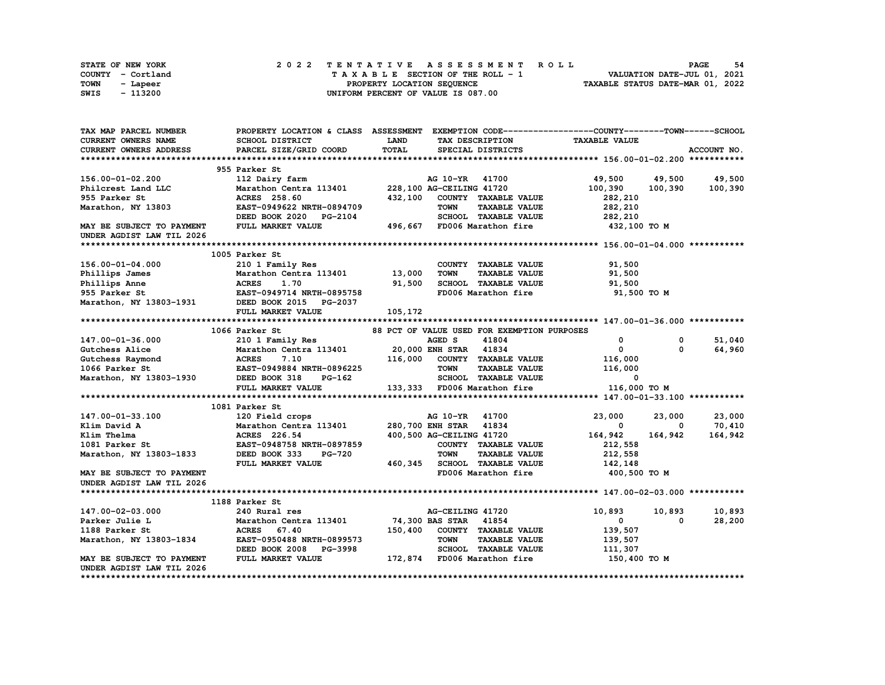| STATE OF NEW YORK | 2022 TENTATIVE ASSESSMENT ROLL     | -54<br><b>PAGE</b>               |
|-------------------|------------------------------------|----------------------------------|
| COUNTY - Cortland | TAXABLE SECTION OF THE ROLL - 1    | VALUATION DATE-JUL 01, 2021      |
| TOWN<br>- Lapeer  | PROPERTY LOCATION SEOUENCE         | TAXABLE STATUS DATE-MAR 01, 2022 |
| - 113200<br>SWIS  | UNIFORM PERCENT OF VALUE IS 087.00 |                                  |

| TAX MAP PARCEL NUMBER                                                                                                                  |                                              |             |                                             | PROPERTY LOCATION & CLASS ASSESSMENT EXEMPTION CODE----------------COUNTY-------TOWN-----SCHOOL |             |
|----------------------------------------------------------------------------------------------------------------------------------------|----------------------------------------------|-------------|---------------------------------------------|-------------------------------------------------------------------------------------------------|-------------|
| CURRENT OWNERS NAME                                                                                                                    | SCHOOL DISTRICT                              | <b>LAND</b> | TAX DESCRIPTION                             | <b>TAXABLE VALUE</b>                                                                            |             |
| <b>CURRENT OWNERS ADDRESS</b>                                                                                                          | PARCEL SIZE/GRID COORD                       | TOTAL       | SPECIAL DISTRICTS                           |                                                                                                 | ACCOUNT NO. |
|                                                                                                                                        |                                              |             |                                             |                                                                                                 |             |
|                                                                                                                                        | 955 Parker St                                |             |                                             |                                                                                                 |             |
| 156.00-01-02.200                                                                                                                       | 112 Dairy farm                               |             | AG 10-YR 41700                              | 49,500<br>49,500                                                                                | 49,500      |
| Philcrest Land LLC                                                                                                                     | Marathon Centra 113401                       |             | 228,100 AG-CEILING 41720                    | 100,390<br>100,390                                                                              | 100,390     |
| 955 Parker St                                                                                                                          | ACRES 258.60                                 | 432,100     | COUNTY TAXABLE VALUE                        | 282,210                                                                                         |             |
| Marathon, NY 13803                                                                                                                     | EAST-0949622 NRTH-0894709                    |             | <b>TAXABLE VALUE</b><br><b>TOWN</b>         | 282,210                                                                                         |             |
|                                                                                                                                        | DEED BOOK 2020 PG-2104                       |             | SCHOOL TAXABLE VALUE                        | 282,210                                                                                         |             |
| MAY BE SUBJECT TO PAYMENT                                                                                                              | FULL MARKET VALUE                            | 496,667     | FD006 Marathon fire                         | 432,100 TO M                                                                                    |             |
| UNDER AGDIST LAW TIL 2026                                                                                                              |                                              |             |                                             |                                                                                                 |             |
|                                                                                                                                        |                                              |             |                                             |                                                                                                 |             |
|                                                                                                                                        | 1005 Parker St                               |             |                                             |                                                                                                 |             |
| 156.00-01-04.000                                                                                                                       |                                              |             | COUNTY TAXABLE VALUE                        |                                                                                                 |             |
|                                                                                                                                        | 210 1 Family Res                             |             |                                             | 91,500                                                                                          |             |
| Phillips James                                                                                                                         | Marathon Centra 113401 13,000                |             | <b>TOWN</b><br><b>TAXABLE VALUE</b>         | 91,500                                                                                          |             |
| Phillips Anne                                                                                                                          | <b>ACRES</b><br>1.70                         | 91,500      | SCHOOL TAXABLE VALUE                        | 91,500                                                                                          |             |
| 955 Parker St                                                                                                                          | EAST-0949714 NRTH-0895758                    |             | FD006 Marathon fire                         | 91,500 TO M                                                                                     |             |
| Marathon, NY 13803-1931                                                                                                                | DEED BOOK 2015 PG-2037                       |             |                                             |                                                                                                 |             |
|                                                                                                                                        | FULL MARKET VALUE                            | 105,172     |                                             |                                                                                                 |             |
|                                                                                                                                        |                                              |             |                                             |                                                                                                 |             |
|                                                                                                                                        | 1066 Parker St                               |             | 88 PCT OF VALUE USED FOR EXEMPTION PURPOSES |                                                                                                 |             |
| 147.00-01-36.000                                                                                                                       | 210 1 Family Res                             |             | AGED S<br>41804                             | 0<br>0                                                                                          | 51,040      |
|                                                                                                                                        | Marathon Centra 113401 20,000 ENH STAR 41834 |             |                                             | $\mathbf 0$<br>$\Omega$                                                                         | 64,960      |
| Gutchess Alice Marathon Centr<br>Gutchess Raymond ACRES 7.10<br>1066 Parker St EAST-0949884 N<br>Marathon, NY 13803-1930 DEED BOOK 318 |                                              | 116,000     | COUNTY TAXABLE VALUE                        | 116,000                                                                                         |             |
|                                                                                                                                        | <b>EAST-0949884 NRTH-0896225</b>             |             | TOWN<br><b>TAXABLE VALUE</b>                | 116,000                                                                                         |             |
|                                                                                                                                        | PG-162                                       |             | SCHOOL TAXABLE VALUE                        | 0                                                                                               |             |
|                                                                                                                                        | FULL MARKET VALUE                            |             | 133,333 FD006 Marathon fire                 | 116,000 TO M                                                                                    |             |
|                                                                                                                                        |                                              |             |                                             |                                                                                                 |             |
|                                                                                                                                        | 1081 Parker St                               |             |                                             |                                                                                                 |             |
| 147.00-01-33.100                                                                                                                       | 120 Field crops                              |             | AG 10-YR 41700                              | 23,000<br>23,000                                                                                | 23,000      |
| Klim David A                                                                                                                           | Marathon Centra 113401                       |             | 280,700 ENH STAR 41834                      | 0<br>0                                                                                          | 70,410      |
| Klim Thelma                                                                                                                            | ACRES 226.54                                 |             | 400,500 AG-CEILING 41720                    | 164,942<br>164,942                                                                              | 164,942     |
| 1081 Parker St                                                                                                                         | EAST-0948758 NRTH-0897859                    |             | COUNTY TAXABLE VALUE                        | 212,558                                                                                         |             |
| Marathon, NY 13803-1833                                                                                                                | DEED BOOK 333<br><b>PG-720</b>               |             | <b>TOWN</b><br><b>TAXABLE VALUE</b>         | 212,558                                                                                         |             |
|                                                                                                                                        | FULL MARKET VALUE                            |             | 460,345 SCHOOL TAXABLE VALUE                | 142,148                                                                                         |             |
| MAY BE SUBJECT TO PAYMENT                                                                                                              |                                              |             | FD006 Marathon fire                         | 400,500 TO M                                                                                    |             |
| UNDER AGDIST LAW TIL 2026                                                                                                              |                                              |             |                                             |                                                                                                 |             |
|                                                                                                                                        |                                              |             |                                             |                                                                                                 |             |
|                                                                                                                                        | 1188 Parker St                               |             |                                             |                                                                                                 |             |
| 147.00-02-03.000                                                                                                                       | 240 Rural res                                |             | AG-CEILING 41720                            | 10,893<br>10,893                                                                                | 10,893      |
| Parker Julie L                                                                                                                         | Marathon Centra 113401                       |             |                                             | 0                                                                                               |             |
|                                                                                                                                        |                                              |             | 74,300 BAS STAR 41854                       | 0                                                                                               | 28,200      |
| 1188 Parker St                                                                                                                         | ACRES 67.40                                  | 150,400     | COUNTY TAXABLE VALUE                        | 139,507                                                                                         |             |
| Marathon, NY 13803-1834                                                                                                                | EAST-0950488 NRTH-0899573                    |             | <b>TOWN</b><br><b>TAXABLE VALUE</b>         | 139,507                                                                                         |             |
|                                                                                                                                        | DEED BOOK 2008 PG-3998                       |             | SCHOOL TAXABLE VALUE                        | 111,307                                                                                         |             |
| MAY BE SUBJECT TO PAYMENT                                                                                                              | FULL MARKET VALUE                            |             | 172,874 FD006 Marathon fire                 | 150,400 TO M                                                                                    |             |
| UNDER AGDIST LAW TIL 2026                                                                                                              |                                              |             |                                             |                                                                                                 |             |
|                                                                                                                                        |                                              |             |                                             |                                                                                                 |             |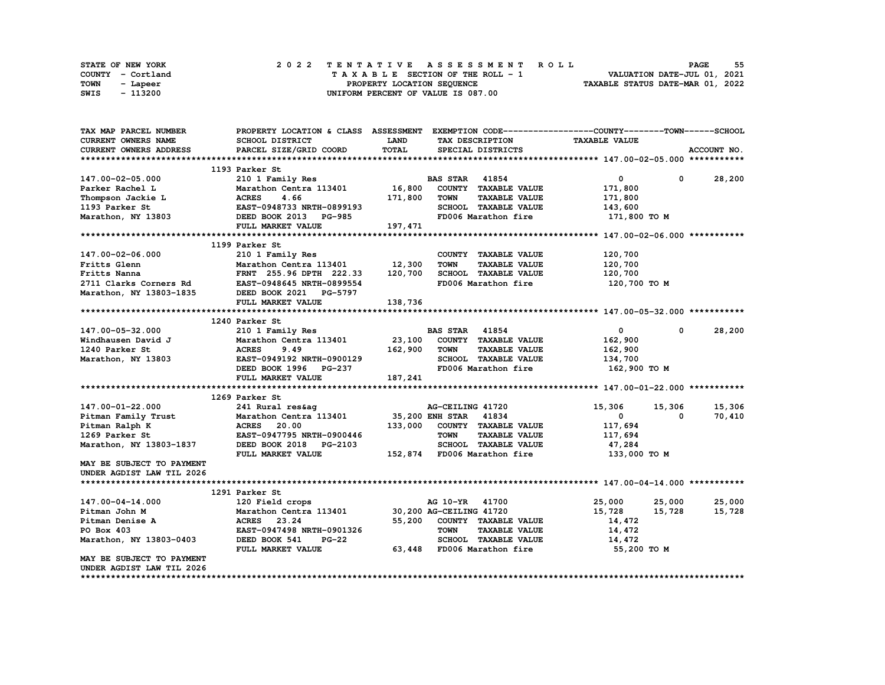|      | <b>STATE OF NEW YORK</b> | 2022 TENTATIVE ASSESSMENT ROLL          | 55<br><b>PAGE</b>                |
|------|--------------------------|-----------------------------------------|----------------------------------|
|      | COUNTY - Cortland        | $T A X A B L E$ SECTION OF THE ROLL - 1 | VALUATION DATE-JUL 01, 2021      |
| TOWN | - Lapeer                 | PROPERTY LOCATION SEQUENCE              | TAXABLE STATUS DATE-MAR 01, 2022 |
| SWIS | - 113200                 | UNIFORM PERCENT OF VALUE IS 087.00      |                                  |

| TAX MAP PARCEL NUMBER         | PROPERTY LOCATION & CLASS ASSESSMENT EXEMPTION CODE----------------COUNTY-------TOWN-----SCHOOL |             |                                     |                      |                      |
|-------------------------------|-------------------------------------------------------------------------------------------------|-------------|-------------------------------------|----------------------|----------------------|
| <b>CURRENT OWNERS NAME</b>    | <b>SCHOOL DISTRICT</b>                                                                          | <b>LAND</b> | TAX DESCRIPTION                     | <b>TAXABLE VALUE</b> |                      |
| <b>CURRENT OWNERS ADDRESS</b> | PARCEL SIZE/GRID COORD                                                                          | TOTAL       | SPECIAL DISTRICTS                   |                      | ACCOUNT NO.          |
|                               |                                                                                                 |             |                                     |                      |                      |
|                               | 1193 Parker St                                                                                  |             |                                     |                      |                      |
| 147.00-02-05.000              | 210 1 Family Res                                                                                |             | <b>BAS STAR</b> 41854               | 0                    | 28,200<br>0          |
| Parker Rachel L               | Marathon Centra 113401                                                                          | 16,800      | COUNTY TAXABLE VALUE                | 171,800              |                      |
| Thompson Jackie L             | <b>ACRES</b><br>4.66                                                                            | 171,800     | <b>TOWN</b><br><b>TAXABLE VALUE</b> | 171,800              |                      |
| 1193 Parker St                | EAST-0948733 NRTH-0899193                                                                       |             | <b>SCHOOL TAXABLE VALUE</b>         | 143,600              |                      |
| Marathon, NY 13803            | DEED BOOK 2013 PG-985                                                                           |             | FD006 Marathon fire                 | 171,800 TO M         |                      |
|                               | FULL MARKET VALUE                                                                               | 197,471     |                                     |                      |                      |
|                               |                                                                                                 |             |                                     |                      |                      |
|                               | 1199 Parker St                                                                                  |             |                                     |                      |                      |
| 147.00-02-06.000              | 210 1 Family Res                                                                                |             | COUNTY TAXABLE VALUE                | 120,700              |                      |
| Fritts Glenn                  | Marathon Centra 113401                                                                          | 12,300      | <b>TOWN</b><br><b>TAXABLE VALUE</b> | 120,700              |                      |
| Fritts Nanna                  | FRNT 255.96 DPTH 222.33                                                                         | 120,700     | <b>SCHOOL TAXABLE VALUE</b>         | 120,700              |                      |
| 2711 Clarks Corners Rd        | EAST-0948645 NRTH-0899554                                                                       |             | FD006 Marathon fire                 | 120,700 TO M         |                      |
| Marathon, NY 13803-1835       | DEED BOOK 2021 PG-5797                                                                          |             |                                     |                      |                      |
|                               |                                                                                                 | 138,736     |                                     |                      |                      |
|                               | FULL MARKET VALUE                                                                               |             |                                     |                      |                      |
|                               |                                                                                                 |             |                                     |                      |                      |
|                               | 1240 Parker St                                                                                  |             |                                     |                      |                      |
| 147.00-05-32.000              | 210 1 Family Res                                                                                |             | <b>BAS STAR</b> 41854               | $\mathbf{0}$         | 28,200<br>$^{\circ}$ |
| Windhausen David J            | Marathon Centra 113401                                                                          | 23,100      | COUNTY TAXABLE VALUE                | 162,900              |                      |
| 1240 Parker St                | <b>ACRES</b><br>9.49                                                                            | 162,900     | <b>TAXABLE VALUE</b><br><b>TOWN</b> | 162,900              |                      |
| Marathon, NY 13803            | EAST-0949192 NRTH-0900129                                                                       |             | SCHOOL TAXABLE VALUE                | 134,700              |                      |
|                               | DEED BOOK 1996 PG-237                                                                           |             | FD006 Marathon fire                 | 162,900 TO M         |                      |
|                               | FULL MARKET VALUE                                                                               | 187,241     |                                     |                      |                      |
|                               |                                                                                                 |             |                                     |                      |                      |
|                               | 1269 Parker St                                                                                  |             |                                     |                      |                      |
| 147.00-01-22.000              | 241 Rural res&ag                                                                                |             | AG-CEILING 41720                    | 15,306<br>15,306     | 15,306               |
| Pitman Family Trust           | Marathon Centra 113401                                                                          |             | 35,200 ENH STAR 41834               | $\mathbf 0$          | 70,410<br>0          |
| Pitman Ralph K                | <b>ACRES</b><br>20.00                                                                           | 133,000     | COUNTY TAXABLE VALUE                | 117,694              |                      |
| 1269 Parker St                | EAST-0947795 NRTH-0900446                                                                       |             | <b>TOWN</b><br><b>TAXABLE VALUE</b> | 117,694              |                      |
| Marathon, NY 13803-1837       | DEED BOOK 2018 PG-2103                                                                          |             | SCHOOL TAXABLE VALUE                | 47,284               |                      |
|                               | FULL MARKET VALUE                                                                               |             | 152,874 FD006 Marathon fire         | 133,000 TO M         |                      |
| MAY BE SUBJECT TO PAYMENT     |                                                                                                 |             |                                     |                      |                      |
| UNDER AGDIST LAW TIL 2026     |                                                                                                 |             |                                     |                      |                      |
|                               |                                                                                                 |             |                                     |                      |                      |
|                               | 1291 Parker St                                                                                  |             |                                     |                      |                      |
| 147.00-04-14.000              | 120 Field crops                                                                                 |             | AG 10-YR 41700                      | 25,000<br>25,000     | 25,000               |
| Pitman John M                 | Marathon Centra 113401                                                                          |             | 30,200 AG-CEILING 41720             | 15,728<br>15,728     | 15,728               |
| Pitman Denise A               | <b>ACRES</b><br>23.24                                                                           | 55,200      | COUNTY TAXABLE VALUE                | 14,472               |                      |
| PO Box 403                    | EAST-0947498 NRTH-0901326                                                                       |             | <b>TOWN</b><br><b>TAXABLE VALUE</b> | 14,472               |                      |
| Marathon, NY 13803-0403       | DEED BOOK 541<br><b>PG-22</b>                                                                   |             | SCHOOL TAXABLE VALUE                | 14,472               |                      |
|                               | FULL MARKET VALUE                                                                               |             | 63,448 FD006 Marathon fire          | 55,200 TO M          |                      |
| MAY BE SUBJECT TO PAYMENT     |                                                                                                 |             |                                     |                      |                      |
| UNDER AGDIST LAW TIL 2026     |                                                                                                 |             |                                     |                      |                      |
|                               |                                                                                                 |             |                                     |                      |                      |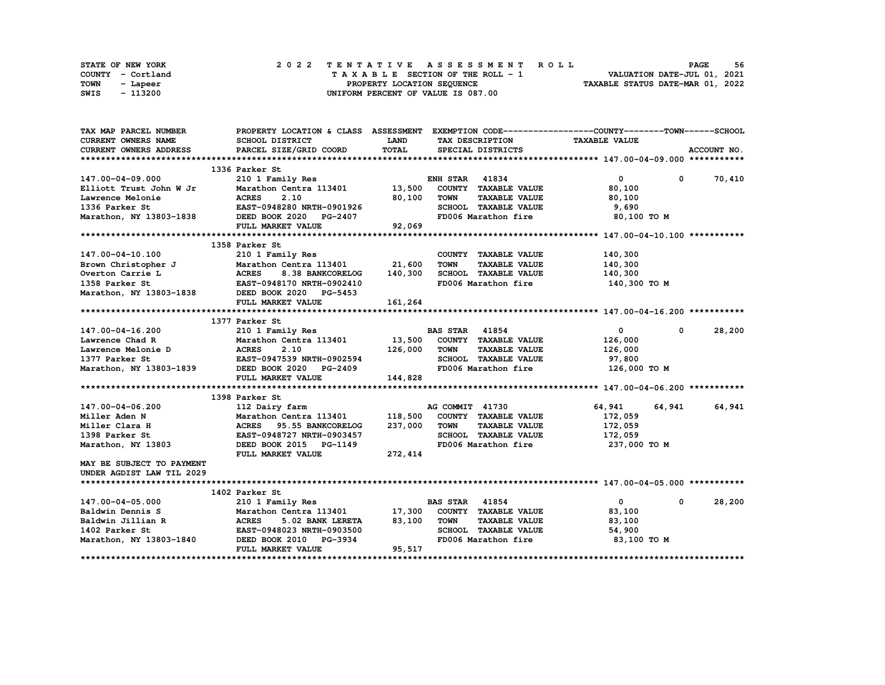|      | <b>STATE OF NEW YORK</b> | 2022 TENTATIVE ASSESSMENT ROLL          | 56<br><b>PAGE</b>                |
|------|--------------------------|-----------------------------------------|----------------------------------|
|      | COUNTY - Cortland        | $T A X A B L E$ SECTION OF THE ROLL - 1 | VALUATION DATE-JUL 01, 2021      |
| TOWN | - Lapeer                 | PROPERTY LOCATION SEQUENCE              | TAXABLE STATUS DATE-MAR 01, 2022 |
| SWIS | - 113200                 | UNIFORM PERCENT OF VALUE IS 087.00      |                                  |

| TAX MAP PARCEL NUMBER                                                                                                                                                                                                       | PROPERTY LOCATION & CLASS ASSESSMENT EXEMPTION CODE----------------COUNTY-------TOWN-----SCHOOL                   |          |                       |                              |                              |            |               |
|-----------------------------------------------------------------------------------------------------------------------------------------------------------------------------------------------------------------------------|-------------------------------------------------------------------------------------------------------------------|----------|-----------------------|------------------------------|------------------------------|------------|---------------|
| CURRENT OWNERS NAME                                                                                                                                                                                                         | SCHOOL DISTRICT                                                                                                   | LAND     |                       | TAX DESCRIPTION              | <b>TAXABLE VALUE</b>         |            |               |
| <b>CURRENT OWNERS ADDRESS</b>                                                                                                                                                                                               | PARCEL SIZE/GRID COORD                                                                                            | TOTAL    |                       | SPECIAL DISTRICTS            |                              |            | ACCOUNT NO.   |
|                                                                                                                                                                                                                             |                                                                                                                   |          |                       |                              |                              |            |               |
|                                                                                                                                                                                                                             | 1336 Parker St                                                                                                    |          |                       |                              |                              |            |               |
| 147.00-04-09.000                                                                                                                                                                                                            | 210 1 Family Res                                                                                                  |          | <b>ENH STAR 41834</b> |                              | $\mathbf{0}$                 |            | $0 \t 70,410$ |
| Elliott Trust John W Jr                                                                                                                                                                                                     | Marathon Centra 113401 13,500 COUNTY TAXABLE VALUE                                                                |          |                       |                              | 80,100                       |            |               |
| Lawrence Melonie                                                                                                                                                                                                            |                                                                                                                   |          | <b>TOWN</b>           | <b>TAXABLE VALUE</b>         | 80,100                       |            |               |
| 1336 Parker St                                                                                                                                                                                                              | e ACRES 2.10 80,100<br>EAST-0948280 NRTH-0901926                                                                  |          |                       | SCHOOL TAXABLE VALUE         | 9,690                        |            |               |
| Marathon, NY 13803-1838 DEED BOOK 2020 PG-2407                                                                                                                                                                              |                                                                                                                   |          |                       | FD006 Marathon fire          | 80,100 TO M                  |            |               |
|                                                                                                                                                                                                                             | FULL MARKET VALUE                                                                                                 | 92,069   |                       |                              |                              |            |               |
|                                                                                                                                                                                                                             |                                                                                                                   |          |                       |                              |                              |            |               |
|                                                                                                                                                                                                                             | 1358 Parker St                                                                                                    |          |                       |                              |                              |            |               |
| 147.00-04-10.100                                                                                                                                                                                                            | 210 1 Family Res                                                                                                  |          |                       | COUNTY TAXABLE VALUE         | 140,300                      |            |               |
|                                                                                                                                                                                                                             |                                                                                                                   |          | <b>TOWN</b>           | <b>TAXABLE VALUE</b>         | 140,300                      |            |               |
|                                                                                                                                                                                                                             |                                                                                                                   |          |                       |                              | SCHOOL TAXABLE VALUE 140,300 |            |               |
|                                                                                                                                                                                                                             |                                                                                                                   |          |                       | FD006 Marathon fire          | 140,300 TO M                 |            |               |
| 147.00-04-10.100<br>Brown Christopher J<br>Marathon Centra 113401<br>Overton Carrie L<br>Marathon S.38 BANKCORELOG 140,300<br>1358 Parker St<br>Marathon, NY 13803-1838<br>DEED BOOK 2020 PG-5453                           |                                                                                                                   |          |                       |                              |                              |            |               |
|                                                                                                                                                                                                                             | FULL MARKET VALUE                                                                                                 | 161,264  |                       |                              |                              |            |               |
|                                                                                                                                                                                                                             |                                                                                                                   |          |                       |                              |                              |            |               |
|                                                                                                                                                                                                                             | 1377 Parker St                                                                                                    |          |                       |                              |                              |            |               |
|                                                                                                                                                                                                                             |                                                                                                                   |          |                       |                              | $\mathbf{0}$                 | $^{\circ}$ | 28,200        |
| 147.00-04-16.200 210 1 Family Res E<br>Lawrence Chad R Marathon Centra 113401 13,500<br>Lawrence Melonie D ACRES 2.10 126,000<br>1377 Parker St EAST-0947539 NRTH-0902594<br>Marathon, NY 13803-1839 DEED BOOK 2020 PG-2409 | Parker St<br>210 1 Family Res<br>Marathon Centra 113401 13,500 COUNTY TAXABLE VALUE<br>226,000 TOWN TAXABLE VALUE |          |                       |                              | 126,000                      |            |               |
|                                                                                                                                                                                                                             |                                                                                                                   |          |                       |                              | 126,000                      |            |               |
|                                                                                                                                                                                                                             |                                                                                                                   |          |                       | SCHOOL TAXABLE VALUE         | 97,800                       |            |               |
|                                                                                                                                                                                                                             |                                                                                                                   |          |                       | FD006 Marathon fire          | 126,000 TO M                 |            |               |
|                                                                                                                                                                                                                             | FULL MARKET VALUE                                                                                                 | 144,828  |                       |                              |                              |            |               |
|                                                                                                                                                                                                                             |                                                                                                                   |          |                       |                              |                              |            |               |
|                                                                                                                                                                                                                             | 1398 Parker St                                                                                                    |          |                       |                              |                              |            |               |
| 147.00-04-06.200                                                                                                                                                                                                            | 112 Dairy farm                                                                                                    |          | AG COMMIT 41730       |                              | 64,941                       | 64,941     | 64,941        |
| Miller Aden N                                                                                                                                                                                                               | Marathon Centra 113401                                                                                            |          |                       | 118,500 COUNTY TAXABLE VALUE | 172,059                      |            |               |
| Miller Clara H                                                                                                                                                                                                              | Marathon Centra 113401<br>ACRES    95.55 BANKCORELOG                                                              | 237,000  | <b>TOWN</b>           | <b>TAXABLE VALUE</b>         | 172,059                      |            |               |
| 1398 Parker St                                                                                                                                                                                                              | EAST-0948727 NRTH-0903457                                                                                         |          |                       | SCHOOL TAXABLE VALUE         | 172,059                      |            |               |
| Marathon, NY 13803                                                                                                                                                                                                          | DEED BOOK 2015 PG-1149                                                                                            |          |                       | FD006 Marathon fire          | 237,000 TO M                 |            |               |
|                                                                                                                                                                                                                             | FULL MARKET VALUE                                                                                                 | 272, 414 |                       |                              |                              |            |               |
| MAY BE SUBJECT TO PAYMENT                                                                                                                                                                                                   |                                                                                                                   |          |                       |                              |                              |            |               |
| UNDER AGDIST LAW TIL 2029                                                                                                                                                                                                   |                                                                                                                   |          |                       |                              |                              |            |               |
|                                                                                                                                                                                                                             |                                                                                                                   |          |                       |                              |                              |            |               |
|                                                                                                                                                                                                                             | 1402 Parker St                                                                                                    |          |                       |                              |                              |            |               |
| 147.00-04-05.000                                                                                                                                                                                                            | 210 1 Family Res                                                                                                  |          | <b>BAS STAR</b> 41854 |                              | $\mathbf{0}$                 | $^{\circ}$ | 28,200        |
| Baldwin Dennis S                                                                                                                                                                                                            | Marathon Centra 113401 17,300 COUNTY TAXABLE VALUE                                                                |          |                       |                              | 83,100                       |            |               |
|                                                                                                                                                                                                                             | 5.02 BANK LERETA                                                                                                  | 83,100   | TOWN                  | <b>TAXABLE VALUE</b>         | 83,100                       |            |               |
| Baldwin Jillian R<br>$\begin{tabular}{ll} \bf Baldwin & Jillian R & \tt AGRES \\ \bf 1402 \tt Parker St & \tt EAST-0948 \\ \end{tabular}$                                                                                   | EAST-0948023 NRTH-0903500                                                                                         |          |                       | SCHOOL TAXABLE VALUE         | 54,900                       |            |               |
| Marathon, NY 13803-1840                                                                                                                                                                                                     | DEED BOOK 2010 PG-3934                                                                                            |          |                       | FD006 Marathon fire          | 83,100 TO M                  |            |               |
|                                                                                                                                                                                                                             | FULL MARKET VALUE                                                                                                 | 95,517   |                       |                              |                              |            |               |
|                                                                                                                                                                                                                             |                                                                                                                   |          |                       |                              |                              |            |               |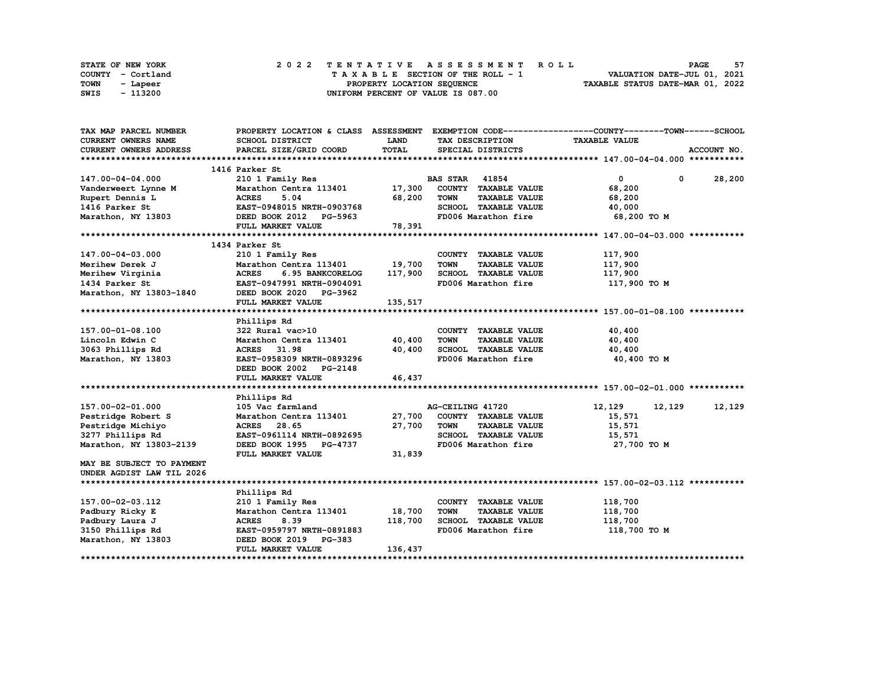|      | <b>STATE OF NEW YORK</b> | 2022 TENTATIVE ASSESSMENT ROLL          | 57<br><b>PAGE</b>                |
|------|--------------------------|-----------------------------------------|----------------------------------|
|      | COUNTY - Cortland        | $T A X A B L E$ SECTION OF THE ROLL - 1 | VALUATION DATE-JUL 01, 2021      |
| TOWN | - Lapeer                 | PROPERTY LOCATION SEQUENCE              | TAXABLE STATUS DATE-MAR 01, 2022 |
| SWIS | - 113200                 | UNIFORM PERCENT OF VALUE IS 087.00      |                                  |

| TAX MAP PARCEL NUMBER                     |                                                         |             |                                     | PROPERTY LOCATION & CLASS ASSESSMENT EXEMPTION CODE-----------------COUNTY-------TOWN------SCHOOL |  |
|-------------------------------------------|---------------------------------------------------------|-------------|-------------------------------------|---------------------------------------------------------------------------------------------------|--|
| CURRENT OWNERS NAME                       | SCHOOL DISTRICT                                         | <b>LAND</b> | TAX DESCRIPTION                     | <b>TAXABLE VALUE</b>                                                                              |  |
| <b>CURRENT OWNERS ADDRESS</b>             | PARCEL SIZE/GRID COORD                                  | TOTAL       | SPECIAL DISTRICTS                   | ACCOUNT NO.                                                                                       |  |
|                                           |                                                         |             |                                     |                                                                                                   |  |
|                                           | 1416 Parker St                                          |             |                                     |                                                                                                   |  |
| 147.00-04-04.000                          | 210 1 Family Res                                        |             | <b>BAS STAR 41854</b>               | $\mathbf{0}$<br>$0 \t 28,200$                                                                     |  |
| Vanderweert Lynne M                       | Marathon Centra 113401 17,300                           |             | COUNTY TAXABLE VALUE                | 68,200                                                                                            |  |
| Rupert Dennis L                           |                                                         | 68,200      | <b>TOWN</b><br><b>TAXABLE VALUE</b> | 68,200                                                                                            |  |
| 1416 Parker St                            | <b>ACRES        5.04<br/>EAST-0948015  NRTH-0903768</b> |             | SCHOOL TAXABLE VALUE                | 40,000                                                                                            |  |
| Marathon, NY 13803 DEED BOOK 2012 PG-5963 |                                                         |             | FD006 Marathon fire                 | 68,200 TO M                                                                                       |  |
|                                           | FULL MARKET VALUE                                       | 78,391      |                                     |                                                                                                   |  |
|                                           |                                                         |             |                                     |                                                                                                   |  |
|                                           | 1434 Parker St                                          |             |                                     |                                                                                                   |  |
| 147.00-04-03.000                          | 210 1 Family Res                                        |             | COUNTY TAXABLE VALUE                | 117,900                                                                                           |  |
| Merihew Derek J                           | Marathon Centra 113401                                  | 19,700      | <b>TOWN</b><br><b>TAXABLE VALUE</b> | 117,900                                                                                           |  |
| Merihew Virginia                          | <b>ACRES</b><br>6.95 BANKCORELOG                        | 117,900     | SCHOOL TAXABLE VALUE                | 117,900                                                                                           |  |
| 1434 Parker St                            | EAST-0947991 NRTH-0904091                               |             | FD006 Marathon fire                 | 117,900 то м                                                                                      |  |
| Marathon, NY 13803-1840                   | DEED BOOK 2020 PG-3962                                  |             |                                     |                                                                                                   |  |
|                                           | FULL MARKET VALUE                                       | 135,517     |                                     |                                                                                                   |  |
|                                           |                                                         |             |                                     |                                                                                                   |  |
|                                           | Phillips Rd                                             |             |                                     |                                                                                                   |  |
| 157.00-01-08.100                          | 322 Rural vac>10                                        |             | COUNTY TAXABLE VALUE                | 40,400                                                                                            |  |
| Lincoln Edwin C                           | Marathon Centra 113401 40,400                           |             | <b>TAXABLE VALUE</b><br><b>TOWN</b> | 40,400                                                                                            |  |
| 3063 Phillips Rd                          | <b>ACRES</b><br>31.98                                   | 40,400      | SCHOOL TAXABLE VALUE                | 40,400                                                                                            |  |
| Marathon, NY 13803                        | EAST-0958309 NRTH-0893296                               |             | FD006 Marathon fire                 | 40,400 TO M                                                                                       |  |
|                                           | DEED BOOK 2002 PG-2148                                  |             |                                     |                                                                                                   |  |
|                                           | FULL MARKET VALUE                                       | 46,437      |                                     |                                                                                                   |  |
|                                           |                                                         |             |                                     |                                                                                                   |  |
|                                           | Phillips Rd                                             |             |                                     |                                                                                                   |  |
| 157.00-02-01.000                          | 105 Vac farmland                                        |             | AG-CEILING 41720                    | 12,129<br>12,129<br>12,129                                                                        |  |
| Pestridge Robert S                        | Marathon Centra 113401 27,700                           |             | COUNTY TAXABLE VALUE                | 15,571                                                                                            |  |
| Pestridge Michiyo                         | ACRES 28.65                                             | 27,700      | TOWN<br><b>TAXABLE VALUE</b>        | 15,571                                                                                            |  |
| 3277 Phillips Rd                          | EAST-0961114 NRTH-0892695                               |             | SCHOOL TAXABLE VALUE                | 15,571                                                                                            |  |
| Marathon, NY 13803-2139                   | DEED BOOK 1995 PG-4737                                  |             | FD006 Marathon fire                 | 27,700 TO M                                                                                       |  |
|                                           | FULL MARKET VALUE                                       | 31,839      |                                     |                                                                                                   |  |
| MAY BE SUBJECT TO PAYMENT                 |                                                         |             |                                     |                                                                                                   |  |
| UNDER AGDIST LAW TIL 2026                 |                                                         |             |                                     |                                                                                                   |  |
|                                           |                                                         |             |                                     |                                                                                                   |  |
|                                           | Phillips Rd                                             |             |                                     |                                                                                                   |  |
| 157.00-02-03.112                          | 210 1 Family Res                                        |             | COUNTY TAXABLE VALUE                | 118,700                                                                                           |  |
| Padbury Ricky E                           | Marathon Centra 113401 18,700                           |             | <b>TOWN</b><br><b>TAXABLE VALUE</b> | 118,700                                                                                           |  |
| Padbury Laura J                           | <b>ACRES</b><br>8.39                                    | 118,700     | SCHOOL TAXABLE VALUE                | 118,700                                                                                           |  |
| 3150 Phillips Rd                          | EAST-0959797 NRTH-0891883                               |             | FD006 Marathon fire                 | 118,700 TO M                                                                                      |  |
| Marathon, NY 13803                        | DEED BOOK 2019 PG-383                                   |             |                                     |                                                                                                   |  |
|                                           | FULL MARKET VALUE                                       | 136,437     |                                     |                                                                                                   |  |
|                                           |                                                         |             |                                     |                                                                                                   |  |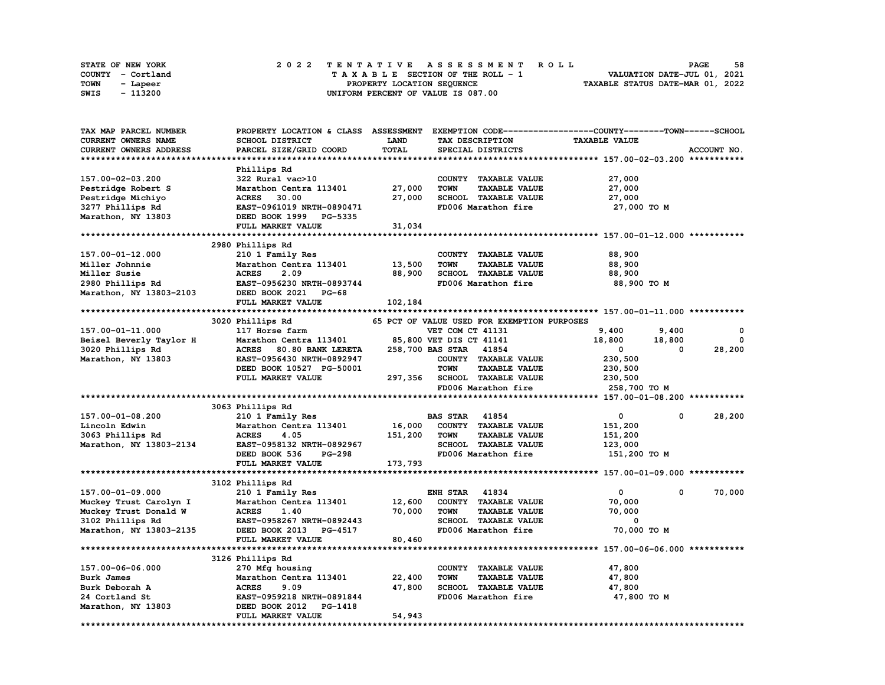|      | STATE OF NEW YORK |  |  |  |  |  | 2022 TENTATIVE ASSESSMENT ROLL     |  |  |  |  |  |  |                                  | <b>PAGE</b>                 | 58 |
|------|-------------------|--|--|--|--|--|------------------------------------|--|--|--|--|--|--|----------------------------------|-----------------------------|----|
|      | COUNTY - Cortland |  |  |  |  |  | TAXABLE SECTION OF THE ROLL - 1    |  |  |  |  |  |  |                                  | VALUATION DATE-JUL 01, 2021 |    |
| TOWN | - Lapeer          |  |  |  |  |  | PROPERTY LOCATION SEOUENCE         |  |  |  |  |  |  | TAXABLE STATUS DATE-MAR 01, 2022 |                             |    |
| SWIS | - 113200          |  |  |  |  |  | UNIFORM PERCENT OF VALUE IS 087.00 |  |  |  |  |  |  |                                  |                             |    |

| <b>TAX MAP PARCEL NUMBER</b>  | PROPERTY LOCATION & CLASS ASSESSMENT |             |                                             | EXEMPTION CODE-----------------COUNTY-------TOWN-----SCHOOL  |             |
|-------------------------------|--------------------------------------|-------------|---------------------------------------------|--------------------------------------------------------------|-------------|
| CURRENT OWNERS NAME           | <b>SCHOOL DISTRICT</b>               | <b>LAND</b> | TAX DESCRIPTION                             | <b>TAXABLE VALUE</b>                                         |             |
| <b>CURRENT OWNERS ADDRESS</b> | PARCEL SIZE/GRID COORD               | TOTAL       | SPECIAL DISTRICTS                           |                                                              | ACCOUNT NO. |
|                               |                                      |             |                                             |                                                              |             |
|                               | Phillips Rd                          |             |                                             |                                                              |             |
| 157.00-02-03.200              | 322 Rural vac>10                     |             | COUNTY TAXABLE VALUE                        | 27,000                                                       |             |
| Pestridge Robert S            | Marathon Centra 113401               | 27,000      | <b>TAXABLE VALUE</b><br><b>TOWN</b>         | 27,000                                                       |             |
| Pestridge Michiyo             | <b>ACRES</b><br>30.00                | 27,000      | SCHOOL TAXABLE VALUE                        | 27,000                                                       |             |
| 3277 Phillips Rd              | EAST-0961019 NRTH-0890471            |             | FD006 Marathon fire                         | 27,000 TO M                                                  |             |
| Marathon, NY 13803            | DEED BOOK 1999 PG-5335               |             |                                             |                                                              |             |
|                               | FULL MARKET VALUE                    | 31,034      |                                             |                                                              |             |
|                               |                                      |             |                                             |                                                              |             |
|                               |                                      |             |                                             |                                                              |             |
|                               | 2980 Phillips Rd                     |             |                                             |                                                              |             |
| 157.00-01-12.000              | 210 1 Family Res                     |             | COUNTY TAXABLE VALUE                        | 88,900                                                       |             |
| Miller Johnnie                | Marathon Centra 113401               | 13,500      | <b>TOWN</b><br><b>TAXABLE VALUE</b>         | 88,900                                                       |             |
| Miller Susie                  | <b>ACRES</b><br>2.09                 | 88,900      | SCHOOL TAXABLE VALUE                        | 88,900                                                       |             |
| 2980 Phillips Rd              | EAST-0956230 NRTH-0893744            |             | FD006 Marathon fire                         | 88,900 TO M                                                  |             |
| Marathon, NY 13803-2103       | DEED BOOK 2021 PG-68                 |             |                                             |                                                              |             |
|                               | FULL MARKET VALUE                    | 102,184     |                                             |                                                              |             |
|                               |                                      |             |                                             |                                                              |             |
|                               | 3020 Phillips Rd                     |             | 65 PCT OF VALUE USED FOR EXEMPTION PURPOSES |                                                              |             |
| 157.00-01-11.000              | 117 Horse farm                       |             | VET COM CT 41131                            | 9,400<br>9,400                                               | $^{\circ}$  |
| Beisel Beverly Taylor H       | Marathon Centra 113401               |             | 85,800 VET DIS CT 41141                     | 18,800<br>18,800                                             | 0           |
| 3020 Phillips Rd              | <b>ACRES</b><br>80.80 BANK LERETA    |             | 258,700 BAS STAR 41854                      | $\mathbf{0}$<br>0                                            | 28,200      |
| Marathon, NY 13803            | EAST-0956430 NRTH-0892947            |             | COUNTY TAXABLE VALUE                        | 230,500                                                      |             |
|                               | DEED BOOK 10527 PG-50001             |             | <b>TOWN</b><br><b>TAXABLE VALUE</b>         | 230,500                                                      |             |
|                               | FULL MARKET VALUE                    |             | 297,356 SCHOOL TAXABLE VALUE                | 230,500                                                      |             |
|                               |                                      |             | FD006 Marathon fire                         | 258,700 TO M                                                 |             |
|                               |                                      |             |                                             |                                                              |             |
|                               | 3063 Phillips Rd                     |             |                                             |                                                              |             |
| 157.00-01-08.200              | 210 1 Family Res                     |             | <b>BAS STAR 41854</b>                       | 0<br>0                                                       | 28,200      |
| Lincoln Edwin                 | Marathon Centra 113401               | 16,000      | COUNTY TAXABLE VALUE                        | 151,200                                                      |             |
| 3063 Phillips Rd              | <b>ACRES</b><br>4.05                 | 151,200     | <b>TAXABLE VALUE</b><br>TOWN                | 151,200                                                      |             |
| Marathon, NY 13803-2134       | EAST-0958132 NRTH-0892967            |             | SCHOOL TAXABLE VALUE                        | 123,000                                                      |             |
|                               | <b>PG-298</b><br>DEED BOOK 536       |             | FD006 Marathon fire                         | 151,200 TO M                                                 |             |
|                               | FULL MARKET VALUE                    | 173,793     |                                             |                                                              |             |
|                               |                                      |             |                                             |                                                              |             |
|                               | 3102 Phillips Rd                     |             |                                             |                                                              |             |
| 157.00-01-09.000              | 210 1 Family Res                     |             | <b>ENH STAR 41834</b>                       | $\mathbf{0}$<br>0                                            | 70,000      |
| Muckey Trust Carolyn I        | Marathon Centra 113401               | 12,600      | COUNTY TAXABLE VALUE                        | 70,000                                                       |             |
| Muckey Trust Donald W         | <b>ACRES</b><br>1.40                 | 70,000      | <b>TAXABLE VALUE</b><br>TOWN                | 70,000                                                       |             |
|                               |                                      |             |                                             | 0                                                            |             |
| 3102 Phillips Rd              | EAST-0958267 NRTH-0892443            |             | SCHOOL TAXABLE VALUE                        |                                                              |             |
| Marathon, NY 13803-2135       | DEED BOOK 2013 PG-4517               |             | FD006 Marathon fire                         | 70,000 TO M                                                  |             |
|                               | FULL MARKET VALUE                    | 80,460      |                                             |                                                              |             |
|                               |                                      |             |                                             | ******************************* 157.00-06-06.000 *********** |             |
|                               | 3126 Phillips Rd                     |             |                                             |                                                              |             |
| 157.00-06-06.000              | 270 Mfg housing                      |             | COUNTY TAXABLE VALUE                        | 47,800                                                       |             |
| Burk James                    | Marathon Centra 113401               | 22,400      | <b>TOWN</b><br><b>TAXABLE VALUE</b>         | 47,800                                                       |             |
| Burk Deborah A                | <b>ACRES</b><br>9.09                 | 47,800      | SCHOOL TAXABLE VALUE                        | 47,800                                                       |             |
| 24 Cortland St                | EAST-0959218 NRTH-0891844            |             | FD006 Marathon fire                         | 47,800 TO M                                                  |             |
| Marathon, NY 13803            | DEED BOOK 2012 PG-1418               |             |                                             |                                                              |             |
|                               | FULL MARKET VALUE                    | 54,943      |                                             |                                                              |             |
|                               |                                      |             |                                             |                                                              |             |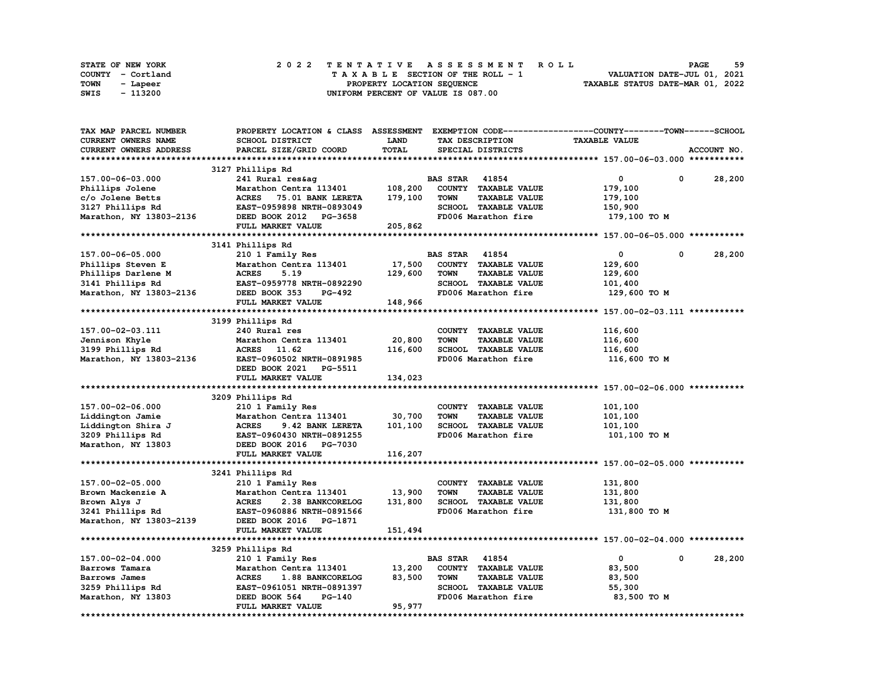|      | STATE OF NEW YORK |  |  |  |  |  | 2022 TENTATIVE ASSESSMENT ROLL     |  |  |  |  |  |  |                                  |  | <b>PAGE</b> | 59 |
|------|-------------------|--|--|--|--|--|------------------------------------|--|--|--|--|--|--|----------------------------------|--|-------------|----|
|      | COUNTY - Cortland |  |  |  |  |  | TAXABLE SECTION OF THE ROLL - 1    |  |  |  |  |  |  | VALUATION DATE-JUL 01, 2021      |  |             |    |
| TOWN | - Lapeer          |  |  |  |  |  | PROPERTY LOCATION SEQUENCE         |  |  |  |  |  |  | TAXABLE STATUS DATE-MAR 01, 2022 |  |             |    |
| SWIS | - 113200          |  |  |  |  |  | UNIFORM PERCENT OF VALUE IS 087.00 |  |  |  |  |  |  |                                  |  |             |    |

| TAX MAP PARCEL NUMBER      | PROPERTY LOCATION & CLASS ASSESSMENT EXEMPTION CODE----------------COUNTY-------TOWN-----SCHOOL |              |                       |                      |                      |                        |
|----------------------------|-------------------------------------------------------------------------------------------------|--------------|-----------------------|----------------------|----------------------|------------------------|
| <b>CURRENT OWNERS NAME</b> | <b>SCHOOL DISTRICT</b>                                                                          | <b>LAND</b>  |                       | TAX DESCRIPTION      | <b>TAXABLE VALUE</b> |                        |
| CURRENT OWNERS ADDRESS     | PARCEL SIZE/GRID COORD                                                                          | <b>TOTAL</b> |                       | SPECIAL DISTRICTS    |                      | ACCOUNT NO.            |
|                            |                                                                                                 |              |                       |                      |                      |                        |
|                            | 3127 Phillips Rd                                                                                |              |                       |                      |                      |                        |
| 157.00-06-03.000           | 241 Rural res&ag                                                                                |              | <b>BAS STAR 41854</b> |                      | 0                    | $\mathbf{0}$<br>28,200 |
| Phillips Jolene            | Marathon Centra 113401                                                                          | 108,200      |                       | COUNTY TAXABLE VALUE | 179,100              |                        |
| c/o Jolene Betts           | <b>ACRES</b><br>75.01 BANK LERETA                                                               | 179,100      | <b>TOWN</b>           | <b>TAXABLE VALUE</b> | 179,100              |                        |
| 3127 Phillips Rd           | EAST-0959898 NRTH-0893049                                                                       |              |                       | SCHOOL TAXABLE VALUE | 150,900              |                        |
| Marathon, NY 13803-2136    | DEED BOOK 2012 PG-3658                                                                          |              |                       | FD006 Marathon fire  | 179,100 то м         |                        |
|                            | FULL MARKET VALUE                                                                               | 205,862      |                       |                      |                      |                        |
|                            |                                                                                                 |              |                       |                      |                      |                        |
|                            | 3141 Phillips Rd                                                                                |              |                       |                      |                      |                        |
|                            |                                                                                                 |              | <b>BAS STAR 41854</b> |                      | 0                    | 0                      |
| 157.00-06-05.000           | 210 1 Family Res                                                                                |              |                       |                      |                      | 28,200                 |
| Phillips Steven E          | Marathon Centra 113401                                                                          | 17,500       |                       | COUNTY TAXABLE VALUE | 129,600              |                        |
| Phillips Darlene M         | <b>ACRES</b><br>5.19                                                                            | 129,600      | <b>TOWN</b>           | <b>TAXABLE VALUE</b> | 129,600              |                        |
| 3141 Phillips Rd           | EAST-0959778 NRTH-0892290                                                                       |              |                       | SCHOOL TAXABLE VALUE | 101,400              |                        |
| Marathon, NY 13803-2136    | DEED BOOK 353<br>PG-492                                                                         |              |                       | FD006 Marathon fire  | 129,600 TO M         |                        |
|                            | FULL MARKET VALUE                                                                               | 148,966      |                       |                      |                      |                        |
|                            |                                                                                                 |              |                       |                      |                      |                        |
|                            | 3199 Phillips Rd                                                                                |              |                       |                      |                      |                        |
| 157.00-02-03.111           | 240 Rural res                                                                                   |              |                       | COUNTY TAXABLE VALUE | 116,600              |                        |
| Jennison Khyle             | Marathon Centra 113401                                                                          | 20,800       | <b>TOWN</b>           | <b>TAXABLE VALUE</b> | 116,600              |                        |
| 3199 Phillips Rd           | ACRES 11.62                                                                                     | 116,600      |                       | SCHOOL TAXABLE VALUE | 116,600              |                        |
| Marathon, NY 13803-2136    | EAST-0960502 NRTH-0891985                                                                       |              |                       | FD006 Marathon fire  | 116,600 то м         |                        |
|                            | DEED BOOK 2021 PG-5511                                                                          |              |                       |                      |                      |                        |
|                            | FULL MARKET VALUE                                                                               | 134,023      |                       |                      |                      |                        |
|                            |                                                                                                 |              |                       |                      |                      |                        |
|                            | 3209 Phillips Rd                                                                                |              |                       |                      |                      |                        |
| 157.00-02-06.000           | 210 1 Family Res                                                                                |              |                       | COUNTY TAXABLE VALUE | 101,100              |                        |
| Liddington Jamie           | Marathon Centra 113401                                                                          | 30,700       | <b>TOWN</b>           | <b>TAXABLE VALUE</b> | 101,100              |                        |
| Liddington Shira J         | <b>ACRES</b><br>9.42 BANK LERETA                                                                | 101,100      |                       | SCHOOL TAXABLE VALUE | 101,100              |                        |
| 3209 Phillips Rd           | EAST-0960430 NRTH-0891255                                                                       |              |                       | FD006 Marathon fire  | 101,100 TO M         |                        |
| Marathon, NY 13803         | DEED BOOK 2016 PG-7030                                                                          |              |                       |                      |                      |                        |
|                            | FULL MARKET VALUE                                                                               | 116,207      |                       |                      |                      |                        |
|                            |                                                                                                 |              |                       |                      |                      |                        |
|                            |                                                                                                 |              |                       |                      |                      |                        |
|                            | 3241 Phillips Rd                                                                                |              |                       |                      |                      |                        |
| 157.00-02-05.000           | 210 1 Family Res                                                                                |              |                       | COUNTY TAXABLE VALUE | 131,800              |                        |
| Brown Mackenzie A          | Marathon Centra 113401                                                                          | 13,900       | <b>TOWN</b>           | <b>TAXABLE VALUE</b> | 131,800              |                        |
| Brown Alys J               | <b>ACRES</b><br>2.38 BANKCORELOG                                                                | 131,800      |                       | SCHOOL TAXABLE VALUE | 131,800              |                        |
| 3241 Phillips Rd           | EAST-0960886 NRTH-0891566                                                                       |              |                       | FD006 Marathon fire  | 131,800 TO M         |                        |
| Marathon, NY 13803-2139    | DEED BOOK 2016 PG-1871                                                                          |              |                       |                      |                      |                        |
|                            | FULL MARKET VALUE                                                                               | 151,494      |                       |                      |                      |                        |
|                            |                                                                                                 |              |                       |                      |                      |                        |
|                            | 3259 Phillips Rd                                                                                |              |                       |                      |                      |                        |
| 157.00-02-04.000           | 210 1 Family Res                                                                                |              | <b>BAS STAR</b> 41854 |                      | 0                    | 0<br>28,200            |
| Barrows Tamara             | Marathon Centra 113401                                                                          | 13,200       |                       | COUNTY TAXABLE VALUE | 83,500               |                        |
| Barrows James              | <b>ACRES</b><br>1.88 BANKCORELOG                                                                | 83,500       | <b>TOWN</b>           | <b>TAXABLE VALUE</b> | 83,500               |                        |
| 3259 Phillips Rd           | EAST-0961051 NRTH-0891397                                                                       |              |                       | SCHOOL TAXABLE VALUE | 55,300               |                        |
| Marathon, NY 13803         | DEED BOOK 564<br>PG-140                                                                         |              |                       | FD006 Marathon fire  | 83,500 TO M          |                        |
|                            | FULL MARKET VALUE                                                                               | 95,977       |                       |                      |                      |                        |
|                            |                                                                                                 |              |                       |                      |                      |                        |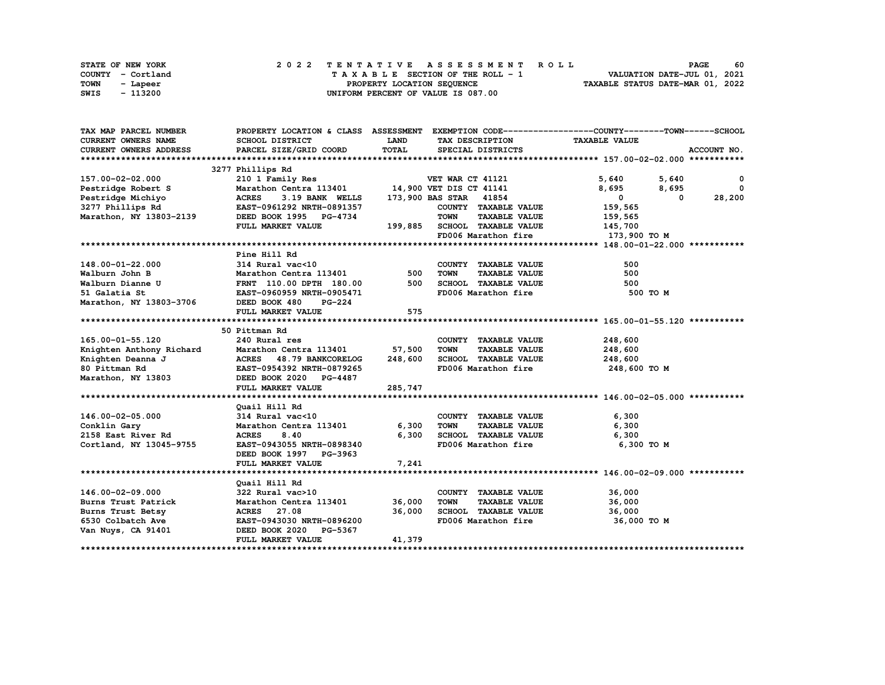| STATE OF NEW YORK | 2022 TENTATIVE ASSESSMENT ROLL     | 60<br><b>PAGE</b>                |
|-------------------|------------------------------------|----------------------------------|
| COUNTY - Cortland | TAXABLE SECTION OF THE ROLL - 1    | VALUATION DATE-JUL 01, 2021      |
| TOWN<br>- Lapeer  | PROPERTY LOCATION SEOUENCE         | TAXABLE STATUS DATE-MAR 01, 2022 |
| - 113200<br>SWIS  | UNIFORM PERCENT OF VALUE IS 087.00 |                                  |

| TAX MAP PARCEL NUMBER         |                                                                                                                                           |             |                                             | PROPERTY LOCATION & CLASS ASSESSMENT EXEMPTION CODE----------------COUNTY-------TOWN------SCHOOL |
|-------------------------------|-------------------------------------------------------------------------------------------------------------------------------------------|-------------|---------------------------------------------|--------------------------------------------------------------------------------------------------|
| <b>CURRENT OWNERS NAME</b>    | SCHOOL DISTRICT                                                                                                                           | <b>LAND</b> | TAX DESCRIPTION                             | <b>TAXABLE VALUE</b>                                                                             |
| <b>CURRENT OWNERS ADDRESS</b> | PARCEL SIZE/GRID COORD                                                                                                                    | TOTAL       | SPECIAL DISTRICTS                           | ACCOUNT NO.                                                                                      |
|                               |                                                                                                                                           |             |                                             |                                                                                                  |
|                               | 3277 Phillips Rd                                                                                                                          |             |                                             |                                                                                                  |
| 157.00-02-02.000              |                                                                                                                                           |             |                                             | 5,640 5,640<br>$\mathbf{o}$                                                                      |
| Pestridge Robert S            |                                                                                                                                           |             |                                             | 8,695<br>8,695<br>0                                                                              |
|                               |                                                                                                                                           |             | 173,900 BAS STAR 41854                      | 28,200<br>$\mathbf{0}$<br>$^{\circ}$                                                             |
|                               |                                                                                                                                           |             | COUNTY TAXABLE VALUE                        | 159,565                                                                                          |
|                               |                                                                                                                                           |             | TOWN<br><b>TAXABLE VALUE</b>                | 159,565                                                                                          |
|                               | FULL MARKET VALUE                                                                                                                         |             | 199,885 SCHOOL TAXABLE VALUE 145,700        |                                                                                                  |
|                               |                                                                                                                                           |             |                                             | FD006 Marathon fire 173,900 TO M                                                                 |
|                               |                                                                                                                                           |             |                                             |                                                                                                  |
|                               | 2002<br>314 Rural vac<10<br>Marathon Centra 113401<br>FRNT 110.00 DPTH 180.00<br>EAST-0960959 NRTH-0905471<br>3-3706 DEED BOOK 480 PC-224 |             |                                             |                                                                                                  |
| 148.00-01-22.000              |                                                                                                                                           |             | COUNTY TAXABLE VALUE                        | 500                                                                                              |
| Walburn John B                |                                                                                                                                           |             | TOWN<br><b>TAXABLE VALUE</b>                | 500                                                                                              |
| Walburn Dianne U              |                                                                                                                                           |             | SCHOOL TAXABLE VALUE                        | 500                                                                                              |
| 51 Galatia St                 |                                                                                                                                           |             | FD006 Marathon fire                         | 500 TO M                                                                                         |
|                               |                                                                                                                                           |             |                                             |                                                                                                  |
| Marathon, NY 13803-3706       |                                                                                                                                           | 575         |                                             |                                                                                                  |
|                               | FULL MARKET VALUE                                                                                                                         |             |                                             |                                                                                                  |
|                               |                                                                                                                                           |             |                                             |                                                                                                  |
|                               | 50 Pittman Rd                                                                                                                             |             |                                             |                                                                                                  |
| 165.00-01-55.120              | 240 Rural res                                                                                                                             |             | COUNTY TAXABLE VALUE                        | 248,600                                                                                          |
|                               | Marathon Centra 113401 57,500                                                                                                             |             | <b>TOWN</b><br><b>TAXABLE VALUE</b>         | 248,600                                                                                          |
|                               |                                                                                                                                           | 248,600     | SCHOOL TAXABLE VALUE                        | 248,600                                                                                          |
|                               |                                                                                                                                           |             | FD006 Marathon fire                         | $248,600$ TO M                                                                                   |
|                               | Marathon, NY 13803 DEED BOOK 2020 PG-4487                                                                                                 |             |                                             |                                                                                                  |
|                               | FULL MARKET VALUE                                                                                                                         | 285,747     |                                             |                                                                                                  |
|                               |                                                                                                                                           |             |                                             |                                                                                                  |
|                               | Quail Hill Rd                                                                                                                             |             |                                             |                                                                                                  |
| 146.00-02-05.000              | 314 Rural vac<10                                                                                                                          |             | COUNTY TAXABLE VALUE                        | 6,300                                                                                            |
| Conklin Gary                  | Marathon Centra 113401                                                                                                                    | 6,300       | <b>TAXABLE VALUE</b><br>TOWN                | 6,300                                                                                            |
| 2158 East River Rd            | <b>ACRES</b><br>8.40                                                                                                                      | 6,300       | SCHOOL TAXABLE VALUE                        | 6,300                                                                                            |
| Cortland, NY 13045-9755       | EAST-0943055 NRTH-0898340                                                                                                                 |             | FD006 Marathon fire                         | 6,300 то м                                                                                       |
|                               | DEED BOOK 1997 PG-3963                                                                                                                    |             |                                             |                                                                                                  |
|                               | FULL MARKET VALUE                                                                                                                         | 7,241       |                                             |                                                                                                  |
|                               |                                                                                                                                           |             |                                             |                                                                                                  |
|                               | Quail Hill Rd                                                                                                                             |             |                                             |                                                                                                  |
| 146.00-02-09.000              | 322 Rural vac>10                                                                                                                          |             | COUNTY TAXABLE VALUE                        | 36,000                                                                                           |
| Burns Trust Patrick           | Marathon Centra 113401                                                                                                                    | 36,000      | <b>TOWN</b><br>TAXABLE VALUE                | 36,000                                                                                           |
| Burns Trust Betsy             | ACRES 27.08<br>EAST-0943030 NRTH-0896200                                                                                                  | 36,000      | SCHOOL TAXABLE VALUE<br>FD006 Marathon fire | 36,000                                                                                           |
| 6530 Colbatch Ave             |                                                                                                                                           |             |                                             | 36,000 TO M                                                                                      |
| Van Nuys, CA 91401            | DEED BOOK 2020 PG-5367                                                                                                                    |             |                                             |                                                                                                  |
|                               | <b>FULL MARKET VALUE</b>                                                                                                                  | 41,379      |                                             |                                                                                                  |
|                               |                                                                                                                                           |             |                                             |                                                                                                  |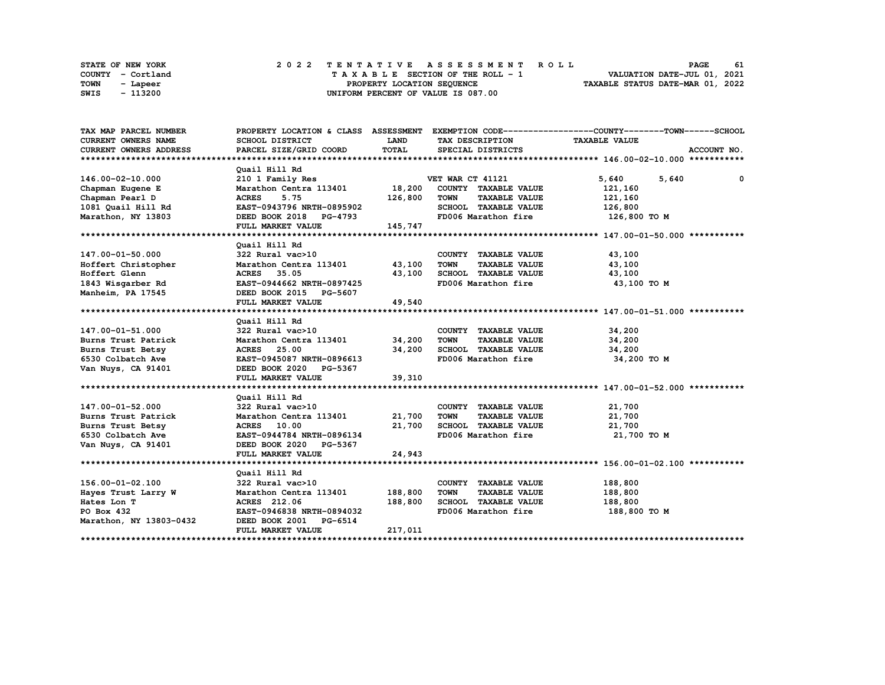| STATE OF NEW YORK | 2022 TENTATIVE ASSESSMENT ROLL     | 61<br><b>PAGE</b>                |
|-------------------|------------------------------------|----------------------------------|
| COUNTY - Cortland | TAXABLE SECTION OF THE ROLL - 1    | VALUATION DATE-JUL 01, 2021      |
| TOWN<br>- Lapeer  | PROPERTY LOCATION SEOUENCE         | TAXABLE STATUS DATE-MAR 01, 2022 |
| - 113200<br>SWIS  | UNIFORM PERCENT OF VALUE IS 087.00 |                                  |

| TAX MAP PARCEL NUMBER   |                                |             |                                     | PROPERTY LOCATION & CLASS ASSESSMENT EXEMPTION CODE----------------COUNTY-------TOWN-----SCHOOL |
|-------------------------|--------------------------------|-------------|-------------------------------------|-------------------------------------------------------------------------------------------------|
| CURRENT OWNERS NAME     | SCHOOL DISTRICT                | <b>LAND</b> | TAX DESCRIPTION                     | <b>TAXABLE VALUE</b>                                                                            |
| CURRENT OWNERS ADDRESS  | PARCEL SIZE/GRID COORD         | TOTAL       | SPECIAL DISTRICTS                   | ACCOUNT NO.                                                                                     |
|                         |                                |             |                                     |                                                                                                 |
|                         | Quail Hill Rd                  |             |                                     |                                                                                                 |
| 146.00-02-10.000        | 210 1 Family Res               |             | VET WAR CT 41121                    | 5,640<br>5,640<br>0                                                                             |
| Chapman Eugene E        | Marathon Centra 113401         | 18,200      | COUNTY TAXABLE VALUE                | 121,160                                                                                         |
| Chapman Pearl D         | <b>ACRES</b><br>5.75           | 126,800     | <b>TOWN</b><br><b>TAXABLE VALUE</b> | 121,160                                                                                         |
| 1081 Quail Hill Rd      | EAST-0943796 NRTH-0895902      |             | SCHOOL TAXABLE VALUE                | 126,800                                                                                         |
| Marathon, NY 13803      | DEED BOOK 2018 PG-4793         |             | FD006 Marathon fire                 | 126,800 TO M                                                                                    |
|                         | FULL MARKET VALUE              | 145,747     |                                     |                                                                                                 |
|                         |                                |             |                                     |                                                                                                 |
|                         | Quail Hill Rd                  |             |                                     |                                                                                                 |
| 147.00-01-50.000        | 322 Rural vac>10               |             | COUNTY TAXABLE VALUE                | 43,100                                                                                          |
| Hoffert Christopher     | Marathon Centra 113401 43,100  |             | <b>TAXABLE VALUE</b><br>TOWN        | 43,100                                                                                          |
| Hoffert Glenn           | 35.05<br><b>ACRES</b>          | 43,100      | SCHOOL TAXABLE VALUE                | 43,100                                                                                          |
| 1843 Wisgarber Rd       | EAST-0944662 NRTH-0897425      |             | FD006 Marathon fire                 | 43,100 TO M                                                                                     |
| Manheim, PA 17545       | DEED BOOK 2015 PG-5607         |             |                                     |                                                                                                 |
|                         | FULL MARKET VALUE              | 49,540      |                                     |                                                                                                 |
|                         |                                |             |                                     |                                                                                                 |
|                         | Quail Hill Rd                  |             |                                     |                                                                                                 |
| 147.00-01-51.000        | 322 Rural vac>10               |             | COUNTY TAXABLE VALUE                | 34,200                                                                                          |
| Burns Trust Patrick     | Marathon Centra 113401 34,200  |             | <b>TOWN</b><br><b>TAXABLE VALUE</b> | 34,200                                                                                          |
| Burns Trust Betsy       | ACRES 25.00                    | 34,200      | SCHOOL TAXABLE VALUE                | 34,200                                                                                          |
| 6530 Colbatch Ave       | EAST-0945087 NRTH-0896613      |             | FD006 Marathon fire                 | 34,200 TO M                                                                                     |
| Van Nuys, CA 91401      | DEED BOOK 2020 PG-5367         |             |                                     |                                                                                                 |
|                         | FULL MARKET VALUE              | 39,310      |                                     |                                                                                                 |
|                         |                                |             |                                     |                                                                                                 |
|                         | Quail Hill Rd                  |             |                                     |                                                                                                 |
| 147.00-01-52.000        | 322 Rural vac>10               |             | COUNTY TAXABLE VALUE                | 21,700                                                                                          |
| Burns Trust Patrick     | Marathon Centra 113401 21,700  |             | <b>TOWN</b><br><b>TAXABLE VALUE</b> | 21,700                                                                                          |
| Burns Trust Betsy       | <b>ACRES</b> 10.00             | 21,700      | SCHOOL TAXABLE VALUE                | 21,700                                                                                          |
| 6530 Colbatch Ave       | EAST-0944784 NRTH-0896134      |             | FD006 Marathon fire                 | 21,700 TO M                                                                                     |
| Van Nuys, CA 91401      | DEED BOOK 2020 PG-5367         |             |                                     |                                                                                                 |
|                         | FULL MARKET VALUE              | 24,943      |                                     |                                                                                                 |
|                         |                                |             |                                     |                                                                                                 |
|                         | Quail Hill Rd                  |             |                                     |                                                                                                 |
| 156.00-01-02.100        | 322 Rural vac>10               |             | COUNTY TAXABLE VALUE                | 188,800                                                                                         |
| Hayes Trust Larry W     | Marathon Centra 113401 188,800 |             | <b>TOWN</b><br><b>TAXABLE VALUE</b> | 188,800                                                                                         |
| Hates Lon T             | ACRES 212.06                   | 188,800     | SCHOOL TAXABLE VALUE                | 188,800                                                                                         |
| PO Box 432              | EAST-0946838 NRTH-0894032      |             | FD006 Marathon fire                 | 188,800 TO M                                                                                    |
| Marathon, NY 13803-0432 | DEED BOOK 2001 PG-6514         |             |                                     |                                                                                                 |
|                         | FULL MARKET VALUE              | 217,011     |                                     |                                                                                                 |
|                         |                                |             |                                     |                                                                                                 |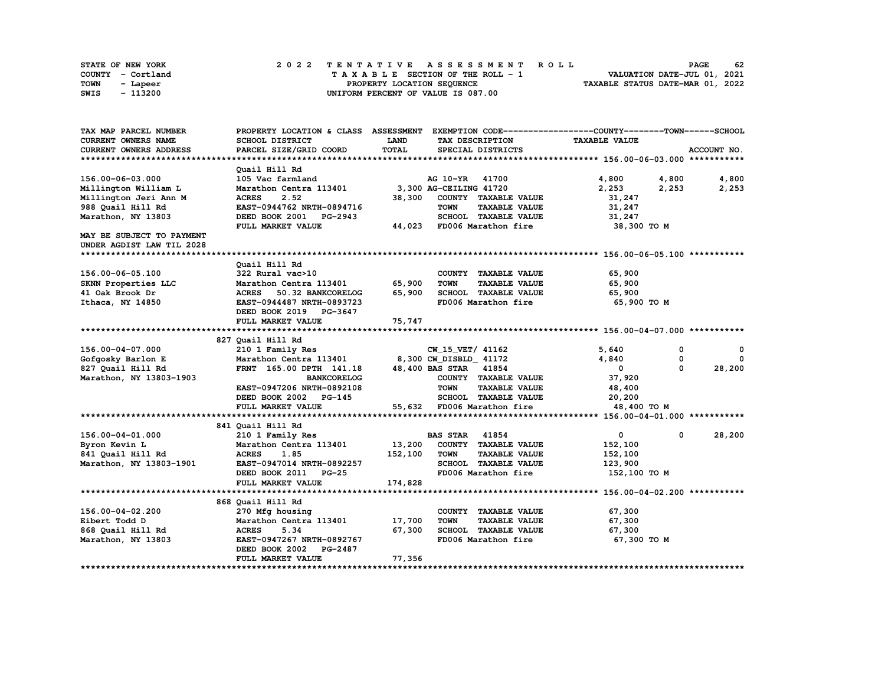| STATE OF NEW YORK | 2022 TENTATIVE ASSESSMENT ROLL     | 62<br><b>PAGE</b>                |
|-------------------|------------------------------------|----------------------------------|
| COUNTY - Cortland | TAXABLE SECTION OF THE ROLL - 1    | VALUATION DATE-JUL 01, 2021      |
| TOWN<br>- Lapeer  | PROPERTY LOCATION SEOUENCE         | TAXABLE STATUS DATE-MAR 01, 2022 |
| - 113200<br>SWIS  | UNIFORM PERCENT OF VALUE IS 087.00 |                                  |

| TAX MAP PARCEL NUMBER     | PROPERTY LOCATION & CLASS ASSESSMENT EXEMPTION CODE-----------------COUNTY-------TOWN------SCHOOL |             |                                     |                      |                      |
|---------------------------|---------------------------------------------------------------------------------------------------|-------------|-------------------------------------|----------------------|----------------------|
| CURRENT OWNERS NAME       | SCHOOL DISTRICT                                                                                   | <b>LAND</b> | TAX DESCRIPTION                     | <b>TAXABLE VALUE</b> |                      |
| CURRENT OWNERS ADDRESS    | PARCEL SIZE/GRID COORD                                                                            | TOTAL       | SPECIAL DISTRICTS                   |                      | ACCOUNT NO.          |
|                           |                                                                                                   |             |                                     |                      |                      |
|                           | Quail Hill Rd                                                                                     |             |                                     |                      |                      |
| 156.00-06-03.000          | 105 Vac farmland                                                                                  |             | AG 10-YR 41700                      | 4,800 4,800          | 4,800                |
| Millington William L      | Marathon Centra 113401 3,300 AG-CEILING 41720                                                     |             |                                     | 2,253<br>2,253       | 2,253                |
| Millington Jeri Ann M     | <b>ACRES</b><br>2.52                                                                              |             | 38,300 COUNTY TAXABLE VALUE         | 31,247               |                      |
| 988 Quail Hill Rd         | EAST-0944762 NRTH-0894716                                                                         |             | <b>TOWN</b><br><b>TAXABLE VALUE</b> | 31,247               |                      |
| Marathon, NY 13803        | DEED BOOK 2001 PG-2943                                                                            |             | SCHOOL TAXABLE VALUE                | 31,247               |                      |
|                           | FULL MARKET VALUE                                                                                 |             | 44,023 FD006 Marathon fire          | 38,300 TO M          |                      |
| MAY BE SUBJECT TO PAYMENT |                                                                                                   |             |                                     |                      |                      |
| UNDER AGDIST LAW TIL 2028 |                                                                                                   |             |                                     |                      |                      |
|                           |                                                                                                   |             |                                     |                      |                      |
|                           | Quail Hill Rd                                                                                     |             |                                     |                      |                      |
| 156.00-06-05.100          | 322 Rural vac>10                                                                                  |             | COUNTY TAXABLE VALUE                | 65,900               |                      |
| SKNN Properties LLC       | Marathon Centra 113401                                                                            | 65,900      | <b>TOWN</b><br><b>TAXABLE VALUE</b> | 65,900               |                      |
| 41 Oak Brook Dr           | ACRES 50.32 BANKCORELOG                                                                           | 65,900      | SCHOOL TAXABLE VALUE                | 65,900               |                      |
| Ithaca, NY 14850          | EAST-0944487 NRTH-0893723                                                                         |             | FD006 Marathon fire                 | 65,900 то м          |                      |
|                           | DEED BOOK 2019 PG-3647                                                                            |             |                                     |                      |                      |
|                           | FULL MARKET VALUE                                                                                 | 75,747      |                                     |                      |                      |
|                           |                                                                                                   |             |                                     |                      |                      |
|                           | 827 Quail Hill Rd                                                                                 |             |                                     |                      |                      |
| 156.00-04-07.000          | 210 1 Family Res                                                                                  |             | CW 15 VET/ 41162                    | 5,640                | 0<br>0               |
| Gofgosky Barlon E         | Marathon Centra 113401                                                                            |             | 8,300 CW DISBLD 41172               | 4,840                | 0<br>0               |
| 827 Quail Hill Rd         | FRNT 165.00 DPTH 141.18                                                                           |             | 48,400 BAS STAR 41854               | $\mathbf{0}$         | $\Omega$<br>28,200   |
| Marathon, NY 13803-1903   | <b>BANKCORELOG</b>                                                                                |             | COUNTY TAXABLE VALUE                | 37,920               |                      |
|                           | EAST-0947206 NRTH-0892108                                                                         |             | <b>TOWN</b><br><b>TAXABLE VALUE</b> | 48,400               |                      |
|                           | DEED BOOK 2002 PG-145                                                                             |             | SCHOOL TAXABLE VALUE                | 20,200               |                      |
|                           | FULL MARKET VALUE                                                                                 |             | 55,632 FD006 Marathon fire          | 48,400 TO M          |                      |
|                           |                                                                                                   |             |                                     |                      |                      |
|                           | 841 Quail Hill Rd                                                                                 |             |                                     |                      |                      |
| 156.00-04-01.000          | 210 1 Family Res                                                                                  |             | <b>BAS STAR 41854</b>               | $\mathbf{0}$         | 28,200<br>$^{\circ}$ |
| Byron Kevin L             | Marathon Centra 113401                                                                            | 13,200      | COUNTY TAXABLE VALUE                | 152,100              |                      |
| 841 Quail Hill Rd         | 1.85<br><b>ACRES</b>                                                                              | 152,100     | <b>TOWN</b><br><b>TAXABLE VALUE</b> | 152,100              |                      |
| Marathon, NY 13803-1901   | EAST-0947014 NRTH-0892257                                                                         |             | SCHOOL TAXABLE VALUE                | 123,900              |                      |
|                           | DEED BOOK 2011 PG-25                                                                              |             | FD006 Marathon fire                 | 152,100 TO M         |                      |
|                           | FULL MARKET VALUE                                                                                 | 174,828     |                                     |                      |                      |
|                           |                                                                                                   |             |                                     |                      |                      |
|                           | 868 Quail Hill Rd                                                                                 |             |                                     |                      |                      |
| 156.00-04-02.200          | 270 Mfg housing                                                                                   |             | COUNTY TAXABLE VALUE                | 67,300               |                      |
| Eibert Todd D             | Marathon Centra 113401                                                                            | 17,700      | <b>TOWN</b><br><b>TAXABLE VALUE</b> | 67,300               |                      |
| 868 Quail Hill Rd         | <b>ACRES</b><br>5.34                                                                              | 67,300      | SCHOOL TAXABLE VALUE                | 67,300               |                      |
| Marathon, NY 13803        | EAST-0947267 NRTH-0892767                                                                         |             | FD006 Marathon fire                 | 67,300 то м          |                      |
|                           | DEED BOOK 2002 PG-2487                                                                            |             |                                     |                      |                      |
|                           | FULL MARKET VALUE                                                                                 | 77,356      |                                     |                      |                      |
|                           |                                                                                                   |             |                                     |                      |                      |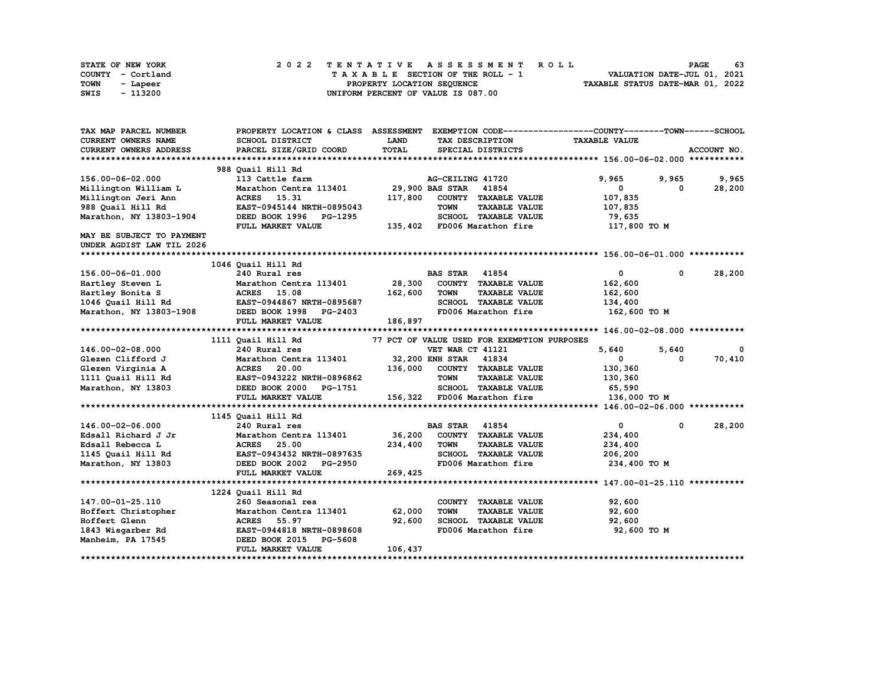| STATE OF NEW YORK | 2022 TENTATIVE ASSESSMENT ROLL     | 63<br><b>PAGE</b>                |
|-------------------|------------------------------------|----------------------------------|
| COUNTY - Cortland | TAXABLE SECTION OF THE ROLL - 1    | VALUATION DATE-JUL 01, 2021      |
| TOWN<br>- Lapeer  | PROPERTY LOCATION SEQUENCE         | TAXABLE STATUS DATE-MAR 01, 2022 |
| - 113200<br>SWIS  | UNIFORM PERCENT OF VALUE IS 087.00 |                                  |

| TAX MAP PARCEL NUMBER     |                                                  |             |                                             | PROPERTY LOCATION & CLASS ASSESSMENT EXEMPTION CODE----------------COUNTY-------TOWN-----SCHOOL |             |
|---------------------------|--------------------------------------------------|-------------|---------------------------------------------|-------------------------------------------------------------------------------------------------|-------------|
| CURRENT OWNERS NAME       | <b>SCHOOL DISTRICT</b>                           | <b>LAND</b> | TAX DESCRIPTION                             | <b>TAXABLE VALUE</b>                                                                            |             |
| CURRENT OWNERS ADDRESS    | PARCEL SIZE/GRID COORD                           | TOTAL       | SPECIAL DISTRICTS                           |                                                                                                 | ACCOUNT NO. |
|                           |                                                  |             |                                             |                                                                                                 |             |
|                           | 988 Quail Hill Rd                                |             |                                             |                                                                                                 |             |
| 156.00-06-02.000          | 113 Cattle farm                                  |             | AG-CEILING 41720                            | 9,965<br>9,965                                                                                  | 9,965       |
| Millington William L      | Marathon Centra 113401 29,900 BAS STAR 41854     |             |                                             | $\mathbf{0}$<br>0                                                                               | 28,200      |
| Millington Jeri Ann       | ACRES 15.31                                      | 117,800     | COUNTY TAXABLE VALUE                        | 107,835                                                                                         |             |
| 988 Quail Hill Rd         | EAST-0945144 NRTH-0895043                        |             | <b>TOWN</b><br><b>TAXABLE VALUE</b>         | 107,835                                                                                         |             |
| Marathon, NY 13803-1904   | DEED BOOK 1996 PG-1295                           |             | SCHOOL TAXABLE VALUE                        | 79,635                                                                                          |             |
|                           | FULL MARKET VALUE                                |             | 135,402 FD006 Marathon fire                 | 117,800 TO M                                                                                    |             |
| MAY BE SUBJECT TO PAYMENT |                                                  |             |                                             |                                                                                                 |             |
| UNDER AGDIST LAW TIL 2026 |                                                  |             |                                             |                                                                                                 |             |
|                           |                                                  |             |                                             |                                                                                                 |             |
|                           | 1046 Quail Hill Rd                               |             |                                             |                                                                                                 |             |
| 156.00-06-01.000          | 240 Rural res                                    |             | <b>BAS STAR</b><br>41854                    | $\mathbf{0}$<br>$^{\circ}$                                                                      | 28,200      |
| Hartley Steven L          | Marathon Centra 113401                           | 28,300      | COUNTY TAXABLE VALUE                        | 162,600                                                                                         |             |
| Hartley Bonita S          | <b>ACRES</b> 15.08                               | 162,600     | <b>TOWN</b><br><b>TAXABLE VALUE</b>         | 162,600                                                                                         |             |
|                           | 1046 Quail Hill Rd EAST-0944867 NRTH-0895687     |             | SCHOOL TAXABLE VALUE                        | 134,400                                                                                         |             |
| Marathon, NY 13803-1908   | DEED BOOK 1998 PG-2403                           |             | FD006 Marathon fire                         | 162,600 то м                                                                                    |             |
|                           | FULL MARKET VALUE                                | 186,897     |                                             |                                                                                                 |             |
|                           |                                                  |             |                                             |                                                                                                 |             |
|                           | 1111 Ouail Hill Rd                               |             | 77 PCT OF VALUE USED FOR EXEMPTION PURPOSES |                                                                                                 |             |
| 146.00-02-08.000          | 240 Rural res                                    |             | VET WAR CT 41121                            | 5,640<br>5,640                                                                                  | $\mathbf 0$ |
| Glezen Clifford J         | Marathon Centra 113401 32, 200 ENH STAR 41834    |             |                                             | 0<br>$^{\circ}$                                                                                 | 70,410      |
| Glezen Virginia A         | <b>ACRES</b> 20.00                               |             | 136,000 COUNTY TAXABLE VALUE                | 130,360                                                                                         |             |
|                           | 1111 Quail Hill Rd EAST-0943222 NRTH-0896862     |             | TOWN<br><b>TAXABLE VALUE</b>                | 130,360                                                                                         |             |
| Marathon, NY 13803        | DEED BOOK 2000 PG-1751                           |             | SCHOOL TAXABLE VALUE                        | 65,590                                                                                          |             |
|                           | FULL MARKET VALUE                                |             | 156,322 FD006 Marathon fire                 | 136,000 то м                                                                                    |             |
|                           |                                                  |             |                                             |                                                                                                 |             |
|                           | 1145 Quail Hill Rd                               |             |                                             |                                                                                                 |             |
| 146.00-02-06.000          | 240 Rural res                                    |             | <b>BAS STAR</b> 41854                       | $\mathbf{0}$<br>$^{\circ}$                                                                      | 28,200      |
| Edsall Richard J Jr       | Marathon Centra 113401 36,200                    |             | COUNTY TAXABLE VALUE                        | 234,400                                                                                         |             |
| Edsall Rebecca L          |                                                  | 234,400     | <b>TOWN</b><br><b>TAXABLE VALUE</b>         | 234,400                                                                                         |             |
| 1145 Quail Hill Rd        | <b>ACRES 25.00<br/>EAST-0943432 NRTH-0897635</b> |             | SCHOOL TAXABLE VALUE                        | 206,200                                                                                         |             |
| Marathon, NY 13803        | DEED BOOK 2002<br><b>PG-2950</b>                 |             | FD006 Marathon fire                         | 234,400 TO M                                                                                    |             |
|                           | FULL MARKET VALUE                                | 269,425     |                                             |                                                                                                 |             |
|                           |                                                  |             |                                             |                                                                                                 |             |
|                           | 1224 Quail Hill Rd                               |             |                                             |                                                                                                 |             |
| 147.00-01-25.110          | 260 Seasonal res                                 |             | COUNTY TAXABLE VALUE                        | 92,600                                                                                          |             |
| Hoffert Christopher       | Marathon Centra 113401                           | 62,000      | <b>TOWN</b><br><b>TAXABLE VALUE</b>         | 92,600                                                                                          |             |
| Hoffert Glenn             | <b>ACRES</b> 55.97                               | 92,600      | SCHOOL TAXABLE VALUE                        | 92,600                                                                                          |             |
| 1843 Wisgarber Rd         | EAST-0944818 NRTH-0898608                        |             | FD006 Marathon fire                         | 92,600 TO M                                                                                     |             |
| Manheim, PA 17545         | DEED BOOK 2015 PG-5608                           |             |                                             |                                                                                                 |             |
|                           | FULL MARKET VALUE                                | 106,437     |                                             |                                                                                                 |             |
|                           |                                                  |             |                                             |                                                                                                 |             |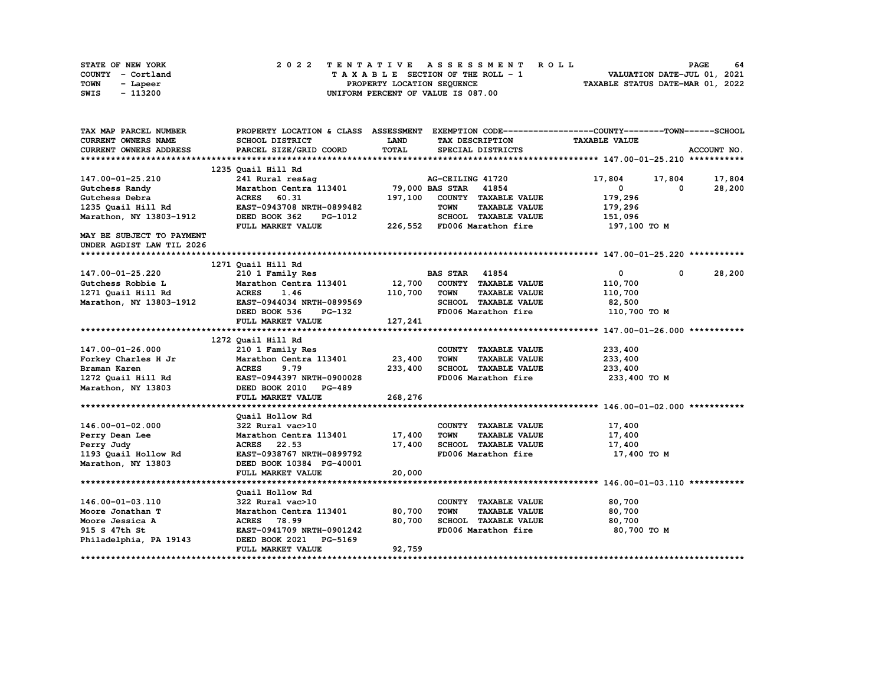| STATE OF NEW YORK | 2022 TENTATIVE ASSESSMENT ROLL     | 64<br><b>PAGE</b>                |
|-------------------|------------------------------------|----------------------------------|
| COUNTY - Cortland | TAXABLE SECTION OF THE ROLL - 1    | VALUATION DATE-JUL 01, 2021      |
| TOWN<br>- Lapeer  | PROPERTY LOCATION SEQUENCE         | TAXABLE STATUS DATE-MAR 01, 2022 |
| - 113200<br>SWIS  | UNIFORM PERCENT OF VALUE IS 087.00 |                                  |

| TAX MAP PARCEL NUMBER         |                                                   |         |                                     | PROPERTY LOCATION & CLASS ASSESSMENT EXEMPTION CODE----------------COUNTY-------TOWN-----SCHOOL |  |
|-------------------------------|---------------------------------------------------|---------|-------------------------------------|-------------------------------------------------------------------------------------------------|--|
| CURRENT OWNERS NAME           | SCHOOL DISTRICT                                   | LAND    | TAX DESCRIPTION                     | <b>TAXABLE VALUE</b>                                                                            |  |
| <b>CURRENT OWNERS ADDRESS</b> | PARCEL SIZE/GRID COORD                            | TOTAL   | SPECIAL DISTRICTS                   | ACCOUNT NO.                                                                                     |  |
|                               |                                                   |         |                                     |                                                                                                 |  |
|                               | 1235 Quail Hill Rd                                |         |                                     |                                                                                                 |  |
| 147.00-01-25.210              | 241 Rural res&ag                                  |         | AG-CEILING 41720                    | 17,804<br>17,804 17,804                                                                         |  |
| Gutchess Randy                | Marathon Centra 113401 79,000 BAS STAR 41854      |         |                                     | $\mathbf{0}$<br>28,200<br>0                                                                     |  |
| Gutchess Debra                | <b>ACRES</b><br>60.31                             |         | 197,100 COUNTY TAXABLE VALUE        | 179,296                                                                                         |  |
| 1235 Quail Hill Rd            | EAST-0943708 NRTH-0899482                         |         | <b>TOWN</b><br><b>TAXABLE VALUE</b> | 179,296                                                                                         |  |
| Marathon, NY 13803-1912       | DEED BOOK 362<br>PG-1012                          |         | SCHOOL TAXABLE VALUE                | 151,096                                                                                         |  |
|                               | FULL MARKET VALUE                                 |         | 226,552 FD006 Marathon fire         | 197,100 TO M                                                                                    |  |
| MAY BE SUBJECT TO PAYMENT     |                                                   |         |                                     |                                                                                                 |  |
| UNDER AGDIST LAW TIL 2026     |                                                   |         |                                     |                                                                                                 |  |
|                               |                                                   |         |                                     |                                                                                                 |  |
|                               | 1271 Quail Hill Rd                                |         |                                     |                                                                                                 |  |
| 147.00-01-25.220              | 210 1 Family Res                                  |         | <b>BAS STAR 41854</b>               | 28,200<br>$\mathbf{0}$<br>$\mathbf{0}$                                                          |  |
| Gutchess Robbie L             |                                                   |         |                                     | 110,700                                                                                         |  |
|                               |                                                   |         |                                     | 110,700                                                                                         |  |
| 1271 Quail Hill Rd            |                                                   |         |                                     |                                                                                                 |  |
|                               | Marathon, NY 13803-1912 EAST-0944034 NRTH-0899569 |         | SCHOOL TAXABLE VALUE                | 82,500                                                                                          |  |
|                               | DEED BOOK 536<br>PG-132                           |         | FD006 Marathon fire                 | 110,700 TO M                                                                                    |  |
|                               | FULL MARKET VALUE                                 | 127,241 |                                     |                                                                                                 |  |
|                               |                                                   |         |                                     |                                                                                                 |  |
|                               | 1272 Quail Hill Rd                                |         |                                     |                                                                                                 |  |
| 147.00-01-26.000              | 210 1 Family Res                                  |         | COUNTY TAXABLE VALUE                | 233,400                                                                                         |  |
| Forkey Charles H Jr           | Marathon Centra 113401                            | 23,400  | <b>TOWN</b><br><b>TAXABLE VALUE</b> | 233,400                                                                                         |  |
| Braman Karen                  | <b>ACRES</b><br>9.79                              | 233,400 | SCHOOL TAXABLE VALUE                | 233,400                                                                                         |  |
|                               | 1272 Quail Hill Rd EAST-0944397 NRTH-0900028      |         | FD006 Marathon fire                 | 233,400 TO M                                                                                    |  |
| Marathon, NY 13803            | DEED BOOK 2010 PG-489                             |         |                                     |                                                                                                 |  |
|                               | FULL MARKET VALUE                                 | 268,276 |                                     |                                                                                                 |  |
|                               |                                                   |         |                                     |                                                                                                 |  |
|                               | Quail Hollow Rd                                   |         |                                     |                                                                                                 |  |
| 146.00-01-02.000              | 322 Rural vac>10                                  |         | COUNTY TAXABLE VALUE                | 17,400                                                                                          |  |
| Perry Dean Lee                | Marathon Centra 113401 17,400                     |         | <b>TOWN</b><br><b>TAXABLE VALUE</b> | 17,400                                                                                          |  |
| Perry Judy                    | ACRES 22.53                                       | 17,400  | SCHOOL TAXABLE VALUE                | 17,400                                                                                          |  |
| 1193 Quail Hollow Rd          | EAST-0938767 NRTH-0899792                         |         | FD006 Marathon fire                 | 17,400 TO M                                                                                     |  |
| Marathon, NY 13803            | DEED BOOK 10384 PG-40001                          |         |                                     |                                                                                                 |  |
|                               | FULL MARKET VALUE                                 | 20,000  |                                     |                                                                                                 |  |
|                               |                                                   |         |                                     |                                                                                                 |  |
|                               | Quail Hollow Rd                                   |         |                                     |                                                                                                 |  |
| 146.00-01-03.110              | 322 Rural vac>10                                  |         | COUNTY TAXABLE VALUE                | 80,700                                                                                          |  |
| Moore Jonathan T              | Marathon Centra 113401                            | 80,700  | <b>TOWN</b><br><b>TAXABLE VALUE</b> | 80,700                                                                                          |  |
| Moore Jessica A               | ACRES 78.99                                       | 80,700  | SCHOOL TAXABLE VALUE                | 80,700                                                                                          |  |
| 915 S 47th St                 | EAST-0941709 NRTH-0901242                         |         | FD006 Marathon fire                 | 80,700 TO M                                                                                     |  |
| Philadelphia, PA 19143        | DEED BOOK 2021 PG-5169                            |         |                                     |                                                                                                 |  |
|                               | FULL MARKET VALUE                                 | 92,759  |                                     |                                                                                                 |  |
|                               |                                                   |         |                                     |                                                                                                 |  |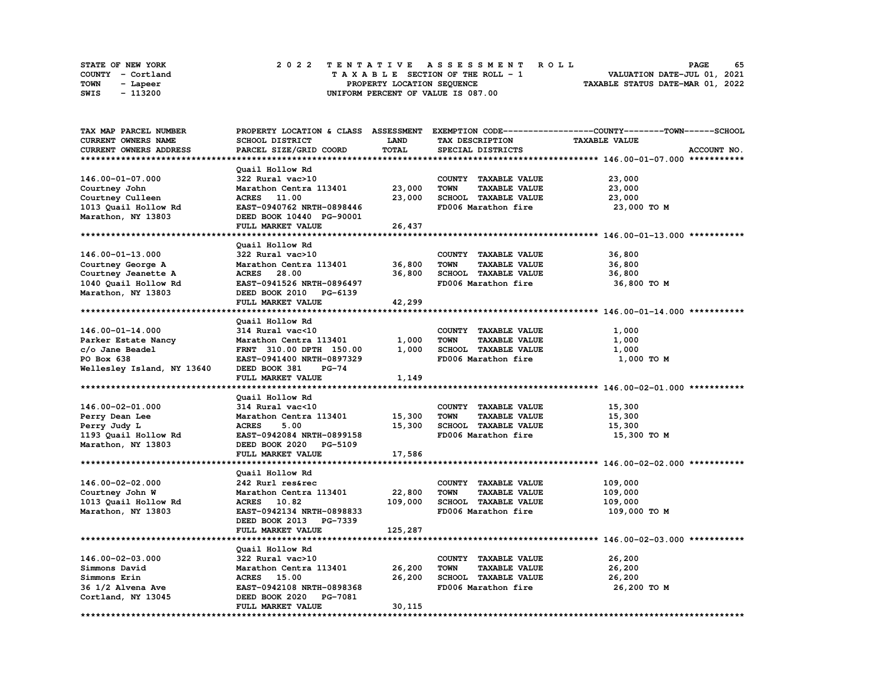| <b>STATE OF NEW YORK</b> |          |  |  |  |  |  | 2022 TENTATIVE ASSESSMENT ROLL     |  |  |  |  |  |  |                                  | <b>PAGE</b> | 65 |
|--------------------------|----------|--|--|--|--|--|------------------------------------|--|--|--|--|--|--|----------------------------------|-------------|----|
| COUNTY - Cortland        |          |  |  |  |  |  | TAXABLE SECTION OF THE ROLL - 1    |  |  |  |  |  |  | VALUATION DATE-JUL 01, 2021      |             |    |
| TOWN                     | - Lapeer |  |  |  |  |  | PROPERTY LOCATION SEQUENCE         |  |  |  |  |  |  | TAXABLE STATUS DATE-MAR 01, 2022 |             |    |
| SWIS                     | - 113200 |  |  |  |  |  | UNIFORM PERCENT OF VALUE IS 087.00 |  |  |  |  |  |  |                                  |             |    |

| TAX MAP PARCEL NUMBER      |                               |             |                                     | PROPERTY LOCATION & CLASS ASSESSMENT EXEMPTION CODE----------------COUNTY-------TOWN-----SCHOOL |
|----------------------------|-------------------------------|-------------|-------------------------------------|-------------------------------------------------------------------------------------------------|
| CURRENT OWNERS NAME        | <b>SCHOOL DISTRICT</b>        | <b>LAND</b> | TAX DESCRIPTION                     | <b>TAXABLE VALUE</b>                                                                            |
| CURRENT OWNERS ADDRESS     | PARCEL SIZE/GRID COORD        | TOTAL       | SPECIAL DISTRICTS                   | ACCOUNT NO.                                                                                     |
|                            |                               |             |                                     |                                                                                                 |
|                            | Quail Hollow Rd               |             |                                     |                                                                                                 |
| 146.00-01-07.000           | 322 Rural vac>10              |             | COUNTY TAXABLE VALUE                | 23,000                                                                                          |
| Courtney John              | Marathon Centra 113401        | 23,000      | <b>TOWN</b><br><b>TAXABLE VALUE</b> | 23,000                                                                                          |
|                            | ACRES 11.00                   |             |                                     |                                                                                                 |
| Courtney Culleen           |                               | 23,000      | SCHOOL TAXABLE VALUE                | 23,000                                                                                          |
| 1013 Quail Hollow Rd       | EAST-0940762 NRTH-0898446     |             | FD006 Marathon fire                 | 23,000 TO M                                                                                     |
| Marathon, NY 13803         | DEED BOOK 10440 PG-90001      |             |                                     |                                                                                                 |
|                            | FULL MARKET VALUE             | 26,437      |                                     |                                                                                                 |
|                            |                               |             |                                     |                                                                                                 |
|                            | Quail Hollow Rd               |             |                                     |                                                                                                 |
| 146.00-01-13.000           | 322 Rural vac>10              |             | COUNTY TAXABLE VALUE                | 36,800                                                                                          |
| Courtney George A          | Marathon Centra 113401        | 36,800      | <b>TAXABLE VALUE</b><br><b>TOWN</b> | 36,800                                                                                          |
| Courtney Jeanette A        | <b>ACRES</b> 28.00            | 36,800      | SCHOOL TAXABLE VALUE                | 36,800                                                                                          |
| 1040 Quail Hollow Rd       | EAST-0941526 NRTH-0896497     |             | FD006 Marathon fire                 | 36,800 TO M                                                                                     |
| Marathon, NY 13803         | DEED BOOK 2010 PG-6139        |             |                                     |                                                                                                 |
|                            | FULL MARKET VALUE             | 42,299      |                                     |                                                                                                 |
|                            |                               |             |                                     |                                                                                                 |
|                            |                               |             |                                     |                                                                                                 |
|                            | Quail Hollow Rd               |             |                                     |                                                                                                 |
| 146.00-01-14.000           | 314 Rural vac<10              |             | COUNTY TAXABLE VALUE                | 1,000                                                                                           |
| Parker Estate Nancy        | Marathon Centra 113401        | 1,000       | TOWN<br><b>TAXABLE VALUE</b>        | 1,000                                                                                           |
| c/o Jane Beadel            | FRNT 310.00 DPTH 150.00       | 1,000       | SCHOOL TAXABLE VALUE                | 1,000                                                                                           |
| PO Box 638                 | EAST-0941400 NRTH-0897329     |             | FD006 Marathon fire                 | 1,000 TO M                                                                                      |
| Wellesley Island, NY 13640 | DEED BOOK 381<br><b>PG-74</b> |             |                                     |                                                                                                 |
|                            | FULL MARKET VALUE             | 1,149       |                                     |                                                                                                 |
|                            |                               |             |                                     |                                                                                                 |
|                            | Quail Hollow Rd               |             |                                     |                                                                                                 |
| 146.00-02-01.000           | 314 Rural vac<10              |             | COUNTY TAXABLE VALUE                | 15,300                                                                                          |
| Perry Dean Lee             | Marathon Centra 113401        | 15,300      | <b>TOWN</b><br><b>TAXABLE VALUE</b> | 15,300                                                                                          |
| Perry Judy L               | <b>ACRES</b><br>5.00          | 15,300      | SCHOOL TAXABLE VALUE                | 15,300                                                                                          |
| 1193 Quail Hollow Rd       | EAST-0942084 NRTH-0899158     |             | FD006 Marathon fire                 | 15,300 TO M                                                                                     |
| Marathon, NY 13803         | DEED BOOK 2020 PG-5109        |             |                                     |                                                                                                 |
|                            |                               |             |                                     |                                                                                                 |
|                            | FULL MARKET VALUE             | 17,586      |                                     |                                                                                                 |
|                            |                               |             |                                     |                                                                                                 |
|                            | Quail Hollow Rd               |             |                                     |                                                                                                 |
| 146.00-02-02.000           | 242 Rurl res&rec              |             | COUNTY TAXABLE VALUE                | 109,000                                                                                         |
| Courtney John W            | Marathon Centra 113401        | 22,800      | <b>TOWN</b><br><b>TAXABLE VALUE</b> | 109,000                                                                                         |
| 1013 Quail Hollow Rd       | ACRES 10.82                   | 109,000     | SCHOOL TAXABLE VALUE                | 109,000                                                                                         |
| Marathon, NY 13803         | EAST-0942134 NRTH-0898833     |             | FD006 Marathon fire                 | 109,000 TO M                                                                                    |
|                            | DEED BOOK 2013 PG-7339        |             |                                     |                                                                                                 |
|                            | FULL MARKET VALUE             | 125,287     |                                     |                                                                                                 |
|                            |                               |             |                                     |                                                                                                 |
|                            | Quail Hollow Rd               |             |                                     |                                                                                                 |
| 146.00-02-03.000           | 322 Rural vac>10              |             | COUNTY TAXABLE VALUE                | 26,200                                                                                          |
| Simmons David              | Marathon Centra 113401        | 26,200      | <b>TOWN</b><br><b>TAXABLE VALUE</b> | 26,200                                                                                          |
|                            |                               |             |                                     |                                                                                                 |
| Simmons Erin               | <b>ACRES</b> 15.00            | 26,200      | SCHOOL TAXABLE VALUE                | 26,200                                                                                          |
| 36 1/2 Alvena Ave          | EAST-0942108 NRTH-0898368     |             | FD006 Marathon fire                 | 26,200 TO M                                                                                     |
| Cortland, NY 13045         | DEED BOOK 2020 PG-7081        |             |                                     |                                                                                                 |
|                            | FULL MARKET VALUE             | 30,115      |                                     |                                                                                                 |
|                            |                               |             |                                     |                                                                                                 |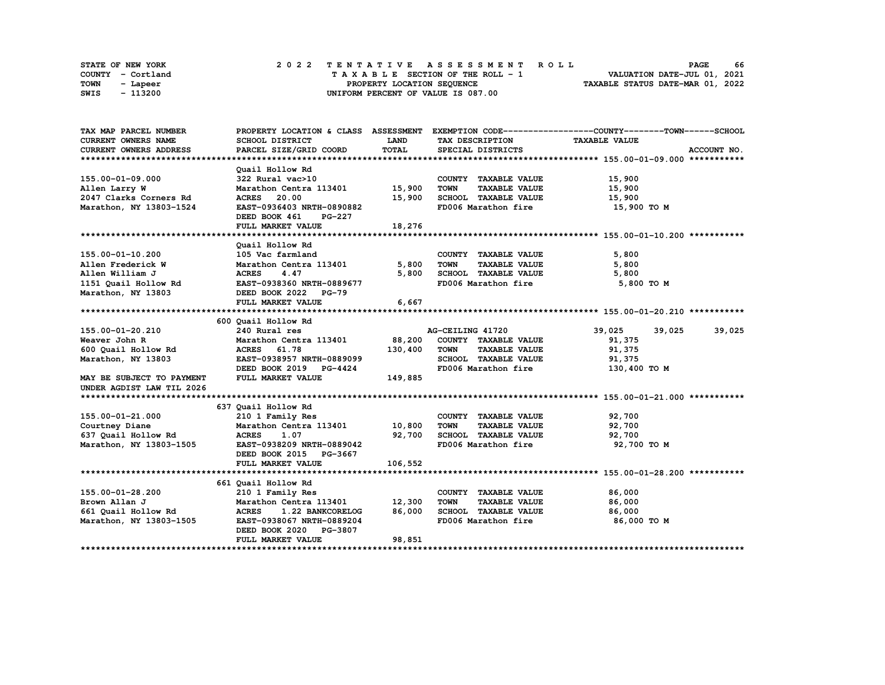|      | STATE OF NEW YORK |  | 2022 TENTATIVE ASSESSMENT ROLL     | 66<br><b>PAGE</b>                |
|------|-------------------|--|------------------------------------|----------------------------------|
|      | COUNTY - Cortland |  | TAXABLE SECTION OF THE ROLL - 1    | VALUATION DATE-JUL 01, 2021      |
| TOWN | - Lapeer          |  | PROPERTY LOCATION SEQUENCE         | TAXABLE STATUS DATE-MAR 01, 2022 |
| SWIS | - 113200          |  | UNIFORM PERCENT OF VALUE IS 087.00 |                                  |

| TAX MAP PARCEL NUMBER                |                                                                                                                           |             |                                                   | PROPERTY LOCATION & CLASS ASSESSMENT EXEMPTION CODE----------------COUNTY-------TOWN------SCHOOL |
|--------------------------------------|---------------------------------------------------------------------------------------------------------------------------|-------------|---------------------------------------------------|--------------------------------------------------------------------------------------------------|
| <b>CURRENT OWNERS NAME</b>           | <b>SCHOOL DISTRICT</b>                                                                                                    | <b>LAND</b> | TAX DESCRIPTION                                   | <b>TAXABLE VALUE</b>                                                                             |
| <b>CURRENT OWNERS ADDRESS</b>        | PARCEL SIZE/GRID COORD                                                                                                    | TOTAL       | SPECIAL DISTRICTS                                 | ACCOUNT NO.                                                                                      |
|                                      |                                                                                                                           |             |                                                   |                                                                                                  |
|                                      | Ouail Hollow Rd                                                                                                           |             |                                                   |                                                                                                  |
| 155.00-01-09.000                     | 322 Rural vac>10                                                                                                          |             | COUNTY TAXABLE VALUE                              | 15,900                                                                                           |
| Allen Larry W                        | Marathon Centra 113401 15,900                                                                                             |             | TOWN<br><b>TAXABLE VALUE</b>                      | 15,900                                                                                           |
| 2047 Clarks Corners Rd               | <b>ACRES</b> 20.00                                                                                                        | 15,900      | SCHOOL TAXABLE VALUE 15,900                       |                                                                                                  |
| Marathon, NY 13803-1524              | EAST-0936403 NRTH-0890882                                                                                                 |             | FD006 Marathon fire                               | 15,900 то м                                                                                      |
|                                      | DEED BOOK 461 PG-227                                                                                                      |             |                                                   |                                                                                                  |
|                                      | FULL MARKET VALUE                                                                                                         | 18,276      |                                                   |                                                                                                  |
|                                      |                                                                                                                           |             |                                                   |                                                                                                  |
|                                      | Quail Hollow Rd                                                                                                           |             |                                                   |                                                                                                  |
| 155.00-01-10.200                     | 105 Vac farmland                                                                                                          |             | COUNTY TAXABLE VALUE                              | 5,800                                                                                            |
| Allen Frederick W                    |                                                                                                                           |             | TOWN<br>TAXABLE VALUE                             | 5,800                                                                                            |
| Allen William J                      | Marathon Centra 113401 5,800<br>ACRES 4.47 5,800                                                                          |             |                                                   | 5,800                                                                                            |
|                                      | 1151 Quail Hollow Rd<br>1151 Quail Hollow Rd<br>1151 Quail Hollow Rd<br>1151 Quail Hollow Rd<br>1282 DEED BOOK 2022 PG-79 |             | 5,800 SCHOOL TAXABLE VALUE<br>FD006 Marathon fire | 5,800 TO M                                                                                       |
|                                      |                                                                                                                           |             |                                                   |                                                                                                  |
|                                      | FULL MARKET VALUE                                                                                                         | 6,667       |                                                   |                                                                                                  |
|                                      |                                                                                                                           |             |                                                   |                                                                                                  |
|                                      | 600 Quail Hollow Rd                                                                                                       |             |                                                   |                                                                                                  |
| 155.00-01-20.210                     | 240 Rural res                                                                                                             |             | AG-CEILING 41720                                  | 39,025<br>39,025<br>39,025                                                                       |
| Weaver John R                        | Marathon Centra 113401 88,200                                                                                             |             | COUNTY TAXABLE VALUE                              | 91,375                                                                                           |
| 600 Quail Hollow Rd MCRES 61.78      |                                                                                                                           | 130,400     | <b>TOWN</b><br><b>TAXABLE VALUE</b>               | 91,375                                                                                           |
| Marathon, NY 13803                   | EAST-0938957 NRTH-0889099                                                                                                 |             | SCHOOL TAXABLE VALUE                              | 91,375                                                                                           |
|                                      | DEED BOOK 2019 PG-4424                                                                                                    |             | FD006 Marathon fire                               | 130,400 TO M                                                                                     |
| MAY BE SUBJECT TO PAYMENT            | FULL MARKET VALUE                                                                                                         | 149,885     |                                                   |                                                                                                  |
| UNDER AGDIST LAW TIL 2026            |                                                                                                                           |             |                                                   |                                                                                                  |
|                                      |                                                                                                                           |             |                                                   |                                                                                                  |
|                                      | 637 Quail Hollow Rd                                                                                                       |             |                                                   |                                                                                                  |
| 155.00-01-21.000                     | 210 1 Family Res                                                                                                          |             | COUNTY TAXABLE VALUE                              | 92,700                                                                                           |
| Courtney Diane                       | Marathon Centra 113401 10,800                                                                                             |             | TOWN<br><b>TAXABLE VALUE</b>                      | 92,700                                                                                           |
| 637 Quail Hollow Rd                  | <b>ACRES</b><br>1.07                                                                                                      | 92,700      | SCHOOL TAXABLE VALUE 92,700                       |                                                                                                  |
| Marathon, NY 13803-1505              | EAST-0938209 NRTH-0889042                                                                                                 |             | FD006 Marathon fire                               | 92,700 TO M                                                                                      |
|                                      | DEED BOOK 2015 PG-3667                                                                                                    |             |                                                   |                                                                                                  |
|                                      | FULL MARKET VALUE                                                                                                         | 106,552     |                                                   |                                                                                                  |
|                                      |                                                                                                                           |             |                                                   |                                                                                                  |
|                                      | 661 Quail Hollow Rd                                                                                                       |             |                                                   |                                                                                                  |
| 155.00-01-28.200                     | 210 1 Family Res                                                                                                          |             | COUNTY TAXABLE VALUE                              | 86,000                                                                                           |
|                                      |                                                                                                                           |             | <b>TOWN</b><br>TAXABLE VALUE                      | 86,000                                                                                           |
| Brown Allan J<br>661 Quail Hollow Rd | Marathon Centra 113401 12,300<br>ACRES 1.22 BANKCORELOG                                                                   | 86,000      | SCHOOL TAXABLE VALUE                              | 86,000                                                                                           |
| Marathon, NY 13803-1505              | EAST-0938067 NRTH-0889204                                                                                                 |             | FD006 Marathon fire                               | 86,000 то м                                                                                      |
|                                      | DEED BOOK 2020 PG-3807                                                                                                    |             |                                                   |                                                                                                  |
|                                      | FULL MARKET VALUE                                                                                                         | 98,851      |                                                   |                                                                                                  |
|                                      |                                                                                                                           |             |                                                   |                                                                                                  |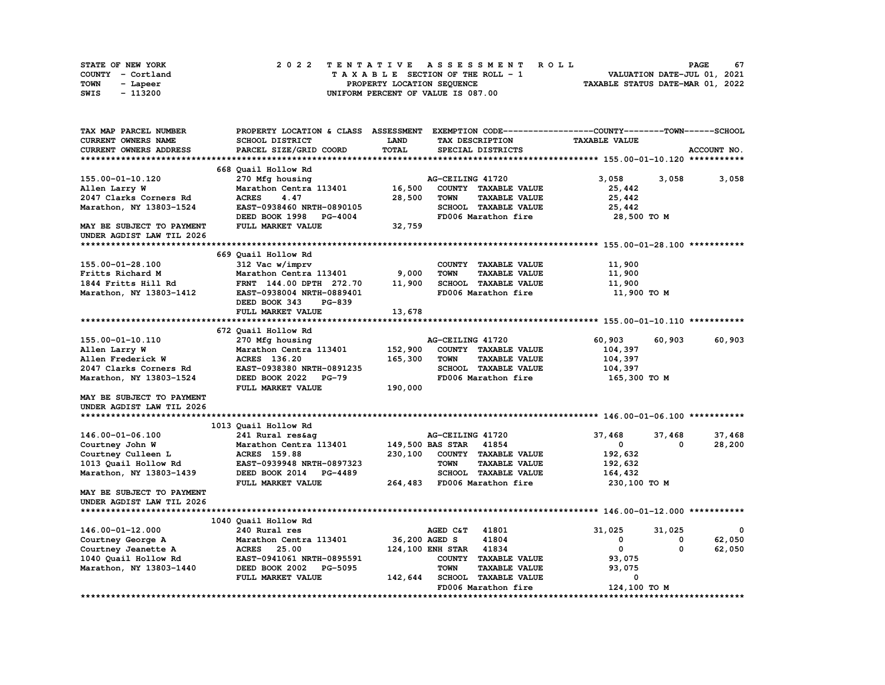| STATE OF NEW YORK | 2022 TENTATIVE ASSESSMENT ROLL     | 67<br><b>PAGE</b>                |
|-------------------|------------------------------------|----------------------------------|
| COUNTY - Cortland | TAXABLE SECTION OF THE ROLL - 1    | VALUATION DATE-JUL 01, 2021      |
| TOWN<br>- Lapeer  | PROPERTY LOCATION SEQUENCE         | TAXABLE STATUS DATE-MAR 01, 2022 |
| - 113200<br>SWIS  | UNIFORM PERCENT OF VALUE IS 087.00 |                                  |

| TAX MAP PARCEL NUMBER         | PROPERTY LOCATION & CLASS ASSESSMENT |               |                        |                             | EXEMPTION CODE------------------COUNTY-------TOWN------SCHOOL |          |             |
|-------------------------------|--------------------------------------|---------------|------------------------|-----------------------------|---------------------------------------------------------------|----------|-------------|
| CURRENT OWNERS NAME           | <b>SCHOOL DISTRICT</b>               | <b>LAND</b>   |                        | TAX DESCRIPTION             | <b>TAXABLE VALUE</b>                                          |          |             |
| <b>CURRENT OWNERS ADDRESS</b> | PARCEL SIZE/GRID COORD               | TOTAL         |                        | SPECIAL DISTRICTS           |                                                               |          | ACCOUNT NO. |
|                               |                                      |               |                        |                             |                                                               |          |             |
|                               | 668 Quail Hollow Rd                  |               |                        |                             |                                                               |          |             |
| 155.00-01-10.120              | 270 Mfg housing                      |               | AG-CEILING 41720       |                             | 3,058                                                         | 3,058    | 3,058       |
| Allen Larry W                 | Marathon Centra 113401               | 16,500        |                        | COUNTY TAXABLE VALUE        | 25,442                                                        |          |             |
| 2047 Clarks Corners Rd        | <b>ACRES</b><br>4.47                 | 28,500        | <b>TOWN</b>            | <b>TAXABLE VALUE</b>        | 25,442                                                        |          |             |
| Marathon, NY 13803-1524       | EAST-0938460 NRTH-0890105            |               |                        | SCHOOL TAXABLE VALUE        | 25,442                                                        |          |             |
|                               | DEED BOOK 1998 PG-4004               |               |                        | FD006 Marathon fire         | 28,500 TO M                                                   |          |             |
| MAY BE SUBJECT TO PAYMENT     | FULL MARKET VALUE                    | 32,759        |                        |                             |                                                               |          |             |
| UNDER AGDIST LAW TIL 2026     |                                      |               |                        |                             |                                                               |          |             |
|                               |                                      |               |                        |                             |                                                               |          |             |
|                               | 669 Quail Hollow Rd                  |               |                        |                             |                                                               |          |             |
| 155.00-01-28.100              | 312 Vac w/imprv                      |               |                        | COUNTY TAXABLE VALUE        | 11,900                                                        |          |             |
| Fritts Richard M              | Marathon Centra 113401               | 9,000         | <b>TOWN</b>            | <b>TAXABLE VALUE</b>        | 11,900                                                        |          |             |
| 1844 Fritts Hill Rd           | FRNT 144.00 DPTH 272.70              | 11,900        |                        | SCHOOL TAXABLE VALUE        | 11,900                                                        |          |             |
| Marathon, NY 13803-1412       | EAST-0938004 NRTH-0889401            |               |                        | FD006 Marathon fire         | 11,900 TO M                                                   |          |             |
|                               | <b>PG-839</b>                        |               |                        |                             |                                                               |          |             |
|                               | DEED BOOK 343                        |               |                        |                             |                                                               |          |             |
|                               | FULL MARKET VALUE                    | 13,678        |                        |                             |                                                               |          |             |
|                               |                                      |               |                        |                             |                                                               |          |             |
|                               | 672 Quail Hollow Rd                  |               |                        |                             |                                                               |          |             |
| 155.00-01-10.110              | 270 Mfg housing                      |               | AG-CEILING 41720       |                             | 60,903                                                        | 60,903   | 60,903      |
| Allen Larry W                 | Marathon Centra 113401               | 152,900       |                        | COUNTY TAXABLE VALUE        | 104,397                                                       |          |             |
| Allen Frederick W             | ACRES 136.20                         | 165,300       | <b>TOWN</b>            | <b>TAXABLE VALUE</b>        | 104,397                                                       |          |             |
| 2047 Clarks Corners Rd        | EAST-0938380 NRTH-0891235            |               |                        | SCHOOL TAXABLE VALUE        | 104,397                                                       |          |             |
| Marathon, NY 13803-1524       | DEED BOOK 2022 PG-79                 |               |                        | FD006 Marathon fire         | 165,300 то м                                                  |          |             |
|                               | FULL MARKET VALUE                    | 190,000       |                        |                             |                                                               |          |             |
| MAY BE SUBJECT TO PAYMENT     |                                      |               |                        |                             |                                                               |          |             |
| UNDER AGDIST LAW TIL 2026     |                                      |               |                        |                             |                                                               |          |             |
|                               |                                      |               |                        |                             |                                                               |          |             |
|                               | 1013 Quail Hollow Rd                 |               |                        |                             |                                                               |          |             |
| 146.00-01-06.100              | 241 Rural res&ag                     |               | AG-CEILING 41720       |                             | 37,468                                                        | 37,468   | 37,468      |
| Courtney John W               | Marathon Centra 113401               |               | 149,500 BAS STAR 41854 |                             | $\mathbf{0}$                                                  | $\Omega$ | 28,200      |
| Courtney Culleen L            | <b>ACRES</b> 159.88                  | 230,100       |                        | COUNTY TAXABLE VALUE        | 192,632                                                       |          |             |
| 1013 Quail Hollow Rd          | EAST-0939948 NRTH-0897323            |               | <b>TOWN</b>            | <b>TAXABLE VALUE</b>        | 192,632                                                       |          |             |
| Marathon, NY 13803-1439       | DEED BOOK 2014 PG-4489               |               |                        | <b>SCHOOL TAXABLE VALUE</b> | 164,432                                                       |          |             |
|                               | FULL MARKET VALUE                    |               |                        | 264,483 FD006 Marathon fire | 230,100 TO M                                                  |          |             |
| MAY BE SUBJECT TO PAYMENT     |                                      |               |                        |                             |                                                               |          |             |
| UNDER AGDIST LAW TIL 2026     |                                      |               |                        |                             |                                                               |          |             |
|                               |                                      |               |                        |                             |                                                               |          |             |
|                               | 1040 Quail Hollow Rd                 |               |                        |                             |                                                               |          |             |
| 146.00-01-12.000              | 240 Rural res                        |               | AGED C&T               | 41801                       | 31,025                                                        | 31,025   | $^{\circ}$  |
| Courtney George A             | Marathon Centra 113401               | 36,200 AGED S |                        | 41804                       | 0                                                             | 0        | 62,050      |
| Courtney Jeanette A           | <b>ACRES</b><br>25.00                |               | 124,100 ENH STAR 41834 |                             | $^{\circ}$                                                    | $\Omega$ | 62,050      |
|                               | EAST-0941061 NRTH-0895591            |               |                        | COUNTY TAXABLE VALUE        |                                                               |          |             |
| 1040 Quail Hollow Rd          |                                      |               | <b>TOWN</b>            |                             | 93,075                                                        |          |             |
| Marathon, NY 13803-1440       | DEED BOOK 2002 PG-5095               |               |                        | <b>TAXABLE VALUE</b>        | 93,075<br>0                                                   |          |             |
|                               | FULL MARKET VALUE                    | 142,644       |                        | <b>SCHOOL TAXABLE VALUE</b> |                                                               |          |             |
|                               |                                      |               |                        | FD006 Marathon fire         | 124,100 TO M                                                  |          |             |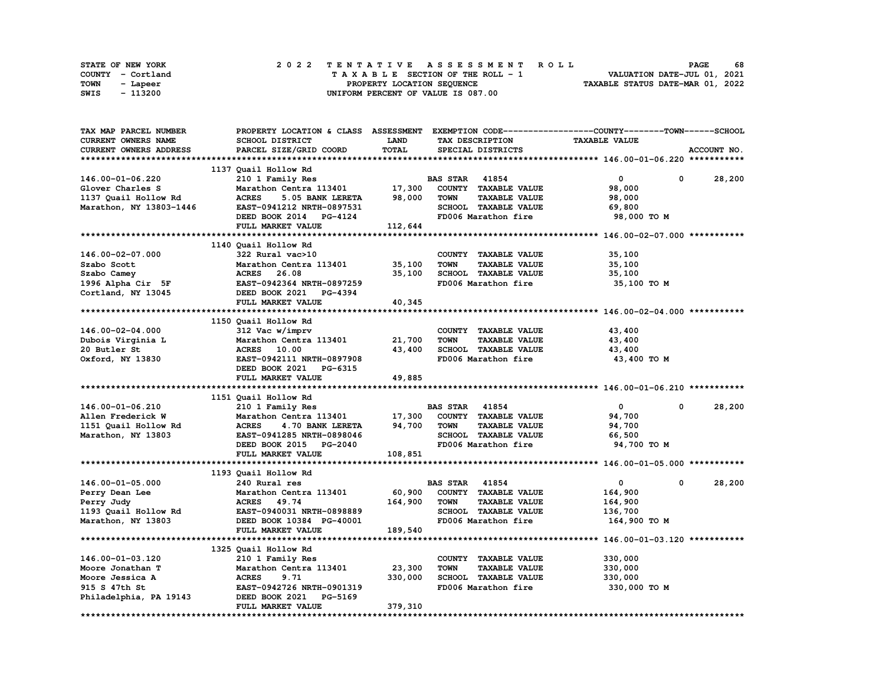| STATE OF NEW YORK | 2022 TENTATIVE ASSESSMENT ROLL     | 68<br><b>PAGE</b>                |
|-------------------|------------------------------------|----------------------------------|
| COUNTY - Cortland | TAXABLE SECTION OF THE ROLL - 1    | VALUATION DATE-JUL 01, 2021      |
| TOWN<br>- Lapeer  | PROPERTY LOCATION SEQUENCE         | TAXABLE STATUS DATE-MAR 01, 2022 |
| - 113200<br>SWIS  | UNIFORM PERCENT OF VALUE IS 087.00 |                                  |

| TAX MAP PARCEL NUMBER      | PROPERTY LOCATION & CLASS ASSESSMENT EXEMPTION CODE----------------COUNTY-------TOWN-----SCHOOL |              |                       |                      |                          |             |
|----------------------------|-------------------------------------------------------------------------------------------------|--------------|-----------------------|----------------------|--------------------------|-------------|
| <b>CURRENT OWNERS NAME</b> | <b>SCHOOL DISTRICT</b>                                                                          | <b>LAND</b>  |                       | TAX DESCRIPTION      | <b>TAXABLE VALUE</b>     |             |
| CURRENT OWNERS ADDRESS     | PARCEL SIZE/GRID COORD                                                                          | <b>TOTAL</b> |                       | SPECIAL DISTRICTS    |                          | ACCOUNT NO. |
|                            |                                                                                                 |              |                       |                      |                          |             |
|                            | 1137 Quail Hollow Rd                                                                            |              |                       |                      |                          |             |
| 146.00-01-06.220           | 210 1 Family Res                                                                                |              | <b>BAS STAR 41854</b> |                      | $\mathbf{0}$<br>0        | 28,200      |
| Glover Charles S           | Marathon Centra 113401                                                                          | 17,300       |                       | COUNTY TAXABLE VALUE | 98,000                   |             |
| 1137 Quail Hollow Rd       | <b>ACRES</b><br>5.05 BANK LERETA                                                                | 98,000       | <b>TOWN</b>           | <b>TAXABLE VALUE</b> | 98,000                   |             |
| Marathon, NY 13803-1446    | EAST-0941212 NRTH-0897531                                                                       |              |                       | SCHOOL TAXABLE VALUE | 69,800                   |             |
|                            | DEED BOOK 2014 PG-4124                                                                          |              |                       | FD006 Marathon fire  | 98,000 TO M              |             |
|                            | FULL MARKET VALUE                                                                               | 112,644      |                       |                      |                          |             |
|                            |                                                                                                 |              |                       |                      |                          |             |
|                            | 1140 Quail Hollow Rd                                                                            |              |                       |                      |                          |             |
| 146.00-02-07.000           | 322 Rural vac>10                                                                                |              |                       | COUNTY TAXABLE VALUE | 35,100                   |             |
| Szabo Scott                | Marathon Centra 113401                                                                          | 35,100       | <b>TOWN</b>           | <b>TAXABLE VALUE</b> | 35,100                   |             |
| Szabo Camey                | ACRES 26.08                                                                                     | 35,100       |                       | SCHOOL TAXABLE VALUE | 35,100                   |             |
| 1996 Alpha Cir 5F          | EAST-0942364 NRTH-0897259                                                                       |              |                       | FD006 Marathon fire  | 35,100 TO M              |             |
|                            | DEED BOOK 2021 PG-4394                                                                          |              |                       |                      |                          |             |
| Cortland, NY 13045         |                                                                                                 |              |                       |                      |                          |             |
|                            | FULL MARKET VALUE                                                                               | 40,345       |                       |                      |                          |             |
|                            |                                                                                                 |              |                       |                      |                          |             |
|                            | 1150 Quail Hollow Rd                                                                            |              |                       |                      |                          |             |
| 146.00-02-04.000           | 312 Vac w/imprv                                                                                 |              |                       | COUNTY TAXABLE VALUE | 43,400                   |             |
| Dubois Virginia L          | Marathon Centra 113401                                                                          | 21,700       | <b>TOWN</b>           | <b>TAXABLE VALUE</b> | 43,400                   |             |
| 20 Butler St               | ACRES 10.00                                                                                     | 43,400       |                       | SCHOOL TAXABLE VALUE | 43,400                   |             |
| Oxford, NY 13830           | EAST-0942111 NRTH-0897908                                                                       |              |                       | FD006 Marathon fire  | 43,400 TO M              |             |
|                            | DEED BOOK 2021 PG-6315                                                                          |              |                       |                      |                          |             |
|                            | FULL MARKET VALUE                                                                               | 49,885       |                       |                      |                          |             |
|                            |                                                                                                 |              |                       |                      |                          |             |
|                            | 1151 Quail Hollow Rd                                                                            |              |                       |                      |                          |             |
| 146.00-01-06.210           | 210 1 Family Res                                                                                |              | <b>BAS STAR 41854</b> |                      | $\bullet$<br>$\mathbf 0$ | 28,200      |
|                            |                                                                                                 |              |                       |                      |                          |             |
| Allen Frederick W          | Marathon Centra 113401                                                                          | 17,300       |                       | COUNTY TAXABLE VALUE | 94,700                   |             |
| 1151 Quail Hollow Rd       | <b>ACRES</b><br>4.70 BANK LERETA                                                                | 94,700       | <b>TOWN</b>           | <b>TAXABLE VALUE</b> | 94,700                   |             |
| Marathon, NY 13803         | EAST-0941285 NRTH-0898046                                                                       |              |                       | SCHOOL TAXABLE VALUE | 66,500                   |             |
|                            | DEED BOOK 2015 PG-2040                                                                          |              |                       | FD006 Marathon fire  | 94,700 TO M              |             |
|                            | FULL MARKET VALUE                                                                               | 108,851      |                       |                      |                          |             |
|                            |                                                                                                 |              |                       |                      |                          |             |
|                            | 1193 Quail Hollow Rd                                                                            |              |                       |                      |                          |             |
| 146.00-01-05.000           | 240 Rural res                                                                                   |              | <b>BAS STAR 41854</b> |                      | $\mathbf{0}$<br>0        | 28,200      |
| Perry Dean Lee             | Marathon Centra 113401                                                                          | 60,900       |                       | COUNTY TAXABLE VALUE | 164,900                  |             |
| Perry Judy                 | ACRES 49.74                                                                                     | 164,900      | <b>TOWN</b>           | <b>TAXABLE VALUE</b> | 164,900                  |             |
| 1193 Quail Hollow Rd       | EAST-0940031 NRTH-0898889                                                                       |              |                       | SCHOOL TAXABLE VALUE | 136,700                  |             |
|                            |                                                                                                 |              |                       | FD006 Marathon fire  |                          |             |
| Marathon, NY 13803         | DEED BOOK 10384 PG-40001<br>FULL MARKET VALUE                                                   | 189,540      |                       |                      | 164,900 TO M             |             |
|                            |                                                                                                 |              |                       |                      |                          |             |
|                            |                                                                                                 |              |                       |                      |                          |             |
|                            | 1325 Quail Hollow Rd                                                                            |              |                       |                      |                          |             |
| 146.00-01-03.120           | 210 1 Family Res                                                                                |              |                       | COUNTY TAXABLE VALUE | 330,000                  |             |
| Moore Jonathan T           | Marathon Centra 113401                                                                          | 23,300       | <b>TOWN</b>           | <b>TAXABLE VALUE</b> | 330,000                  |             |
| Moore Jessica A            | <b>ACRES</b><br>9.71                                                                            | 330,000      |                       | SCHOOL TAXABLE VALUE | 330,000                  |             |
| 915 S 47th St              | EAST-0942726 NRTH-0901319                                                                       |              |                       | FD006 Marathon fire  | 330,000 TO M             |             |
| Philadelphia, PA 19143     | DEED BOOK 2021<br>PG-5169<br>FULL MARKET VALUE                                                  | 379,310      |                       |                      |                          |             |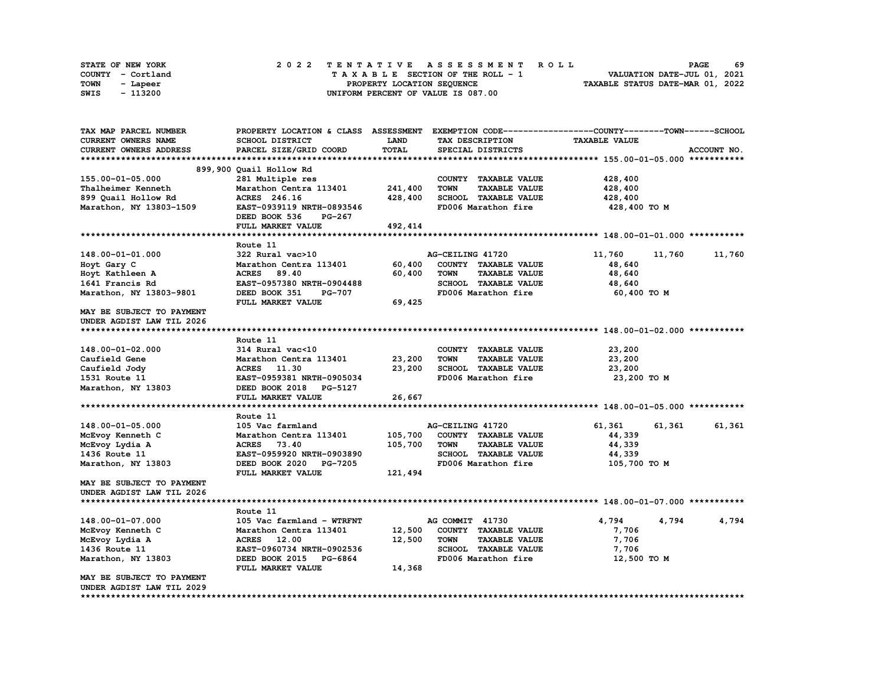|      | STATE OF NEW YORK |  | 2022 TENTATIVE ASSESSMENT ROLL     | 69<br><b>PAGE</b>                |
|------|-------------------|--|------------------------------------|----------------------------------|
|      | COUNTY - Cortland |  | TAXABLE SECTION OF THE ROLL - 1    | VALUATION DATE-JUL 01, 2021      |
| TOWN | - Lapeer          |  | PROPERTY LOCATION SEQUENCE         | TAXABLE STATUS DATE-MAR 01, 2022 |
| SWIS | - 113200          |  | UNIFORM PERCENT OF VALUE IS 087.00 |                                  |

| TAX MAP PARCEL NUMBER     | PROPERTY LOCATION & CLASS ASSESSMENT     |         |                  |                      | EXEMPTION CODE-----------------COUNTY-------TOWN------SCHOOL |        |             |
|---------------------------|------------------------------------------|---------|------------------|----------------------|--------------------------------------------------------------|--------|-------------|
| CURRENT OWNERS NAME       | SCHOOL DISTRICT                          | LAND    | TAX DESCRIPTION  |                      | <b>TAXABLE VALUE</b>                                         |        |             |
| CURRENT OWNERS ADDRESS    | PARCEL SIZE/GRID COORD                   | TOTAL   |                  | SPECIAL DISTRICTS    |                                                              |        | ACCOUNT NO. |
|                           |                                          |         |                  |                      |                                                              |        |             |
|                           | 899,900 Quail Hollow Rd                  |         |                  |                      |                                                              |        |             |
| 155.00-01-05.000          | 281 Multiple res                         |         |                  | COUNTY TAXABLE VALUE | 428,400                                                      |        |             |
| Thalheimer Kenneth        | Marathon Centra 113401                   | 241,400 | <b>TOWN</b>      | <b>TAXABLE VALUE</b> | 428,400                                                      |        |             |
| 899 Quail Hollow Rd       | ACRES 246.16                             | 428,400 |                  | SCHOOL TAXABLE VALUE | 428,400                                                      |        |             |
| Marathon, NY 13803-1509   | EAST-0939119 NRTH-0893546                |         |                  | FD006 Marathon fire  | 428,400 TO M                                                 |        |             |
|                           | DEED BOOK 536<br>PG-267                  |         |                  |                      |                                                              |        |             |
|                           | FULL MARKET VALUE                        | 492,414 |                  |                      |                                                              |        |             |
|                           |                                          |         |                  |                      |                                                              |        |             |
|                           | Route 11                                 |         |                  |                      |                                                              |        |             |
| 148.00-01-01.000          | 322 Rural vac>10                         |         | AG-CEILING 41720 |                      | 11,760                                                       | 11,760 | 11,760      |
| Hoyt Gary C               | Marathon Centra 113401                   | 60,400  |                  | COUNTY TAXABLE VALUE | 48,640                                                       |        |             |
| Hoyt Kathleen A           | ACRES 89.40                              | 60,400  | <b>TOWN</b>      | <b>TAXABLE VALUE</b> | 48,640                                                       |        |             |
| 1641 Francis Rd           | EAST-0957380 NRTH-0904488                |         |                  | SCHOOL TAXABLE VALUE | 48,640                                                       |        |             |
| Marathon, NY 13803-9801   | DEED BOOK 351<br><b>PG-707</b>           |         |                  | FD006 Marathon fire  | 60,400 TO M                                                  |        |             |
|                           | FULL MARKET VALUE                        | 69,425  |                  |                      |                                                              |        |             |
| MAY BE SUBJECT TO PAYMENT |                                          |         |                  |                      |                                                              |        |             |
| UNDER AGDIST LAW TIL 2026 |                                          |         |                  |                      |                                                              |        |             |
|                           |                                          |         |                  |                      |                                                              |        |             |
|                           | Route 11                                 |         |                  |                      |                                                              |        |             |
| 148.00-01-02.000          | 314 Rural vac<10                         |         |                  | COUNTY TAXABLE VALUE | 23,200                                                       |        |             |
| Caufield Gene             | Marathon Centra 113401                   | 23,200  | <b>TOWN</b>      | <b>TAXABLE VALUE</b> | 23,200                                                       |        |             |
| Caufield Jody             | ACRES 11.30                              | 23,200  |                  | SCHOOL TAXABLE VALUE | 23,200                                                       |        |             |
| 1531 Route 11             | EAST-0959381 NRTH-0905034                |         |                  | FD006 Marathon fire  | 23,200 TO M                                                  |        |             |
| Marathon, NY 13803        | DEED BOOK 2018 PG-5127                   |         |                  |                      |                                                              |        |             |
|                           | FULL MARKET VALUE                        |         |                  |                      |                                                              |        |             |
|                           |                                          | 26,667  |                  |                      |                                                              |        |             |
|                           | Route 11                                 |         |                  |                      |                                                              |        |             |
| 148.00-01-05.000          | 105 Vac farmland                         |         | AG-CEILING 41720 |                      | 61,361                                                       | 61,361 | 61,361      |
| McEvoy Kenneth C          | Marathon Centra 113401                   | 105,700 |                  | COUNTY TAXABLE VALUE | 44,339                                                       |        |             |
|                           |                                          |         | <b>TOWN</b>      | <b>TAXABLE VALUE</b> |                                                              |        |             |
| McEvoy Lydia A            | ACRES 73.40<br>EAST-0959920 NRTH-0903890 | 105,700 |                  | SCHOOL TAXABLE VALUE | 44,339                                                       |        |             |
| 1436 Route 11             |                                          |         |                  |                      | 44,339                                                       |        |             |
| Marathon, NY 13803        | DEED BOOK 2020<br><b>PG-7205</b>         |         |                  | FD006 Marathon fire  | 105,700 TO M                                                 |        |             |
|                           | FULL MARKET VALUE                        | 121,494 |                  |                      |                                                              |        |             |
| MAY BE SUBJECT TO PAYMENT |                                          |         |                  |                      |                                                              |        |             |
| UNDER AGDIST LAW TIL 2026 |                                          |         |                  |                      |                                                              |        |             |
|                           |                                          |         |                  |                      |                                                              |        |             |
|                           | Route 11                                 |         |                  |                      |                                                              |        |             |
| 148.00-01-07.000          | 105 Vac farmland - WTRFNT                |         | AG COMMIT 41730  |                      | 4,794                                                        | 4,794  | 4,794       |
| McEvoy Kenneth C          | Marathon Centra 113401                   | 12,500  |                  | COUNTY TAXABLE VALUE | 7,706                                                        |        |             |
| McEvoy Lydia A            | ACRES 12.00                              | 12,500  | <b>TOWN</b>      | <b>TAXABLE VALUE</b> | 7,706                                                        |        |             |
| 1436 Route 11             | EAST-0960734 NRTH-0902536                |         |                  | SCHOOL TAXABLE VALUE | 7,706                                                        |        |             |
| Marathon, NY 13803        | DEED BOOK 2015 PG-6864                   |         |                  | FD006 Marathon fire  | 12,500 TO M                                                  |        |             |
|                           | FULL MARKET VALUE                        | 14,368  |                  |                      |                                                              |        |             |
| MAY BE SUBJECT TO PAYMENT |                                          |         |                  |                      |                                                              |        |             |
| UNDER AGDIST LAW TIL 2029 |                                          |         |                  |                      |                                                              |        |             |
|                           |                                          |         |                  |                      |                                                              |        |             |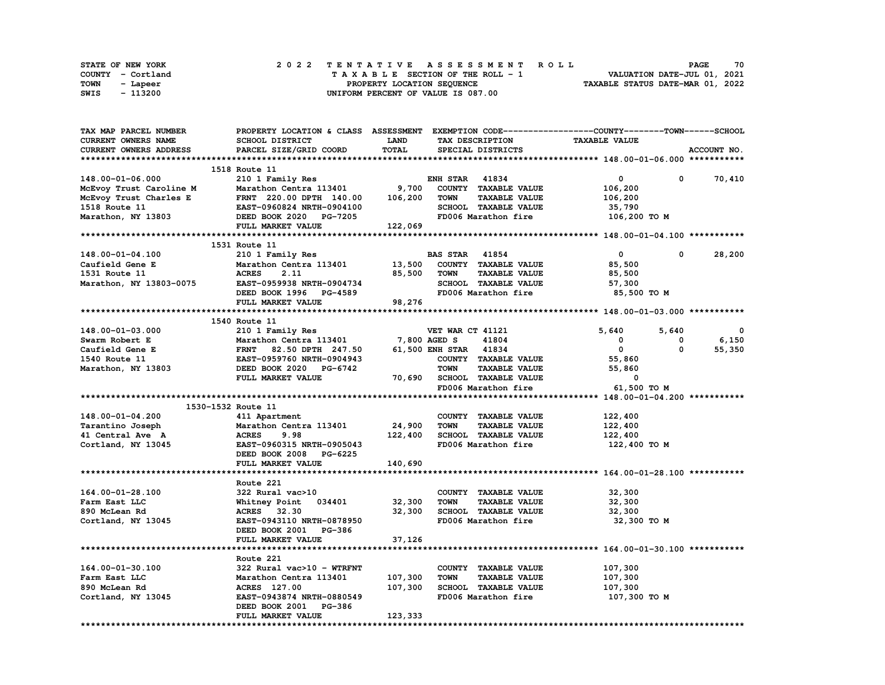|      | STATE OF NEW YORK |  | 2022 TENTATIVE ASSESSMENT ROLL     | 70<br><b>PAGE</b>                |
|------|-------------------|--|------------------------------------|----------------------------------|
|      | COUNTY - Cortland |  | TAXABLE SECTION OF THE ROLL - 1    | VALUATION DATE-JUL 01, 2021      |
| TOWN | - Lapeer          |  | PROPERTY LOCATION SEQUENCE         | TAXABLE STATUS DATE-MAR 01, 2022 |
| SWIS | - 113200          |  | UNIFORM PERCENT OF VALUE IS 087.00 |                                  |

| <b>TAX MAP PARCEL NUMBER</b>                      | PROPERTY LOCATION & CLASS ASSESSMENT EXEMPTION CODE----------------COUNTY-------TOWN-----SCHOOL                  |                            |                       |                              |                      |              |              |
|---------------------------------------------------|------------------------------------------------------------------------------------------------------------------|----------------------------|-----------------------|------------------------------|----------------------|--------------|--------------|
| <b>CURRENT OWNERS NAME</b>                        | SCHOOL DISTRICT                                                                                                  | LAND                       |                       | TAX DESCRIPTION              | <b>TAXABLE VALUE</b> |              |              |
| <b>CURRENT OWNERS ADDRESS</b>                     | PARCEL SIZE/GRID COORD                                                                                           | TOTAL                      |                       | SPECIAL DISTRICTS            |                      |              | ACCOUNT NO.  |
|                                                   |                                                                                                                  |                            |                       |                              |                      |              |              |
|                                                   | 1518 Route 11                                                                                                    |                            |                       |                              |                      |              |              |
| 148.00-01-06.000                                  | 210 1 Family Res                                                                                                 |                            | <b>ENH STAR 41834</b> |                              | $\mathbf{0}$         | $\mathbf{0}$ | 70,410       |
|                                                   | Marathon Centra 113401                                                                                           | 9,700                      |                       | COUNTY TAXABLE VALUE         | 106,200              |              |              |
| McEvoy Trust Caroline M<br>McEvoy Trust Charles E | FRNT 220.00 DPTH 140.00                                                                                          | 106,200                    | TOWN                  | <b>TAXABLE VALUE</b>         | 106,200              |              |              |
| 1518 Route 11                                     | <b>EAST-0960824 NRTH-0904100</b>                                                                                 |                            |                       | SCHOOL TAXABLE VALUE         | 35,790               |              |              |
| Marathon, NY 13803                                | DEED BOOK 2020 PG-7205                                                                                           |                            |                       | FD006 Marathon fire          | 106,200 TO M         |              |              |
|                                                   | <b>FULL MARKET VALUE</b>                                                                                         | 12 <sup>o</sup><br>122,069 |                       |                              |                      |              |              |
|                                                   |                                                                                                                  |                            |                       |                              |                      |              |              |
|                                                   | 1531 Route 11                                                                                                    |                            |                       |                              |                      |              |              |
| 148.00-01-04.100                                  | 210 1 Family Res                                                                                                 |                            | <b>BAS STAR 41854</b> |                              | $\mathbf{0}$         | $^{\circ}$   | 28,200       |
| Caufield Gene E                                   | Marathon Centra 113401 13,500                                                                                    |                            |                       | COUNTY TAXABLE VALUE         | 85,500               |              |              |
| 1531 Route 11                                     | <b>ACRES</b><br>2.11                                                                                             | 85,500                     | <b>TOWN</b>           | <b>TAXABLE VALUE</b>         | 85,500               |              |              |
| Marathon, NY 13803-0075 EAST-0959938 NRTH-0904734 |                                                                                                                  |                            |                       | SCHOOL TAXABLE VALUE         | 57,300               |              |              |
|                                                   | DEED BOOK 1996 PG-4589                                                                                           |                            |                       | FD006 Marathon fire          | 85,500 TO M          |              |              |
|                                                   | FULL MARKET VALUE                                                                                                | 98,276                     |                       |                              |                      |              |              |
|                                                   |                                                                                                                  |                            |                       |                              |                      |              |              |
|                                                   | 1540 Route 11                                                                                                    |                            |                       |                              |                      |              |              |
| 148.00-01-03.000                                  | 210 1 Family Res                                                                                                 |                            | VET WAR CT 41121      |                              | 5,640                | 5,640        | $\mathbf{0}$ |
| Swarm Robert E                                    |                                                                                                                  | 7,800 AGED S               |                       | 41804                        | $^{\circ}$           | 0            | 6,150        |
| Caufield Gene E                                   | <b>Marathon Centra 113401<br/>FRNT 82.50 DPTH 247.50<br/>EAST-0959760 NRTH-0904943</b><br>FRNT 82.50 DPTH 247.50 |                            | 61,500 ENH STAR 41834 |                              | $\mathbf{0}$         | $\mathbf{0}$ | 55,350       |
| 1540 Route 11                                     |                                                                                                                  |                            |                       | COUNTY TAXABLE VALUE         | 55,860               |              |              |
| Marathon, NY 13803                                | DEED BOOK 2020 PG-6742                                                                                           |                            | <b>TOWN</b>           | <b>TAXABLE VALUE</b>         | 55,860               |              |              |
|                                                   | FULL MARKET VALUE                                                                                                |                            |                       | 70,690 SCHOOL TAXABLE VALUE  | $\mathbf 0$          |              |              |
|                                                   |                                                                                                                  |                            |                       | FD006 Marathon fire          | 61,500 TO M          |              |              |
|                                                   |                                                                                                                  |                            |                       |                              |                      |              |              |
| 1530-1532 Route 11                                |                                                                                                                  |                            |                       |                              |                      |              |              |
| 148.00-01-04.200                                  | 411 Apartment                                                                                                    |                            |                       | COUNTY TAXABLE VALUE         | 122,400              |              |              |
| Tarantino Joseph                                  | Marathon Centra 113401                                                                                           | 24,900                     | TOWN                  | <b>TAXABLE VALUE</b>         | 122,400              |              |              |
| 41 Central Ave A                                  | 9.98<br><b>ACRES</b>                                                                                             |                            |                       | 122,400 SCHOOL TAXABLE VALUE | 122,400              |              |              |
| Cortland, NY 13045                                | EAST-0960315 NRTH-0905043                                                                                        |                            |                       | FD006 Marathon fire          | 122,400 TO M         |              |              |
|                                                   | DEED BOOK 2008 PG-6225                                                                                           |                            |                       |                              |                      |              |              |
|                                                   | FULL MARKET VALUE                                                                                                | 140,690                    |                       |                              |                      |              |              |
|                                                   |                                                                                                                  |                            |                       |                              |                      |              |              |
|                                                   | Route 221                                                                                                        |                            |                       |                              |                      |              |              |
| 164.00-01-28.100                                  | 322 Rural vac>10                                                                                                 |                            |                       | COUNTY TAXABLE VALUE         | 32,300               |              |              |
| Farm East LLC                                     | Whitney Point 034401                                                                                             | 32,300                     | <b>TOWN</b>           | <b>TAXABLE VALUE</b>         | 32,300               |              |              |
|                                                   | ACRES 32.30                                                                                                      | 32,300                     |                       | SCHOOL TAXABLE VALUE         | 32,300               |              |              |
| 890 McLean Rd                                     |                                                                                                                  |                            |                       | FD006 Marathon fire          |                      |              |              |
| Cortland, NY 13045                                | EAST-0943110 NRTH-0878950                                                                                        |                            |                       |                              | 32,300 TO M          |              |              |
|                                                   | DEED BOOK 2001 PG-386                                                                                            | 37,126                     |                       |                              |                      |              |              |
|                                                   | FULL MARKET VALUE                                                                                                |                            |                       |                              |                      |              |              |
|                                                   | Route 221                                                                                                        |                            |                       |                              |                      |              |              |
| 164.00-01-30.100                                  | 322 Rural vac>10 - WTRFNT                                                                                        |                            |                       | COUNTY TAXABLE VALUE         | 107,300              |              |              |
| Farm East LLC                                     | Marathon Centra 113401                                                                                           | 107,300                    | <b>TOWN</b>           | <b>TAXABLE VALUE</b>         | 107,300              |              |              |
| 890 McLean Rd                                     | ACRES 127.00                                                                                                     | 107,300                    |                       | SCHOOL TAXABLE VALUE         | 107,300              |              |              |
| Cortland, NY 13045                                | EAST-0943874 NRTH-0880549                                                                                        |                            |                       | FD006 Marathon fire          | 107,300 то м         |              |              |
|                                                   |                                                                                                                  |                            |                       |                              |                      |              |              |
|                                                   | DEED BOOK 2001 PG-386                                                                                            |                            |                       |                              |                      |              |              |
|                                                   | FULL MARKET VALUE                                                                                                | 123,333                    |                       |                              |                      |              |              |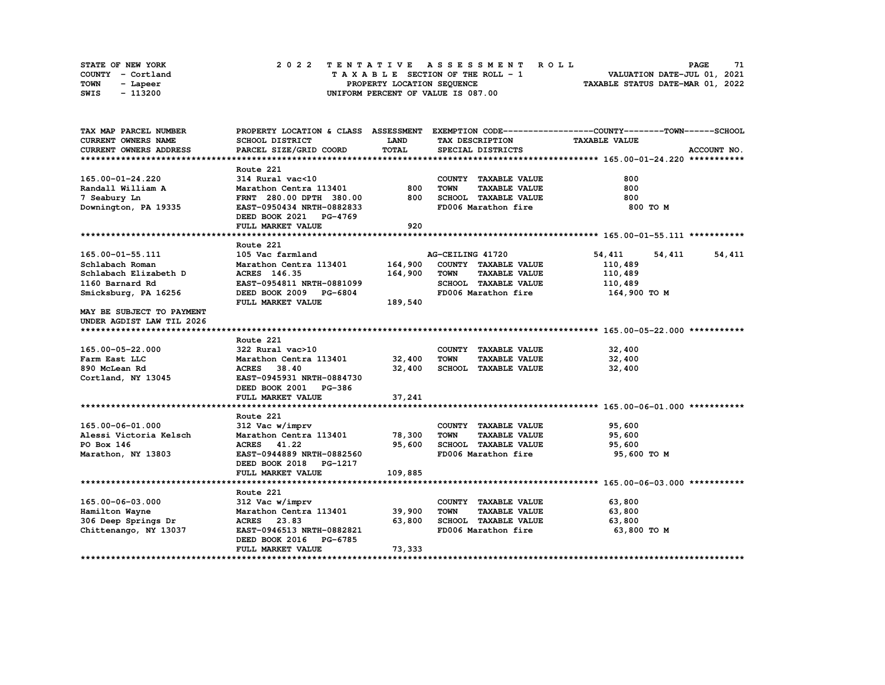| STATE OF NEW YORK | 2022 TENTATIVE ASSESSMENT ROLL     | 71<br><b>PAGE</b>                |
|-------------------|------------------------------------|----------------------------------|
| COUNTY - Cortland | TAXABLE SECTION OF THE ROLL - 1    | VALUATION DATE-JUL 01, 2021      |
| TOWN<br>- Lapeer  | PROPERTY LOCATION SEQUENCE         | TAXABLE STATUS DATE-MAR 01, 2022 |
| - 113200<br>SWIS  | UNIFORM PERCENT OF VALUE IS 087.00 |                                  |

| TAX MAP PARCEL NUMBER         | PROPERTY LOCATION & CLASS ASSESSMENT EXEMPTION CODE----------------COUNTY-------TOWN------SCHOOL |             |                  |                             |                      |        |             |
|-------------------------------|--------------------------------------------------------------------------------------------------|-------------|------------------|-----------------------------|----------------------|--------|-------------|
| CURRENT OWNERS NAME           | SCHOOL DISTRICT                                                                                  | <b>LAND</b> |                  | TAX DESCRIPTION             | <b>TAXABLE VALUE</b> |        |             |
| <b>CURRENT OWNERS ADDRESS</b> | PARCEL SIZE/GRID COORD                                                                           | TOTAL       |                  | SPECIAL DISTRICTS           |                      |        | ACCOUNT NO. |
|                               |                                                                                                  |             |                  |                             |                      |        |             |
|                               | Route 221                                                                                        |             |                  |                             |                      |        |             |
| 165.00-01-24.220              | 314 Rural vac<10                                                                                 |             |                  | COUNTY TAXABLE VALUE        | 800                  |        |             |
| Randall William A             | Marathon Centra 113401                                                                           | 800         | <b>TOWN</b>      | <b>TAXABLE VALUE</b>        | 800                  |        |             |
| 7 Seabury Ln                  | FRNT 280.00 DPTH 380.00                                                                          | 800         |                  | SCHOOL TAXABLE VALUE        | 800                  |        |             |
| Downington, PA 19335          | EAST-0950434 NRTH-0882833                                                                        |             |                  | FD006 Marathon fire         | 800 TO M             |        |             |
|                               | DEED BOOK 2021 PG-4769                                                                           |             |                  |                             |                      |        |             |
|                               | FULL MARKET VALUE                                                                                | 920         |                  |                             |                      |        |             |
|                               |                                                                                                  |             |                  |                             |                      |        |             |
|                               | Route 221                                                                                        |             |                  |                             |                      |        |             |
| 165.00-01-55.111              | 105 Vac farmland                                                                                 |             | AG-CEILING 41720 |                             | 54,411               | 54,411 | 54,411      |
| Schlabach Roman               | Marathon Centra 113401                                                                           | 164,900     |                  | COUNTY TAXABLE VALUE        | 110,489              |        |             |
| Schlabach Elizabeth D         | ACRES 146.35                                                                                     | 164,900     | <b>TOWN</b>      | <b>TAXABLE VALUE</b>        | 110,489              |        |             |
| 1160 Barnard Rd               | EAST-0954811 NRTH-0881099                                                                        |             |                  | SCHOOL TAXABLE VALUE        | 110,489              |        |             |
| Smicksburg, PA 16256          | DEED BOOK 2009 PG-6804                                                                           |             |                  | FD006 Marathon fire         | 164,900 то м         |        |             |
|                               | FULL MARKET VALUE                                                                                | 189,540     |                  |                             |                      |        |             |
| MAY BE SUBJECT TO PAYMENT     |                                                                                                  |             |                  |                             |                      |        |             |
| UNDER AGDIST LAW TIL 2026     |                                                                                                  |             |                  |                             |                      |        |             |
|                               |                                                                                                  |             |                  |                             |                      |        |             |
|                               | Route 221                                                                                        |             |                  |                             |                      |        |             |
| 165.00-05-22.000              | 322 Rural vac>10                                                                                 |             |                  | COUNTY TAXABLE VALUE        | 32,400               |        |             |
| Farm East LLC                 | Marathon Centra 113401                                                                           | 32,400      | <b>TOWN</b>      | <b>TAXABLE VALUE</b>        | 32,400               |        |             |
| 890 McLean Rd                 | ACRES 38.40                                                                                      |             |                  | 32,400 SCHOOL TAXABLE VALUE | 32,400               |        |             |
| Cortland, NY 13045            | EAST-0945931 NRTH-0884730                                                                        |             |                  |                             |                      |        |             |
|                               | DEED BOOK 2001 PG-386                                                                            |             |                  |                             |                      |        |             |
|                               | FULL MARKET VALUE                                                                                | 37,241      |                  |                             |                      |        |             |
|                               |                                                                                                  |             |                  |                             |                      |        |             |
|                               | Route 221                                                                                        |             |                  |                             |                      |        |             |
| 165.00-06-01.000              | 312 Vac w/imprv                                                                                  |             |                  | COUNTY TAXABLE VALUE        | 95,600               |        |             |
| Alessi Victoria Kelsch        | Marathon Centra 113401 78,300                                                                    |             | <b>TOWN</b>      | <b>TAXABLE VALUE</b>        | 95,600               |        |             |
| PO Box 146                    | ACRES 41.22                                                                                      | 95,600      |                  | SCHOOL TAXABLE VALUE        | 95,600               |        |             |
| Marathon, NY 13803            | EAST-0944889 NRTH-0882560                                                                        |             |                  | FD006 Marathon fire         | 95,600 TO M          |        |             |
|                               | DEED BOOK 2018 PG-1217                                                                           |             |                  |                             |                      |        |             |
|                               | FULL MARKET VALUE                                                                                | 109,885     |                  |                             |                      |        |             |
|                               |                                                                                                  |             |                  |                             |                      |        |             |
|                               | Route 221                                                                                        |             |                  |                             |                      |        |             |
| 165.00-06-03.000              | 312 Vac w/imprv                                                                                  |             |                  | COUNTY TAXABLE VALUE        | 63,800               |        |             |
| Hamilton Wayne                | Marathon Centra 113401                                                                           | 39,900      | <b>TOWN</b>      | <b>TAXABLE VALUE</b>        | 63,800               |        |             |
| 306 Deep Springs Dr           | ACRES 23.83                                                                                      | 63,800      |                  | SCHOOL TAXABLE VALUE        | 63,800               |        |             |
| Chittenango, NY 13037         | EAST-0946513 NRTH-0882821                                                                        |             |                  | FD006 Marathon fire         | 63,800 то м          |        |             |
|                               | DEED BOOK 2016 PG-6785                                                                           |             |                  |                             |                      |        |             |
|                               | FULL MARKET VALUE                                                                                | 73,333      |                  |                             |                      |        |             |
|                               |                                                                                                  |             |                  |                             |                      |        |             |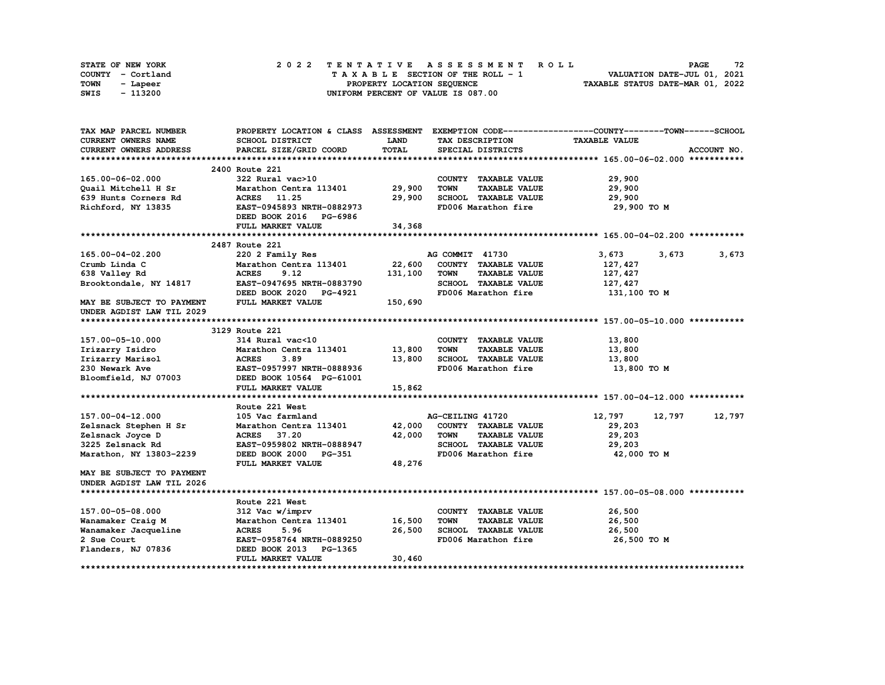| <b>STATE OF NEW YORK</b> |                   | 2022 TENTATIVE ASSESSMENT ROLL          | 72<br><b>PAGE</b>                |
|--------------------------|-------------------|-----------------------------------------|----------------------------------|
|                          | COUNTY - Cortland | $T A X A B L E$ SECTION OF THE ROLL - 1 | VALUATION DATE-JUL 01, 2021      |
| TOWN                     | - Lapeer          | PROPERTY LOCATION SEQUENCE              | TAXABLE STATUS DATE-MAR 01, 2022 |
| SWIS                     | - 113200          | UNIFORM PERCENT OF VALUE IS 087.00      |                                  |

| TAX MAP PARCEL NUMBER               |                           |              |                                     | PROPERTY LOCATION & CLASS ASSESSMENT EXEMPTION CODE----------------COUNTY-------TOWN-----SCHOOL |             |
|-------------------------------------|---------------------------|--------------|-------------------------------------|-------------------------------------------------------------------------------------------------|-------------|
| <b>CURRENT OWNERS NAME</b>          | <b>SCHOOL DISTRICT</b>    | <b>LAND</b>  | TAX DESCRIPTION                     | <b>TAXABLE VALUE</b>                                                                            |             |
| CURRENT OWNERS ADDRESS              | PARCEL SIZE/GRID COORD    | <b>TOTAL</b> | SPECIAL DISTRICTS                   |                                                                                                 | ACCOUNT NO. |
|                                     |                           |              |                                     |                                                                                                 |             |
|                                     | 2400 Route 221            |              |                                     |                                                                                                 |             |
| 165.00-06-02.000                    | 322 Rural vac>10          |              | COUNTY TAXABLE VALUE                | 29,900                                                                                          |             |
| Quail Mitchell H Sr                 | Marathon Centra 113401    | 29,900       | <b>TOWN</b><br><b>TAXABLE VALUE</b> | 29,900                                                                                          |             |
| 639 Hunts Corners Rd                | ACRES 11.25               | 29,900       | SCHOOL TAXABLE VALUE                | 29,900                                                                                          |             |
| Richford, NY 13835                  | EAST-0945893 NRTH-0882973 |              | FD006 Marathon fire                 | 29,900 TO M                                                                                     |             |
|                                     | DEED BOOK 2016 PG-6986    |              |                                     |                                                                                                 |             |
|                                     | FULL MARKET VALUE         | 34,368       |                                     |                                                                                                 |             |
|                                     |                           |              |                                     |                                                                                                 |             |
|                                     | 2487 Route 221            |              |                                     |                                                                                                 |             |
| 165.00-04-02.200                    | 220 2 Family Res          |              | AG COMMIT 41730                     | 3,673<br>3,673                                                                                  | 3,673       |
| Crumb Linda C                       | Marathon Centra 113401    | 22,600       | COUNTY TAXABLE VALUE                | 127,427                                                                                         |             |
| 638 Valley Rd                       | <b>ACRES</b><br>9.12      | 131,100      | <b>TOWN</b><br><b>TAXABLE VALUE</b> | 127,427                                                                                         |             |
| Brooktondale, NY 14817              | EAST-0947695 NRTH-0883790 |              | SCHOOL TAXABLE VALUE                | 127,427                                                                                         |             |
|                                     | DEED BOOK 2020 PG-4921    |              | FD006 Marathon fire                 | 131,100 TO M                                                                                    |             |
| <b>MAY BE SUBJECT TO PAYMENT</b>    | FULL MARKET VALUE         | 150,690      |                                     |                                                                                                 |             |
| UNDER AGDIST LAW TIL 2029           |                           |              |                                     |                                                                                                 |             |
|                                     |                           |              |                                     |                                                                                                 |             |
|                                     | 3129 Route 221            |              |                                     |                                                                                                 |             |
| 157.00-05-10.000                    | 314 Rural vac<10          |              | COUNTY TAXABLE VALUE                | 13,800                                                                                          |             |
|                                     | Marathon Centra 113401    | 13,800       | TOWN<br><b>TAXABLE VALUE</b>        |                                                                                                 |             |
| Irizarry Isidro<br>Irizarry Marisol | <b>ACRES</b><br>3.89      | 13,800       | SCHOOL TAXABLE VALUE                | 13,800                                                                                          |             |
|                                     |                           |              | FD006 Marathon fire                 | 13,800                                                                                          |             |
| 230 Newark Ave                      | EAST-0957997 NRTH-0888936 |              |                                     | 13,800 TO M                                                                                     |             |
| Bloomfield, NJ 07003                | DEED BOOK 10564 PG-61001  |              |                                     |                                                                                                 |             |
|                                     | FULL MARKET VALUE         | 15,862       |                                     |                                                                                                 |             |
|                                     |                           |              |                                     |                                                                                                 |             |
|                                     | Route 221 West            |              |                                     |                                                                                                 |             |
| 157.00-04-12.000                    | 105 Vac farmland          |              | AG-CEILING 41720                    | 12,797<br>12,797                                                                                | 12,797      |
| Zelsnack Stephen H Sr               | Marathon Centra 113401    | 42,000       | COUNTY TAXABLE VALUE                | 29,203                                                                                          |             |
| Zelsnack Joyce D                    | ACRES 37.20               | 42,000       | <b>TOWN</b><br><b>TAXABLE VALUE</b> | 29,203                                                                                          |             |
| 3225 Zelsnack Rd                    | EAST-0959802 NRTH-0888947 |              | SCHOOL TAXABLE VALUE                | 29,203                                                                                          |             |
| Marathon, NY 13803-2239             | DEED BOOK 2000 PG-351     |              | FD006 Marathon fire                 | 42,000 TO M                                                                                     |             |
|                                     | FULL MARKET VALUE         | 48,276       |                                     |                                                                                                 |             |
| <b>MAY BE SUBJECT TO PAYMENT</b>    |                           |              |                                     |                                                                                                 |             |
| UNDER AGDIST LAW TIL 2026           |                           |              |                                     |                                                                                                 |             |
|                                     |                           |              |                                     |                                                                                                 |             |
|                                     | Route 221 West            |              |                                     |                                                                                                 |             |
| 157.00-05-08.000                    | 312 Vac w/imprv           |              | COUNTY TAXABLE VALUE                | 26,500                                                                                          |             |
| Wanamaker Craig M                   | Marathon Centra 113401    | 16,500       | <b>TAXABLE VALUE</b><br><b>TOWN</b> | 26,500                                                                                          |             |
| Wanamaker Jacqueline                | <b>ACRES</b><br>5.96      | 26,500       | SCHOOL TAXABLE VALUE                | 26,500                                                                                          |             |
| 2 Sue Court                         | EAST-0958764 NRTH-0889250 |              | FD006 Marathon fire                 | 26,500 TO M                                                                                     |             |
| Flanders, NJ 07836                  | DEED BOOK 2013<br>PG-1365 |              |                                     |                                                                                                 |             |
|                                     | FULL MARKET VALUE         | 30,460       |                                     |                                                                                                 |             |
|                                     |                           |              |                                     |                                                                                                 |             |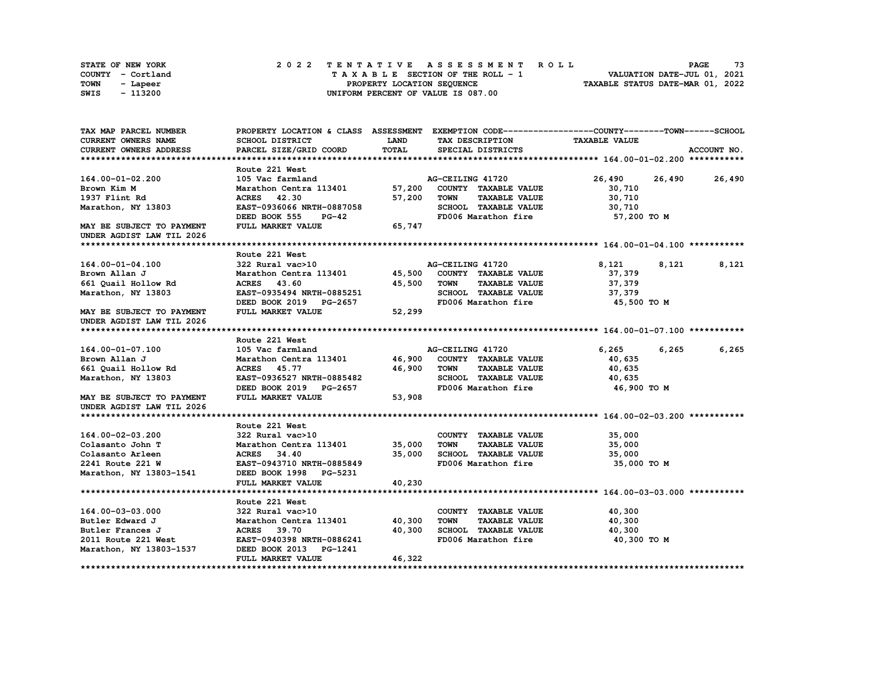| STATE OF NEW YORK | 2022 TENTATIVE ASSESSMENT ROLL     | 73<br>PAGE                       |
|-------------------|------------------------------------|----------------------------------|
| COUNTY - Cortland | TAXABLE SECTION OF THE ROLL - 1    | VALUATION DATE-JUL 01, 2021      |
| TOWN<br>- Lapeer  | PROPERTY LOCATION SEQUENCE         | TAXABLE STATUS DATE-MAR 01, 2022 |
| - 113200<br>SWIS  | UNIFORM PERCENT OF VALUE IS 087.00 |                                  |

| TAX MAP PARCEL NUMBER                                  |                               |             |                                     | PROPERTY LOCATION & CLASS ASSESSMENT EXEMPTION CODE----------------COUNTY-------TOWN-----SCHOOL |               |
|--------------------------------------------------------|-------------------------------|-------------|-------------------------------------|-------------------------------------------------------------------------------------------------|---------------|
| <b>CURRENT OWNERS NAME</b>                             | <b>SCHOOL DISTRICT</b>        | <b>LAND</b> | TAX DESCRIPTION                     | <b>TAXABLE VALUE</b>                                                                            |               |
| <b>CURRENT OWNERS ADDRESS</b>                          | PARCEL SIZE/GRID COORD        | TOTAL       | SPECIAL DISTRICTS                   |                                                                                                 | ACCOUNT NO.   |
|                                                        |                               |             |                                     |                                                                                                 |               |
|                                                        | Route 221 West                |             |                                     |                                                                                                 |               |
| 164.00-01-02.200                                       | 105 Vac farmland              |             | AG-CEILING 41720                    | 26,490                                                                                          | 26,490 26,490 |
| Brown Kim M                                            | Marathon Centra 113401        | 57,200      | COUNTY TAXABLE VALUE                | 30,710                                                                                          |               |
| 1937 Flint Rd                                          | ACRES 42.30                   | 57,200      | <b>TOWN</b><br><b>TAXABLE VALUE</b> | 30,710                                                                                          |               |
| Marathon, NY 13803                                     | EAST-0936066 NRTH-0887058     |             | SCHOOL TAXABLE VALUE                | 30,710                                                                                          |               |
|                                                        | DEED BOOK 555<br>PG-42        |             | FD006 Marathon fire                 | 57,200 TO M                                                                                     |               |
| MAY BE SUBJECT TO PAYMENT<br>UNDER AGDIST LAW TIL 2026 | FULL MARKET VALUE             | 65,747      |                                     |                                                                                                 |               |
|                                                        |                               |             |                                     |                                                                                                 |               |
|                                                        | Route 221 West                |             |                                     |                                                                                                 |               |
| 164.00-01-04.100                                       | 322 Rural vac>10              |             | AG-CEILING 41720                    | 8,121<br>8,121                                                                                  | 8,121         |
| Brown Allan J                                          | Marathon Centra 113401        | 45,500      | COUNTY TAXABLE VALUE                | 37,379                                                                                          |               |
| 661 Quail Hollow Rd                                    | ACRES 43.60                   | 45,500      | <b>TOWN</b><br><b>TAXABLE VALUE</b> | 37,379                                                                                          |               |
| Marathon, NY 13803                                     | EAST-0935494 NRTH-0885251     |             | SCHOOL TAXABLE VALUE                | 37,379                                                                                          |               |
|                                                        | DEED BOOK 2019 PG-2657        |             | FD006 Marathon fire                 | 45,500 TO M                                                                                     |               |
| MAY BE SUBJECT TO PAYMENT<br>UNDER AGDIST LAW TIL 2026 | FULL MARKET VALUE             | 52,299      |                                     |                                                                                                 |               |
|                                                        |                               |             |                                     |                                                                                                 |               |
|                                                        | Route 221 West                |             |                                     |                                                                                                 |               |
| 164.00-01-07.100                                       | 105 Vac farmland              |             | AG-CEILING 41720                    | 6,265<br>6,265                                                                                  | 6,265         |
| Brown Allan J                                          | Marathon Centra 113401 46,900 |             | COUNTY TAXABLE VALUE                | 40,635                                                                                          |               |
| 661 Quail Hollow Rd                                    | <b>ACRES</b> 45.77            | 46,900      | <b>TOWN</b><br><b>TAXABLE VALUE</b> | 40,635                                                                                          |               |
| Marathon, NY 13803                                     | EAST-0936527 NRTH-0885482     |             | SCHOOL TAXABLE VALUE                | 40,635                                                                                          |               |
|                                                        | DEED BOOK 2019 PG-2657        |             | FD006 Marathon fire                 | 46,900 то м                                                                                     |               |
| MAY BE SUBJECT TO PAYMENT                              | FULL MARKET VALUE             | 53,908      |                                     |                                                                                                 |               |
| UNDER AGDIST LAW TIL 2026                              |                               |             |                                     |                                                                                                 |               |
|                                                        |                               |             |                                     |                                                                                                 |               |
|                                                        | Route 221 West                |             |                                     |                                                                                                 |               |
| 164.00-02-03.200                                       | 322 Rural vac>10              |             | COUNTY TAXABLE VALUE                | 35,000                                                                                          |               |
| Colasanto John T                                       | Marathon Centra 113401        | 35,000      | <b>TOWN</b><br><b>TAXABLE VALUE</b> | 35,000                                                                                          |               |
| Colasanto Arleen                                       | ACRES 34.40                   | 35,000      | SCHOOL TAXABLE VALUE                | 35,000                                                                                          |               |
| 2241 Route 221 W                                       | EAST-0943710 NRTH-0885849     |             | FD006 Marathon fire                 | 35,000 TO M                                                                                     |               |
| Marathon, NY 13803-1541                                | DEED BOOK 1998 PG-5231        |             |                                     |                                                                                                 |               |
|                                                        | FULL MARKET VALUE             | 40,230      |                                     |                                                                                                 |               |
|                                                        |                               |             |                                     |                                                                                                 |               |
|                                                        | Route 221 West                |             |                                     |                                                                                                 |               |
| 164.00-03-03.000                                       | 322 Rural vac>10              |             | COUNTY TAXABLE VALUE                | 40,300                                                                                          |               |
| Butler Edward J                                        | Marathon Centra 113401 40,300 |             | <b>TOWN</b><br><b>TAXABLE VALUE</b> | 40,300                                                                                          |               |
| Butler Frances J                                       | ACRES 39.70                   | 40,300      | SCHOOL TAXABLE VALUE                | 40,300                                                                                          |               |
| 2011 Route 221 West                                    | EAST-0940398 NRTH-0886241     |             | FD006 Marathon fire                 | 40,300 TO M                                                                                     |               |
| Marathon, NY 13803-1537                                | DEED BOOK 2013 PG-1241        |             |                                     |                                                                                                 |               |
|                                                        | FULL MARKET VALUE             | 46,322      |                                     |                                                                                                 |               |
|                                                        |                               |             |                                     |                                                                                                 |               |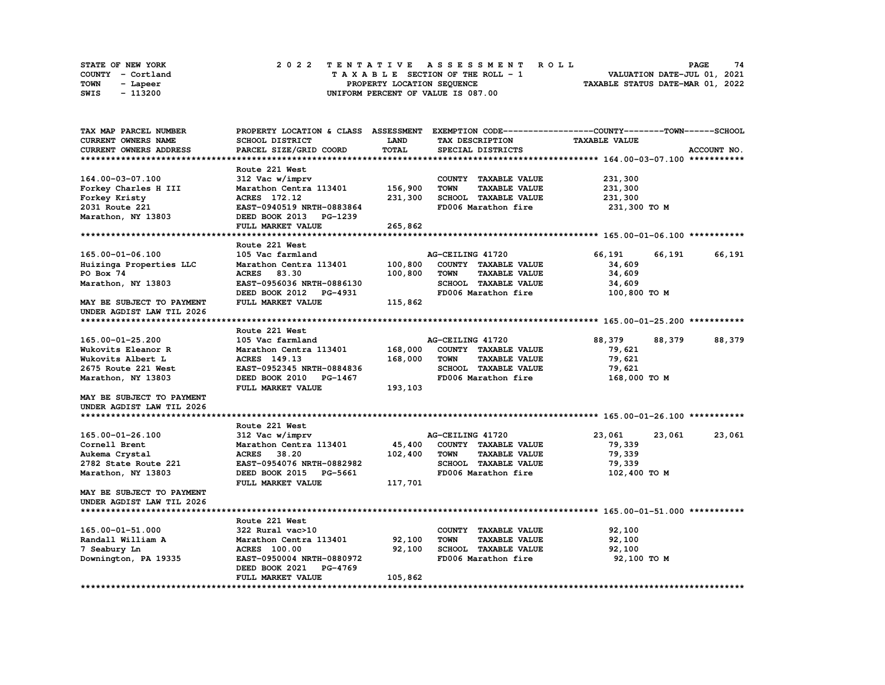| <b>STATE OF NEW YORK</b> |                   |  |  |  |  |  | 2022 TENTATIVE ASSESSMENT ROLL     |  |  |  |  |  |  |                                  | <b>PAGE</b>                 | 74 |
|--------------------------|-------------------|--|--|--|--|--|------------------------------------|--|--|--|--|--|--|----------------------------------|-----------------------------|----|
|                          | COUNTY - Cortland |  |  |  |  |  | TAXABLE SECTION OF THE ROLL - 1    |  |  |  |  |  |  |                                  | VALUATION DATE-JUL 01, 2021 |    |
| TOWN                     | - Lapeer          |  |  |  |  |  | PROPERTY LOCATION SEQUENCE         |  |  |  |  |  |  | TAXABLE STATUS DATE-MAR 01, 2022 |                             |    |
| SWIS                     | - 113200          |  |  |  |  |  | UNIFORM PERCENT OF VALUE IS 087.00 |  |  |  |  |  |  |                                  |                             |    |

| TAX MAP PARCEL NUMBER         | PROPERTY LOCATION & CLASS ASSESSMENT |             |                                     | EXEMPTION CODE-----------------COUNTY-------TOWN------SCHOOL |             |
|-------------------------------|--------------------------------------|-------------|-------------------------------------|--------------------------------------------------------------|-------------|
| <b>CURRENT OWNERS NAME</b>    | SCHOOL DISTRICT                      | <b>LAND</b> | TAX DESCRIPTION                     | <b>TAXABLE VALUE</b>                                         |             |
| <b>CURRENT OWNERS ADDRESS</b> | PARCEL SIZE/GRID COORD               | TOTAL       | SPECIAL DISTRICTS                   |                                                              | ACCOUNT NO. |
|                               |                                      |             |                                     |                                                              |             |
|                               | Route 221 West                       |             |                                     |                                                              |             |
| 164.00-03-07.100              | 312 Vac w/imprv                      |             | COUNTY TAXABLE VALUE                | 231,300                                                      |             |
| Forkey Charles H III          | Marathon Centra 113401               | 156,900     | <b>TOWN</b><br><b>TAXABLE VALUE</b> | 231,300                                                      |             |
| Forkey Kristy                 | ACRES 172.12                         | 231,300     | <b>SCHOOL TAXABLE VALUE</b>         | 231,300                                                      |             |
| 2031 Route 221                | EAST-0940519 NRTH-0883864            |             | FD006 Marathon fire                 | 231,300 TO M                                                 |             |
| Marathon, NY 13803            | DEED BOOK 2013<br>PG-1239            |             |                                     |                                                              |             |
|                               | FULL MARKET VALUE                    | 265,862     |                                     |                                                              |             |
|                               |                                      |             |                                     |                                                              |             |
|                               | Route 221 West                       |             |                                     |                                                              |             |
| 165.00-01-06.100              | 105 Vac farmland                     |             | AG-CEILING 41720                    | 66,191<br>66,191                                             | 66,191      |
| Huizinga Properties LLC       | Marathon Centra 113401               | 100,800     | COUNTY TAXABLE VALUE                | 34,609                                                       |             |
| PO Box 74                     | 83.30<br><b>ACRES</b>                |             | <b>TAXABLE VALUE</b><br><b>TOWN</b> |                                                              |             |
|                               |                                      | 100,800     |                                     | 34,609                                                       |             |
| Marathon, NY 13803            | EAST-0956036 NRTH-0886130            |             | SCHOOL TAXABLE VALUE                | 34,609                                                       |             |
|                               | DEED BOOK 2012 PG-4931               |             | FD006 Marathon fire                 | 100,800 TO M                                                 |             |
| MAY BE SUBJECT TO PAYMENT     | FULL MARKET VALUE                    | 115,862     |                                     |                                                              |             |
| UNDER AGDIST LAW TIL 2026     |                                      |             |                                     |                                                              |             |
|                               |                                      |             |                                     |                                                              |             |
|                               | Route 221 West                       |             |                                     |                                                              |             |
| 165.00-01-25.200              | 105 Vac farmland                     |             | AG-CEILING 41720                    | 88,379<br>88,379                                             | 88,379      |
| Wukovits Eleanor R            | Marathon Centra 113401               | 168,000     | COUNTY TAXABLE VALUE                | 79,621                                                       |             |
| Wukovits Albert L             | <b>ACRES</b> 149.13                  | 168,000     | <b>TOWN</b><br><b>TAXABLE VALUE</b> | 79,621                                                       |             |
| 2675 Route 221 West           | EAST-0952345 NRTH-0884836            |             | SCHOOL TAXABLE VALUE                | 79,621                                                       |             |
| Marathon, NY 13803            | DEED BOOK 2010 PG-1467               |             | FD006 Marathon fire                 | 168,000 TO M                                                 |             |
|                               | FULL MARKET VALUE                    | 193,103     |                                     |                                                              |             |
| MAY BE SUBJECT TO PAYMENT     |                                      |             |                                     |                                                              |             |
| UNDER AGDIST LAW TIL 2026     |                                      |             |                                     |                                                              |             |
|                               |                                      |             |                                     |                                                              |             |
|                               | Route 221 West                       |             |                                     |                                                              |             |
| 165.00-01-26.100              | 312 Vac w/imprv                      |             | AG-CEILING 41720                    | 23,061<br>23,061                                             | 23,061      |
| Cornell Brent                 | Marathon Centra 113401               | 45,400      | COUNTY TAXABLE VALUE                | 79,339                                                       |             |
| Aukema Crystal                | ACRES 38.20                          | 102,400     | <b>TOWN</b><br><b>TAXABLE VALUE</b> | 79,339                                                       |             |
| 2782 State Route 221          | EAST-0954076 NRTH-0882982            |             | SCHOOL TAXABLE VALUE                | 79,339                                                       |             |
| Marathon, NY 13803            | DEED BOOK 2015 PG-5661               |             | FD006 Marathon fire                 | 102,400 TO M                                                 |             |
|                               | FULL MARKET VALUE                    | 117,701     |                                     |                                                              |             |
| MAY BE SUBJECT TO PAYMENT     |                                      |             |                                     |                                                              |             |
| UNDER AGDIST LAW TIL 2026     |                                      |             |                                     |                                                              |             |
|                               |                                      |             |                                     |                                                              |             |
|                               | Route 221 West                       |             |                                     |                                                              |             |
| 165.00-01-51.000              | 322 Rural vac>10                     |             | COUNTY TAXABLE VALUE                | 92,100                                                       |             |
| Randall William A             | Marathon Centra 113401               | 92,100      | <b>TAXABLE VALUE</b><br><b>TOWN</b> | 92,100                                                       |             |
| 7 Seabury Ln                  | <b>ACRES</b> 100.00                  | 92,100      | SCHOOL TAXABLE VALUE                | 92,100                                                       |             |
| Downington, PA 19335          | EAST-0950004 NRTH-0880972            |             | FD006 Marathon fire                 | 92,100 TO M                                                  |             |
|                               | DEED BOOK 2021<br><b>PG-4769</b>     |             |                                     |                                                              |             |
|                               | FULL MARKET VALUE                    | 105,862     |                                     |                                                              |             |
|                               |                                      |             |                                     |                                                              |             |
|                               |                                      |             |                                     |                                                              |             |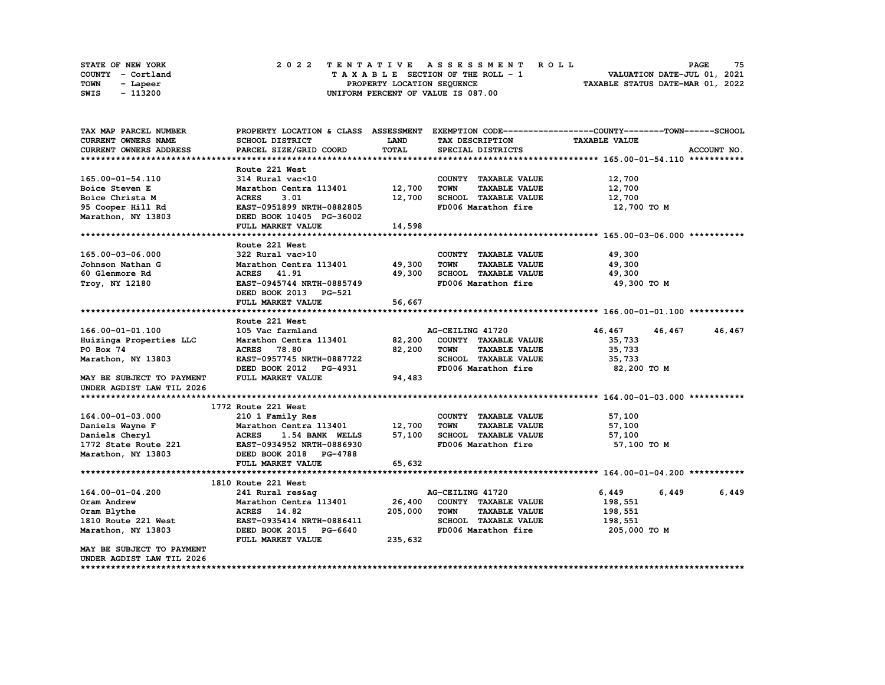|      | STATE OF NEW YORK | 2022 TENTATIVE ASSESSMENT ROLL     | 75<br><b>PAGE</b>                |
|------|-------------------|------------------------------------|----------------------------------|
|      | COUNTY - Cortland | TAXABLE SECTION OF THE ROLL - 1    | VALUATION DATE-JUL 01, 2021      |
| TOWN | - Lapeer          | PROPERTY LOCATION SEQUENCE         | TAXABLE STATUS DATE-MAR 01, 2022 |
| SWIS | - 113200          | UNIFORM PERCENT OF VALUE IS 087.00 |                                  |

| TAX MAP PARCEL NUMBER      |                                 |         |                                     | PROPERTY LOCATION & CLASS ASSESSMENT EXEMPTION CODE----------------COUNTY-------TOWN-----SCHOOL |
|----------------------------|---------------------------------|---------|-------------------------------------|-------------------------------------------------------------------------------------------------|
| CURRENT OWNERS NAME        | SCHOOL DISTRICT                 | LAND    | TAX DESCRIPTION                     | <b>TAXABLE VALUE</b>                                                                            |
| CURRENT OWNERS ADDRESS     | PARCEL SIZE/GRID COORD          | TOTAL   | SPECIAL DISTRICTS                   | ACCOUNT NO.                                                                                     |
|                            |                                 |         |                                     |                                                                                                 |
|                            | Route 221 West                  |         |                                     |                                                                                                 |
| 165.00-01-54.110           | 314 Rural vac<10                |         | COUNTY TAXABLE VALUE                | 12,700                                                                                          |
| Boice Steven E             | Marathon Centra 113401          | 12,700  | <b>TOWN</b><br><b>TAXABLE VALUE</b> | 12,700                                                                                          |
| Boice Christa M            | <b>ACRES</b><br>3.01            | 12,700  | SCHOOL TAXABLE VALUE                | 12,700                                                                                          |
| 95 Cooper Hill Rd          | EAST-0951899 NRTH-0882805       |         | FD006 Marathon fire                 | 12,700 TO M                                                                                     |
| Marathon, NY 13803         | DEED BOOK 10405 PG-36002        |         |                                     |                                                                                                 |
|                            | FULL MARKET VALUE               | 14,598  |                                     |                                                                                                 |
|                            |                                 |         |                                     |                                                                                                 |
|                            | Route 221 West                  |         |                                     |                                                                                                 |
| 165.00-03-06.000           | 322 Rural vac>10                |         | COUNTY TAXABLE VALUE                | 49,300                                                                                          |
| Johnson Nathan G           | Marathon Centra 113401 49,300   |         | <b>TOWN</b><br><b>TAXABLE VALUE</b> | 49,300                                                                                          |
| 60 Glenmore Rd             | <b>ACRES</b> 41.91              | 49,300  | SCHOOL TAXABLE VALUE                | 49,300                                                                                          |
| Troy, NY 12180             | EAST-0945744 NRTH-0885749       |         | FD006 Marathon fire                 | 49,300 то м                                                                                     |
|                            | DEED BOOK 2013 PG-521           |         |                                     |                                                                                                 |
|                            | FULL MARKET VALUE               | 56,667  |                                     |                                                                                                 |
|                            |                                 |         |                                     |                                                                                                 |
|                            | Route 221 West                  |         |                                     |                                                                                                 |
| 166.00-01-01.100           | 105 Vac farmland                |         | AG-CEILING 41720                    | 46,467<br>46,467<br>46,467                                                                      |
| Huizinga Properties LLC    | Marathon Centra 113401 82,200   |         | COUNTY TAXABLE VALUE                | 35,733                                                                                          |
| PO Box 74                  | <b>ACRES</b> 78.80              | 82,200  | <b>TOWN</b><br><b>TAXABLE VALUE</b> | 35,733                                                                                          |
| Marathon, NY 13803         | EAST-0957745 NRTH-0887722       |         | SCHOOL TAXABLE VALUE                | 35,733                                                                                          |
|                            | DEED BOOK 2012 PG-4931          |         | FD006 Marathon fire                 | 82,200 TO M                                                                                     |
| MAY BE SUBJECT TO PAYMENT  | FULL MARKET VALUE               | 94,483  |                                     |                                                                                                 |
| UNDER AGDIST LAW TIL 2026  |                                 |         |                                     |                                                                                                 |
|                            |                                 |         |                                     |                                                                                                 |
|                            | 1772 Route 221 West             |         |                                     |                                                                                                 |
| 164.00-01-03.000           | 210 1 Family Res                |         | COUNTY TAXABLE VALUE                | 57,100                                                                                          |
| Daniels Wayne F            | Marathon Centra 113401          | 12,700  | TOWN<br><b>TAXABLE VALUE</b>        | 57,100                                                                                          |
| Daniels Cheryl             | <b>ACRES</b><br>1.54 BANK WELLS | 57,100  | SCHOOL TAXABLE VALUE                | 57,100                                                                                          |
| 1772 State Route 221       | EAST-0934952 NRTH-0886930       |         | FD006 Marathon fire                 | 57,100 TO M                                                                                     |
| Marathon, NY 13803         | DEED BOOK 2018 PG-4788          |         |                                     |                                                                                                 |
|                            | FULL MARKET VALUE               | 65, 632 |                                     |                                                                                                 |
|                            |                                 |         |                                     |                                                                                                 |
|                            | 1810 Route 221 West             |         |                                     |                                                                                                 |
| 164.00-01-04.200           | 241 Rural res&ag                |         | AG-CEILING 41720                    | 6,449<br>6,449<br>6,449                                                                         |
|                            | Marathon Centra 113401          | 26,400  | COUNTY TAXABLE VALUE                |                                                                                                 |
| Oram Andrew<br>Oram Blythe | ACRES 14.82                     | 205,000 | <b>TOWN</b><br><b>TAXABLE VALUE</b> | 198,551<br>198,551                                                                              |
| 1810 Route 221 West        | EAST-0935414 NRTH-0886411       |         | SCHOOL TAXABLE VALUE                | 198,551                                                                                         |
|                            |                                 |         |                                     |                                                                                                 |
| Marathon, NY 13803         | DEED BOOK 2015 PG-6640          |         | FD006 Marathon fire                 | 205,000 то м                                                                                    |
|                            | FULL MARKET VALUE               | 235,632 |                                     |                                                                                                 |
| MAY BE SUBJECT TO PAYMENT  |                                 |         |                                     |                                                                                                 |
| UNDER AGDIST LAW TIL 2026  |                                 |         |                                     |                                                                                                 |

**\*\*\*\*\*\*\*\*\*\*\*\*\*\*\*\*\*\*\*\*\*\*\*\*\*\*\*\*\*\*\*\*\*\*\*\*\*\*\*\*\*\*\*\*\*\*\*\*\*\*\*\*\*\*\*\*\*\*\*\*\*\*\*\*\*\*\*\*\*\*\*\*\*\*\*\*\*\*\*\*\*\*\*\*\*\*\*\*\*\*\*\*\*\*\*\*\*\*\*\*\*\*\*\*\*\*\*\*\*\*\*\*\*\*\*\*\*\*\*\*\*\*\*\*\*\*\*\*\*\*\*\***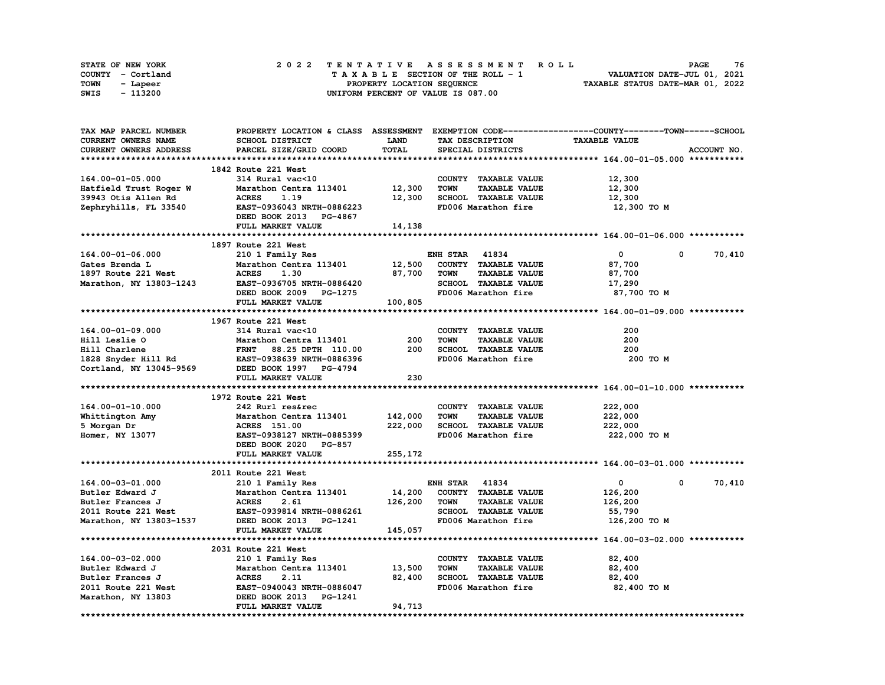| STATE OF NEW YORK | 2022 TENTATIVE ASSESSMENT ROLL     | 76<br><b>PAGE</b>                |
|-------------------|------------------------------------|----------------------------------|
| COUNTY - Cortland | TAXABLE SECTION OF THE ROLL - 1    | VALUATION DATE-JUL 01, 2021      |
| TOWN<br>- Lapeer  | PROPERTY LOCATION SEQUENCE         | TAXABLE STATUS DATE-MAR 01, 2022 |
| - 113200<br>SWIS  | UNIFORM PERCENT OF VALUE IS 087.00 |                                  |

| TAX MAP PARCEL NUMBER      | PROPERTY LOCATION & CLASS ASSESSMENT                                                  |             |                                     | EXEMPTION CODE-----------------COUNTY-------TOWN------SCHOOL |
|----------------------------|---------------------------------------------------------------------------------------|-------------|-------------------------------------|--------------------------------------------------------------|
| <b>CURRENT OWNERS NAME</b> | SCHOOL DISTRICT                                                                       | <b>LAND</b> | TAX DESCRIPTION                     | <b>TAXABLE VALUE</b>                                         |
| CURRENT OWNERS ADDRESS     | PARCEL SIZE/GRID COORD                                                                | TOTAL       | SPECIAL DISTRICTS                   | ACCOUNT NO.                                                  |
|                            |                                                                                       |             |                                     |                                                              |
|                            | 1842 Route 221 West                                                                   |             |                                     |                                                              |
| 164.00-01-05.000           | 314 Rural vac<10                                                                      |             | COUNTY TAXABLE VALUE                | 12,300                                                       |
| Hatfield Trust Roger W     | Marathon Centra 113401                                                                | 12,300      | TAXABLE VALUE<br><b>TOWN</b>        | 12,300                                                       |
| 39943 Otis Allen Rd        | <b>ACRES</b><br>1.19                                                                  | 12,300      | SCHOOL TAXABLE VALUE                | 12,300                                                       |
| Zephryhills, FL 33540      | EAST-0936043 NRTH-0886223                                                             |             | FD006 Marathon fire                 | 12,300 то м                                                  |
|                            | DEED BOOK 2013 PG-4867                                                                |             |                                     |                                                              |
|                            | FULL MARKET VALUE                                                                     | 14,138      |                                     |                                                              |
|                            |                                                                                       |             |                                     |                                                              |
|                            | 1897 Route 221 West                                                                   |             |                                     |                                                              |
| 164.00-01-06.000           | 210 1 Family Res                                                                      |             | <b>ENH STAR 41834</b>               | $\mathbf 0$<br>0<br>70,410                                   |
| Gates Brenda L             | Marathon Centra 113401                                                                | 12,500      | COUNTY TAXABLE VALUE                | 87,700                                                       |
| 1897 Route 221 West        | <b>ACRES</b><br>1.30                                                                  | 87,700      | <b>TOWN</b><br><b>TAXABLE VALUE</b> | 87,700                                                       |
|                            |                                                                                       |             |                                     |                                                              |
| Marathon, NY 13803-1243    | EAST-0936705 NRTH-0886420                                                             |             | SCHOOL TAXABLE VALUE                | 17,290                                                       |
|                            | DEED BOOK 2009 PG-1275                                                                |             | FD006 Marathon fire                 | 87,700 TO M                                                  |
|                            | FULL MARKET VALUE                                                                     | 100,805     |                                     |                                                              |
|                            |                                                                                       |             |                                     |                                                              |
|                            | 1967 Route 221 West                                                                   |             |                                     |                                                              |
| 164.00-01-09.000           | 314 Rural vac<10                                                                      |             | COUNTY TAXABLE VALUE                | 200                                                          |
| Hill Leslie O              | Marathon Centra 113401                                                                | 200         | <b>TAXABLE VALUE</b><br><b>TOWN</b> | 200                                                          |
|                            | FRNT 88.25 DPTH 110.00                                                                | 200         | SCHOOL TAXABLE VALUE                | 200                                                          |
|                            | Hill Charlene FRNT 88.25 DPTH 110.00<br>1828 Snyder Hill Rd EAST-0938639 NRTH-0886396 |             | FD006 Marathon fire                 | 200 TO M                                                     |
| Cortland, NY 13045-9569    | DEED BOOK 1997 PG-4794                                                                |             |                                     |                                                              |
|                            | FULL MARKET VALUE                                                                     | 230         |                                     |                                                              |
|                            |                                                                                       |             |                                     |                                                              |
|                            | 1972 Route 221 West                                                                   |             |                                     |                                                              |
| 164.00-01-10.000           | 242 Rurl res&rec                                                                      |             | COUNTY TAXABLE VALUE                | 222,000                                                      |
| Whittington Amy            | Marathon Centra 113401                                                                | 142,000     | <b>TOWN</b><br><b>TAXABLE VALUE</b> | 222,000                                                      |
| 5 Morgan Dr                | ACRES 151.00                                                                          | 222,000     | SCHOOL TAXABLE VALUE                | 222,000                                                      |
| Homer, NY 13077            | EAST-0938127 NRTH-0885399                                                             |             | FD006 Marathon fire                 | 222,000 то м                                                 |
|                            | DEED BOOK 2020 PG-857                                                                 |             |                                     |                                                              |
|                            | FULL MARKET VALUE                                                                     | 255,172     |                                     |                                                              |
|                            |                                                                                       |             |                                     |                                                              |
|                            | 2011 Route 221 West                                                                   |             |                                     |                                                              |
| 164.00-03-01.000           | 210 1 Family Res                                                                      |             | <b>ENH STAR 41834</b>               | 70,410<br>0<br>0                                             |
| Butler Edward J            | Marathon Centra 113401                                                                | 14,200      | COUNTY TAXABLE VALUE                | 126,200                                                      |
| Butler Frances J           | <b>ACRES</b><br>2.61                                                                  | 126,200     | <b>TAXABLE VALUE</b><br><b>TOWN</b> | 126,200                                                      |
| 2011 Route 221 West        | EAST-0939814 NRTH-0886261                                                             |             | SCHOOL TAXABLE VALUE                | 55,790                                                       |
| Marathon, NY 13803-1537    | DEED BOOK 2013 PG-1241                                                                |             | FD006 Marathon fire                 | 126,200 TO M                                                 |
|                            | FULL MARKET VALUE                                                                     | 145,057     |                                     |                                                              |
|                            |                                                                                       |             |                                     |                                                              |
|                            | 2031 Route 221 West                                                                   |             |                                     |                                                              |
| 164.00-03-02.000           |                                                                                       |             | COUNTY TAXABLE VALUE                | 82,400                                                       |
| Butler Edward J            | 210 1 Family Res                                                                      | 13,500      | <b>TOWN</b><br><b>TAXABLE VALUE</b> | 82,400                                                       |
|                            | Marathon Centra 113401                                                                |             |                                     |                                                              |
| Butler Frances J           | <b>ACRES</b><br>2.11                                                                  | 82,400      | SCHOOL TAXABLE VALUE                | 82,400                                                       |
| 2011 Route 221 West        | EAST-0940043 NRTH-0886047                                                             |             | FD006 Marathon fire                 | 82,400 TO M                                                  |
| Marathon, NY 13803         | DEED BOOK 2013 PG-1241                                                                |             |                                     |                                                              |
|                            | FULL MARKET VALUE                                                                     | 94,713      |                                     |                                                              |
|                            |                                                                                       |             |                                     |                                                              |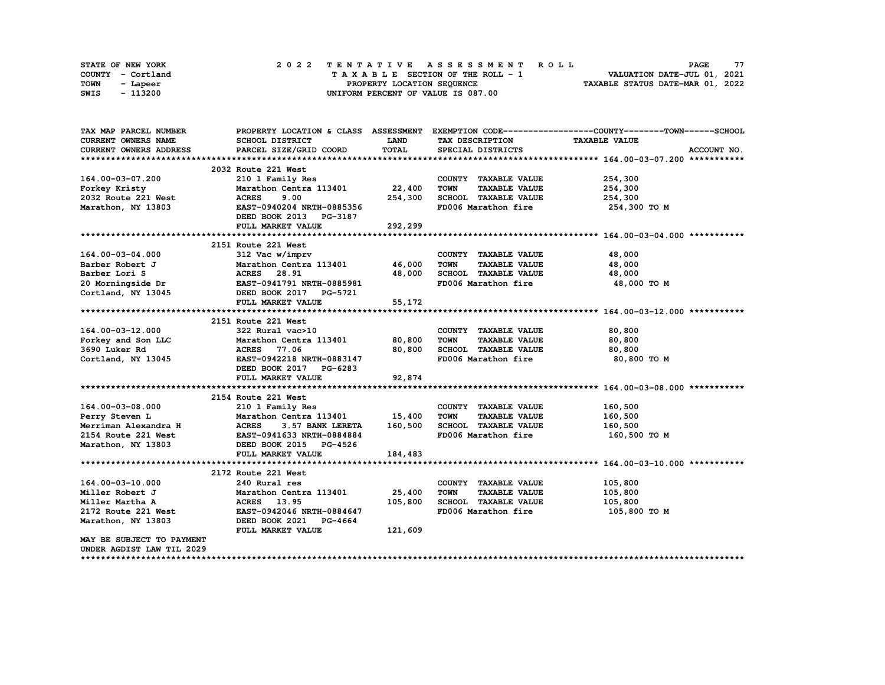|      | STATE OF NEW YORK |  | 2022 TENTATIVE ASSESSMENT ROLL     | 77<br><b>PAGE</b>                |
|------|-------------------|--|------------------------------------|----------------------------------|
|      | COUNTY - Cortland |  | TAXABLE SECTION OF THE ROLL - 1    | VALUATION DATE-JUL 01, 2021      |
| TOWN | - Lapeer          |  | PROPERTY LOCATION SEQUENCE         | TAXABLE STATUS DATE-MAR 01, 2022 |
| SWIS | - 113200          |  | UNIFORM PERCENT OF VALUE IS 087.00 |                                  |

| TAX MAP PARCEL NUMBER                   | PROPERTY LOCATION & CLASS ASSESSMENT                                          |             |                                     | EXEMPTION CODE-----------------COUNTY-------TOWN-----SCHOOL |
|-----------------------------------------|-------------------------------------------------------------------------------|-------------|-------------------------------------|-------------------------------------------------------------|
| <b>CURRENT OWNERS NAME</b>              | <b>SCHOOL DISTRICT</b>                                                        | <b>LAND</b> | TAX DESCRIPTION                     | <b>TAXABLE VALUE</b>                                        |
| <b>CURRENT OWNERS ADDRESS</b>           | PARCEL SIZE/GRID COORD                                                        | TOTAL       | SPECIAL DISTRICTS                   | ACCOUNT NO.                                                 |
|                                         |                                                                               |             |                                     |                                                             |
|                                         | 2032 Route 221 West                                                           |             |                                     |                                                             |
| 164.00-03-07.200                        | 210 1 Family Res                                                              |             | COUNTY TAXABLE VALUE                | 254,300                                                     |
| Forkey Kristy                           | Marathon Centra 113401 22,400                                                 |             | <b>TOWN</b><br><b>TAXABLE VALUE</b> | 254,300                                                     |
| 2032 Route 221 West                     | 9.00<br><b>ACRES</b>                                                          | 254,300     | SCHOOL TAXABLE VALUE                | 254,300                                                     |
| Marathon, NY 13803                      | EAST-0940204 NRTH-0885356                                                     |             | FD006 Marathon fire                 | 254,300 то м                                                |
|                                         | DEED BOOK 2013 PG-3187                                                        |             |                                     |                                                             |
|                                         | FULL MARKET VALUE                                                             | 292,299     |                                     |                                                             |
|                                         |                                                                               |             |                                     |                                                             |
|                                         | 2151 Route 221 West                                                           |             |                                     |                                                             |
| 164.00-03-04.000                        | 312 Vac w/imprv                                                               |             | COUNTY TAXABLE VALUE                | 48,000                                                      |
| Barber Robert J                         | Marathon Centra 113401 46,000                                                 |             | <b>TOWN</b><br><b>TAXABLE VALUE</b> | 48,000                                                      |
| Barber Lori S                           |                                                                               | 48,000      | SCHOOL TAXABLE VALUE                | 48,000                                                      |
|                                         | <b>ACRES       28.91<br/>EAST-0941791  NRTH-0885981</b>                       |             | FD006 Marathon fire                 | 48,000 TO M                                                 |
| 20 Morningside Dr<br>Cortland, NY 13045 | DEED BOOK 2017 PG-5721                                                        |             |                                     |                                                             |
|                                         | FULL MARKET VALUE                                                             | 55,172      |                                     |                                                             |
|                                         |                                                                               |             |                                     |                                                             |
|                                         | 2151 Route 221 West                                                           |             |                                     |                                                             |
| 164.00-03-12.000                        | 322 Rural vac>10                                                              |             | COUNTY TAXABLE VALUE                | 80,800                                                      |
|                                         | Forkey and Son LLC Marathon Centra 113401 80,800                              |             | <b>TOWN</b><br><b>TAXABLE VALUE</b> | 80,800                                                      |
| 3690 Luker Rd                           | ACRES 77.06                                                                   | 80,800      | SCHOOL TAXABLE VALUE                | 80,800                                                      |
| Cortland, NY 13045                      | EAST-0942218 NRTH-0883147                                                     |             | FD006 Marathon fire                 | 80,800 TO M                                                 |
|                                         | DEED BOOK 2017 PG-6283                                                        |             |                                     |                                                             |
|                                         | FULL MARKET VALUE                                                             | 92,874      |                                     |                                                             |
|                                         |                                                                               |             |                                     |                                                             |
|                                         | 2154 Route 221 West                                                           |             |                                     |                                                             |
| 164.00-03-08.000                        | 210 1 Family Res                                                              |             | COUNTY TAXABLE VALUE                | 160,500                                                     |
| Perry Steven L                          | Marathon Centra 113401 15,400                                                 |             | <b>TOWN</b><br><b>TAXABLE VALUE</b> | 160,500                                                     |
| Merriman Alexandra H                    | 3.57 BANK LERETA                                                              | 160,500     | SCHOOL TAXABLE VALUE                | 160,500                                                     |
| 2154 Route 221 West                     |                                                                               |             | FD006 Marathon fire                 | 160,500 то м                                                |
| Marathon, NY 13803                      | ACRES 3.57 BANK LERETA<br>EAST-0941633 NRTH-0884884<br>DEED BOOK 2015 PG-4526 |             |                                     |                                                             |
|                                         | FULL MARKET VALUE                                                             | 184,483     |                                     |                                                             |
|                                         |                                                                               |             |                                     |                                                             |
|                                         | 2172 Route 221 West                                                           |             |                                     |                                                             |
| 164.00-03-10.000                        | 240 Rural res                                                                 |             | COUNTY TAXABLE VALUE                | 105,800                                                     |
| Miller Robert J                         | Marathon Centra 113401                                                        | 25,400      | <b>TAXABLE VALUE</b><br><b>TOWN</b> | 105,800                                                     |
| Miller Martha A                         | 13.95<br><b>ACRES</b>                                                         | 105,800     | SCHOOL TAXABLE VALUE                | 105,800                                                     |
| 2172 Route 221 West                     | EAST-0942046 NRTH-0884647                                                     |             | FD006 Marathon fire                 | 105,800 TO M                                                |
| Marathon, NY 13803                      | DEED BOOK 2021 PG-4664                                                        |             |                                     |                                                             |
|                                         | FULL MARKET VALUE                                                             | 121,609     |                                     |                                                             |
| MAY BE SUBJECT TO PAYMENT               |                                                                               |             |                                     |                                                             |
| UNDER AGDIST LAW TIL 2029               |                                                                               |             |                                     |                                                             |
|                                         |                                                                               |             |                                     |                                                             |
|                                         |                                                                               |             |                                     |                                                             |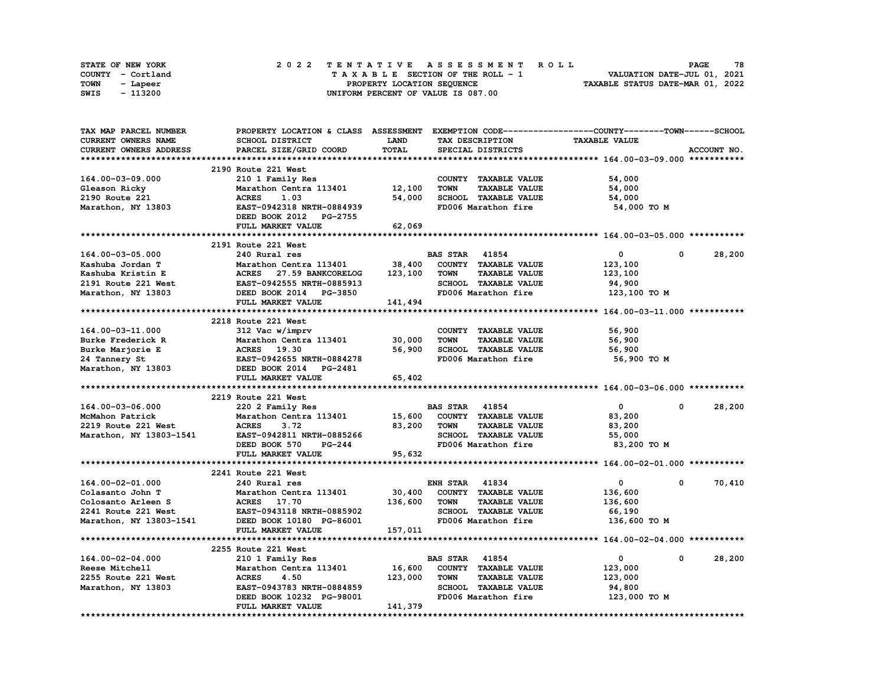| <b>STATE OF NEW YORK</b> |                   | 2022 TENTATIVE ASSESSMENT ROLL     | 78<br><b>PAGE</b>                |
|--------------------------|-------------------|------------------------------------|----------------------------------|
|                          | COUNTY - Cortland | TAXABLE SECTION OF THE ROLL - 1    | VALUATION DATE-JUL 01, 2021      |
| TOWN                     | - Lapeer          | PROPERTY LOCATION SEQUENCE         | TAXABLE STATUS DATE-MAR 01, 2022 |
| SWIS                     | - 113200          | UNIFORM PERCENT OF VALUE IS 087.00 |                                  |

| TAX MAP PARCEL NUMBER   |                                  |             |                                     | PROPERTY LOCATION & CLASS ASSESSMENT EXEMPTION CODE-----------------COUNTY-------TOWN------SCHOOL |             |
|-------------------------|----------------------------------|-------------|-------------------------------------|---------------------------------------------------------------------------------------------------|-------------|
| CURRENT OWNERS NAME     | SCHOOL DISTRICT                  | <b>LAND</b> | TAX DESCRIPTION                     | <b>TAXABLE VALUE</b>                                                                              |             |
| CURRENT OWNERS ADDRESS  | PARCEL SIZE/GRID COORD           | TOTAL       | SPECIAL DISTRICTS                   |                                                                                                   | ACCOUNT NO. |
|                         |                                  |             |                                     |                                                                                                   |             |
|                         | 2190 Route 221 West              |             |                                     |                                                                                                   |             |
| 164.00-03-09.000        | 210 1 Family Res                 |             | COUNTY TAXABLE VALUE                | 54,000                                                                                            |             |
| Gleason Ricky           | Marathon Centra 113401           | 12,100      | <b>TOWN</b><br><b>TAXABLE VALUE</b> | 54,000                                                                                            |             |
| 2190 Route 221          | 1.03<br><b>ACRES</b>             | 54,000      | SCHOOL TAXABLE VALUE                | 54,000                                                                                            |             |
| Marathon, NY 13803      | EAST-0942318 NRTH-0884939        |             | FD006 Marathon fire                 | 54,000 TO M                                                                                       |             |
|                         | DEED BOOK 2012 PG-2755           |             |                                     |                                                                                                   |             |
|                         |                                  |             |                                     |                                                                                                   |             |
|                         | FULL MARKET VALUE                | 62,069      |                                     |                                                                                                   |             |
|                         |                                  |             |                                     |                                                                                                   |             |
|                         | 2191 Route 221 West              |             |                                     |                                                                                                   |             |
| 164.00-03-05.000        | 240 Rural res                    |             | <b>BAS STAR 41854</b>               | 0<br>0                                                                                            | 28,200      |
| Kashuba Jordan T        | Marathon Centra 113401           | 38,400      | COUNTY TAXABLE VALUE                | 123,100                                                                                           |             |
| Kashuba Kristin E       | ACRES 27.59 BANKCORELOG          | 123,100     | <b>TAXABLE VALUE</b><br><b>TOWN</b> | 123,100                                                                                           |             |
| 2191 Route 221 West     | EAST-0942555 NRTH-0885913        |             | <b>SCHOOL TAXABLE VALUE</b>         | 94,900                                                                                            |             |
| Marathon, NY 13803      | DEED BOOK 2014 PG-3850           |             | FD006 Marathon fire                 | 123,100 TO M                                                                                      |             |
|                         | FULL MARKET VALUE                | 141,494     |                                     |                                                                                                   |             |
|                         |                                  |             |                                     |                                                                                                   |             |
|                         | 2218 Route 221 West              |             |                                     |                                                                                                   |             |
| 164.00-03-11.000        | 312 Vac w/imprv                  |             | COUNTY TAXABLE VALUE                | 56,900                                                                                            |             |
| Burke Frederick R       | Marathon Centra 113401           | 30,000      | <b>TOWN</b><br><b>TAXABLE VALUE</b> | 56,900                                                                                            |             |
| Burke Marjorie E        | ACRES 19.30                      | 56,900      | SCHOOL TAXABLE VALUE                | 56,900                                                                                            |             |
| 24 Tannery St           | EAST-0942655 NRTH-0884278        |             | FD006 Marathon fire                 | 56,900 TO M                                                                                       |             |
| Marathon, NY 13803      | DEED BOOK 2014 PG-2481           |             |                                     |                                                                                                   |             |
|                         | FULL MARKET VALUE                | 65,402      |                                     |                                                                                                   |             |
|                         |                                  |             |                                     |                                                                                                   |             |
|                         | 2219 Route 221 West              |             |                                     |                                                                                                   |             |
|                         |                                  |             | <b>BAS STAR 41854</b>               | $\mathbf{0}$<br>0                                                                                 | 28,200      |
| 164.00-03-06.000        | 220 2 Family Res                 |             |                                     |                                                                                                   |             |
| McMahon Patrick         | Marathon Centra 113401           | 15,600      | COUNTY TAXABLE VALUE                | 83,200                                                                                            |             |
| 2219 Route 221 West     | <b>ACRES</b><br>3.72             | 83,200      | <b>TOWN</b><br><b>TAXABLE VALUE</b> | 83,200                                                                                            |             |
| Marathon, NY 13803-1541 | EAST-0942811 NRTH-0885266        |             | SCHOOL TAXABLE VALUE                | 55,000                                                                                            |             |
|                         | DEED BOOK 570<br>$PG-244$        |             | FD006 Marathon fire                 | 83,200 TO M                                                                                       |             |
|                         | FULL MARKET VALUE                | 95,632      |                                     |                                                                                                   |             |
|                         |                                  |             |                                     |                                                                                                   |             |
|                         | 2241 Route 221 West              |             |                                     |                                                                                                   |             |
| 164.00-02-01.000        | 240 Rural res                    |             | <b>ENH STAR 41834</b>               | 0<br>0                                                                                            | 70,410      |
| Colasanto John T        | Marathon Centra 113401           | 30,400      | COUNTY TAXABLE VALUE                | 136,600                                                                                           |             |
| Colosanto Arleen S      | <b>ACRES</b> 17.70               | 136,600     | <b>TOWN</b><br><b>TAXABLE VALUE</b> | 136,600                                                                                           |             |
| 2241 Route 221 West     | <b>EAST-0943118 NRTH-0885902</b> |             | SCHOOL TAXABLE VALUE                | 66,190                                                                                            |             |
| Marathon, NY 13803-1541 | DEED BOOK 10180 PG-86001         |             | FD006 Marathon fire                 | 136,600 TO M                                                                                      |             |
|                         | FULL MARKET VALUE                | 157,011     |                                     |                                                                                                   |             |
|                         |                                  |             |                                     |                                                                                                   |             |
|                         | 2255 Route 221 West              |             |                                     |                                                                                                   |             |
| 164.00-02-04.000        | 210 1 Family Res                 |             | <b>BAS STAR</b> 41854               | $\mathbf 0$<br>0                                                                                  | 28,200      |
| Reese Mitchell          | Marathon Centra 113401           | 16,600      | COUNTY TAXABLE VALUE                | 123,000                                                                                           |             |
| 2255 Route 221 West     | <b>ACRES</b><br>4.50             | 123,000     | <b>TOWN</b><br><b>TAXABLE VALUE</b> | 123,000                                                                                           |             |
| Marathon, NY 13803      | EAST-0943783 NRTH-0884859        |             | SCHOOL TAXABLE VALUE                | 94,800                                                                                            |             |
|                         | DEED BOOK 10232 PG-98001         |             | FD006 Marathon fire                 | 123,000 TO M                                                                                      |             |
|                         | FULL MARKET VALUE                | 141,379     |                                     |                                                                                                   |             |
|                         |                                  |             |                                     |                                                                                                   |             |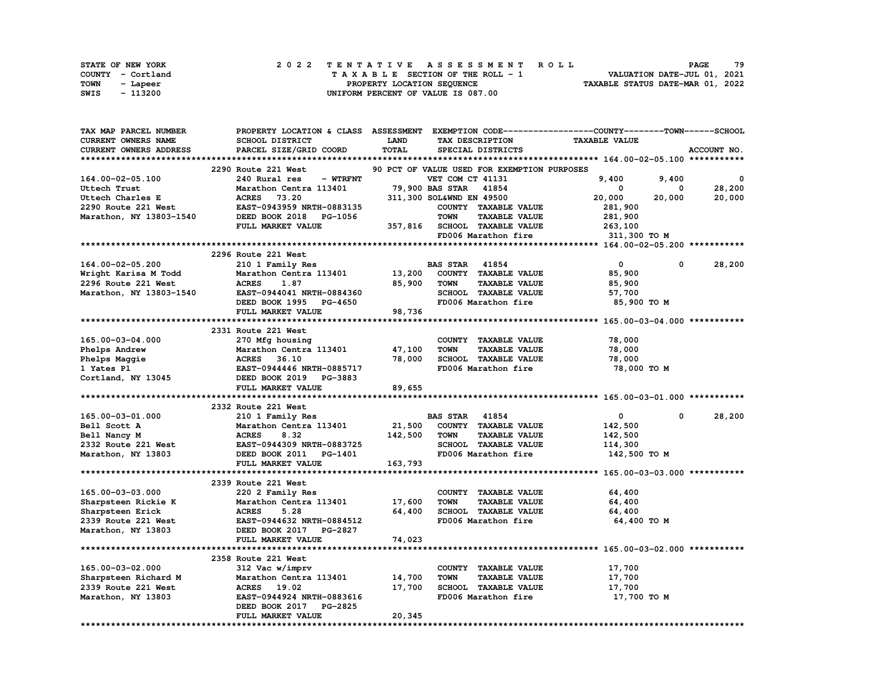| STATE OF NEW YORK | 2022 TENTATIVE ASSESSMENT ROLL     | 79<br><b>PAGE</b>                |
|-------------------|------------------------------------|----------------------------------|
| COUNTY - Cortland | TAXABLE SECTION OF THE ROLL - 1    | VALUATION DATE-JUL 01, 2021      |
| TOWN<br>- Lapeer  | PROPERTY LOCATION SEQUENCE         | TAXABLE STATUS DATE-MAR 01, 2022 |
| - 113200<br>SWIS  | UNIFORM PERCENT OF VALUE IS 087.00 |                                  |

| TAX MAP PARCEL NUMBER   |                                  |             | PROPERTY LOCATION & CLASS ASSESSMENT EXEMPTION CODE-----------------COUNTY-------TOWN-----SCHOOL |                      |             |
|-------------------------|----------------------------------|-------------|--------------------------------------------------------------------------------------------------|----------------------|-------------|
| CURRENT OWNERS NAME     | SCHOOL DISTRICT                  | <b>LAND</b> | TAX DESCRIPTION                                                                                  | <b>TAXABLE VALUE</b> |             |
| CURRENT OWNERS ADDRESS  | PARCEL SIZE/GRID COORD           | TOTAL       | SPECIAL DISTRICTS                                                                                |                      | ACCOUNT NO. |
|                         |                                  |             |                                                                                                  |                      |             |
|                         | 2290 Route 221 West              |             | 90 PCT OF VALUE USED FOR EXEMPTION PURPOSES                                                      |                      |             |
| 164.00-02-05.100        | 240 Rural res<br>- WTRFNT        |             | VET COM CT 41131                                                                                 | 9.400<br>9,400       | 0           |
| Uttech Trust            | Marathon Centra 113401           |             | 79,900 BAS STAR 41854                                                                            | 0<br>0               | 28,200      |
| Uttech Charles E        | 73.20<br><b>ACRES</b>            |             | 311,300 SOL&WND EN 49500                                                                         | 20,000<br>20,000     | 20,000      |
| 2290 Route 221 West     | EAST-0943959 NRTH-0883135        |             | COUNTY TAXABLE VALUE                                                                             | 281,900              |             |
| Marathon, NY 13803-1540 | DEED BOOK 2018<br><b>PG-1056</b> |             | <b>TOWN</b><br><b>TAXABLE VALUE</b>                                                              | 281,900              |             |
|                         | FULL MARKET VALUE                |             | 357,816 SCHOOL TAXABLE VALUE                                                                     | 263,100              |             |
|                         |                                  |             | FD006 Marathon fire                                                                              | 311,300 TO M         |             |
|                         |                                  |             |                                                                                                  |                      |             |
|                         | 2296 Route 221 West              |             |                                                                                                  |                      |             |
| 164.00-02-05.200        | 210 1 Family Res                 |             | <b>BAS STAR</b><br>41854                                                                         | $\mathbf 0$<br>0     | 28,200      |
| Wright Karisa M Todd    | Marathon Centra 113401           | 13,200      | COUNTY TAXABLE VALUE                                                                             | 85,900               |             |
| 2296 Route 221 West     | <b>ACRES</b><br>1.87             | 85,900      | <b>TAXABLE VALUE</b><br><b>TOWN</b>                                                              | 85,900               |             |
| Marathon, NY 13803-1540 | EAST-0944041 NRTH-0884360        |             | SCHOOL TAXABLE VALUE                                                                             | 57,700               |             |
|                         | DEED BOOK 1995 PG-4650           |             | FD006 Marathon fire                                                                              | 85,900 TO M          |             |
|                         | FULL MARKET VALUE                | 98,736      |                                                                                                  |                      |             |
|                         |                                  |             |                                                                                                  |                      |             |
|                         | 2331 Route 221 West              |             |                                                                                                  |                      |             |
| 165.00-03-04.000        | 270 Mfg housing                  |             | COUNTY TAXABLE VALUE                                                                             | 78,000               |             |
| Phelps Andrew           | Marathon Centra 113401           | 47,100      | <b>TOWN</b><br><b>TAXABLE VALUE</b>                                                              | 78,000               |             |
| Phelps Maggie           | <b>ACRES</b><br>36.10            | 78,000      | SCHOOL TAXABLE VALUE                                                                             | 78,000               |             |
| 1 Yates Pl              | EAST-0944446 NRTH-0885717        |             | FD006 Marathon fire                                                                              | 78,000 TO M          |             |
| Cortland, NY 13045      | DEED BOOK 2019 PG-3883           |             |                                                                                                  |                      |             |
|                         | FULL MARKET VALUE                | 89,655      |                                                                                                  |                      |             |
|                         |                                  |             |                                                                                                  |                      |             |
|                         | 2332 Route 221 West              |             |                                                                                                  |                      |             |
| 165.00-03-01.000        | 210 1 Family Res                 |             | <b>BAS STAR 41854</b>                                                                            | 0<br>$\mathbf{0}$    | 28,200      |
| Bell Scott A            | Marathon Centra 113401           | 21,500      | COUNTY TAXABLE VALUE                                                                             | 142,500              |             |
| Bell Nancy M            | <b>ACRES</b><br>8.32             | 142,500     | <b>TOWN</b><br><b>TAXABLE VALUE</b>                                                              | 142,500              |             |
| 2332 Route 221 West     | EAST-0944309 NRTH-0883725        |             | SCHOOL TAXABLE VALUE                                                                             | 114,300              |             |
| Marathon, NY 13803      | DEED BOOK 2011 PG-1401           |             | FD006 Marathon fire                                                                              | 142,500 TO M         |             |
|                         | FULL MARKET VALUE                | 163,793     |                                                                                                  |                      |             |
|                         |                                  |             |                                                                                                  |                      |             |
|                         | 2339 Route 221 West              |             |                                                                                                  |                      |             |
| 165.00-03-03.000        | 220 2 Family Res                 |             | COUNTY TAXABLE VALUE                                                                             | 64,400               |             |
| Sharpsteen Rickie K     | Marathon Centra 113401           | 17,600      | <b>TOWN</b><br><b>TAXABLE VALUE</b>                                                              | 64,400               |             |
| Sharpsteen Erick        | <b>ACRES</b><br>5.28             | 64,400      | SCHOOL TAXABLE VALUE                                                                             | 64,400               |             |
| 2339 Route 221 West     | EAST-0944632 NRTH-0884512        |             | FD006 Marathon fire                                                                              | 64,400 TO M          |             |
| Marathon, NY 13803      | DEED BOOK 2017 PG-2827           |             |                                                                                                  |                      |             |
|                         | FULL MARKET VALUE                | 74,023      |                                                                                                  |                      |             |
|                         |                                  |             |                                                                                                  |                      |             |
|                         | 2358 Route 221 West              |             |                                                                                                  |                      |             |
| 165.00-03-02.000        | 312 Vac w/imprv                  |             | COUNTY TAXABLE VALUE                                                                             | 17,700               |             |
| Sharpsteen Richard M    | Marathon Centra 113401           | 14,700      | <b>TAXABLE VALUE</b><br>TOWN                                                                     | 17,700               |             |
| 2339 Route 221 West     | ACRES 19.02                      | 17,700      | SCHOOL TAXABLE VALUE                                                                             | 17,700               |             |
| Marathon, NY 13803      | EAST-0944924 NRTH-0883616        |             | FD006 Marathon fire                                                                              | 17,700 TO M          |             |
|                         | DEED BOOK 2017 PG-2825           |             |                                                                                                  |                      |             |
|                         | FULL MARKET VALUE                | 20,345      |                                                                                                  |                      |             |
|                         |                                  |             |                                                                                                  |                      |             |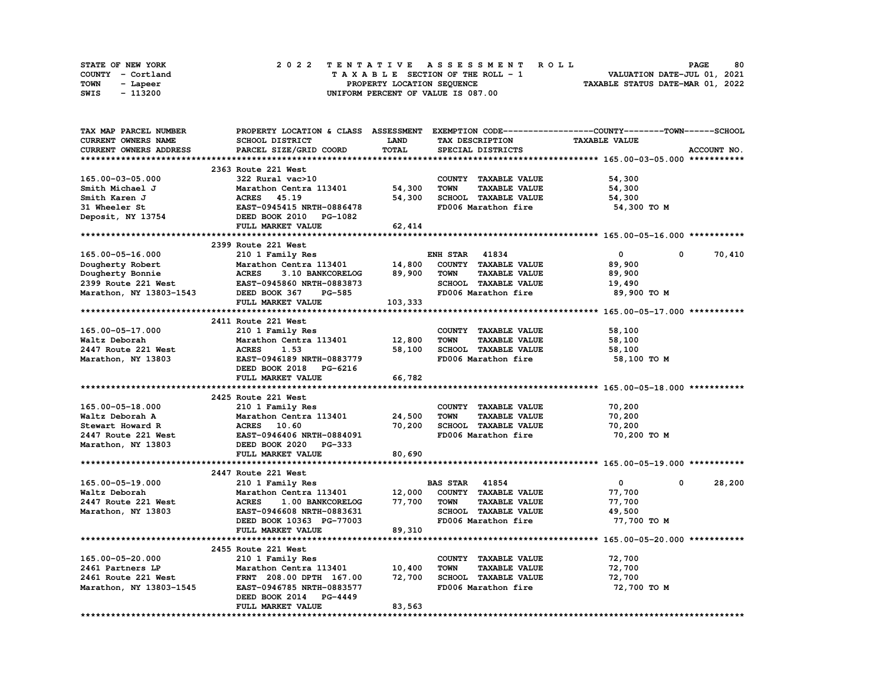|      | <b>STATE OF NEW YORK</b> | 2022 TENTATIVE ASSESSMENT ROLL     | 80<br><b>PAGE</b>                |
|------|--------------------------|------------------------------------|----------------------------------|
|      | COUNTY - Cortland        | TAXABLE SECTION OF THE ROLL - 1    | VALUATION DATE-JUL 01, 2021      |
| TOWN | - Lapeer                 | PROPERTY LOCATION SEQUENCE         | TAXABLE STATUS DATE-MAR 01, 2022 |
| SWIS | - 113200                 | UNIFORM PERCENT OF VALUE IS 087.00 |                                  |

| TAX MAP PARCEL NUMBER      | PROPERTY LOCATION & CLASS ASSESSMENT EXEMPTION CODE-----------------COUNTY-------TOWN------SCHOOL |             |                                     |                      |             |
|----------------------------|---------------------------------------------------------------------------------------------------|-------------|-------------------------------------|----------------------|-------------|
| <b>CURRENT OWNERS NAME</b> | SCHOOL DISTRICT                                                                                   | <b>LAND</b> | TAX DESCRIPTION                     | <b>TAXABLE VALUE</b> |             |
| CURRENT OWNERS ADDRESS     | PARCEL SIZE/GRID COORD                                                                            | TOTAL       | SPECIAL DISTRICTS                   |                      | ACCOUNT NO. |
|                            |                                                                                                   |             |                                     |                      |             |
|                            | 2363 Route 221 West                                                                               |             |                                     |                      |             |
| 165.00-03-05.000           | 322 Rural vac>10                                                                                  |             | COUNTY TAXABLE VALUE                | 54,300               |             |
| Smith Michael J            | Marathon Centra 113401                                                                            | 54,300      | TAXABLE VALUE<br><b>TOWN</b>        | 54,300               |             |
| Smith Karen J              | <b>ACRES</b><br>45.19                                                                             | 54,300      | SCHOOL TAXABLE VALUE                | 54,300               |             |
| 31 Wheeler St              | EAST-0945415 NRTH-0886478                                                                         |             | FD006 Marathon fire                 | 54,300 TO M          |             |
| Deposit, NY 13754          | DEED BOOK 2010 PG-1082                                                                            |             |                                     |                      |             |
|                            | FULL MARKET VALUE                                                                                 | 62,414      |                                     |                      |             |
|                            |                                                                                                   |             |                                     |                      |             |
|                            | 2399 Route 221 West                                                                               |             |                                     |                      |             |
| 165.00-05-16.000           | 210 1 Family Res                                                                                  |             | <b>ENH STAR 41834</b>               | $\mathbf 0$          | 0<br>70,410 |
| Dougherty Robert           | Marathon Centra 113401                                                                            | 14,800      | COUNTY TAXABLE VALUE                | 89,900               |             |
| Dougherty Bonnie           | <b>ACRES</b><br>3.10 BANKCORELOG                                                                  | 89,900      | <b>TOWN</b><br><b>TAXABLE VALUE</b> | 89,900               |             |
| 2399 Route 221 West        | EAST-0945860 NRTH-0883873                                                                         |             | SCHOOL TAXABLE VALUE                | 19,490               |             |
|                            | DEED BOOK 367<br><b>PG-585</b>                                                                    |             | FD006 Marathon fire                 |                      |             |
| Marathon, NY 13803-1543    |                                                                                                   |             |                                     | 89,900 то м          |             |
|                            | FULL MARKET VALUE                                                                                 | 103,333     |                                     |                      |             |
|                            |                                                                                                   |             |                                     |                      |             |
|                            | 2411 Route 221 West                                                                               |             |                                     |                      |             |
| 165.00-05-17.000           | 210 1 Family Res                                                                                  |             | COUNTY TAXABLE VALUE                | 58,100               |             |
| Waltz Deborah              | Marathon Centra 113401                                                                            | 12,800      | <b>TAXABLE VALUE</b><br><b>TOWN</b> | 58,100               |             |
| 2447 Route 221 West        | <b>ACRES</b><br>1.53                                                                              | 58,100      | SCHOOL TAXABLE VALUE                | 58,100               |             |
| Marathon, NY 13803         | EAST-0946189 NRTH-0883779                                                                         |             | FD006 Marathon fire                 | 58,100 TO M          |             |
|                            | DEED BOOK 2018 PG-6216                                                                            |             |                                     |                      |             |
|                            | FULL MARKET VALUE                                                                                 | 66,782      |                                     |                      |             |
|                            |                                                                                                   |             |                                     |                      |             |
|                            | 2425 Route 221 West                                                                               |             |                                     |                      |             |
| 165.00-05-18.000           | 210 1 Family Res                                                                                  |             | COUNTY TAXABLE VALUE                | 70,200               |             |
| Waltz Deborah A            | Marathon Centra 113401                                                                            | 24,500      | <b>TOWN</b><br><b>TAXABLE VALUE</b> | 70,200               |             |
| Stewart Howard R           | ACRES 10.60                                                                                       | 70,200      | SCHOOL TAXABLE VALUE                | 70,200               |             |
| 2447 Route 221 West        | EAST-0946406 NRTH-0884091                                                                         |             | FD006 Marathon fire                 | 70,200 TO M          |             |
| Marathon, NY 13803         | DEED BOOK 2020 PG-333                                                                             |             |                                     |                      |             |
|                            | FULL MARKET VALUE                                                                                 | 80,690      |                                     |                      |             |
|                            |                                                                                                   |             |                                     |                      |             |
|                            | 2447 Route 221 West                                                                               |             |                                     |                      |             |
| 165.00-05-19.000           | 210 1 Family Res                                                                                  |             | <b>BAS STAR 41854</b>               | $\mathbf{0}$         | 28,200<br>0 |
| Waltz Deborah              | Marathon Centra 113401                                                                            | 12,000      | COUNTY TAXABLE VALUE                | 77,700               |             |
| 2447 Route 221 West        | <b>ACRES</b><br>1.00 BANKCORELOG                                                                  | 77,700      | <b>TAXABLE VALUE</b><br><b>TOWN</b> | 77,700               |             |
| Marathon, NY 13803         | EAST-0946608 NRTH-0883631                                                                         |             | SCHOOL TAXABLE VALUE                | 49,500               |             |
|                            | DEED BOOK 10363 PG-77003                                                                          |             | FD006 Marathon fire                 | 77,700 TO M          |             |
|                            | FULL MARKET VALUE                                                                                 | 89,310      |                                     |                      |             |
|                            |                                                                                                   |             |                                     |                      |             |
|                            | 2455 Route 221 West                                                                               |             |                                     |                      |             |
| 165.00-05-20.000           | 210 1 Family Res                                                                                  |             | COUNTY TAXABLE VALUE                | 72,700               |             |
| 2461 Partners LP           | Marathon Centra 113401                                                                            | 10,400      | <b>TOWN</b><br><b>TAXABLE VALUE</b> | 72,700               |             |
| 2461 Route 221 West        | FRNT 208.00 DPTH 167.00                                                                           | 72,700      | SCHOOL TAXABLE VALUE                | 72,700               |             |
| Marathon, NY 13803-1545    | EAST-0946785 NRTH-0883577                                                                         |             | FD006 Marathon fire                 | 72,700 TO M          |             |
|                            | DEED BOOK 2014<br>PG-4449                                                                         |             |                                     |                      |             |
|                            | FULL MARKET VALUE                                                                                 | 83,563      |                                     |                      |             |
|                            |                                                                                                   |             |                                     |                      |             |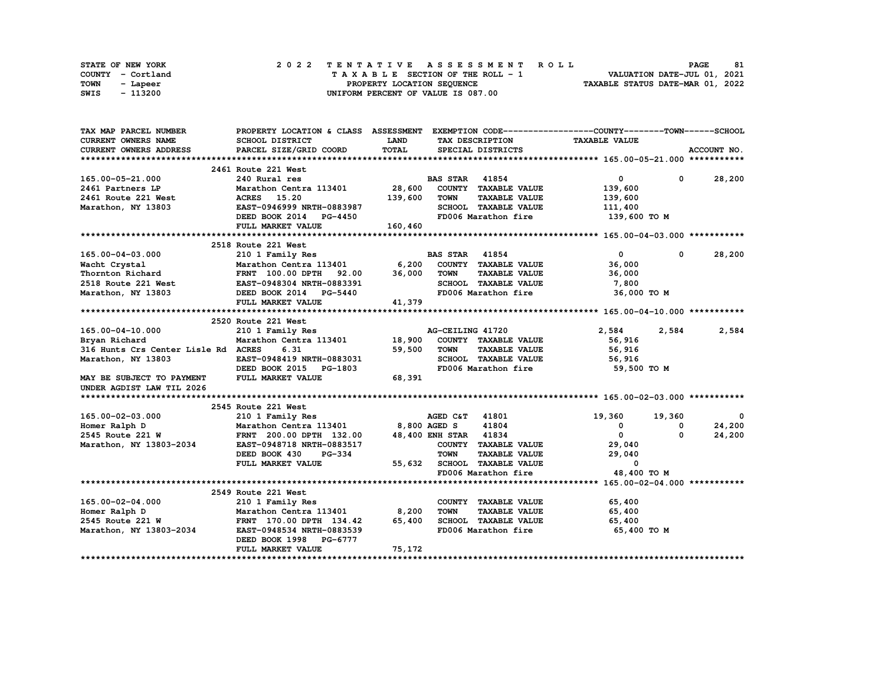|      | STATE OF NEW YORK |  |  |  |  | 2022 TENTATIVE ASSESSMENT ROLL     |  |  |  |  |  |  |                                  | <b>PAGE</b> | 81 |
|------|-------------------|--|--|--|--|------------------------------------|--|--|--|--|--|--|----------------------------------|-------------|----|
|      | COUNTY - Cortland |  |  |  |  | TAXABLE SECTION OF THE ROLL - 1    |  |  |  |  |  |  | VALUATION DATE-JUL 01, 2021      |             |    |
| TOWN | - Lapeer          |  |  |  |  | PROPERTY LOCATION SEQUENCE         |  |  |  |  |  |  | TAXABLE STATUS DATE-MAR 01, 2022 |             |    |
| SWIS | - 113200          |  |  |  |  | UNIFORM PERCENT OF VALUE IS 087.00 |  |  |  |  |  |  |                                  |             |    |

| TAX MAP PARCEL NUMBER               | PROPERTY LOCATION & CLASS ASSESSMENT EXEMPTION CODE----------------COUNTY-------TOWN-----SCHOOL |         |                       |                      |                      |              |               |
|-------------------------------------|-------------------------------------------------------------------------------------------------|---------|-----------------------|----------------------|----------------------|--------------|---------------|
| CURRENT OWNERS NAME                 | SCHOOL DISTRICT                                                                                 | LAND    |                       | TAX DESCRIPTION      | <b>TAXABLE VALUE</b> |              |               |
| <b>CURRENT OWNERS ADDRESS</b>       | PARCEL SIZE/GRID COORD                                                                          | TOTAL   |                       | SPECIAL DISTRICTS    |                      |              | ACCOUNT NO.   |
|                                     |                                                                                                 |         |                       |                      |                      |              |               |
|                                     | 2461 Route 221 West                                                                             |         |                       |                      |                      |              |               |
| 165.00-05-21.000                    | 240 Rural res                                                                                   |         | <b>BAS STAR 41854</b> |                      | $\overline{0}$       |              | $0 \t 28,200$ |
| 2461 Partners LP                    | Marathon Centra 113401 28,600                                                                   |         |                       | COUNTY TAXABLE VALUE | 139,600              |              |               |
| 2461 Route 221 West                 | <b>ACRES</b> 15.20                                                                              | 139,600 | <b>TOWN</b>           | <b>TAXABLE VALUE</b> | 139,600              |              |               |
| Marathon, NY 13803                  | EAST-0946999 NRTH-0883987                                                                       |         |                       | SCHOOL TAXABLE VALUE | 111,400              |              |               |
|                                     | DEED BOOK 2014 PG-4450                                                                          |         |                       | FD006 Marathon fire  | 139,600 то м         |              |               |
|                                     | FULL MARKET VALUE                                                                               | 160,460 |                       |                      |                      |              |               |
|                                     |                                                                                                 |         |                       |                      |                      |              |               |
|                                     | 2518 Route 221 West                                                                             |         |                       |                      |                      |              |               |
| 165.00-04-03.000                    | 210 1 Family Res                                                                                |         | <b>BAS STAR 41854</b> |                      | $\mathbf{0}$         | $\mathbf{0}$ | 28,200        |
| Wacht Crystal                       | Marathon Centra 113401 6,200                                                                    |         |                       | COUNTY TAXABLE VALUE | 36,000               |              |               |
| Thornton Richard                    |                                                                                                 | 36,000  | <b>TOWN</b>           | <b>TAXABLE VALUE</b> | 36,000               |              |               |
| 2518 Route 221 West                 |                                                                                                 |         |                       | SCHOOL TAXABLE VALUE | 7,800                |              |               |
| Marathon, NY 13803                  | FRNT 100.00 DPTH 92.00<br>st EAST-0948304 NRTH-0883391<br>3 DEED BOOK 2014 PG-5440              |         |                       | FD006 Marathon fire  |                      | 36,000 TO M  |               |
|                                     | FULL MARKET VALUE                                                                               | 41,379  |                       |                      |                      |              |               |
|                                     |                                                                                                 |         |                       |                      |                      |              |               |
|                                     | 2520 Route 221 West                                                                             |         |                       |                      |                      |              |               |
| 165.00-04-10.000                    | 210 1 Family Res                                                                                |         | AG-CEILING 41720      |                      | 2,584                | 2,584        | 2,584         |
| Bryan Richard                       | Marathon Centra 113401                                                                          | 18,900  |                       | COUNTY TAXABLE VALUE | 56,916               |              |               |
| 316 Hunts Crs Center Lisle Rd ACRES | 6.31                                                                                            | 59,500  | <b>TOWN</b>           | <b>TAXABLE VALUE</b> | 56,916               |              |               |
| Marathon, NY 13803                  | EAST-0948419 NRTH-0883031                                                                       |         |                       | SCHOOL TAXABLE VALUE | 56,916               |              |               |
|                                     | DEED BOOK 2015 PG-1803                                                                          |         |                       | FD006 Marathon fire  | 59,500 TO M          |              |               |
| MAY BE SUBJECT TO PAYMENT           | FULL MARKET VALUE                                                                               | 68,391  |                       |                      |                      |              |               |
| UNDER AGDIST LAW TIL 2026           |                                                                                                 |         |                       |                      |                      |              |               |
|                                     |                                                                                                 |         |                       |                      |                      |              |               |
|                                     | 2545 Route 221 West                                                                             |         |                       |                      |                      |              |               |
| 165.00-02-03.000                    | 210 1 Family Res                                                                                |         | AGED C&T 41801        |                      | 19,360               | 19,360       | $\mathbf{0}$  |
| Homer Ralph D                       | Marathon Centra 113401 8,800 AGED S                                                             |         |                       | 41804                | $^{\circ}$           | 0            | 24,200        |
| 2545 Route 221 W                    | FRNT 200.00 DPTH 132.00                                                                         |         | 48,400 ENH STAR 41834 |                      | $\mathbf{0}$         | $\Omega$     | 24,200        |
| Marathon, NY 13803-2034             | EAST-0948718 NRTH-0883517                                                                       |         |                       | COUNTY TAXABLE VALUE | 29,040               |              |               |
|                                     | DEED BOOK 430<br><b>PG-334</b>                                                                  |         | <b>TOWN</b>           | <b>TAXABLE VALUE</b> | 29,040               |              |               |
|                                     | FULL MARKET VALUE                                                                               | 55,632  |                       | SCHOOL TAXABLE VALUE | 0                    |              |               |
|                                     |                                                                                                 |         |                       | FD006 Marathon fire  |                      | 48,400 TO M  |               |
|                                     |                                                                                                 |         |                       |                      |                      |              |               |
|                                     | 2549 Route 221 West                                                                             |         |                       |                      |                      |              |               |
| 165.00-02-04.000                    | 210 1 Family Res                                                                                |         |                       | COUNTY TAXABLE VALUE | 65,400               |              |               |
| Homer Ralph D                       | Marathon Centra 113401                                                                          | 8,200   | <b>TOWN</b>           | <b>TAXABLE VALUE</b> | 65,400               |              |               |
| 2545 Route 221 W                    | FRNT 170.00 DPTH 134.42                                                                         | 65,400  |                       | SCHOOL TAXABLE VALUE | 65,400               |              |               |
| Marathon, NY 13803-2034             | EAST-0948534 NRTH-0883539                                                                       |         |                       | FD006 Marathon fire  |                      | 65,400 TO M  |               |
|                                     | DEED BOOK 1998 PG-6777                                                                          |         |                       |                      |                      |              |               |
|                                     | FULL MARKET VALUE                                                                               | 75,172  |                       |                      |                      |              |               |
|                                     |                                                                                                 |         |                       |                      |                      |              |               |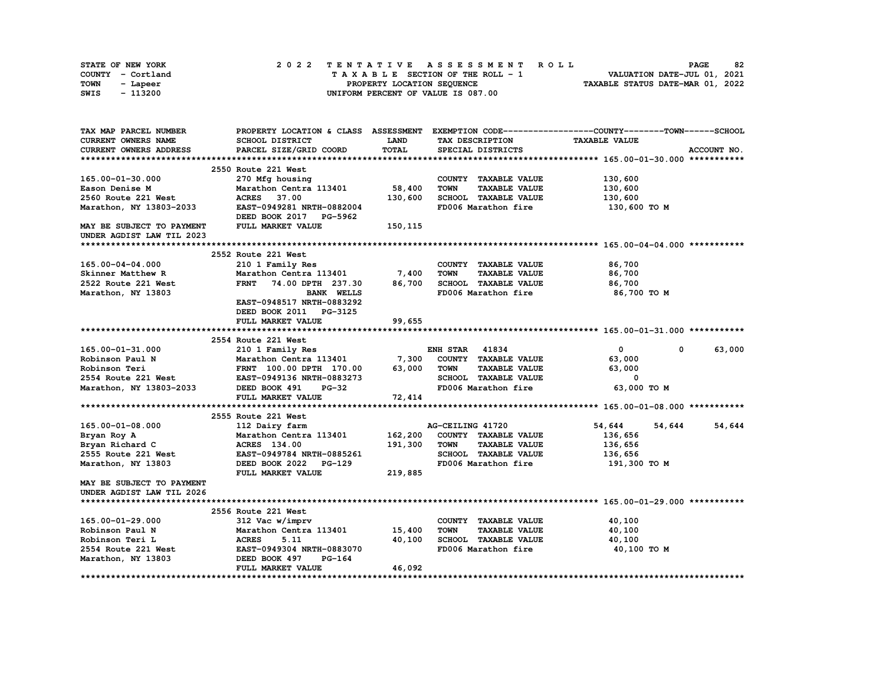| STATE OF NEW YORK | 2022 TENTATIVE ASSESSMENT ROLL     | 82<br><b>PAGE</b>                |
|-------------------|------------------------------------|----------------------------------|
| COUNTY - Cortland | TAXABLE SECTION OF THE ROLL - 1    | VALUATION DATE-JUL 01, 2021      |
| TOWN<br>- Lapeer  | PROPERTY LOCATION SEQUENCE         | TAXABLE STATUS DATE-MAR 01, 2022 |
| - 113200<br>SWIS  | UNIFORM PERCENT OF VALUE IS 087.00 |                                  |

| TAX MAP PARCEL NUMBER      |                                                                |              |                                     | PROPERTY LOCATION & CLASS ASSESSMENT EXEMPTION CODE----------------COUNTY-------TOWN-----SCHOOL |
|----------------------------|----------------------------------------------------------------|--------------|-------------------------------------|-------------------------------------------------------------------------------------------------|
| <b>CURRENT OWNERS NAME</b> | SCHOOL DISTRICT                                                | <b>LAND</b>  | TAX DESCRIPTION                     | <b>TAXABLE VALUE</b>                                                                            |
| CURRENT OWNERS ADDRESS     | PARCEL SIZE/GRID COORD                                         | <b>TOTAL</b> | SPECIAL DISTRICTS                   | ACCOUNT NO.                                                                                     |
|                            |                                                                |              |                                     |                                                                                                 |
|                            | 2550 Route 221 West                                            |              |                                     |                                                                                                 |
| $165.00 - 01 - 30.000$     | 270 Mfg housing                                                |              | COUNTY TAXABLE VALUE                | 130,600                                                                                         |
| Eason Denise M             | Marathon Centra 113401                                         | 58,400       | <b>TOWN</b><br><b>TAXABLE VALUE</b> | 130,600                                                                                         |
| 2560 Route 221 West        | 37.00<br><b>ACRES</b>                                          | 130,600      | SCHOOL TAXABLE VALUE                | 130,600                                                                                         |
| Marathon, NY 13803-2033    | EAST-0949281 NRTH-0882004                                      |              | FD006 Marathon fire                 | 130,600 то м                                                                                    |
|                            | DEED BOOK 2017 PG-5962                                         |              |                                     |                                                                                                 |
| MAY BE SUBJECT TO PAYMENT  | FULL MARKET VALUE                                              | 150,115      |                                     |                                                                                                 |
| UNDER AGDIST LAW TIL 2023  |                                                                |              |                                     |                                                                                                 |
|                            |                                                                |              |                                     |                                                                                                 |
|                            | <b>2552 Route 221 West</b>                                     |              |                                     |                                                                                                 |
| 165.00-04-04.000           | 210 1 Family Res                                               |              | COUNTY TAXABLE VALUE                | 86,700                                                                                          |
| Skinner Matthew R          | Marathon Centra 113401                                         | 7,400        | <b>TOWN</b><br><b>TAXABLE VALUE</b> | 86,700                                                                                          |
| 2522 Route 221 West        | <b>FRNT</b><br>74.00 DPTH 237.30                               | 86,700       | SCHOOL TAXABLE VALUE                | 86,700                                                                                          |
| Marathon, NY 13803         | <b>BANK WELLS</b>                                              |              | FD006 Marathon fire                 | 86,700 TO M                                                                                     |
|                            | EAST-0948517 NRTH-0883292                                      |              |                                     |                                                                                                 |
|                            | DEED BOOK 2011 PG-3125                                         |              |                                     |                                                                                                 |
|                            | FULL MARKET VALUE                                              | 99,655       |                                     |                                                                                                 |
|                            |                                                                |              |                                     |                                                                                                 |
|                            | 2554 Route 221 West                                            |              |                                     |                                                                                                 |
| 165.00-01-31.000           | 210 1 Family Res                                               |              | <b>ENH STAR 41834</b>               | 63,000<br>$\mathbf{0}$<br>$^{\circ}$                                                            |
| Robinson Paul N            |                                                                |              | COUNTY TAXABLE VALUE                | 63,000                                                                                          |
| Robinson Teri              | Marathon Centra 113401 7,300<br>FRNT 100.00 DPTH 170.00 63,000 |              | <b>TOWN</b><br><b>TAXABLE VALUE</b> | 63,000                                                                                          |
| 2554 Route 221 West        | EAST-0949136 NRTH-0883273                                      |              | SCHOOL TAXABLE VALUE                | 0                                                                                               |
| Marathon, NY 13803-2033    | DEED BOOK 491<br>$PG-32$                                       |              | FD006 Marathon fire                 | 63,000 TO M                                                                                     |
|                            | FULL MARKET VALUE                                              | 72,414       |                                     |                                                                                                 |
|                            |                                                                |              |                                     |                                                                                                 |
|                            | 2555 Route 221 West                                            |              |                                     |                                                                                                 |
| 165.00-01-08.000           | 112 Dairy farm                                                 |              | AG-CEILING 41720                    | 54,644<br>54,644<br>54,644                                                                      |
| Bryan Roy A                | Marathon Centra 113401                                         | 162,200      | COUNTY TAXABLE VALUE                | 136,656                                                                                         |
| Bryan Richard C            | ACRES 134.00                                                   | 191,300      | <b>TAXABLE VALUE</b><br><b>TOWN</b> | 136,656                                                                                         |
| 2555 Route 221 West        | EAST-0949784 NRTH-0885261                                      |              | SCHOOL TAXABLE VALUE                | 136,656                                                                                         |
| Marathon, NY 13803         | DEED BOOK 2022 PG-129                                          |              | FD006 Marathon fire                 | 191,300 то м                                                                                    |
|                            | FULL MARKET VALUE                                              | 219,885      |                                     |                                                                                                 |
| MAY BE SUBJECT TO PAYMENT  |                                                                |              |                                     |                                                                                                 |
| UNDER AGDIST LAW TIL 2026  |                                                                |              |                                     |                                                                                                 |
|                            |                                                                |              |                                     |                                                                                                 |
|                            | 2556 Route 221 West                                            |              |                                     |                                                                                                 |
| 165.00-01-29.000           | 312 Vac w/imprv                                                |              | COUNTY TAXABLE VALUE                | 40,100                                                                                          |
| Robinson Paul N            | Marathon Centra 113401                                         | 15,400       | <b>TOWN</b><br><b>TAXABLE VALUE</b> | 40,100                                                                                          |
| Robinson Teri L            | <b>ACRES</b><br>5.11                                           | 40,100       | SCHOOL TAXABLE VALUE                | 40,100                                                                                          |
| 2554 Route 221 West        | EAST-0949304 NRTH-0883070                                      |              | FD006 Marathon fire                 | 40,100 TO M                                                                                     |
| Marathon, NY 13803         | DEED BOOK 497<br>PG-164                                        |              |                                     |                                                                                                 |
|                            | FULL MARKET VALUE                                              | 46,092       |                                     |                                                                                                 |
|                            |                                                                |              |                                     |                                                                                                 |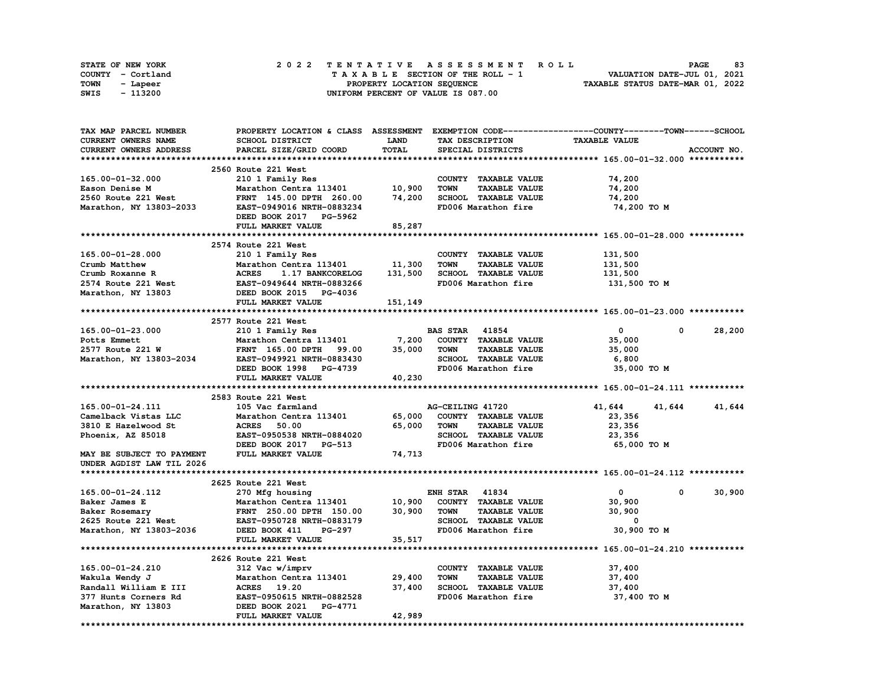|      | <b>STATE OF NEW YORK</b> | 2022 TENTATIVE ASSESSMENT ROLL     | 83<br><b>PAGE</b>                |
|------|--------------------------|------------------------------------|----------------------------------|
|      | COUNTY - Cortland        | TAXABLE SECTION OF THE ROLL - 1    | VALUATION DATE-JUL 01, 2021      |
| TOWN | - Lapeer                 | PROPERTY LOCATION SEQUENCE         | TAXABLE STATUS DATE-MAR 01, 2022 |
| SWIS | - 113200                 | UNIFORM PERCENT OF VALUE IS 087.00 |                                  |

| TAX MAP PARCEL NUMBER     |                                  |             |                                     | PROPERTY LOCATION & CLASS ASSESSMENT EXEMPTION CODE-----------------COUNTY-------TOWN------SCHOOL |                       |
|---------------------------|----------------------------------|-------------|-------------------------------------|---------------------------------------------------------------------------------------------------|-----------------------|
| CURRENT OWNERS NAME       | SCHOOL DISTRICT                  | <b>LAND</b> | TAX DESCRIPTION                     | <b>TAXABLE VALUE</b>                                                                              |                       |
| CURRENT OWNERS ADDRESS    | PARCEL SIZE/GRID COORD           | TOTAL       | SPECIAL DISTRICTS                   |                                                                                                   | ACCOUNT NO.           |
|                           |                                  |             |                                     |                                                                                                   |                       |
|                           | 2560 Route 221 West              |             |                                     |                                                                                                   |                       |
| 165.00-01-32.000          | 210 1 Family Res                 |             | COUNTY TAXABLE VALUE                | 74,200                                                                                            |                       |
| Eason Denise M            | Marathon Centra 113401           | 10,900      | <b>TOWN</b><br><b>TAXABLE VALUE</b> | 74,200                                                                                            |                       |
| 2560 Route 221 West       | FRNT 145.00 DPTH 260.00          | 74,200      | SCHOOL TAXABLE VALUE                | 74,200                                                                                            |                       |
| Marathon, NY 13803-2033   | EAST-0949016 NRTH-0883234        |             | FD006 Marathon fire                 | 74,200 TO M                                                                                       |                       |
|                           | DEED BOOK 2017 PG-5962           |             |                                     |                                                                                                   |                       |
|                           | FULL MARKET VALUE                | 85,287      |                                     |                                                                                                   |                       |
|                           |                                  |             |                                     |                                                                                                   |                       |
|                           | 2574 Route 221 West              |             |                                     |                                                                                                   |                       |
| 165.00-01-28.000          | 210 1 Family Res                 |             | COUNTY TAXABLE VALUE                | 131,500                                                                                           |                       |
| Crumb Matthew             | Marathon Centra 113401           | 11,300      | <b>TAXABLE VALUE</b><br><b>TOWN</b> | 131,500                                                                                           |                       |
|                           | <b>ACRES</b>                     | 131,500     | SCHOOL TAXABLE VALUE                |                                                                                                   |                       |
| Crumb Roxanne R           | 1.17 BANKCORELOG                 |             |                                     | 131,500                                                                                           |                       |
| 2574 Route 221 West       | EAST-0949644 NRTH-0883266        |             | FD006 Marathon fire                 | 131,500 TO M                                                                                      |                       |
| Marathon, NY 13803        | DEED BOOK 2015 PG-4036           |             |                                     |                                                                                                   |                       |
|                           | FULL MARKET VALUE                | 151,149     |                                     |                                                                                                   |                       |
|                           |                                  |             |                                     |                                                                                                   |                       |
|                           | 2577 Route 221 West              |             |                                     |                                                                                                   |                       |
| $165.00 - 01 - 23.000$    | 210 1 Family Res                 |             | <b>BAS STAR 41854</b>               | $\mathbf{0}$                                                                                      | 28,200<br>$\mathbf 0$ |
| Potts Emmett              | Marathon Centra 113401           | 7,200       | COUNTY TAXABLE VALUE                | 35,000                                                                                            |                       |
| 2577 Route 221 W          | <b>FRNT</b> 165.00 DPTH<br>99.00 | 35,000      | <b>TOWN</b><br><b>TAXABLE VALUE</b> | 35,000                                                                                            |                       |
| Marathon, NY 13803-2034   | EAST-0949921 NRTH-0883430        |             | SCHOOL TAXABLE VALUE                | 6,800                                                                                             |                       |
|                           | DEED BOOK 1998 PG-4739           |             | FD006 Marathon fire                 | 35,000 TO M                                                                                       |                       |
|                           | FULL MARKET VALUE                | 40,230      |                                     |                                                                                                   |                       |
|                           |                                  |             |                                     |                                                                                                   |                       |
|                           | 2583 Route 221 West              |             |                                     |                                                                                                   |                       |
| 165.00-01-24.111          | 105 Vac farmland                 |             | AG-CEILING 41720                    | 41,644<br>41,644                                                                                  | 41,644                |
| Camelback Vistas LLC      | Marathon Centra 113401           | 65,000      | COUNTY TAXABLE VALUE                | 23,356                                                                                            |                       |
| 3810 E Hazelwood St       | <b>ACRES</b><br>50.00            | 65,000      | <b>TOWN</b><br><b>TAXABLE VALUE</b> | 23,356                                                                                            |                       |
| Phoenix, AZ 85018         | EAST-0950538 NRTH-0884020        |             | SCHOOL TAXABLE VALUE                | 23,356                                                                                            |                       |
|                           | DEED BOOK 2017<br><b>PG-513</b>  |             | FD006 Marathon fire                 | 65,000 TO M                                                                                       |                       |
| MAY BE SUBJECT TO PAYMENT | FULL MARKET VALUE                | 74,713      |                                     |                                                                                                   |                       |
| UNDER AGDIST LAW TIL 2026 |                                  |             |                                     |                                                                                                   |                       |
|                           |                                  |             |                                     |                                                                                                   |                       |
|                           | 2625 Route 221 West              |             |                                     |                                                                                                   |                       |
| 165.00-01-24.112          | 270 Mfg housing                  |             | <b>ENH STAR 41834</b>               | $\mathbf{0}$                                                                                      | 30,900<br>$^{\circ}$  |
| Baker James E             | Marathon Centra 113401           | 10,900      | COUNTY TAXABLE VALUE                | 30,900                                                                                            |                       |
| Baker Rosemary            | FRNT 250.00 DPTH 150.00          | 30,900      | <b>TAXABLE VALUE</b><br><b>TOWN</b> | 30,900                                                                                            |                       |
| 2625 Route 221 West       | EAST-0950728 NRTH-0883179        |             | SCHOOL TAXABLE VALUE                | 0                                                                                                 |                       |
| Marathon, NY 13803-2036   | DEED BOOK 411<br>PG-297          |             | FD006 Marathon fire                 | 30,900 TO M                                                                                       |                       |
|                           | FULL MARKET VALUE                | 35,517      |                                     |                                                                                                   |                       |
|                           |                                  |             |                                     |                                                                                                   |                       |
|                           | 2626 Route 221 West              |             |                                     |                                                                                                   |                       |
| 165.00-01-24.210          | 312 Vac w/imprv                  |             | COUNTY TAXABLE VALUE                | 37,400                                                                                            |                       |
| Wakula Wendy J            | Marathon Centra 113401           | 29,400      | <b>TOWN</b><br><b>TAXABLE VALUE</b> | 37,400                                                                                            |                       |
| Randall William E III     | ACRES 19.20                      | 37,400      | SCHOOL TAXABLE VALUE                | 37,400                                                                                            |                       |
| 377 Hunts Corners Rd      | EAST-0950615 NRTH-0882528        |             | FD006 Marathon fire                 | 37,400 TO M                                                                                       |                       |
| Marathon, NY 13803        | DEED BOOK 2021 PG-4771           |             |                                     |                                                                                                   |                       |
|                           | FULL MARKET VALUE                | 42,989      |                                     |                                                                                                   |                       |
|                           |                                  |             |                                     |                                                                                                   |                       |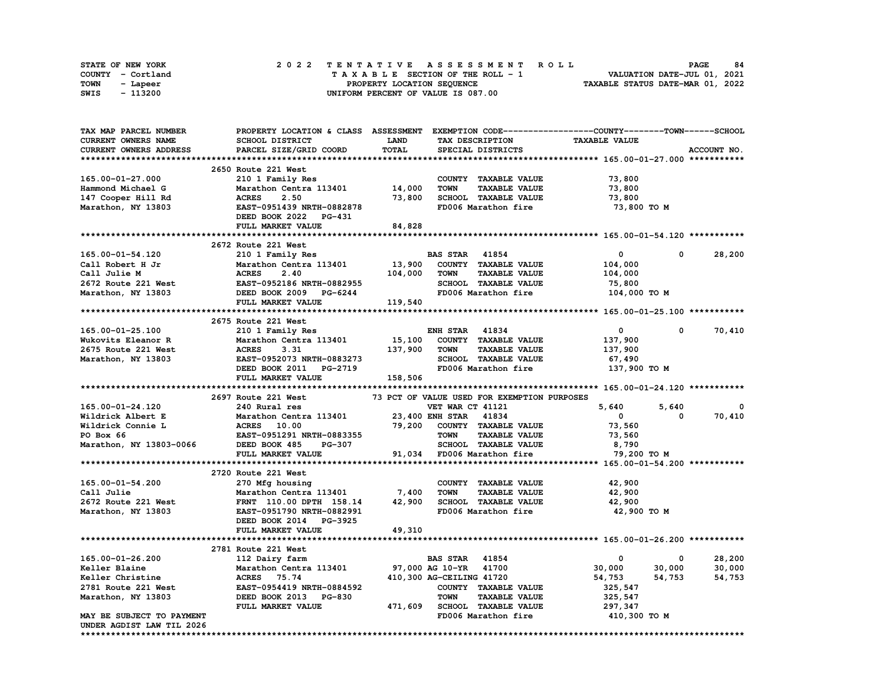|      | STATE OF NEW YORK |  |  |  |  | 2022 TENTATIVE ASSESSMENT ROLL     |  |  |  |  |  |  |                                  | <b>PAGE</b> | 84 |
|------|-------------------|--|--|--|--|------------------------------------|--|--|--|--|--|--|----------------------------------|-------------|----|
|      | COUNTY - Cortland |  |  |  |  | TAXABLE SECTION OF THE ROLL - 1    |  |  |  |  |  |  | VALUATION DATE-JUL 01, 2021      |             |    |
| TOWN | - Lapeer          |  |  |  |  | PROPERTY LOCATION SEQUENCE         |  |  |  |  |  |  | TAXABLE STATUS DATE-MAR 01, 2022 |             |    |
| SWIS | - 113200          |  |  |  |  | UNIFORM PERCENT OF VALUE IS 087.00 |  |  |  |  |  |  |                                  |             |    |

| <b>TAX MAP PARCEL NUMBER</b>                           | PROPERTY LOCATION & CLASS ASSESSMENT EXEMPTION CODE-----------------COUNTY-------TOWN-----SCHOOL |                       |                          |                                             |                      |              |             |
|--------------------------------------------------------|--------------------------------------------------------------------------------------------------|-----------------------|--------------------------|---------------------------------------------|----------------------|--------------|-------------|
| <b>CURRENT OWNERS NAME</b>                             | <b>SCHOOL DISTRICT</b>                                                                           | <b>LAND</b>           |                          | TAX DESCRIPTION                             | <b>TAXABLE VALUE</b> |              |             |
| <b>CURRENT OWNERS ADDRESS</b>                          | PARCEL SIZE/GRID COORD                                                                           | TOTAL                 |                          | SPECIAL DISTRICTS                           |                      |              | ACCOUNT NO. |
|                                                        |                                                                                                  |                       |                          |                                             |                      |              |             |
|                                                        | 2650 Route 221 West                                                                              |                       |                          |                                             |                      |              |             |
| 165.00-01-27.000                                       | 210 1 Family Res                                                                                 |                       |                          | COUNTY TAXABLE VALUE                        | 73,800               |              |             |
| Hammond Michael G                                      | Marathon Centra 113401                                                                           | 14,000                | <b>TOWN</b>              | <b>TAXABLE VALUE</b>                        | 73,800               |              |             |
| 147 Cooper Hill Rd                                     | 2.50<br><b>ACRES</b>                                                                             | 73,800                |                          | SCHOOL TAXABLE VALUE                        | 73,800               |              |             |
| Marathon, NY 13803                                     | EAST-0951439 NRTH-0882878                                                                        |                       |                          | FD006 Marathon fire                         | 73,800 то м          |              |             |
|                                                        | DEED BOOK 2022 PG-431                                                                            |                       |                          |                                             |                      |              |             |
|                                                        | FULL MARKET VALUE                                                                                | 84,828                |                          |                                             |                      |              |             |
|                                                        |                                                                                                  |                       |                          |                                             |                      |              |             |
|                                                        | 2672 Route 221 West                                                                              |                       |                          |                                             |                      |              |             |
| 165.00-01-54.120                                       | 210 1 Family Res                                                                                 |                       | <b>BAS STAR</b> 41854    |                                             | $\bullet$ 0          | $^{\circ}$   | 28,200      |
| Call Robert H Jr                                       | Marathon Centra 113401                                                                           |                       |                          | 13,900 COUNTY TAXABLE VALUE                 | 104,000              |              |             |
| Call Julie M                                           | <b>ACRES</b><br>2.40                                                                             | 104,000               | <b>TOWN</b>              | <b>TAXABLE VALUE</b>                        | 104,000              |              |             |
| 2672 Route 221 West                                    | EAST-0952186 NRTH-0882955                                                                        |                       |                          | SCHOOL TAXABLE VALUE                        | 75,800               |              |             |
| Marathon, NY 13803                                     |                                                                                                  |                       |                          | FD006 Marathon fire                         | 104,000 TO M         |              |             |
|                                                        | --- ------- MAIN-0882955<br>DEED BOOK 2009 PG-6244<br>FULL MARKET VALUE                          | 119,540               |                          |                                             |                      |              |             |
|                                                        |                                                                                                  |                       |                          |                                             |                      |              |             |
|                                                        | 2675 Route 221 West                                                                              |                       |                          |                                             |                      |              |             |
| 165.00-01-25.100                                       | 210 1 Family Res                                                                                 |                       | <b>ENH STAR 41834</b>    |                                             | $\mathbf 0$          | $\mathbf{0}$ | 70,410      |
| Wukovits Eleanor R                                     | Marathon Centra 113401                                                                           | 15,100                |                          | COUNTY TAXABLE VALUE                        | 137,900              |              |             |
| 2675 Route 221 West                                    | <b>ACRES</b><br>3.31                                                                             | 137,900               | TOWN                     | <b>TAXABLE VALUE</b>                        | 137,900              |              |             |
| Marathon, NY 13803                                     |                                                                                                  |                       |                          | SCHOOL TAXABLE VALUE                        | 67,490               |              |             |
|                                                        | EAST-0952073 NRTH-0883273<br>DEED BOOK 2011 PG-2719                                              |                       |                          | FD006 Marathon fire                         | 137,900 TO M         |              |             |
|                                                        | FULL MARKET VALUE                                                                                | 158,506               |                          |                                             |                      |              |             |
|                                                        |                                                                                                  |                       |                          |                                             |                      |              |             |
|                                                        | 2697 Route 221 West                                                                              |                       |                          | 73 PCT OF VALUE USED FOR EXEMPTION PURPOSES |                      |              |             |
| 165.00-01-24.120                                       | 240 Rural res                                                                                    |                       | VET WAR CT 41121         |                                             | 5,640                | 5,640        | 0           |
|                                                        |                                                                                                  |                       |                          |                                             |                      |              |             |
|                                                        |                                                                                                  |                       |                          |                                             |                      |              |             |
| Wildrick Albert E                                      | Marathon Centra 113401                                                                           |                       | 23,400 ENH STAR 41834    |                                             | $\mathbf{0}$         | 0            | 70,410      |
| Wildrick Connie L                                      | <b>ACRES</b> 10.00                                                                               |                       |                          | 79,200 COUNTY TAXABLE VALUE                 | 73,560               |              |             |
| PO Box 66                                              | EAST-0951291 NRTH-0883355                                                                        |                       | <b>TOWN</b>              | <b>TAXABLE VALUE</b>                        | 73,560               |              |             |
| Marathon, NY 13803-0066                                | DEED BOOK 485<br><b>PG-307</b>                                                                   |                       |                          | SCHOOL TAXABLE VALUE                        | 8,790                |              |             |
|                                                        | FULL MARKET VALUE                                                                                |                       |                          | 91,034 FD006 Marathon fire                  | 79,200 TO M          |              |             |
|                                                        |                                                                                                  |                       |                          |                                             |                      |              |             |
|                                                        | 2720 Route 221 West                                                                              |                       |                          |                                             |                      |              |             |
| 165.00-01-54.200                                       | 270 Mfg housing                                                                                  |                       |                          | COUNTY TAXABLE VALUE                        | 42,900               |              |             |
| Call Julie                                             | Marathon Centra 113401                                                                           | 7,400                 | <b>TOWN</b>              | <b>TAXABLE VALUE</b>                        | 42,900               |              |             |
| 2672 Route 221 West                                    | FRNT 110.00 DPTH 158.14                                                                          | 42,900                |                          | SCHOOL TAXABLE VALUE                        | 42,900               |              |             |
| Marathon, NY 13803                                     | EAST-0951790 NRTH-0882991                                                                        |                       |                          | FD006 Marathon fire                         | 42,900 TO M          |              |             |
|                                                        | DEED BOOK 2014 PG-3925                                                                           |                       |                          |                                             |                      |              |             |
|                                                        | FULL MARKET VALUE                                                                                | 49,310                |                          |                                             |                      |              |             |
|                                                        |                                                                                                  |                       |                          |                                             |                      |              |             |
|                                                        | 2781 Route 221 West                                                                              |                       |                          |                                             |                      |              |             |
| 165.00-01-26.200                                       | 112 Dairy farm                                                                                   |                       | <b>BAS STAR 41854</b>    |                                             | 0                    | 0            | 28,200      |
| Keller Blaine                                          | Marathon Centra 113401                                                                           | 97,000 AG 10-YR 41700 |                          |                                             | 30,000               | 30,000       | 30,000      |
| Keller Christine                                       | ACRES 75.74                                                                                      |                       | 410,300 AG-CEILING 41720 |                                             | 54,753               | 54,753       | 54,753      |
| 2781 Route 221 West                                    | EAST-0954419 NRTH-0884592                                                                        |                       |                          | COUNTY TAXABLE VALUE                        | 325,547              |              |             |
| Marathon, NY 13803                                     | DEED BOOK 2013 PG-830                                                                            |                       | <b>TOWN</b>              | <b>TAXABLE VALUE</b>                        | 325,547              |              |             |
|                                                        | FULL MARKET VALUE                                                                                |                       |                          | 471,609 SCHOOL TAXABLE VALUE                | 297,347              |              |             |
| MAY BE SUBJECT TO PAYMENT<br>UNDER AGDIST LAW TIL 2026 |                                                                                                  |                       |                          | FD006 Marathon fire                         | 410,300 TO M         |              |             |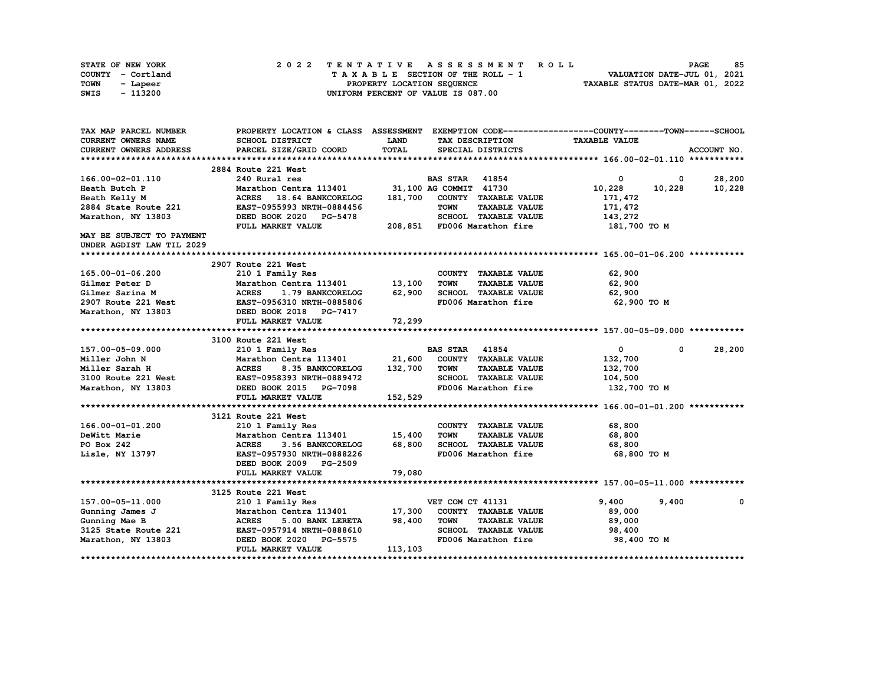| STATE OF NEW YORK |  | 2022 TENTATIVE ASSESSMENT ROLL     |  | <b>PAGE</b>                      | 85 |
|-------------------|--|------------------------------------|--|----------------------------------|----|
| COUNTY - Cortland |  | TAXABLE SECTION OF THE ROLL - 1    |  | VALUATION DATE-JUL 01, 2021      |    |
| TOWN<br>- Lapeer  |  | PROPERTY LOCATION SEQUENCE         |  | TAXABLE STATUS DATE-MAR 01, 2022 |    |
| - 113200<br>SWIS  |  | UNIFORM PERCENT OF VALUE IS 087.00 |  |                                  |    |

| TAX MAP PARCEL NUMBER      |                                               |         |                                     | PROPERTY LOCATION & CLASS ASSESSMENT EXEMPTION CODE-----------------COUNTY-------TOWN------SCHOOL |                        |
|----------------------------|-----------------------------------------------|---------|-------------------------------------|---------------------------------------------------------------------------------------------------|------------------------|
| <b>CURRENT OWNERS NAME</b> | SCHOOL DISTRICT                               | LAND    | TAX DESCRIPTION                     | <b>TAXABLE VALUE</b>                                                                              |                        |
| CURRENT OWNERS ADDRESS     | PARCEL SIZE/GRID COORD                        | TOTAL   | SPECIAL DISTRICTS                   |                                                                                                   | ACCOUNT NO.            |
|                            |                                               |         |                                     |                                                                                                   |                        |
|                            | 2884 Route 221 West                           |         |                                     |                                                                                                   |                        |
| 166.00-02-01.110           | 240 Rural res                                 |         | <b>BAS STAR</b> 41854               | $^{\circ}$                                                                                        | 28,200<br>$\mathbf{0}$ |
| Heath Butch P              | Marathon Centra 113401                        |         | 31,100 AG COMMIT 41730              | 10,228<br>10,228                                                                                  | 10,228                 |
| Heath Kelly M              | ACRES 18.64 BANKCORELOG                       | 181,700 | COUNTY TAXABLE VALUE                | 171,472                                                                                           |                        |
| 2884 State Route 221       | EAST-0955993 NRTH-0884456                     |         | <b>TOWN</b><br><b>TAXABLE VALUE</b> | 171,472                                                                                           |                        |
| Marathon, NY 13803         | DEED BOOK 2020 PG-5478                        |         | SCHOOL TAXABLE VALUE                | 143,272                                                                                           |                        |
|                            | FULL MARKET VALUE                             |         | 208,851 FD006 Marathon fire         | 181,700 TO M                                                                                      |                        |
| MAY BE SUBJECT TO PAYMENT  |                                               |         |                                     |                                                                                                   |                        |
| UNDER AGDIST LAW TIL 2029  |                                               |         |                                     |                                                                                                   |                        |
|                            |                                               |         |                                     |                                                                                                   |                        |
|                            | 2907 Route 221 West                           |         |                                     |                                                                                                   |                        |
| 165.00-01-06.200           | 210 1 Family Res                              |         | COUNTY TAXABLE VALUE                | 62,900                                                                                            |                        |
| Gilmer Peter D             | Marathon Centra 113401                        | 13,100  | <b>TOWN</b><br><b>TAXABLE VALUE</b> | 62,900                                                                                            |                        |
| Gilmer Sarina M            | <b>ACRES</b><br>1.79 BANKCORELOG              | 62,900  | SCHOOL TAXABLE VALUE                | 62,900                                                                                            |                        |
|                            | 2907 Route 221 West EAST-0956310 NRTH-0885806 |         | FD006 Marathon fire                 | 62,900 TO M                                                                                       |                        |
| Marathon, NY 13803         | DEED BOOK 2018 PG-7417                        |         |                                     |                                                                                                   |                        |
|                            | FULL MARKET VALUE                             | 72,299  |                                     |                                                                                                   |                        |
|                            |                                               |         |                                     |                                                                                                   |                        |
|                            | 3100 Route 221 West                           |         |                                     |                                                                                                   |                        |
| 157.00-05-09.000           | 210 1 Family Res                              |         | <b>BAS STAR 41854</b>               | $\mathbf{0}$<br>$^{\circ}$                                                                        | 28,200                 |
| Miller John N              | Marathon Centra 113401 21,600                 |         | COUNTY TAXABLE VALUE                | 132,700                                                                                           |                        |
| Miller Sarah H             | <b>ACRES</b><br>8.35 BANKCORELOG              | 132,700 | TOWN<br><b>TAXABLE VALUE</b>        | 132,700                                                                                           |                        |
|                            | 3100 Route 221 West EAST-0958393 NRTH-0889472 |         | SCHOOL TAXABLE VALUE                | 104,500                                                                                           |                        |
| Marathon, NY 13803         | DEED BOOK 2015 PG-7098                        |         | FD006 Marathon fire                 | 132,700 то м                                                                                      |                        |
|                            | FULL MARKET VALUE                             | 152,529 |                                     |                                                                                                   |                        |
|                            |                                               |         |                                     |                                                                                                   |                        |
|                            | 3121 Route 221 West                           |         |                                     |                                                                                                   |                        |
| 166.00-01-01.200           | 210 1 Family Res                              |         | COUNTY TAXABLE VALUE                | 68,800                                                                                            |                        |
| DeWitt Marie               | Marathon Centra 113401                        | 15,400  | <b>TOWN</b><br><b>TAXABLE VALUE</b> | 68,800                                                                                            |                        |
| PO Box 242                 | <b>ACRES</b><br>3.56 BANKCORELOG              | 68,800  | SCHOOL TAXABLE VALUE                | 68,800                                                                                            |                        |
| Lisle, NY 13797            | EAST-0957930 NRTH-0888226                     |         | FD006 Marathon fire                 | 68,800 TO M                                                                                       |                        |
|                            | DEED BOOK 2009 PG-2509                        |         |                                     |                                                                                                   |                        |
|                            | FULL MARKET VALUE                             | 79,080  |                                     |                                                                                                   |                        |
|                            |                                               |         |                                     |                                                                                                   |                        |
|                            | 3125 Route 221 West                           |         |                                     |                                                                                                   |                        |
| 157.00-05-11.000           | 210 1 Family Res                              |         | VET COM CT 41131                    | 9,400<br>9,400                                                                                    | 0                      |
| Gunning James J            | Marathon Centra 113401                        | 17,300  | COUNTY TAXABLE VALUE                | 89,000                                                                                            |                        |
| Gunning Mae B              | <b>ACRES</b><br>5.00 BANK LERETA              | 98,400  | TOWN<br><b>TAXABLE VALUE</b>        | 89,000                                                                                            |                        |
| 3125 State Route 221       | EAST-0957914 NRTH-0888610                     |         | SCHOOL TAXABLE VALUE                | 98,400                                                                                            |                        |
| Marathon, NY 13803         | DEED BOOK 2020 PG-5575                        |         | FD006 Marathon fire                 | 98,400 TO M                                                                                       |                        |
|                            | FULL MARKET VALUE                             | 113,103 |                                     |                                                                                                   |                        |
|                            |                                               |         |                                     |                                                                                                   |                        |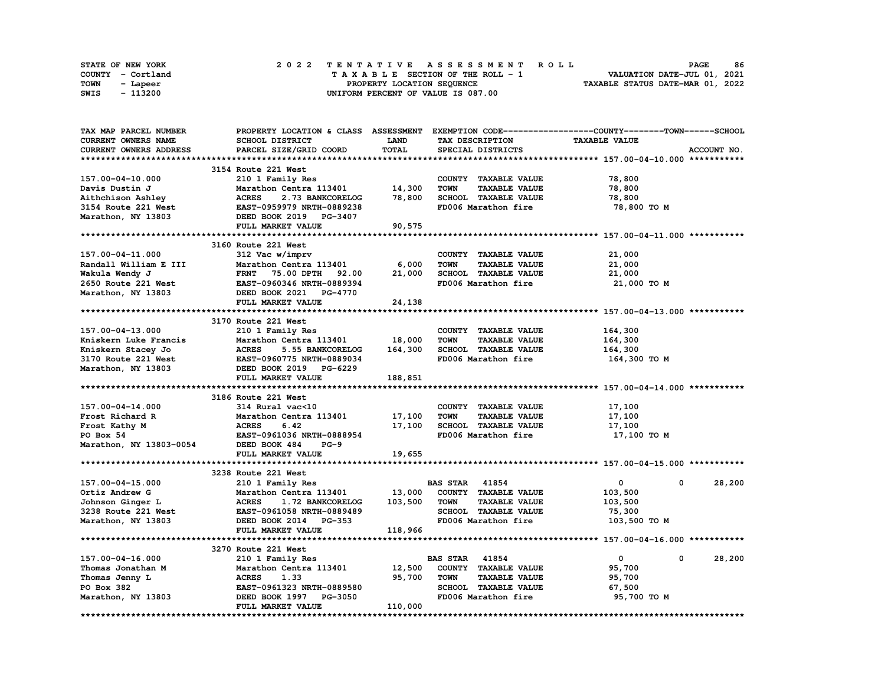|      | STATE OF NEW YORK |  |  |  |  |  | 2022 TENTATIVE ASSESSMENT ROLL     |  |  |  |  |  |  |                                  |  | <b>PAGE</b> | 86 |
|------|-------------------|--|--|--|--|--|------------------------------------|--|--|--|--|--|--|----------------------------------|--|-------------|----|
|      | COUNTY - Cortland |  |  |  |  |  | TAXABLE SECTION OF THE ROLL - 1    |  |  |  |  |  |  | VALUATION DATE-JUL 01, 2021      |  |             |    |
| TOWN | - Lapeer          |  |  |  |  |  | PROPERTY LOCATION SEQUENCE         |  |  |  |  |  |  | TAXABLE STATUS DATE-MAR 01, 2022 |  |             |    |
| SWIS | - 113200          |  |  |  |  |  | UNIFORM PERCENT OF VALUE IS 087.00 |  |  |  |  |  |  |                                  |  |             |    |

| TAX MAP PARCEL NUMBER      | PROPERTY LOCATION & CLASS ASSESSMENT EXEMPTION CODE-----------------COUNTY-------TOWN------SCHOOL |              |                                     |                             |             |
|----------------------------|---------------------------------------------------------------------------------------------------|--------------|-------------------------------------|-----------------------------|-------------|
| <b>CURRENT OWNERS NAME</b> | SCHOOL DISTRICT                                                                                   | <b>LAND</b>  | TAX DESCRIPTION                     | <b>TAXABLE VALUE</b>        |             |
| CURRENT OWNERS ADDRESS     | PARCEL SIZE/GRID COORD                                                                            | <b>TOTAL</b> | SPECIAL DISTRICTS                   |                             | ACCOUNT NO. |
|                            |                                                                                                   |              |                                     |                             |             |
|                            | 3154 Route 221 West                                                                               |              |                                     |                             |             |
| 157.00-04-10.000           | 210 1 Family Res                                                                                  |              | COUNTY TAXABLE VALUE                | 78,800                      |             |
| Davis Dustin J             | Marathon Centra 113401                                                                            | 14,300       | <b>TAXABLE VALUE</b><br><b>TOWN</b> | 78,800                      |             |
| Aithchison Ashley          | <b>ACRES</b><br>2.73 BANKCORELOG                                                                  | 78,800       | SCHOOL TAXABLE VALUE                | 78,800                      |             |
| 3154 Route 221 West        | EAST-0959979 NRTH-0889238                                                                         |              | FD006 Marathon fire                 | 78,800 TO M                 |             |
|                            |                                                                                                   |              |                                     |                             |             |
| Marathon, NY 13803         | DEED BOOK 2019 PG-3407                                                                            |              |                                     |                             |             |
|                            | FULL MARKET VALUE                                                                                 | 90,575       |                                     |                             |             |
|                            |                                                                                                   |              |                                     |                             |             |
|                            | 3160 Route 221 West                                                                               |              |                                     |                             |             |
| 157.00-04-11.000           | 312 Vac w/imprv                                                                                   |              | COUNTY TAXABLE VALUE                | 21,000                      |             |
| Randall William E III      | Marathon Centra 113401                                                                            | 6,000        | <b>TOWN</b><br><b>TAXABLE VALUE</b> | 21,000                      |             |
| Wakula Wendy J             | FRNT 75.00 DPTH 92.00<br><b>FRNT 75.00 DPTH 92.00<br/>EAST-0960346 NRTH-0889394</b>               | 21,000       | SCHOOL TAXABLE VALUE                | 21,000                      |             |
| 2650 Route 221 West        |                                                                                                   |              | FD006 Marathon fire                 | 21,000 TO M                 |             |
| Marathon, NY 13803         | DEED BOOK 2021 PG-4770                                                                            |              |                                     |                             |             |
|                            | FULL MARKET VALUE                                                                                 | 24,138       |                                     |                             |             |
|                            |                                                                                                   |              |                                     |                             |             |
|                            | 3170 Route 221 West                                                                               |              |                                     |                             |             |
| 157.00-04-13.000           | 210 1 Family Res                                                                                  |              | COUNTY TAXABLE VALUE                | 164,300                     |             |
| Kniskern Luke Francis      | Marathon Centra 113401                                                                            | 18,000       | <b>TOWN</b><br><b>TAXABLE VALUE</b> | 164,300                     |             |
| Kniskern Stacey Jo         | <b>ACRES</b><br>5.55 BANKCORELOG                                                                  | 164,300      | SCHOOL TAXABLE VALUE                | 164,300                     |             |
| 3170 Route 221 West        |                                                                                                   |              | FD006 Marathon fire                 | 164,300 то м                |             |
| Marathon, NY 13803         | EAST-0960775 NRTH-0889034<br>DEED BOOK 2019 PG-6229<br>DEED BOOK 2019 PG-6229                     |              |                                     |                             |             |
|                            | FULL MARKET VALUE                                                                                 | 188,851      |                                     |                             |             |
|                            |                                                                                                   |              |                                     |                             |             |
|                            | 3186 Route 221 West                                                                               |              |                                     |                             |             |
| 157.00-04-14.000           | 314 Rural vac<10                                                                                  |              | COUNTY TAXABLE VALUE                | 17,100                      |             |
| Frost Richard R            | Marathon Centra 113401                                                                            | 17,100       | <b>TOWN</b><br><b>TAXABLE VALUE</b> | 17,100                      |             |
| Frost Kathy M              | <b>ACRES</b><br>6.42                                                                              | 17,100       | SCHOOL TAXABLE VALUE                | 17,100                      |             |
|                            |                                                                                                   |              |                                     |                             |             |
| PO Box 54                  | EAST-0961036 NRTH-0888954                                                                         |              | FD006 Marathon fire                 | 17,100 TO M                 |             |
| Marathon, NY 13803-0054    | DEED BOOK 484<br>$PG-9$                                                                           |              |                                     |                             |             |
|                            | FULL MARKET VALUE                                                                                 | 19,655       |                                     |                             |             |
|                            |                                                                                                   |              |                                     |                             |             |
|                            | 3238 Route 221 West                                                                               |              |                                     |                             |             |
| 157.00-04-15.000           | 210 1 Family Res                                                                                  |              | <b>BAS STAR 41854</b>               | $\mathbf{0}$<br>0           | 28,200      |
| Ortiz Andrew G             | Marathon Centra 113401                                                                            | 13,000       | COUNTY TAXABLE VALUE                | 103,500                     |             |
| Johnson Ginger L           | <b>ACRES</b><br><b>1.72 BANKCORELOG</b>                                                           | 103,500      | <b>TAXABLE VALUE</b><br><b>TOWN</b> | 103,500                     |             |
| 3238 Route 221 West        | EAST-0961058 NRTH-0889489                                                                         |              | SCHOOL TAXABLE VALUE                | 75,300                      |             |
| Marathon, NY 13803         | DEED BOOK 2014 PG-353                                                                             |              | FD006 Marathon fire                 | 103,500 TO M                |             |
|                            | FULL MARKET VALUE                                                                                 | 118,966      |                                     |                             |             |
|                            |                                                                                                   |              |                                     |                             |             |
|                            | 3270 Route 221 West                                                                               |              |                                     |                             |             |
| 157.00-04-16.000           | 210 1 Family Res                                                                                  |              | <b>BAS STAR</b> 41854               | $\mathbf 0$<br>$\mathbf{0}$ | 28,200      |
| Thomas Jonathan M          | Marathon Centra 113401                                                                            | 12,500       | COUNTY TAXABLE VALUE                | 95,700                      |             |
| Thomas Jenny L             | <b>ACRES</b><br>1.33                                                                              | 95,700       | <b>TOWN</b><br><b>TAXABLE VALUE</b> | 95,700                      |             |
| PO Box 382                 | EAST-0961323 NRTH-0889580                                                                         |              | SCHOOL TAXABLE VALUE                | 67,500                      |             |
| Marathon, NY 13803         | DEED BOOK 1997 PG-3050                                                                            |              | FD006 Marathon fire                 | 95,700 TO M                 |             |
|                            | FULL MARKET VALUE                                                                                 | 110,000      |                                     |                             |             |
|                            |                                                                                                   |              |                                     |                             |             |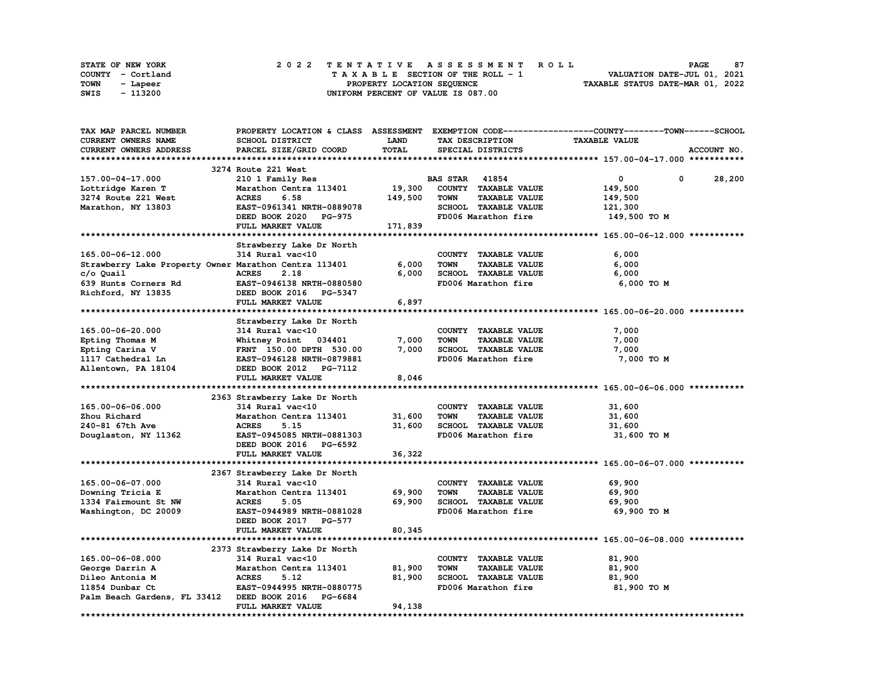| STATE OF NEW YORK | 2022 TENTATIVE ASSESSMENT ROLL     | 87<br><b>PAGE</b>                |
|-------------------|------------------------------------|----------------------------------|
| COUNTY - Cortland | TAXABLE SECTION OF THE ROLL - 1    | VALUATION DATE-JUL 01, 2021      |
| TOWN<br>- Lapeer  | PROPERTY LOCATION SEQUENCE         | TAXABLE STATUS DATE-MAR 01, 2022 |
| - 113200<br>SWIS  | UNIFORM PERCENT OF VALUE IS 087.00 |                                  |

| TAX MAP PARCEL NUMBER                                 |                               |             |                                     | PROPERTY LOCATION & CLASS ASSESSMENT EXEMPTION CODE----------------COUNTY-------TOWN------SCHOOL |
|-------------------------------------------------------|-------------------------------|-------------|-------------------------------------|--------------------------------------------------------------------------------------------------|
| <b>CURRENT OWNERS NAME</b>                            | SCHOOL DISTRICT               | <b>LAND</b> | TAX DESCRIPTION                     | <b>TAXABLE VALUE</b>                                                                             |
| CURRENT OWNERS ADDRESS                                | PARCEL SIZE/GRID COORD        | TOTAL       | SPECIAL DISTRICTS                   | ACCOUNT NO.                                                                                      |
|                                                       |                               |             |                                     |                                                                                                  |
|                                                       | 3274 Route 221 West           |             |                                     |                                                                                                  |
| 157.00-04-17.000                                      | 210 1 Family Res              |             | <b>BAS STAR 41854</b>               | $\mathbf 0$<br>0<br>28,200                                                                       |
| Lottridge Karen T                                     | Marathon Centra 113401        | 19,300      | COUNTY TAXABLE VALUE                | 149,500                                                                                          |
| 3274 Route 221 West                                   | 6.58<br><b>ACRES</b>          | 149,500     | <b>TOWN</b><br><b>TAXABLE VALUE</b> | 149,500                                                                                          |
| Marathon, NY 13803                                    | EAST-0961341 NRTH-0889078     |             | SCHOOL TAXABLE VALUE                |                                                                                                  |
|                                                       |                               |             |                                     | 121,300                                                                                          |
|                                                       | DEED BOOK 2020 PG-975         |             | FD006 Marathon fire                 | 149,500 TO M                                                                                     |
|                                                       | FULL MARKET VALUE             | 171,839     |                                     |                                                                                                  |
|                                                       |                               |             |                                     |                                                                                                  |
|                                                       | Strawberry Lake Dr North      |             |                                     |                                                                                                  |
| 165.00-06-12.000                                      | 314 Rural vac<10              |             | COUNTY TAXABLE VALUE                | 6,000                                                                                            |
| Strawberry Lake Property Owner Marathon Centra 113401 |                               | 6,000       | <b>TOWN</b><br><b>TAXABLE VALUE</b> | 6,000                                                                                            |
| c/o Quail                                             | <b>ACRES</b><br>2.18          | 6,000       | SCHOOL TAXABLE VALUE                | 6,000                                                                                            |
| 639 Hunts Corners Rd                                  | EAST-0946138 NRTH-0880580     |             | FD006 Marathon fire                 | 6,000 TO M                                                                                       |
| Richford, NY 13835                                    | DEED BOOK 2016 PG-5347        |             |                                     |                                                                                                  |
|                                                       | FULL MARKET VALUE             | 6,897       |                                     |                                                                                                  |
|                                                       |                               |             |                                     |                                                                                                  |
|                                                       | Strawberry Lake Dr North      |             |                                     |                                                                                                  |
| 165.00-06-20.000                                      | 314 Rural vac<10              |             | COUNTY TAXABLE VALUE                | 7,000                                                                                            |
| Epting Thomas M                                       | Whitney Point 034401          | 7,000       | <b>TOWN</b><br><b>TAXABLE VALUE</b> | 7,000                                                                                            |
| Epting Carina V                                       | FRNT 150.00 DPTH 530.00       | 7,000       | SCHOOL TAXABLE VALUE                | 7,000                                                                                            |
| 1117 Cathedral Ln                                     | EAST-0946128 NRTH-0879881     |             | FD006 Marathon fire                 | 7,000 TO M                                                                                       |
| Allentown, PA 18104                                   | DEED BOOK 2012 PG-7112        |             |                                     |                                                                                                  |
|                                                       | FULL MARKET VALUE             | 8,046       |                                     |                                                                                                  |
|                                                       |                               |             |                                     |                                                                                                  |
|                                                       | 2363 Strawberry Lake Dr North |             |                                     |                                                                                                  |
| 165.00-06-06.000                                      | 314 Rural vac<10              |             | COUNTY TAXABLE VALUE                | 31,600                                                                                           |
|                                                       | Marathon Centra 113401        | 31,600      | <b>TOWN</b><br><b>TAXABLE VALUE</b> |                                                                                                  |
| Zhou Richard                                          |                               |             |                                     | 31,600                                                                                           |
| 240-81 67th Ave                                       | <b>ACRES</b><br>5.15          | 31,600      | SCHOOL TAXABLE VALUE                | 31,600                                                                                           |
| Douglaston, NY 11362                                  | EAST-0945085 NRTH-0881303     |             | FD006 Marathon fire                 | 31,600 TO M                                                                                      |
|                                                       | DEED BOOK 2016 PG-6592        |             |                                     |                                                                                                  |
|                                                       | FULL MARKET VALUE             | 36,322      |                                     |                                                                                                  |
|                                                       |                               |             |                                     |                                                                                                  |
|                                                       | 2367 Strawberry Lake Dr North |             |                                     |                                                                                                  |
| 165.00-06-07.000                                      | 314 Rural vac<10              |             | COUNTY TAXABLE VALUE                | 69,900                                                                                           |
| Downing Tricia E                                      | Marathon Centra 113401        | 69,900      | <b>TOWN</b><br><b>TAXABLE VALUE</b> | 69,900                                                                                           |
| 1334 Fairmount St NW                                  | <b>ACRES</b><br>5.05          | 69,900      | SCHOOL TAXABLE VALUE                | 69,900                                                                                           |
| Washington, DC 20009                                  | EAST-0944989 NRTH-0881028     |             | FD006 Marathon fire                 | 69,900 TO M                                                                                      |
|                                                       | DEED BOOK 2017 PG-577         |             |                                     |                                                                                                  |
|                                                       | FULL MARKET VALUE             | 80,345      |                                     |                                                                                                  |
|                                                       |                               |             |                                     |                                                                                                  |
|                                                       | 2373 Strawberry Lake Dr North |             |                                     |                                                                                                  |
| 165.00-06-08.000                                      | 314 Rural vac<10              |             | COUNTY TAXABLE VALUE                | 81,900                                                                                           |
| George Darrin A                                       | Marathon Centra 113401        | 81,900      | TOWN<br><b>TAXABLE VALUE</b>        | 81,900                                                                                           |
| Dileo Antonia M                                       | <b>ACRES</b><br>5.12          | 81,900      | SCHOOL TAXABLE VALUE                | 81,900                                                                                           |
| 11854 Dunbar Ct                                       | EAST-0944995 NRTH-0880775     |             | FD006 Marathon fire                 | 81,900 TO M                                                                                      |
| Palm Beach Gardens, FL 33412 DEED BOOK 2016 PG-6684   |                               |             |                                     |                                                                                                  |
|                                                       | FULL MARKET VALUE             | 94,138      |                                     |                                                                                                  |
|                                                       |                               |             |                                     |                                                                                                  |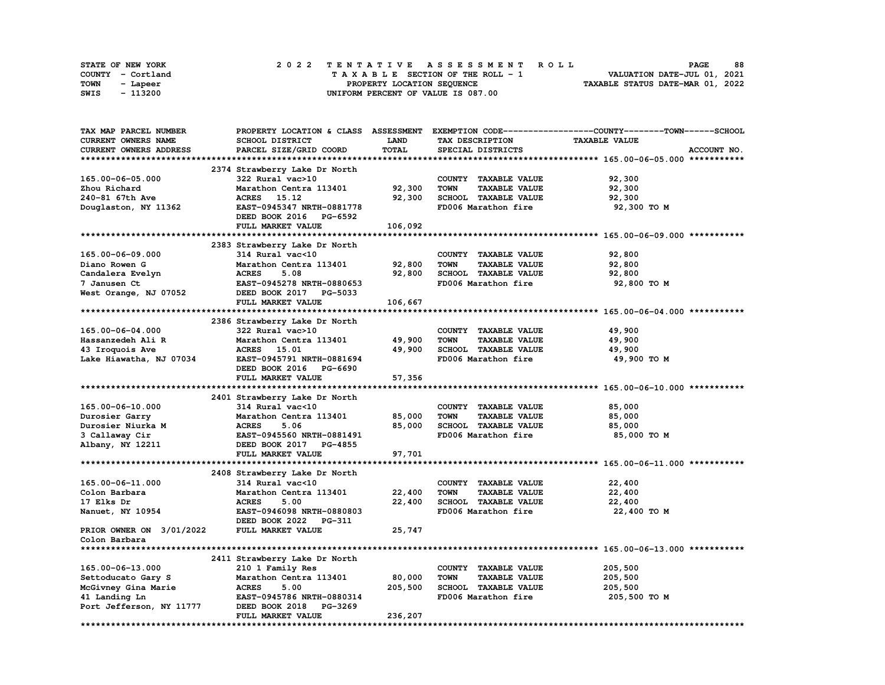|      | STATE OF NEW YORK |  |  |  |  | 2022 TENTATIVE ASSESSMENT ROLL     |  |  |  |  |  |  |                                  | <b>PAGE</b> | 88 |
|------|-------------------|--|--|--|--|------------------------------------|--|--|--|--|--|--|----------------------------------|-------------|----|
|      | COUNTY - Cortland |  |  |  |  | TAXABLE SECTION OF THE ROLL - 1    |  |  |  |  |  |  | VALUATION DATE-JUL 01, 2021      |             |    |
| TOWN | - Lapeer          |  |  |  |  | PROPERTY LOCATION SEQUENCE         |  |  |  |  |  |  | TAXABLE STATUS DATE-MAR 01, 2022 |             |    |
| SWIS | - 113200          |  |  |  |  | UNIFORM PERCENT OF VALUE IS 087.00 |  |  |  |  |  |  |                                  |             |    |

| TAX MAP PARCEL NUMBER    |                                                   |         |                                                    | PROPERTY LOCATION & CLASS ASSESSMENT EXEMPTION CODE----------------COUNTY-------TOWN-----SCHOOL |
|--------------------------|---------------------------------------------------|---------|----------------------------------------------------|-------------------------------------------------------------------------------------------------|
| CURRENT OWNERS NAME      | SCHOOL DISTRICT                                   | LAND    | TAX DESCRIPTION                                    | <b>TAXABLE VALUE</b>                                                                            |
| CURRENT OWNERS ADDRESS   | PARCEL SIZE/GRID COORD                            | TOTAL   | SPECIAL DISTRICTS                                  | ACCOUNT NO.                                                                                     |
|                          |                                                   |         |                                                    |                                                                                                 |
|                          | 2374 Strawberry Lake Dr North                     |         |                                                    |                                                                                                 |
| 165.00-06-05.000         | 322 Rural vac>10                                  |         | COUNTY TAXABLE VALUE                               | 92,300                                                                                          |
| Zhou Richard             | Marathon Centra 113401                            | 92,300  | <b>TOWN</b><br><b>TAXABLE VALUE</b>                | 92,300                                                                                          |
| 240-81 67th Ave          | <b>ACRES</b><br>15.12                             | 92,300  | SCHOOL TAXABLE VALUE                               | 92,300                                                                                          |
| Douglaston, NY 11362     | EAST-0945347 NRTH-0881778                         |         | FD006 Marathon fire                                | 92,300 TO M                                                                                     |
|                          | DEED BOOK 2016 PG-6592                            |         |                                                    |                                                                                                 |
|                          | FULL MARKET VALUE                                 | 106,092 |                                                    |                                                                                                 |
|                          |                                                   |         |                                                    |                                                                                                 |
|                          | 2383 Strawberry Lake Dr North                     |         |                                                    |                                                                                                 |
| 165.00-06-09.000         | 314 Rural vac<10                                  |         | COUNTY TAXABLE VALUE                               | 92,800                                                                                          |
| Diano Rowen G            | Marathon Centra 113401                            | 92,800  | TOWN<br><b>TAXABLE VALUE</b>                       | 92,800                                                                                          |
| Candalera Evelyn         | <b>ACRES</b><br>5.08                              | 92,800  | SCHOOL TAXABLE VALUE                               | 92,800                                                                                          |
| 7 Janusen Ct             | EAST-0945278 NRTH-0880653                         |         | FD006 Marathon fire                                | 92,800 TO M                                                                                     |
| West Orange, NJ 07052    | DEED BOOK 2017 PG-5033                            |         |                                                    |                                                                                                 |
|                          | FULL MARKET VALUE                                 | 106,667 |                                                    |                                                                                                 |
|                          |                                                   |         |                                                    |                                                                                                 |
|                          | 2386 Strawberry Lake Dr North                     |         |                                                    |                                                                                                 |
| 165.00-06-04.000         | 322 Rural vac>10                                  |         | COUNTY TAXABLE VALUE                               | 49,900                                                                                          |
| Hassanzedeh Ali R        | Marathon Centra 113401                            | 49,900  | <b>TOWN</b><br><b>TAXABLE VALUE</b>                | 49,900                                                                                          |
| 43 Iroquois Ave          | ACRES 15.01                                       | 49,900  | SCHOOL TAXABLE VALUE                               | 49,900                                                                                          |
| Lake Hiawatha, NJ 07034  | EAST-0945791 NRTH-0881694                         |         | FD006 Marathon fire                                | 49,900 TO M                                                                                     |
|                          | DEED BOOK 2016 PG-6690                            |         |                                                    |                                                                                                 |
|                          | FULL MARKET VALUE                                 | 57,356  |                                                    |                                                                                                 |
|                          |                                                   |         |                                                    |                                                                                                 |
|                          | 2401 Strawberry Lake Dr North                     |         |                                                    |                                                                                                 |
| 165.00-06-10.000         | 314 Rural vac<10                                  |         | COUNTY TAXABLE VALUE                               | 85,000                                                                                          |
| Durosier Garry           | Marathon Centra 113401                            | 85,000  | <b>TAXABLE VALUE</b><br><b>TOWN</b>                | 85,000                                                                                          |
| Durosier Niurka M        | <b>ACRES</b><br>5.06                              | 85,000  | SCHOOL TAXABLE VALUE                               | 85,000                                                                                          |
| 3 Callaway Cir           | EAST-0945560 NRTH-0881491                         |         | FD006 Marathon fire                                | 85,000 TO M                                                                                     |
| Albany, NY 12211         | DEED BOOK 2017 PG-4855                            |         |                                                    |                                                                                                 |
|                          | FULL MARKET VALUE                                 | 97,701  |                                                    |                                                                                                 |
|                          |                                                   |         |                                                    |                                                                                                 |
|                          |                                                   |         |                                                    |                                                                                                 |
| 165.00-06-11.000         | 2408 Strawberry Lake Dr North<br>314 Rural vac<10 |         | COUNTY TAXABLE VALUE                               | 22,400                                                                                          |
| Colon Barbara            | Marathon Centra 113401                            | 22,400  | <b>TAXABLE VALUE</b><br><b>TOWN</b>                | 22,400                                                                                          |
|                          | <b>ACRES</b><br>5.00                              | 22,400  | SCHOOL TAXABLE VALUE                               |                                                                                                 |
| 17 Elks Dr               | EAST-0946098 NRTH-0880803                         |         | FD006 Marathon fire                                | 22,400                                                                                          |
| Nanuet, NY 10954         | DEED BOOK 2022 PG-311                             |         |                                                    | 22,400 TO M                                                                                     |
| PRIOR OWNER ON 3/01/2022 | FULL MARKET VALUE                                 | 25,747  |                                                    |                                                                                                 |
| Colon Barbara            |                                                   |         |                                                    |                                                                                                 |
|                          |                                                   |         |                                                    |                                                                                                 |
|                          |                                                   |         |                                                    |                                                                                                 |
|                          | 2411 Strawberry Lake Dr North                     |         |                                                    |                                                                                                 |
| 165.00-06-13.000         | 210 1 Family Res                                  |         | COUNTY TAXABLE VALUE                               | 205,500                                                                                         |
| Settoducato Gary S       | Marathon Centra 113401                            | 80,000  | TOWN<br><b>TAXABLE VALUE</b>                       | 205,500                                                                                         |
| McGivney Gina Marie      | <b>ACRES</b><br>5.00                              | 205,500 | <b>SCHOOL TAXABLE VALUE</b><br>FD006 Marathon fire | 205,500                                                                                         |
| 41 Landing Ln            | EAST-0945786 NRTH-0880314                         |         |                                                    | 205,500 TO M                                                                                    |
| Port Jefferson, NY 11777 | DEED BOOK 2018 PG-3269                            |         |                                                    |                                                                                                 |
|                          | FULL MARKET VALUE                                 | 236,207 |                                                    |                                                                                                 |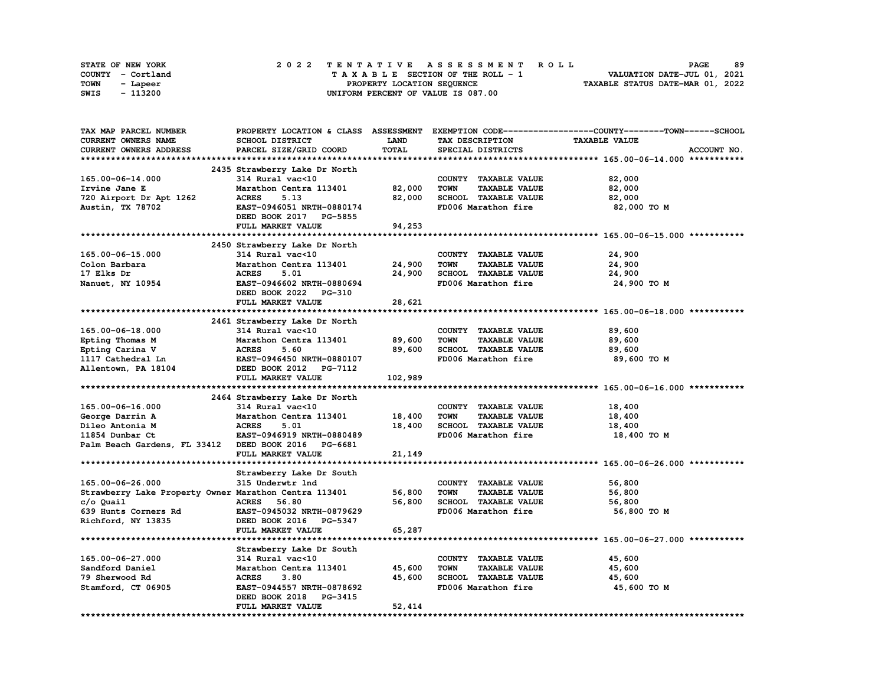|      | STATE OF NEW YORK |  |  |  |  |  | 2022 TENTATIVE ASSESSMENT ROLL     |  |  |  |  |  |  |                                  | <b>PAGE</b> | 89 |
|------|-------------------|--|--|--|--|--|------------------------------------|--|--|--|--|--|--|----------------------------------|-------------|----|
|      | COUNTY - Cortland |  |  |  |  |  | TAXABLE SECTION OF THE ROLL - 1    |  |  |  |  |  |  | VALUATION DATE-JUL 01, 2021      |             |    |
| TOWN | - Lapeer          |  |  |  |  |  | PROPERTY LOCATION SEQUENCE         |  |  |  |  |  |  | TAXABLE STATUS DATE-MAR 01, 2022 |             |    |
| SWIS | - 113200          |  |  |  |  |  | UNIFORM PERCENT OF VALUE IS 087.00 |  |  |  |  |  |  |                                  |             |    |

| TAX MAP PARCEL NUMBER                                 |                               |             |                                     | PROPERTY LOCATION & CLASS ASSESSMENT EXEMPTION CODE----------------COUNTY-------TOWN-----SCHOOL |
|-------------------------------------------------------|-------------------------------|-------------|-------------------------------------|-------------------------------------------------------------------------------------------------|
| <b>CURRENT OWNERS NAME</b>                            | SCHOOL DISTRICT               | <b>LAND</b> | TAX DESCRIPTION                     | <b>TAXABLE VALUE</b>                                                                            |
| CURRENT OWNERS ADDRESS                                | PARCEL SIZE/GRID COORD        | TOTAL       | SPECIAL DISTRICTS                   | ACCOUNT NO.                                                                                     |
|                                                       |                               |             |                                     |                                                                                                 |
|                                                       | 2435 Strawberry Lake Dr North |             |                                     |                                                                                                 |
| 165.00-06-14.000                                      | 314 Rural vac<10              |             | COUNTY TAXABLE VALUE                | 82,000                                                                                          |
| Irvine Jane E                                         | Marathon Centra 113401        | 82,000      | <b>TOWN</b><br><b>TAXABLE VALUE</b> | 82,000                                                                                          |
| 720 Airport Dr Apt 1262                               | <b>ACRES</b><br>5.13          | 82,000      | SCHOOL TAXABLE VALUE                | 82,000                                                                                          |
| Austin, TX 78702                                      | EAST-0946051 NRTH-0880174     |             | FD006 Marathon fire                 | 82,000 TO M                                                                                     |
|                                                       | DEED BOOK 2017 PG-5855        |             |                                     |                                                                                                 |
|                                                       |                               |             |                                     |                                                                                                 |
|                                                       | FULL MARKET VALUE             | 94,253      |                                     |                                                                                                 |
|                                                       |                               |             |                                     |                                                                                                 |
|                                                       | 2450 Strawberry Lake Dr North |             |                                     |                                                                                                 |
| 165.00-06-15.000                                      | 314 Rural vac<10              |             | COUNTY TAXABLE VALUE                | 24,900                                                                                          |
| Colon Barbara                                         | Marathon Centra 113401        | 24,900      | <b>TOWN</b><br><b>TAXABLE VALUE</b> | 24,900                                                                                          |
| 17 Elks Dr                                            | <b>ACRES</b><br>5.01          | 24,900      | SCHOOL TAXABLE VALUE                | 24,900                                                                                          |
| Nanuet, NY 10954                                      | EAST-0946602 NRTH-0880694     |             | FD006 Marathon fire                 | 24,900 TO M                                                                                     |
|                                                       | DEED BOOK 2022 PG-310         |             |                                     |                                                                                                 |
|                                                       | FULL MARKET VALUE             | 28,621      |                                     |                                                                                                 |
|                                                       |                               |             |                                     |                                                                                                 |
|                                                       | 2461 Strawberry Lake Dr North |             |                                     |                                                                                                 |
| 165.00-06-18.000                                      | 314 Rural vac<10              |             | COUNTY TAXABLE VALUE                | 89,600                                                                                          |
| Epting Thomas M                                       | Marathon Centra 113401        | 89,600      | TOWN<br><b>TAXABLE VALUE</b>        | 89,600                                                                                          |
| Epting Carina V                                       | <b>ACRES</b><br>5.60          | 89,600      | SCHOOL TAXABLE VALUE                | 89,600                                                                                          |
| 1117 Cathedral Ln                                     | EAST-0946450 NRTH-0880107     |             | FD006 Marathon fire                 | 89,600 TO M                                                                                     |
| Allentown, PA 18104                                   | DEED BOOK 2012 PG-7112        |             |                                     |                                                                                                 |
|                                                       | FULL MARKET VALUE             | 102,989     |                                     |                                                                                                 |
|                                                       |                               |             |                                     |                                                                                                 |
|                                                       | 2464 Strawberry Lake Dr North |             |                                     |                                                                                                 |
| 165.00-06-16.000                                      | 314 Rural vac<10              |             | COUNTY TAXABLE VALUE                | 18,400                                                                                          |
| George Darrin A                                       | Marathon Centra 113401        | 18,400      | <b>TAXABLE VALUE</b><br><b>TOWN</b> | 18,400                                                                                          |
| Dileo Antonia M                                       | <b>ACRES</b><br>5.01          | 18,400      | SCHOOL TAXABLE VALUE                | 18,400                                                                                          |
| 11854 Dunbar Ct                                       | EAST-0946919 NRTH-0880489     |             | FD006 Marathon fire                 | 18,400 TO M                                                                                     |
|                                                       |                               |             |                                     |                                                                                                 |
| Palm Beach Gardens, FL 33412 DEED BOOK 2016 PG-6681   |                               |             |                                     |                                                                                                 |
|                                                       | FULL MARKET VALUE             | 21,149      |                                     |                                                                                                 |
|                                                       |                               |             |                                     |                                                                                                 |
|                                                       | Strawberry Lake Dr South      |             |                                     |                                                                                                 |
| 165.00-06-26.000                                      | 315 Underwtr 1nd              |             | COUNTY TAXABLE VALUE                | 56,800                                                                                          |
| Strawberry Lake Property Owner Marathon Centra 113401 |                               | 56,800      | <b>TOWN</b><br><b>TAXABLE VALUE</b> | 56,800                                                                                          |
| c/o Quail                                             | <b>ACRES</b><br>56.80         | 56,800      | SCHOOL TAXABLE VALUE                | 56,800                                                                                          |
| 639 Hunts Corners Rd                                  | EAST-0945032 NRTH-0879629     |             | FD006 Marathon fire                 | 56,800 TO M                                                                                     |
| Richford, NY 13835                                    | DEED BOOK 2016 PG-5347        |             |                                     |                                                                                                 |
|                                                       | FULL MARKET VALUE             | 65,287      |                                     |                                                                                                 |
|                                                       |                               |             |                                     |                                                                                                 |
|                                                       | Strawberry Lake Dr South      |             |                                     |                                                                                                 |
| 165.00-06-27.000                                      | 314 Rural vac<10              |             | COUNTY TAXABLE VALUE                | 45,600                                                                                          |
| Sandford Daniel                                       | Marathon Centra 113401        | 45,600      | <b>TOWN</b><br><b>TAXABLE VALUE</b> | 45,600                                                                                          |
| 79 Sherwood Rd                                        | <b>ACRES</b><br>3.80          | 45,600      | SCHOOL TAXABLE VALUE                | 45,600                                                                                          |
| Stamford, CT 06905                                    | EAST-0944557 NRTH-0878692     |             | FD006 Marathon fire                 | 45,600 TO M                                                                                     |
|                                                       | DEED BOOK 2018 PG-3415        |             |                                     |                                                                                                 |
|                                                       | FULL MARKET VALUE             | 52,414      |                                     |                                                                                                 |
|                                                       |                               |             |                                     |                                                                                                 |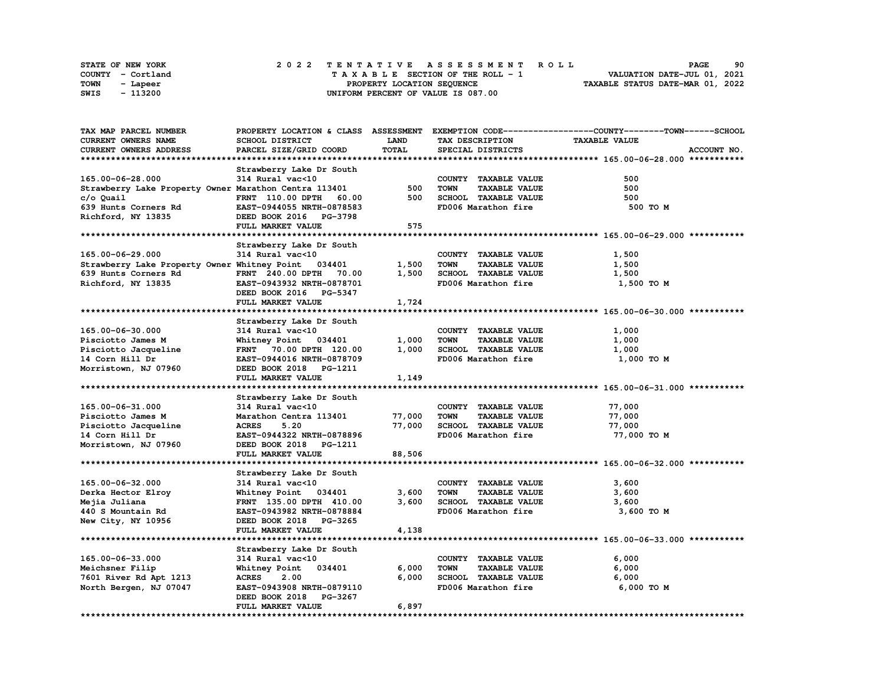| STATE OF NEW YORK | 2022 TENTATIVE ASSESSMENT ROLL     | 90<br><b>PAGE</b>                |
|-------------------|------------------------------------|----------------------------------|
| COUNTY - Cortland | TAXABLE SECTION OF THE ROLL - 1    | VALUATION DATE-JUL 01, 2021      |
| TOWN<br>- Lapeer  | PROPERTY LOCATION SEOUENCE         | TAXABLE STATUS DATE-MAR 01, 2022 |
| - 113200<br>SWIS  | UNIFORM PERCENT OF VALUE IS 087.00 |                                  |

| <b>TAX MAP PARCEL NUMBER</b>                          |                                  |        |                                     | PROPERTY LOCATION & CLASS ASSESSMENT EXEMPTION CODE----------------COUNTY-------TOWN------SCHOOL |
|-------------------------------------------------------|----------------------------------|--------|-------------------------------------|--------------------------------------------------------------------------------------------------|
| <b>CURRENT OWNERS NAME</b>                            | SCHOOL DISTRICT                  | LAND   | TAX DESCRIPTION                     | <b>TAXABLE VALUE</b>                                                                             |
| <b>CURRENT OWNERS ADDRESS</b>                         | PARCEL SIZE/GRID COORD           | TOTAL  | SPECIAL DISTRICTS                   | ACCOUNT NO.                                                                                      |
|                                                       |                                  |        |                                     |                                                                                                  |
|                                                       |                                  |        |                                     |                                                                                                  |
|                                                       | Strawberry Lake Dr South         |        |                                     |                                                                                                  |
| 165.00-06-28.000                                      | 314 Rural vac<10                 |        | COUNTY TAXABLE VALUE                | 500                                                                                              |
| Strawberry Lake Property Owner Marathon Centra 113401 |                                  | 500    | <b>TAXABLE VALUE</b><br><b>TOWN</b> | 500                                                                                              |
| c/o Quail                                             | <b>FRNT</b> 110.00 DPTH<br>60.00 | 500    | SCHOOL TAXABLE VALUE                | 500                                                                                              |
| 639 Hunts Corners Rd                                  | EAST-0944055 NRTH-0878583        |        | FD006 Marathon fire                 | 500 TO M                                                                                         |
| Richford, NY 13835                                    | DEED BOOK 2016 PG-3798           |        |                                     |                                                                                                  |
|                                                       | FULL MARKET VALUE                | 575    |                                     |                                                                                                  |
|                                                       |                                  |        |                                     |                                                                                                  |
|                                                       |                                  |        |                                     |                                                                                                  |
|                                                       | Strawberry Lake Dr South         |        |                                     |                                                                                                  |
| 165.00-06-29.000                                      | 314 Rural vac<10                 |        | COUNTY TAXABLE VALUE                | 1,500                                                                                            |
| Strawberry Lake Property Owner Whitney Point 034401   |                                  | 1,500  | <b>TOWN</b><br><b>TAXABLE VALUE</b> | 1,500                                                                                            |
| 639 Hunts Corners Rd                                  | FRNT 240.00 DPTH 70.00           | 1,500  | SCHOOL TAXABLE VALUE                | 1,500                                                                                            |
| Richford, NY 13835                                    | EAST-0943932 NRTH-0878701        |        | FD006 Marathon fire                 | 1,500 TO M                                                                                       |
|                                                       | DEED BOOK 2016 PG-5347           |        |                                     |                                                                                                  |
|                                                       | FULL MARKET VALUE                | 1,724  |                                     |                                                                                                  |
|                                                       |                                  |        |                                     |                                                                                                  |
|                                                       |                                  |        |                                     |                                                                                                  |
|                                                       | Strawberry Lake Dr South         |        |                                     |                                                                                                  |
| 165.00-06-30.000                                      | 314 Rural vac<10                 |        | COUNTY TAXABLE VALUE                | 1,000                                                                                            |
| Pisciotto James M                                     | Whitney Point 034401             | 1,000  | <b>TAXABLE VALUE</b><br><b>TOWN</b> | 1,000                                                                                            |
| Pisciotto Jacqueline                                  | FRNT 70.00 DPTH 120.00           | 1,000  | SCHOOL TAXABLE VALUE                | 1,000                                                                                            |
| 14 Corn Hill Dr                                       | EAST-0944016 NRTH-0878709        |        | FD006 Marathon fire                 | 1,000 TO M                                                                                       |
| Morristown, NJ 07960                                  | DEED BOOK 2018 PG-1211           |        |                                     |                                                                                                  |
|                                                       | FULL MARKET VALUE                | 1,149  |                                     |                                                                                                  |
|                                                       |                                  |        |                                     |                                                                                                  |
|                                                       | Strawberry Lake Dr South         |        |                                     |                                                                                                  |
|                                                       |                                  |        |                                     |                                                                                                  |
| 165.00-06-31.000                                      | 314 Rural vac<10                 |        | COUNTY TAXABLE VALUE                | 77,000                                                                                           |
| Pisciotto James M                                     | Marathon Centra 113401           | 77,000 | <b>TOWN</b><br><b>TAXABLE VALUE</b> | 77,000                                                                                           |
| Pisciotto Jacqueline                                  | <b>ACRES</b><br>5.20             | 77,000 | SCHOOL TAXABLE VALUE                | 77,000                                                                                           |
| 14 Corn Hill Dr                                       | EAST-0944322 NRTH-0878896        |        | FD006 Marathon fire                 | 77,000 TO M                                                                                      |
| Morristown, NJ 07960                                  | DEED BOOK 2018 PG-1211           |        |                                     |                                                                                                  |
|                                                       | FULL MARKET VALUE                | 88,506 |                                     |                                                                                                  |
|                                                       |                                  |        |                                     |                                                                                                  |
|                                                       | Strawberry Lake Dr South         |        |                                     |                                                                                                  |
| 165.00-06-32.000                                      | 314 Rural vac<10                 |        | COUNTY TAXABLE VALUE                | 3,600                                                                                            |
|                                                       |                                  | 3,600  |                                     |                                                                                                  |
| Derka Hector Elroy                                    | Whitney Point 034401             |        | <b>TAXABLE VALUE</b><br><b>TOWN</b> | 3,600                                                                                            |
| Mejia Juliana                                         | FRNT 135.00 DPTH 410.00          | 3,600  | SCHOOL TAXABLE VALUE                | 3,600                                                                                            |
| 440 S Mountain Rd                                     | EAST-0943982 NRTH-0878884        |        | FD006 Marathon fire                 | 3,600 TO M                                                                                       |
| New City, NY 10956                                    | DEED BOOK 2018 PG-3265           |        |                                     |                                                                                                  |
|                                                       | FULL MARKET VALUE                | 4,138  |                                     |                                                                                                  |
|                                                       |                                  |        |                                     |                                                                                                  |
|                                                       | Strawberry Lake Dr South         |        |                                     |                                                                                                  |
| 165.00-06-33.000                                      | 314 Rural vac<10                 |        | COUNTY TAXABLE VALUE                | 6,000                                                                                            |
| Meichsner Filip                                       | Whitney Point 034401             | 6,000  | <b>TOWN</b><br><b>TAXABLE VALUE</b> | 6,000                                                                                            |
|                                                       |                                  |        |                                     |                                                                                                  |
| 7601 River Rd Apt 1213                                | <b>ACRES</b><br>2.00             | 6,000  | SCHOOL TAXABLE VALUE                | 6,000                                                                                            |
| North Bergen, NJ 07047                                | EAST-0943908 NRTH-0879110        |        | FD006 Marathon fire                 | 6,000 TO M                                                                                       |
|                                                       | DEED BOOK 2018 PG-3267           |        |                                     |                                                                                                  |
|                                                       | FULL MARKET VALUE                | 6,897  |                                     |                                                                                                  |
|                                                       |                                  |        |                                     |                                                                                                  |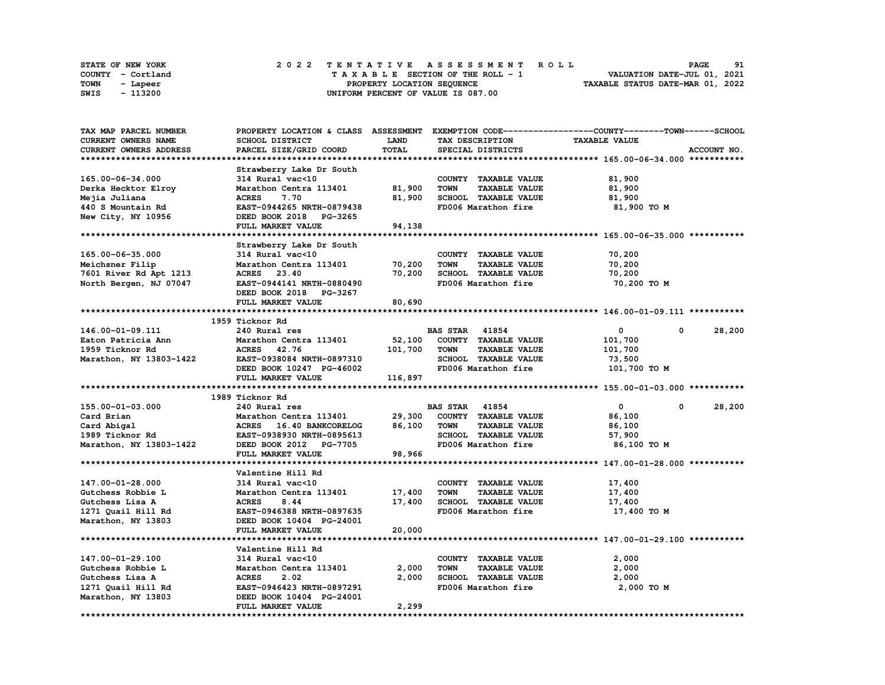|      | STATE OF NEW YORK |  |  |  |  | 2022 TENTATIVE ASSESSMENT ROLL     |  |  |  |  |  |  |                                  | <b>PAGE</b> | 91 |
|------|-------------------|--|--|--|--|------------------------------------|--|--|--|--|--|--|----------------------------------|-------------|----|
|      | COUNTY - Cortland |  |  |  |  | TAXABLE SECTION OF THE ROLL - 1    |  |  |  |  |  |  | VALUATION DATE-JUL 01, 2021      |             |    |
| TOWN | - Lapeer          |  |  |  |  | PROPERTY LOCATION SEQUENCE         |  |  |  |  |  |  | TAXABLE STATUS DATE-MAR 01, 2022 |             |    |
| SWIS | - 113200          |  |  |  |  | UNIFORM PERCENT OF VALUE IS 087.00 |  |  |  |  |  |  |                                  |             |    |

| TAX MAP PARCEL NUMBER      |                           |              |                                     | PROPERTY LOCATION & CLASS ASSESSMENT EXEMPTION CODE----------------COUNTY-------TOWN------SCHOOL |             |
|----------------------------|---------------------------|--------------|-------------------------------------|--------------------------------------------------------------------------------------------------|-------------|
| <b>CURRENT OWNERS NAME</b> | SCHOOL DISTRICT           | LAND         | TAX DESCRIPTION                     | <b>TAXABLE VALUE</b>                                                                             |             |
| CURRENT OWNERS ADDRESS     | PARCEL SIZE/GRID COORD    | <b>TOTAL</b> | SPECIAL DISTRICTS                   |                                                                                                  | ACCOUNT NO. |
|                            |                           |              |                                     |                                                                                                  |             |
|                            | Strawberry Lake Dr South  |              |                                     |                                                                                                  |             |
| 165.00-06-34.000           | 314 Rural vac<10          |              | COUNTY TAXABLE VALUE                | 81,900                                                                                           |             |
| Derka Hecktor Elroy        | Marathon Centra 113401    | 81,900       | <b>TOWN</b><br><b>TAXABLE VALUE</b> | 81,900                                                                                           |             |
| Mejia Juliana              | 7.70<br><b>ACRES</b>      | 81,900       | SCHOOL TAXABLE VALUE                | 81,900                                                                                           |             |
| 440 S Mountain Rd          | EAST-0944265 NRTH-0879438 |              | FD006 Marathon fire                 | 81,900 TO M                                                                                      |             |
| New City, NY 10956         | DEED BOOK 2018 PG-3265    |              |                                     |                                                                                                  |             |
|                            |                           |              |                                     |                                                                                                  |             |
|                            | FULL MARKET VALUE         | 94,138       |                                     |                                                                                                  |             |
|                            |                           |              |                                     |                                                                                                  |             |
|                            | Strawberry Lake Dr South  |              |                                     |                                                                                                  |             |
| 165.00-06-35.000           | 314 Rural vac<10          |              | COUNTY TAXABLE VALUE                | 70,200                                                                                           |             |
| Meichsner Filip            | Marathon Centra 113401    | 70,200       | <b>TOWN</b><br><b>TAXABLE VALUE</b> | 70,200                                                                                           |             |
| 7601 River Rd Apt 1213     | ACRES 23.40               | 70,200       | SCHOOL TAXABLE VALUE                | 70,200                                                                                           |             |
| North Bergen, NJ 07047     | EAST-0944141 NRTH-0880490 |              | FD006 Marathon fire                 | 70,200 TO M                                                                                      |             |
|                            | DEED BOOK 2018 PG-3267    |              |                                     |                                                                                                  |             |
|                            | FULL MARKET VALUE         | 80,690       |                                     |                                                                                                  |             |
|                            |                           |              |                                     |                                                                                                  |             |
|                            | 1959 Ticknor Rd           |              |                                     |                                                                                                  |             |
| 146.00-01-09.111           | 240 Rural res             |              | <b>BAS STAR 41854</b>               | $\mathbf 0$<br>$\mathbf{0}$                                                                      | 28,200      |
| Eaton Patricia Ann         | Marathon Centra 113401    | 52,100       | COUNTY TAXABLE VALUE                | 101,700                                                                                          |             |
| 1959 Ticknor Rd            | ACRES 42.76               | 101,700      | TOWN<br><b>TAXABLE VALUE</b>        | 101,700                                                                                          |             |
| Marathon, NY 13803-1422    | EAST-0938084 NRTH-0897310 |              | SCHOOL TAXABLE VALUE                | 73,500                                                                                           |             |
|                            | DEED BOOK 10247 PG-46002  |              | FD006 Marathon fire                 | 101,700 TO M                                                                                     |             |
|                            | FULL MARKET VALUE         | 116,897      |                                     |                                                                                                  |             |
|                            |                           |              |                                     |                                                                                                  |             |
|                            | 1989 Ticknor Rd           |              |                                     |                                                                                                  |             |
| 155.00-01-03.000           | 240 Rural res             |              | <b>BAS STAR 41854</b>               | $\mathbf{0}$<br>0                                                                                | 28,200      |
| Card Brian                 | Marathon Centra 113401    | 29,300       | COUNTY TAXABLE VALUE                | 86,100                                                                                           |             |
| Card Abigal                | ACRES 16.40 BANKCORELOG   | 86,100       | <b>TOWN</b><br><b>TAXABLE VALUE</b> | 86,100                                                                                           |             |
| 1989 Ticknor Rd            | EAST-0938930 NRTH-0895613 |              | SCHOOL TAXABLE VALUE                | 57,900                                                                                           |             |
| Marathon, NY 13803-1422    | DEED BOOK 2012 PG-7705    |              | FD006 Marathon fire                 | 86,100 TO M                                                                                      |             |
|                            | FULL MARKET VALUE         | 98,966       |                                     |                                                                                                  |             |
|                            |                           |              |                                     |                                                                                                  |             |
|                            | Valentine Hill Rd         |              |                                     |                                                                                                  |             |
| 147.00-01-28.000           | 314 Rural vac<10          |              | COUNTY TAXABLE VALUE                | 17,400                                                                                           |             |
| Gutchess Robbie L          | Marathon Centra 113401    | 17,400       | <b>TOWN</b><br><b>TAXABLE VALUE</b> | 17,400                                                                                           |             |
| Gutchess Lisa A            | <b>ACRES</b><br>8.44      | 17,400       | SCHOOL TAXABLE VALUE                | 17,400                                                                                           |             |
| 1271 Quail Hill Rd         | EAST-0946388 NRTH-0897635 |              | FD006 Marathon fire                 | 17,400 TO M                                                                                      |             |
|                            |                           |              |                                     |                                                                                                  |             |
| Marathon, NY 13803         | DEED BOOK 10404 PG-24001  |              |                                     |                                                                                                  |             |
|                            | FULL MARKET VALUE         | 20,000       |                                     |                                                                                                  |             |
|                            |                           |              |                                     |                                                                                                  |             |
|                            | Valentine Hill Rd         |              |                                     |                                                                                                  |             |
| 147.00-01-29.100           | 314 Rural vac<10          |              | COUNTY TAXABLE VALUE                | 2,000                                                                                            |             |
| Gutchess Robbie L          | Marathon Centra 113401    | 2,000        | TOWN<br><b>TAXABLE VALUE</b>        | 2,000                                                                                            |             |
| Gutchess Lisa A            | <b>ACRES</b><br>2.02      | 2,000        | SCHOOL TAXABLE VALUE                | 2,000                                                                                            |             |
| 1271 Quail Hill Rd         | EAST-0946423 NRTH-0897291 |              | FD006 Marathon fire                 | 2,000 TO M                                                                                       |             |
| Marathon, NY 13803         | DEED BOOK 10404 PG-24001  |              |                                     |                                                                                                  |             |
|                            | FULL MARKET VALUE         | 2,299        |                                     |                                                                                                  |             |
|                            |                           |              |                                     |                                                                                                  |             |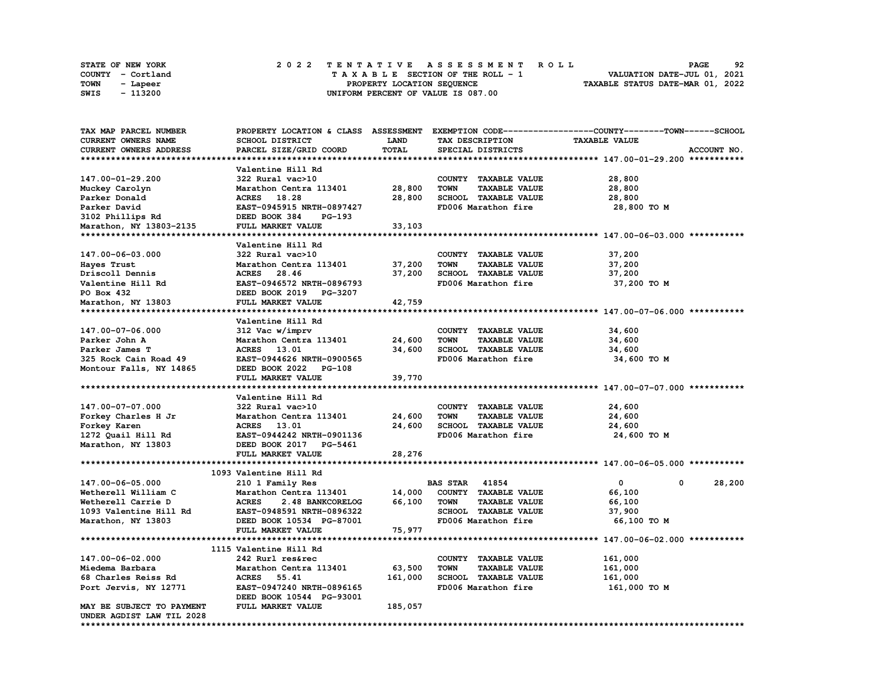| <b>STATE OF NEW YORK</b> |          |  |  |  |  |  | 2022 TENTATIVE ASSESSMENT ROLL     |  |  |  |  |  |  |                                  | <b>PAGE</b> | 92 |
|--------------------------|----------|--|--|--|--|--|------------------------------------|--|--|--|--|--|--|----------------------------------|-------------|----|
| COUNTY - Cortland        |          |  |  |  |  |  | TAXABLE SECTION OF THE ROLL - 1    |  |  |  |  |  |  | VALUATION DATE-JUL 01, 2021      |             |    |
| TOWN                     | - Lapeer |  |  |  |  |  | PROPERTY LOCATION SEQUENCE         |  |  |  |  |  |  | TAXABLE STATUS DATE-MAR 01, 2022 |             |    |
| SWIS                     | - 113200 |  |  |  |  |  | UNIFORM PERCENT OF VALUE IS 087.00 |  |  |  |  |  |  |                                  |             |    |

| <b>TAX MAP PARCEL NUMBER</b>  | PROPERTY LOCATION & CLASS ASSESSMENT |         | EXEMPTION CODE-----                 | -------------COUNTY--------TOWN------SCHOOL |
|-------------------------------|--------------------------------------|---------|-------------------------------------|---------------------------------------------|
| CURRENT OWNERS NAME           | SCHOOL DISTRICT                      | LAND    | TAX DESCRIPTION                     | <b>TAXABLE VALUE</b>                        |
| <b>CURRENT OWNERS ADDRESS</b> | PARCEL SIZE/GRID COORD               | TOTAL   | SPECIAL DISTRICTS                   | ACCOUNT NO.                                 |
|                               |                                      |         |                                     |                                             |
|                               | Valentine Hill Rd                    |         |                                     |                                             |
| 147.00-01-29.200              | 322 Rural vac>10                     |         | COUNTY TAXABLE VALUE                | 28,800                                      |
| Muckey Carolyn                | Marathon Centra 113401               | 28,800  | TAXABLE VALUE<br><b>TOWN</b>        | 28,800                                      |
| Parker Donald                 | ACRES 18.28                          | 28,800  | SCHOOL TAXABLE VALUE                | 28,800                                      |
| Parker David                  | EAST-0945915 NRTH-0897427            |         | FD006 Marathon fire                 | 28,800 TO M                                 |
| 3102 Phillips Rd              | DEED BOOK 384<br>PG-193              |         |                                     |                                             |
| Marathon, NY 13803-2135       | FULL MARKET VALUE                    | 33,103  |                                     |                                             |
|                               |                                      |         |                                     |                                             |
|                               | Valentine Hill Rd                    |         |                                     |                                             |
| 147.00-06-03.000              | 322 Rural vac>10                     |         | COUNTY TAXABLE VALUE                | 37,200                                      |
| Hayes Trust                   | Marathon Centra 113401               | 37,200  | <b>TOWN</b><br><b>TAXABLE VALUE</b> | 37,200                                      |
| Driscoll Dennis               | ACRES 28.46                          | 37,200  | SCHOOL TAXABLE VALUE                | 37,200                                      |
| Valentine Hill Rd             | EAST-0946572 NRTH-0896793            |         | FD006 Marathon fire                 | 37,200 TO M                                 |
| PO Box 432                    | DEED BOOK 2019 PG-3207               |         |                                     |                                             |
| Marathon, NY 13803            | FULL MARKET VALUE                    | 42,759  |                                     |                                             |
|                               |                                      |         |                                     |                                             |
|                               | Valentine Hill Rd                    |         |                                     |                                             |
| 147.00-07-06.000              |                                      |         | COUNTY TAXABLE VALUE                | 34,600                                      |
|                               | 312 Vac w/imprv                      |         |                                     |                                             |
| Parker John A                 | Marathon Centra 113401               | 24,600  | <b>TOWN</b><br><b>TAXABLE VALUE</b> | 34,600                                      |
| Parker James T                | ACRES 13.01                          | 34,600  | SCHOOL TAXABLE VALUE                | 34,600                                      |
| 325 Rock Cain Road 49         | EAST-0944626 NRTH-0900565            |         | FD006 Marathon fire                 | 34,600 TO M                                 |
| Montour Falls, NY 14865       | DEED BOOK 2022 PG-108                |         |                                     |                                             |
|                               | FULL MARKET VALUE                    | 39,770  |                                     |                                             |
|                               |                                      |         |                                     |                                             |
|                               | Valentine Hill Rd                    |         |                                     |                                             |
| 147.00-07-07.000              | 322 Rural vac>10                     |         | COUNTY TAXABLE VALUE                | 24,600                                      |
| Forkey Charles H Jr           | Marathon Centra 113401               | 24,600  | <b>TOWN</b><br><b>TAXABLE VALUE</b> | 24,600                                      |
| Forkey Karen                  | ACRES 13.01                          | 24,600  | SCHOOL TAXABLE VALUE                | 24,600                                      |
| 1272 Quail Hill Rd            | EAST-0944242 NRTH-0901136            |         | FD006 Marathon fire                 | 24,600 TO M                                 |
| Marathon, NY 13803            | DEED BOOK 2017 PG-5461               |         |                                     |                                             |
|                               | FULL MARKET VALUE                    | 28,276  |                                     |                                             |
|                               |                                      |         |                                     |                                             |
|                               | 1093 Valentine Hill Rd               |         |                                     |                                             |
| 147.00-06-05.000              | 210 1 Family Res                     |         | <b>BAS STAR 41854</b>               | $\mathbf 0$<br>$\Omega$<br>28,200           |
| Wetherell William C           | Marathon Centra 113401               | 14,000  | COUNTY TAXABLE VALUE                | 66,100                                      |
| Wetherell Carrie D            | <b>ACRES</b><br>2.48 BANKCORELOG     | 66,100  | <b>TOWN</b><br><b>TAXABLE VALUE</b> | 66,100                                      |
| 1093 Valentine Hill Rd        | EAST-0948591 NRTH-0896322            |         | SCHOOL TAXABLE VALUE                | 37,900                                      |
| Marathon, NY 13803            | DEED BOOK 10534 PG-87001             |         | FD006 Marathon fire                 | 66,100 TO M                                 |
|                               | FULL MARKET VALUE                    | 75,977  |                                     |                                             |
|                               |                                      |         |                                     |                                             |
|                               | 1115 Valentine Hill Rd               |         |                                     |                                             |
| 147.00-06-02.000              | 242 Rurl res&rec                     |         | COUNTY TAXABLE VALUE                | 161,000                                     |
| Miedema Barbara               | Marathon Centra 113401               | 63,500  | <b>TOWN</b><br><b>TAXABLE VALUE</b> | 161,000                                     |
| 68 Charles Reiss Rd           | <b>ACRES</b><br>55.41                | 161,000 | <b>SCHOOL TAXABLE VALUE</b>         | 161,000                                     |
| Port Jervis, NY 12771         | EAST-0947240 NRTH-0896165            |         | FD006 Marathon fire                 | 161,000 то м                                |
|                               | DEED BOOK 10544 PG-93001             |         |                                     |                                             |
| MAY BE SUBJECT TO PAYMENT     | FULL MARKET VALUE                    | 185,057 |                                     |                                             |
| UNDER AGDIST LAW TIL 2028     |                                      |         |                                     |                                             |
| *********************         |                                      |         |                                     |                                             |
|                               |                                      |         |                                     |                                             |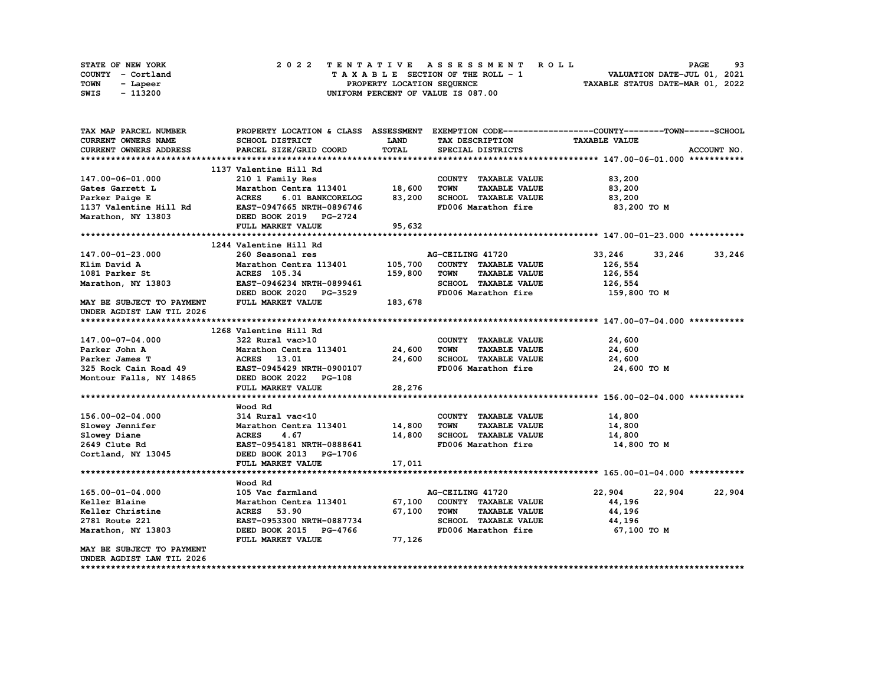|      | <b>STATE OF NEW YORK</b> | 2022 TENTATIVE ASSESSMENT ROLL          | 93<br><b>PAGE</b>                |
|------|--------------------------|-----------------------------------------|----------------------------------|
|      | COUNTY - Cortland        | $T A X A B L E$ SECTION OF THE ROLL - 1 | VALUATION DATE-JUL 01, 2021      |
| TOWN | - Lapeer                 | PROPERTY LOCATION SEQUENCE              | TAXABLE STATUS DATE-MAR 01, 2022 |
| SWIS | - 113200                 | UNIFORM PERCENT OF VALUE IS 087.00      |                                  |

| TAX MAP PARCEL NUMBER                                                                                                                     |                                                   |              |                                     | PROPERTY LOCATION & CLASS ASSESSMENT EXEMPTION CODE----------------COUNTY-------TOWN-----SCHOOL |
|-------------------------------------------------------------------------------------------------------------------------------------------|---------------------------------------------------|--------------|-------------------------------------|-------------------------------------------------------------------------------------------------|
| <b>CURRENT OWNERS NAME</b>                                                                                                                | SCHOOL DISTRICT                                   | LAND         | TAX DESCRIPTION                     | <b>TAXABLE VALUE</b>                                                                            |
| <b>CURRENT OWNERS ADDRESS</b>                                                                                                             | PARCEL SIZE/GRID COORD                            | <b>TOTAL</b> | SPECIAL DISTRICTS                   | ACCOUNT NO.                                                                                     |
|                                                                                                                                           |                                                   |              |                                     |                                                                                                 |
|                                                                                                                                           | 1137 Valentine Hill Rd                            |              |                                     |                                                                                                 |
| 147.00-06-01.000                                                                                                                          | 210 1 Family Res                                  |              | COUNTY TAXABLE VALUE                | 83,200                                                                                          |
| Gates Garrett L                                                                                                                           | Marathon Centra 113401 18,600                     |              | <b>TOWN</b><br><b>TAXABLE VALUE</b> | 83,200                                                                                          |
| Parker Paige E                                                                                                                            | 6.01 BANKCORELOG 83,200<br><b>ACRES</b>           |              | SCHOOL TAXABLE VALUE                | 83,200                                                                                          |
| Parker Paige E                             ACRES       6.01 BANKCORELOG<br>1137 Valentine Hill Rd               EAST-0947665 NRTH-0896746 |                                                   |              | FD006 Marathon fire                 | 83,200 то м                                                                                     |
| Marathon, NY 13803                                                                                                                        | DEED BOOK 2019 PG-2724                            |              |                                     |                                                                                                 |
|                                                                                                                                           | FULL MARKET VALUE                                 | 95,632       |                                     |                                                                                                 |
|                                                                                                                                           |                                                   |              |                                     |                                                                                                 |
|                                                                                                                                           | 1244 Valentine Hill Rd                            |              |                                     |                                                                                                 |
| 147.00-01-23.000                                                                                                                          | 260 Seasonal res                                  |              | AG-CEILING 41720                    | 33,246<br>33,246<br>33,246                                                                      |
| Klim David A                                                                                                                              | Marathon Centra 113401 105,700                    |              | COUNTY TAXABLE VALUE                | 126,554                                                                                         |
| 1081 Parker St                                                                                                                            |                                                   | 159,800      | <b>TOWN</b><br><b>TAXABLE VALUE</b> | 126,554                                                                                         |
| 1081 Parker St<br>Marathon, NY 13803                                                                                                      | <b>ACRES 105.34<br/>EAST-0946234 NRTH-0899461</b> |              | SCHOOL TAXABLE VALUE                | 126,554                                                                                         |
|                                                                                                                                           | DEED BOOK 2020 PG-3529                            |              | FD006 Marathon fire 159,800 TO M    |                                                                                                 |
| MAY BE SUBJECT TO PAYMENT                                                                                                                 | FULL MARKET VALUE                                 | 183,678      |                                     |                                                                                                 |
| UNDER AGDIST LAW TIL 2026                                                                                                                 |                                                   |              |                                     |                                                                                                 |
|                                                                                                                                           |                                                   |              |                                     |                                                                                                 |
|                                                                                                                                           | 1268 Valentine Hill Rd                            |              |                                     |                                                                                                 |
| 147.00-07-04.000                                                                                                                          | 322 Rural vac>10                                  |              | COUNTY TAXABLE VALUE                | 24,600                                                                                          |
| Parker John A                                                                                                                             | Marathon Centra 113401 24,600                     |              | <b>TOWN</b><br><b>TAXABLE VALUE</b> | 24,600                                                                                          |
| Parker James T                                                                                                                            | ACRES 13.01                                       | 24,600       | SCHOOL TAXABLE VALUE                | 24,600                                                                                          |
| 325 Rock Cain Road 49 EAST-0945429 NRTH-0900107                                                                                           |                                                   |              | FD006 Marathon fire                 | 24,600 TO M                                                                                     |
| Montour Falls, NY 14865                                                                                                                   | DEED BOOK 2022 PG-108                             |              |                                     |                                                                                                 |
|                                                                                                                                           | FULL MARKET VALUE                                 | 28,276       |                                     |                                                                                                 |
|                                                                                                                                           |                                                   |              |                                     |                                                                                                 |
|                                                                                                                                           | Wood Rd                                           |              |                                     |                                                                                                 |
| 156.00-02-04.000                                                                                                                          | 314 Rural vac<10                                  |              | COUNTY TAXABLE VALUE                | 14,800                                                                                          |
|                                                                                                                                           | Marathon Centra 113401 14,800                     |              | <b>TOWN</b><br><b>TAXABLE VALUE</b> | 14,800                                                                                          |
| Slowey Jennifer<br>Slowey Diane<br>Slowey Diane                                                                                           | <b>ACRES</b><br>4.67                              | 14,800       | SCHOOL TAXABLE VALUE                | 14,800                                                                                          |
| 2649 Clute Rd                                                                                                                             | EAST-0954181 NRTH-0888641                         |              | FD006 Marathon fire                 | 14,800 TO M                                                                                     |
| Cortland, NY 13045                                                                                                                        | DEED BOOK 2013 PG-1706                            |              |                                     |                                                                                                 |
|                                                                                                                                           | FULL MARKET VALUE                                 | 17,011       |                                     |                                                                                                 |
|                                                                                                                                           |                                                   |              |                                     |                                                                                                 |
|                                                                                                                                           | Wood Rd                                           |              |                                     |                                                                                                 |
| 165.00-01-04.000                                                                                                                          | 105 Vac farmland                                  |              | AG-CEILING 41720                    | 22,904<br>22,904<br>22,904                                                                      |
| Keller Blaine                                                                                                                             | Marathon Centra 113401 67,100                     |              | COUNTY TAXABLE VALUE                | 44,196                                                                                          |
| Keller Christine                                                                                                                          | <b>ACRES</b> 53.90                                | 67,100       | <b>TOWN</b><br><b>TAXABLE VALUE</b> | 44,196                                                                                          |
| 2781 Route 221                                                                                                                            | EAST-0953300 NRTH-0887734                         |              | SCHOOL TAXABLE VALUE                | 44,196                                                                                          |
| Marathon, NY 13803                                                                                                                        | DEED BOOK 2015 PG-4766                            |              | FD006 Marathon fire                 | 67,100 TO M                                                                                     |
|                                                                                                                                           | FULL MARKET VALUE                                 | 77,126       |                                     |                                                                                                 |
| MAY BE SUBJECT TO PAYMENT                                                                                                                 |                                                   |              |                                     |                                                                                                 |
| UNDER AGDIST LAW TIL 2026                                                                                                                 |                                                   |              |                                     |                                                                                                 |

**\*\*\*\*\*\*\*\*\*\*\*\*\*\*\*\*\*\*\*\*\*\*\*\*\*\*\*\*\*\*\*\*\*\*\*\*\*\*\*\*\*\*\*\*\*\*\*\*\*\*\*\*\*\*\*\*\*\*\*\*\*\*\*\*\*\*\*\*\*\*\*\*\*\*\*\*\*\*\*\*\*\*\*\*\*\*\*\*\*\*\*\*\*\*\*\*\*\*\*\*\*\*\*\*\*\*\*\*\*\*\*\*\*\*\*\*\*\*\*\*\*\*\*\*\*\*\*\*\*\*\*\***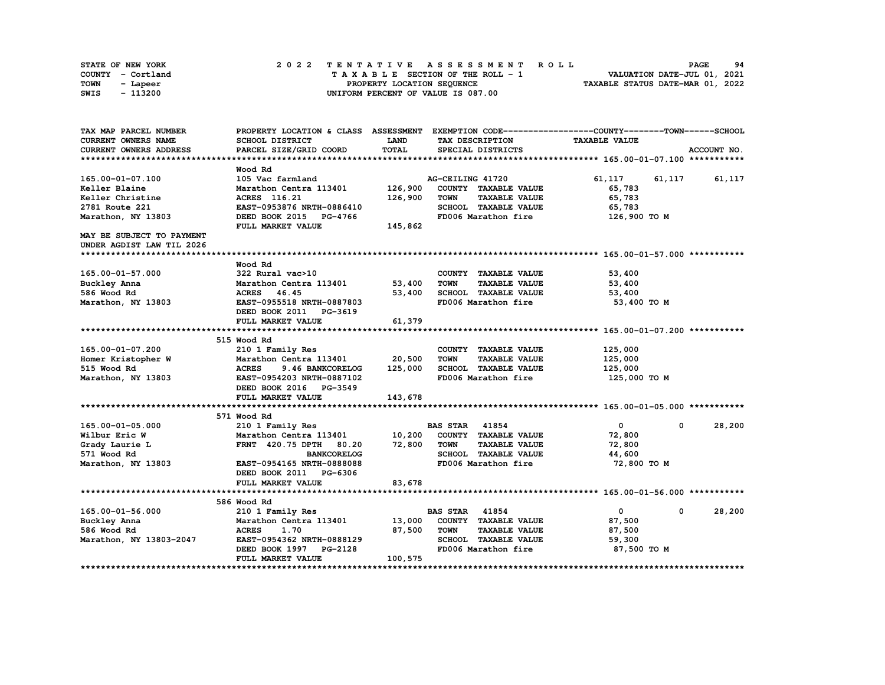| STATE OF NEW YORK | 2022 TENTATIVE ASSESSMENT ROLL     | 94<br><b>PAGE</b>                |
|-------------------|------------------------------------|----------------------------------|
| COUNTY - Cortland | TAXABLE SECTION OF THE ROLL - 1    | VALUATION DATE-JUL 01, 2021      |
| TOWN<br>- Lapeer  | PROPERTY LOCATION SEQUENCE         | TAXABLE STATUS DATE-MAR 01, 2022 |
| - 113200<br>SWIS  | UNIFORM PERCENT OF VALUE IS 087.00 |                                  |

| TAX MAP PARCEL NUMBER     |                                  |         |                                     | PROPERTY LOCATION & CLASS ASSESSMENT EXEMPTION CODE----------------COUNTY-------TOWN-----SCHOOL |             |
|---------------------------|----------------------------------|---------|-------------------------------------|-------------------------------------------------------------------------------------------------|-------------|
| CURRENT OWNERS NAME       | SCHOOL DISTRICT                  | LAND    | TAX DESCRIPTION                     | <b>TAXABLE VALUE</b>                                                                            |             |
| CURRENT OWNERS ADDRESS    | PARCEL SIZE/GRID COORD           | TOTAL   | SPECIAL DISTRICTS                   |                                                                                                 | ACCOUNT NO. |
|                           |                                  |         |                                     |                                                                                                 |             |
|                           | Wood Rd                          |         |                                     |                                                                                                 |             |
| 165.00-01-07.100          | 105 Vac farmland                 |         | AG-CEILING 41720                    | 61,117<br>61,117                                                                                | 61,117      |
| Keller Blaine             | Marathon Centra 113401           | 126,900 | COUNTY TAXABLE VALUE                | 65,783                                                                                          |             |
| Keller Christine          | ACRES 116.21                     | 126,900 | <b>TOWN</b><br><b>TAXABLE VALUE</b> | 65,783                                                                                          |             |
| 2781 Route 221            | EAST-0953876 NRTH-0886410        |         | SCHOOL TAXABLE VALUE                | 65,783                                                                                          |             |
| Marathon, NY 13803        | DEED BOOK 2015 PG-4766           |         | FD006 Marathon fire                 | 126,900 TO M                                                                                    |             |
|                           | FULL MARKET VALUE                | 145,862 |                                     |                                                                                                 |             |
| MAY BE SUBJECT TO PAYMENT |                                  |         |                                     |                                                                                                 |             |
| UNDER AGDIST LAW TIL 2026 |                                  |         |                                     |                                                                                                 |             |
|                           |                                  |         |                                     |                                                                                                 |             |
|                           | Wood Rd                          |         |                                     |                                                                                                 |             |
| 165.00-01-57.000          | 322 Rural vac>10                 |         | COUNTY TAXABLE VALUE                | 53,400                                                                                          |             |
| Buckley Anna              | Marathon Centra 113401           | 53,400  | <b>TOWN</b><br><b>TAXABLE VALUE</b> | 53,400                                                                                          |             |
| 586 Wood Rd               | ACRES 46.45                      | 53,400  | SCHOOL TAXABLE VALUE                | 53,400                                                                                          |             |
| Marathon, NY 13803        | EAST-0955518 NRTH-0887803        |         | FD006 Marathon fire                 | 53,400 TO M                                                                                     |             |
|                           | DEED BOOK 2011 PG-3619           |         |                                     |                                                                                                 |             |
|                           | FULL MARKET VALUE                | 61,379  |                                     |                                                                                                 |             |
|                           |                                  |         |                                     |                                                                                                 |             |
|                           | 515 Wood Rd                      |         |                                     |                                                                                                 |             |
| 165.00-01-07.200          | 210 1 Family Res                 |         | COUNTY TAXABLE VALUE                | 125,000                                                                                         |             |
| Homer Kristopher W        | Marathon Centra 113401           | 20,500  | <b>TOWN</b><br><b>TAXABLE VALUE</b> | 125,000                                                                                         |             |
| 515 Wood Rd               | <b>ACRES</b><br>9.46 BANKCORELOG | 125,000 | SCHOOL TAXABLE VALUE                | 125,000                                                                                         |             |
| Marathon, NY 13803        | EAST-0954203 NRTH-0887102        |         | FD006 Marathon fire                 | 125,000 TO M                                                                                    |             |
|                           | DEED BOOK 2016 PG-3549           |         |                                     |                                                                                                 |             |
|                           | FULL MARKET VALUE                | 143,678 |                                     |                                                                                                 |             |
|                           |                                  |         |                                     |                                                                                                 |             |
|                           | 571 Wood Rd                      |         |                                     |                                                                                                 |             |
| 165.00-01-05.000          | 210 1 Family Res                 |         | <b>BAS STAR 41854</b>               | $\mathbf{0}$<br>$\mathbf 0$                                                                     | 28,200      |
| Wilbur Eric W             | Marathon Centra 113401 10,200    |         | COUNTY TAXABLE VALUE                | 72,800                                                                                          |             |
| Grady Laurie L            | FRNT 420.75 DPTH 80.20           | 72,800  | TOWN<br><b>TAXABLE VALUE</b>        | 72,800                                                                                          |             |
| 571 Wood Rd               | <b>BANKCORELOG</b>               |         | SCHOOL TAXABLE VALUE                | 44,600                                                                                          |             |
| Marathon, NY 13803        | EAST-0954165 NRTH-0888088        |         | FD006 Marathon fire                 | 72,800 TO M                                                                                     |             |
|                           | DEED BOOK 2011 PG-6306           |         |                                     |                                                                                                 |             |
|                           | FULL MARKET VALUE                | 83,678  |                                     |                                                                                                 |             |
|                           |                                  |         |                                     |                                                                                                 |             |
|                           | 586 Wood Rd                      |         |                                     |                                                                                                 |             |
| 165.00-01-56.000          | 210 1 Family Res                 |         | <b>BAS STAR 41854</b>               | $\mathbf{0}$<br>$\mathbf{0}$                                                                    | 28,200      |
| Buckley Anna              | Marathon Centra 113401           | 13,000  | COUNTY TAXABLE VALUE                | 87,500                                                                                          |             |
| 586 Wood Rd               | <b>ACRES</b><br>1.70             | 87,500  | <b>TOWN</b><br><b>TAXABLE VALUE</b> | 87,500                                                                                          |             |
| Marathon, NY 13803-2047   | EAST-0954362 NRTH-0888129        |         | SCHOOL TAXABLE VALUE                | 59,300                                                                                          |             |
|                           | DEED BOOK 1997 PG-2128           |         | FD006 Marathon fire                 | 87,500 TO M                                                                                     |             |
|                           | FULL MARKET VALUE                | 100,575 |                                     |                                                                                                 |             |
|                           |                                  |         |                                     |                                                                                                 |             |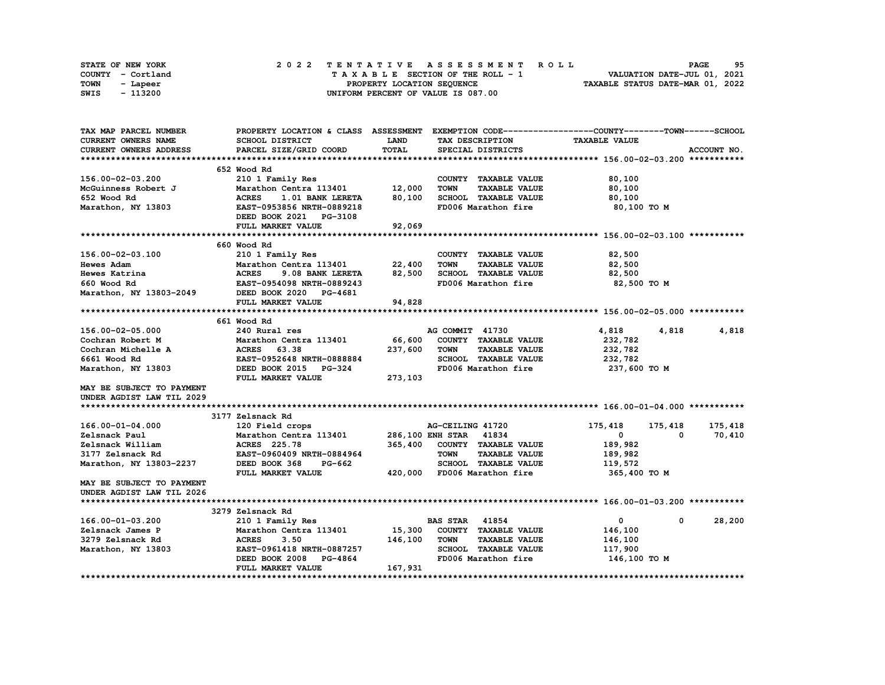| STATE OF NEW YORK | 2022 TENTATIVE ASSESSMENT ROLL     | 95<br><b>PAGE</b>                |
|-------------------|------------------------------------|----------------------------------|
| COUNTY - Cortland | TAXABLE SECTION OF THE ROLL - 1    | VALUATION DATE-JUL 01, 2021      |
| TOWN<br>- Lapeer  | PROPERTY LOCATION SEOUENCE         | TAXABLE STATUS DATE-MAR 01, 2022 |
| - 113200<br>SWIS  | UNIFORM PERCENT OF VALUE IS 087.00 |                                  |

| TAX MAP PARCEL NUMBER         |                                  |              |                                     | PROPERTY LOCATION & CLASS ASSESSMENT EXEMPTION CODE----------------COUNTY-------TOWN-----SCHOOL |             |
|-------------------------------|----------------------------------|--------------|-------------------------------------|-------------------------------------------------------------------------------------------------|-------------|
| CURRENT OWNERS NAME           | SCHOOL DISTRICT                  | LAND         | TAX DESCRIPTION                     | <b>TAXABLE VALUE</b>                                                                            |             |
| <b>CURRENT OWNERS ADDRESS</b> | PARCEL SIZE/GRID COORD           | <b>TOTAL</b> | SPECIAL DISTRICTS                   |                                                                                                 | ACCOUNT NO. |
|                               |                                  |              |                                     |                                                                                                 |             |
|                               | 652 Wood Rd                      |              |                                     |                                                                                                 |             |
| 156.00-02-03.200              | 210 1 Family Res                 |              | COUNTY TAXABLE VALUE                | 80,100                                                                                          |             |
| McGuinness Robert J           | Marathon Centra 113401           | 12,000       | <b>TOWN</b><br><b>TAXABLE VALUE</b> | 80,100                                                                                          |             |
| 652 Wood Rd                   | <b>ACRES</b><br>1.01 BANK LERETA | 80,100       | SCHOOL TAXABLE VALUE                | 80,100                                                                                          |             |
| Marathon, NY 13803            | EAST-0953856 NRTH-0889218        |              | FD006 Marathon fire                 | 80,100 TO M                                                                                     |             |
|                               | DEED BOOK 2021 PG-3108           |              |                                     |                                                                                                 |             |
|                               | FULL MARKET VALUE                | 92,069       |                                     |                                                                                                 |             |
|                               |                                  |              |                                     |                                                                                                 |             |
|                               | 660 Wood Rd                      |              |                                     |                                                                                                 |             |
|                               |                                  |              |                                     |                                                                                                 |             |
| 156.00-02-03.100              | 210 1 Family Res                 |              | COUNTY TAXABLE VALUE                | 82,500                                                                                          |             |
| <b>Hewes Adam</b>             | Marathon Centra 113401           | 22,400       | <b>TOWN</b><br><b>TAXABLE VALUE</b> | 82,500                                                                                          |             |
| Hewes Katrina                 | <b>ACRES</b><br>9.08 BANK LERETA | 82,500       | SCHOOL TAXABLE VALUE                | 82,500                                                                                          |             |
| 660 Wood Rd                   | EAST-0954098 NRTH-0889243        |              | FD006 Marathon fire                 | 82,500 TO M                                                                                     |             |
| Marathon, NY 13803-2049       | DEED BOOK 2020 PG-4681           |              |                                     |                                                                                                 |             |
|                               | FULL MARKET VALUE                | 94,828       |                                     |                                                                                                 |             |
|                               |                                  |              |                                     |                                                                                                 |             |
|                               | 661 Wood Rd                      |              |                                     |                                                                                                 |             |
| 156.00-02-05.000              | 240 Rural res                    |              | AG COMMIT 41730                     | 4,818<br>4,818                                                                                  | 4,818       |
| Cochran Robert M              | Marathon Centra 113401           | 66,600       | COUNTY TAXABLE VALUE                | 232,782                                                                                         |             |
| Cochran Michelle A            | 63.38<br><b>ACRES</b>            | 237,600      | <b>TAXABLE VALUE</b><br><b>TOWN</b> | 232,782                                                                                         |             |
| 6661 Wood Rd                  | EAST-0952648 NRTH-0888884        |              | SCHOOL TAXABLE VALUE                | 232,782                                                                                         |             |
| Marathon, NY 13803            | DEED BOOK 2015 PG-324            |              | FD006 Marathon fire                 | 237,600 то м                                                                                    |             |
|                               | FULL MARKET VALUE                | 273,103      |                                     |                                                                                                 |             |
| MAY BE SUBJECT TO PAYMENT     |                                  |              |                                     |                                                                                                 |             |
| UNDER AGDIST LAW TIL 2029     |                                  |              |                                     |                                                                                                 |             |
|                               |                                  |              |                                     |                                                                                                 |             |
|                               | 3177 Zelsnack Rd                 |              |                                     |                                                                                                 |             |
| 166.00-01-04.000              | 120 Field crops                  |              | AG-CEILING 41720                    | 175,418<br>175,418                                                                              | 175,418     |
| Zelsnack Paul                 | Marathon Centra 113401           |              | 286,100 ENH STAR<br>41834           | $\mathbf 0$<br>0                                                                                | 70,410      |
| Zelsnack William              | ACRES 225.78                     | 365,400      | COUNTY TAXABLE VALUE                | 189,982                                                                                         |             |
| 3177 Zelsnack Rd              | EAST-0960409 NRTH-0884964        |              | <b>TAXABLE VALUE</b><br><b>TOWN</b> | 189,982                                                                                         |             |
| Marathon, NY 13803-2237       | DEED BOOK 368<br>PG-662          |              | SCHOOL TAXABLE VALUE                | 119,572                                                                                         |             |
|                               |                                  |              |                                     |                                                                                                 |             |
|                               | FULL MARKET VALUE                | 420,000      | FD006 Marathon fire                 | 365,400 то м                                                                                    |             |
| MAY BE SUBJECT TO PAYMENT     |                                  |              |                                     |                                                                                                 |             |
| UNDER AGDIST LAW TIL 2026     |                                  |              |                                     |                                                                                                 |             |
|                               |                                  |              |                                     |                                                                                                 |             |
|                               | 3279 Zelsnack Rd                 |              |                                     |                                                                                                 |             |
| 166.00-01-03.200              | 210 1 Family Res                 |              | 41854<br><b>BAS STAR</b>            | 0<br>0                                                                                          | 28,200      |
| Zelsnack James P              | Marathon Centra 113401           | 15,300       | COUNTY TAXABLE VALUE                | 146,100                                                                                         |             |
| 3279 Zelsnack Rd              | <b>ACRES</b><br>3.50             | 146,100      | <b>TOWN</b><br><b>TAXABLE VALUE</b> | 146,100                                                                                         |             |
| Marathon, NY 13803            | EAST-0961418 NRTH-0887257        |              | <b>SCHOOL TAXABLE VALUE</b>         | 117,900                                                                                         |             |
|                               | DEED BOOK 2008<br>PG-4864        |              | FD006 Marathon fire                 | 146,100 TO M                                                                                    |             |
|                               | FULL MARKET VALUE                | 167,931      |                                     |                                                                                                 |             |
|                               |                                  |              |                                     |                                                                                                 |             |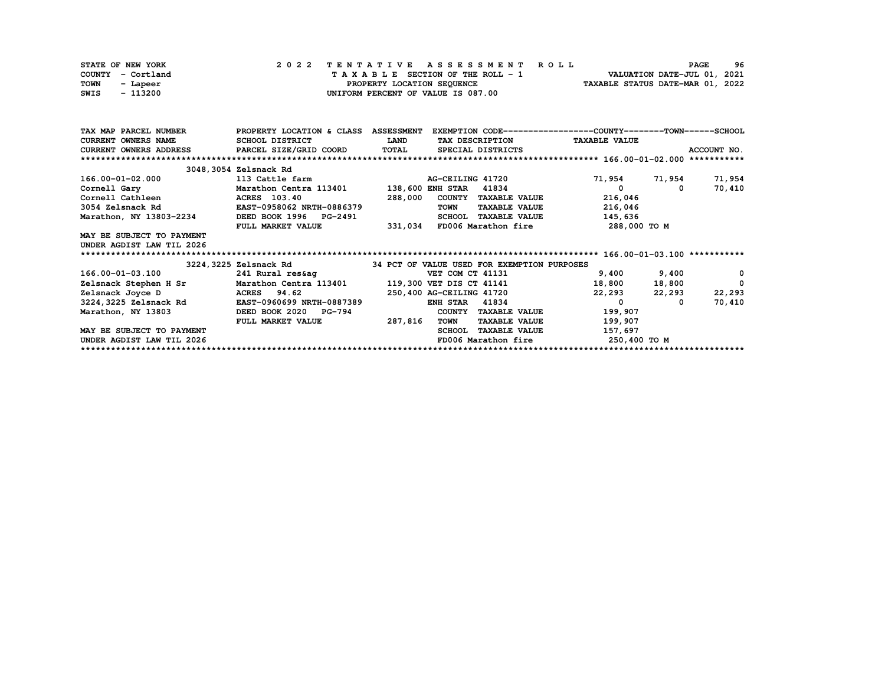| STATE OF NEW YORK | 2022 TENTATIVE ASSESSMENT ROLL     | 96<br><b>PAGE</b>                |
|-------------------|------------------------------------|----------------------------------|
| COUNTY - Cortland | TAXABLE SECTION OF THE ROLL - 1    | VALUATION DATE-JUL 01, 2021      |
| TOWN<br>- Lapeer  | PROPERTY LOCATION SEQUENCE         | TAXABLE STATUS DATE-MAR 01, 2022 |
| - 113200<br>SWIS  | UNIFORM PERCENT OF VALUE IS 087.00 |                                  |

| TAX MAP PARCEL NUMBER          | PROPERTY LOCATION & CLASS ASSESSMENT |              |                                             | EXEMPTION CODE-----------------COUNTY-------TOWN------SCHOOL |              |
|--------------------------------|--------------------------------------|--------------|---------------------------------------------|--------------------------------------------------------------|--------------|
| <b>CURRENT OWNERS NAME</b>     | SCHOOL DISTRICT                      | <b>LAND</b>  | TAX DESCRIPTION                             | <b>TAXABLE VALUE</b>                                         |              |
| CURRENT OWNERS ADDRESS         | PARCEL SIZE/GRID COORD               | <b>TOTAL</b> | SPECIAL DISTRICTS                           |                                                              | ACCOUNT NO.  |
|                                |                                      |              |                                             |                                                              |              |
|                                | 3048, 3054 Zelsnack Rd               |              |                                             |                                                              |              |
| 166.00-01-02.000               | 113 Cattle farm                      |              | AG-CEILING 41720                            | 71,954<br>71,954                                             | 71,954       |
| Cornell Gary                   | Marathon Centra 113401               |              | <b>138,600 ENH STAR</b><br>41834            | 0<br>0                                                       | 70,410       |
| Cornell Cathleen <b>Search</b> | <b>ACRES</b> 103.40                  | 288,000      | COUNTY TAXABLE VALUE                        | 216,046                                                      |              |
| 3054 Zelsnack Rd               | EAST-0958062 NRTH-0886379            |              | <b>TAXABLE VALUE</b><br><b>TOWN</b>         | 216,046                                                      |              |
| Marathon, NY 13803-2234        | DEED BOOK 1996 PG-2491               |              | <b>SCHOOL</b><br><b>TAXABLE VALUE</b>       | 145,636                                                      |              |
|                                | FULL MARKET VALUE                    | 331,034      | FD006 Marathon fire                         | 288,000 TO M                                                 |              |
| MAY BE SUBJECT TO PAYMENT      |                                      |              |                                             |                                                              |              |
| UNDER AGDIST LAW TIL 2026      |                                      |              |                                             |                                                              |              |
|                                |                                      |              |                                             |                                                              |              |
|                                |                                      |              |                                             |                                                              |              |
|                                | 3224, 3225 Zelsnack Rd               |              | 34 PCT OF VALUE USED FOR EXEMPTION PURPOSES |                                                              |              |
| 166.00-01-03.100               | 241 Rural res&aq                     |              | VET COM CT 41131                            | 9,400<br>9,400                                               | 0            |
| Zelsnack Stephen H Sr          | Marathon Centra 113401               |              | 119,300 VET DIS CT 41141                    | 18,800<br>18,800                                             | $\mathbf{0}$ |
| Zelsnack Joyce D               | ACRES 94.62                          |              | 250,400 AG-CEILING 41720                    | 22,293<br>22,293                                             | 22,293       |
| 3224, 3225 Zelsnack Rd         | EAST-0960699 NRTH-0887389            |              | 41834<br><b>ENH STAR</b>                    | 0<br>0                                                       | 70,410       |
| Marathon, NY 13803             | DEED BOOK 2020 PG-794                |              | COUNTY<br><b>TAXABLE VALUE</b>              | 199,907                                                      |              |
|                                | FULL MARKET VALUE                    | 287,816      | TOWN<br><b>TAXABLE VALUE</b>                | 199,907                                                      |              |
| MAY BE SUBJECT TO PAYMENT      |                                      |              | <b>SCHOOL</b><br><b>TAXABLE VALUE</b>       | 157,697                                                      |              |
| UNDER AGDIST LAW TIL 2026      |                                      |              | FD006 Marathon fire                         | 250,400 то м                                                 |              |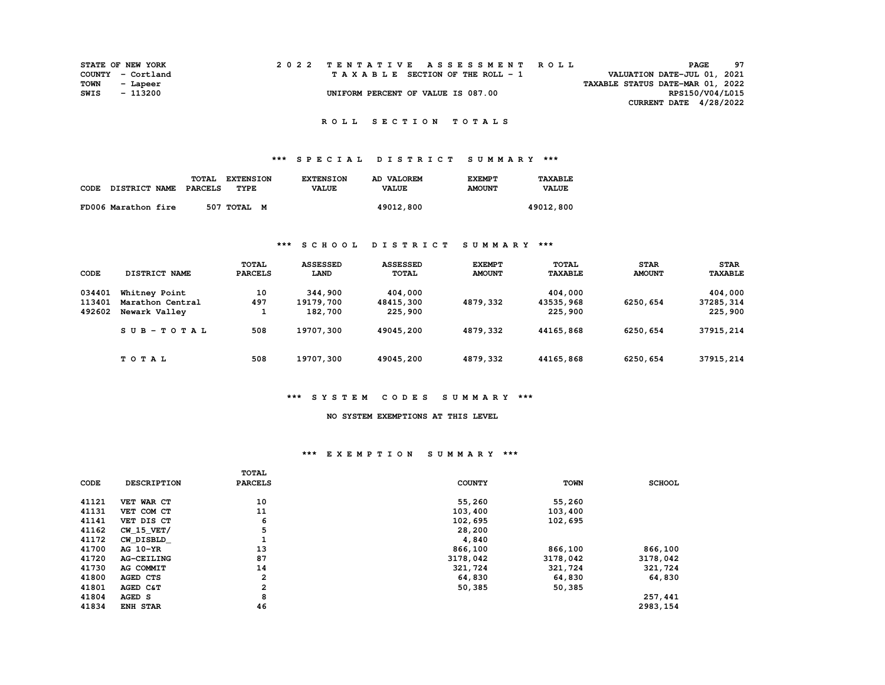| <b>STATE OF NEW YORK</b> |          |  |  |  |  |                                    |  |  |  | 2022 TENTATIVE ASSESSMENT ROLL |                                  |                          | PAGE | 97 |  |
|--------------------------|----------|--|--|--|--|------------------------------------|--|--|--|--------------------------------|----------------------------------|--------------------------|------|----|--|
| COUNTY - Cortland        |          |  |  |  |  | TAXABLE SECTION OF THE ROLL - 1    |  |  |  |                                | VALUATION DATE-JUL 01, 2021      |                          |      |    |  |
| TOWN                     | - Lapeer |  |  |  |  |                                    |  |  |  |                                | TAXABLE STATUS DATE-MAR 01, 2022 |                          |      |    |  |
| SWIS                     | - 113200 |  |  |  |  | UNIFORM PERCENT OF VALUE IS 087.00 |  |  |  |                                |                                  | RPS150/V04/L015          |      |    |  |
|                          |          |  |  |  |  |                                    |  |  |  |                                |                                  | CURRENT DATE $4/28/2022$ |      |    |  |

# **\*\*\* S P E C I A L D I S T R I C T S U M M A R Y \*\*\***

|      |                      | TOTAL   | <b>EXTENSION</b> | <b>EXTENSION</b> | AD VALOREM   | <b>EXEMPT</b> | TAXABLE      |
|------|----------------------|---------|------------------|------------------|--------------|---------------|--------------|
| CODE | <b>DISTRICT NAME</b> | PARCELS | TYPE             | <b>VALUE</b>     | <b>VALUE</b> | <b>AMOUNT</b> | <b>VALUE</b> |
|      |                      |         |                  |                  |              |               |              |
|      | FD006 Marathon fire  |         | 507 TOTAL M      |                  | 49012,800    |               | 49012,800    |

### **\*\*\* S C H O O L D I S T R I C T S U M M A R Y \*\*\***

| <b>CODE</b> | DISTRICT NAME    | <b>TOTAL</b><br><b>PARCELS</b> | <b>ASSESSED</b><br>LAND | <b>ASSESSED</b><br>TOTAL | <b>EXEMPT</b><br><b>AMOUNT</b> | <b>TOTAL</b><br><b>TAXABLE</b> | <b>STAR</b><br><b>AMOUNT</b> | <b>STAR</b><br><b>TAXABLE</b> |
|-------------|------------------|--------------------------------|-------------------------|--------------------------|--------------------------------|--------------------------------|------------------------------|-------------------------------|
| 034401      | Whitney Point    | 10                             | 344,900                 | 404,000                  |                                | 404,000                        |                              | 404,000                       |
| 113401      | Marathon Central | 497                            | 19179,700               | 48415,300                | 4879,332                       | 43535,968                      | 6250,654                     | 37285, 314                    |
| 492602      | Newark Valley    |                                | 182,700                 | 225,900                  |                                | 225,900                        |                              | 225,900                       |
|             | $SUB-TOTAL$      | 508                            | 19707,300               | 49045,200                | 4879,332                       | 44165,868                      | 6250,654                     | 37915,214                     |
|             | TOTAL            | 508                            | 19707,300               | 49045,200                | 4879,332                       | 44165,868                      | 6250,654                     | 37915, 214                    |

#### **\*\*\* S Y S T E M C O D E S S U M M A R Y \*\*\***

#### **NO SYSTEM EXEMPTIONS AT THIS LEVEL**

### **\*\*\* E X E M P T I O N S U M M A R Y \*\*\***

|             |                    | <b>TOTAL</b>   |               |             |               |
|-------------|--------------------|----------------|---------------|-------------|---------------|
| <b>CODE</b> | <b>DESCRIPTION</b> | <b>PARCELS</b> | <b>COUNTY</b> | <b>TOWN</b> | <b>SCHOOL</b> |
|             |                    |                |               |             |               |
| 41121       | VET WAR CT         | 10             | 55,260        | 55,260      |               |
| 41131       | VET COM CT         | 11             | 103,400       | 103,400     |               |
| 41141       | VET DIS CT         | 6              | 102,695       | 102,695     |               |
| 41162       | $CW$ 15 $VET/$     | 5              | 28,200        |             |               |
| 41172       | CW DISBLD          |                | 4,840         |             |               |
| 41700       | AG 10-YR           | 13             | 866,100       | 866,100     | 866,100       |
| 41720       | <b>AG-CEILING</b>  | 87             | 3178,042      | 3178,042    | 3178,042      |
| 41730       | AG COMMIT          | 14             | 321,724       | 321,724     | 321,724       |
| 41800       | AGED CTS           | $\overline{a}$ | 64,830        | 64,830      | 64,830        |
| 41801       | AGED C&T           | 2              | 50,385        | 50,385      |               |
| 41804       | AGED S             | 8              |               |             | 257,441       |
| 41834       | <b>ENH STAR</b>    | 46             |               |             | 2983,154      |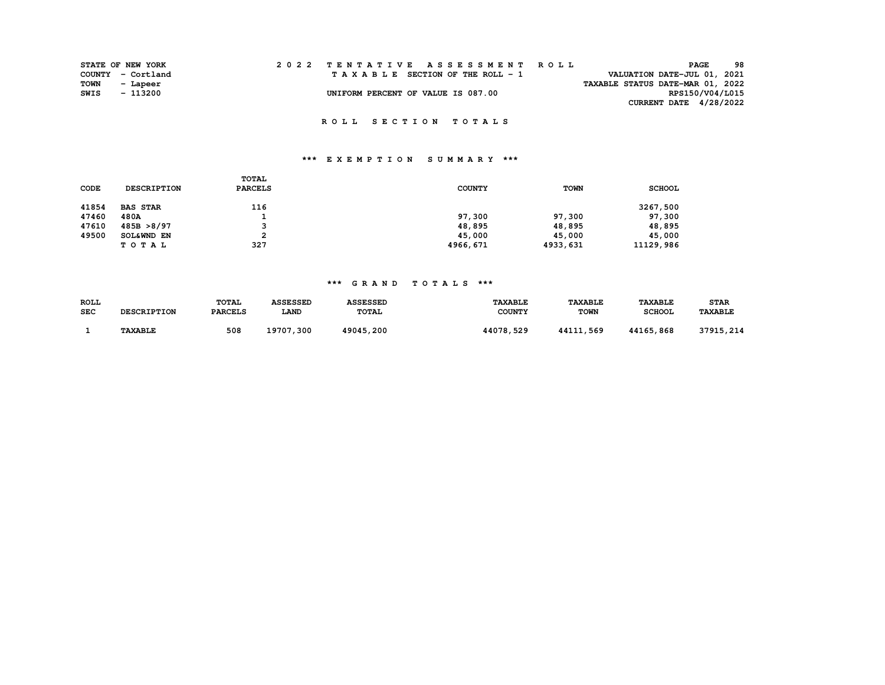| STATE OF NEW YORK |                   | 2022 TENTATIVE ASSESSMENT ROLL     |  |  |  |                                  | PAGE            | 98 |
|-------------------|-------------------|------------------------------------|--|--|--|----------------------------------|-----------------|----|
|                   | COUNTY - Cortland | TAXABLE SECTION OF THE ROLL - 1    |  |  |  | VALUATION DATE-JUL 01, 2021      |                 |    |
| <b>TOWN</b>       | - Lapeer          |                                    |  |  |  | TAXABLE STATUS DATE-MAR 01, 2022 |                 |    |
| SWIS              | - 113200          | UNIFORM PERCENT OF VALUE IS 087.00 |  |  |  |                                  | RPS150/V04/L015 |    |
|                   |                   |                                    |  |  |  | CURRENT DATE $4/28/2022$         |                 |    |

# **\*\*\* E X E M P T I O N S U M M A R Y \*\*\***

| <b>CODE</b> | <b>DESCRIPTION</b> | TOTAL<br><b>PARCELS</b> | <b>COUNTY</b> | <b>TOWN</b> | <b>SCHOOL</b> |
|-------------|--------------------|-------------------------|---------------|-------------|---------------|
| 41854       | <b>BAS STAR</b>    | 116                     |               |             | 3267,500      |
| 47460       | 480A               |                         | 97,300        | 97,300      | 97,300        |
| 47610       | 485B > 8/97        | 3                       | 48,895        | 48,895      | 48,895        |
| 49500       | SOL&WND EN         | 2                       | 45,000        | 45,000      | 45,000        |
|             | TOTAL              | 327                     | 4966,671      | 4933,631    | 11129,986     |

### **\*\*\* G R A N D T O T A L S \*\*\***

| ROLL       |                    | TOTAL          | <b>ASSESSED</b> | <b>ASSESSED</b> | <b><i>TAXABLE</i></b> | <b>TAXABLE</b> | <b>TAXABLE</b> | <b>STAR</b> |
|------------|--------------------|----------------|-----------------|-----------------|-----------------------|----------------|----------------|-------------|
| <b>SEC</b> | <b>DESCRIPTION</b> | <b>PARCELS</b> | <b>LAND</b>     | <b>TOTAL</b>    | <b>COUNTY</b>         | <b>TOWN</b>    | <b>SCHOOL</b>  | TAXABLE     |
|            | <b>TAXABLE</b>     | 508            | 19707,300       | 49045,200       | 44078,529             | 44111,569      | 44165,868      | 37915,214   |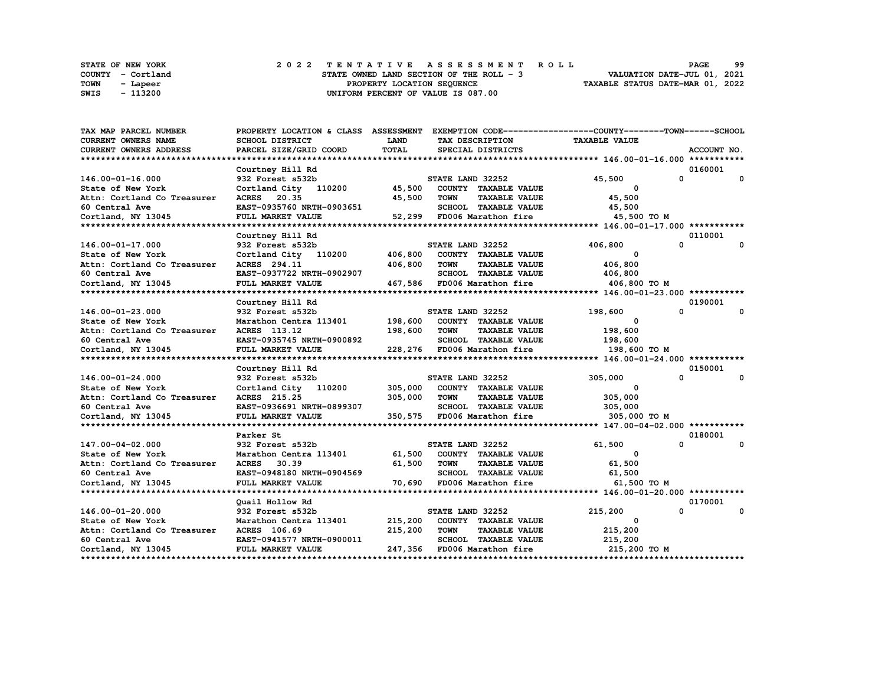|      | STATE OF NEW YORK | 2022 TENTATIVE ASSESSMENT ROLL                                          | <b>PAGE</b> | 99 |
|------|-------------------|-------------------------------------------------------------------------|-------------|----|
|      | COUNTY - Cortland | VALUATION DATE-JUL 01, 2021<br>STATE OWNED LAND SECTION OF THE ROLL - 3 |             |    |
| TOWN | - Lapeer          | TAXABLE STATUS DATE-MAR 01, 2022<br>PROPERTY LOCATION SEQUENCE          |             |    |
| SWIS | - 113200          | UNIFORM PERCENT OF VALUE IS 087.00                                      |             |    |

| TAX MAP PARCEL NUMBER         | PROPERTY LOCATION & CLASS ASSESSMENT EXEMPTION CODE-----------------COUNTY-------TOWN------SCHOOL |         |                  |                             |                         |                            |
|-------------------------------|---------------------------------------------------------------------------------------------------|---------|------------------|-----------------------------|-------------------------|----------------------------|
| CURRENT OWNERS NAME           | <b>SCHOOL DISTRICT</b>                                                                            | LAND    | TAX DESCRIPTION  |                             | <b>TAXABLE VALUE</b>    |                            |
| <b>CURRENT OWNERS ADDRESS</b> | PARCEL SIZE/GRID COORD                                                                            | TOTAL   |                  | SPECIAL DISTRICTS           |                         | ACCOUNT NO.                |
|                               |                                                                                                   |         |                  |                             |                         |                            |
|                               | Courtney Hill Rd                                                                                  |         |                  |                             |                         | 0160001                    |
| 146.00-01-16.000              | 932 Forest s532b                                                                                  |         | STATE LAND 32252 |                             | 45,500                  | $\mathbf{0}$<br>$^{\circ}$ |
| State of New York             | Cortland City 110200                                                                              | 45,500  |                  | COUNTY TAXABLE VALUE        | 0                       |                            |
| Attn: Cortland Co Treasurer   | ACRES 20.35                                                                                       | 45,500  | <b>TOWN</b>      | <b>TAXABLE VALUE</b>        | 45,500                  |                            |
| 60 Central Ave                | EAST-0935760 NRTH-0903651                                                                         |         |                  | SCHOOL TAXABLE VALUE        | 45,500                  |                            |
| Cortland, NY 13045            | FULL MARKET VALUE                                                                                 |         |                  | 52,299 FD006 Marathon fire  | 45,500 TO M             |                            |
|                               |                                                                                                   |         |                  |                             |                         |                            |
|                               | Courtney Hill Rd                                                                                  |         |                  |                             |                         | 0110001                    |
| 146.00-01-17.000              | 932 Forest s532b                                                                                  |         | STATE LAND 32252 |                             | 406,800                 | $\Omega$<br>$\Omega$       |
| State of New York             | Cortland City 110200                                                                              | 406,800 |                  | COUNTY TAXABLE VALUE        | 0                       |                            |
| Attn: Cortland Co Treasurer   | ACRES 294.11                                                                                      | 406,800 | <b>TOWN</b>      | <b>TAXABLE VALUE</b>        | 406,800                 |                            |
| 60 Central Ave                | EAST-0937722 NRTH-0902907                                                                         |         |                  | SCHOOL TAXABLE VALUE        | 406,800                 |                            |
| Cortland, NY 13045            | FULL MARKET VALUE                                                                                 |         |                  | 467,586 FD006 Marathon fire | 406,800 TO M            |                            |
|                               |                                                                                                   |         |                  |                             |                         |                            |
|                               | Courtney Hill Rd                                                                                  |         |                  |                             |                         | 0190001                    |
| 146.00-01-23.000              | 932 Forest s532b                                                                                  |         | STATE LAND 32252 |                             | 198,600                 | $\Omega$<br>0              |
| State of New York             | Marathon Centra 113401                                                                            | 198,600 |                  | COUNTY TAXABLE VALUE        | 0                       |                            |
| Attn: Cortland Co Treasurer   | ACRES 113.12                                                                                      | 198,600 | TOWN             | <b>TAXABLE VALUE</b>        | 198,600                 |                            |
| 60 Central Ave                | EAST-0935745 NRTH-0900892                                                                         |         |                  | SCHOOL TAXABLE VALUE        | 198,600                 |                            |
| Cortland, NY 13045            | FULL MARKET VALUE                                                                                 |         |                  | 228,276 FD006 Marathon fire | 198,600 то м            |                            |
|                               |                                                                                                   |         |                  |                             |                         |                            |
|                               | Courtney Hill Rd                                                                                  |         |                  |                             |                         | 0150001                    |
| 146.00-01-24.000              | 932 Forest s532b                                                                                  |         | STATE LAND 32252 |                             | 305,000                 | $\Omega$<br>$\mathbf 0$    |
| State of New York             | Cortland City 110200                                                                              | 305,000 |                  | COUNTY TAXABLE VALUE        | $\overline{\mathbf{0}}$ |                            |
| Attn: Cortland Co Treasurer   | ACRES 215.25                                                                                      | 305,000 | <b>TOWN</b>      | <b>TAXABLE VALUE</b>        | 305,000                 |                            |
| 60 Central Ave                | EAST-0936691 NRTH-0899307                                                                         |         |                  | SCHOOL TAXABLE VALUE        | 305,000                 |                            |
| Cortland, NY 13045            | FULL MARKET VALUE                                                                                 |         |                  | 350,575 FD006 Marathon fire | 305,000 TO M            |                            |
|                               |                                                                                                   |         |                  |                             |                         |                            |
|                               | Parker St                                                                                         |         |                  |                             |                         | 0180001                    |
| 147.00-04-02.000              | 932 Forest s532b                                                                                  |         | STATE LAND 32252 |                             | 61,500                  | $\mathbf{0}$<br>0          |
| State of New York             | Marathon Centra 113401                                                                            |         |                  | 61,500 COUNTY TAXABLE VALUE | $^{\circ}$              |                            |
| Attn: Cortland Co Treasurer   | <b>ACRES</b><br>30.39                                                                             | 61,500  | <b>TOWN</b>      | <b>TAXABLE VALUE</b>        | 61,500                  |                            |
| 60 Central Ave                | EAST-0948180 NRTH-0904569                                                                         |         |                  | SCHOOL TAXABLE VALUE        | 61,500                  |                            |
| Cortland, NY 13045            | FULL MARKET VALUE                                                                                 | 70,690  |                  | FD006 Marathon fire         | 61,500 TO M             |                            |
|                               |                                                                                                   |         |                  |                             |                         |                            |
|                               | Quail Hollow Rd                                                                                   |         |                  |                             |                         | 0170001                    |
| 146.00-01-20.000              | 932 Forest s532b                                                                                  |         | STATE LAND 32252 |                             | 215,200                 | 0<br>0                     |
| State of New York             | Marathon Centra 113401                                                                            | 215,200 |                  | COUNTY TAXABLE VALUE        | 0                       |                            |
| Attn: Cortland Co Treasurer   | ACRES 106.69                                                                                      | 215,200 | <b>TOWN</b>      | <b>TAXABLE VALUE</b>        | 215,200                 |                            |
| 60 Central Ave                | EAST-0941577 NRTH-0900011                                                                         |         |                  | SCHOOL TAXABLE VALUE        | 215,200                 |                            |
| Cortland, NY 13045            | FULL MARKET VALUE                                                                                 |         |                  | 247,356 FD006 Marathon fire | 215,200 TO M            |                            |
|                               |                                                                                                   |         |                  |                             |                         |                            |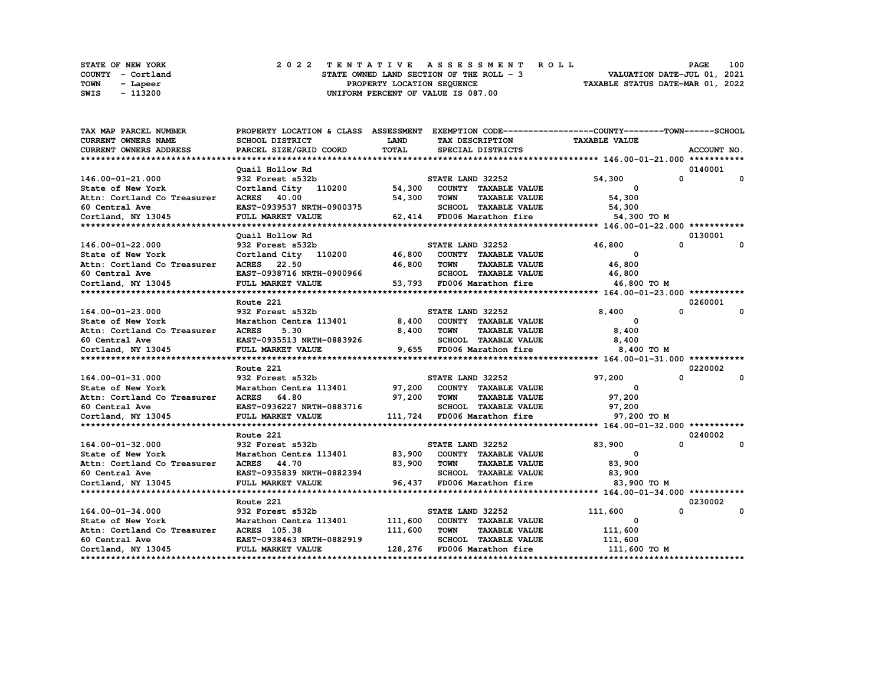|      | STATE OF NEW YORK | 2022 TENTATIVE ASSESSMENT ROLL                                          | <b>PAGE</b> | 100 |
|------|-------------------|-------------------------------------------------------------------------|-------------|-----|
|      | COUNTY - Cortland | VALUATION DATE-JUL 01, 2021<br>STATE OWNED LAND SECTION OF THE ROLL - 3 |             |     |
| TOWN | - Lapeer          | TAXABLE STATUS DATE-MAR 01, 2022<br>PROPERTY LOCATION SEQUENCE          |             |     |
| SWIS | - 113200          | UNIFORM PERCENT OF VALUE IS 087.00                                      |             |     |

| TAX MAP PARCEL NUMBER       | PROPERTY LOCATION & CLASS ASSESSMENT EXEMPTION CODE---------------COUNTY-------TOWN------SCHOOL |             |                  |                             |                                        |              |             |
|-----------------------------|-------------------------------------------------------------------------------------------------|-------------|------------------|-----------------------------|----------------------------------------|--------------|-------------|
| <b>CURRENT OWNERS NAME</b>  | <b>SCHOOL DISTRICT</b>                                                                          | <b>LAND</b> |                  | TAX DESCRIPTION             | <b>TAXABLE VALUE</b>                   |              |             |
| CURRENT OWNERS ADDRESS      | PARCEL SIZE/GRID COORD                                                                          | TOTAL       |                  | SPECIAL DISTRICTS           |                                        |              | ACCOUNT NO. |
|                             |                                                                                                 |             |                  |                             |                                        |              |             |
|                             | Ouail Hollow Rd                                                                                 |             |                  |                             |                                        |              | 0140001     |
| 146.00-01-21.000            | 932 Forest s532b                                                                                |             | STATE LAND 32252 |                             | 54,300                                 | $\mathbf{0}$ | 0           |
| State of New York           | Cortland City 110200                                                                            | 54,300      |                  | COUNTY TAXABLE VALUE        | 0                                      |              |             |
| Attn: Cortland Co Treasurer | ACRES 40.00                                                                                     | 54,300      | TOWN             | <b>TAXABLE VALUE</b>        | 54,300                                 |              |             |
| 60 Central Ave              | EAST-0939537 NRTH-0900375                                                                       |             |                  | SCHOOL TAXABLE VALUE        | 54,300                                 |              |             |
| Cortland, NY 13045          | FULL MARKET VALUE                                                                               |             |                  |                             | 62,414 FD006 Marathon fire 54,300 TO M |              |             |
|                             |                                                                                                 |             |                  |                             |                                        |              |             |
|                             | Ouail Hollow Rd                                                                                 |             |                  |                             |                                        |              | 0130001     |
| 146.00-01-22.000            | 932 Forest s532b                                                                                |             | STATE LAND 32252 |                             | 46,800                                 | 0            | 0           |
| State of New York           | Cortland City 110200                                                                            | 46,800      |                  | COUNTY TAXABLE VALUE        | $\Omega$                               |              |             |
| Attn: Cortland Co Treasurer | ACRES 22.50                                                                                     | 46,800      | <b>TOWN</b>      | <b>TAXABLE VALUE</b>        | 46,800                                 |              |             |
| 60 Central Ave              | EAST-0938716 NRTH-0900966                                                                       |             |                  |                             | SCHOOL TAXABLE VALUE 46,800            |              |             |
|                             | FULL MARKET VALUE                                                                               |             |                  | 53,793 FD006 Marathon fire  | 46,800 TO M                            |              |             |
| Cortland, NY 13045          |                                                                                                 |             |                  |                             |                                        |              |             |
|                             | Route 221                                                                                       |             |                  |                             |                                        |              | 0260001     |
| 164.00-01-23.000            | 932 Forest s532b                                                                                |             | STATE LAND 32252 |                             | 8,400                                  | $\Omega$     | 0           |
| State of New York           | Marathon Centra 113401                                                                          | 8,400       |                  | COUNTY TAXABLE VALUE        | $\Omega$                               |              |             |
|                             |                                                                                                 |             | <b>TOWN</b>      |                             | 8,400                                  |              |             |
| Attn: Cortland Co Treasurer | <b>ACRES</b><br>5.30                                                                            | 8,400       |                  | <b>TAXABLE VALUE</b>        |                                        |              |             |
| 60 Central Ave              | EAST-0935513 NRTH-0883926                                                                       |             |                  | SCHOOL TAXABLE VALUE        | 8,400                                  |              |             |
| Cortland, NY 13045          | FULL MARKET VALUE                                                                               |             |                  | 9,655 FD006 Marathon fire   | 8,400 TO M                             |              |             |
|                             |                                                                                                 |             |                  |                             |                                        |              |             |
|                             | Route 221                                                                                       |             |                  |                             |                                        |              | 0220002     |
| 164.00-01-31.000            | 932 Forest s532b                                                                                |             | STATE LAND 32252 |                             | 97,200                                 | $\Omega$     | $\mathbf 0$ |
| State of New York           | Marathon Centra 113401                                                                          |             |                  | 97,200 COUNTY TAXABLE VALUE | 0                                      |              |             |
| Attn: Cortland Co Treasurer | ACRES 64.80                                                                                     | 97,200      | TOWN             | <b>TAXABLE VALUE</b>        | 97,200                                 |              |             |
| 60 Central Ave              | EAST-0936227 NRTH-0883716                                                                       |             |                  | SCHOOL TAXABLE VALUE        | 97,200                                 |              |             |
| Cortland, NY 13045          | FULL MARKET VALUE                                                                               |             |                  | 111,724 FD006 Marathon fire | 97,200 TO M                            |              |             |
|                             |                                                                                                 |             |                  |                             |                                        |              |             |
|                             | Route 221                                                                                       |             |                  |                             |                                        |              | 0240002     |
| 164.00-01-32.000            | 932 Forest s532b                                                                                |             | STATE LAND 32252 |                             | 83,900                                 | $\Omega$     | 0           |
| State of New York           | Marathon Centra 113401                                                                          | 83,900      |                  | COUNTY TAXABLE VALUE        | $\Omega$                               |              |             |
| Attn: Cortland Co Treasurer | ACRES 44.70                                                                                     | 83,900      | TOWN             | <b>TAXABLE VALUE</b>        | 83,900                                 |              |             |
| 60 Central Ave              | EAST-0935839 NRTH-0882394                                                                       |             |                  | SCHOOL TAXABLE VALUE        | 83,900                                 |              |             |
| Cortland, NY 13045          | FULL MARKET VALUE                                                                               | 96,437      |                  | FD006 Marathon fire         | 83,900 TO M                            |              |             |
|                             |                                                                                                 |             |                  |                             |                                        |              |             |
|                             | Route 221                                                                                       |             |                  |                             |                                        |              | 0230002     |
| 164.00-01-34.000            | 932 Forest s532b                                                                                |             | STATE LAND 32252 |                             | 111,600                                | 0            | 0           |
| State of New York           | Marathon Centra 113401                                                                          | 111,600     |                  | COUNTY TAXABLE VALUE        | 0                                      |              |             |
| Attn: Cortland Co Treasurer | <b>ACRES</b> 105.38                                                                             | 111,600     | <b>TOWN</b>      | <b>TAXABLE VALUE</b>        | 111,600                                |              |             |
| 60 Central Ave              | EAST-0938463 NRTH-0882919                                                                       |             |                  | SCHOOL TAXABLE VALUE        | 111,600                                |              |             |
| Cortland, NY 13045          | FULL MARKET VALUE                                                                               |             |                  | 128,276 FD006 Marathon fire | 111,600 TO M                           |              |             |
|                             |                                                                                                 |             |                  |                             |                                        |              |             |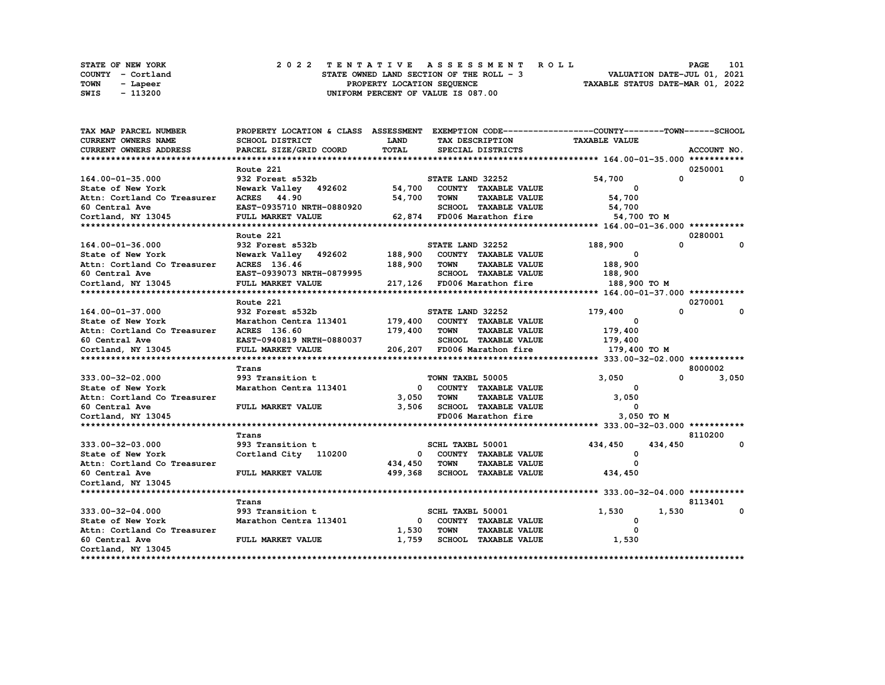|      | STATE OF NEW YORK | 2022 TENTATIVE ASSESSMENT ROLL                                          | <b>PAGE</b> | 101 |
|------|-------------------|-------------------------------------------------------------------------|-------------|-----|
|      | COUNTY - Cortland | VALUATION DATE-JUL 01, 2021<br>STATE OWNED LAND SECTION OF THE ROLL - 3 |             |     |
| TOWN | - Lapeer          | TAXABLE STATUS DATE-MAR 01, 2022<br>PROPERTY LOCATION SEQUENCE          |             |     |
| SWIS | - 113200          | UNIFORM PERCENT OF VALUE IS 087.00                                      |             |     |

| TAX MAP PARCEL NUMBER       | PROPERTY LOCATION & CLASS ASSESSMENT EXEMPTION CODE----------------COUNTY-------TOWN-----SCHOOL |                         |                  |                              |                      |              |                                |
|-----------------------------|-------------------------------------------------------------------------------------------------|-------------------------|------------------|------------------------------|----------------------|--------------|--------------------------------|
| <b>CURRENT OWNERS NAME</b>  | SCHOOL DISTRICT                                                                                 | <b>LAND</b>             |                  | TAX DESCRIPTION              | <b>TAXABLE VALUE</b> |              |                                |
| CURRENT OWNERS ADDRESS      | PARCEL SIZE/GRID COORD                                                                          | TOTAL                   |                  | SPECIAL DISTRICTS            |                      |              | ACCOUNT NO.                    |
|                             |                                                                                                 |                         |                  |                              |                      |              |                                |
|                             | Route 221                                                                                       |                         |                  |                              |                      |              | 0250001                        |
| 164.00-01-35.000            | 932 Forest s532b                                                                                |                         | STATE LAND 32252 |                              | 54,700               | $\mathbf{0}$ | $\mathbf{0}$                   |
| State of New York           | Newark Valley 492602                                                                            | 54,700                  |                  | COUNTY TAXABLE VALUE         | $\mathbf{o}$         |              |                                |
| Attn: Cortland Co Treasurer | <b>ACRES</b> 44.90                                                                              | 54,700                  | <b>TOWN</b>      | <b>TAXABLE VALUE</b>         | 54,700               |              |                                |
| 60 Central Ave              | EAST-0935710 NRTH-0880920                                                                       |                         |                  | SCHOOL TAXABLE VALUE         | 54,700               |              |                                |
| Cortland, NY 13045          | FULL MARKET VALUE                                                                               |                         |                  | 62,874 FD006 Marathon fire   | 54,700 TO M          |              |                                |
|                             |                                                                                                 |                         |                  |                              |                      |              |                                |
|                             | Route 221                                                                                       |                         |                  |                              |                      |              | 0280001                        |
| 164.00-01-36.000            | 932 Forest s532b                                                                                |                         | STATE LAND 32252 |                              | 188,900              | $\Omega$     | $\Omega$                       |
| State of New York           | Newark Valley 492602                                                                            |                         |                  | 188,900 COUNTY TAXABLE VALUE | $\Omega$             |              |                                |
| Attn: Cortland Co Treasurer | ACRES 136.46                                                                                    | 188,900                 | <b>TOWN</b>      | <b>TAXABLE VALUE</b>         | 188,900              |              |                                |
| 60 Central Ave              | EAST-0939073 NRTH-0879995                                                                       |                         |                  | SCHOOL TAXABLE VALUE         |                      |              |                                |
|                             |                                                                                                 |                         |                  |                              | 188,900              |              |                                |
| Cortland, NY 13045          | FULL MARKET VALUE                                                                               |                         |                  | 217,126 FD006 Marathon fire  | 188,900 то м         |              |                                |
|                             |                                                                                                 |                         |                  |                              |                      |              |                                |
|                             | Route 221                                                                                       |                         |                  |                              |                      |              | 0270001                        |
| 164.00-01-37.000            | 932 Forest s532b                                                                                |                         | STATE LAND 32252 |                              | 179,400              | $\Omega$     | 0                              |
| State of New York           | Marathon Centra 113401 179,400 COUNTY TAXABLE VALUE                                             |                         |                  |                              | $^{\circ}$           |              |                                |
| Attn: Cortland Co Treasurer | ACRES 136.60                                                                                    | 179,400                 | <b>TOWN</b>      | <b>TAXABLE VALUE</b>         | 179,400              |              |                                |
| 60 Central Ave              | EAST-0940819 NRTH-0880037                                                                       |                         |                  | SCHOOL TAXABLE VALUE         | 179,400              |              |                                |
| Cortland, NY 13045          | FULL MARKET VALUE                                                                               |                         |                  | 206,207 FD006 Marathon fire  | 179,400 TO M         |              |                                |
|                             |                                                                                                 |                         |                  |                              |                      |              |                                |
|                             | Trans                                                                                           |                         |                  |                              |                      |              | 8000002                        |
| 333.00-32-02.000            | 993 Transition t                                                                                |                         | TOWN TAXBL 50005 |                              | 3,050                |              | $\Omega$ and $\Omega$<br>3,050 |
| State of New York           | Marathon Centra 113401                                                                          | $\mathbf 0$             |                  | COUNTY TAXABLE VALUE         | 0                    |              |                                |
| Attn: Cortland Co Treasurer |                                                                                                 | 3,050                   | <b>TOWN</b>      | <b>TAXABLE VALUE</b>         | 3,050                |              |                                |
| 60 Central Ave              | FULL MARKET VALUE                                                                               | 3,506                   |                  | <b>SCHOOL TAXABLE VALUE</b>  | $\Omega$             |              |                                |
| Cortland, NY 13045          |                                                                                                 |                         |                  | FD006 Marathon fire          | 3,050 TO M           |              |                                |
|                             |                                                                                                 |                         |                  |                              |                      |              |                                |
|                             | Trans                                                                                           |                         |                  |                              |                      |              | 8110200                        |
| 333.00-32-03.000            | 993 Transition t                                                                                |                         | SCHL TAXBL 50001 |                              | 434,450              | 434,450      | 0                              |
| State of New York           | Cortland City 110200                                                                            | $\overline{\mathbf{0}}$ |                  | COUNTY TAXABLE VALUE         | $^{\circ}$           |              |                                |
| Attn: Cortland Co Treasurer |                                                                                                 | 434,450                 | <b>TOWN</b>      | <b>TAXABLE VALUE</b>         | $\Omega$             |              |                                |
| 60 Central Ave              | FULL MARKET VALUE                                                                               | 499,368                 |                  | <b>SCHOOL TAXABLE VALUE</b>  | 434,450              |              |                                |
| Cortland, NY 13045          |                                                                                                 |                         |                  |                              |                      |              |                                |
|                             |                                                                                                 |                         |                  |                              |                      |              |                                |
|                             | Trans                                                                                           |                         |                  |                              |                      |              | 8113401                        |
| $333.00 - 32 - 04.000$      | 993 Transition t                                                                                |                         | SCHL TAXBL 50001 |                              | 1,530                | 1,530        | 0                              |
| State of New York           | Marathon Centra 113401                                                                          | $\mathbf{0}$            |                  | COUNTY TAXABLE VALUE         | 0                    |              |                                |
| Attn: Cortland Co Treasurer |                                                                                                 | 1,530                   | <b>TOWN</b>      | <b>TAXABLE VALUE</b>         | $\Omega$             |              |                                |
| 60 Central Ave              | FULL MARKET VALUE                                                                               | 1,759                   |                  | SCHOOL TAXABLE VALUE         | 1,530                |              |                                |
| Cortland, NY 13045          |                                                                                                 |                         |                  |                              |                      |              |                                |
|                             |                                                                                                 |                         |                  |                              |                      |              |                                |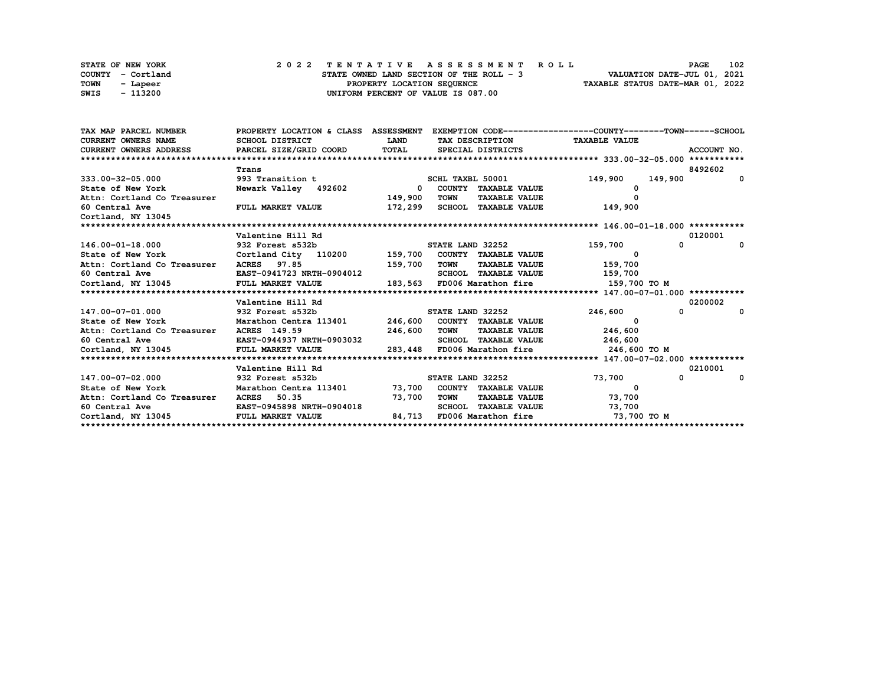|      | <b>STATE OF NEW YORK</b> |  | 2022 TENTATIVE ASSESSMENT ROLL           | <b>PAGE</b>                      | 102 |
|------|--------------------------|--|------------------------------------------|----------------------------------|-----|
|      | COUNTY - Cortland        |  | STATE OWNED LAND SECTION OF THE ROLL - 3 | VALUATION DATE-JUL 01, 2021      |     |
| TOWN | - Lapeer                 |  | PROPERTY LOCATION SEQUENCE               | TAXABLE STATUS DATE-MAR 01, 2022 |     |
| SWIS | - 113200                 |  | UNIFORM PERCENT OF VALUE IS 087.00       |                                  |     |

| SCHOOL DISTRICT                                             | <b>LAND</b>                                                                                                                               |                                                                          |                                                                                                                                                                                                |                                                                                                                                                                                                                                                                                                                                                                                                                                                                                                                                                                                                                                                                                          |
|-------------------------------------------------------------|-------------------------------------------------------------------------------------------------------------------------------------------|--------------------------------------------------------------------------|------------------------------------------------------------------------------------------------------------------------------------------------------------------------------------------------|------------------------------------------------------------------------------------------------------------------------------------------------------------------------------------------------------------------------------------------------------------------------------------------------------------------------------------------------------------------------------------------------------------------------------------------------------------------------------------------------------------------------------------------------------------------------------------------------------------------------------------------------------------------------------------------|
| CURRENT OWNERS ADDRESS                                      |                                                                                                                                           | SPECIAL DISTRICTS                                                        |                                                                                                                                                                                                | ACCOUNT NO.                                                                                                                                                                                                                                                                                                                                                                                                                                                                                                                                                                                                                                                                              |
|                                                             |                                                                                                                                           |                                                                          |                                                                                                                                                                                                |                                                                                                                                                                                                                                                                                                                                                                                                                                                                                                                                                                                                                                                                                          |
| Trans                                                       |                                                                                                                                           |                                                                          |                                                                                                                                                                                                | 8492602                                                                                                                                                                                                                                                                                                                                                                                                                                                                                                                                                                                                                                                                                  |
| 993 Transition t                                            |                                                                                                                                           |                                                                          | 149,900<br>149,900                                                                                                                                                                             | $^{\circ}$                                                                                                                                                                                                                                                                                                                                                                                                                                                                                                                                                                                                                                                                               |
| State of New York State of New York<br>Newark Valley 492602 |                                                                                                                                           | COUNTY TAXABLE VALUE                                                     |                                                                                                                                                                                                |                                                                                                                                                                                                                                                                                                                                                                                                                                                                                                                                                                                                                                                                                          |
|                                                             |                                                                                                                                           | <b>TOWN</b>                                                              |                                                                                                                                                                                                |                                                                                                                                                                                                                                                                                                                                                                                                                                                                                                                                                                                                                                                                                          |
| FULL MARKET VALUE                                           |                                                                                                                                           |                                                                          | 149,900                                                                                                                                                                                        |                                                                                                                                                                                                                                                                                                                                                                                                                                                                                                                                                                                                                                                                                          |
|                                                             |                                                                                                                                           |                                                                          |                                                                                                                                                                                                |                                                                                                                                                                                                                                                                                                                                                                                                                                                                                                                                                                                                                                                                                          |
|                                                             |                                                                                                                                           |                                                                          |                                                                                                                                                                                                |                                                                                                                                                                                                                                                                                                                                                                                                                                                                                                                                                                                                                                                                                          |
|                                                             |                                                                                                                                           |                                                                          |                                                                                                                                                                                                | 0120001                                                                                                                                                                                                                                                                                                                                                                                                                                                                                                                                                                                                                                                                                  |
|                                                             |                                                                                                                                           |                                                                          |                                                                                                                                                                                                | 0                                                                                                                                                                                                                                                                                                                                                                                                                                                                                                                                                                                                                                                                                        |
|                                                             |                                                                                                                                           |                                                                          |                                                                                                                                                                                                |                                                                                                                                                                                                                                                                                                                                                                                                                                                                                                                                                                                                                                                                                          |
|                                                             |                                                                                                                                           |                                                                          |                                                                                                                                                                                                |                                                                                                                                                                                                                                                                                                                                                                                                                                                                                                                                                                                                                                                                                          |
|                                                             |                                                                                                                                           |                                                                          |                                                                                                                                                                                                |                                                                                                                                                                                                                                                                                                                                                                                                                                                                                                                                                                                                                                                                                          |
|                                                             |                                                                                                                                           |                                                                          |                                                                                                                                                                                                |                                                                                                                                                                                                                                                                                                                                                                                                                                                                                                                                                                                                                                                                                          |
|                                                             |                                                                                                                                           |                                                                          |                                                                                                                                                                                                |                                                                                                                                                                                                                                                                                                                                                                                                                                                                                                                                                                                                                                                                                          |
| Valentine Hill Rd                                           |                                                                                                                                           |                                                                          |                                                                                                                                                                                                | 0200002                                                                                                                                                                                                                                                                                                                                                                                                                                                                                                                                                                                                                                                                                  |
|                                                             |                                                                                                                                           |                                                                          | $\mathbf{0}$<br>246,600                                                                                                                                                                        | $\mathbf{o}$                                                                                                                                                                                                                                                                                                                                                                                                                                                                                                                                                                                                                                                                             |
| State of New York Theory                                    |                                                                                                                                           |                                                                          |                                                                                                                                                                                                |                                                                                                                                                                                                                                                                                                                                                                                                                                                                                                                                                                                                                                                                                          |
| Attn: Cortland Co Treasurer ACRES 149.59                    |                                                                                                                                           | <b>TOWN</b>                                                              | 246,600                                                                                                                                                                                        |                                                                                                                                                                                                                                                                                                                                                                                                                                                                                                                                                                                                                                                                                          |
|                                                             |                                                                                                                                           |                                                                          |                                                                                                                                                                                                |                                                                                                                                                                                                                                                                                                                                                                                                                                                                                                                                                                                                                                                                                          |
| Cortland, NY 13045<br>FULL MARKET VALUE                     |                                                                                                                                           |                                                                          | 246,600 TO M                                                                                                                                                                                   |                                                                                                                                                                                                                                                                                                                                                                                                                                                                                                                                                                                                                                                                                          |
|                                                             |                                                                                                                                           |                                                                          |                                                                                                                                                                                                |                                                                                                                                                                                                                                                                                                                                                                                                                                                                                                                                                                                                                                                                                          |
| Valentine Hill Rd                                           |                                                                                                                                           |                                                                          |                                                                                                                                                                                                | 0210001                                                                                                                                                                                                                                                                                                                                                                                                                                                                                                                                                                                                                                                                                  |
| 932 Forest s532b                                            |                                                                                                                                           |                                                                          | 73,700<br>$\mathbf{0}$                                                                                                                                                                         | $\Omega$                                                                                                                                                                                                                                                                                                                                                                                                                                                                                                                                                                                                                                                                                 |
|                                                             |                                                                                                                                           |                                                                          | $\overline{\phantom{0}}$                                                                                                                                                                       |                                                                                                                                                                                                                                                                                                                                                                                                                                                                                                                                                                                                                                                                                          |
| Attn: Cortland Co Treasurer<br><b>ACRES</b> 50.35           |                                                                                                                                           | TOWN                                                                     |                                                                                                                                                                                                |                                                                                                                                                                                                                                                                                                                                                                                                                                                                                                                                                                                                                                                                                          |
| EAST-0945898 NRTH-0904018                                   |                                                                                                                                           |                                                                          | 73,700                                                                                                                                                                                         |                                                                                                                                                                                                                                                                                                                                                                                                                                                                                                                                                                                                                                                                                          |
| FULL MARKET VALUE                                           |                                                                                                                                           |                                                                          |                                                                                                                                                                                                |                                                                                                                                                                                                                                                                                                                                                                                                                                                                                                                                                                                                                                                                                          |
|                                                             | Valentine Hill Rd<br>Attn: Cortland Co Treasurer ACRES 97.85<br>Cortland, NY 13045 FULL MARKET VALUE<br>147.00-07-01.000 932 Forest s532b | 60 Central Ave 60 EAST-0941723 NRTH-0904012<br>EAST-0944937 NRTH-0903032 | PARCEL SIZE/GRID COORD TOTAL<br>SCHL TAXBL 50001<br>$\Omega$<br>149,900<br>172,299<br>159,700 TOWN<br>STATE LAND 32252<br>246,600<br>283,448 FD006 Marathon fire<br>STATE LAND 32252<br>73,700 | PROPERTY LOCATION & CLASS ASSESSMENT EXEMPTION CODE----------------COUNTY-------TOWN-----SCHOOL<br>TAX DESCRIPTION TAXABLE VALUE<br><b>TAXABLE VALUE</b><br>SCHOOL TAXABLE VALUE<br>146.00-01-18.000 532 Forest 532b 5TATE LAND 32252<br>State of New York 6th Cortland City 110200 159,700 COUNTY TAXABLE VALUE<br>159,700<br>$^{\circ}$<br>SCHOOL TAXABLE VALUE 159,700<br>183,563 FD006 Marathon fire<br>159,700 то м<br>Marathon Centra 113401 246,600 COUNTY TAXABLE VALUE<br><b>TAXABLE VALUE</b><br>SCHOOL TAXABLE VALUE 246,600<br>Marathon Centra 113401 73,700 COUNTY TAXABLE VALUE<br>TAXABLE VALUE 73,700<br>SCHOOL TAXABLE VALUE<br>84,713 FD006 Marathon fire 373,700 TO M |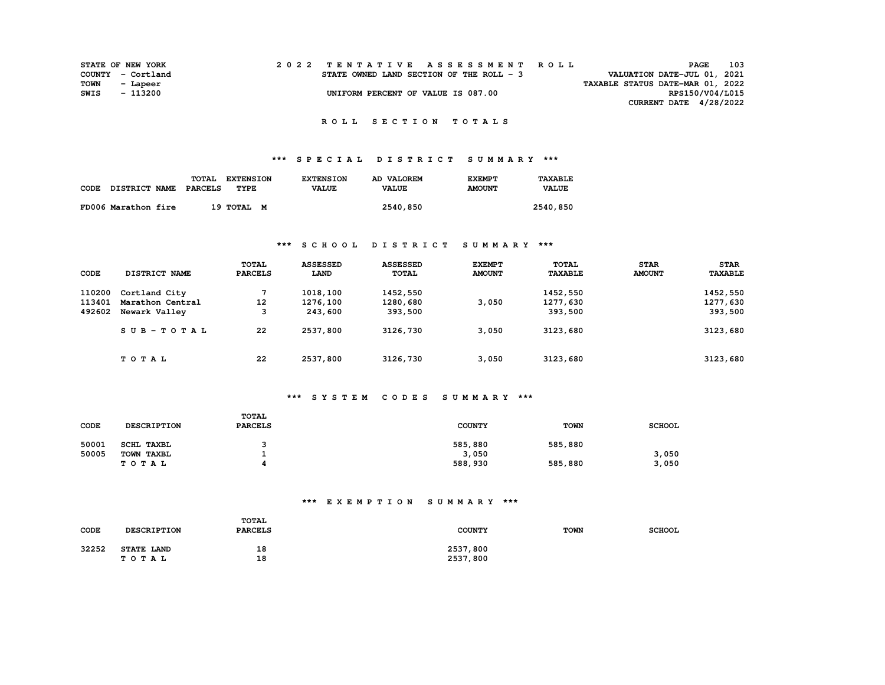| <b>STATE OF NEW YORK</b> |          |  |  |  |  |                                          |  |  |  |  | 2022 TENTATIVE ASSESSMENT ROLL |                                  | PAGE            | 103 |
|--------------------------|----------|--|--|--|--|------------------------------------------|--|--|--|--|--------------------------------|----------------------------------|-----------------|-----|
| COUNTY - Cortland        |          |  |  |  |  | STATE OWNED LAND SECTION OF THE ROLL - 3 |  |  |  |  |                                | VALUATION DATE-JUL 01, 2021      |                 |     |
| TOWN                     | - Lapeer |  |  |  |  |                                          |  |  |  |  |                                | TAXABLE STATUS DATE-MAR 01, 2022 |                 |     |
| SWIS                     | - 113200 |  |  |  |  | UNIFORM PERCENT OF VALUE IS 087.00       |  |  |  |  |                                |                                  | RPS150/V04/L015 |     |
|                          |          |  |  |  |  |                                          |  |  |  |  |                                | CURRENT DATE 4/28/2022           |                 |     |

# **\*\*\* S P E C I A L D I S T R I C T S U M M A R Y \*\*\***

|      |                      | TOTAL   | <b>EXTENSION</b> | <b>EXTENSION</b> | AD VALOREM   | <b>EXEMPT</b> | TAXABLE      |
|------|----------------------|---------|------------------|------------------|--------------|---------------|--------------|
| CODE | <b>DISTRICT NAME</b> | PARCELS | TYPE             | <b>VALUE</b>     | <b>VALUE</b> | <b>AMOUNT</b> | <b>VALUE</b> |
|      |                      |         |                  |                  |              |               |              |
|      | FD006 Marathon fire  |         | 19 TOTAL M       |                  | 2540,850     |               | 2540,850     |

### **\*\*\* S C H O O L D I S T R I C T S U M M A R Y \*\*\***

|        |                      | <b>TOTAL</b>   | <b>ASSESSED</b> | <b>ASSESSED</b> | <b>EXEMPT</b> | TOTAL          | <b>STAR</b>   | <b>STAR</b>    |
|--------|----------------------|----------------|-----------------|-----------------|---------------|----------------|---------------|----------------|
| CODE   | <b>DISTRICT NAME</b> | <b>PARCELS</b> | LAND            | TOTAL           | <b>AMOUNT</b> | <b>TAXABLE</b> | <b>AMOUNT</b> | <b>TAXABLE</b> |
| 110200 | Cortland City        | 7              | 1018,100        | 1452,550        |               | 1452,550       |               | 1452,550       |
| 113401 | Marathon Central     | 12             | 1276,100        | 1280,680        | 3,050         | 1277,630       |               | 1277,630       |
| 492602 | Newark Valley        | 3              | 243,600         | 393,500         |               | 393,500        |               | 393,500        |
|        | SUB-TOTAL            | 22             | 2537,800        | 3126,730        | 3,050         | 3123,680       |               | 3123,680       |
|        | TOTAL                | 22             | 2537,800        | 3126,730        | 3,050         | 3123,680       |               | 3123,680       |

# **\*\*\* S Y S T E M C O D E S S U M M A R Y \*\*\***

| CODE  | <b>DESCRIPTION</b> | <b>TOTAL</b><br><b>PARCELS</b> | <b>COUNTY</b> | <b>TOWN</b> | <b>SCHOOL</b> |
|-------|--------------------|--------------------------------|---------------|-------------|---------------|
| 50001 | SCHL TAXBL         |                                | 585,880       | 585,880     |               |
| 50005 | TOWN TAXBL         |                                | 3,050         |             | 3,050         |
|       | T O T A L          |                                | 588,930       | 585,880     | 3,050         |

# **\*\*\* E X E M P T I O N S U M M A R Y \*\*\***

| CODE  | DESCRIPTION                       | TOTAL<br><b>PARCELS</b> | <b>COUNTY</b>        | <b>TOWN</b> | <b>SCHOOL</b> |
|-------|-----------------------------------|-------------------------|----------------------|-------------|---------------|
| 32252 | <b>STATE LAND</b><br><b>TOTAL</b> | 18<br>18                | 2537,800<br>2537,800 |             |               |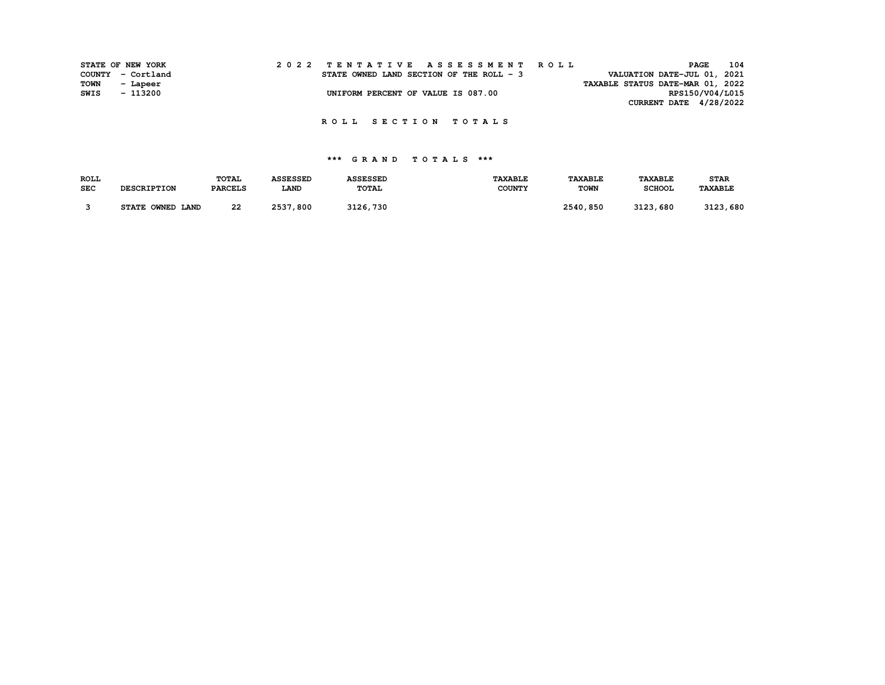|             | STATE OF NEW YORK |  |  |  |  |  |  |                                          |  |  |  |  | 2022 TENTATIVE ASSESSMENT ROLL |  |                                  |  | PAGE | 104             |
|-------------|-------------------|--|--|--|--|--|--|------------------------------------------|--|--|--|--|--------------------------------|--|----------------------------------|--|------|-----------------|
|             | COUNTY - Cortland |  |  |  |  |  |  | STATE OWNED LAND SECTION OF THE ROLL - 3 |  |  |  |  |                                |  | VALUATION DATE-JUL 01, 2021      |  |      |                 |
| <b>TOWN</b> | - Lapeer          |  |  |  |  |  |  |                                          |  |  |  |  |                                |  | TAXABLE STATUS DATE-MAR 01, 2022 |  |      |                 |
| SWIS        | - 113200          |  |  |  |  |  |  | UNIFORM PERCENT OF VALUE IS 087.00       |  |  |  |  |                                |  |                                  |  |      | RPS150/V04/L015 |
|             |                   |  |  |  |  |  |  |                                          |  |  |  |  |                                |  | CURRENT DATE $4/28/2022$         |  |      |                 |

### **\*\*\* G R A N D T O T A L S \*\*\***

| <b>ROLL</b> |                    | <b>TOTAL</b>   | <b>ASSESSED</b> | <b>ASSESSED</b> | <b>TAXABLE</b> | <b><i>TAXABLE</i></b> | <b>TAXABLE</b> | <b>STAR</b> |
|-------------|--------------------|----------------|-----------------|-----------------|----------------|-----------------------|----------------|-------------|
| <b>SEC</b>  | <b>DESCRIPTION</b> | <b>PARCELS</b> | <b>LAND</b>     | TOTAL           | <b>COUNTY</b>  | <b>TOWN</b>           | <b>SCHOOL</b>  | TAXABLE     |
|             |                    |                |                 |                 |                |                       |                |             |
|             | STATE OWNED LAND   | 22             | 2537,800        | 3126,730        |                | 2540,850              | 3123.<br>, 680 | 3123,680    |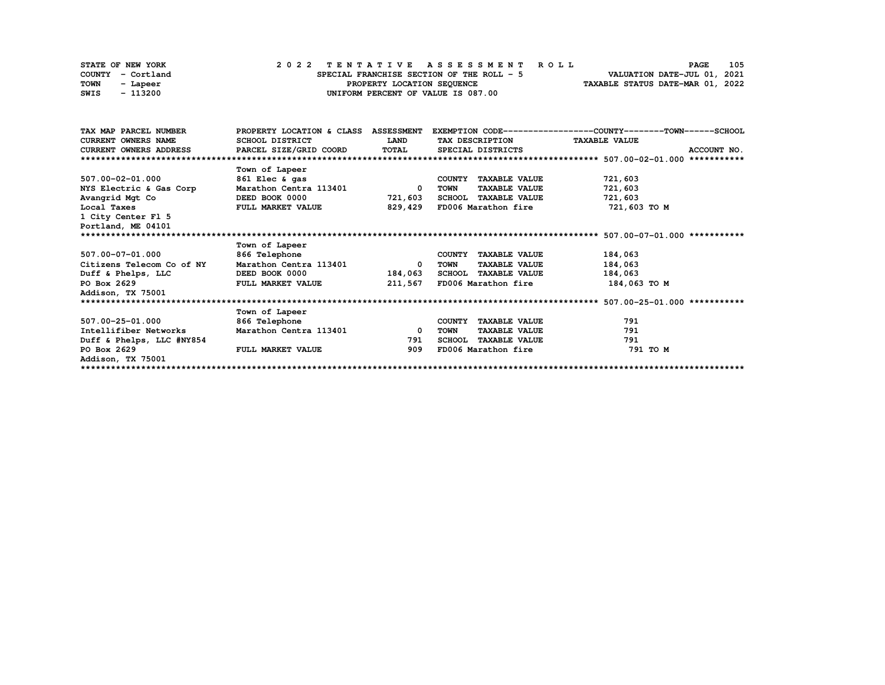| STATE OF NEW YORK |          |  |  |  |  | 2022 TENTATIVE ASSESSMENT ROLL            |  |  |  |  |  |  |                                  | <b>PAGE</b> | 105 |
|-------------------|----------|--|--|--|--|-------------------------------------------|--|--|--|--|--|--|----------------------------------|-------------|-----|
| COUNTY - Cortland |          |  |  |  |  | SPECIAL FRANCHISE SECTION OF THE ROLL - 5 |  |  |  |  |  |  | VALUATION DATE-JUL 01, 2021      |             |     |
| TOWN              | - Lapeer |  |  |  |  | PROPERTY LOCATION SEQUENCE                |  |  |  |  |  |  | TAXABLE STATUS DATE-MAR 01, 2022 |             |     |
| SWIS              | - 113200 |  |  |  |  | UNIFORM PERCENT OF VALUE IS 087.00        |  |  |  |  |  |  |                                  |             |     |

| TAX MAP PARCEL NUMBER                         | PROPERTY LOCATION & CLASS ASSESSMENT |                          |                               | EXEMPTION CODE-----------------COUNTY-------TOWN------SCHOOL |
|-----------------------------------------------|--------------------------------------|--------------------------|-------------------------------|--------------------------------------------------------------|
| <b>CURRENT OWNERS NAME</b>                    | SCHOOL DISTRICT                      | <b>LAND</b>              | TAX DESCRIPTION TAXABLE VALUE |                                                              |
| CURRENT OWNERS ADDRESS PARCEL SIZE/GRID COORD |                                      | <b>TOTAL</b>             | SPECIAL DISTRICTS             | ACCOUNT NO.                                                  |
|                                               |                                      |                          |                               |                                                              |
|                                               | Town of Lapeer                       |                          |                               |                                                              |
| 507.00-02-01.000                              | 861 Elec & gas                       |                          | COUNTY TAXABLE VALUE          | 721,603                                                      |
| NYS Electric & Gas Corp                       | Marathon Centra 113401               | $\overline{\phantom{a}}$ | <b>TAXABLE VALUE</b><br>TOWN  | 721,603                                                      |
| Avangrid Mgt Co                               | DEED BOOK 0000                       | 721,603                  | SCHOOL TAXABLE VALUE          | 721,603                                                      |
| Local Taxes                                   | <b>FULL MARKET VALUE</b>             | 829,429                  | FD006 Marathon fire           | 721,603 TO M                                                 |
| 1 City Center Fl 5                            |                                      |                          |                               |                                                              |
| Portland, ME 04101                            |                                      |                          |                               |                                                              |
|                                               |                                      |                          |                               |                                                              |
|                                               | Town of Lapeer                       |                          |                               |                                                              |
| 507.00-07-01.000                              | 866 Telephone                        |                          | COUNTY TAXABLE VALUE          | 184,063                                                      |
| Citizens Telecom Co of NY                     | Marathon Centra 113401               | $^{\circ}$               | <b>TAXABLE VALUE</b><br>TOWN  | 184,063                                                      |
| Duff & Phelps, LLC DEED BOOK 0000             |                                      | 184,063                  | SCHOOL TAXABLE VALUE          | 184,063                                                      |
| PO Box 2629                                   | FULL MARKET VALUE                    | 211,567                  | FD006 Marathon fire           | 184,063 TO M                                                 |
| Addison, TX 75001                             |                                      |                          |                               |                                                              |
|                                               |                                      |                          |                               |                                                              |
|                                               | Town of Lapeer                       |                          |                               |                                                              |
| 507.00-25-01.000                              | 866 Telephone                        |                          | COUNTY TAXABLE VALUE          | 791                                                          |
| Intellifiber Networks                         | Marathon Centra 113401               | $\overline{\mathbf{0}}$  | <b>TAXABLE VALUE</b><br>TOWN  | 791                                                          |
| Duff & Phelps, LLC #NY854                     |                                      | 791                      | <b>SCHOOL TAXABLE VALUE</b>   | 791                                                          |
| PO Box 2629                                   | FULL MARKET VALUE                    | 909                      | FD006 Marathon fire           | 791 TO M                                                     |
| Addison, TX 75001                             |                                      |                          |                               |                                                              |
|                                               |                                      |                          |                               |                                                              |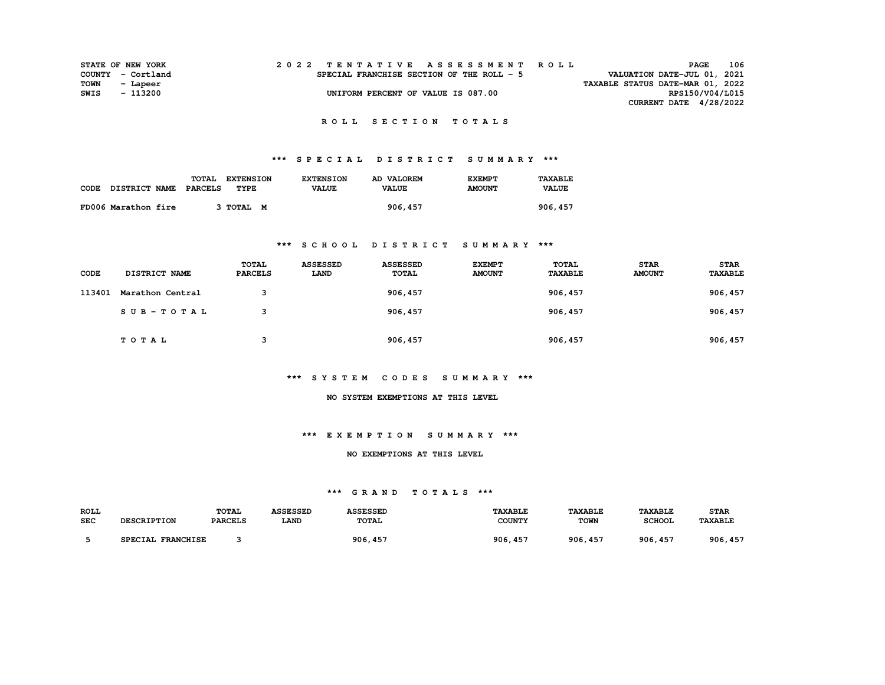| 2022 TENTATIVE ASSESSMENT ROLL<br><b>STATE OF NEW YORK</b>     | PAGE                        | 106 |
|----------------------------------------------------------------|-----------------------------|-----|
| COUNTY - Cortland<br>SPECIAL FRANCHISE SECTION OF THE ROLL - 5 | VALUATION DATE-JUL 01, 2021 |     |
| TAXABLE STATUS DATE-MAR 01, 2022<br>TOWN<br>- Lapeer           |                             |     |
| SWIS<br>UNIFORM PERCENT OF VALUE IS 087.00<br>- 113200         | RPS150/V04/L015             |     |
|                                                                | CURRENT DATE $4/28/2022$    |     |

# **\*\*\* S P E C I A L D I S T R I C T S U M M A R Y \*\*\***

|      |                      | <b>TOTAL</b> | <b>EXTENSION</b> | <b>EXTENSION</b> | AD VALOREM   | <b>EXEMPT</b> | TAXABLE      |
|------|----------------------|--------------|------------------|------------------|--------------|---------------|--------------|
| CODE | <b>DISTRICT NAME</b> | PARCELS      | TYPE             | <b>VALUE</b>     | <b>VALUE</b> | <b>AMOUNT</b> | <b>VALUE</b> |
|      | FD006 Marathon fire  |              | 3 TOTAL M        |                  | 906, 457     |               | 906, 457     |

### **\*\*\* S C H O O L D I S T R I C T S U M M A R Y \*\*\***

| CODE   | <b>DISTRICT NAME</b> | TOTAL<br><b>PARCELS</b> | <b>ASSESSED</b><br>LAND | <b>ASSESSED</b><br><b>TOTAL</b> | <b>EXEMPT</b><br><b>AMOUNT</b> | TOTAL<br><b>TAXABLE</b> | <b>STAR</b><br><b>AMOUNT</b> | <b>STAR</b><br>TAXABLE |
|--------|----------------------|-------------------------|-------------------------|---------------------------------|--------------------------------|-------------------------|------------------------------|------------------------|
| 113401 | Marathon Central     | 3                       |                         | 906, 457                        |                                | 906, 457                |                              | 906, 457               |
|        | $SUB - TO T AL$      | 3                       |                         | 906, 457                        |                                | 906, 457                |                              | 906, 457               |
|        | TOTAL                | 3                       |                         | 906, 457                        |                                | 906, 457                |                              | 906, 457               |

### **\*\*\* S Y S T E M C O D E S S U M M A R Y \*\*\***

#### **NO SYSTEM EXEMPTIONS AT THIS LEVEL**

### **\*\*\* E X E M P T I O N S U M M A R Y \*\*\***

#### **NO EXEMPTIONS AT THIS LEVEL**

### **\*\*\* G R A N D T O T A L S \*\*\***

| ROLL       | <b>DESCRIPTION</b> | <b>TOTAL</b>   | <b>ASSESSED</b> | <b>ASSESSED</b> | <b>TAXABLE</b> | <b>TAXABLE</b> | <b>TAXABLE</b> | <b>STAR</b>    |
|------------|--------------------|----------------|-----------------|-----------------|----------------|----------------|----------------|----------------|
| <b>SEC</b> |                    | <b>PARCELS</b> | <b>LAND</b>     | TOTAL           | <b>COUNTY</b>  | <b>TOWN</b>    | <b>SCHOOL</b>  | <b>TAXABLE</b> |
|            | SPECIAL FRANCHISE  |                |                 | 906, 457        | 906, 457       | 906, 457       | 906, 457       | 906, 457       |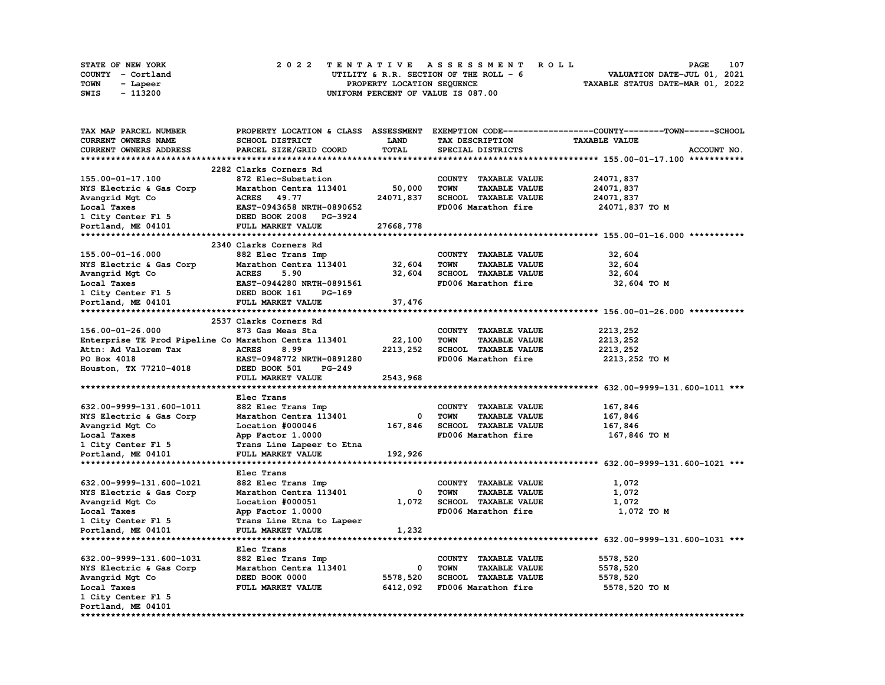| <b>STATE OF NEW YORK</b> | 2022 TENTATIVE ASSESSMENT ROLL                                 | <b>PAGE</b>                 | 107 |
|--------------------------|----------------------------------------------------------------|-----------------------------|-----|
| COUNTY - Cortland        | UTILITY & R.R. SECTION OF THE ROLL $-6$                        | VALUATION DATE-JUL 01, 2021 |     |
| TOWN<br>- Lapeer         | TAXABLE STATUS DATE-MAR 01, 2022<br>PROPERTY LOCATION SEQUENCE |                             |     |
| - 113200<br>SWIS         | UNIFORM PERCENT OF VALUE IS 087.00                             |                             |     |

| <b>TAX MAP PARCEL NUMBER</b>                          |                           |           |                                     | PROPERTY LOCATION & CLASS ASSESSMENT EXEMPTION CODE----------------COUNTY-------TOWN------SCHOOL |
|-------------------------------------------------------|---------------------------|-----------|-------------------------------------|--------------------------------------------------------------------------------------------------|
| CURRENT OWNERS NAME                                   | SCHOOL DISTRICT           | LAND      | TAX DESCRIPTION                     | <b>TAXABLE VALUE</b>                                                                             |
| CURRENT OWNERS ADDRESS                                | PARCEL SIZE/GRID COORD    | TOTAL     | SPECIAL DISTRICTS                   | ACCOUNT NO.                                                                                      |
|                                                       |                           |           |                                     |                                                                                                  |
|                                                       | 2282 Clarks Corners Rd    |           |                                     |                                                                                                  |
| 155.00-01-17.100                                      | 872 Elec-Substation       |           | COUNTY TAXABLE VALUE                | 24071,837                                                                                        |
| NYS Electric & Gas Corp                               | Marathon Centra 113401    | 50,000    | <b>TAXABLE VALUE</b><br><b>TOWN</b> | 24071,837                                                                                        |
| Avangrid Mgt Co                                       | <b>ACRES</b><br>49.77     | 24071,837 | <b>SCHOOL TAXABLE VALUE</b>         | 24071,837                                                                                        |
| Local Taxes                                           | EAST-0943658 NRTH-0890652 |           | FD006 Marathon fire                 | 24071,837 TO M                                                                                   |
| 1 City Center Fl 5                                    | DEED BOOK 2008 PG-3924    |           |                                     |                                                                                                  |
| Portland, ME 04101                                    | FULL MARKET VALUE         | 27668,778 |                                     |                                                                                                  |
|                                                       |                           |           |                                     |                                                                                                  |
|                                                       | 2340 Clarks Corners Rd    |           |                                     |                                                                                                  |
| 155.00-01-16.000                                      | 882 Elec Trans Imp        |           | COUNTY TAXABLE VALUE                | 32,604                                                                                           |
| NYS Electric & Gas Corp                               | Marathon Centra 113401    | 32,604    | <b>TOWN</b><br><b>TAXABLE VALUE</b> | 32,604                                                                                           |
| Avangrid Mgt Co                                       | <b>ACRES</b><br>5.90      | 32,604    | <b>SCHOOL TAXABLE VALUE</b>         | 32,604                                                                                           |
| Local Taxes                                           | EAST-0944280 NRTH-0891561 |           | FD006 Marathon fire                 | 32,604 TO M                                                                                      |
| 1 City Center Fl 5                                    | DEED BOOK 161<br>PG-169   |           |                                     |                                                                                                  |
| Portland, ME 04101                                    | FULL MARKET VALUE         | 37,476    |                                     |                                                                                                  |
|                                                       |                           |           |                                     |                                                                                                  |
|                                                       | 2537 Clarks Corners Rd    |           |                                     |                                                                                                  |
| 156.00-01-26.000                                      | 873 Gas Meas Sta          |           |                                     |                                                                                                  |
|                                                       |                           |           | COUNTY TAXABLE VALUE<br><b>TOWN</b> | 2213,252                                                                                         |
| Enterprise TE Prod Pipeline Co Marathon Centra 113401 |                           | 22,100    | <b>TAXABLE VALUE</b>                | 2213,252                                                                                         |
| Attn: Ad Valorem Tax                                  | <b>ACRES</b><br>8.99      | 2213, 252 | <b>SCHOOL TAXABLE VALUE</b>         | 2213,252                                                                                         |
| PO Box 4018                                           | EAST-0948772 NRTH-0891280 |           | FD006 Marathon fire                 | 2213,252 TO M                                                                                    |
| Houston, TX 77210-4018                                | DEED BOOK 501<br>PG-249   |           |                                     |                                                                                                  |
|                                                       | FULL MARKET VALUE         | 2543,968  |                                     |                                                                                                  |
|                                                       |                           |           |                                     |                                                                                                  |
|                                                       | Elec Trans                |           |                                     |                                                                                                  |
| 632.00-9999-131.600-1011                              | 882 Elec Trans Imp        |           | COUNTY TAXABLE VALUE                | 167,846                                                                                          |
| NYS Electric & Gas Corp                               | Marathon Centra 113401    | 0         | <b>TOWN</b><br><b>TAXABLE VALUE</b> | 167,846                                                                                          |
| Avangrid Mgt Co                                       | Location #000046          | 167,846   | <b>SCHOOL TAXABLE VALUE</b>         | 167,846                                                                                          |
| Local Taxes                                           | App Factor 1.0000         |           | FD006 Marathon fire                 | 167,846 то м                                                                                     |
| 1 City Center Fl 5                                    | Trans Line Lapeer to Etna |           |                                     |                                                                                                  |
| Portland, ME 04101                                    | FULL MARKET VALUE         | 192,926   |                                     |                                                                                                  |
|                                                       |                           |           |                                     |                                                                                                  |
|                                                       | Elec Trans                |           |                                     |                                                                                                  |
| 632.00-9999-131.600-1021                              | 882 Elec Trans Imp        |           | COUNTY TAXABLE VALUE                | 1,072                                                                                            |
| NYS Electric & Gas Corp                               | Marathon Centra 113401    | 0         | <b>TOWN</b><br><b>TAXABLE VALUE</b> | 1,072                                                                                            |
| Avangrid Mgt Co                                       | Location #000051          | 1,072     | SCHOOL TAXABLE VALUE                | 1,072                                                                                            |
| Local Taxes                                           | App Factor 1.0000         |           | FD006 Marathon fire                 | 1,072 TO M                                                                                       |
| 1 City Center F1 5                                    | Trans Line Etna to Lapeer |           |                                     |                                                                                                  |
| Portland, ME 04101                                    | FULL MARKET VALUE         | 1,232     |                                     |                                                                                                  |
|                                                       |                           |           |                                     |                                                                                                  |
|                                                       | Elec Trans                |           |                                     |                                                                                                  |
| 632.00-9999-131.600-1031                              | 882 Elec Trans Imp        |           | COUNTY TAXABLE VALUE                | 5578,520                                                                                         |
| NYS Electric & Gas Corp                               | Marathon Centra 113401    | 0         | TOWN<br><b>TAXABLE VALUE</b>        | 5578,520                                                                                         |
| Avangrid Mgt Co                                       | DEED BOOK 0000            | 5578,520  | SCHOOL TAXABLE VALUE                | 5578,520                                                                                         |
|                                                       |                           |           |                                     |                                                                                                  |
| Local Taxes                                           | <b>FULL MARKET VALUE</b>  | 6412,092  | FD006 Marathon fire                 | 5578,520 TO M                                                                                    |
| 1 City Center Fl 5                                    |                           |           |                                     |                                                                                                  |
| Portland, ME 04101                                    |                           |           |                                     |                                                                                                  |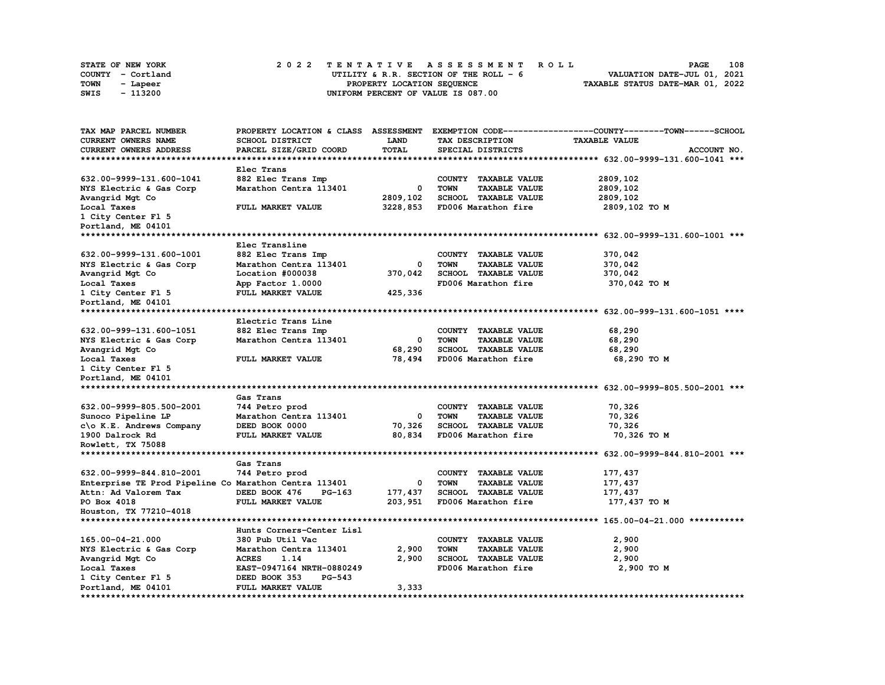|      | <b>STATE OF NEW YORK</b> |  | 2022 TENTATIVE ASSESSMENT ROLL |  |  |                                         |  |  |  |  |  |  |                                  | <b>PAGE</b> | 108 |
|------|--------------------------|--|--------------------------------|--|--|-----------------------------------------|--|--|--|--|--|--|----------------------------------|-------------|-----|
|      | COUNTY - Cortland        |  |                                |  |  | UTILITY & R.R. SECTION OF THE ROLL $-6$ |  |  |  |  |  |  | VALUATION DATE-JUL 01, 2021      |             |     |
| TOWN | - Lapeer                 |  |                                |  |  | PROPERTY LOCATION SEQUENCE              |  |  |  |  |  |  | TAXABLE STATUS DATE-MAR 01, 2022 |             |     |
| SWIS | - 113200                 |  |                                |  |  | UNIFORM PERCENT OF VALUE IS 087.00      |  |  |  |  |  |  |                                  |             |     |

| TAX MAP PARCEL NUMBER                                 |                                |              |                                     | PROPERTY LOCATION & CLASS ASSESSMENT EXEMPTION CODE----------------COUNTY-------TOWN------SCHOOL |
|-------------------------------------------------------|--------------------------------|--------------|-------------------------------------|--------------------------------------------------------------------------------------------------|
| CURRENT OWNERS NAME                                   | SCHOOL DISTRICT                | LAND         | TAX DESCRIPTION                     | <b>TAXABLE VALUE</b>                                                                             |
| <b>CURRENT OWNERS ADDRESS</b>                         | PARCEL SIZE/GRID COORD         | <b>TOTAL</b> | SPECIAL DISTRICTS                   | ACCOUNT NO.                                                                                      |
|                                                       |                                |              |                                     |                                                                                                  |
|                                                       | Elec Trans                     |              |                                     |                                                                                                  |
| 632.00-9999-131.600-1041                              | 882 Elec Trans Imp             |              | COUNTY TAXABLE VALUE                | 2809,102                                                                                         |
| NYS Electric & Gas Corp                               | Marathon Centra 113401         | 0            | <b>TAXABLE VALUE</b><br><b>TOWN</b> | 2809,102                                                                                         |
| Avangrid Mgt Co                                       |                                | 2809,102     | <b>SCHOOL TAXABLE VALUE</b>         | 2809,102                                                                                         |
| Local Taxes                                           | FULL MARKET VALUE              | 3228,853     | FD006 Marathon fire                 | 2809,102 TO M                                                                                    |
| 1 City Center Fl 5                                    |                                |              |                                     |                                                                                                  |
| Portland, ME 04101                                    |                                |              |                                     |                                                                                                  |
| ******************************                        |                                |              |                                     |                                                                                                  |
|                                                       | Elec Transline                 |              |                                     |                                                                                                  |
| 632.00-9999-131.600-1001                              | 882 Elec Trans Imp             |              | COUNTY TAXABLE VALUE                | 370,042                                                                                          |
| NYS Electric & Gas Corp                               | Marathon Centra 113401         | 0            | <b>TOWN</b><br><b>TAXABLE VALUE</b> | 370,042                                                                                          |
| Avangrid Mgt Co                                       | Location #000038               | 370,042      | SCHOOL TAXABLE VALUE                | 370,042                                                                                          |
| Local Taxes                                           | App Factor 1.0000              |              | FD006 Marathon fire                 | 370,042 TO M                                                                                     |
| 1 City Center Fl 5                                    | FULL MARKET VALUE              | 425,336      |                                     |                                                                                                  |
| Portland, ME 04101                                    |                                |              |                                     |                                                                                                  |
|                                                       |                                |              |                                     |                                                                                                  |
|                                                       | Electric Trans Line            |              |                                     |                                                                                                  |
| 632.00-999-131.600-1051                               | 882 Elec Trans Imp             |              | COUNTY TAXABLE VALUE                | 68,290                                                                                           |
| NYS Electric & Gas Corp                               | Marathon Centra 113401         | 0            | <b>TOWN</b><br><b>TAXABLE VALUE</b> | 68,290                                                                                           |
| Avangrid Mgt Co                                       |                                | 68,290       | <b>SCHOOL TAXABLE VALUE</b>         | 68,290                                                                                           |
| Local Taxes                                           | FULL MARKET VALUE              | 78,494       | FD006 Marathon fire                 | 68,290 TO M                                                                                      |
| 1 City Center Fl 5                                    |                                |              |                                     |                                                                                                  |
| Portland, ME 04101                                    |                                |              |                                     |                                                                                                  |
|                                                       |                                |              |                                     |                                                                                                  |
|                                                       | Gas Trans                      |              |                                     |                                                                                                  |
| 632.00-9999-805.500-2001                              | 744 Petro prod                 |              | COUNTY TAXABLE VALUE                | 70,326                                                                                           |
| Sunoco Pipeline LP                                    | Marathon Centra 113401         | 0            | <b>TOWN</b><br><b>TAXABLE VALUE</b> | 70,326                                                                                           |
| c\o K.E. Andrews Company                              | DEED BOOK 0000                 | 70,326       | SCHOOL TAXABLE VALUE                | 70,326                                                                                           |
| 1900 Dalrock Rd                                       | FULL MARKET VALUE              | 80,834       | FD006 Marathon fire                 | 70,326 TO M                                                                                      |
| Rowlett, TX 75088                                     |                                |              |                                     |                                                                                                  |
|                                                       |                                |              |                                     |                                                                                                  |
|                                                       | Gas Trans                      |              |                                     |                                                                                                  |
| 632.00-9999-844.810-2001                              | 744 Petro prod                 |              | COUNTY TAXABLE VALUE                | 177,437                                                                                          |
| Enterprise TE Prod Pipeline Co Marathon Centra 113401 |                                | 0            | <b>TOWN</b><br><b>TAXABLE VALUE</b> | 177,437                                                                                          |
| Attn: Ad Valorem Tax                                  | DEED BOOK 476<br>PG-163        | 177,437      | <b>SCHOOL TAXABLE VALUE</b>         | 177,437                                                                                          |
| PO Box 4018                                           | FULL MARKET VALUE              | 203,951      | FD006 Marathon fire                 | 177,437 TO M                                                                                     |
| Houston, TX 77210-4018                                |                                |              |                                     |                                                                                                  |
|                                                       |                                |              |                                     |                                                                                                  |
|                                                       | Hunts Corners-Center Lisl      |              |                                     |                                                                                                  |
| 165.00-04-21.000                                      | 380 Pub Util Vac               |              | COUNTY TAXABLE VALUE                | 2,900                                                                                            |
| NYS Electric & Gas Corp                               | Marathon Centra 113401         | 2,900        | <b>TOWN</b><br><b>TAXABLE VALUE</b> | 2,900                                                                                            |
| Avangrid Mgt Co                                       | <b>ACRES</b><br>1.14           | 2,900        | SCHOOL TAXABLE VALUE                | 2,900                                                                                            |
| Local Taxes                                           | EAST-0947164 NRTH-0880249      |              | FD006 Marathon fire                 | 2,900 TO M                                                                                       |
| 1 City Center Fl 5                                    | <b>PG-543</b><br>DEED BOOK 353 |              |                                     |                                                                                                  |
| Portland, ME 04101                                    | FULL MARKET VALUE              | 3,333        |                                     |                                                                                                  |
|                                                       |                                |              |                                     |                                                                                                  |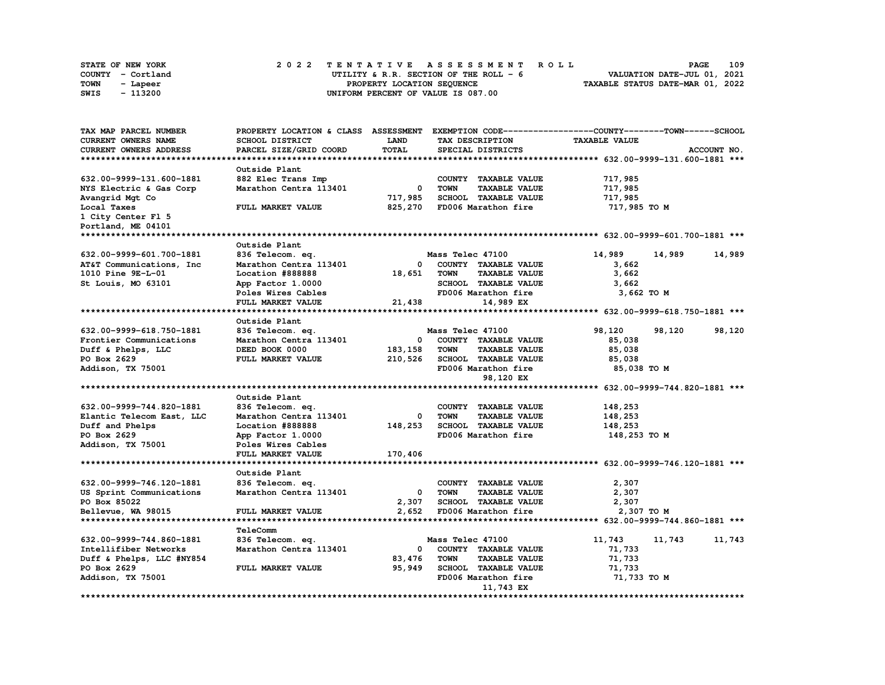| STATE OF NEW YORK |          |  |                                    | 2022 TENTATIVE ASSESSMENT ROLL          |                                  | <b>PAGE</b>                 | 109 |
|-------------------|----------|--|------------------------------------|-----------------------------------------|----------------------------------|-----------------------------|-----|
| COUNTY - Cortland |          |  |                                    | UTILITY & R.R. SECTION OF THE ROLL $-6$ |                                  | VALUATION DATE-JUL 01, 2021 |     |
| TOWN              | - Lapeer |  | PROPERTY LOCATION SEOUENCE         |                                         | TAXABLE STATUS DATE-MAR 01, 2022 |                             |     |
| - 113200<br>SWIS  |          |  | UNIFORM PERCENT OF VALUE IS 087.00 |                                         |                                  |                             |     |

| TAX MAP PARCEL NUMBER         | PROPERTY LOCATION & CLASS ASSESSMENT |              |                                     | EXEMPTION CODE-----------------COUNTY-------TOWN------SCHOOL |             |
|-------------------------------|--------------------------------------|--------------|-------------------------------------|--------------------------------------------------------------|-------------|
| CURRENT OWNERS NAME           | SCHOOL DISTRICT                      | <b>LAND</b>  | TAX DESCRIPTION                     | <b>TAXABLE VALUE</b>                                         |             |
| <b>CURRENT OWNERS ADDRESS</b> | PARCEL SIZE/GRID COORD               | <b>TOTAL</b> | SPECIAL DISTRICTS                   |                                                              | ACCOUNT NO. |
| **************************    |                                      |              |                                     |                                                              |             |
|                               | Outside Plant                        |              |                                     |                                                              |             |
| 632.00-9999-131.600-1881      | 882 Elec Trans Imp                   |              | COUNTY TAXABLE VALUE                | 717,985                                                      |             |
| NYS Electric & Gas Corp       | Marathon Centra 113401               | $\Omega$     | <b>TAXABLE VALUE</b><br><b>TOWN</b> | 717,985                                                      |             |
| Avangrid Mgt Co               |                                      | 717,985      | <b>SCHOOL TAXABLE VALUE</b>         | 717,985                                                      |             |
| Local Taxes                   | FULL MARKET VALUE                    | 825,270      | FD006 Marathon fire                 | 717,985 TO M                                                 |             |
|                               |                                      |              |                                     |                                                              |             |
| 1 City Center Fl 5            |                                      |              |                                     |                                                              |             |
| Portland, ME 04101            |                                      |              |                                     |                                                              |             |
|                               |                                      |              |                                     |                                                              |             |
|                               | Outside Plant                        |              |                                     |                                                              |             |
| 632.00-9999-601.700-1881      | 836 Telecom. eq.                     |              | Mass Telec 47100                    | 14,989<br>14,989                                             | 14,989      |
| AT&T Communications, Inc.     | Marathon Centra 113401               | 0            | COUNTY TAXABLE VALUE                | 3,662                                                        |             |
| 1010 Pine 9E-L-01             | Location #888888                     | 18,651       | <b>TOWN</b><br><b>TAXABLE VALUE</b> | 3,662                                                        |             |
| St Louis, MO 63101            | App Factor 1.0000                    |              | SCHOOL TAXABLE VALUE                | 3,662                                                        |             |
|                               | Poles Wires Cables                   |              | FD006 Marathon fire                 | 3,662 TO M                                                   |             |
|                               | FULL MARKET VALUE                    | 21,438       | 14,989 EX                           |                                                              |             |
|                               |                                      |              |                                     |                                                              |             |
|                               | Outside Plant                        |              |                                     |                                                              |             |
| 632.00-9999-618.750-1881      | 836 Telecom. eq.                     |              | Mass Telec 47100                    | 98,120<br>98,120                                             | 98,120      |
| Frontier Communications       | Marathon Centra 113401               | $^{\circ}$   | COUNTY TAXABLE VALUE                | 85,038                                                       |             |
| Duff & Phelps, LLC            | DEED BOOK 0000                       | 183,158      | <b>TAXABLE VALUE</b><br><b>TOWN</b> | 85,038                                                       |             |
| PO Box 2629                   | FULL MARKET VALUE                    | 210,526      | <b>SCHOOL TAXABLE VALUE</b>         | 85,038                                                       |             |
| Addison, TX 75001             |                                      |              | FD006 Marathon fire                 | 85,038 TO M                                                  |             |
|                               |                                      |              | 98,120 EX                           |                                                              |             |
|                               |                                      |              |                                     |                                                              |             |
|                               | Outside Plant                        |              |                                     |                                                              |             |
| 632.00-9999-744.820-1881      | 836 Telecom. eq.                     |              | COUNTY TAXABLE VALUE                | 148,253                                                      |             |
| Elantic Telecom East, LLC     | Marathon Centra 113401               | 0            | <b>TOWN</b><br><b>TAXABLE VALUE</b> | 148,253                                                      |             |
| Duff and Phelps               | Location #888888                     | 148,253      | SCHOOL TAXABLE VALUE                | 148,253                                                      |             |
| PO Box 2629                   | App Factor 1.0000                    |              | FD006 Marathon fire                 | 148,253 TO M                                                 |             |
| Addison, TX 75001             | Poles Wires Cables                   |              |                                     |                                                              |             |
|                               | FULL MARKET VALUE                    | 170,406      |                                     |                                                              |             |
|                               |                                      |              |                                     |                                                              |             |
|                               | Outside Plant                        |              |                                     |                                                              |             |
| 632.00-9999-746.120-1881      | 836 Telecom. eq.                     |              | COUNTY TAXABLE VALUE                | 2,307                                                        |             |
|                               |                                      |              | <b>TOWN</b><br><b>TAXABLE VALUE</b> |                                                              |             |
| US Sprint Communications      | Marathon Centra 113401               | $\mathbf 0$  |                                     | 2,307                                                        |             |
| PO Box 85022                  |                                      | 2,307        | SCHOOL TAXABLE VALUE                | 2,307                                                        |             |
| Bellevue, WA 98015            | FULL MARKET VALUE                    | 2,652        | FD006 Marathon fire                 | 2,307 TO M                                                   |             |
|                               |                                      |              |                                     |                                                              |             |
|                               | TeleComm                             |              |                                     |                                                              |             |
| 632.00-9999-744.860-1881      | 836 Telecom. eq.                     |              | Mass Telec 47100                    | 11,743<br>11,743                                             | 11,743      |
| Intellifiber Networks         | Marathon Centra 113401               | $^{\circ}$   | COUNTY TAXABLE VALUE                | 71,733                                                       |             |
| Duff & Phelps, LLC #NY854     |                                      | 83,476       | <b>TOWN</b><br><b>TAXABLE VALUE</b> | 71,733                                                       |             |
| PO Box 2629                   | FULL MARKET VALUE                    | 95,949       | SCHOOL TAXABLE VALUE                | 71,733                                                       |             |
| Addison, TX 75001             |                                      |              | FD006 Marathon fire                 | 71,733 TO M                                                  |             |
|                               |                                      |              | 11,743 EX                           |                                                              |             |
|                               |                                      |              |                                     |                                                              |             |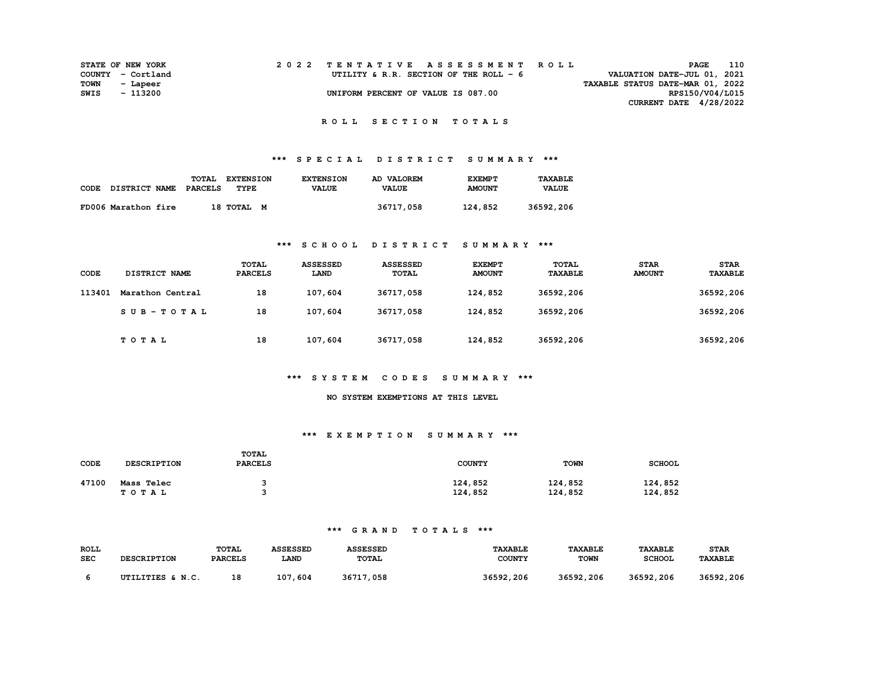|      | <b>STATE OF NEW YORK</b> | 2022 TENTATIVE ASSESSMENT ROLL         |  |  |                                  | PAGE                     | 110 |
|------|--------------------------|----------------------------------------|--|--|----------------------------------|--------------------------|-----|
|      | COUNTY - Cortland        | UTILITY & R.R. SECTION OF THE ROLL - 6 |  |  | VALUATION DATE-JUL 01, 2021      |                          |     |
| TOWN | - Lapeer                 |                                        |  |  | TAXABLE STATUS DATE-MAR 01, 2022 |                          |     |
| SWIS | - 113200                 | UNIFORM PERCENT OF VALUE IS 087.00     |  |  |                                  | RPS150/V04/L015          |     |
|      |                          |                                        |  |  |                                  | CURRENT DATE $4/28/2022$ |     |

#### **R O L L S E C T I O N T O T A L S**

## **\*\*\* S P E C I A L D I S T R I C T S U M M A R Y \*\*\***

|      |                      | TOTAL   | <b>EXTENSION</b> | <b>EXTENSION</b> | AD VALOREM   | <b>EXEMPT</b> | <b>TAXABLE</b> |
|------|----------------------|---------|------------------|------------------|--------------|---------------|----------------|
| CODE | <b>DISTRICT NAME</b> | PARCELS | <b>TYPE</b>      | <b>VALUE</b>     | <b>VALUE</b> | <b>AMOUNT</b> | <b>VALUE</b>   |
|      | FD006 Marathon fire  |         | 18 TOTAL M       |                  | 36717,058    | 124,852       | 36592,206      |

### **\*\*\* S C H O O L D I S T R I C T S U M M A R Y \*\*\***

| CODE   | DISTRICT NAME    | <b>TOTAL</b><br><b>PARCELS</b> | <b>ASSESSED</b><br>LAND | <b>ASSESSED</b><br><b>TOTAL</b> | <b>EXEMPT</b><br><b>AMOUNT</b> | <b>TOTAL</b><br><b>TAXABLE</b> | <b>STAR</b><br><b>AMOUNT</b> | <b>STAR</b><br>TAXABLE |
|--------|------------------|--------------------------------|-------------------------|---------------------------------|--------------------------------|--------------------------------|------------------------------|------------------------|
| 113401 | Marathon Central | 18                             | 107,604                 | 36717,058                       | 124,852                        | 36592,206                      |                              | 36592,206              |
|        | SUB-TOTAL        | 18                             | 107,604                 | 36717,058                       | 124,852                        | 36592,206                      |                              | 36592,206              |
|        | TOTAL            | 18                             | 107,604                 | 36717,058                       | 124,852                        | 36592,206                      |                              | 36592,206              |

#### **\*\*\* S Y S T E M C O D E S S U M M A R Y \*\*\***

#### **NO SYSTEM EXEMPTIONS AT THIS LEVEL**

#### **\*\*\* E X E M P T I O N S U M M A R Y \*\*\***

| CODE  | <b>DESCRIPTION</b> | <b>TOTAL</b><br><b>PARCELS</b> | <b>COUNTY</b> | <b>TOWN</b> | <b>SCHOOL</b> |
|-------|--------------------|--------------------------------|---------------|-------------|---------------|
| 47100 | Mass Telec         |                                | 124,852       | 124,852     | 124,852       |
|       | TOTAL              |                                | 124,852       | 124,852     | 124,852       |

| <b>ROLL</b> | <b>DESCRIPTION</b> | <b>TOTAL</b>   | <b>ASSESSED</b> | <b>ASSESSED</b> | <b>TAXABLE</b> | <b>TAXABLE</b> | <b>TAXABLE</b> | <b>STAR</b>           |
|-------------|--------------------|----------------|-----------------|-----------------|----------------|----------------|----------------|-----------------------|
| <b>SEC</b>  |                    | <b>PARCELS</b> | <b>LAND</b>     | TOTAL           | <b>COUNTY</b>  | TOWN           | <b>SCHOOL</b>  | <b><i>TAXABLE</i></b> |
|             | UTILITIES & N.C.   | 18             | 107,604         | 36717,058       | 36592,206      | 36592,206      | 36592,206      | 36592,206             |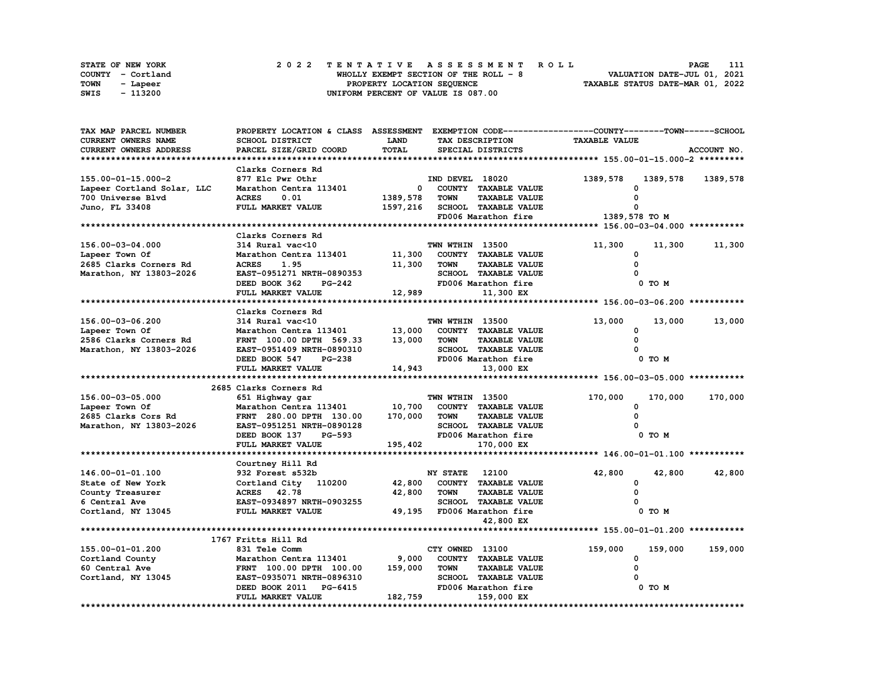|      | <b>STATE OF NEW YORK</b> | 2022 TENTATIVE ASSESSMENT ROLL         | 111<br><b>PAGE</b>               |
|------|--------------------------|----------------------------------------|----------------------------------|
|      | COUNTY - Cortland        | WHOLLY EXEMPT SECTION OF THE ROLL $-8$ | VALUATION DATE-JUL 01, 2021      |
| TOWN | - Lapeer                 | PROPERTY LOCATION SEQUENCE             | TAXABLE STATUS DATE-MAR 01, 2022 |
| SWIS | - 113200                 | UNIFORM PERCENT OF VALUE IS 087.00     |                                  |

| TAX MAP PARCEL NUMBER      | PROPERTY LOCATION & CLASS ASSESSMENT EXEMPTION CODE----------------COUNTY-------TOWN-----SCHOOL |             |                                     |                      |             |
|----------------------------|-------------------------------------------------------------------------------------------------|-------------|-------------------------------------|----------------------|-------------|
| CURRENT OWNERS NAME        | SCHOOL DISTRICT                                                                                 | <b>LAND</b> | TAX DESCRIPTION                     | <b>TAXABLE VALUE</b> |             |
| CURRENT OWNERS ADDRESS     | PARCEL SIZE/GRID COORD                                                                          | TOTAL       | SPECIAL DISTRICTS                   |                      | ACCOUNT NO. |
|                            |                                                                                                 |             |                                     |                      |             |
|                            | Clarks Corners Rd                                                                               |             |                                     |                      |             |
| 155.00-01-15.000-2         | 877 Elc Pwr Othr                                                                                |             | IND DEVEL 18020                     | 1389,578<br>1389,578 | 1389,578    |
| Lapeer Cortland Solar, LLC | Marathon Centra 113401                                                                          | $^{\circ}$  | COUNTY TAXABLE VALUE                |                      |             |
| 700 Universe Blvd          | <b>ACRES</b><br>0.01                                                                            | 1389,578    | <b>TOWN</b><br><b>TAXABLE VALUE</b> |                      |             |
|                            | FULL MARKET VALUE                                                                               |             | SCHOOL TAXABLE VALUE                | $\Omega$             |             |
| Juno, FL 33408             |                                                                                                 | 1597,216    |                                     |                      |             |
|                            |                                                                                                 |             | FD006 Marathon fire                 | 1389,578 TO M        |             |
|                            |                                                                                                 |             |                                     |                      |             |
|                            | Clarks Corners Rd                                                                               |             |                                     |                      |             |
| 156.00-03-04.000           | 314 Rural vac<10                                                                                |             | TWN WTHIN 13500                     | 11,300<br>11,300     | 11,300      |
| Lapeer Town Of             | Marathon Centra 113401                                                                          | 11,300      | COUNTY TAXABLE VALUE                | $\Omega$             |             |
| 2685 Clarks Corners Rd     | <b>ACRES</b><br>1.95                                                                            | 11,300      | <b>TOWN</b><br><b>TAXABLE VALUE</b> | $\Omega$             |             |
| Marathon, NY 13803-2026    | EAST-0951271 NRTH-0890353                                                                       |             | SCHOOL TAXABLE VALUE                |                      |             |
|                            | DEED BOOK 362<br>PG-242                                                                         |             | FD006 Marathon fire                 | 0 TO M               |             |
|                            | FULL MARKET VALUE                                                                               | 12,989      | 11,300 EX                           |                      |             |
|                            |                                                                                                 |             |                                     |                      |             |
|                            | Clarks Corners Rd                                                                               |             |                                     |                      |             |
| 156.00-03-06.200           | 314 Rural vac<10                                                                                |             | TWN WTHIN 13500                     | 13,000<br>13,000     | 13,000      |
| Lapeer Town Of             | Marathon Centra 113401                                                                          | 13,000      | COUNTY TAXABLE VALUE                | 0                    |             |
| 2586 Clarks Corners Rd     | FRNT 100.00 DPTH 569.33                                                                         | 13,000      | <b>TAXABLE VALUE</b><br><b>TOWN</b> | 0                    |             |
| Marathon, NY 13803-2026    | EAST-0951409 NRTH-0890310                                                                       |             | SCHOOL TAXABLE VALUE                |                      |             |
|                            | DEED BOOK 547<br><b>PG-238</b>                                                                  |             | FD006 Marathon fire                 | 0 TO M               |             |
|                            | FULL MARKET VALUE                                                                               | 14,943      | 13,000 EX                           |                      |             |
|                            |                                                                                                 |             |                                     |                      |             |
|                            |                                                                                                 |             |                                     |                      |             |
|                            | 2685 Clarks Corners Rd                                                                          |             |                                     |                      |             |
| 156.00-03-05.000           | 651 Highway gar                                                                                 |             | TWN WTHIN 13500                     | 170,000<br>170,000   | 170,000     |
| Lapeer Town Of             | Marathon Centra 113401                                                                          | 10,700      | COUNTY TAXABLE VALUE                | 0                    |             |
| 2685 Clarks Cors Rd        | FRNT 280.00 DPTH 130.00                                                                         | 170,000     | <b>TAXABLE VALUE</b><br>TOWN        | $\Omega$             |             |
| Marathon, NY 13803-2026    | EAST-0951251 NRTH-0890128                                                                       |             | SCHOOL TAXABLE VALUE                |                      |             |
|                            | DEED BOOK 137<br>PG-593                                                                         |             | FD006 Marathon fire                 | 0 TO M               |             |
|                            | FULL MARKET VALUE                                                                               | 195,402     | 170,000 EX                          |                      |             |
|                            |                                                                                                 |             |                                     |                      |             |
|                            | Courtney Hill Rd                                                                                |             |                                     |                      |             |
| 146.00-01-01.100           | 932 Forest s532b                                                                                |             | <b>NY STATE</b> 12100               | 42,800<br>42,800     | 42,800      |
| State of New York          | Cortland City 110200                                                                            | 42,800      | COUNTY TAXABLE VALUE                | 0                    |             |
| County Treasurer           | ACRES 42.78                                                                                     | 42,800      | <b>TAXABLE VALUE</b><br><b>TOWN</b> | $\Omega$             |             |
| 6 Central Ave              | EAST-0934897 NRTH-0903255                                                                       |             | SCHOOL TAXABLE VALUE                |                      |             |
| Cortland, NY 13045         | FULL MARKET VALUE                                                                               |             | 49,195 FD006 Marathon fire          | 0 TO M               |             |
|                            |                                                                                                 |             | 42,800 EX                           |                      |             |
|                            |                                                                                                 |             |                                     |                      |             |
|                            | 1767 Fritts Hill Rd                                                                             |             |                                     |                      |             |
| 155.00-01-01.200           |                                                                                                 |             | CTY OWNED 13100                     |                      |             |
|                            | 831 Tele Comm                                                                                   |             |                                     | 159,000<br>159,000   | 159,000     |
| Cortland County            | Marathon Centra 113401                                                                          | 9,000       | COUNTY TAXABLE VALUE                | 0                    |             |
| 60 Central Ave             | FRNT 100.00 DPTH 100.00                                                                         | 159,000     | <b>TOWN</b><br><b>TAXABLE VALUE</b> | $\Omega$             |             |
| Cortland, NY 13045         | EAST-0935071 NRTH-0896310                                                                       |             | SCHOOL TAXABLE VALUE                |                      |             |
|                            | DEED BOOK 2011<br>PG-6415                                                                       |             | FD006 Marathon fire                 | 0 TO M               |             |
|                            | FULL MARKET VALUE                                                                               | 182,759     | 159,000 EX                          |                      |             |
|                            |                                                                                                 |             |                                     |                      |             |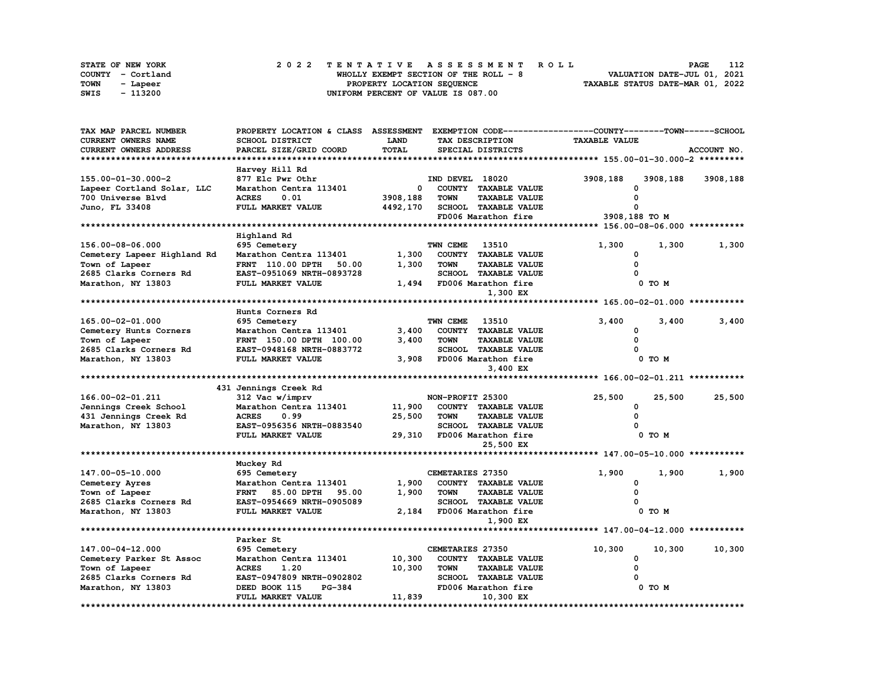|             | STATE OF NEW YORK | 2022 TENTATIVE ASSESSMENT ROLL        | 112<br><b>PAGE</b>               |
|-------------|-------------------|---------------------------------------|----------------------------------|
|             | COUNTY - Cortland | WHOLLY EXEMPT SECTION OF THE ROLL - 8 | VALUATION DATE-JUL 01, 2021      |
| <b>TOWN</b> | - Lapeer          | PROPERTY LOCATION SEQUENCE            | TAXABLE STATUS DATE-MAR 01, 2022 |
| SWIS        | - 113200          | UNIFORM PERCENT OF VALUE IS 087.00    |                                  |

| LAND<br><b>TAXABLE VALUE</b><br>CURRENT OWNERS NAME<br>SCHOOL DISTRICT<br>TAX DESCRIPTION<br><b>TOTAL</b><br>CURRENT OWNERS ADDRESS<br>PARCEL SIZE/GRID COORD<br>SPECIAL DISTRICTS<br>ACCOUNT NO.<br>Harvey Hill Rd<br>877 Elc Pwr Othr<br>IND DEVEL 18020<br>3908,188<br>3908,188<br>3908,188<br>Marathon Centra 113401<br>0<br>COUNTY TAXABLE VALUE<br>700 Universe Blvd<br><b>ACRES</b><br>3908,188<br>0.01<br><b>TOWN</b><br><b>TAXABLE VALUE</b><br>FULL MARKET VALUE<br>SCHOOL TAXABLE VALUE<br>Juno, FL 33408<br>4492,170<br>O<br>3908,188 TO M<br>FD006 Marathon fire<br>Highland Rd<br>156.00-08-06.000<br>TWN CEME<br>1,300<br>1,300<br>695 Cemetery<br>13510<br>1,300<br>Cemetery Lapeer Highland Rd<br>Marathon Centra 113401<br>1,300<br>COUNTY TAXABLE VALUE<br>0<br>FRNT 110.00 DPTH<br>1,300<br><b>TAXABLE VALUE</b><br>0<br>Town of Lapeer<br>50.00<br><b>TOWN</b><br>2685 Clarks Corners Rd<br>EAST-0951069 NRTH-0893728<br>SCHOOL TAXABLE VALUE<br>FULL MARKET VALUE<br>1,494<br>FD006 Marathon fire<br>0 TO M<br>Marathon, NY 13803<br>1,300 EX<br>Hunts Corners Rd<br>165.00-02-01.000<br>695 Cemetery<br>TWN CEME<br>13510<br>3,400<br>3,400<br>3,400<br>3,400<br>Cemetery Hunts Corners<br>Marathon Centra 113401<br>COUNTY TAXABLE VALUE<br>O<br>$\Omega$<br>Town of Lapeer<br>FRNT 150.00 DPTH 100.00<br>3,400<br><b>TOWN</b><br><b>TAXABLE VALUE</b><br>2685 Clarks Corners Rd<br>SCHOOL TAXABLE VALUE<br>EAST-0948168 NRTH-0883772<br>Marathon, NY 13803<br>3,908<br>FD006 Marathon fire<br>FULL MARKET VALUE<br>0 TO M<br>3,400 EX<br>431 Jennings Creek Rd<br>166.00-02-01.211<br>312 Vac w/imprv<br>NON-PROFIT 25300<br>25,500<br>25,500<br>25,500<br>11,900<br>Jennings Creek School<br>Marathon Centra 113401<br>COUNTY TAXABLE VALUE<br>0<br><b>ACRES</b><br>0.99<br>25,500<br><b>TAXABLE VALUE</b><br>431 Jennings Creek Rd<br><b>TOWN</b><br>$\Omega$<br>EAST-0956356 NRTH-0883540<br>Marathon, NY 13803<br>SCHOOL TAXABLE VALUE<br>FULL MARKET VALUE<br>29,310<br>FD006 Marathon fire<br>0 TO M<br>25,500 EX<br>Muckey Rd<br>147.00-05-10.000<br>695 Cemetery<br>CEMETARIES 27350<br>1,900<br>1,900<br>1,900<br>1,900<br>Cemetery Ayres<br>Marathon Centra 113401<br>COUNTY TAXABLE VALUE<br>0<br>1,900<br>$\Omega$<br>Town of Lapeer<br>FRNT 85.00 DPTH<br>95.00<br><b>TOWN</b><br><b>TAXABLE VALUE</b><br>2685 Clarks Corners Rd<br><b>SCHOOL TAXABLE VALUE</b><br>EAST-0954669 NRTH-0905089<br>FULL MARKET VALUE<br>2,184<br>0 TO M<br>Marathon, NY 13803<br>FD006 Marathon fire<br>1,900 EX<br>Parker St<br>147.00-04-12.000<br>695 Cemetery<br>CEMETARIES 27350<br>10,300<br>10,300<br>10,300<br>10,300<br>Cemetery Parker St Assoc<br>Marathon Centra 113401<br>COUNTY TAXABLE VALUE<br>0<br>Town of Lapeer<br><b>ACRES</b><br>1.20<br>10,300<br><b>TOWN</b><br><b>TAXABLE VALUE</b><br>$\Omega$<br>2685 Clarks Corners Rd<br>EAST-0947809 NRTH-0902802<br>SCHOOL TAXABLE VALUE<br>Marathon, NY 13803<br><b>PG-384</b><br>FD006 Marathon fire<br>0 TO M<br>DEED BOOK 115<br>11,839<br>FULL MARKET VALUE<br>10,300 EX | TAX MAP PARCEL NUMBER      | PROPERTY LOCATION & CLASS | <b>ASSESSMENT</b> |  | EXEMPTION CODE-----------------COUNTY-------TOWN-----SCHOOL |  |
|----------------------------------------------------------------------------------------------------------------------------------------------------------------------------------------------------------------------------------------------------------------------------------------------------------------------------------------------------------------------------------------------------------------------------------------------------------------------------------------------------------------------------------------------------------------------------------------------------------------------------------------------------------------------------------------------------------------------------------------------------------------------------------------------------------------------------------------------------------------------------------------------------------------------------------------------------------------------------------------------------------------------------------------------------------------------------------------------------------------------------------------------------------------------------------------------------------------------------------------------------------------------------------------------------------------------------------------------------------------------------------------------------------------------------------------------------------------------------------------------------------------------------------------------------------------------------------------------------------------------------------------------------------------------------------------------------------------------------------------------------------------------------------------------------------------------------------------------------------------------------------------------------------------------------------------------------------------------------------------------------------------------------------------------------------------------------------------------------------------------------------------------------------------------------------------------------------------------------------------------------------------------------------------------------------------------------------------------------------------------------------------------------------------------------------------------------------------------------------------------------------------------------------------------------------------------------------------------------------------------------------------------------------------------------------------------------------------------------------------------------------------------------------------------------------------------------------------------------------------------------------------------------------------------------------------------------------------------------------------------------------------------------------------------------------------|----------------------------|---------------------------|-------------------|--|-------------------------------------------------------------|--|
|                                                                                                                                                                                                                                                                                                                                                                                                                                                                                                                                                                                                                                                                                                                                                                                                                                                                                                                                                                                                                                                                                                                                                                                                                                                                                                                                                                                                                                                                                                                                                                                                                                                                                                                                                                                                                                                                                                                                                                                                                                                                                                                                                                                                                                                                                                                                                                                                                                                                                                                                                                                                                                                                                                                                                                                                                                                                                                                                                                                                                                                                |                            |                           |                   |  |                                                             |  |
|                                                                                                                                                                                                                                                                                                                                                                                                                                                                                                                                                                                                                                                                                                                                                                                                                                                                                                                                                                                                                                                                                                                                                                                                                                                                                                                                                                                                                                                                                                                                                                                                                                                                                                                                                                                                                                                                                                                                                                                                                                                                                                                                                                                                                                                                                                                                                                                                                                                                                                                                                                                                                                                                                                                                                                                                                                                                                                                                                                                                                                                                |                            |                           |                   |  |                                                             |  |
|                                                                                                                                                                                                                                                                                                                                                                                                                                                                                                                                                                                                                                                                                                                                                                                                                                                                                                                                                                                                                                                                                                                                                                                                                                                                                                                                                                                                                                                                                                                                                                                                                                                                                                                                                                                                                                                                                                                                                                                                                                                                                                                                                                                                                                                                                                                                                                                                                                                                                                                                                                                                                                                                                                                                                                                                                                                                                                                                                                                                                                                                |                            |                           |                   |  |                                                             |  |
|                                                                                                                                                                                                                                                                                                                                                                                                                                                                                                                                                                                                                                                                                                                                                                                                                                                                                                                                                                                                                                                                                                                                                                                                                                                                                                                                                                                                                                                                                                                                                                                                                                                                                                                                                                                                                                                                                                                                                                                                                                                                                                                                                                                                                                                                                                                                                                                                                                                                                                                                                                                                                                                                                                                                                                                                                                                                                                                                                                                                                                                                |                            |                           |                   |  |                                                             |  |
|                                                                                                                                                                                                                                                                                                                                                                                                                                                                                                                                                                                                                                                                                                                                                                                                                                                                                                                                                                                                                                                                                                                                                                                                                                                                                                                                                                                                                                                                                                                                                                                                                                                                                                                                                                                                                                                                                                                                                                                                                                                                                                                                                                                                                                                                                                                                                                                                                                                                                                                                                                                                                                                                                                                                                                                                                                                                                                                                                                                                                                                                | 155.00-01-30.000-2         |                           |                   |  |                                                             |  |
|                                                                                                                                                                                                                                                                                                                                                                                                                                                                                                                                                                                                                                                                                                                                                                                                                                                                                                                                                                                                                                                                                                                                                                                                                                                                                                                                                                                                                                                                                                                                                                                                                                                                                                                                                                                                                                                                                                                                                                                                                                                                                                                                                                                                                                                                                                                                                                                                                                                                                                                                                                                                                                                                                                                                                                                                                                                                                                                                                                                                                                                                | Lapeer Cortland Solar, LLC |                           |                   |  |                                                             |  |
|                                                                                                                                                                                                                                                                                                                                                                                                                                                                                                                                                                                                                                                                                                                                                                                                                                                                                                                                                                                                                                                                                                                                                                                                                                                                                                                                                                                                                                                                                                                                                                                                                                                                                                                                                                                                                                                                                                                                                                                                                                                                                                                                                                                                                                                                                                                                                                                                                                                                                                                                                                                                                                                                                                                                                                                                                                                                                                                                                                                                                                                                |                            |                           |                   |  |                                                             |  |
|                                                                                                                                                                                                                                                                                                                                                                                                                                                                                                                                                                                                                                                                                                                                                                                                                                                                                                                                                                                                                                                                                                                                                                                                                                                                                                                                                                                                                                                                                                                                                                                                                                                                                                                                                                                                                                                                                                                                                                                                                                                                                                                                                                                                                                                                                                                                                                                                                                                                                                                                                                                                                                                                                                                                                                                                                                                                                                                                                                                                                                                                |                            |                           |                   |  |                                                             |  |
|                                                                                                                                                                                                                                                                                                                                                                                                                                                                                                                                                                                                                                                                                                                                                                                                                                                                                                                                                                                                                                                                                                                                                                                                                                                                                                                                                                                                                                                                                                                                                                                                                                                                                                                                                                                                                                                                                                                                                                                                                                                                                                                                                                                                                                                                                                                                                                                                                                                                                                                                                                                                                                                                                                                                                                                                                                                                                                                                                                                                                                                                |                            |                           |                   |  |                                                             |  |
|                                                                                                                                                                                                                                                                                                                                                                                                                                                                                                                                                                                                                                                                                                                                                                                                                                                                                                                                                                                                                                                                                                                                                                                                                                                                                                                                                                                                                                                                                                                                                                                                                                                                                                                                                                                                                                                                                                                                                                                                                                                                                                                                                                                                                                                                                                                                                                                                                                                                                                                                                                                                                                                                                                                                                                                                                                                                                                                                                                                                                                                                |                            |                           |                   |  |                                                             |  |
|                                                                                                                                                                                                                                                                                                                                                                                                                                                                                                                                                                                                                                                                                                                                                                                                                                                                                                                                                                                                                                                                                                                                                                                                                                                                                                                                                                                                                                                                                                                                                                                                                                                                                                                                                                                                                                                                                                                                                                                                                                                                                                                                                                                                                                                                                                                                                                                                                                                                                                                                                                                                                                                                                                                                                                                                                                                                                                                                                                                                                                                                |                            |                           |                   |  |                                                             |  |
|                                                                                                                                                                                                                                                                                                                                                                                                                                                                                                                                                                                                                                                                                                                                                                                                                                                                                                                                                                                                                                                                                                                                                                                                                                                                                                                                                                                                                                                                                                                                                                                                                                                                                                                                                                                                                                                                                                                                                                                                                                                                                                                                                                                                                                                                                                                                                                                                                                                                                                                                                                                                                                                                                                                                                                                                                                                                                                                                                                                                                                                                |                            |                           |                   |  |                                                             |  |
|                                                                                                                                                                                                                                                                                                                                                                                                                                                                                                                                                                                                                                                                                                                                                                                                                                                                                                                                                                                                                                                                                                                                                                                                                                                                                                                                                                                                                                                                                                                                                                                                                                                                                                                                                                                                                                                                                                                                                                                                                                                                                                                                                                                                                                                                                                                                                                                                                                                                                                                                                                                                                                                                                                                                                                                                                                                                                                                                                                                                                                                                |                            |                           |                   |  |                                                             |  |
|                                                                                                                                                                                                                                                                                                                                                                                                                                                                                                                                                                                                                                                                                                                                                                                                                                                                                                                                                                                                                                                                                                                                                                                                                                                                                                                                                                                                                                                                                                                                                                                                                                                                                                                                                                                                                                                                                                                                                                                                                                                                                                                                                                                                                                                                                                                                                                                                                                                                                                                                                                                                                                                                                                                                                                                                                                                                                                                                                                                                                                                                |                            |                           |                   |  |                                                             |  |
|                                                                                                                                                                                                                                                                                                                                                                                                                                                                                                                                                                                                                                                                                                                                                                                                                                                                                                                                                                                                                                                                                                                                                                                                                                                                                                                                                                                                                                                                                                                                                                                                                                                                                                                                                                                                                                                                                                                                                                                                                                                                                                                                                                                                                                                                                                                                                                                                                                                                                                                                                                                                                                                                                                                                                                                                                                                                                                                                                                                                                                                                |                            |                           |                   |  |                                                             |  |
|                                                                                                                                                                                                                                                                                                                                                                                                                                                                                                                                                                                                                                                                                                                                                                                                                                                                                                                                                                                                                                                                                                                                                                                                                                                                                                                                                                                                                                                                                                                                                                                                                                                                                                                                                                                                                                                                                                                                                                                                                                                                                                                                                                                                                                                                                                                                                                                                                                                                                                                                                                                                                                                                                                                                                                                                                                                                                                                                                                                                                                                                |                            |                           |                   |  |                                                             |  |
|                                                                                                                                                                                                                                                                                                                                                                                                                                                                                                                                                                                                                                                                                                                                                                                                                                                                                                                                                                                                                                                                                                                                                                                                                                                                                                                                                                                                                                                                                                                                                                                                                                                                                                                                                                                                                                                                                                                                                                                                                                                                                                                                                                                                                                                                                                                                                                                                                                                                                                                                                                                                                                                                                                                                                                                                                                                                                                                                                                                                                                                                |                            |                           |                   |  |                                                             |  |
|                                                                                                                                                                                                                                                                                                                                                                                                                                                                                                                                                                                                                                                                                                                                                                                                                                                                                                                                                                                                                                                                                                                                                                                                                                                                                                                                                                                                                                                                                                                                                                                                                                                                                                                                                                                                                                                                                                                                                                                                                                                                                                                                                                                                                                                                                                                                                                                                                                                                                                                                                                                                                                                                                                                                                                                                                                                                                                                                                                                                                                                                |                            |                           |                   |  |                                                             |  |
|                                                                                                                                                                                                                                                                                                                                                                                                                                                                                                                                                                                                                                                                                                                                                                                                                                                                                                                                                                                                                                                                                                                                                                                                                                                                                                                                                                                                                                                                                                                                                                                                                                                                                                                                                                                                                                                                                                                                                                                                                                                                                                                                                                                                                                                                                                                                                                                                                                                                                                                                                                                                                                                                                                                                                                                                                                                                                                                                                                                                                                                                |                            |                           |                   |  |                                                             |  |
|                                                                                                                                                                                                                                                                                                                                                                                                                                                                                                                                                                                                                                                                                                                                                                                                                                                                                                                                                                                                                                                                                                                                                                                                                                                                                                                                                                                                                                                                                                                                                                                                                                                                                                                                                                                                                                                                                                                                                                                                                                                                                                                                                                                                                                                                                                                                                                                                                                                                                                                                                                                                                                                                                                                                                                                                                                                                                                                                                                                                                                                                |                            |                           |                   |  |                                                             |  |
|                                                                                                                                                                                                                                                                                                                                                                                                                                                                                                                                                                                                                                                                                                                                                                                                                                                                                                                                                                                                                                                                                                                                                                                                                                                                                                                                                                                                                                                                                                                                                                                                                                                                                                                                                                                                                                                                                                                                                                                                                                                                                                                                                                                                                                                                                                                                                                                                                                                                                                                                                                                                                                                                                                                                                                                                                                                                                                                                                                                                                                                                |                            |                           |                   |  |                                                             |  |
|                                                                                                                                                                                                                                                                                                                                                                                                                                                                                                                                                                                                                                                                                                                                                                                                                                                                                                                                                                                                                                                                                                                                                                                                                                                                                                                                                                                                                                                                                                                                                                                                                                                                                                                                                                                                                                                                                                                                                                                                                                                                                                                                                                                                                                                                                                                                                                                                                                                                                                                                                                                                                                                                                                                                                                                                                                                                                                                                                                                                                                                                |                            |                           |                   |  |                                                             |  |
|                                                                                                                                                                                                                                                                                                                                                                                                                                                                                                                                                                                                                                                                                                                                                                                                                                                                                                                                                                                                                                                                                                                                                                                                                                                                                                                                                                                                                                                                                                                                                                                                                                                                                                                                                                                                                                                                                                                                                                                                                                                                                                                                                                                                                                                                                                                                                                                                                                                                                                                                                                                                                                                                                                                                                                                                                                                                                                                                                                                                                                                                |                            |                           |                   |  |                                                             |  |
|                                                                                                                                                                                                                                                                                                                                                                                                                                                                                                                                                                                                                                                                                                                                                                                                                                                                                                                                                                                                                                                                                                                                                                                                                                                                                                                                                                                                                                                                                                                                                                                                                                                                                                                                                                                                                                                                                                                                                                                                                                                                                                                                                                                                                                                                                                                                                                                                                                                                                                                                                                                                                                                                                                                                                                                                                                                                                                                                                                                                                                                                |                            |                           |                   |  |                                                             |  |
|                                                                                                                                                                                                                                                                                                                                                                                                                                                                                                                                                                                                                                                                                                                                                                                                                                                                                                                                                                                                                                                                                                                                                                                                                                                                                                                                                                                                                                                                                                                                                                                                                                                                                                                                                                                                                                                                                                                                                                                                                                                                                                                                                                                                                                                                                                                                                                                                                                                                                                                                                                                                                                                                                                                                                                                                                                                                                                                                                                                                                                                                |                            |                           |                   |  |                                                             |  |
|                                                                                                                                                                                                                                                                                                                                                                                                                                                                                                                                                                                                                                                                                                                                                                                                                                                                                                                                                                                                                                                                                                                                                                                                                                                                                                                                                                                                                                                                                                                                                                                                                                                                                                                                                                                                                                                                                                                                                                                                                                                                                                                                                                                                                                                                                                                                                                                                                                                                                                                                                                                                                                                                                                                                                                                                                                                                                                                                                                                                                                                                |                            |                           |                   |  |                                                             |  |
|                                                                                                                                                                                                                                                                                                                                                                                                                                                                                                                                                                                                                                                                                                                                                                                                                                                                                                                                                                                                                                                                                                                                                                                                                                                                                                                                                                                                                                                                                                                                                                                                                                                                                                                                                                                                                                                                                                                                                                                                                                                                                                                                                                                                                                                                                                                                                                                                                                                                                                                                                                                                                                                                                                                                                                                                                                                                                                                                                                                                                                                                |                            |                           |                   |  |                                                             |  |
|                                                                                                                                                                                                                                                                                                                                                                                                                                                                                                                                                                                                                                                                                                                                                                                                                                                                                                                                                                                                                                                                                                                                                                                                                                                                                                                                                                                                                                                                                                                                                                                                                                                                                                                                                                                                                                                                                                                                                                                                                                                                                                                                                                                                                                                                                                                                                                                                                                                                                                                                                                                                                                                                                                                                                                                                                                                                                                                                                                                                                                                                |                            |                           |                   |  |                                                             |  |
|                                                                                                                                                                                                                                                                                                                                                                                                                                                                                                                                                                                                                                                                                                                                                                                                                                                                                                                                                                                                                                                                                                                                                                                                                                                                                                                                                                                                                                                                                                                                                                                                                                                                                                                                                                                                                                                                                                                                                                                                                                                                                                                                                                                                                                                                                                                                                                                                                                                                                                                                                                                                                                                                                                                                                                                                                                                                                                                                                                                                                                                                |                            |                           |                   |  |                                                             |  |
|                                                                                                                                                                                                                                                                                                                                                                                                                                                                                                                                                                                                                                                                                                                                                                                                                                                                                                                                                                                                                                                                                                                                                                                                                                                                                                                                                                                                                                                                                                                                                                                                                                                                                                                                                                                                                                                                                                                                                                                                                                                                                                                                                                                                                                                                                                                                                                                                                                                                                                                                                                                                                                                                                                                                                                                                                                                                                                                                                                                                                                                                |                            |                           |                   |  |                                                             |  |
|                                                                                                                                                                                                                                                                                                                                                                                                                                                                                                                                                                                                                                                                                                                                                                                                                                                                                                                                                                                                                                                                                                                                                                                                                                                                                                                                                                                                                                                                                                                                                                                                                                                                                                                                                                                                                                                                                                                                                                                                                                                                                                                                                                                                                                                                                                                                                                                                                                                                                                                                                                                                                                                                                                                                                                                                                                                                                                                                                                                                                                                                |                            |                           |                   |  |                                                             |  |
|                                                                                                                                                                                                                                                                                                                                                                                                                                                                                                                                                                                                                                                                                                                                                                                                                                                                                                                                                                                                                                                                                                                                                                                                                                                                                                                                                                                                                                                                                                                                                                                                                                                                                                                                                                                                                                                                                                                                                                                                                                                                                                                                                                                                                                                                                                                                                                                                                                                                                                                                                                                                                                                                                                                                                                                                                                                                                                                                                                                                                                                                |                            |                           |                   |  |                                                             |  |
|                                                                                                                                                                                                                                                                                                                                                                                                                                                                                                                                                                                                                                                                                                                                                                                                                                                                                                                                                                                                                                                                                                                                                                                                                                                                                                                                                                                                                                                                                                                                                                                                                                                                                                                                                                                                                                                                                                                                                                                                                                                                                                                                                                                                                                                                                                                                                                                                                                                                                                                                                                                                                                                                                                                                                                                                                                                                                                                                                                                                                                                                |                            |                           |                   |  |                                                             |  |
|                                                                                                                                                                                                                                                                                                                                                                                                                                                                                                                                                                                                                                                                                                                                                                                                                                                                                                                                                                                                                                                                                                                                                                                                                                                                                                                                                                                                                                                                                                                                                                                                                                                                                                                                                                                                                                                                                                                                                                                                                                                                                                                                                                                                                                                                                                                                                                                                                                                                                                                                                                                                                                                                                                                                                                                                                                                                                                                                                                                                                                                                |                            |                           |                   |  |                                                             |  |
|                                                                                                                                                                                                                                                                                                                                                                                                                                                                                                                                                                                                                                                                                                                                                                                                                                                                                                                                                                                                                                                                                                                                                                                                                                                                                                                                                                                                                                                                                                                                                                                                                                                                                                                                                                                                                                                                                                                                                                                                                                                                                                                                                                                                                                                                                                                                                                                                                                                                                                                                                                                                                                                                                                                                                                                                                                                                                                                                                                                                                                                                |                            |                           |                   |  |                                                             |  |
|                                                                                                                                                                                                                                                                                                                                                                                                                                                                                                                                                                                                                                                                                                                                                                                                                                                                                                                                                                                                                                                                                                                                                                                                                                                                                                                                                                                                                                                                                                                                                                                                                                                                                                                                                                                                                                                                                                                                                                                                                                                                                                                                                                                                                                                                                                                                                                                                                                                                                                                                                                                                                                                                                                                                                                                                                                                                                                                                                                                                                                                                |                            |                           |                   |  |                                                             |  |
|                                                                                                                                                                                                                                                                                                                                                                                                                                                                                                                                                                                                                                                                                                                                                                                                                                                                                                                                                                                                                                                                                                                                                                                                                                                                                                                                                                                                                                                                                                                                                                                                                                                                                                                                                                                                                                                                                                                                                                                                                                                                                                                                                                                                                                                                                                                                                                                                                                                                                                                                                                                                                                                                                                                                                                                                                                                                                                                                                                                                                                                                |                            |                           |                   |  |                                                             |  |
|                                                                                                                                                                                                                                                                                                                                                                                                                                                                                                                                                                                                                                                                                                                                                                                                                                                                                                                                                                                                                                                                                                                                                                                                                                                                                                                                                                                                                                                                                                                                                                                                                                                                                                                                                                                                                                                                                                                                                                                                                                                                                                                                                                                                                                                                                                                                                                                                                                                                                                                                                                                                                                                                                                                                                                                                                                                                                                                                                                                                                                                                |                            |                           |                   |  |                                                             |  |
|                                                                                                                                                                                                                                                                                                                                                                                                                                                                                                                                                                                                                                                                                                                                                                                                                                                                                                                                                                                                                                                                                                                                                                                                                                                                                                                                                                                                                                                                                                                                                                                                                                                                                                                                                                                                                                                                                                                                                                                                                                                                                                                                                                                                                                                                                                                                                                                                                                                                                                                                                                                                                                                                                                                                                                                                                                                                                                                                                                                                                                                                |                            |                           |                   |  |                                                             |  |
|                                                                                                                                                                                                                                                                                                                                                                                                                                                                                                                                                                                                                                                                                                                                                                                                                                                                                                                                                                                                                                                                                                                                                                                                                                                                                                                                                                                                                                                                                                                                                                                                                                                                                                                                                                                                                                                                                                                                                                                                                                                                                                                                                                                                                                                                                                                                                                                                                                                                                                                                                                                                                                                                                                                                                                                                                                                                                                                                                                                                                                                                |                            |                           |                   |  |                                                             |  |
|                                                                                                                                                                                                                                                                                                                                                                                                                                                                                                                                                                                                                                                                                                                                                                                                                                                                                                                                                                                                                                                                                                                                                                                                                                                                                                                                                                                                                                                                                                                                                                                                                                                                                                                                                                                                                                                                                                                                                                                                                                                                                                                                                                                                                                                                                                                                                                                                                                                                                                                                                                                                                                                                                                                                                                                                                                                                                                                                                                                                                                                                |                            |                           |                   |  |                                                             |  |
|                                                                                                                                                                                                                                                                                                                                                                                                                                                                                                                                                                                                                                                                                                                                                                                                                                                                                                                                                                                                                                                                                                                                                                                                                                                                                                                                                                                                                                                                                                                                                                                                                                                                                                                                                                                                                                                                                                                                                                                                                                                                                                                                                                                                                                                                                                                                                                                                                                                                                                                                                                                                                                                                                                                                                                                                                                                                                                                                                                                                                                                                |                            |                           |                   |  |                                                             |  |
|                                                                                                                                                                                                                                                                                                                                                                                                                                                                                                                                                                                                                                                                                                                                                                                                                                                                                                                                                                                                                                                                                                                                                                                                                                                                                                                                                                                                                                                                                                                                                                                                                                                                                                                                                                                                                                                                                                                                                                                                                                                                                                                                                                                                                                                                                                                                                                                                                                                                                                                                                                                                                                                                                                                                                                                                                                                                                                                                                                                                                                                                |                            |                           |                   |  |                                                             |  |
|                                                                                                                                                                                                                                                                                                                                                                                                                                                                                                                                                                                                                                                                                                                                                                                                                                                                                                                                                                                                                                                                                                                                                                                                                                                                                                                                                                                                                                                                                                                                                                                                                                                                                                                                                                                                                                                                                                                                                                                                                                                                                                                                                                                                                                                                                                                                                                                                                                                                                                                                                                                                                                                                                                                                                                                                                                                                                                                                                                                                                                                                |                            |                           |                   |  |                                                             |  |
|                                                                                                                                                                                                                                                                                                                                                                                                                                                                                                                                                                                                                                                                                                                                                                                                                                                                                                                                                                                                                                                                                                                                                                                                                                                                                                                                                                                                                                                                                                                                                                                                                                                                                                                                                                                                                                                                                                                                                                                                                                                                                                                                                                                                                                                                                                                                                                                                                                                                                                                                                                                                                                                                                                                                                                                                                                                                                                                                                                                                                                                                |                            |                           |                   |  |                                                             |  |
|                                                                                                                                                                                                                                                                                                                                                                                                                                                                                                                                                                                                                                                                                                                                                                                                                                                                                                                                                                                                                                                                                                                                                                                                                                                                                                                                                                                                                                                                                                                                                                                                                                                                                                                                                                                                                                                                                                                                                                                                                                                                                                                                                                                                                                                                                                                                                                                                                                                                                                                                                                                                                                                                                                                                                                                                                                                                                                                                                                                                                                                                |                            |                           |                   |  |                                                             |  |
|                                                                                                                                                                                                                                                                                                                                                                                                                                                                                                                                                                                                                                                                                                                                                                                                                                                                                                                                                                                                                                                                                                                                                                                                                                                                                                                                                                                                                                                                                                                                                                                                                                                                                                                                                                                                                                                                                                                                                                                                                                                                                                                                                                                                                                                                                                                                                                                                                                                                                                                                                                                                                                                                                                                                                                                                                                                                                                                                                                                                                                                                |                            |                           |                   |  |                                                             |  |
|                                                                                                                                                                                                                                                                                                                                                                                                                                                                                                                                                                                                                                                                                                                                                                                                                                                                                                                                                                                                                                                                                                                                                                                                                                                                                                                                                                                                                                                                                                                                                                                                                                                                                                                                                                                                                                                                                                                                                                                                                                                                                                                                                                                                                                                                                                                                                                                                                                                                                                                                                                                                                                                                                                                                                                                                                                                                                                                                                                                                                                                                |                            |                           |                   |  |                                                             |  |
|                                                                                                                                                                                                                                                                                                                                                                                                                                                                                                                                                                                                                                                                                                                                                                                                                                                                                                                                                                                                                                                                                                                                                                                                                                                                                                                                                                                                                                                                                                                                                                                                                                                                                                                                                                                                                                                                                                                                                                                                                                                                                                                                                                                                                                                                                                                                                                                                                                                                                                                                                                                                                                                                                                                                                                                                                                                                                                                                                                                                                                                                |                            |                           |                   |  |                                                             |  |
|                                                                                                                                                                                                                                                                                                                                                                                                                                                                                                                                                                                                                                                                                                                                                                                                                                                                                                                                                                                                                                                                                                                                                                                                                                                                                                                                                                                                                                                                                                                                                                                                                                                                                                                                                                                                                                                                                                                                                                                                                                                                                                                                                                                                                                                                                                                                                                                                                                                                                                                                                                                                                                                                                                                                                                                                                                                                                                                                                                                                                                                                |                            |                           |                   |  |                                                             |  |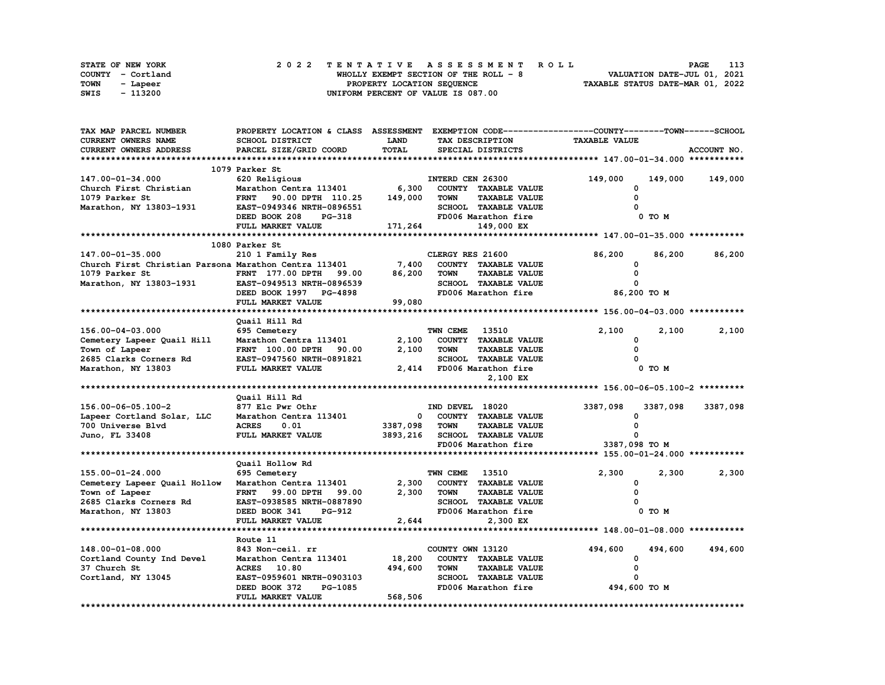| STATE OF NEW YORK | 2022 TENTATIVE ASSESSMENT ROLL         | 113<br><b>PAGE</b>               |
|-------------------|----------------------------------------|----------------------------------|
| COUNTY - Cortland | WHOLLY EXEMPT SECTION OF THE ROLL $-8$ | VALUATION DATE-JUL 01, 2021      |
| TOWN<br>- Lapeer  | PROPERTY LOCATION SEQUENCE             | TAXABLE STATUS DATE-MAR 01, 2022 |
| SWIS<br>- 113200  | UNIFORM PERCENT OF VALUE IS 087.00     |                                  |

| TAX MAP PARCEL NUMBER                                       | PROPERTY LOCATION & CLASS ASSESSMENT EXEMPTION CODE-----------------COUNTY-------TOWN-----SCHOOL |               |                                      |                                  |            |             |
|-------------------------------------------------------------|--------------------------------------------------------------------------------------------------|---------------|--------------------------------------|----------------------------------|------------|-------------|
| CURRENT OWNERS NAME                                         | SCHOOL DISTRICT                                                                                  | <b>LAND</b>   | TAX DESCRIPTION                      | <b>TAXABLE VALUE</b>             |            |             |
| CURRENT OWNERS ADDRESS                                      | PARCEL SIZE/GRID COORD                                                                           | TOTAL         | SPECIAL DISTRICTS                    |                                  |            | ACCOUNT NO. |
|                                                             |                                                                                                  |               |                                      |                                  |            |             |
|                                                             | 1079 Parker St                                                                                   |               |                                      |                                  |            |             |
| 147.00-01-34.000                                            | 620 Religious                                                                                    |               | INTERD CEN 26300                     | 149,000                          | 149,000    | 149,000     |
| Church First Christian                                      | Marathon Centra 113401                                                                           | 6,300         | COUNTY TAXABLE VALUE                 | <sup>0</sup>                     |            |             |
| 1079 Parker St                                              | FRNT 90.00 DPTH 110.25                                                                           | 149,000       | <b>TAXABLE VALUE</b><br><b>TOWN</b>  | $\Omega$                         |            |             |
| Marathon, NY 13803-1931                                     | EAST-0949346 NRTH-0896551                                                                        |               | SCHOOL TAXABLE VALUE                 |                                  |            |             |
|                                                             | DEED BOOK 208 PG-318                                                                             |               | FD006 Marathon fire                  |                                  | $0$ TO $M$ |             |
|                                                             | FULL MARKET VALUE                                                                                | 171,264       | 149,000 EX                           |                                  |            |             |
|                                                             |                                                                                                  |               |                                      |                                  |            |             |
|                                                             | 1080 Parker St                                                                                   |               |                                      |                                  |            |             |
| 147.00-01-35.000                                            | 210 1 Family Res                                                                                 |               | CLERGY RES 21600                     | 86,200                           | 86,200     | 86,200      |
| Church First Christian Parsona Marathon Centra 113401 7,400 |                                                                                                  |               | COUNTY TAXABLE VALUE                 | 0                                |            |             |
| 1079 Parker St                                              | FRNT 177.00 DPTH 99.00                                                                           | 86,200        | <b>TOWN</b><br><b>TAXABLE VALUE</b>  | 0                                |            |             |
| Marathon, NY 13803-1931 EAST-0949513 NRTH-0896539           |                                                                                                  |               | SCHOOL TAXABLE VALUE                 | $\Omega$                         |            |             |
|                                                             |                                                                                                  |               |                                      | FD006 Marathon fire 36,200 TO M  |            |             |
|                                                             | DEED BOOK 1997 PG-4898                                                                           |               |                                      |                                  |            |             |
|                                                             | FULL MARKET VALUE                                                                                | 99,080        |                                      |                                  |            |             |
|                                                             |                                                                                                  |               |                                      |                                  |            |             |
|                                                             | Quail Hill Rd                                                                                    |               |                                      |                                  |            |             |
| 156.00-04-03.000                                            | 695 Cemetery                                                                                     |               | TWN CEME 13510                       | 2,100                            | 2,100      | 2,100       |
| Cemetery Lapeer Quail Hill                                  | Marathon Centra 113401 2,100<br>FRNT 100.00 DPTH 90.00 2,100                                     |               | COUNTY TAXABLE VALUE                 | 0                                |            |             |
| Town of Lapeer                                              |                                                                                                  | 2,100         | <b>TOWN</b><br><b>TAXABLE VALUE</b>  | $\mathbf{0}$                     |            |             |
| 2685 Clarks Corners Rd                                      | EAST-0947560 NRTH-0891821                                                                        | 2,41          | TOWN IRACLUS<br>SCHOOL TAXABLE VALUE | $\sim$                           |            |             |
| Marathon, NY 13803                                          | FULL MARKET VALUE                                                                                |               | 2,414 FD006 Marathon fire            |                                  | $0$ TO $M$ |             |
|                                                             |                                                                                                  |               | 2,100 EX                             |                                  |            |             |
|                                                             |                                                                                                  |               |                                      |                                  |            |             |
|                                                             | Quail Hill Rd                                                                                    |               |                                      |                                  |            |             |
| 156.00-06-05.100-2                                          | 877 Elc Pwr Othr                                                                                 |               | IND DEVEL 18020                      | 3387,098                         | 3387,098   | 3387,098    |
| Lapeer Cortland Solar, LLC                                  | Marathon Centra 113401                                                                           |               | 0 COUNTY TAXABLE VALUE               | 0                                |            |             |
| 700 Universe Blvd                                           | <b>ACRES</b><br>0.01                                                                             | 3387,098 TOWN | <b>TAXABLE VALUE</b>                 | $\Omega$                         |            |             |
| Juno, FL 33408                                              | <b>FULL MARKET VALUE</b>                                                                         |               | 3893,216 SCHOOL TAXABLE VALUE        | 0                                |            |             |
|                                                             |                                                                                                  |               | FD006 Marathon fire                  | 3387,098 TO M                    |            |             |
|                                                             |                                                                                                  |               |                                      |                                  |            |             |
|                                                             | Quail Hollow Rd                                                                                  |               |                                      |                                  |            |             |
| 155.00-01-24.000                                            | 695 Cemetery                                                                                     |               | <b>TWN CEME 13510</b>                | 2,300                            | 2,300      | 2,300       |
| Cemetery Lapeer Quail Hollow                                | Marathon Centra 113401                                                                           | 2,300         | COUNTY TAXABLE VALUE                 | 0                                |            |             |
| Town of Lapeer                                              | <b>FRNT</b> 99.00 DPTH<br>99.00                                                                  | 2,300         | <b>TAXABLE VALUE</b><br><b>TOWN</b>  | $\Omega$                         |            |             |
| 2685 Clarks Corners Rd                                      | EAST-0938585 NRTH-0887890                                                                        |               | SCHOOL TAXABLE VALUE                 |                                  |            |             |
| Marathon, NY 13803                                          | DEED BOOK 341<br>PG-912                                                                          |               | FD006 Marathon fire                  |                                  | 0 TO M     |             |
|                                                             | FULL MARKET VALUE                                                                                | 2,644         | 2,300 EX                             |                                  |            |             |
|                                                             |                                                                                                  |               |                                      |                                  |            |             |
|                                                             | Route 11                                                                                         |               |                                      |                                  |            |             |
| $148.00 - 01 - 08.000$                                      | 843 Non-ceil. rr                                                                                 |               | COUNTY OWN 13120                     | 494,600                          | 494,600    | 494,600     |
| Cortland County Ind Devel                                   | Marathon Centra 113401 18,200                                                                    |               | COUNTY TAXABLE VALUE                 | 0                                |            |             |
| 37 Church St                                                | <b>ACRES</b><br>10.80                                                                            | 494,600       | <b>TOWN</b><br><b>TAXABLE VALUE</b>  | 0                                |            |             |
| Cortland, NY 13045                                          | EAST-0959601 NRTH-0903103                                                                        |               | SCHOOL TAXABLE VALUE                 |                                  |            |             |
|                                                             | DEED BOOK 372<br>PG-1085                                                                         |               |                                      | FD006 Marathon fire 494,600 TO M |            |             |
|                                                             | FULL MARKET VALUE                                                                                | 568,506       |                                      |                                  |            |             |
|                                                             |                                                                                                  |               |                                      |                                  |            |             |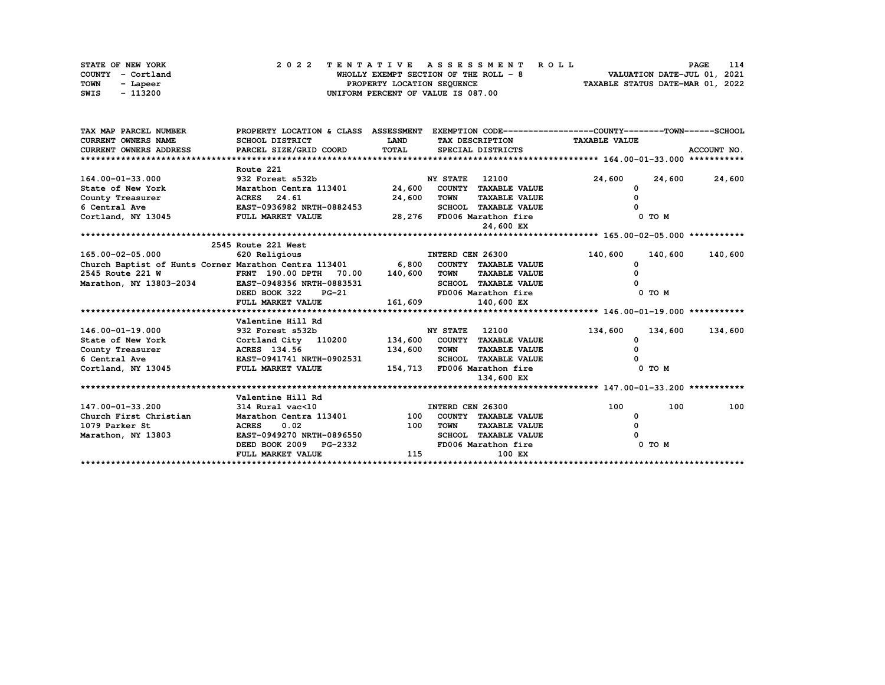| STATE OF NEW YORK |          | 2022 TENTATIVE ASSESSMENT ROLL        | 114<br><b>PAGE</b>               |
|-------------------|----------|---------------------------------------|----------------------------------|
| COUNTY - Cortland |          | WHOLLY EXEMPT SECTION OF THE ROLL - 8 | VALUATION DATE-JUL 01, 2021      |
| <b>TOWN</b>       | - Lapeer | PROPERTY LOCATION SEQUENCE            | TAXABLE STATUS DATE-MAR 01, 2022 |
| SWIS              | - 113200 | UNIFORM PERCENT OF VALUE IS 087.00    |                                  |

| TAX MAP PARCEL NUMBER                                                            | PROPERTY LOCATION & CLASS ASSESSMENT |             |                             |                      | EXEMPTION CODE-----------------COUNTY-------TOWN-----SCHOOL |         |             |
|----------------------------------------------------------------------------------|--------------------------------------|-------------|-----------------------------|----------------------|-------------------------------------------------------------|---------|-------------|
| <b>CURRENT OWNERS NAME</b>                                                       | SCHOOL DISTRICT                      | <b>LAND</b> |                             |                      | TAX DESCRIPTION TAXABLE VALUE                               |         |             |
| CURRENT OWNERS ADDRESS                                                           | PARCEL SIZE/GRID COORD               | TOTAL       | SPECIAL DISTRICTS           |                      |                                                             |         | ACCOUNT NO. |
|                                                                                  |                                      |             |                             |                      |                                                             |         |             |
|                                                                                  | Route 221                            |             |                             |                      |                                                             |         |             |
| 164.00-01-33.000                                                                 | 932 Forest s532b                     |             | <b>NY STATE</b> 12100       |                      | 24,600                                                      | 24,600  | 24,600      |
| State of New York                                                                | Marathon Centra 113401 24,600        |             | COUNTY TAXABLE VALUE        |                      |                                                             |         |             |
| County Treasurer                                                                 | ACRES 24.61                          | 24,600      | <b>TOWN</b>                 | <b>TAXABLE VALUE</b> |                                                             |         |             |
| 6 Central Ave                                                                    | <b>EAST-0936982 NRTH-0882453</b>     |             | SCHOOL TAXABLE VALUE        |                      |                                                             |         |             |
| Cortland, NY 13045                                                               | FULL MARKET VALUE                    |             | 28,276 FD006 Marathon fire  |                      |                                                             | 0 TO M  |             |
|                                                                                  |                                      |             |                             | 24,600 EX            |                                                             |         |             |
|                                                                                  |                                      |             |                             |                      |                                                             |         |             |
|                                                                                  | 2545 Route 221 West                  |             |                             |                      |                                                             |         |             |
| 165.00-02-05.000                                                                 | 620 Religious                        |             | INTERD CEN 26300            |                      | 140,600                                                     | 140,600 | 140,600     |
| Church Baptist of Hunts Corner Marathon Centra 113401 6,800 COUNTY TAXABLE VALUE |                                      |             |                             |                      | 0                                                           |         |             |
| 2545 Route 221 W                                                                 | FRNT 190.00 DPTH 70.00 140,600       |             | <b>TOWN</b>                 | <b>TAXABLE VALUE</b> |                                                             |         |             |
| Marathon, NY 13803-2034                                                          | EAST-0948356 NRTH-0883531            |             | SCHOOL TAXABLE VALUE        |                      |                                                             |         |             |
|                                                                                  | $PG-21$<br>DEED BOOK 322             |             | FD006 Marathon fire         |                      |                                                             | 0 TO M  |             |
|                                                                                  | FULL MARKET VALUE                    | 161,609     | 140,600 EX                  |                      |                                                             |         |             |
|                                                                                  |                                      |             |                             |                      |                                                             |         |             |
|                                                                                  | Valentine Hill Rd                    |             |                             |                      |                                                             |         |             |
| 146.00-01-19.000                                                                 | 932 Forest s532b                     |             | 12100<br><b>NY STATE</b>    |                      | 134,600                                                     | 134,600 | 134,600     |
| State of New York Cortland City 110200 134,600 COUNTY TAXABLE VALUE              |                                      |             |                             |                      |                                                             |         |             |
| County Treasurer                                                                 | ACRES 134.56                         | 134,600     | TOWN                        | <b>TAXABLE VALUE</b> |                                                             |         |             |
| 6 Central Ave                                                                    | EAST-0941741 NRTH-0902531            |             | <b>SCHOOL TAXABLE VALUE</b> |                      |                                                             |         |             |
| Cortland, NY 13045 FULL MARKET VALUE                                             |                                      |             | 154,713 FD006 Marathon fire |                      |                                                             | 0 TO M  |             |
|                                                                                  |                                      |             |                             | 134,600 EX           |                                                             |         |             |
|                                                                                  |                                      |             |                             |                      |                                                             |         |             |
|                                                                                  | Valentine Hill Rd                    |             |                             |                      |                                                             |         |             |
| 147.00-01-33.200                                                                 | $314$ Rural vac<10                   |             | INTERD CEN 26300            |                      | 100                                                         | 100     | 100         |
| Church First Christian                                                           | Marathon Centra 113401               |             | 100 COUNTY TAXABLE VALUE    |                      | 0                                                           |         |             |
| 1079 Parker St                                                                   | ACRES 0.02                           | 100         | <b>TOWN</b>                 | <b>TAXABLE VALUE</b> |                                                             |         |             |
| Marathon, NY 13803                                                               | EAST-0949270 NRTH-0896550            |             | <b>SCHOOL TAXABLE VALUE</b> |                      |                                                             |         |             |
|                                                                                  | DEED BOOK 2009 PG-2332               |             | FD006 Marathon fire         |                      |                                                             | 0 TO M  |             |
|                                                                                  | FULL MARKET VALUE                    | 115         |                             | 100 EX               |                                                             |         |             |
|                                                                                  |                                      |             |                             |                      |                                                             |         |             |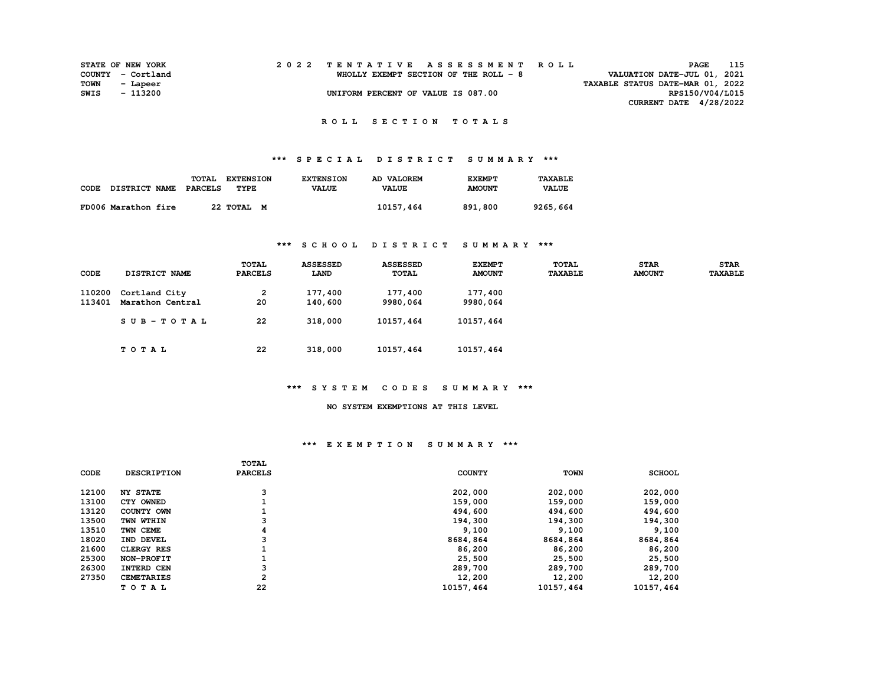| 2022 TENTATIVE ASSESSMENT ROLL<br><b>STATE OF NEW YORK</b> | 115<br>PAGE                      |
|------------------------------------------------------------|----------------------------------|
| WHOLLY EXEMPT SECTION OF THE ROLL - 8<br>COUNTY - Cortland | VALUATION DATE-JUL 01, 2021      |
| TOWN<br>- Lapeer                                           | TAXABLE STATUS DATE-MAR 01, 2022 |
| SWIS<br>UNIFORM PERCENT OF VALUE IS 087.00<br>- 113200     | RPS150/V04/L015                  |
|                                                            | CURRENT DATE $4/28/2022$         |

#### **R O L L S E C T I O N T O T A L S**

## **\*\*\* S P E C I A L D I S T R I C T S U M M A R Y \*\*\***

|      |                      | TOTAL   | <b>EXTENSION</b> | <b>EXTENSION</b> | AD VALOREM   | <b>EXEMPT</b> | TAXABLE      |
|------|----------------------|---------|------------------|------------------|--------------|---------------|--------------|
| CODE | <b>DISTRICT NAME</b> | PARCELS | TYPE             | <b>VALUE</b>     | <b>VALUE</b> | <b>AMOUNT</b> | <b>VALUE</b> |
|      |                      |         |                  |                  |              |               |              |
|      | FD006 Marathon fire  |         | 22 TOTAL M       |                  | 10157,464    | 891,800       | 9265,664     |

#### **\*\*\* S C H O O L D I S T R I C T S U M M A R Y \*\*\***

| CODE             | DISTRICT NAME                     | <b>TOTAL</b><br><b>PARCELS</b> | <b>ASSESSED</b><br>LAND | <b>ASSESSED</b><br><b>TOTAL</b> | <b>EXEMPT</b><br><b>AMOUNT</b> | <b>TOTAL</b><br><b>TAXABLE</b> | <b>STAR</b><br><b>AMOUNT</b> | <b>STAR</b><br><b>TAXABLE</b> |
|------------------|-----------------------------------|--------------------------------|-------------------------|---------------------------------|--------------------------------|--------------------------------|------------------------------|-------------------------------|
| 110200<br>113401 | Cortland City<br>Marathon Central | 2<br>20                        | 177,400<br>140,600      | 177,400<br>9980,064             | 177,400<br>9980,064            |                                |                              |                               |
|                  | $SUB - TO T AL$                   | 22                             | 318,000                 | 10157,464                       | 10157,464                      |                                |                              |                               |
|                  | TOTAL                             | 22                             | 318,000                 | 10157,464                       | 10157,464                      |                                |                              |                               |

### **\*\*\* S Y S T E M C O D E S S U M M A R Y \*\*\***

#### **NO SYSTEM EXEMPTIONS AT THIS LEVEL**

#### **\*\*\* E X E M P T I O N S U M M A R Y \*\*\***

|       |                    | TOTAL          |               |             |               |
|-------|--------------------|----------------|---------------|-------------|---------------|
| CODE  | <b>DESCRIPTION</b> | <b>PARCELS</b> | <b>COUNTY</b> | <b>TOWN</b> | <b>SCHOOL</b> |
| 12100 | <b>NY STATE</b>    | 3              | 202,000       | 202,000     | 202,000       |
| 13100 | CTY OWNED          |                | 159,000       | 159,000     | 159,000       |
| 13120 | COUNTY OWN         |                | 494,600       | 494,600     | 494,600       |
| 13500 | TWN WTHIN          | 3              | 194,300       | 194,300     | 194,300       |
| 13510 | TWN CEME           |                | 9,100         | 9,100       | 9,100         |
| 18020 | IND DEVEL          |                | 8684,864      | 8684,864    | 8684,864      |
| 21600 | <b>CLERGY RES</b>  |                | 86,200        | 86,200      | 86,200        |
| 25300 | NON-PROFIT         |                | 25,500        | 25,500      | 25,500        |
| 26300 | INTERD CEN         | 3              | 289,700       | 289,700     | 289,700       |
| 27350 | <b>CEMETARIES</b>  | 2              | 12,200        | 12,200      | 12,200        |
|       | TOTAL              | 22             | 10157,464     | 10157,464   | 10157,464     |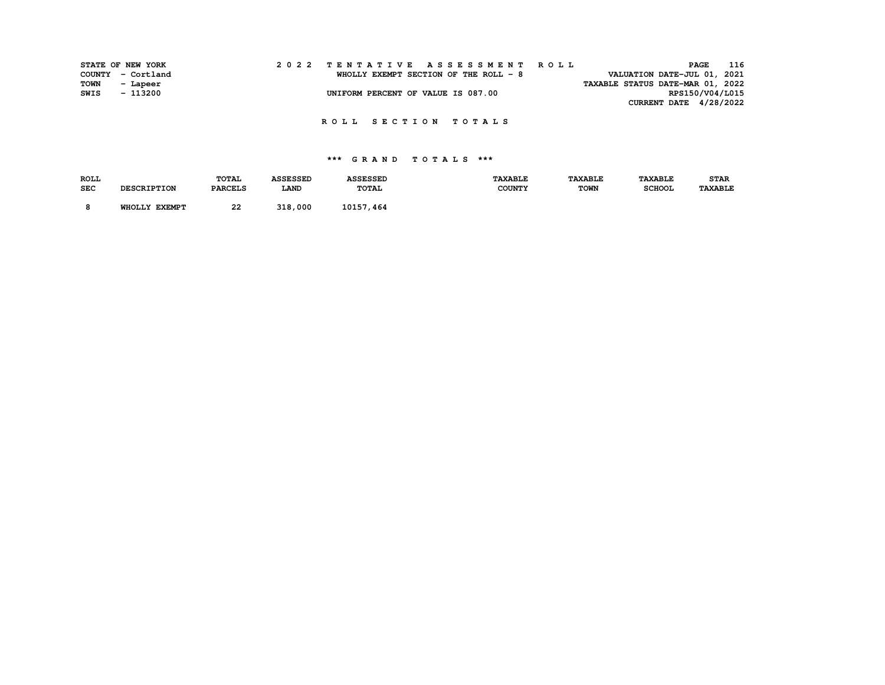|             | STATE OF NEW YORK |  |                                    |  |  |                                        |  |  |  | 2022 TENTATIVE ASSESSMENT ROLL |                                  | PAGE            | 116 |
|-------------|-------------------|--|------------------------------------|--|--|----------------------------------------|--|--|--|--------------------------------|----------------------------------|-----------------|-----|
|             | COUNTY - Cortland |  |                                    |  |  | WHOLLY EXEMPT SECTION OF THE ROLL $-8$ |  |  |  |                                | VALUATION DATE-JUL 01, 2021      |                 |     |
| <b>TOWN</b> | - Lapeer          |  |                                    |  |  |                                        |  |  |  |                                | TAXABLE STATUS DATE-MAR 01, 2022 |                 |     |
| SWIS        | - 113200          |  | UNIFORM PERCENT OF VALUE IS 087.00 |  |  |                                        |  |  |  |                                |                                  | RPS150/V04/L015 |     |
|             |                   |  |                                    |  |  |                                        |  |  |  |                                | CURRENT DATE $4/28/2022$         |                 |     |

 **R O L L S E C T I O N T O T A L S** 

| <b>ROLL</b> |                         | <b>TOTAL</b>   | <b>\SSESSED</b> | <b>ASSESSED</b> | <b>TAXABLE</b> | <b>TAXABLE</b> | <b>TAXABLE</b> | <b>STAR</b>    |
|-------------|-------------------------|----------------|-----------------|-----------------|----------------|----------------|----------------|----------------|
| <b>SEC</b>  | <b>DESCRIPTION</b>      | <b>PARCELS</b> | <b>LAND</b>     | <b>TOTAL</b>    | <b>COUNTY</b>  | <b>TOWN</b>    | <b>SCHOOL</b>  | <b>TAXABLE</b> |
|             | WHOLLY<br><b>EXEMPT</b> | 22             | 318,000         | 10157<br>. 464  |                |                |                |                |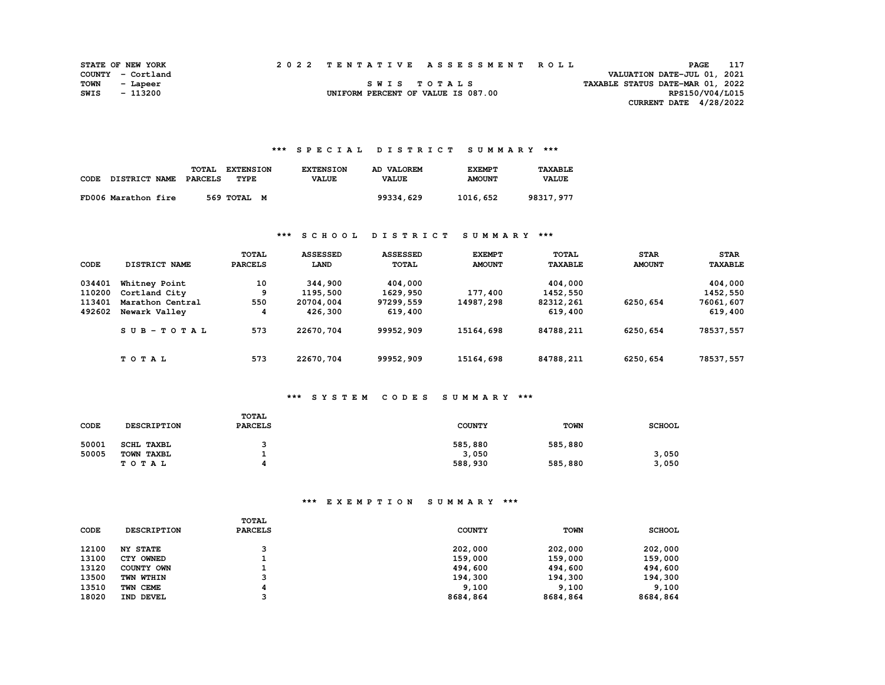|      | <b>STATE OF NEW YORK</b> |  | 2022 TENTATIVE ASSESSMENT ROLL     |                                  | PAGE                        |  |
|------|--------------------------|--|------------------------------------|----------------------------------|-----------------------------|--|
|      | COUNTY - Cortland        |  |                                    |                                  | VALUATION DATE-JUL 01, 2021 |  |
| TOWN | - Lapeer                 |  | SWIS TOTALS                        | TAXABLE STATUS DATE-MAR 01, 2022 |                             |  |
| SWIS | - 113200                 |  | UNIFORM PERCENT OF VALUE IS 087.00 |                                  | RPS150/V04/L015             |  |
|      |                          |  |                                    |                                  | CURRENT DATE $4/28/2022$    |  |

#### **\*\*\* S P E C I A L D I S T R I C T S U M M A R Y \*\*\***

| CODE | <b>DISTRICT NAME</b> | TOTAL<br><b>PARCELS</b> | <b>EXTENSION</b><br>TYPE | <b>EXTENSION</b><br><b>VALUE</b> | AD VALOREM<br><b>VALUE</b> | <b>EXEMPT</b><br><b>AMOUNT</b> | <b>TAXABLE</b><br><b>VALUE</b> |
|------|----------------------|-------------------------|--------------------------|----------------------------------|----------------------------|--------------------------------|--------------------------------|
|      | FD006 Marathon fire  |                         | 569 TOTAL M              |                                  | 99334,629                  | 1016,652                       | 98317,977                      |

#### **\*\*\* S C H O O L D I S T R I C T S U M M A R Y \*\*\***

| CODE   | DISTRICT NAME    | TOTAL<br><b>PARCELS</b> | <b>ASSESSED</b><br>LAND | <b>ASSESSED</b><br><b>TOTAL</b> | <b>EXEMPT</b><br><b>AMOUNT</b> | TOTAL<br><b>TAXABLE</b> | <b>STAR</b><br><b>AMOUNT</b> | <b>STAR</b><br><b><i>TAXABLE</i></b> |
|--------|------------------|-------------------------|-------------------------|---------------------------------|--------------------------------|-------------------------|------------------------------|--------------------------------------|
| 034401 | Whitney Point    | 10                      | 344,900                 | 404,000                         |                                | 404,000                 |                              | 404,000                              |
| 110200 | Cortland City    | 9                       | 1195,500                | 1629,950                        | 177,400                        | 1452,550                |                              | 1452,550                             |
| 113401 | Marathon Central | 550                     | 20704,004               | 97299,559                       | 14987,298                      | 82312,261               | 6250,654                     | 76061,607                            |
| 492602 | Newark Valley    | 4                       | 426,300                 | 619,400                         |                                | 619,400                 |                              | 619,400                              |
|        | $SUB - TO T AL$  | 573                     | 22670,704               | 99952,909                       | 15164,698                      | 84788,211               | 6250,654                     | 78537,557                            |
|        | TOTAL            | 573                     | 22670,704               | 99952,909                       | 15164,698                      | 84788,211               | 6250,654                     | 78537,557                            |

## **\*\*\* S Y S T E M C O D E S S U M M A R Y \*\*\***

| CODE  | <b>DESCRIPTION</b> | <b>TOTAL</b><br><b>PARCELS</b> | <b>COUNTY</b> | <b>TOWN</b> | <b>SCHOOL</b> |
|-------|--------------------|--------------------------------|---------------|-------------|---------------|
| 50001 | SCHL TAXBL         |                                | 585,880       | 585,880     |               |
| 50005 | TOWN TAXBL         |                                | 3,050         |             | 3,050         |
|       | T O T A L          |                                | 588,930       | 585,880     | 3,050         |

## **\*\*\* E X E M P T I O N S U M M A R Y \*\*\***

| <b>CODE</b> | <b>DESCRIPTION</b> | <b>TOTAL</b><br><b>PARCELS</b> | <b>COUNTY</b> | <b>TOWN</b> | <b>SCHOOL</b> |
|-------------|--------------------|--------------------------------|---------------|-------------|---------------|
| 12100       | <b>NY STATE</b>    |                                | 202,000       | 202,000     | 202,000       |
| 13100       | CTY OWNED          |                                | 159,000       | 159,000     | 159,000       |
| 13120       | COUNTY OWN         |                                | 494,600       | 494,600     | 494,600       |
| 13500       | TWN WTHIN          |                                | 194,300       | 194,300     | 194,300       |
| 13510       | TWN CEME           |                                | 9.100         | 9,100       | 9,100         |
| 18020       | IND DEVEL          |                                | 8684,864      | 8684,864    | 8684,864      |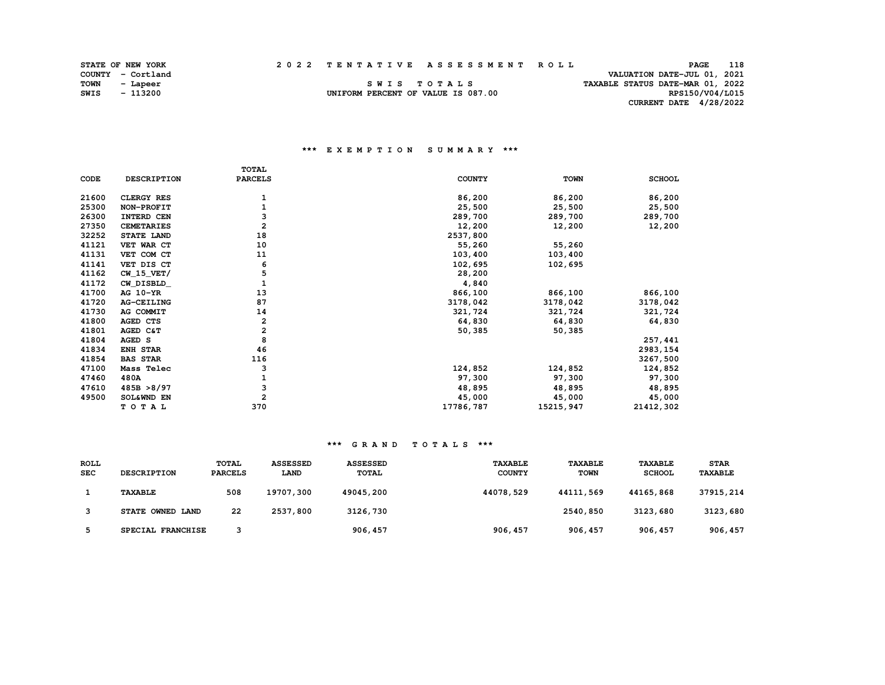| <b>STATE OF NEW YORK</b> |  |  | 2022 TENTATIVE ASSESSMENT ROLL | <b>PAGE</b> | 118 |
|--------------------------|--|--|--------------------------------|-------------|-----|
|--------------------------|--|--|--------------------------------|-------------|-----|

RPS150/V04/L015

|             | STATE OF NEW YORK |                                    | 2022 TENTATIVE ASSESSMENT ROLL | PAGE                             | 118 |
|-------------|-------------------|------------------------------------|--------------------------------|----------------------------------|-----|
|             | COUNTY - Cortland |                                    |                                | VALUATION DATE-JUL 01, 2021      |     |
| <b>TOWN</b> | - Lapeer          | SWIS TOTALS                        |                                | TAXABLE STATUS DATE-MAR 01, 2022 |     |
| <b>SWIS</b> | - 113200          | UNIFORM PERCENT OF VALUE IS 087.00 |                                | RPS150/V04/L015                  |     |

UNIFORM PERCENT OF VALUE IS 087.00  **CURRENT DATE 4/28/2022** 

#### **\*\*\* E X E M P T I O N S U M M A R Y \*\*\***

|       |                    | <b>TOTAL</b>   |               |             |               |
|-------|--------------------|----------------|---------------|-------------|---------------|
| CODE  | <b>DESCRIPTION</b> | <b>PARCELS</b> | <b>COUNTY</b> | <b>TOWN</b> | <b>SCHOOL</b> |
| 21600 | CLERGY RES         |                | 86,200        | 86,200      | 86,200        |
| 25300 | NON-PROFIT         |                | 25,500        | 25,500      | 25,500        |
| 26300 | <b>INTERD CEN</b>  | 3              | 289,700       | 289,700     | 289,700       |
| 27350 | <b>CEMETARIES</b>  | 2              | 12,200        | 12,200      | 12,200        |
| 32252 | STATE LAND         | 18             | 2537,800      |             |               |
| 41121 | VET WAR CT         | 10             | 55,260        | 55,260      |               |
| 41131 | VET COM CT         | 11             | 103,400       | 103,400     |               |
| 41141 | VET DIS CT         | 6              | 102,695       | 102,695     |               |
| 41162 | $CW_15_VET/$       | 5              | 28,200        |             |               |
| 41172 | CW DISBLD          |                | 4,840         |             |               |
| 41700 | AG 10-YR           | 13             | 866,100       | 866,100     | 866,100       |
| 41720 | AG-CEILING         | 87             | 3178,042      | 3178,042    | 3178,042      |
| 41730 | AG COMMIT          | 14             | 321,724       | 321,724     | 321,724       |
| 41800 | AGED CTS           | 2              | 64,830        | 64,830      | 64,830        |
| 41801 | AGED C&T           | 2              | 50,385        | 50,385      |               |
| 41804 | AGED S             | 8              |               |             | 257,441       |
| 41834 | ENH STAR           | 46             |               |             | 2983,154      |
| 41854 | <b>BAS STAR</b>    | 116            |               |             | 3267,500      |
| 47100 | Mass Telec         | 3              | 124,852       | 124,852     | 124,852       |
| 47460 | 480A               |                | 97,300        | 97,300      | 97,300        |
| 47610 | 485B > 8/97        | 3              | 48,895        | 48,895      | 48,895        |
| 49500 | SOL&WND EN         | $\overline{a}$ | 45,000        | 45,000      | 45,000        |
|       | TOTAL              | 370            | 17786,787     | 15215,947   | 21412,302     |

| <b>ROLL</b><br><b>SEC</b> | <b>DESCRIPTION</b> | <b>TOTAL</b><br><b>PARCELS</b> | <b>ASSESSED</b><br><b>LAND</b> | <b>ASSESSED</b><br><b>TOTAL</b> | <b>TAXABLE</b><br><b>COUNTY</b> | <b>TAXABLE</b><br><b>TOWN</b> | <b>TAXABLE</b><br><b>SCHOOL</b> | <b>STAR</b><br><b>TAXABLE</b> |
|---------------------------|--------------------|--------------------------------|--------------------------------|---------------------------------|---------------------------------|-------------------------------|---------------------------------|-------------------------------|
|                           | <b>TAXABLE</b>     | 508                            | 19707,300                      | 49045,200                       | 44078,529                       | 44111,569                     | 44165,868                       | 37915,214                     |
|                           | STATE OWNED LAND   | 22                             | 2537,800                       | 3126,730                        |                                 | 2540,850                      | 3123,680                        | 3123,680                      |
|                           | SPECIAL FRANCHISE  |                                |                                | 906, 457                        | 906, 457                        | 906, 457                      | 906, 457                        | 906, 457                      |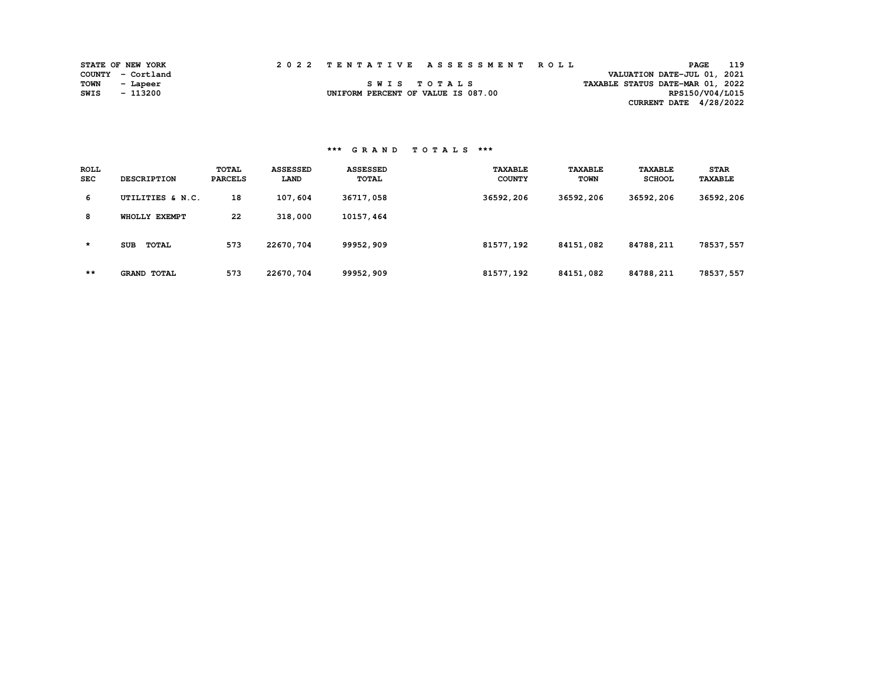|      | <b>STATE OF NEW YORK</b> |  | 2022 TENTATIVE ASSESSMENT ROLL     | <b>PAGE</b>                      | 119 |
|------|--------------------------|--|------------------------------------|----------------------------------|-----|
|      | COUNTY - Cortland        |  |                                    | VALUATION DATE-JUL 01, 2021      |     |
| TOWN | - Lapeer                 |  | SWIS TOTALS                        | TAXABLE STATUS DATE-MAR 01, 2022 |     |
| SWIS | - 113200                 |  | UNIFORM PERCENT OF VALUE IS 087.00 | RPS150/V04/L015                  |     |
|      |                          |  |                                    | CURRENT DATE 4/28/2022           |     |

| <b>ROLL</b><br><b>SEC</b> | <b>DESCRIPTION</b>         | <b>TOTAL</b><br><b>PARCELS</b> | <b>ASSESSED</b><br>LAND | <b>ASSESSED</b><br>TOTAL | <b>TAXABLE</b><br><b>COUNTY</b> | <b>TAXABLE</b><br><b>TOWN</b> | <b>TAXABLE</b><br><b>SCHOOL</b> | <b>STAR</b><br><b>TAXABLE</b> |
|---------------------------|----------------------------|--------------------------------|-------------------------|--------------------------|---------------------------------|-------------------------------|---------------------------------|-------------------------------|
| 6                         | UTILITIES & N.C.           | 18                             | 107,604                 | 36717,058                | 36592,206                       | 36592,206                     | 36592,206                       | 36592,206                     |
| 8                         | WHOLLY EXEMPT              | 22                             | 318,000                 | 10157,464                |                                 |                               |                                 |                               |
| $\star$                   | <b>SUB</b><br><b>TOTAL</b> | 573                            | 22670,704               | 99952,909                | 81577,192                       | 84151,082                     | 84788,211                       | 78537,557                     |
| $***$                     | <b>GRAND TOTAL</b>         | 573                            | 22670,704               | 99952,909                | 81577,192                       | 84151,082                     | 84788,211                       | 78537,557                     |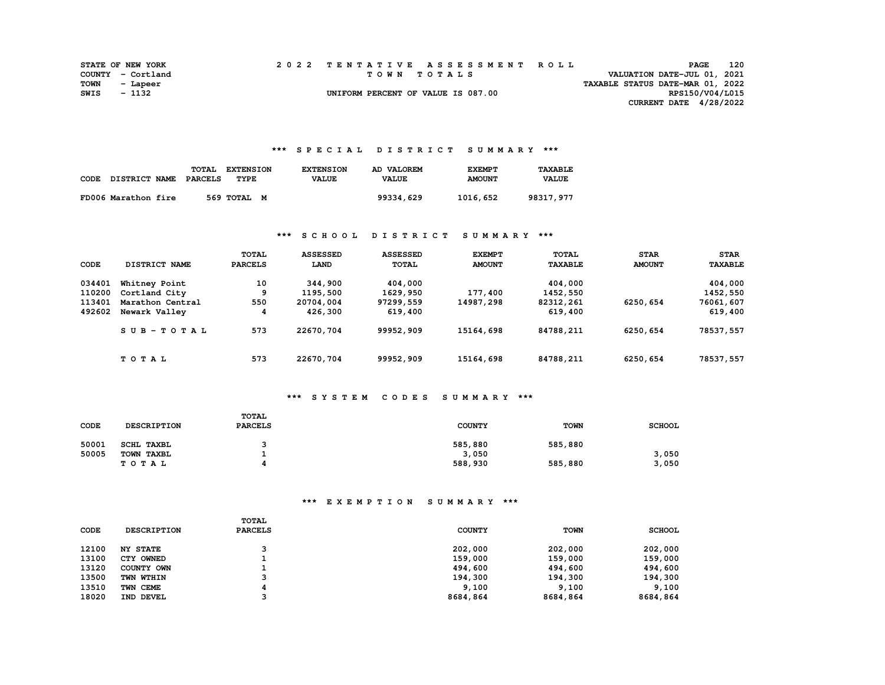|      | <b>STATE OF NEW YORK</b> |  | 2022 TENTATIVE ASSESSMENT ROLL     |                                  | <b>PAGE</b>                 | 120 |
|------|--------------------------|--|------------------------------------|----------------------------------|-----------------------------|-----|
|      | COUNTY - Cortland        |  | TOWN TOTALS                        |                                  | VALUATION DATE-JUL 01, 2021 |     |
| TOWN | - Lapeer                 |  |                                    | TAXABLE STATUS DATE-MAR 01, 2022 |                             |     |
| SWIS | - 1132                   |  | UNIFORM PERCENT OF VALUE IS 087.00 |                                  | RPS150/V04/L015             |     |
|      |                          |  |                                    |                                  | CURRENT DATE 4/28/2022      |     |

#### **\*\*\* S P E C I A L D I S T R I C T S U M M A R Y \*\*\***

| CODE | <b>DISTRICT NAME</b> | TOTAL<br><b>PARCELS</b> | <b>EXTENSION</b><br>TYPE | <b>EXTENSION</b><br><b>VALUE</b> | AD VALOREM<br><b>VALUE</b> | <b>EXEMPT</b><br><b>AMOUNT</b> | <b>TAXABLE</b><br><b>VALUE</b> |
|------|----------------------|-------------------------|--------------------------|----------------------------------|----------------------------|--------------------------------|--------------------------------|
|      | FD006 Marathon fire  |                         | 569 TOTAL M              |                                  | 99334,629                  | 1016,652                       | 98317,977                      |

#### **\*\*\* S C H O O L D I S T R I C T S U M M A R Y \*\*\***

| CODE   | DISTRICT NAME    | TOTAL<br><b>PARCELS</b> | <b>ASSESSED</b><br>LAND | <b>ASSESSED</b><br><b>TOTAL</b> | <b>EXEMPT</b><br><b>AMOUNT</b> | <b>TOTAL</b><br><b>TAXABLE</b> | <b>STAR</b><br><b>AMOUNT</b> | <b>STAR</b><br><b>TAXABLE</b> |
|--------|------------------|-------------------------|-------------------------|---------------------------------|--------------------------------|--------------------------------|------------------------------|-------------------------------|
| 034401 | Whitney Point    | 10                      | 344,900                 | 404,000                         |                                | 404,000                        |                              | 404,000                       |
| 110200 | Cortland City    | 9                       | 1195,500                | 1629,950                        | 177,400                        | 1452,550                       |                              | 1452,550                      |
| 113401 | Marathon Central | 550                     | 20704,004               | 97299,559                       | 14987,298                      | 82312,261                      | 6250,654                     | 76061,607                     |
| 492602 | Newark Valley    | 4                       | 426,300                 | 619,400                         |                                | 619,400                        |                              | 619,400                       |
|        | $SUB - TO T AL$  | 573                     | 22670,704               | 99952,909                       | 15164,698                      | 84788,211                      | 6250,654                     | 78537,557                     |
|        | TOTAL            | 573                     | 22670,704               | 99952,909                       | 15164,698                      | 84788,211                      | 6250,654                     | 78537,557                     |

## **\*\*\* S Y S T E M C O D E S S U M M A R Y \*\*\***

| CODE  | <b>DESCRIPTION</b> | TOTAL<br><b>PARCELS</b> | <b>COUNTY</b> | <b>TOWN</b> | <b>SCHOOL</b> |
|-------|--------------------|-------------------------|---------------|-------------|---------------|
| 50001 | SCHL TAXBL         |                         | 585,880       | 585,880     |               |
| 50005 | TOWN TAXBL         |                         | 3,050         |             | 3,050         |
|       | TOTAL              |                         | 588,930       | 585,880     | 3,050         |

## **\*\*\* E X E M P T I O N S U M M A R Y \*\*\***

| <b>CODE</b> | <b>DESCRIPTION</b> | <b>TOTAL</b><br><b>PARCELS</b> | <b>COUNTY</b> | <b>TOWN</b> | <b>SCHOOL</b> |
|-------------|--------------------|--------------------------------|---------------|-------------|---------------|
| 12100       | <b>NY STATE</b>    |                                | 202,000       | 202,000     | 202,000       |
| 13100       | CTY OWNED          |                                | 159,000       | 159,000     | 159,000       |
| 13120       | COUNTY OWN         |                                | 494,600       | 494,600     | 494,600       |
| 13500       | TWN WTHIN          |                                | 194,300       | 194,300     | 194,300       |
| 13510       | TWN CEME           |                                | 9,100         | 9,100       | 9,100         |
| 18020       | IND DEVEL          |                                | 8684,864      | 8684,864    | 8684,864      |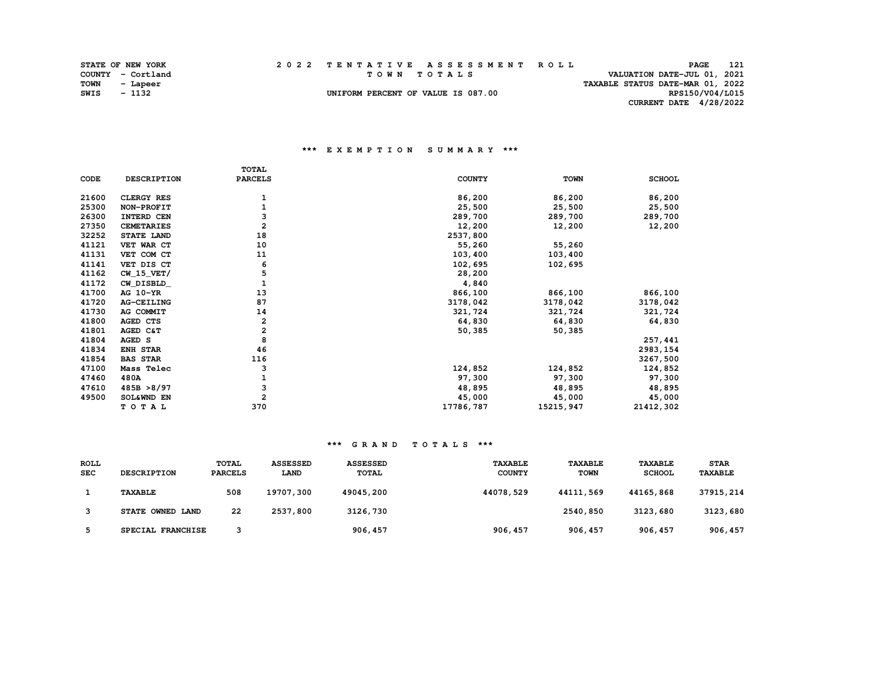|      | <b>STATE OF NEW YORK</b> | 2022 TENTATIVE ASSESSMENT ROLL     |                                  | <b>PAGE</b>                 | 121 |
|------|--------------------------|------------------------------------|----------------------------------|-----------------------------|-----|
|      | COUNTY - Cortland        | TOWN TOTALS                        |                                  | VALUATION DATE-JUL 01, 2021 |     |
| TOWN | - Lapeer                 |                                    | TAXABLE STATUS DATE-MAR 01, 2022 |                             |     |
| SWIS | - 1132                   | UNIFORM PERCENT OF VALUE IS 087.00 |                                  | RPS150/V04/L015             |     |
|      |                          |                                    |                                  | CURRENT DATE 4/28/2022      |     |

#### **\*\*\* E X E M P T I O N S U M M A R Y \*\*\***

|       |                    | TOTAL                   |               |             |               |
|-------|--------------------|-------------------------|---------------|-------------|---------------|
| CODE  | <b>DESCRIPTION</b> | <b>PARCELS</b>          | <b>COUNTY</b> | <b>TOWN</b> | <b>SCHOOL</b> |
| 21600 | CLERGY RES         | 1                       | 86,200        | 86,200      | 86,200        |
| 25300 | NON-PROFIT         |                         | 25,500        | 25,500      | 25,500        |
| 26300 | INTERD CEN         | з                       | 289,700       | 289,700     | 289,700       |
| 27350 | <b>CEMETARIES</b>  | $\overline{a}$          | 12,200        | 12,200      | 12,200        |
| 32252 | STATE LAND         | 18                      | 2537,800      |             |               |
| 41121 | VET WAR CT         | 10                      | 55,260        | 55,260      |               |
| 41131 | VET COM CT         | 11                      | 103,400       | 103,400     |               |
| 41141 | VET DIS CT         | 6                       | 102,695       | 102,695     |               |
| 41162 | $CW_15_VET/$       | 5                       | 28,200        |             |               |
| 41172 | CW_DISBLD_         | 1                       | 4,840         |             |               |
| 41700 | AG 10-YR           | 13                      | 866,100       | 866,100     | 866,100       |
| 41720 | AG-CEILING         | 87                      | 3178,042      | 3178,042    | 3178,042      |
| 41730 | AG COMMIT          | 14                      | 321,724       | 321,724     | 321,724       |
| 41800 | <b>AGED CTS</b>    | 2                       | 64,830        | 64,830      | 64,830        |
| 41801 | AGED C&T           | $\overline{\mathbf{2}}$ | 50,385        | 50,385      |               |
| 41804 | AGED S             | 8                       |               |             | 257,441       |
| 41834 | ENH STAR           | 46                      |               |             | 2983, 154     |
| 41854 | <b>BAS STAR</b>    | 116                     |               |             | 3267,500      |
| 47100 | Mass Telec         | з                       | 124,852       | 124,852     | 124,852       |
| 47460 | 480A               |                         | 97,300        | 97,300      | 97,300        |
| 47610 | 485B > 8/97        | 3                       | 48,895        | 48,895      | 48,895        |
| 49500 | SOL&WND EN         | $\overline{a}$          | 45,000        | 45,000      | 45,000        |
|       | TOTAL              | 370                     | 17786,787     | 15215, 947  | 21412,302     |

| <b>ROLL</b><br><b>SEC</b> | <b>DESCRIPTION</b> | <b>TOTAL</b><br><b>PARCELS</b> | <b>ASSESSED</b><br><b>LAND</b> | <b>ASSESSED</b><br><b>TOTAL</b> | <b>TAXABLE</b><br><b>COUNTY</b> | <b>TAXABLE</b><br><b>TOWN</b> | <b>TAXABLE</b><br><b>SCHOOL</b> | <b>STAR</b><br><b>TAXABLE</b> |
|---------------------------|--------------------|--------------------------------|--------------------------------|---------------------------------|---------------------------------|-------------------------------|---------------------------------|-------------------------------|
|                           | <b>TAXABLE</b>     | 508                            | 19707,300                      | 49045,200                       | 44078,529                       | 44111,569                     | 44165,868                       | 37915,214                     |
|                           | STATE OWNED LAND   | 22                             | 2537,800                       | 3126,730                        |                                 | 2540,850                      | 3123,680                        | 3123,680                      |
|                           | SPECIAL FRANCHISE  |                                |                                | 906, 457                        | 906, 457                        | 906, 457                      | 906, 457                        | 906, 457                      |